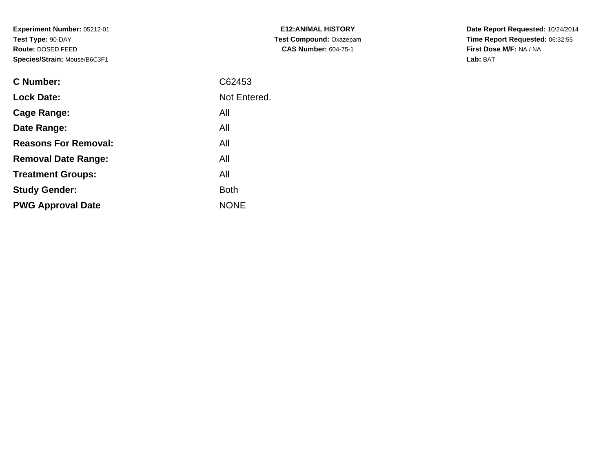**Experiment Number:** 05212-01**Test Type:** 90-DAY **Route:** DOSED FEED**Species/Strain:** Mouse/B6C3F1

| <b>C Number:</b>            | C62453       |
|-----------------------------|--------------|
| <b>Lock Date:</b>           | Not Entered. |
| <b>Cage Range:</b>          | All          |
| Date Range:                 | All          |
| <b>Reasons For Removal:</b> | All          |
| <b>Removal Date Range:</b>  | All          |
| <b>Treatment Groups:</b>    | All          |
| <b>Study Gender:</b>        | <b>Both</b>  |
| <b>PWG Approval Date</b>    | <b>NONE</b>  |
|                             |              |

**E12:ANIMAL HISTORY Test Compound:** Oxazepam**CAS Number:** 604-75-1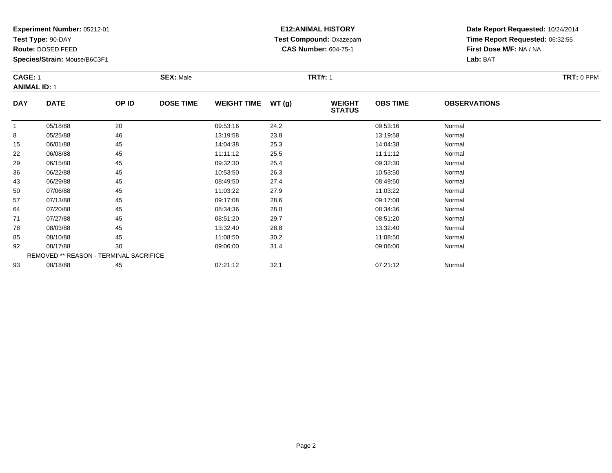**Test Type:** 90-DAY

**Route:** DOSED FEED

**Species/Strain:** Mouse/B6C3F1

# **E12:ANIMAL HISTORY Test Compound:** Oxazepam**CAS Number:** 604-75-1

| <b>CAGE: 1</b><br><b>ANIMAL ID: 1</b> |             |       | <b>SEX: Male</b> |                    |       |                                | <b>TRT#: 1</b>  |                     |  |  |  |
|---------------------------------------|-------------|-------|------------------|--------------------|-------|--------------------------------|-----------------|---------------------|--|--|--|
| <b>DAY</b>                            | <b>DATE</b> | OP ID | <b>DOSE TIME</b> | <b>WEIGHT TIME</b> | WT(g) | <b>WEIGHT</b><br><b>STATUS</b> | <b>OBS TIME</b> | <b>OBSERVATIONS</b> |  |  |  |
|                                       | 05/18/88    | 20    |                  | 09:53:16           | 24.2  |                                | 09:53:16        | Normal              |  |  |  |
| 8                                     | 05/25/88    | 46    |                  | 13:19:58           | 23.8  |                                | 13:19:58        | Normal              |  |  |  |
| 15                                    | 06/01/88    | 45    |                  | 14:04:38           | 25.3  |                                | 14:04:38        | Normal              |  |  |  |
| 22                                    | 06/08/88    | 45    |                  | 11:11:12           | 25.5  |                                | 11:11:12        | Normal              |  |  |  |
|                                       |             |       |                  |                    |       |                                |                 |                     |  |  |  |

| 15 | 06/01/88 | 45                                            | 14:04:38 | 25.3 | 14:04:38 | Normal |
|----|----------|-----------------------------------------------|----------|------|----------|--------|
| 22 | 06/08/88 | 45                                            | 11:11:12 | 25.5 | 11:11:12 | Normal |
| 29 | 06/15/88 | 45                                            | 09:32:30 | 25.4 | 09:32:30 | Normal |
| 36 | 06/22/88 | 45                                            | 10:53:50 | 26.3 | 10:53:50 | Normal |
| 43 | 06/29/88 | 45                                            | 08:49:50 | 27.4 | 08:49:50 | Normal |
| 50 | 07/06/88 | 45                                            | 11:03:22 | 27.9 | 11:03:22 | Normal |
| 57 | 07/13/88 | 45                                            | 09:17:08 | 28.6 | 09:17:08 | Normal |
| 64 | 07/20/88 | 45                                            | 08:34:36 | 28.0 | 08:34:36 | Normal |
| 71 | 07/27/88 | 45                                            | 08:51:20 | 29.7 | 08:51:20 | Normal |
| 78 | 08/03/88 | 45                                            | 13:32:40 | 28.8 | 13:32:40 | Normal |
| 85 | 08/10/88 | 45                                            | 11:08:50 | 30.2 | 11:08:50 | Normal |
| 92 | 08/17/88 | 30                                            | 09:06:00 | 31.4 | 09:06:00 | Normal |
|    |          | <b>REMOVED ** REASON - TERMINAL SACRIFICE</b> |          |      |          |        |
| 93 | 08/18/88 | 45                                            | 07:21:12 | 32.1 | 07:21:12 | Normal |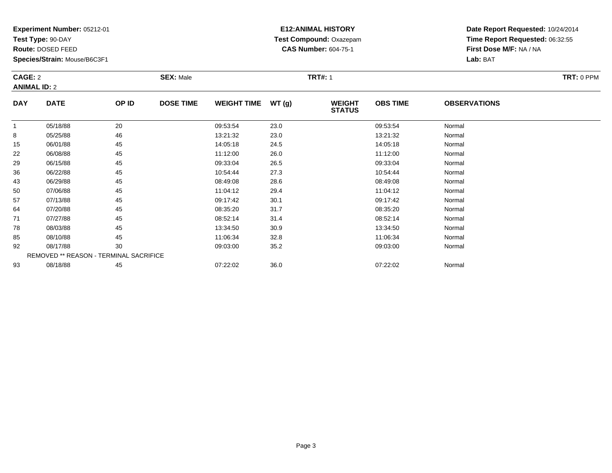**Test Type:** 90-DAY

**Route:** DOSED FEED

**Species/Strain:** Mouse/B6C3F1

# **E12:ANIMAL HISTORY Test Compound:** Oxazepam**CAS Number:** 604-75-1

| CAGE: 2<br><b>ANIMAL ID: 2</b> |             |       | <b>SEX: Male</b> |                     |      | <b>TRT#: 1</b>                 | TRT: 0 PPM      |                     |  |
|--------------------------------|-------------|-------|------------------|---------------------|------|--------------------------------|-----------------|---------------------|--|
| <b>DAY</b>                     | <b>DATE</b> | OP ID | <b>DOSE TIME</b> | WEIGHT TIME $WT(g)$ |      | <b>WEIGHT</b><br><b>STATUS</b> | <b>OBS TIME</b> | <b>OBSERVATIONS</b> |  |
|                                | 05/18/88    | 20    |                  | 09:53:54            | 23.0 |                                | 09:53:54        | Normal              |  |
| 8                              | 05/25/88    | 46    |                  | 13:21:32            | 23.0 |                                | 13:21:32        | Normal              |  |
| 15                             | 06/01/88    | 45    |                  | 14:05:18            | 24.5 |                                | 14:05:18        | Normal              |  |
| 22                             | 06/08/88    | 45    |                  | 11:12:00            | 26.0 |                                | 11:12:00        | Normal              |  |
| 29                             | 06/15/88    | 45    |                  | 09:33:04            | 26.5 |                                | 09:33:04        | Normal              |  |
| 36                             | 06/22/88    | 45    |                  | 10:54:44            | 27.3 |                                | 10:54:44        | Normal              |  |
|                                |             |       |                  |                     |      |                                |                 |                     |  |

| 29 | 06/15/88 | 45                                            | 09:33:04 | 26.5 | 09:33:04 | Normal |  |
|----|----------|-----------------------------------------------|----------|------|----------|--------|--|
| 36 | 06/22/88 | 45                                            | 10:54:44 | 27.3 | 10:54:44 | Normal |  |
| 43 | 06/29/88 | 45                                            | 08:49:08 | 28.6 | 08:49:08 | Normal |  |
| 50 | 07/06/88 | 45                                            | 11:04:12 | 29.4 | 11:04:12 | Normal |  |
| 57 | 07/13/88 | 45                                            | 09:17:42 | 30.1 | 09:17:42 | Normal |  |
| 64 | 07/20/88 | 45                                            | 08:35:20 | 31.7 | 08:35:20 | Normal |  |
| 71 | 07/27/88 | 45                                            | 08:52:14 | 31.4 | 08:52:14 | Normal |  |
| 78 | 08/03/88 | 45                                            | 13:34:50 | 30.9 | 13:34:50 | Normal |  |
| 85 | 08/10/88 | 45                                            | 11:06:34 | 32.8 | 11:06:34 | Normal |  |
| 92 | 08/17/88 | 30                                            | 09:03:00 | 35.2 | 09:03:00 | Normal |  |
|    |          | <b>REMOVED ** REASON - TERMINAL SACRIFICE</b> |          |      |          |        |  |
| 93 | 08/18/88 | 45                                            | 07:22:02 | 36.0 | 07:22:02 | Normal |  |
|    |          |                                               |          |      |          |        |  |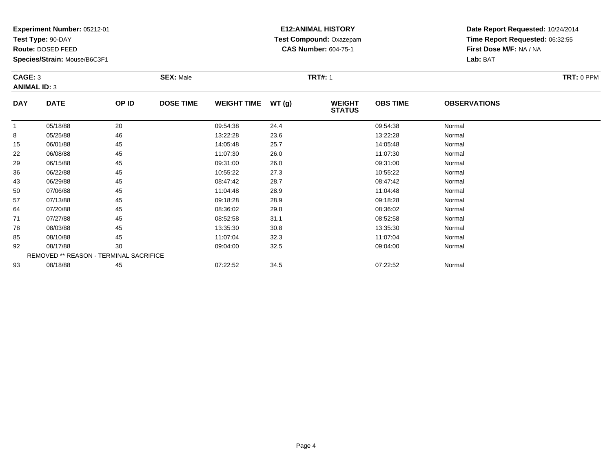**Test Type:** 90-DAY

**Route:** DOSED FEED

57

64

71

78

85

92

93

**Species/Strain:** Mouse/B6C3F1

REMOVED \*\* REASON - TERMINAL SACRIFICE

# **E12:ANIMAL HISTORY Test Compound:** Oxazepam**CAS Number:** 604-75-1

**Date Report Requested:** 10/24/2014**Time Report Requested:** 06:32:55**First Dose M/F:** NA / NA**Lab:** BAT

| CAGE: 3<br><b>ANIMAL ID: 3</b> |             |              | <b>SEX: Male</b> |                    |       | <b>TRT#: 1</b>                 | TRT: 0 PPM      |                     |  |
|--------------------------------|-------------|--------------|------------------|--------------------|-------|--------------------------------|-----------------|---------------------|--|
| <b>DAY</b>                     | <b>DATE</b> | <b>OP ID</b> | <b>DOSE TIME</b> | <b>WEIGHT TIME</b> | WT(g) | <b>WEIGHT</b><br><b>STATUS</b> | <b>OBS TIME</b> | <b>OBSERVATIONS</b> |  |
|                                | 05/18/88    | 20           |                  | 09:54:38           | 24.4  |                                | 09:54:38        | Normal              |  |
| 8                              | 05/25/88    | 46           |                  | 13:22:28           | 23.6  |                                | 13:22:28        | Normal              |  |
| 15                             | 06/01/88    | 45           |                  | 14:05:48           | 25.7  |                                | 14:05:48        | Normal              |  |
| 22                             | 06/08/88    | 45           |                  | 11:07:30           | 26.0  |                                | 11:07:30        | Normal              |  |
| 29                             | 06/15/88    | 45           |                  | 09:31:00           | 26.0  |                                | 09:31:00        | Normal              |  |
| 36                             | 06/22/88    | 45           |                  | 10:55:22           | 27.3  |                                | 10:55:22        | Normal              |  |
| 43                             | 06/29/88    | 45           |                  | 08:47:42           | 28.7  |                                | 08:47:42        | Normal              |  |
| 50                             | 07/06/88    | 45           |                  | 11:04:48           | 28.9  |                                | 11:04:48        | Normal              |  |

07/13/88 <sup>45</sup> 09:18:28 28.9 09:18:28 Normal

4 07/20/88 45 45 08:36:02 29.8 08:36:02 29.8 08:36:02 Normal

1 07/27/88 45 45 08:52:58 31.1 08:52:58 08:52:58 Normal

8 08/03/88 45 45 13:35:30 30.8 13:35:30 13:35:30 Normal

5 08/10/88 45 45 11:07:04 32.3 11:07:04 11:07:04 Normal

2 08/17/88 30 30 09:04:00 32.5 09:04:00 32.5 09:04:00 09:04:00

08/18/88 <sup>45</sup> 07:22:52 34.5 07:22:52 Normal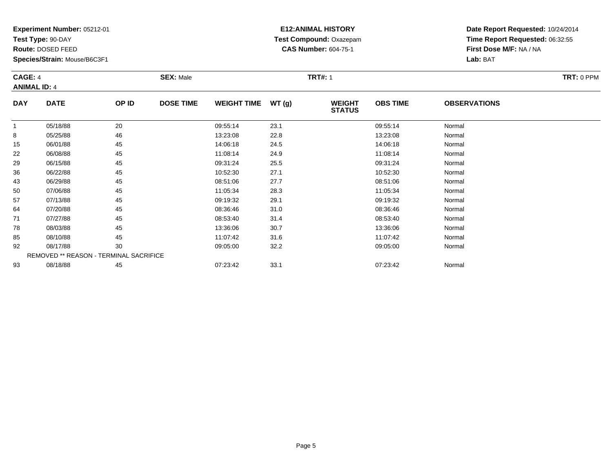**Test Type:** 90-DAY

**Route:** DOSED FEED

**Species/Strain:** Mouse/B6C3F1

# **E12:ANIMAL HISTORY Test Compound:** Oxazepam**CAS Number:** 604-75-1

| CAGE: 4<br><b>ANIMAL ID: 4</b> |             |       | <b>SEX: Male</b> |                    |       | <b>TRT#: 1</b>                 | <b>TRT: 0 PPM</b> |                     |  |
|--------------------------------|-------------|-------|------------------|--------------------|-------|--------------------------------|-------------------|---------------------|--|
| <b>DAY</b>                     | <b>DATE</b> | OP ID | <b>DOSE TIME</b> | <b>WEIGHT TIME</b> | WT(g) | <b>WEIGHT</b><br><b>STATUS</b> | <b>OBS TIME</b>   | <b>OBSERVATIONS</b> |  |
|                                | 05/18/88    | 20    |                  | 09:55:14           | 23.1  |                                | 09:55:14          | Normal              |  |
| 8                              | 05/25/88    | 46    |                  | 13:23:08           | 22.8  |                                | 13:23:08          | Normal              |  |
| 15                             | 06/01/88    | 45    |                  | 14:06:18           | 24.5  |                                | 14:06:18          | Normal              |  |
| 22                             | 06/08/88    | 45    |                  | 11:08:14           | 24.9  |                                | 11:08:14          | Normal              |  |

| ັບ | <b>UJIZJIOO</b> | 4υ                                            | <b>UJ.</b> 43. UO | 22.0 | 10.20.00 | <b>INUTILIAL</b> |
|----|-----------------|-----------------------------------------------|-------------------|------|----------|------------------|
| 15 | 06/01/88        | 45                                            | 14:06:18          | 24.5 | 14:06:18 | Normal           |
| 22 | 06/08/88        | 45                                            | 11:08:14          | 24.9 | 11:08:14 | Normal           |
| 29 | 06/15/88        | 45                                            | 09:31:24          | 25.5 | 09:31:24 | Normal           |
| 36 | 06/22/88        | 45                                            | 10:52:30          | 27.1 | 10:52:30 | Normal           |
| 43 | 06/29/88        | 45                                            | 08:51:06          | 27.7 | 08:51:06 | Normal           |
| 50 | 07/06/88        | 45                                            | 11:05:34          | 28.3 | 11:05:34 | Normal           |
| 57 | 07/13/88        | 45                                            | 09:19:32          | 29.1 | 09:19:32 | Normal           |
| 64 | 07/20/88        | 45                                            | 08:36:46          | 31.0 | 08:36:46 | Normal           |
| 71 | 07/27/88        | 45                                            | 08:53:40          | 31.4 | 08:53:40 | Normal           |
| 78 | 08/03/88        | 45                                            | 13:36:06          | 30.7 | 13:36:06 | Normal           |
| 85 | 08/10/88        | 45                                            | 11:07:42          | 31.6 | 11:07:42 | Normal           |
| 92 | 08/17/88        | 30                                            | 09:05:00          | 32.2 | 09:05:00 | Normal           |
|    |                 | <b>REMOVED ** REASON - TERMINAL SACRIFICE</b> |                   |      |          |                  |
| 93 | 08/18/88        | 45                                            | 07:23:42          | 33.1 | 07:23:42 | Normal           |
|    |                 |                                               |                   |      |          |                  |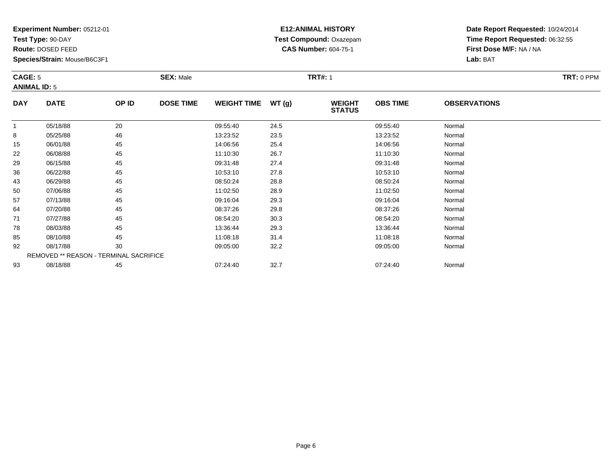**Test Type:** 90-DAY

**Route:** DOSED FEED

**Species/Strain:** Mouse/B6C3F1

# **E12:ANIMAL HISTORY Test Compound:** Oxazepam**CAS Number:** 604-75-1

| <b>CAGE: 5</b><br><b>ANIMAL ID: 5</b> |             |       | <b>SEX: Male</b> |                    |       | <b>TRT#: 1</b>                 | TRT: 0 PPM      |                     |  |
|---------------------------------------|-------------|-------|------------------|--------------------|-------|--------------------------------|-----------------|---------------------|--|
| <b>DAY</b>                            | <b>DATE</b> | OP ID | <b>DOSE TIME</b> | <b>WEIGHT TIME</b> | WT(g) | <b>WEIGHT</b><br><b>STATUS</b> | <b>OBS TIME</b> | <b>OBSERVATIONS</b> |  |
|                                       | 05/18/88    | 20    |                  | 09:55:40           | 24.5  |                                | 09:55:40        | Normal              |  |
| 8                                     | 05/25/88    | 46    |                  | 13:23:52           | 23.5  |                                | 13:23:52        | Normal              |  |
| 15                                    | 06/01/88    | 45    |                  | 14:06:56           | 25.4  |                                | 14:06:56        | Normal              |  |

| 45<br>25.4<br>06/01/88<br>14:06:56<br>14:06:56<br>Normal<br>15<br>45<br>26.7<br>22<br>06/08/88<br>11:10:30<br>11:10:30<br>Normal<br>45<br>29<br>06/15/88<br>09:31:48<br>27.4<br>09:31:48<br>Normal<br>45<br>36<br>27.8<br>06/22/88<br>10:53:10<br>10:53:10<br>Normal |  |
|----------------------------------------------------------------------------------------------------------------------------------------------------------------------------------------------------------------------------------------------------------------------|--|
|                                                                                                                                                                                                                                                                      |  |
|                                                                                                                                                                                                                                                                      |  |
|                                                                                                                                                                                                                                                                      |  |
|                                                                                                                                                                                                                                                                      |  |
| 45<br>28.8<br>43<br>06/29/88<br>08:50:24<br>08:50:24<br>Normal                                                                                                                                                                                                       |  |
| 45<br>28.9<br>50<br>07/06/88<br>11:02:50<br>11:02:50<br>Normal                                                                                                                                                                                                       |  |
| 45<br>29.3<br>57<br>07/13/88<br>09:16:04<br>09:16:04<br>Normal                                                                                                                                                                                                       |  |
| 45<br>29.8<br>64<br>07/20/88<br>08:37:26<br>08:37:26<br>Normal                                                                                                                                                                                                       |  |
| 71<br>45<br>30.3<br>07/27/88<br>08:54:20<br>08:54:20<br>Normal                                                                                                                                                                                                       |  |
| 45<br>29.3<br>78<br>08/03/88<br>13:36:44<br>13:36:44<br>Normal                                                                                                                                                                                                       |  |
| 45<br>85<br>08/10/88<br>31.4<br>11:08:18<br>11:08:18<br>Normal                                                                                                                                                                                                       |  |
| 30<br>32.2<br>92<br>08/17/88<br>09:05:00<br>09:05:00<br>Normal                                                                                                                                                                                                       |  |
| REMOVED ** REASON - TERMINAL SACRIFICE                                                                                                                                                                                                                               |  |
| 32.7<br>93<br>08/18/88<br>07:24:40<br>07:24:40<br>45<br>Normal                                                                                                                                                                                                       |  |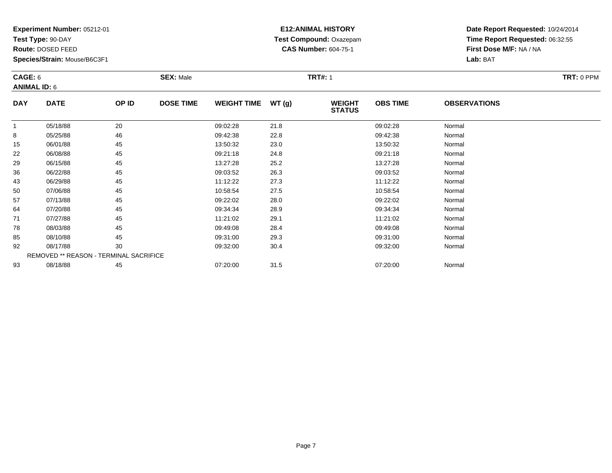**Test Type:** 90-DAY

**Route:** DOSED FEED

71

78

85

92

93

**Species/Strain:** Mouse/B6C3F1

REMOVED \*\* REASON - TERMINAL SACRIFICE

# **E12:ANIMAL HISTORY Test Compound:** Oxazepam**CAS Number:** 604-75-1

**Date Report Requested:** 10/24/2014**Time Report Requested:** 06:32:55**First Dose M/F:** NA / NA**Lab:** BAT

| CAGE: 6<br><b>ANIMAL ID: 6</b> |             |       | <b>SEX: Male</b><br><b>TRT#: 1</b> |                    |       |                                |                 |                     |  |
|--------------------------------|-------------|-------|------------------------------------|--------------------|-------|--------------------------------|-----------------|---------------------|--|
| <b>DAY</b>                     | <b>DATE</b> | OP ID | <b>DOSE TIME</b>                   | <b>WEIGHT TIME</b> | WT(g) | <b>WEIGHT</b><br><b>STATUS</b> | <b>OBS TIME</b> | <b>OBSERVATIONS</b> |  |
|                                | 05/18/88    | 20    |                                    | 09:02:28           | 21.8  |                                | 09:02:28        | Normal              |  |
| 8                              | 05/25/88    | 46    |                                    | 09:42:38           | 22.8  |                                | 09:42:38        | Normal              |  |
| 15                             | 06/01/88    | 45    |                                    | 13:50:32           | 23.0  |                                | 13:50:32        | Normal              |  |
| 22                             | 06/08/88    | 45    |                                    | 09:21:18           | 24.8  |                                | 09:21:18        | Normal              |  |
| 29                             | 06/15/88    | 45    |                                    | 13:27:28           | 25.2  |                                | 13:27:28        | Normal              |  |
| 36                             | 06/22/88    | 45    |                                    | 09:03:52           | 26.3  |                                | 09:03:52        | Normal              |  |
| 43                             | 06/29/88    | 45    |                                    | 11:12:22           | 27.3  |                                | 11:12:22        | Normal              |  |
| 50                             | 07/06/88    | 45    |                                    | 10:58:54           | 27.5  |                                | 10:58:54        | Normal              |  |
| 57                             | 07/13/88    | 45    |                                    | 09:22:02           | 28.0  |                                | 09:22:02        | Normal              |  |
| 64                             | 07/20/88    | 45    |                                    | 09:34:34           | 28.9  |                                | 09:34:34        | Normal              |  |

1 07/27/88 45 45 11:21:02 29.1 11:21:02 11:21:02 11:21:02 Normal

8 08/03/88 45 45 09:49:08 28.4 b 28.4 09:49 09:49:08 3 09:49:08 09:49:08 09:49:08 09:49:08 09:49:08 09:49:08 0

08/10/88 <sup>45</sup> 09:31:00 29.3 09:31:00 Normal

2 08/17/88 30 30 09:32:00 30.4 09:32 00 09:32:00 30.4

08/18/88 <sup>45</sup> 07:20:00 31.5 07:20:00 Normal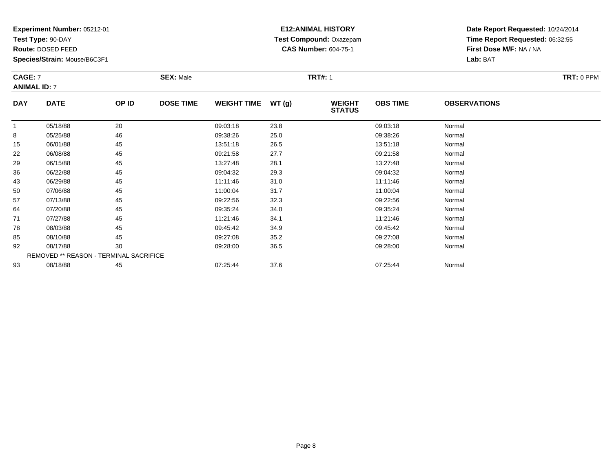**Test Type:** 90-DAY

**Route:** DOSED FEED

**Species/Strain:** Mouse/B6C3F1

# **E12:ANIMAL HISTORY Test Compound:** Oxazepam**CAS Number:** 604-75-1

| <b>CAGE: 7</b><br><b>ANIMAL ID: 7</b> |             |       | <b>SEX: Male</b> |                    |       | <b>TRT#: 1</b>                 | TRT: 0 PPM      |                     |  |
|---------------------------------------|-------------|-------|------------------|--------------------|-------|--------------------------------|-----------------|---------------------|--|
| <b>DAY</b>                            | <b>DATE</b> | OP ID | <b>DOSE TIME</b> | <b>WEIGHT TIME</b> | WT(q) | <b>WEIGHT</b><br><b>STATUS</b> | <b>OBS TIME</b> | <b>OBSERVATIONS</b> |  |
|                                       | 05/18/88    | 20    |                  | 09:03:18           | 23.8  |                                | 09:03:18        | Normal              |  |
| 8                                     | 05/25/88    | 46    |                  | 09:38:26           | 25.0  |                                | 09:38:26        | Normal              |  |
| 15                                    | 06/01/88    | 45    |                  | 13:51:18           | 26.5  |                                | 13:51:18        | Normal              |  |

| ୪  | 05/25/88 | 46                                            | 09.38.26 | 25.0 | 09.38.26 | Normal |
|----|----------|-----------------------------------------------|----------|------|----------|--------|
| 15 | 06/01/88 | 45                                            | 13:51:18 | 26.5 | 13:51:18 | Normal |
| 22 | 06/08/88 | 45                                            | 09:21:58 | 27.7 | 09:21:58 | Normal |
| 29 | 06/15/88 | 45                                            | 13:27:48 | 28.1 | 13:27:48 | Normal |
| 36 | 06/22/88 | 45                                            | 09:04:32 | 29.3 | 09:04:32 | Normal |
| 43 | 06/29/88 | 45                                            | 11:11:46 | 31.0 | 11:11:46 | Normal |
| 50 | 07/06/88 | 45                                            | 11:00:04 | 31.7 | 11:00:04 | Normal |
| 57 | 07/13/88 | 45                                            | 09:22:56 | 32.3 | 09:22:56 | Normal |
| 64 | 07/20/88 | 45                                            | 09:35:24 | 34.0 | 09:35:24 | Normal |
| 71 | 07/27/88 | 45                                            | 11:21:46 | 34.1 | 11:21:46 | Normal |
| 78 | 08/03/88 | 45                                            | 09:45:42 | 34.9 | 09:45:42 | Normal |
| 85 | 08/10/88 | 45                                            | 09:27:08 | 35.2 | 09:27:08 | Normal |
| 92 | 08/17/88 | 30                                            | 09:28:00 | 36.5 | 09:28:00 | Normal |
|    |          | <b>REMOVED ** REASON - TERMINAL SACRIFICE</b> |          |      |          |        |
| 93 | 08/18/88 | 45                                            | 07:25:44 | 37.6 | 07:25:44 | Normal |
|    |          |                                               |          |      |          |        |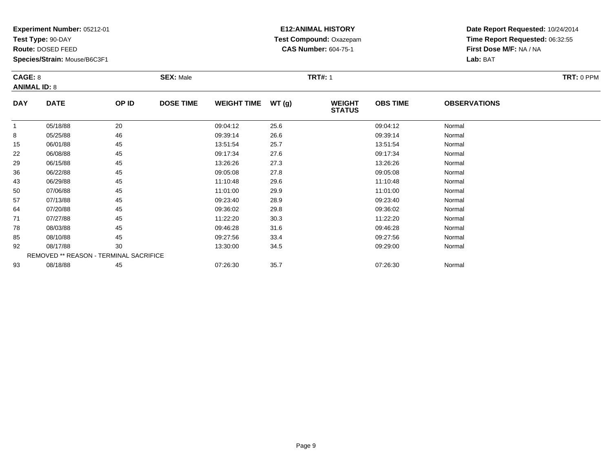**Test Type:** 90-DAY

**Route:** DOSED FEED

64

71

78

85

92

93

**Species/Strain:** Mouse/B6C3F1

REMOVED \*\* REASON - TERMINAL SACRIFICE

# **E12:ANIMAL HISTORY Test Compound:** Oxazepam**CAS Number:** 604-75-1

**Date Report Requested:** 10/24/2014**Time Report Requested:** 06:32:55**First Dose M/F:** NA / NA**Lab:** BAT

| <b>CAGE: 8</b><br><b>ANIMAL ID: 8</b> |             |       | <b>SEX: Male</b> |                    |       | <b>TRT#: 1</b>                 | TRT: 0 PPM      |                     |  |
|---------------------------------------|-------------|-------|------------------|--------------------|-------|--------------------------------|-----------------|---------------------|--|
| <b>DAY</b>                            | <b>DATE</b> | OP ID | <b>DOSE TIME</b> | <b>WEIGHT TIME</b> | WT(g) | <b>WEIGHT</b><br><b>STATUS</b> | <b>OBS TIME</b> | <b>OBSERVATIONS</b> |  |
|                                       | 05/18/88    | 20    |                  | 09:04:12           | 25.6  |                                | 09:04:12        | Normal              |  |
| 8                                     | 05/25/88    | 46    |                  | 09:39:14           | 26.6  |                                | 09:39:14        | Normal              |  |
| 15                                    | 06/01/88    | 45    |                  | 13:51:54           | 25.7  |                                | 13:51:54        | Normal              |  |
| 22                                    | 06/08/88    | 45    |                  | 09:17:34           | 27.6  |                                | 09:17:34        | Normal              |  |
| 29                                    | 06/15/88    | 45    |                  | 13:26:26           | 27.3  |                                | 13:26:26        | Normal              |  |
| 36                                    | 06/22/88    | 45    |                  | 09:05:08           | 27.8  |                                | 09:05:08        | Normal              |  |
| 43                                    | 06/29/88    | 45    |                  | 11:10:48           | 29.6  |                                | 11:10:48        | Normal              |  |
| 50                                    | 07/06/88    | 45    |                  | 11:01:00           | 29.9  |                                | 11:01:00        | Normal              |  |
| 57                                    | 07/13/88    | 45    |                  | 09:23:40           | 28.9  |                                | 09:23:40        | Normal              |  |

4 07/20/88 45 45 09:36:02 29.8 09:36 09:36 09:36 09:36 09:36:02 09:36:02 09:36:02

1 07/27/88 45 45 11:22:20 30.3 11:32 11:22:20 11:22:20 Normal

8 08/03/88 45 45 09:46:28 31.6 09:46:28 09:46:28 09:46:28 09:46:28 09:46:28

08/10/88 <sup>45</sup> 09:27:56 33.4 09:27:56 Normal

2 08/17/88 30 30 13:30:00 34.5 09:29:00 09:29:00 Normal

3 08/18/88 45 45 07:26:30 35.7 35.7 07:26:30 07:26:30 Normal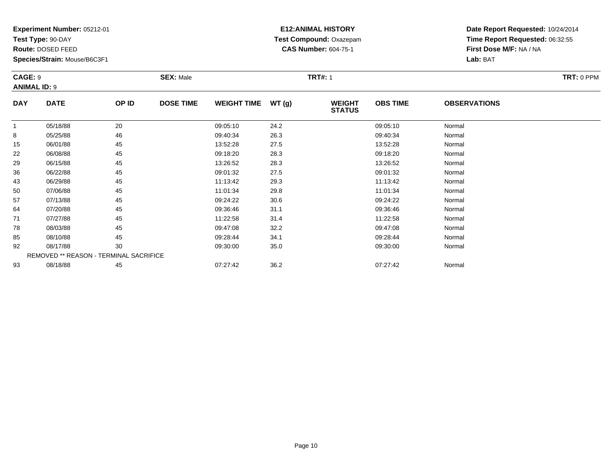**Test Type:** 90-DAY

**Route:** DOSED FEED

93

**Species/Strain:** Mouse/B6C3F1

REMOVED \*\* REASON - TERMINAL SACRIFICE

# **E12:ANIMAL HISTORY Test Compound:** Oxazepam**CAS Number:** 604-75-1

**Date Report Requested:** 10/24/2014**Time Report Requested:** 06:32:55**First Dose M/F:** NA / NA**Lab:** BAT

| CAGE: 9<br><b>ANIMAL ID: 9</b> |             |       | <b>SEX: Male</b> |                    | <b>TRT#: 1</b> |                                |                 |                     |  |  |
|--------------------------------|-------------|-------|------------------|--------------------|----------------|--------------------------------|-----------------|---------------------|--|--|
| <b>DAY</b>                     | <b>DATE</b> | OP ID | <b>DOSE TIME</b> | <b>WEIGHT TIME</b> | WT(g)          | <b>WEIGHT</b><br><b>STATUS</b> | <b>OBS TIME</b> | <b>OBSERVATIONS</b> |  |  |
| $\mathbf{1}$                   | 05/18/88    | 20    |                  | 09:05:10           | 24.2           |                                | 09:05:10        | Normal              |  |  |
| 8                              | 05/25/88    | 46    |                  | 09:40:34           | 26.3           |                                | 09:40:34        | Normal              |  |  |
| 15                             | 06/01/88    | 45    |                  | 13:52:28           | 27.5           |                                | 13:52:28        | Normal              |  |  |
| 22                             | 06/08/88    | 45    |                  | 09:18:20           | 28.3           |                                | 09:18:20        | Normal              |  |  |
| 29                             | 06/15/88    | 45    |                  | 13:26:52           | 28.3           |                                | 13:26:52        | Normal              |  |  |
| 36                             | 06/22/88    | 45    |                  | 09:01:32           | 27.5           |                                | 09:01:32        | Normal              |  |  |
| 43                             | 06/29/88    | 45    |                  | 11:13:42           | 29.3           |                                | 11:13:42        | Normal              |  |  |
| 50                             | 07/06/88    | 45    |                  | 11:01:34           | 29.8           |                                | 11:01:34        | Normal              |  |  |
| 57                             | 07/13/88    | 45    |                  | 09:24:22           | 30.6           |                                | 09:24:22        | Normal              |  |  |
| 64                             | 07/20/88    | 45    |                  | 09:36:46           | 31.1           |                                | 09:36:46        | Normal              |  |  |
| 71                             | 07/27/88    | 45    |                  | 11:22:58           | 31.4           |                                | 11:22:58        | Normal              |  |  |
| 78                             | 08/03/88    | 45    |                  | 09:47:08           | 32.2           |                                | 09:47:08        | Normal              |  |  |
| 85                             | 08/10/88    | 45    |                  | 09:28:44           | 34.1           |                                | 09:28:44        | Normal              |  |  |
| 92                             | 08/17/88    | 30    |                  | 09:30:00           | 35.0           |                                | 09:30:00        | Normal              |  |  |

08/18/88 <sup>45</sup> 07:27:42 36.2 07:27:42 Normal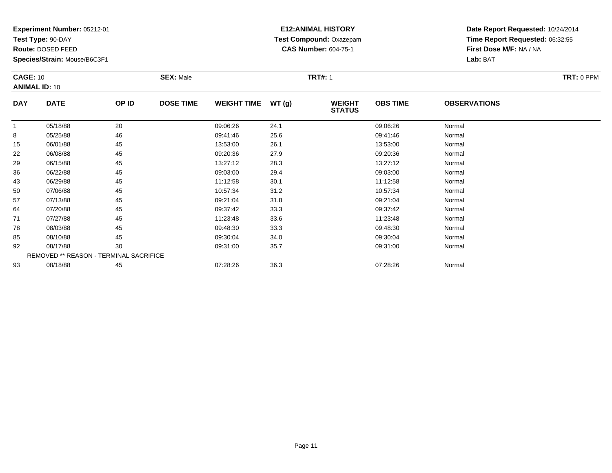**Test Type:** 90-DAY

**Route:** DOSED FEED

92

93

**Species/Strain:** Mouse/B6C3F1

REMOVED \*\* REASON - TERMINAL SACRIFICE

# **E12:ANIMAL HISTORY Test Compound:** Oxazepam**CAS Number:** 604-75-1

**Date Report Requested:** 10/24/2014**Time Report Requested:** 06:32:55**First Dose M/F:** NA / NA**Lab:** BAT

| <b>CAGE: 10</b><br><b>ANIMAL ID: 10</b> |             | <b>SEX: Male</b> |                  |                    | <b>TRT#: 1</b> | TRT: 0 PPM                     |                 |                     |  |
|-----------------------------------------|-------------|------------------|------------------|--------------------|----------------|--------------------------------|-----------------|---------------------|--|
| <b>DAY</b>                              | <b>DATE</b> | OP ID            | <b>DOSE TIME</b> | <b>WEIGHT TIME</b> | WT(g)          | <b>WEIGHT</b><br><b>STATUS</b> | <b>OBS TIME</b> | <b>OBSERVATIONS</b> |  |
|                                         | 05/18/88    | 20               |                  | 09:06:26           | 24.1           |                                | 09:06:26        | Normal              |  |
| 8                                       | 05/25/88    | 46               |                  | 09:41:46           | 25.6           |                                | 09:41:46        | Normal              |  |
| 15                                      | 06/01/88    | 45               |                  | 13:53:00           | 26.1           |                                | 13:53:00        | Normal              |  |
| 22                                      | 06/08/88    | 45               |                  | 09:20:36           | 27.9           |                                | 09:20:36        | Normal              |  |
| 29                                      | 06/15/88    | 45               |                  | 13:27:12           | 28.3           |                                | 13:27:12        | Normal              |  |
| 36                                      | 06/22/88    | 45               |                  | 09:03:00           | 29.4           |                                | 09:03:00        | Normal              |  |
| 43                                      | 06/29/88    | 45               |                  | 11:12:58           | 30.1           |                                | 11:12:58        | Normal              |  |
| 50                                      | 07/06/88    | 45               |                  | 10:57:34           | 31.2           |                                | 10:57:34        | Normal              |  |
| 57                                      | 07/13/88    | 45               |                  | 09:21:04           | 31.8           |                                | 09:21:04        | Normal              |  |
| 64                                      | 07/20/88    | 45               |                  | 09:37:42           | 33.3           |                                | 09:37:42        | Normal              |  |
| 71                                      | 07/27/88    | 45               |                  | 11:23:48           | 33.6           |                                | 11:23:48        | Normal              |  |
| 78                                      | 08/03/88    | 45               |                  | 09:48:30           | 33.3           |                                | 09:48:30        | Normal              |  |
| 85                                      | 08/10/88    | 45               |                  | 09:30:04           | 34.0           |                                | 09:30:04        | Normal              |  |

2 08/17/88 30 30 09:31:00 35.7 35.7 09:31:00 35.7

3 08/18/88 45 45 07:28:26 36.3 07:38 07:28:26 07:28:26 Normal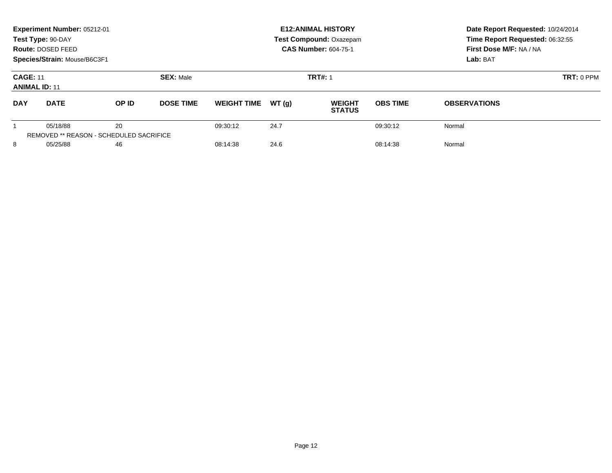|                                         | Experiment Number: 05212-01<br>Test Type: 90-DAY<br>Route: DOSED FEED<br>Species/Strain: Mouse/B6C3F1 |       |                                    | <b>E12: ANIMAL HISTORY</b><br><b>Test Compound: Oxazepam</b><br><b>CAS Number: 604-75-1</b> |       |                                |                   | Date Report Requested: 10/24/2014<br>Time Report Requested: 06:32:55<br>First Dose M/F: NA / NA<br>Lab: BAT |
|-----------------------------------------|-------------------------------------------------------------------------------------------------------|-------|------------------------------------|---------------------------------------------------------------------------------------------|-------|--------------------------------|-------------------|-------------------------------------------------------------------------------------------------------------|
| <b>CAGE: 11</b><br><b>ANIMAL ID: 11</b> |                                                                                                       |       | <b>SEX: Male</b><br><b>TRT#: 1</b> |                                                                                             |       |                                | <b>TRT: 0 PPM</b> |                                                                                                             |
| <b>DAY</b>                              | <b>DATE</b>                                                                                           | OP ID | <b>DOSE TIME</b>                   | <b>WEIGHT TIME</b>                                                                          | WT(q) | <b>WEIGHT</b><br><b>STATUS</b> | <b>OBS TIME</b>   | <b>OBSERVATIONS</b>                                                                                         |
|                                         | 05/18/88<br>REMOVED ** REASON - SCHEDULED SACRIFICE                                                   | 20    |                                    | 09:30:12                                                                                    | 24.7  |                                | 09:30:12          | Normal                                                                                                      |
| 8                                       | 05/25/88                                                                                              | 46    |                                    | 08:14:38                                                                                    | 24.6  |                                | 08:14:38          | Normal                                                                                                      |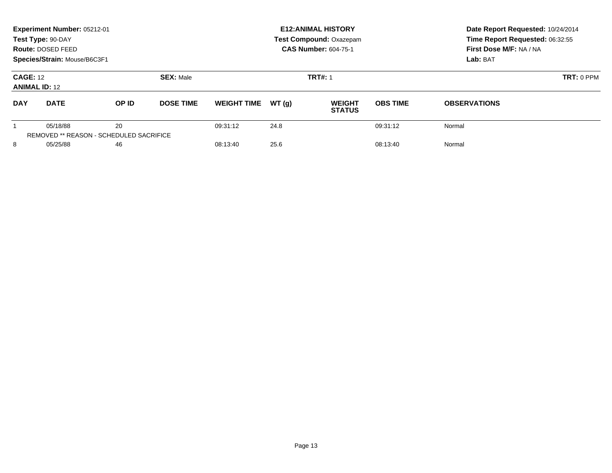|                                         | Experiment Number: 05212-01<br>Test Type: 90-DAY<br>Route: DOSED FEED<br>Species/Strain: Mouse/B6C3F1 |       |                  | <b>E12: ANIMAL HISTORY</b><br><b>Test Compound: Oxazepam</b><br><b>CAS Number: 604-75-1</b> |       |                                |                 | Date Report Requested: 10/24/2014<br>Time Report Requested: 06:32:55<br>First Dose M/F: NA / NA<br>Lab: BAT |
|-----------------------------------------|-------------------------------------------------------------------------------------------------------|-------|------------------|---------------------------------------------------------------------------------------------|-------|--------------------------------|-----------------|-------------------------------------------------------------------------------------------------------------|
| <b>CAGE: 12</b><br><b>ANIMAL ID: 12</b> |                                                                                                       |       | <b>SEX: Male</b> | <b>TRT#: 1</b>                                                                              |       |                                |                 | <b>TRT: 0 PPM</b>                                                                                           |
| <b>DAY</b>                              | <b>DATE</b>                                                                                           | OP ID | <b>DOSE TIME</b> | <b>WEIGHT TIME</b>                                                                          | WT(q) | <b>WEIGHT</b><br><b>STATUS</b> | <b>OBS TIME</b> | <b>OBSERVATIONS</b>                                                                                         |
|                                         | 05/18/88<br>REMOVED ** REASON - SCHEDULED SACRIFICE                                                   | 20    |                  | 09:31:12                                                                                    | 24.8  |                                | 09:31:12        | Normal                                                                                                      |
| 8                                       | 05/25/88                                                                                              | 46    |                  | 08:13:40                                                                                    | 25.6  |                                | 08:13:40        | Normal                                                                                                      |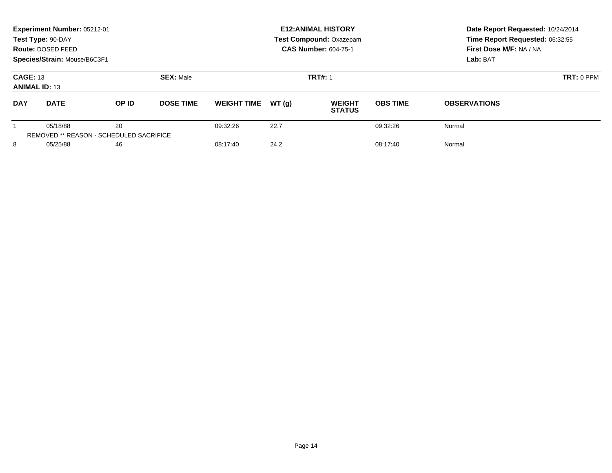|                                         | Experiment Number: 05212-01<br>Test Type: 90-DAY<br>Route: DOSED FEED<br>Species/Strain: Mouse/B6C3F1 |                                               |                  |                    |       | <b>E12: ANIMAL HISTORY</b><br><b>Test Compound: Oxazepam</b><br><b>CAS Number: 604-75-1</b> | Date Report Requested: 10/24/2014<br>Time Report Requested: 06:32:55<br>First Dose M/F: NA / NA<br>Lab: BAT |                     |
|-----------------------------------------|-------------------------------------------------------------------------------------------------------|-----------------------------------------------|------------------|--------------------|-------|---------------------------------------------------------------------------------------------|-------------------------------------------------------------------------------------------------------------|---------------------|
| <b>CAGE: 13</b><br><b>ANIMAL ID: 13</b> |                                                                                                       |                                               | <b>SEX: Male</b> | <b>TRT#: 1</b>     |       |                                                                                             |                                                                                                             | <b>TRT: 0 PPM</b>   |
| <b>DAY</b>                              | <b>DATE</b>                                                                                           | OP ID                                         | <b>DOSE TIME</b> | <b>WEIGHT TIME</b> | WT(q) | <b>WEIGHT</b><br><b>STATUS</b>                                                              | <b>OBS TIME</b>                                                                                             | <b>OBSERVATIONS</b> |
|                                         | 05/18/88                                                                                              | 20<br>REMOVED ** REASON - SCHEDULED SACRIFICE |                  | 09:32:26           | 22.7  |                                                                                             | 09:32:26                                                                                                    | Normal              |
| 8                                       | 05/25/88                                                                                              | 46                                            |                  | 08:17:40           | 24.2  |                                                                                             | 08:17:40                                                                                                    | Normal              |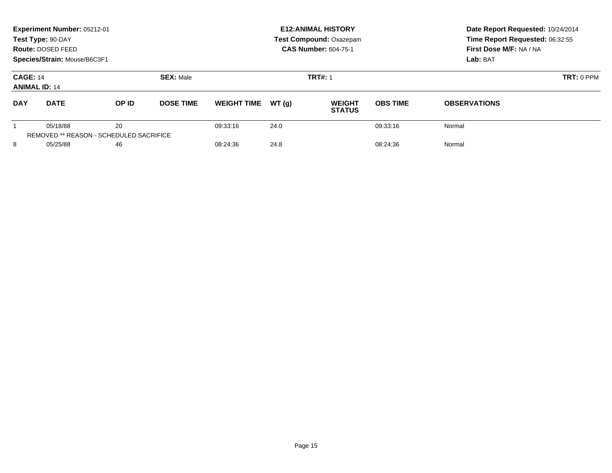|                                         | Experiment Number: 05212-01<br>Test Type: 90-DAY<br>Route: DOSED FEED<br>Species/Strain: Mouse/B6C3F1 |                                               |                  |                    |       | <b>E12: ANIMAL HISTORY</b><br><b>Test Compound: Oxazepam</b><br><b>CAS Number: 604-75-1</b> | Date Report Requested: 10/24/2014<br>Time Report Requested: 06:32:55<br>First Dose M/F: NA / NA<br>Lab: BAT |                     |
|-----------------------------------------|-------------------------------------------------------------------------------------------------------|-----------------------------------------------|------------------|--------------------|-------|---------------------------------------------------------------------------------------------|-------------------------------------------------------------------------------------------------------------|---------------------|
| <b>CAGE: 14</b><br><b>ANIMAL ID: 14</b> |                                                                                                       |                                               | <b>SEX: Male</b> | <b>TRT#: 1</b>     |       |                                                                                             |                                                                                                             | <b>TRT: 0 PPM</b>   |
| <b>DAY</b>                              | <b>DATE</b>                                                                                           | OP ID                                         | <b>DOSE TIME</b> | <b>WEIGHT TIME</b> | WT(q) | <b>WEIGHT</b><br><b>STATUS</b>                                                              | <b>OBS TIME</b>                                                                                             | <b>OBSERVATIONS</b> |
|                                         | 05/18/88                                                                                              | 20<br>REMOVED ** REASON - SCHEDULED SACRIFICE |                  | 09:33:16           | 24.0  |                                                                                             | 09:33:16                                                                                                    | Normal              |
| 8                                       | 05/25/88                                                                                              | 46                                            |                  | 08:24:36           | 24.8  |                                                                                             | 08:24:36                                                                                                    | Normal              |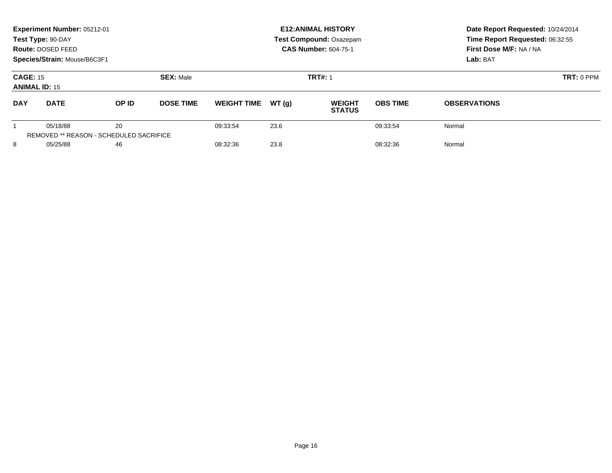|                                         | Experiment Number: 05212-01<br>Test Type: 90-DAY<br>Route: DOSED FEED<br>Species/Strain: Mouse/B6C3F1 |       |                  | <b>E12: ANIMAL HISTORY</b><br><b>Test Compound: Oxazepam</b><br><b>CAS Number: 604-75-1</b> |       |                                |                   | Date Report Requested: 10/24/2014<br>Time Report Requested: 06:32:55<br>First Dose M/F: NA / NA<br>Lab: BAT |
|-----------------------------------------|-------------------------------------------------------------------------------------------------------|-------|------------------|---------------------------------------------------------------------------------------------|-------|--------------------------------|-------------------|-------------------------------------------------------------------------------------------------------------|
| <b>CAGE: 15</b><br><b>ANIMAL ID: 15</b> |                                                                                                       |       | <b>SEX: Male</b> |                                                                                             |       | <b>TRT#: 1</b>                 | <b>TRT: 0 PPM</b> |                                                                                                             |
| <b>DAY</b>                              | <b>DATE</b>                                                                                           | OP ID | <b>DOSE TIME</b> | <b>WEIGHT TIME</b>                                                                          | WT(q) | <b>WEIGHT</b><br><b>STATUS</b> | <b>OBS TIME</b>   | <b>OBSERVATIONS</b>                                                                                         |
|                                         | 05/18/88<br>REMOVED ** REASON - SCHEDULED SACRIFICE                                                   | 20    |                  | 09:33:54                                                                                    | 23.6  |                                | 09:33:54          | Normal                                                                                                      |
| 8                                       | 05/25/88                                                                                              | 46    |                  | 08:32:36                                                                                    | 23.8  |                                | 08:32:36          | Normal                                                                                                      |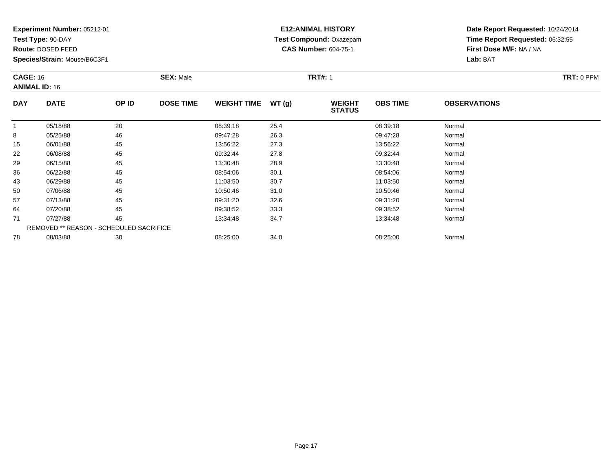**Test Type:** 90-DAY

**Route:** DOSED FEED

**Species/Strain:** Mouse/B6C3F1

# **E12:ANIMAL HISTORY Test Compound:** Oxazepam**CAS Number:** 604-75-1

**Date Report Requested:** 10/24/2014**Time Report Requested:** 06:32:55**First Dose M/F:** NA / NA**Lab:** BAT

|            | <b>CAGE: 16</b><br><b>ANIMAL ID: 16</b> |       | <b>SEX: Male</b> | TRT: 0 PPM         |       |                                |                 |                     |  |
|------------|-----------------------------------------|-------|------------------|--------------------|-------|--------------------------------|-----------------|---------------------|--|
| <b>DAY</b> | <b>DATE</b>                             | OP ID | <b>DOSE TIME</b> | <b>WEIGHT TIME</b> | WT(g) | <b>WEIGHT</b><br><b>STATUS</b> | <b>OBS TIME</b> | <b>OBSERVATIONS</b> |  |
|            | 05/18/88                                | 20    |                  | 08:39:18           | 25.4  |                                | 08:39:18        | Normal              |  |
| 8          | 05/25/88                                | 46    |                  | 09:47:28           | 26.3  |                                | 09:47:28        | Normal              |  |
| 15         | 06/01/88                                | 45    |                  | 13:56:22           | 27.3  |                                | 13:56:22        | Normal              |  |
| 22         | 06/08/88                                | 45    |                  | 09:32:44           | 27.8  |                                | 09:32:44        | Normal              |  |
| 29         | 06/15/88                                | 45    |                  | 13:30:48           | 28.9  |                                | 13:30:48        | Normal              |  |
| 36         | 06/22/88                                | 45    |                  | 08:54:06           | 30.1  |                                | 08:54:06        | Normal              |  |
| 43         | 06/29/88                                | 45    |                  | 11:03:50           | 30.7  |                                | 11:03:50        | Normal              |  |
| 50         | 07/06/88                                | 45    |                  | 10:50:46           | 31.0  |                                | 10:50:46        | Normal              |  |
| 57         | 07/13/88                                | 45    |                  | 09:31:20           | 32.6  |                                | 09:31:20        | Normal              |  |
| 64         | 07/20/88                                | 45    |                  | 09:38:52           | 33.3  |                                | 09:38:52        | Normal              |  |

8 08/03/88 30 30 08:25:00 34.0 34.0 08:25:00 08:25:00 08:25:00

4 07/20/88 45 45 09:38:52 33.3 09:38:52 09:38:52 Normal 711 07/27/88 45 45 13:34:48 34.7 13:34:48 35 13:34:48 Normal REMOVED \*\* REASON - SCHEDULED SACRIFICE78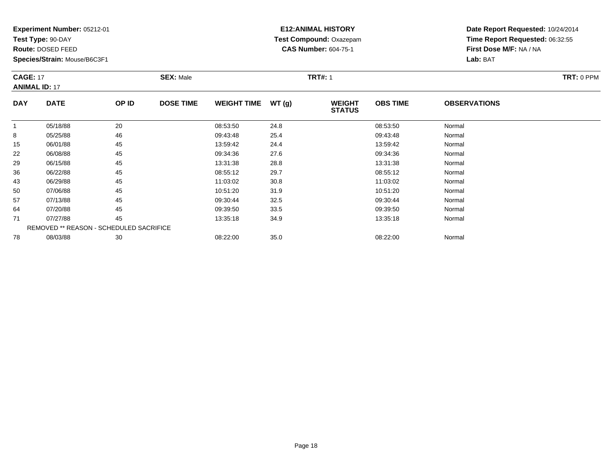**Test Type:** 90-DAY

**Route:** DOSED FEED

57

64

71

78

**Species/Strain:** Mouse/B6C3F1

REMOVED \*\* REASON - SCHEDULED SACRIFICE

# **E12:ANIMAL HISTORY Test Compound:** Oxazepam**CAS Number:** 604-75-1

**Date Report Requested:** 10/24/2014**Time Report Requested:** 06:32:55**First Dose M/F:** NA / NA**Lab:** BAT

| <b>CAGE: 17</b><br><b>ANIMAL ID: 17</b> |             |       | <b>SEX: Male</b> |                    | <b>TRT#: 1</b> |                                | TRT: 0 PPM      |                     |  |
|-----------------------------------------|-------------|-------|------------------|--------------------|----------------|--------------------------------|-----------------|---------------------|--|
| <b>DAY</b>                              | <b>DATE</b> | OP ID | <b>DOSE TIME</b> | <b>WEIGHT TIME</b> | WT(q)          | <b>WEIGHT</b><br><b>STATUS</b> | <b>OBS TIME</b> | <b>OBSERVATIONS</b> |  |
|                                         | 05/18/88    | 20    |                  | 08:53:50           | 24.8           |                                | 08:53:50        | Normal              |  |
| 8                                       | 05/25/88    | 46    |                  | 09:43:48           | 25.4           |                                | 09:43:48        | Normal              |  |
| 15                                      | 06/01/88    | 45    |                  | 13:59:42           | 24.4           |                                | 13:59:42        | Normal              |  |
| 22                                      | 06/08/88    | 45    |                  | 09:34:36           | 27.6           |                                | 09:34:36        | Normal              |  |
| 29                                      | 06/15/88    | 45    |                  | 13:31:38           | 28.8           |                                | 13:31:38        | Normal              |  |
| 36                                      | 06/22/88    | 45    |                  | 08:55:12           | 29.7           |                                | 08:55:12        | Normal              |  |
| 43                                      | 06/29/88    | 45    |                  | 11:03:02           | 30.8           |                                | 11:03:02        | Normal              |  |
| 50                                      | 07/06/88    | 45    |                  | 10:51:20           | 31.9           |                                | 10:51:20        | Normal              |  |

07/13/88 <sup>45</sup> 09:30:44 32.5 09:30:44 Normal

4 07/20/88 45 45 09:39:50 33.5 09:39:50 09:39:50 09:39:50 09:39:50 09:39:50

1 07/27/88 45 45 13:35:18 34.9 34.9 13:35:18 13:35:18 Normal

8 08/03/88 30 30 08:22:00 35.0 35.0 08:22:00 08:22:00 Normal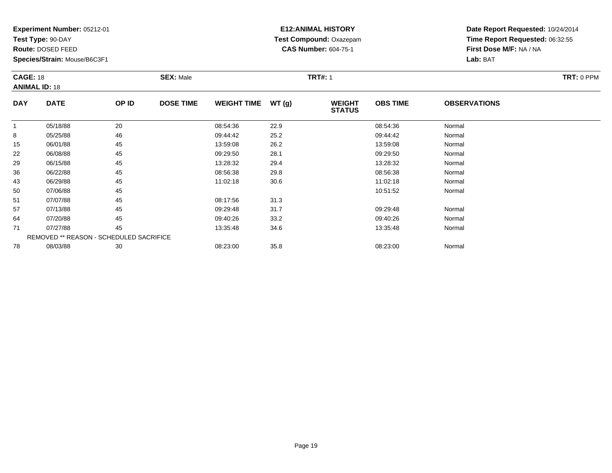**Test Type:** 90-DAY

**Route:** DOSED FEED

43

50

51

57

64

71

78

**Species/Strain:** Mouse/B6C3F1

# **E12:ANIMAL HISTORY Test Compound:** Oxazepam**CAS Number:** 604-75-1

**Date Report Requested:** 10/24/2014**Time Report Requested:** 06:32:55**First Dose M/F:** NA / NA**Lab:** BAT

| <b>CAGE: 18</b><br><b>ANIMAL ID: 18</b> |             | <b>SEX: Male</b> |                  |                    |       | <b>TRT#: 1</b>                 |                 |                     | <b>TRT: 0 PPM</b> |
|-----------------------------------------|-------------|------------------|------------------|--------------------|-------|--------------------------------|-----------------|---------------------|-------------------|
| <b>DAY</b>                              | <b>DATE</b> | OP ID            | <b>DOSE TIME</b> | <b>WEIGHT TIME</b> | WT(g) | <b>WEIGHT</b><br><b>STATUS</b> | <b>OBS TIME</b> | <b>OBSERVATIONS</b> |                   |
|                                         | 05/18/88    | 20               |                  | 08:54:36           | 22.9  |                                | 08:54:36        | Normal              |                   |
| 8                                       | 05/25/88    | 46               |                  | 09:44:42           | 25.2  |                                | 09:44:42        | Normal              |                   |
| 15                                      | 06/01/88    | 45               |                  | 13:59:08           | 26.2  |                                | 13:59:08        | Normal              |                   |
| 22                                      | 06/08/88    | 45               |                  | 09:29:50           | 28.1  |                                | 09:29:50        | Normal              |                   |
| 29                                      | 06/15/88    | 45               |                  | 13:28:32           | 29.4  |                                | 13:28:32        | Normal              |                   |
| 36                                      | 06/22/88    | 45               |                  | 08:56:38           | 29.8  |                                | 08:56:38        | Normal              |                   |

3 06/29/88 45 11:02:18 30.6 10 11:02:18 30.6

07/06/88 <sup>45</sup> 10:51:52 Normal

7 07/13/88 45 45 09:29:48 31.7 31.7 09:29:48 09:29:48 Normal

4 07/20/88 45 45 09:40:26 33.2 09:40:26 09:40:26 09:40:26 09:40:26 09:40:26 09:40:26

1 07/27/88 45 45 13:35:48 34.6 13:49 34.6 13:35:48 Normal

8 08/03/88 30 30 08:23:00 35.8 35.8 08:23:00 08:23:00 Normal

07/07/88 <sup>45</sup> 08:17:56 31.3

REMOVED \*\* REASON - SCHEDULED SACRIFICE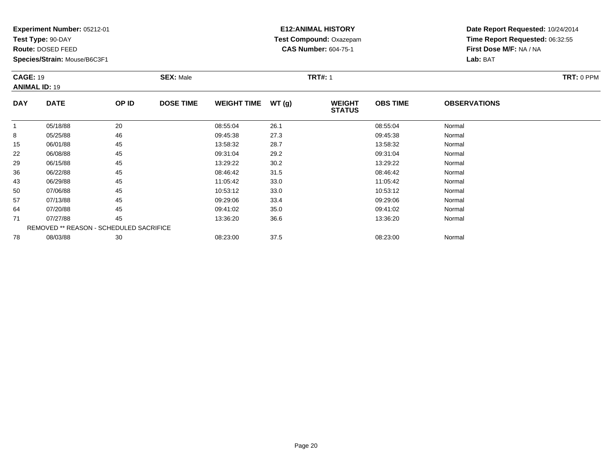**Test Type:** 90-DAY

**Route:** DOSED FEED

**Species/Strain:** Mouse/B6C3F1

# **E12:ANIMAL HISTORY Test Compound:** Oxazepam**CAS Number:** 604-75-1

**Date Report Requested:** 10/24/2014**Time Report Requested:** 06:32:55**First Dose M/F:** NA / NA**Lab:** BAT

|            | <b>CAGE: 19</b><br><b>ANIMAL ID: 19</b> |       | <b>SEX: Male</b> |                    |       | <b>TRT#: 1</b>                 | TRT: 0 PPM      |                     |  |
|------------|-----------------------------------------|-------|------------------|--------------------|-------|--------------------------------|-----------------|---------------------|--|
| <b>DAY</b> | <b>DATE</b>                             | OP ID | <b>DOSE TIME</b> | <b>WEIGHT TIME</b> | WT(g) | <b>WEIGHT</b><br><b>STATUS</b> | <b>OBS TIME</b> | <b>OBSERVATIONS</b> |  |
|            | 05/18/88                                | 20    |                  | 08:55:04           | 26.1  |                                | 08:55:04        | Normal              |  |
| 8          | 05/25/88                                | 46    |                  | 09:45:38           | 27.3  |                                | 09:45:38        | Normal              |  |
| 15         | 06/01/88                                | 45    |                  | 13:58:32           | 28.7  |                                | 13:58:32        | Normal              |  |
| 22         | 06/08/88                                | 45    |                  | 09:31:04           | 29.2  |                                | 09:31:04        | Normal              |  |
| 29         | 06/15/88                                | 45    |                  | 13:29:22           | 30.2  |                                | 13:29:22        | Normal              |  |
| 36         | 06/22/88                                | 45    |                  | 08:46:42           | 31.5  |                                | 08:46:42        | Normal              |  |
| 43         | 06/29/88                                | 45    |                  | 11:05:42           | 33.0  |                                | 11:05:42        | Normal              |  |
| 50         | 07/06/88                                | 45    |                  | 10:53:12           | 33.0  |                                | 10:53:12        | Normal              |  |
| 57         | 07/13/88                                | 45    |                  | 09:29:06           | 33.4  |                                | 09:29:06        | Normal              |  |

8 08/03/88 30 30 08:23:00 37.5 37.5 08:23:00 08:23:00 Normal

644 07/20/88 45 45 09:41:02 35.0 09:41:02 09:41:02 05:41:02 09:41:02 711 07/27/88 45 45 13:36:20 36.6 13:36 13:36:20 13:36:20 Normal REMOVED \*\* REASON - SCHEDULED SACRIFICE78

Page 20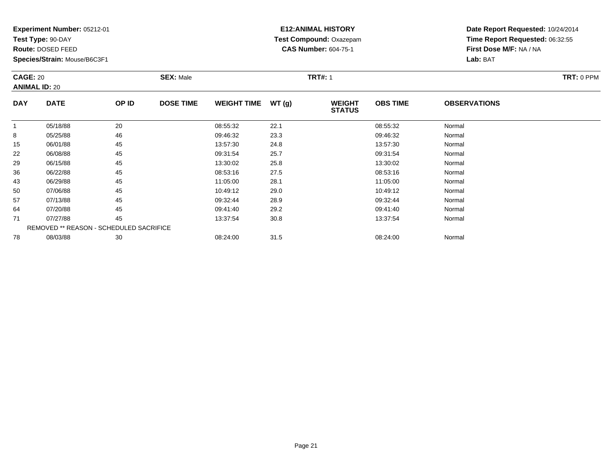**Test Type:** 90-DAY

**Route:** DOSED FEED

64

71

78

**Species/Strain:** Mouse/B6C3F1

REMOVED \*\* REASON - SCHEDULED SACRIFICE

# **E12:ANIMAL HISTORY Test Compound:** Oxazepam**CAS Number:** 604-75-1

**Date Report Requested:** 10/24/2014**Time Report Requested:** 06:32:55**First Dose M/F:** NA / NA**Lab:** BAT

|            | <b>CAGE: 20</b><br><b>ANIMAL ID: 20</b> |       | <b>SEX: Male</b> |                    |       | <b>TRT#: 1</b>                 |                 | <b>TRT: 0 PPM</b>   |  |
|------------|-----------------------------------------|-------|------------------|--------------------|-------|--------------------------------|-----------------|---------------------|--|
| <b>DAY</b> | <b>DATE</b>                             | OP ID | <b>DOSE TIME</b> | <b>WEIGHT TIME</b> | WT(g) | <b>WEIGHT</b><br><b>STATUS</b> | <b>OBS TIME</b> | <b>OBSERVATIONS</b> |  |
|            | 05/18/88                                | 20    |                  | 08:55:32           | 22.1  |                                | 08:55:32        | Normal              |  |
| 8          | 05/25/88                                | 46    |                  | 09:46:32           | 23.3  |                                | 09:46:32        | Normal              |  |
| 15         | 06/01/88                                | 45    |                  | 13:57:30           | 24.8  |                                | 13:57:30        | Normal              |  |
| 22         | 06/08/88                                | 45    |                  | 09:31:54           | 25.7  |                                | 09:31:54        | Normal              |  |
| 29         | 06/15/88                                | 45    |                  | 13:30:02           | 25.8  |                                | 13:30:02        | Normal              |  |
| 36         | 06/22/88                                | 45    |                  | 08:53:16           | 27.5  |                                | 08:53:16        | Normal              |  |
| 43         | 06/29/88                                | 45    |                  | 11:05:00           | 28.1  |                                | 11:05:00        | Normal              |  |
| 50         | 07/06/88                                | 45    |                  | 10:49:12           | 29.0  |                                | 10:49:12        | Normal              |  |
| 57         | 07/13/88                                | 45    |                  | 09:32:44           | 28.9  |                                | 09:32:44        | Normal              |  |

07/13/88 <sup>45</sup> 09:32:44 28.9 09:32:44 Normal

4 07/20/88 45 45 09:41:40 29.2 69:41:40 09:41:40 09:41:40 07/20/88 Normal

1 07/27/88 45 45 13:37:54 30.8 13:37:54 13:37:54 Normal

8 08/03/88 30 30 08:24:00 31.5 31.5 08:24:00 331.5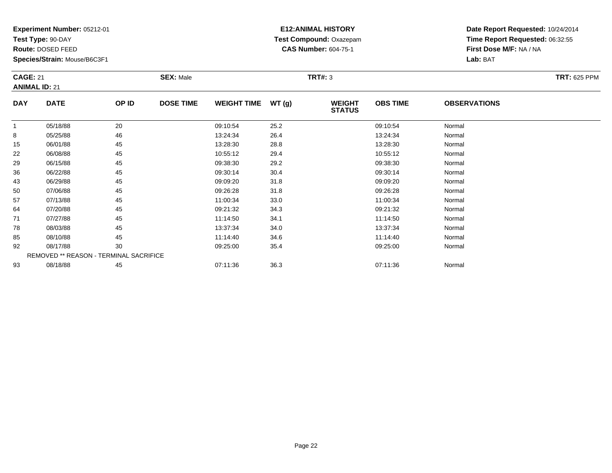**Test Type:** 90-DAY

**Route:** DOSED FEED

64

71

78

85

92

93

**Species/Strain:** Mouse/B6C3F1

REMOVED \*\* REASON - TERMINAL SACRIFICE

# **E12:ANIMAL HISTORY Test Compound:** Oxazepam**CAS Number:** 604-75-1

**Date Report Requested:** 10/24/2014**Time Report Requested:** 06:32:55**First Dose M/F:** NA / NA**Lab:** BAT

| <b>CAGE: 21</b><br><b>ANIMAL ID: 21</b> |             | <b>SEX: Male</b> |                  |                    | <b>TRT#: 3</b> |                                |                 |                     |  |  |
|-----------------------------------------|-------------|------------------|------------------|--------------------|----------------|--------------------------------|-----------------|---------------------|--|--|
| <b>DAY</b>                              | <b>DATE</b> | OP ID            | <b>DOSE TIME</b> | <b>WEIGHT TIME</b> | WT(g)          | <b>WEIGHT</b><br><b>STATUS</b> | <b>OBS TIME</b> | <b>OBSERVATIONS</b> |  |  |
|                                         | 05/18/88    | 20               |                  | 09:10:54           | 25.2           |                                | 09:10:54        | Normal              |  |  |
| 8                                       | 05/25/88    | 46               |                  | 13:24:34           | 26.4           |                                | 13:24:34        | Normal              |  |  |
| 15                                      | 06/01/88    | 45               |                  | 13:28:30           | 28.8           |                                | 13:28:30        | Normal              |  |  |
| 22                                      | 06/08/88    | 45               |                  | 10:55:12           | 29.4           |                                | 10:55:12        | Normal              |  |  |
| 29                                      | 06/15/88    | 45               |                  | 09:38:30           | 29.2           |                                | 09:38:30        | Normal              |  |  |
| 36                                      | 06/22/88    | 45               |                  | 09:30:14           | 30.4           |                                | 09:30:14        | Normal              |  |  |
| 43                                      | 06/29/88    | 45               |                  | 09:09:20           | 31.8           |                                | 09:09:20        | Normal              |  |  |
| 50                                      | 07/06/88    | 45               |                  | 09:26:28           | 31.8           |                                | 09:26:28        | Normal              |  |  |
| 57                                      | 07/13/88    | 45               |                  | 11:00:34           | 33.0           |                                | 11:00:34        | Normal              |  |  |

4 07/20/88 45 45 09:21:32 34.3 09:21:32 09:21:32 09:21:32 Normal

1 07/27/88 45 45 11:14:50 34.1 11:14:50 11:14:50 Normal

8 08/03/88 45 45 13:37:34 34.0 13:07:34 13:37:34 Normal

08/10/88 <sup>45</sup> 11:14:40 34.6 11:14:40 Normal

2 08/17/88 30 30 09:25:00 35.4 09:25:00 09:25:00 09:25:00 09:25:00 09:25:00

3 08/18/88 45 45 07:11:36 36.3 36.3 07:11:36 07:11:36 Normal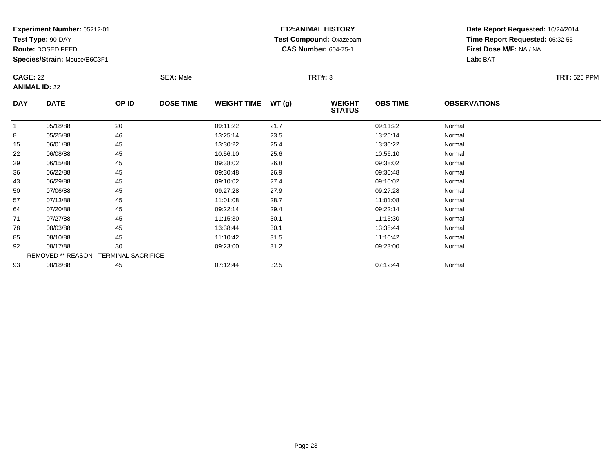**Test Type:** 90-DAY

**Route:** DOSED FEED

71

78

85

92

93

**Species/Strain:** Mouse/B6C3F1

REMOVED \*\* REASON - TERMINAL SACRIFICE

# **E12:ANIMAL HISTORY Test Compound:** Oxazepam**CAS Number:** 604-75-1

**Date Report Requested:** 10/24/2014**Time Report Requested:** 06:32:55**First Dose M/F:** NA / NA**Lab:** BAT

| <b>CAGE: 22</b><br><b>ANIMAL ID: 22</b> |             | <b>SEX: Male</b> |                  |                    | TRT#: 3 |                                | <b>TRT: 625 PPM</b> |                     |  |
|-----------------------------------------|-------------|------------------|------------------|--------------------|---------|--------------------------------|---------------------|---------------------|--|
| <b>DAY</b>                              | <b>DATE</b> | OP ID            | <b>DOSE TIME</b> | <b>WEIGHT TIME</b> | WT(g)   | <b>WEIGHT</b><br><b>STATUS</b> | <b>OBS TIME</b>     | <b>OBSERVATIONS</b> |  |
|                                         | 05/18/88    | 20               |                  | 09:11:22           | 21.7    |                                | 09:11:22            | Normal              |  |
| 8                                       | 05/25/88    | 46               |                  | 13:25:14           | 23.5    |                                | 13:25:14            | Normal              |  |
| 15                                      | 06/01/88    | 45               |                  | 13:30:22           | 25.4    |                                | 13:30:22            | Normal              |  |
| 22                                      | 06/08/88    | 45               |                  | 10:56:10           | 25.6    |                                | 10:56:10            | Normal              |  |
| 29                                      | 06/15/88    | 45               |                  | 09:38:02           | 26.8    |                                | 09:38:02            | Normal              |  |
| 36                                      | 06/22/88    | 45               |                  | 09:30:48           | 26.9    |                                | 09:30:48            | Normal              |  |
| 43                                      | 06/29/88    | 45               |                  | 09:10:02           | 27.4    |                                | 09:10:02            | Normal              |  |
| 50                                      | 07/06/88    | 45               |                  | 09:27:28           | 27.9    |                                | 09:27:28            | Normal              |  |
| 57                                      | 07/13/88    | 45               |                  | 11:01:08           | 28.7    |                                | 11:01:08            | Normal              |  |
| 64                                      | 07/20/88    | 45               |                  | 09:22:14           | 29.4    |                                | 09:22:14            | Normal              |  |

1 07/27/88 45 45 11:15:30 30.1 11:15:30 11:15:30 Normal

8 08/03/88 45 45 13:38:44 30.1 13:38:44 30.1

08/10/88 <sup>45</sup> 11:10:42 31.5 11:10:42 Normal

2 08/17/88 30 30 09:23:00 31.2 31.2 09:23:00 09:23:00 Normal

08/18/88 <sup>45</sup> 07:12:44 32.5 07:12:44 Normal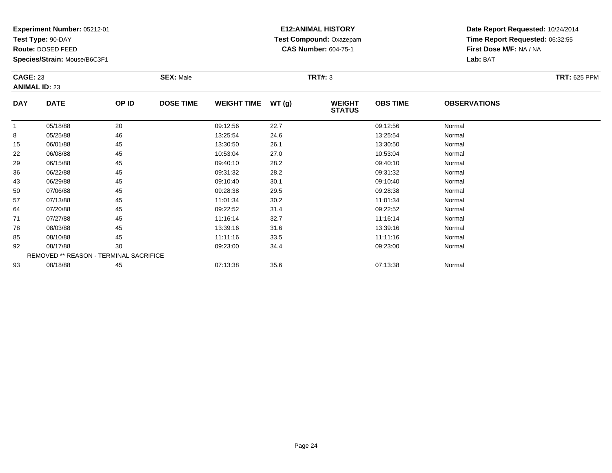**Test Type:** 90-DAY

**Route:** DOSED FEED

85

92

93

**Species/Strain:** Mouse/B6C3F1

REMOVED \*\* REASON - TERMINAL SACRIFICE

# **E12:ANIMAL HISTORY Test Compound:** Oxazepam**CAS Number:** 604-75-1

**Date Report Requested:** 10/24/2014**Time Report Requested:** 06:32:55**First Dose M/F:** NA / NA**Lab:** BAT

| <b>CAGE: 23</b><br><b>ANIMAL ID: 23</b> |             |       | <b>SEX: Male</b> |                    |       | <b>TRT#: 3</b>                 |                 |                     | <b>TRT: 625 PPM</b> |
|-----------------------------------------|-------------|-------|------------------|--------------------|-------|--------------------------------|-----------------|---------------------|---------------------|
| <b>DAY</b>                              | <b>DATE</b> | OP ID | <b>DOSE TIME</b> | <b>WEIGHT TIME</b> | WT(g) | <b>WEIGHT</b><br><b>STATUS</b> | <b>OBS TIME</b> | <b>OBSERVATIONS</b> |                     |
| 1                                       | 05/18/88    | 20    |                  | 09:12:56           | 22.7  |                                | 09:12:56        | Normal              |                     |
| 8                                       | 05/25/88    | 46    |                  | 13:25:54           | 24.6  |                                | 13:25:54        | Normal              |                     |
| 15                                      | 06/01/88    | 45    |                  | 13:30:50           | 26.1  |                                | 13:30:50        | Normal              |                     |
| 22                                      | 06/08/88    | 45    |                  | 10:53:04           | 27.0  |                                | 10:53:04        | Normal              |                     |
| 29                                      | 06/15/88    | 45    |                  | 09:40:10           | 28.2  |                                | 09:40:10        | Normal              |                     |
| 36                                      | 06/22/88    | 45    |                  | 09:31:32           | 28.2  |                                | 09:31:32        | Normal              |                     |
| 43                                      | 06/29/88    | 45    |                  | 09:10:40           | 30.1  |                                | 09:10:40        | Normal              |                     |
| 50                                      | 07/06/88    | 45    |                  | 09:28:38           | 29.5  |                                | 09:28:38        | Normal              |                     |
| 57                                      | 07/13/88    | 45    |                  | 11:01:34           | 30.2  |                                | 11:01:34        | Normal              |                     |
| 64                                      | 07/20/88    | 45    |                  | 09:22:52           | 31.4  |                                | 09:22:52        | Normal              |                     |
| 71                                      | 07/27/88    | 45    |                  | 11:16:14           | 32.7  |                                | 11:16:14        | Normal              |                     |
| 78                                      | 08/03/88    | 45    |                  | 13:39:16           | 31.6  |                                | 13:39:16        | Normal              |                     |

08/10/88 <sup>45</sup> 11:11:16 33.5 11:11:16 Normal

2 08/17/88 30 30 09:23:00 34.4 09:23:00 09:23:00 09:23:00 09:23:00 09:23:00

3 08/18/88 45 45 07:13:38 35.6 17:13:38 07:13:38 Normal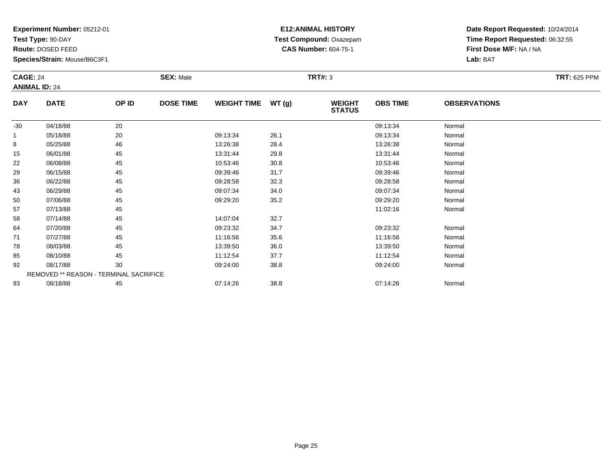**Test Type:** 90-DAY

**Route:** DOSED FEED

**Species/Strain:** Mouse/B6C3F1

# **E12:ANIMAL HISTORY Test Compound:** Oxazepam**CAS Number:** 604-75-1

| <b>CAGE: 24</b><br><b>ANIMAL ID: 24</b> |             |       | <b>SEX: Male</b> |                     |      | TRT#: 3                        |                 |                     | <b>TRT: 625 PPM</b> |
|-----------------------------------------|-------------|-------|------------------|---------------------|------|--------------------------------|-----------------|---------------------|---------------------|
| <b>DAY</b>                              | <b>DATE</b> | OP ID | <b>DOSE TIME</b> | WEIGHT TIME $WT(g)$ |      | <b>WEIGHT</b><br><b>STATUS</b> | <b>OBS TIME</b> | <b>OBSERVATIONS</b> |                     |
| $-30$                                   | 04/18/88    | 20    |                  |                     |      |                                | 09:13:34        | Normal              |                     |
|                                         | 05/18/88    | 20    |                  | 09:13:34            | 26.1 |                                | 09:13:34        | Normal              |                     |
| $\circ$                                 | 0E/2E/00    | AC    |                  | 12.26.20            | 20A  |                                | 12.28.29        | <b>Normal</b>       |                     |

|    | 05/18/88                                      | 20 | 09:13:34 | 26.1 | 09:13:34 | Normal |  |
|----|-----------------------------------------------|----|----------|------|----------|--------|--|
| 8  | 05/25/88                                      | 46 | 13:26:38 | 28.4 | 13:26:38 | Normal |  |
| 15 | 06/01/88                                      | 45 | 13:31:44 | 29.8 | 13:31:44 | Normal |  |
| 22 | 06/08/88                                      | 45 | 10:53:46 | 30.8 | 10:53:46 | Normal |  |
| 29 | 06/15/88                                      | 45 | 09:39:46 | 31.7 | 09:39:46 | Normal |  |
| 36 | 06/22/88                                      | 45 | 09:28:58 | 32.3 | 09:28:58 | Normal |  |
| 43 | 06/29/88                                      | 45 | 09:07:34 | 34.0 | 09:07:34 | Normal |  |
| 50 | 07/06/88                                      | 45 | 09:29:20 | 35.2 | 09:29:20 | Normal |  |
| 57 | 07/13/88                                      | 45 |          |      | 11:02:16 | Normal |  |
| 58 | 07/14/88                                      | 45 | 14:07:04 | 32.7 |          |        |  |
| 64 | 07/20/88                                      | 45 | 09:23:32 | 34.7 | 09:23:32 | Normal |  |
| 71 | 07/27/88                                      | 45 | 11:16:56 | 35.6 | 11:16:56 | Normal |  |
| 78 | 08/03/88                                      | 45 | 13:39:50 | 36.0 | 13:39:50 | Normal |  |
| 85 | 08/10/88                                      | 45 | 11:12:54 | 37.7 | 11:12:54 | Normal |  |
| 92 | 08/17/88                                      | 30 | 09:24:00 | 38.8 | 09:24:00 | Normal |  |
|    | <b>REMOVED ** REASON - TERMINAL SACRIFICE</b> |    |          |      |          |        |  |
| 93 | 08/18/88                                      | 45 | 07:14:26 | 38.8 | 07:14:26 | Normal |  |
|    |                                               |    |          |      |          |        |  |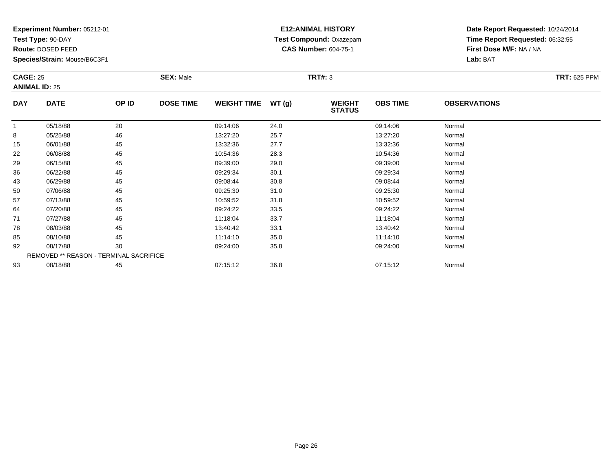**Test Type:** 90-DAY

**Route:** DOSED FEED

92

93

**Species/Strain:** Mouse/B6C3F1

REMOVED \*\* REASON - TERMINAL SACRIFICE

# **E12:ANIMAL HISTORY Test Compound:** Oxazepam**CAS Number:** 604-75-1

**Date Report Requested:** 10/24/2014**Time Report Requested:** 06:32:55**First Dose M/F:** NA / NA**Lab:** BAT

| <b>CAGE: 25</b><br><b>ANIMAL ID: 25</b> |             | <b>SEX: Male</b> |                  |                    | <b>TRT#: 3</b> | <b>TRT: 625 PPM</b>            |                 |                     |  |
|-----------------------------------------|-------------|------------------|------------------|--------------------|----------------|--------------------------------|-----------------|---------------------|--|
| <b>DAY</b>                              | <b>DATE</b> | OP ID            | <b>DOSE TIME</b> | <b>WEIGHT TIME</b> | WT(g)          | <b>WEIGHT</b><br><b>STATUS</b> | <b>OBS TIME</b> | <b>OBSERVATIONS</b> |  |
|                                         | 05/18/88    | 20               |                  | 09:14:06           | 24.0           |                                | 09:14:06        | Normal              |  |
| 8                                       | 05/25/88    | 46               |                  | 13:27:20           | 25.7           |                                | 13:27:20        | Normal              |  |
| 15                                      | 06/01/88    | 45               |                  | 13:32:36           | 27.7           |                                | 13:32:36        | Normal              |  |
| 22                                      | 06/08/88    | 45               |                  | 10:54:36           | 28.3           |                                | 10:54:36        | Normal              |  |
| 29                                      | 06/15/88    | 45               |                  | 09:39:00           | 29.0           |                                | 09:39:00        | Normal              |  |
| 36                                      | 06/22/88    | 45               |                  | 09:29:34           | 30.1           |                                | 09:29:34        | Normal              |  |
| 43                                      | 06/29/88    | 45               |                  | 09:08:44           | 30.8           |                                | 09:08:44        | Normal              |  |
| 50                                      | 07/06/88    | 45               |                  | 09:25:30           | 31.0           |                                | 09:25:30        | Normal              |  |
| 57                                      | 07/13/88    | 45               |                  | 10:59:52           | 31.8           |                                | 10:59:52        | Normal              |  |
| 64                                      | 07/20/88    | 45               |                  | 09:24:22           | 33.5           |                                | 09:24:22        | Normal              |  |
| 71                                      | 07/27/88    | 45               |                  | 11:18:04           | 33.7           |                                | 11:18:04        | Normal              |  |
| 78                                      | 08/03/88    | 45               |                  | 13:40:42           | 33.1           |                                | 13:40:42        | Normal              |  |
| 85                                      | 08/10/88    | 45               |                  | 11:14:10           | 35.0           |                                | 11:14:10        | Normal              |  |

08/10/88 <sup>45</sup> 11:14:10 35.0 11:14:10 Normal

2 08/17/88 30 30 09:24:00 35.8 09:24:00 35.8

08/18/88 <sup>45</sup> 07:15:12 36.8 07:15:12 Normal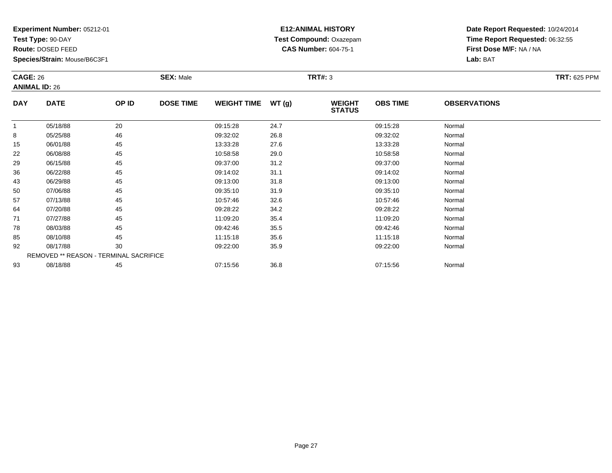**Test Type:** 90-DAY

**Route:** DOSED FEED

93

**Species/Strain:** Mouse/B6C3F1

REMOVED \*\* REASON - TERMINAL SACRIFICE

# **E12:ANIMAL HISTORY Test Compound:** Oxazepam**CAS Number:** 604-75-1

**Date Report Requested:** 10/24/2014**Time Report Requested:** 06:32:55**First Dose M/F:** NA / NA**Lab:** BAT

|            | <b>CAGE: 26</b><br><b>ANIMAL ID: 26</b> |              | <b>SEX: Male</b> |                    |       | <b>TRT#: 3</b>                 |                 | <b>TRT: 625 PPM</b> |  |
|------------|-----------------------------------------|--------------|------------------|--------------------|-------|--------------------------------|-----------------|---------------------|--|
| <b>DAY</b> | <b>DATE</b>                             | <b>OP ID</b> | <b>DOSE TIME</b> | <b>WEIGHT TIME</b> | WT(g) | <b>WEIGHT</b><br><b>STATUS</b> | <b>OBS TIME</b> | <b>OBSERVATIONS</b> |  |
| 1          | 05/18/88                                | 20           |                  | 09:15:28           | 24.7  |                                | 09:15:28        | Normal              |  |
| 8          | 05/25/88                                | 46           |                  | 09:32:02           | 26.8  |                                | 09:32:02        | Normal              |  |
| 15         | 06/01/88                                | 45           |                  | 13:33:28           | 27.6  |                                | 13:33:28        | Normal              |  |
| 22         | 06/08/88                                | 45           |                  | 10:58:58           | 29.0  |                                | 10:58:58        | Normal              |  |
| 29         | 06/15/88                                | 45           |                  | 09:37:00           | 31.2  |                                | 09:37:00        | Normal              |  |
| 36         | 06/22/88                                | 45           |                  | 09:14:02           | 31.1  |                                | 09:14:02        | Normal              |  |
| 43         | 06/29/88                                | 45           |                  | 09:13:00           | 31.8  |                                | 09:13:00        | Normal              |  |
| 50         | 07/06/88                                | 45           |                  | 09:35:10           | 31.9  |                                | 09:35:10        | Normal              |  |
| 57         | 07/13/88                                | 45           |                  | 10:57:46           | 32.6  |                                | 10:57:46        | Normal              |  |
| 64         | 07/20/88                                | 45           |                  | 09:28:22           | 34.2  |                                | 09:28:22        | Normal              |  |
| 71         | 07/27/88                                | 45           |                  | 11:09:20           | 35.4  |                                | 11:09:20        | Normal              |  |
| 78         | 08/03/88                                | 45           |                  | 09:42:46           | 35.5  |                                | 09:42:46        | Normal              |  |
| 85         | 08/10/88                                | 45           |                  | 11:15:18           | 35.6  |                                | 11:15:18        | Normal              |  |
| 92         | 08/17/88                                | 30           |                  | 09:22:00           | 35.9  |                                | 09:22:00        | Normal              |  |

08/18/88 <sup>45</sup> 07:15:56 36.8 07:15:56 Normal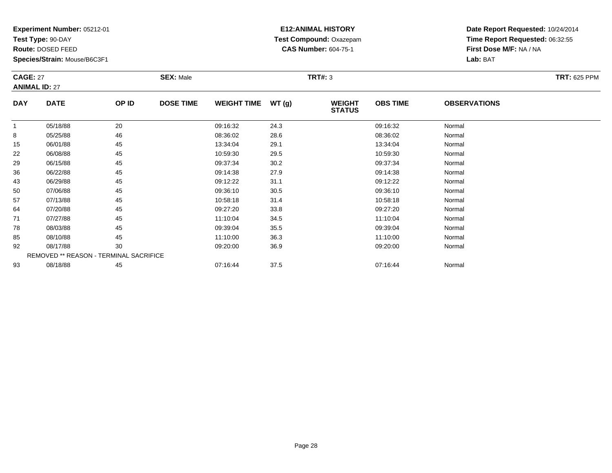**Test Type:** 90-DAY

**Route:** DOSED FEED

**Species/Strain:** Mouse/B6C3F1

# **E12:ANIMAL HISTORY Test Compound:** Oxazepam**CAS Number:** 604-75-1

| <b>CAGE: 27</b><br><b>ANIMAL ID: 27</b> |             |       | <b>SEX: Male</b> |                    |       | <b>TRT#: 3</b>                 |                 |                     | <b>TRT: 625 PPM</b> |
|-----------------------------------------|-------------|-------|------------------|--------------------|-------|--------------------------------|-----------------|---------------------|---------------------|
| <b>DAY</b>                              | <b>DATE</b> | OP ID | <b>DOSE TIME</b> | <b>WEIGHT TIME</b> | WT(q) | <b>WEIGHT</b><br><b>STATUS</b> | <b>OBS TIME</b> | <b>OBSERVATIONS</b> |                     |
|                                         | 05/18/88    | 20    |                  | 09:16:32           | 24.3  |                                | 09:16:32        | Normal              |                     |
| 8                                       | 05/25/88    | 46    |                  | 08:36:02           | 28.6  |                                | 08:36:02        | Normal              |                     |
| 15                                      | 06/01/88    | 45    |                  | 13:34:04           | 29.1  |                                | 13:34:04        | Normal              |                     |
| 22                                      | 06/08/88    | 45    |                  | 10:59:30           | 29.5  |                                | 10:59:30        | Normal              |                     |

| 15 | 06/01/88 | 45                                            | 13:34:04 | 29.1 | 13:34:04 | Normal |  |
|----|----------|-----------------------------------------------|----------|------|----------|--------|--|
| 22 | 06/08/88 | 45                                            | 10:59:30 | 29.5 | 10:59:30 | Normal |  |
| 29 | 06/15/88 | 45                                            | 09:37:34 | 30.2 | 09:37:34 | Normal |  |
| 36 | 06/22/88 | 45                                            | 09:14:38 | 27.9 | 09:14:38 | Normal |  |
| 43 | 06/29/88 | 45                                            | 09:12:22 | 31.1 | 09:12:22 | Normal |  |
| 50 | 07/06/88 | 45                                            | 09:36:10 | 30.5 | 09:36:10 | Normal |  |
| 57 | 07/13/88 | 45                                            | 10:58:18 | 31.4 | 10:58:18 | Normal |  |
| 64 | 07/20/88 | 45                                            | 09:27:20 | 33.8 | 09:27:20 | Normal |  |
| 71 | 07/27/88 | 45                                            | 11:10:04 | 34.5 | 11:10:04 | Normal |  |
| 78 | 08/03/88 | 45                                            | 09:39:04 | 35.5 | 09:39:04 | Normal |  |
| 85 | 08/10/88 | 45                                            | 11:10:00 | 36.3 | 11:10:00 | Normal |  |
| 92 | 08/17/88 | 30                                            | 09:20:00 | 36.9 | 09:20:00 | Normal |  |
|    |          | <b>REMOVED ** REASON - TERMINAL SACRIFICE</b> |          |      |          |        |  |
| 93 | 08/18/88 | 45                                            | 07:16:44 | 37.5 | 07:16:44 | Normal |  |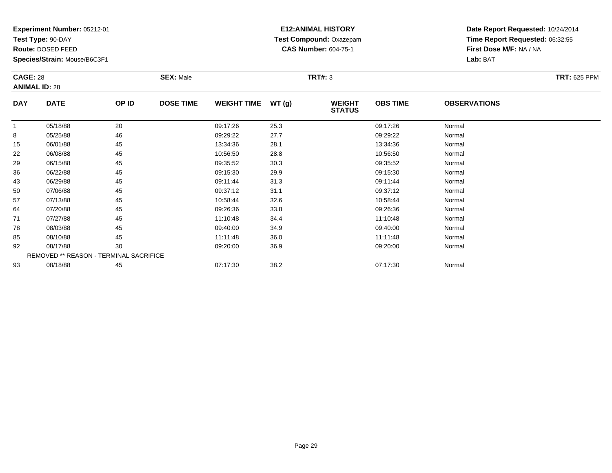**Test Type:** 90-DAY

**Route:** DOSED FEED

78

85

92

93

**Species/Strain:** Mouse/B6C3F1

REMOVED \*\* REASON - TERMINAL SACRIFICE

# **E12:ANIMAL HISTORY Test Compound:** Oxazepam**CAS Number:** 604-75-1

**Date Report Requested:** 10/24/2014**Time Report Requested:** 06:32:55**First Dose M/F:** NA / NA**Lab:** BAT

| <b>CAGE: 28</b><br><b>ANIMAL ID: 28</b> |             | <b>SEX: Male</b> | <b>TRT: 625 PPM</b> |                    |       |                                |                 |                     |  |
|-----------------------------------------|-------------|------------------|---------------------|--------------------|-------|--------------------------------|-----------------|---------------------|--|
| <b>DAY</b>                              | <b>DATE</b> | OP ID            | <b>DOSE TIME</b>    | <b>WEIGHT TIME</b> | WT(g) | <b>WEIGHT</b><br><b>STATUS</b> | <b>OBS TIME</b> | <b>OBSERVATIONS</b> |  |
|                                         | 05/18/88    | 20               |                     | 09:17:26           | 25.3  |                                | 09:17:26        | Normal              |  |
| 8                                       | 05/25/88    | 46               |                     | 09:29:22           | 27.7  |                                | 09:29:22        | Normal              |  |
| 15                                      | 06/01/88    | 45               |                     | 13:34:36           | 28.1  |                                | 13:34:36        | Normal              |  |
| 22                                      | 06/08/88    | 45               |                     | 10:56:50           | 28.8  |                                | 10:56:50        | Normal              |  |
| 29                                      | 06/15/88    | 45               |                     | 09:35:52           | 30.3  |                                | 09:35:52        | Normal              |  |
| 36                                      | 06/22/88    | 45               |                     | 09:15:30           | 29.9  |                                | 09:15:30        | Normal              |  |
| 43                                      | 06/29/88    | 45               |                     | 09:11:44           | 31.3  |                                | 09:11:44        | Normal              |  |
| 50                                      | 07/06/88    | 45               |                     | 09:37:12           | 31.1  |                                | 09:37:12        | Normal              |  |
| 57                                      | 07/13/88    | 45               |                     | 10:58:44           | 32.6  |                                | 10:58:44        | Normal              |  |
| 64                                      | 07/20/88    | 45               |                     | 09:26:36           | 33.8  |                                | 09:26:36        | Normal              |  |
| 71                                      | 07/27/88    | 45               |                     | 11:10:48           | 34.4  |                                | 11:10:48        | Normal              |  |

1 07/27/88 45 45 11:10:48 34.4 1 11:10:48 11:10:48 Normal

8 08/03/88 45 45 09:40:00 34.9 09:40 34.9 09:40 09:40 100 09:40:00 09:40:00 09:40:00

08/10/88 <sup>45</sup> 11:11:48 36.0 11:11:48 Normal

2 08/17/88 30 30 09:20:00 36.9 36.9 09:20:00 36.9 09:20:00 Normal

3 08/18/88 45 45 07:17:30 38.2 5 07:17:30 07:17:30 08/18/88 Normal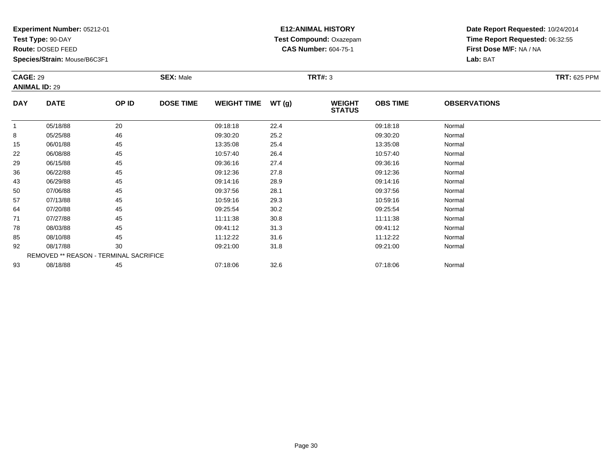**Test Type:** 90-DAY

**Route:** DOSED FEED

71

78

85

92

93

**Species/Strain:** Mouse/B6C3F1

REMOVED \*\* REASON - TERMINAL SACRIFICE

# **E12:ANIMAL HISTORY Test Compound:** Oxazepam**CAS Number:** 604-75-1

**Date Report Requested:** 10/24/2014**Time Report Requested:** 06:32:55**First Dose M/F:** NA / NA**Lab:** BAT

| <b>CAGE: 29</b><br><b>ANIMAL ID: 29</b> |             | <b>SEX: Male</b> | <b>TRT: 625 PPM</b> |                    |       |                                |                 |                     |  |
|-----------------------------------------|-------------|------------------|---------------------|--------------------|-------|--------------------------------|-----------------|---------------------|--|
| <b>DAY</b>                              | <b>DATE</b> | OP ID            | <b>DOSE TIME</b>    | <b>WEIGHT TIME</b> | WT(g) | <b>WEIGHT</b><br><b>STATUS</b> | <b>OBS TIME</b> | <b>OBSERVATIONS</b> |  |
|                                         | 05/18/88    | 20               |                     | 09:18:18           | 22.4  |                                | 09:18:18        | Normal              |  |
| 8                                       | 05/25/88    | 46               |                     | 09:30:20           | 25.2  |                                | 09:30:20        | Normal              |  |
| 15                                      | 06/01/88    | 45               |                     | 13:35:08           | 25.4  |                                | 13:35:08        | Normal              |  |
| 22                                      | 06/08/88    | 45               |                     | 10:57:40           | 26.4  |                                | 10:57:40        | Normal              |  |
| 29                                      | 06/15/88    | 45               |                     | 09:36:16           | 27.4  |                                | 09:36:16        | Normal              |  |
| 36                                      | 06/22/88    | 45               |                     | 09:12:36           | 27.8  |                                | 09:12:36        | Normal              |  |
| 43                                      | 06/29/88    | 45               |                     | 09:14:16           | 28.9  |                                | 09:14:16        | Normal              |  |
| 50                                      | 07/06/88    | 45               |                     | 09:37:56           | 28.1  |                                | 09:37:56        | Normal              |  |
| 57                                      | 07/13/88    | 45               |                     | 10:59:16           | 29.3  |                                | 10:59:16        | Normal              |  |
| 64                                      | 07/20/88    | 45               |                     | 09:25:54           | 30.2  |                                | 09:25:54        | Normal              |  |

4 07/20/88 45 45 09:25:54 30.2 30.2 30.2 09:25:54 Normal

1 07/27/88 45 45 11:11:38 30.8 11:11:38 11:11:38 Normal

08/03/88 <sup>45</sup> 09:41:12 31.3 09:41:12 Normal

08/10/88 <sup>45</sup> 11:12:22 31.6 11:12:22 Normal

2 08/17/88 30 30 09:21:00 31.8 31.8 09:21:00 09:21:00 331.8

08/18/88 <sup>45</sup> 07:18:06 32.6 07:18:06 Normal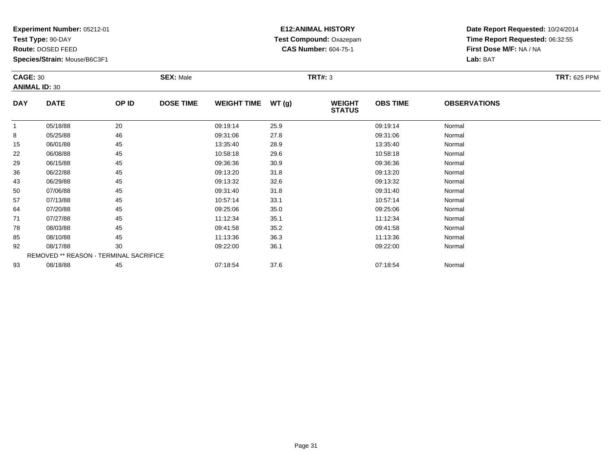**Test Type:** 90-DAY

**Route:** DOSED FEED

93

**Species/Strain:** Mouse/B6C3F1

# **E12:ANIMAL HISTORY Test Compound:** Oxazepam**CAS Number:** 604-75-1

**Date Report Requested:** 10/24/2014**Time Report Requested:** 06:32:55**First Dose M/F:** NA / NA**Lab:** BAT

| <b>CAGE: 30</b><br><b>ANIMAL ID: 30</b> |                                               | <b>SEX: Male</b><br><b>TRT#: 3</b> |                  |                    |       |                                |                 | <b>TRT: 625 PPM</b> |  |
|-----------------------------------------|-----------------------------------------------|------------------------------------|------------------|--------------------|-------|--------------------------------|-----------------|---------------------|--|
| <b>DAY</b>                              | <b>DATE</b>                                   | OP ID                              | <b>DOSE TIME</b> | <b>WEIGHT TIME</b> | WT(g) | <b>WEIGHT</b><br><b>STATUS</b> | <b>OBS TIME</b> | <b>OBSERVATIONS</b> |  |
| 1                                       | 05/18/88                                      | 20                                 |                  | 09:19:14           | 25.9  |                                | 09:19:14        | Normal              |  |
| 8                                       | 05/25/88                                      | 46                                 |                  | 09:31:06           | 27.8  |                                | 09:31:06        | Normal              |  |
| 15                                      | 06/01/88                                      | 45                                 |                  | 13:35:40           | 28.9  |                                | 13:35:40        | Normal              |  |
| 22                                      | 06/08/88                                      | 45                                 |                  | 10:58:18           | 29.6  |                                | 10:58:18        | Normal              |  |
| 29                                      | 06/15/88                                      | 45                                 |                  | 09:36:36           | 30.9  |                                | 09:36:36        | Normal              |  |
| 36                                      | 06/22/88                                      | 45                                 |                  | 09:13:20           | 31.8  |                                | 09:13:20        | Normal              |  |
| 43                                      | 06/29/88                                      | 45                                 |                  | 09:13:32           | 32.6  |                                | 09:13:32        | Normal              |  |
| 50                                      | 07/06/88                                      | 45                                 |                  | 09:31:40           | 31.8  |                                | 09:31:40        | Normal              |  |
| 57                                      | 07/13/88                                      | 45                                 |                  | 10:57:14           | 33.1  |                                | 10:57:14        | Normal              |  |
| 64                                      | 07/20/88                                      | 45                                 |                  | 09:25:06           | 35.0  |                                | 09:25:06        | Normal              |  |
| 71                                      | 07/27/88                                      | 45                                 |                  | 11:12:34           | 35.1  |                                | 11:12:34        | Normal              |  |
| 78                                      | 08/03/88                                      | 45                                 |                  | 09:41:58           | 35.2  |                                | 09:41:58        | Normal              |  |
| 85                                      | 08/10/88                                      | 45                                 |                  | 11:13:36           | 36.3  |                                | 11:13:36        | Normal              |  |
| 92                                      | 08/17/88                                      | 30                                 |                  | 09:22:00           | 36.1  |                                | 09:22:00        | Normal              |  |
|                                         | <b>REMOVED ** REASON - TERMINAL SACRIFICE</b> |                                    |                  |                    |       |                                |                 |                     |  |

08/18/88 <sup>45</sup> 07:18:54 37.6 07:18:54 Normal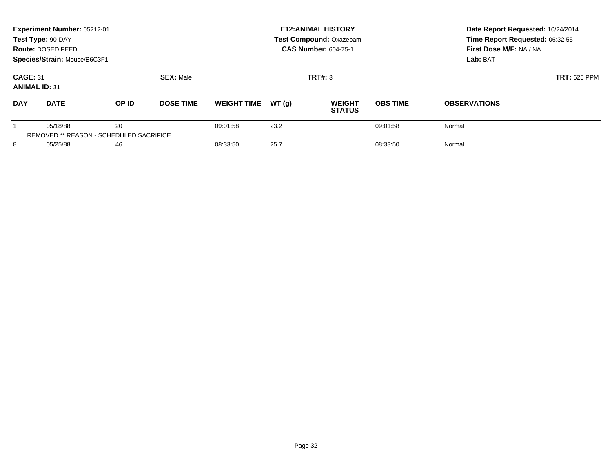| Experiment Number: 05212-01<br>Test Type: 90-DAY<br>Route: DOSED FEED<br>Species/Strain: Mouse/B6C3F1 |                                                     |       |                  |                    |       | <b>E12: ANIMAL HISTORY</b><br><b>Test Compound: Oxazepam</b><br><b>CAS Number: 604-75-1</b> |                     | Date Report Requested: 10/24/2014<br>Time Report Requested: 06:32:55<br>First Dose M/F: NA / NA<br>Lab: BAT |  |
|-------------------------------------------------------------------------------------------------------|-----------------------------------------------------|-------|------------------|--------------------|-------|---------------------------------------------------------------------------------------------|---------------------|-------------------------------------------------------------------------------------------------------------|--|
| <b>CAGE: 31</b><br><b>ANIMAL ID: 31</b>                                                               |                                                     |       | <b>SEX: Male</b> |                    |       | TRT#: 3                                                                                     | <b>TRT: 625 PPM</b> |                                                                                                             |  |
| <b>DAY</b>                                                                                            | <b>DATE</b>                                         | OP ID | <b>DOSE TIME</b> | <b>WEIGHT TIME</b> | WT(q) | <b>WEIGHT</b><br><b>STATUS</b>                                                              | <b>OBS TIME</b>     | <b>OBSERVATIONS</b>                                                                                         |  |
|                                                                                                       | 05/18/88<br>REMOVED ** REASON - SCHEDULED SACRIFICE | 20    |                  | 09:01:58           | 23.2  |                                                                                             | 09:01:58            | Normal                                                                                                      |  |
| 8                                                                                                     | 05/25/88                                            | 46    |                  | 08:33:50           | 25.7  |                                                                                             | 08:33:50            | Normal                                                                                                      |  |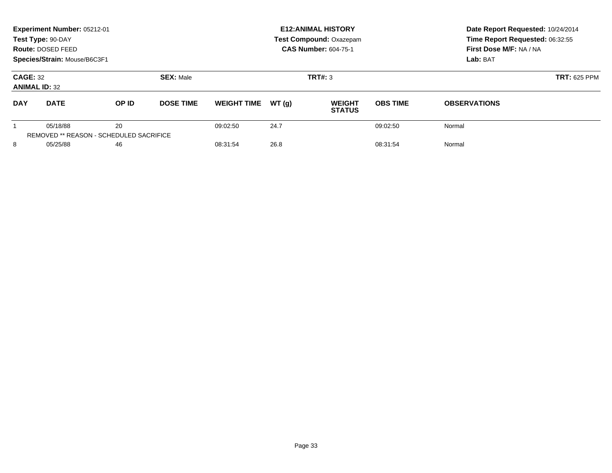|                                         | Experiment Number: 05212-01<br>Test Type: 90-DAY<br>Route: DOSED FEED<br>Species/Strain: Mouse/B6C3F1 |       |                  |                    |       | <b>E12: ANIMAL HISTORY</b><br><b>Test Compound: Oxazepam</b><br><b>CAS Number: 604-75-1</b> |                 | Date Report Requested: 10/24/2014<br>Time Report Requested: 06:32:55<br>First Dose M/F: NA / NA<br>Lab: BAT |  |
|-----------------------------------------|-------------------------------------------------------------------------------------------------------|-------|------------------|--------------------|-------|---------------------------------------------------------------------------------------------|-----------------|-------------------------------------------------------------------------------------------------------------|--|
| <b>CAGE: 32</b><br><b>ANIMAL ID: 32</b> |                                                                                                       |       | <b>SEX: Male</b> |                    |       | TRT#: 3                                                                                     |                 | <b>TRT: 625 PPM</b>                                                                                         |  |
| <b>DAY</b>                              | <b>DATE</b>                                                                                           | OP ID | <b>DOSE TIME</b> | <b>WEIGHT TIME</b> | WT(q) | <b>WEIGHT</b><br><b>STATUS</b>                                                              | <b>OBS TIME</b> | <b>OBSERVATIONS</b>                                                                                         |  |
|                                         | 05/18/88<br>REMOVED ** REASON - SCHEDULED SACRIFICE                                                   | 20    |                  | 09:02:50           | 24.7  |                                                                                             | 09:02:50        | Normal                                                                                                      |  |
| 8                                       | 05/25/88                                                                                              | 46    |                  | 08:31:54           | 26.8  |                                                                                             | 08:31:54        | Normal                                                                                                      |  |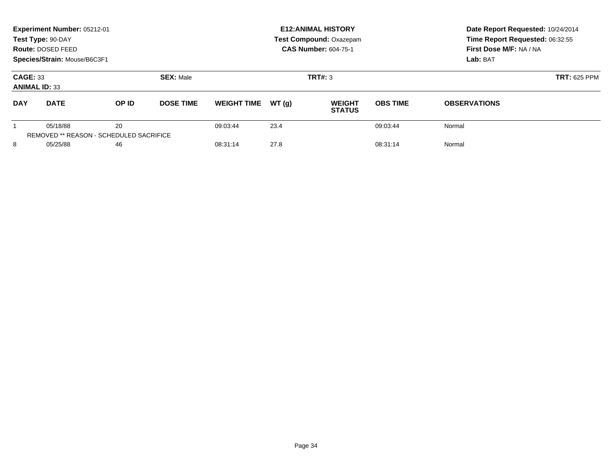| Experiment Number: 05212-01<br>Test Type: 90-DAY<br>Route: DOSED FEED<br>Species/Strain: Mouse/B6C3F1 |                                                     |       |                  |                    |       | <b>E12: ANIMAL HISTORY</b><br><b>Test Compound: Oxazepam</b><br><b>CAS Number: 604-75-1</b> |                 | Date Report Requested: 10/24/2014<br>Time Report Requested: 06:32:55<br>First Dose M/F: NA / NA<br>Lab: BAT |  |
|-------------------------------------------------------------------------------------------------------|-----------------------------------------------------|-------|------------------|--------------------|-------|---------------------------------------------------------------------------------------------|-----------------|-------------------------------------------------------------------------------------------------------------|--|
| <b>CAGE: 33</b><br><b>ANIMAL ID: 33</b>                                                               |                                                     |       | <b>SEX: Male</b> |                    |       | TRT#: 3                                                                                     |                 | <b>TRT: 625 PPM</b>                                                                                         |  |
| <b>DAY</b>                                                                                            | <b>DATE</b>                                         | OP ID | <b>DOSE TIME</b> | <b>WEIGHT TIME</b> | WT(q) | <b>WEIGHT</b><br><b>STATUS</b>                                                              | <b>OBS TIME</b> | <b>OBSERVATIONS</b>                                                                                         |  |
|                                                                                                       | 05/18/88<br>REMOVED ** REASON - SCHEDULED SACRIFICE | 20    |                  | 09:03:44           | 23.4  |                                                                                             | 09:03:44        | Normal                                                                                                      |  |
| 8                                                                                                     | 05/25/88                                            | 46    |                  | 08:31:14           | 27.8  |                                                                                             | 08:31:14        | Normal                                                                                                      |  |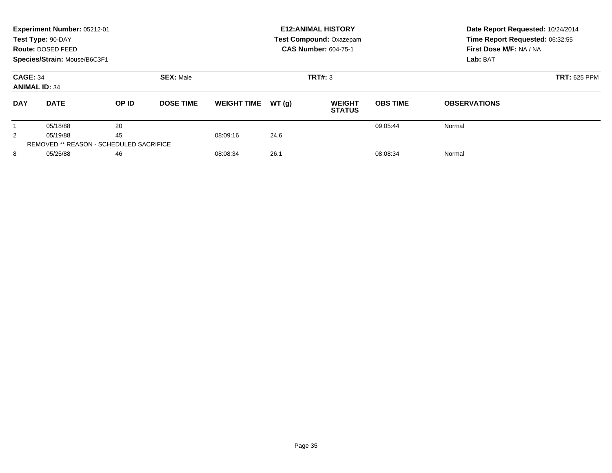|                                                             | Experiment Number: 05212-01<br>Test Type: 90-DAY<br>Route: DOSED FEED<br>Species/Strain: Mouse/B6C3F1 |                                         |                  |                    |         | <b>E12: ANIMAL HISTORY</b><br>Test Compound: Oxazepam<br><b>CAS Number: 604-75-1</b> | Date Report Requested: 10/24/2014<br>Time Report Requested: 06:32:55<br>First Dose M/F: NA / NA<br>Lab: BAT |                     |
|-------------------------------------------------------------|-------------------------------------------------------------------------------------------------------|-----------------------------------------|------------------|--------------------|---------|--------------------------------------------------------------------------------------|-------------------------------------------------------------------------------------------------------------|---------------------|
| <b>SEX: Male</b><br><b>CAGE: 34</b><br><b>ANIMAL ID: 34</b> |                                                                                                       |                                         |                  |                    | TRT#: 3 | <b>TRT: 625 PPM</b>                                                                  |                                                                                                             |                     |
| <b>DAY</b>                                                  | <b>DATE</b>                                                                                           | OP ID                                   | <b>DOSE TIME</b> | <b>WEIGHT TIME</b> | WT(q)   | <b>WEIGHT</b><br><b>STATUS</b>                                                       | <b>OBS TIME</b>                                                                                             | <b>OBSERVATIONS</b> |
|                                                             | 05/18/88                                                                                              | 20                                      |                  |                    |         |                                                                                      | 09:05:44                                                                                                    | Normal              |
| 2                                                           | 05/19/88                                                                                              | 45                                      |                  | 08:09:16           | 24.6    |                                                                                      |                                                                                                             |                     |
|                                                             |                                                                                                       | REMOVED ** REASON - SCHEDULED SACRIFICE |                  |                    |         |                                                                                      |                                                                                                             |                     |
| 8                                                           | 05/25/88                                                                                              | 46                                      |                  | 08:08:34           | 26.1    |                                                                                      | 08:08:34                                                                                                    | Normal              |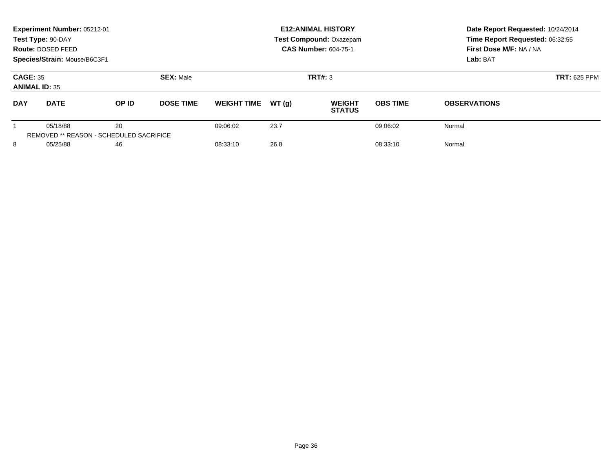| Experiment Number: 05212-01<br>Test Type: 90-DAY<br>Route: DOSED FEED<br>Species/Strain: Mouse/B6C3F1 |                                                     |       |                  |                    |       | <b>E12: ANIMAL HISTORY</b><br><b>Test Compound: Oxazepam</b><br><b>CAS Number: 604-75-1</b> |                 | Date Report Requested: 10/24/2014<br>Time Report Requested: 06:32:55<br>First Dose M/F: NA / NA<br>Lab: BAT |
|-------------------------------------------------------------------------------------------------------|-----------------------------------------------------|-------|------------------|--------------------|-------|---------------------------------------------------------------------------------------------|-----------------|-------------------------------------------------------------------------------------------------------------|
| <b>CAGE: 35</b><br><b>ANIMAL ID: 35</b>                                                               |                                                     |       | <b>SEX: Male</b> |                    |       | TRT#: 3                                                                                     |                 | <b>TRT: 625 PPM</b>                                                                                         |
| <b>DAY</b>                                                                                            | <b>DATE</b>                                         | OP ID | <b>DOSE TIME</b> | <b>WEIGHT TIME</b> | WT(q) | <b>WEIGHT</b><br><b>STATUS</b>                                                              | <b>OBS TIME</b> | <b>OBSERVATIONS</b>                                                                                         |
|                                                                                                       | 05/18/88<br>REMOVED ** REASON - SCHEDULED SACRIFICE | 20    |                  | 09:06:02           | 23.7  |                                                                                             | 09:06:02        | Normal                                                                                                      |
| 8                                                                                                     | 05/25/88                                            | 46    |                  | 08:33:10           | 26.8  |                                                                                             | 08:33:10        | Normal                                                                                                      |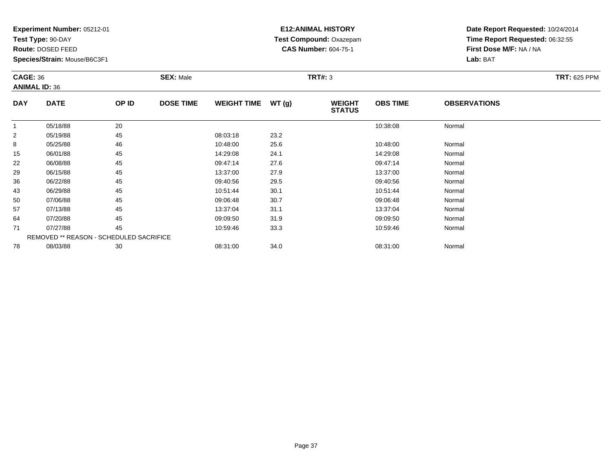**Test Type:** 90-DAY

**Route:** DOSED FEED

**Species/Strain:** Mouse/B6C3F1

## **E12:ANIMAL HISTORY Test Compound:** Oxazepam**CAS Number:** 604-75-1

| <b>CAGE: 36</b><br><b>ANIMAL ID: 36</b> |                      |          | <b>SEX: Male</b> |                    |       | TRT#: 3                        |                 |                     | <b>TRT: 625 PPM</b> |
|-----------------------------------------|----------------------|----------|------------------|--------------------|-------|--------------------------------|-----------------|---------------------|---------------------|
| <b>DAY</b>                              | <b>DATE</b>          | OP ID    | <b>DOSE TIME</b> | <b>WEIGHT TIME</b> | WT(g) | <b>WEIGHT</b><br><b>STATUS</b> | <b>OBS TIME</b> | <b>OBSERVATIONS</b> |                     |
| 2                                       | 05/18/88<br>05/19/88 | 20<br>45 |                  | 08:03:18           | 23.2  |                                | 10:38:08        | Normal              |                     |

|    | 05/19/88 | 45                                             | 08:03:18 | 23.2 |          |        |
|----|----------|------------------------------------------------|----------|------|----------|--------|
| 8  | 05/25/88 | 46                                             | 10:48:00 | 25.6 | 10:48:00 | Normal |
| 15 | 06/01/88 | 45                                             | 14:29:08 | 24.1 | 14:29:08 | Normal |
| 22 | 06/08/88 | 45                                             | 09:47:14 | 27.6 | 09:47:14 | Normal |
| 29 | 06/15/88 | 45                                             | 13:37:00 | 27.9 | 13:37:00 | Normal |
| 36 | 06/22/88 | 45                                             | 09:40:56 | 29.5 | 09:40:56 | Normal |
| 43 | 06/29/88 | 45                                             | 10:51:44 | 30.1 | 10:51:44 | Normal |
| 50 | 07/06/88 | 45                                             | 09:06:48 | 30.7 | 09:06:48 | Normal |
| 57 | 07/13/88 | 45                                             | 13:37:04 | 31.1 | 13:37:04 | Normal |
| 64 | 07/20/88 | 45                                             | 09:09:50 | 31.9 | 09:09:50 | Normal |
| 71 | 07/27/88 | 45                                             | 10:59:46 | 33.3 | 10:59:46 | Normal |
|    |          | <b>REMOVED ** REASON - SCHEDULED SACRIFICE</b> |          |      |          |        |
| 78 | 08/03/88 | 30                                             | 08:31:00 | 34.0 | 08:31:00 | Normal |
|    |          |                                                |          |      |          |        |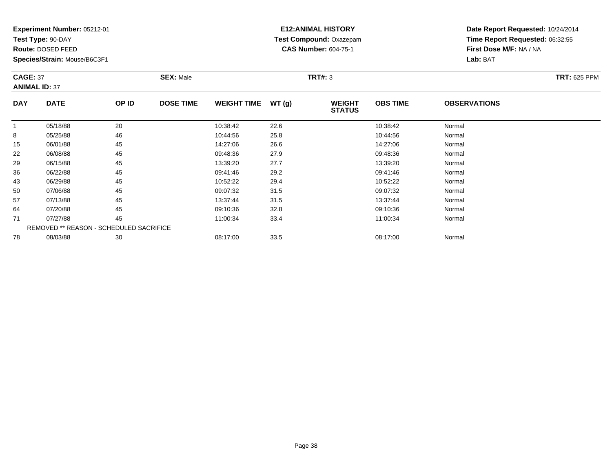**Test Type:** 90-DAY

**Route:** DOSED FEED

**Species/Strain:** Mouse/B6C3F1

#### **E12:ANIMAL HISTORY Test Compound:** Oxazepam**CAS Number:** 604-75-1

| <b>CAGE: 37</b> | <b>ANIMAL ID: 37</b> |       | <b>SEX: Male</b> |                    |        | TRT#: 3                        |                 |                     | <b>TRT: 625 PPM</b> |
|-----------------|----------------------|-------|------------------|--------------------|--------|--------------------------------|-----------------|---------------------|---------------------|
| <b>DAY</b>      | <b>DATE</b>          | OP ID | <b>DOSE TIME</b> | <b>WEIGHT TIME</b> | WT (q) | <b>WEIGHT</b><br><b>STATUS</b> | <b>OBS TIME</b> | <b>OBSERVATIONS</b> |                     |
|                 | 05/18/88             | 20    |                  | 10:38:42           | 22.6   |                                | 10:38:42        | Normal              |                     |
| 8               | 05/25/88             | 46    |                  | 10:44:56           | 25.8   |                                | 10:44:56        | Normal              |                     |
| 15              | 06/01/88             | 45    |                  | 14:27:06           | 26.6   |                                | 14:27:06        | Normal              |                     |
| 22              | 06/08/88             | 45    |                  | 09:48:36           | 27.9   |                                | 09:48:36        | Normal              |                     |
| 29              | 06/15/88             | 45    |                  | 13:39:20           | 27.7   |                                | 13:39:20        | Normal              |                     |

| 22 | 06/08/88 | 45                                      | 09:48:36 | 27.9 | 09:48:36 | Normal |  |
|----|----------|-----------------------------------------|----------|------|----------|--------|--|
| 29 | 06/15/88 | 45                                      | 13:39:20 | 27.7 | 13:39:20 | Normal |  |
| 36 | 06/22/88 | 45                                      | 09:41:46 | 29.2 | 09:41:46 | Normal |  |
| 43 | 06/29/88 | 45                                      | 10:52:22 | 29.4 | 10:52:22 | Normal |  |
| 50 | 07/06/88 | 45                                      | 09:07:32 | 31.5 | 09:07:32 | Normal |  |
| 57 | 07/13/88 | 45                                      | 13:37:44 | 31.5 | 13:37:44 | Normal |  |
| 64 | 07/20/88 | 45                                      | 09:10:36 | 32.8 | 09:10:36 | Normal |  |
| 71 | 07/27/88 | 45                                      | 11:00:34 | 33.4 | 11:00:34 | Normal |  |
|    |          | REMOVED ** REASON - SCHEDULED SACRIFICE |          |      |          |        |  |
| 78 | 08/03/88 | 30                                      | 08:17:00 | 33.5 | 08:17:00 | Normal |  |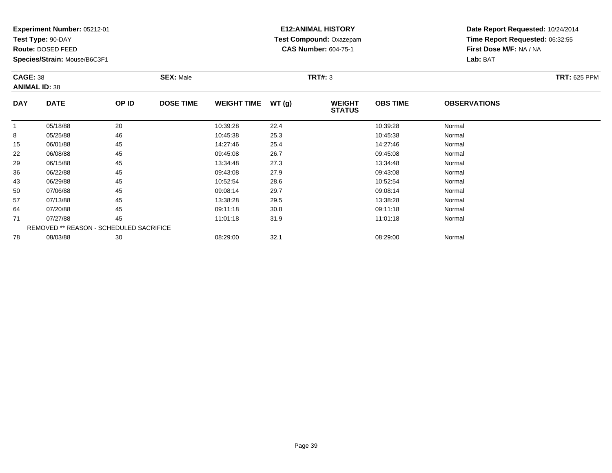**Test Type:** 90-DAY

**Route:** DOSED FEED

64

**Species/Strain:** Mouse/B6C3F1

#### **E12:ANIMAL HISTORY Test Compound:** Oxazepam**CAS Number:** 604-75-1

**Date Report Requested:** 10/24/2014**Time Report Requested:** 06:32:55**First Dose M/F:** NA / NA**Lab:** BAT

| <b>CAGE: 38</b><br><b>ANIMAL ID: 38</b> |             |       | <b>SEX: Male</b> |                    |       | <b>TRT#: 3</b>                 |                 | <b>TRT: 625 PPM</b> |  |
|-----------------------------------------|-------------|-------|------------------|--------------------|-------|--------------------------------|-----------------|---------------------|--|
| <b>DAY</b>                              | <b>DATE</b> | OP ID | <b>DOSE TIME</b> | <b>WEIGHT TIME</b> | WT(g) | <b>WEIGHT</b><br><b>STATUS</b> | <b>OBS TIME</b> | <b>OBSERVATIONS</b> |  |
|                                         | 05/18/88    | 20    |                  | 10:39:28           | 22.4  |                                | 10:39:28        | Normal              |  |
| 8                                       | 05/25/88    | 46    |                  | 10:45:38           | 25.3  |                                | 10:45:38        | Normal              |  |
| 15                                      | 06/01/88    | 45    |                  | 14:27:46           | 25.4  |                                | 14:27:46        | Normal              |  |
| 22                                      | 06/08/88    | 45    |                  | 09:45:08           | 26.7  |                                | 09:45:08        | Normal              |  |
| 29                                      | 06/15/88    | 45    |                  | 13:34:48           | 27.3  |                                | 13:34:48        | Normal              |  |
| 36                                      | 06/22/88    | 45    |                  | 09:43:08           | 27.9  |                                | 09:43:08        | Normal              |  |
| 43                                      | 06/29/88    | 45    |                  | 10:52:54           | 28.6  |                                | 10:52:54        | Normal              |  |
| 50                                      | 07/06/88    | 45    |                  | 09:08:14           | 29.7  |                                | 09:08:14        | Normal              |  |
| 57                                      | 07/13/88    | 45    |                  | 13:38:28           | 29.5  |                                | 13:38:28        | Normal              |  |

8 08/03/88 30 30 08:29:00 32.1 30 08:29:00 33.1

 07/20/88 <sup>45</sup> 09:11:18 30.8 09:11:18 Normal 711 07/27/88 45 45 11:01:18 31.9 11:01 19 11:01:18 31.9 REMOVED \*\* REASON - SCHEDULED SACRIFICE78

Page 39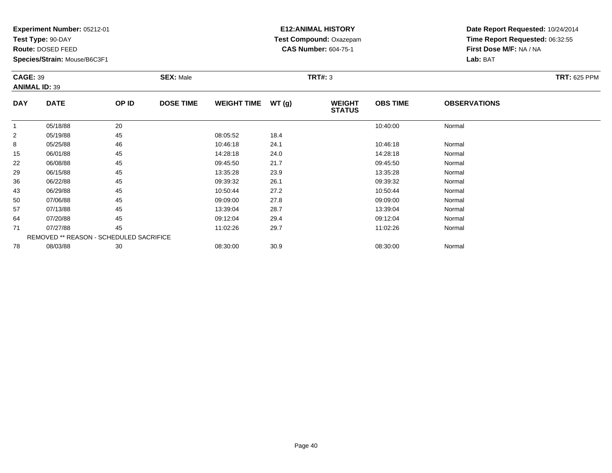**Test Type:** 90-DAY

**Route:** DOSED FEED

**Species/Strain:** Mouse/B6C3F1

## **E12:ANIMAL HISTORY Test Compound:** Oxazepam**CAS Number:** 604-75-1

| <b>CAGE: 39</b><br><b>ANIMAL ID: 39</b> |             |       | <b>SEX: Male</b> |                    |        | <b>TRT#: 3</b>                 |                 |                     | <b>TRT: 625 PPM</b> |
|-----------------------------------------|-------------|-------|------------------|--------------------|--------|--------------------------------|-----------------|---------------------|---------------------|
| <b>DAY</b>                              | <b>DATE</b> | OP ID | <b>DOSE TIME</b> | <b>WEIGHT TIME</b> | WT (g) | <b>WEIGHT</b><br><b>STATUS</b> | <b>OBS TIME</b> | <b>OBSERVATIONS</b> |                     |
|                                         | 05/18/88    | 20    |                  |                    |        |                                | 10:40:00        | Normal              |                     |
| 2                                       | 05/19/88    | 45    |                  | 08:05:52           | 18.4   |                                |                 |                     |                     |
| 8                                       | 05/25/88    | 46    |                  | 10:46:18           | 24.1   |                                | 10:46:18        | Normal              |                     |
| 15                                      | 06/01/88    | 45    |                  | 14:28:18           | 24.0   |                                | 14:28:18        | Normal              |                     |

| ŏ  | <b>U5/25/68</b> | 40                                      | 10.40.18 | Z4. I | 10.40.18 | inormal |  |
|----|-----------------|-----------------------------------------|----------|-------|----------|---------|--|
| 15 | 06/01/88        | 45                                      | 14:28:18 | 24.0  | 14:28:18 | Normal  |  |
| 22 | 06/08/88        | 45                                      | 09:45:50 | 21.7  | 09:45:50 | Normal  |  |
| 29 | 06/15/88        | 45                                      | 13:35:28 | 23.9  | 13:35:28 | Normal  |  |
| 36 | 06/22/88        | 45                                      | 09:39:32 | 26.1  | 09:39:32 | Normal  |  |
| 43 | 06/29/88        | 45                                      | 10:50:44 | 27.2  | 10:50:44 | Normal  |  |
| 50 | 07/06/88        | 45                                      | 09:09:00 | 27.8  | 09:09:00 | Normal  |  |
| 57 | 07/13/88        | 45                                      | 13:39:04 | 28.7  | 13:39:04 | Normal  |  |
| 64 | 07/20/88        | 45                                      | 09:12:04 | 29.4  | 09:12:04 | Normal  |  |
| 71 | 07/27/88        | 45                                      | 11:02:26 | 29.7  | 11:02:26 | Normal  |  |
|    |                 | REMOVED ** REASON - SCHEDULED SACRIFICE |          |       |          |         |  |
| 78 | 08/03/88        | 30                                      | 08:30:00 | 30.9  | 08:30:00 | Normal  |  |
|    |                 |                                         |          |       |          |         |  |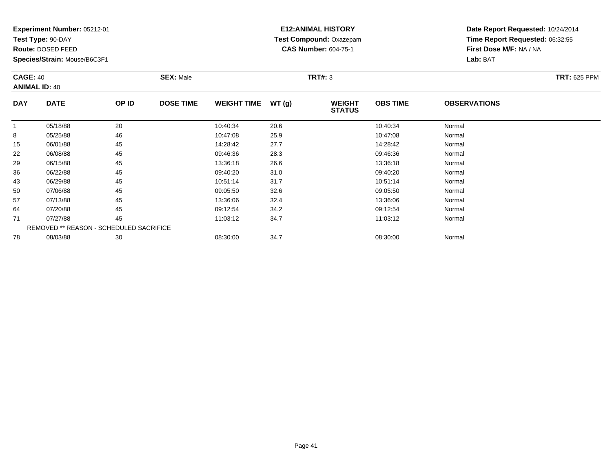**Test Type:** 90-DAY

**Route:** DOSED FEED

**Species/Strain:** Mouse/B6C3F1

## **E12:ANIMAL HISTORY Test Compound:** Oxazepam**CAS Number:** 604-75-1

| <b>CAGE: 40</b><br><b>ANIMAL ID: 40</b> |             |       | <b>SEX: Male</b> |                    |       | <b>TRT#: 3</b>                 |                 |                     | <b>TRT: 625 PPM</b> |
|-----------------------------------------|-------------|-------|------------------|--------------------|-------|--------------------------------|-----------------|---------------------|---------------------|
| <b>DAY</b>                              | <b>DATE</b> | OP ID | <b>DOSE TIME</b> | <b>WEIGHT TIME</b> | WT(g) | <b>WEIGHT</b><br><b>STATUS</b> | <b>OBS TIME</b> | <b>OBSERVATIONS</b> |                     |
|                                         | 05/18/88    | 20    |                  | 10:40:34           | 20.6  |                                | 10:40:34        | Normal              |                     |
| 8                                       | 05/25/88    | 46    |                  | 10:47:08           | 25.9  |                                | 10:47:08        | Normal              |                     |
| 15                                      | 06/01/88    | 45    |                  | 14:28:42           | 27.7  |                                | 14:28:42        | Normal              |                     |
| 22                                      | 06/08/88    | 45    |                  | 09:46:36           | 28.3  |                                | 09:46:36        | Normal              |                     |
| 29                                      | 06/15/88    | 45    |                  | 13:36:18           | 26.6  |                                | 13:36:18        | Normal              |                     |

| 10. | <b>UD/UT/00</b> | 45                                      | 14.ZO.4Z | 21.1 | 14.ZO.4Z | inomal |  |
|-----|-----------------|-----------------------------------------|----------|------|----------|--------|--|
| 22  | 06/08/88        | 45                                      | 09:46:36 | 28.3 | 09:46:36 | Normal |  |
| 29  | 06/15/88        | 45                                      | 13:36:18 | 26.6 | 13:36:18 | Normal |  |
| 36  | 06/22/88        | 45                                      | 09:40:20 | 31.0 | 09:40:20 | Normal |  |
| 43  | 06/29/88        | 45                                      | 10:51:14 | 31.7 | 10:51:14 | Normal |  |
| 50  | 07/06/88        | 45                                      | 09:05:50 | 32.6 | 09:05:50 | Normal |  |
| 57  | 07/13/88        | 45                                      | 13:36:06 | 32.4 | 13:36:06 | Normal |  |
| 64  | 07/20/88        | 45                                      | 09:12:54 | 34.2 | 09:12:54 | Normal |  |
| 71  | 07/27/88        | 45                                      | 11:03:12 | 34.7 | 11:03:12 | Normal |  |
|     |                 | REMOVED ** REASON - SCHEDULED SACRIFICE |          |      |          |        |  |
| 78  | 08/03/88        | 30                                      | 08:30:00 | 34.7 | 08:30:00 | Normal |  |
|     |                 |                                         |          |      |          |        |  |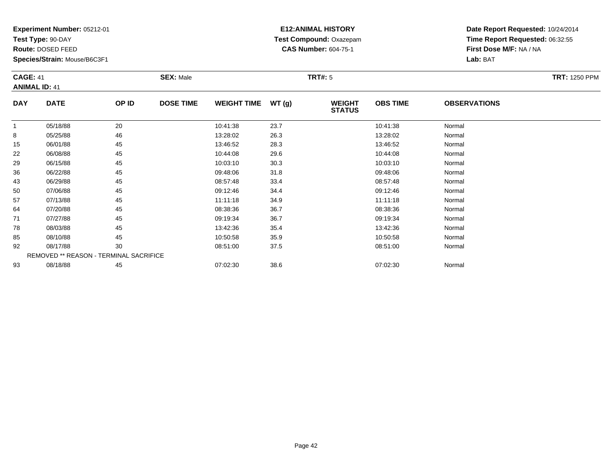**Test Type:** 90-DAY

**Route:** DOSED FEED

92

93

**Species/Strain:** Mouse/B6C3F1

REMOVED \*\* REASON - TERMINAL SACRIFICE

#### **E12:ANIMAL HISTORY Test Compound:** Oxazepam**CAS Number:** 604-75-1

**Date Report Requested:** 10/24/2014**Time Report Requested:** 06:32:55**First Dose M/F:** NA / NA**Lab:** BAT

| <b>CAGE: 41</b> | <b>ANIMAL ID: 41</b> |       | <b>SEX: Male</b> | <b>TRT#: 5</b><br><b>WEIGHT TIME</b><br>WT(g)<br><b>WEIGHT</b><br><b>OBS TIME</b><br><b>OBSERVATIONS</b> | <b>TRT: 1250 PPM</b> |               |          |        |  |
|-----------------|----------------------|-------|------------------|----------------------------------------------------------------------------------------------------------|----------------------|---------------|----------|--------|--|
| <b>DAY</b>      | <b>DATE</b>          | OP ID | <b>DOSE TIME</b> |                                                                                                          |                      | <b>STATUS</b> |          |        |  |
|                 | 05/18/88             | 20    |                  | 10:41:38                                                                                                 | 23.7                 |               | 10:41:38 | Normal |  |
| 8               | 05/25/88             | 46    |                  | 13:28:02                                                                                                 | 26.3                 |               | 13:28:02 | Normal |  |
| 15              | 06/01/88             | 45    |                  | 13:46:52                                                                                                 | 28.3                 |               | 13:46:52 | Normal |  |
| 22              | 06/08/88             | 45    |                  | 10:44:08                                                                                                 | 29.6                 |               | 10:44:08 | Normal |  |
| 29              | 06/15/88             | 45    |                  | 10:03:10                                                                                                 | 30.3                 |               | 10:03:10 | Normal |  |
| 36              | 06/22/88             | 45    |                  | 09:48:06                                                                                                 | 31.8                 |               | 09:48:06 | Normal |  |
| 43              | 06/29/88             | 45    |                  | 08:57:48                                                                                                 | 33.4                 |               | 08:57:48 | Normal |  |
| 50              | 07/06/88             | 45    |                  | 09:12:46                                                                                                 | 34.4                 |               | 09:12:46 | Normal |  |
| 57              | 07/13/88             | 45    |                  | 11:11:18                                                                                                 | 34.9                 |               | 11:11:18 | Normal |  |
| 64              | 07/20/88             | 45    |                  | 08:38:36                                                                                                 | 36.7                 |               | 08:38:36 | Normal |  |
| 71              | 07/27/88             | 45    |                  | 09:19:34                                                                                                 | 36.7                 |               | 09:19:34 | Normal |  |
| 78              | 08/03/88             | 45    |                  | 13:42:36                                                                                                 | 35.4                 |               | 13:42:36 | Normal |  |
| 85              | 08/10/88             | 45    |                  | 10:50:58                                                                                                 | 35.9                 |               | 10:50:58 | Normal |  |

08/10/88 <sup>45</sup> 10:50:58 35.9 10:50:58 Normal

2 08/17/88 30 30 08:51:00 37.5 37.5 08:51:00 37.5

3 08/18/88 45 45 07:02:30 38.6 07:02 07:02:30 08/18/88 Normal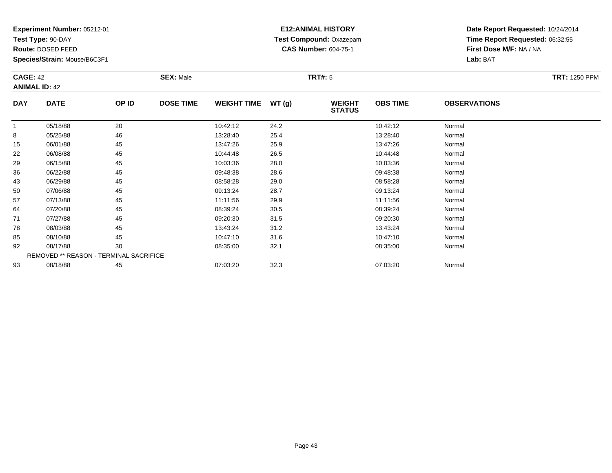**Test Type:** 90-DAY

**Route:** DOSED FEED

**Species/Strain:** Mouse/B6C3F1

## **E12:ANIMAL HISTORY Test Compound:** Oxazepam**CAS Number:** 604-75-1

| <b>CAGE: 42</b> | <b>ANIMAL ID: 42</b> |       | <b>SEX: Male</b> |                    |        | TRT#: 5                        |                 |                     | <b>TRT: 1250 PPM</b> |
|-----------------|----------------------|-------|------------------|--------------------|--------|--------------------------------|-----------------|---------------------|----------------------|
| <b>DAY</b>      | <b>DATE</b>          | OP ID | <b>DOSE TIME</b> | <b>WEIGHT TIME</b> | WT (q) | <b>WEIGHT</b><br><b>STATUS</b> | <b>OBS TIME</b> | <b>OBSERVATIONS</b> |                      |
|                 | 05/18/88             | 20    |                  | 10:42:12           | 24.2   |                                | 10:42:12        | Normal              |                      |
| 8               | 05/25/88             | 46    |                  | 13:28:40           | 25.4   |                                | 13:28:40        | Normal              |                      |
| 15              | 06/01/88             | 45    |                  | 13:47:26           | 25.9   |                                | 13:47:26        | Normal              |                      |
|                 |                      |       |                  |                    |        |                                |                 |                     |                      |

| $\circ$ | <b>UU/ZU/00</b> | 40                                            | <b>13.20.40</b> | ZJ.4 | 13.20. <del>4</del> 0 | <b>INUITII</b> dI |
|---------|-----------------|-----------------------------------------------|-----------------|------|-----------------------|-------------------|
| 15      | 06/01/88        | 45                                            | 13:47:26        | 25.9 | 13:47:26              | Normal            |
| 22      | 06/08/88        | 45                                            | 10:44:48        | 26.5 | 10:44:48              | Normal            |
| 29      | 06/15/88        | 45                                            | 10:03:36        | 28.0 | 10:03:36              | Normal            |
| 36      | 06/22/88        | 45                                            | 09:48:38        | 28.6 | 09:48:38              | Normal            |
| 43      | 06/29/88        | 45                                            | 08:58:28        | 29.0 | 08:58:28              | Normal            |
| 50      | 07/06/88        | 45                                            | 09:13:24        | 28.7 | 09:13:24              | Normal            |
| 57      | 07/13/88        | 45                                            | 11:11:56        | 29.9 | 11:11:56              | Normal            |
| 64      | 07/20/88        | 45                                            | 08:39:24        | 30.5 | 08:39:24              | Normal            |
| 71      | 07/27/88        | 45                                            | 09:20:30        | 31.5 | 09:20:30              | Normal            |
| 78      | 08/03/88        | 45                                            | 13:43:24        | 31.2 | 13:43:24              | Normal            |
| 85      | 08/10/88        | 45                                            | 10:47:10        | 31.6 | 10:47:10              | Normal            |
| 92      | 08/17/88        | 30                                            | 08:35:00        | 32.1 | 08:35:00              | Normal            |
|         |                 | <b>REMOVED ** REASON - TERMINAL SACRIFICE</b> |                 |      |                       |                   |
| 93      | 08/18/88        | 45                                            | 07:03:20        | 32.3 | 07:03:20              | Normal            |
|         |                 |                                               |                 |      |                       |                   |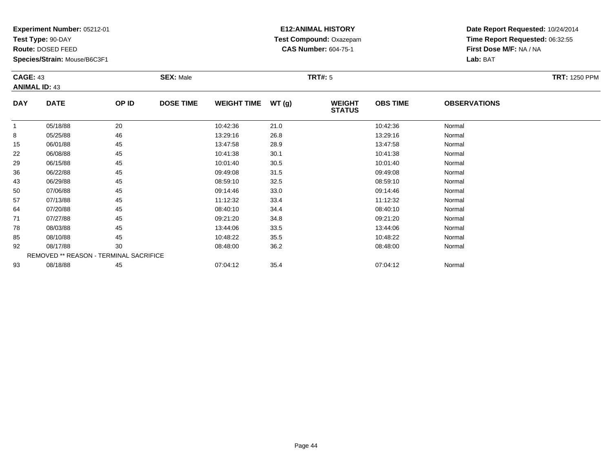**Test Type:** 90-DAY

**Route:** DOSED FEED

92

93

**Species/Strain:** Mouse/B6C3F1

REMOVED \*\* REASON - TERMINAL SACRIFICE

#### **E12:ANIMAL HISTORY Test Compound:** Oxazepam**CAS Number:** 604-75-1

**Date Report Requested:** 10/24/2014**Time Report Requested:** 06:32:55**First Dose M/F:** NA / NA**Lab:** BAT

| <b>CAGE: 43</b><br><b>ANIMAL ID: 43</b> |             | <b>SEX: Male</b> |                  |                    | <b>TRT#: 5</b> | <b>TRT: 1250 PPM</b>           |                 |                     |  |
|-----------------------------------------|-------------|------------------|------------------|--------------------|----------------|--------------------------------|-----------------|---------------------|--|
| <b>DAY</b>                              | <b>DATE</b> | OP ID            | <b>DOSE TIME</b> | <b>WEIGHT TIME</b> | WT(g)          | <b>WEIGHT</b><br><b>STATUS</b> | <b>OBS TIME</b> | <b>OBSERVATIONS</b> |  |
|                                         | 05/18/88    | 20               |                  | 10:42:36           | 21.0           |                                | 10:42:36        | Normal              |  |
| 8                                       | 05/25/88    | 46               |                  | 13:29:16           | 26.8           |                                | 13:29:16        | Normal              |  |
| 15                                      | 06/01/88    | 45               |                  | 13:47:58           | 28.9           |                                | 13:47:58        | Normal              |  |
| 22                                      | 06/08/88    | 45               |                  | 10:41:38           | 30.1           |                                | 10:41:38        | Normal              |  |
| 29                                      | 06/15/88    | 45               |                  | 10:01:40           | 30.5           |                                | 10:01:40        | Normal              |  |
| 36                                      | 06/22/88    | 45               |                  | 09:49:08           | 31.5           |                                | 09:49:08        | Normal              |  |
| 43                                      | 06/29/88    | 45               |                  | 08:59:10           | 32.5           |                                | 08:59:10        | Normal              |  |
| 50                                      | 07/06/88    | 45               |                  | 09:14:46           | 33.0           |                                | 09:14:46        | Normal              |  |
| 57                                      | 07/13/88    | 45               |                  | 11:12:32           | 33.4           |                                | 11:12:32        | Normal              |  |
| 64                                      | 07/20/88    | 45               |                  | 08:40:10           | 34.4           |                                | 08:40:10        | Normal              |  |
| 71                                      | 07/27/88    | 45               |                  | 09:21:20           | 34.8           |                                | 09:21:20        | Normal              |  |
| 78                                      | 08/03/88    | 45               |                  | 13:44:06           | 33.5           |                                | 13:44:06        | Normal              |  |
| 85                                      | 08/10/88    | 45               |                  | 10:48:22           | 35.5           |                                | 10:48:22        | Normal              |  |

2 08/17/88 30 30 08:48:00 36.2 36.2 38.2 08:48:00 36.2 36.2

08/18/88 <sup>45</sup> 07:04:12 35.4 07:04:12 Normal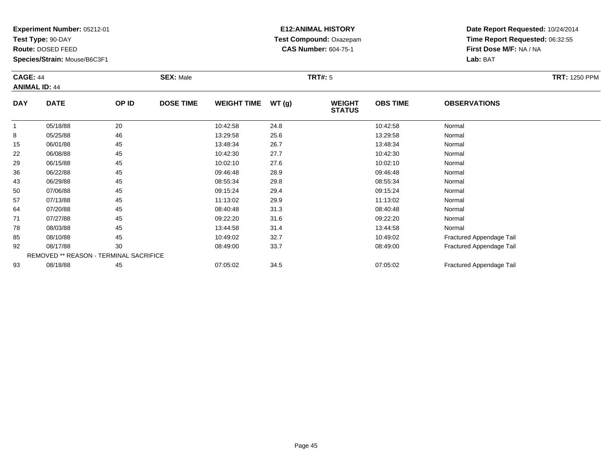**Test Type:** 90-DAY

**Route:** DOSED FEED

78

85

92

93

**Species/Strain:** Mouse/B6C3F1

REMOVED \*\* REASON - TERMINAL SACRIFICE

#### **E12:ANIMAL HISTORY Test Compound:** Oxazepam**CAS Number:** 604-75-1

**Date Report Requested:** 10/24/2014**Time Report Requested:** 06:32:55**First Dose M/F:** NA / NA**Lab:** BAT

Fractured Appendage Tail

| <b>CAGE: 44</b><br><b>ANIMAL ID: 44</b> |             | <b>SEX: Male</b> | <b>TRT: 1250 PPM</b> |                    |       |                                |                 |                     |  |
|-----------------------------------------|-------------|------------------|----------------------|--------------------|-------|--------------------------------|-----------------|---------------------|--|
| <b>DAY</b>                              | <b>DATE</b> | OP ID            | <b>DOSE TIME</b>     | <b>WEIGHT TIME</b> | WT(g) | <b>WEIGHT</b><br><b>STATUS</b> | <b>OBS TIME</b> | <b>OBSERVATIONS</b> |  |
|                                         | 05/18/88    | 20               |                      | 10:42:58           | 24.8  |                                | 10:42:58        | Normal              |  |
| 8                                       | 05/25/88    | 46               |                      | 13:29:58           | 25.6  |                                | 13:29:58        | Normal              |  |
| 15                                      | 06/01/88    | 45               |                      | 13:48:34           | 26.7  |                                | 13:48:34        | Normal              |  |
| 22                                      | 06/08/88    | 45               |                      | 10:42:30           | 27.7  |                                | 10:42:30        | Normal              |  |
| 29                                      | 06/15/88    | 45               |                      | 10:02:10           | 27.6  |                                | 10:02:10        | Normal              |  |
| 36                                      | 06/22/88    | 45               |                      | 09:46:48           | 28.9  |                                | 09:46:48        | Normal              |  |
| 43                                      | 06/29/88    | 45               |                      | 08:55:34           | 29.8  |                                | 08:55:34        | Normal              |  |
| 50                                      | 07/06/88    | 45               |                      | 09:15:24           | 29.4  |                                | 09:15:24        | Normal              |  |
| 57                                      | 07/13/88    | 45               |                      | 11:13:02           | 29.9  |                                | 11:13:02        | Normal              |  |
| 64                                      | 07/20/88    | 45               |                      | 08:40:48           | 31.3  |                                | 08:40:48        | Normal              |  |
| 71                                      | 07/27/88    | 45               |                      | 09:22:20           | 31.6  |                                | 09:22:20        | Normal              |  |

8 08/03/88 45 45 13:44:58 31.4 13:44:58 31.4 31.4 31.4 38 31.4 38 31.4 13:44:58 31.4 31.4 13:44:58 31.4 31.4 13:44:58

08/10/88 <sup>45</sup> 10:49:02 32.7 10:49:02 Fractured Appendage Tail

08/18/88 <sup>45</sup> 07:05:02 34.5 07:05:02 Fractured Appendage Tail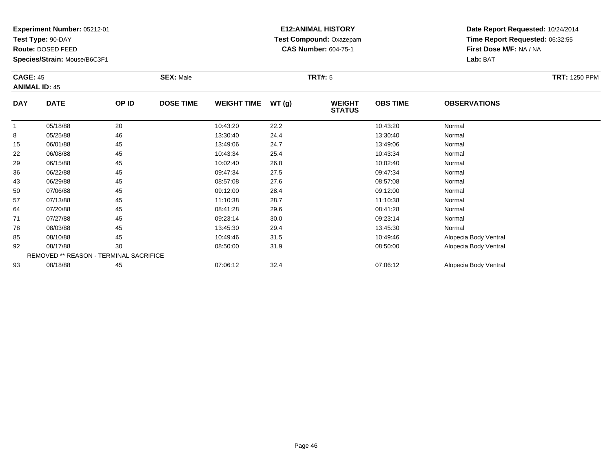**Test Type:** 90-DAY

**Route:** DOSED FEED

**Species/Strain:** Mouse/B6C3F1

## **E12:ANIMAL HISTORY Test Compound:** Oxazepam**CAS Number:** 604-75-1

| <b>CAGE: 45</b> | <b>ANIMAL ID: 45</b> |       | <b>SEX: Male</b> |                    |       | <b>TRT#: 5</b>                 | <b>TRT: 1250 PPM</b> |                     |  |
|-----------------|----------------------|-------|------------------|--------------------|-------|--------------------------------|----------------------|---------------------|--|
| <b>DAY</b>      | <b>DATE</b>          | OP ID | <b>DOSE TIME</b> | <b>WEIGHT TIME</b> | WT(g) | <b>WEIGHT</b><br><b>STATUS</b> | <b>OBS TIME</b>      | <b>OBSERVATIONS</b> |  |
|                 | 05/18/88             | 20    |                  | 10:43:20           | 22.2  |                                | 10:43:20             | Normal              |  |
| 8               | 05/25/88             | 46    |                  | 13:30:40           | 24.4  |                                | 13:30:40             | Normal              |  |
| 15              | 06/01/88             | 45    |                  | 13:49:06           | 24.7  |                                | 13:49:06             | Normal              |  |
| 22              | 06/08/88             | 45    |                  | 10:43:34           | 25.4  |                                | 10:43:34             | Normal              |  |
| 29              | 06/15/88             | 45    |                  | 10:02:40           | 26.8  |                                | 10:02:40             | Normal              |  |
| 36              | 06/22/88             | 45    |                  | 09:47:34           | 27.5  |                                | 09:47:34             | Normal              |  |

| 22 | 06/08/88 | 45                                     | 10:43:34 | 25.4 | 10:43:34 | Normal                |  |
|----|----------|----------------------------------------|----------|------|----------|-----------------------|--|
| 29 | 06/15/88 | 45                                     | 10:02:40 | 26.8 | 10:02:40 | Normal                |  |
| 36 | 06/22/88 | 45                                     | 09:47:34 | 27.5 | 09:47:34 | Normal                |  |
| 43 | 06/29/88 | 45                                     | 08:57:08 | 27.6 | 08:57:08 | Normal                |  |
| 50 | 07/06/88 | 45                                     | 09:12:00 | 28.4 | 09:12:00 | Normal                |  |
| 57 | 07/13/88 | 45                                     | 11:10:38 | 28.7 | 11:10:38 | Normal                |  |
| 64 | 07/20/88 | 45                                     | 08:41:28 | 29.6 | 08:41:28 | Normal                |  |
| 71 | 07/27/88 | 45                                     | 09:23:14 | 30.0 | 09:23:14 | Normal                |  |
| 78 | 08/03/88 | 45                                     | 13:45:30 | 29.4 | 13:45:30 | Normal                |  |
| 85 | 08/10/88 | 45                                     | 10:49:46 | 31.5 | 10:49:46 | Alopecia Body Ventral |  |
| 92 | 08/17/88 | 30                                     | 08:50:00 | 31.9 | 08:50:00 | Alopecia Body Ventral |  |
|    |          | REMOVED ** REASON - TERMINAL SACRIFICE |          |      |          |                       |  |
| 93 | 08/18/88 | 45                                     | 07:06:12 | 32.4 | 07:06:12 | Alopecia Body Ventral |  |
|    |          |                                        |          |      |          |                       |  |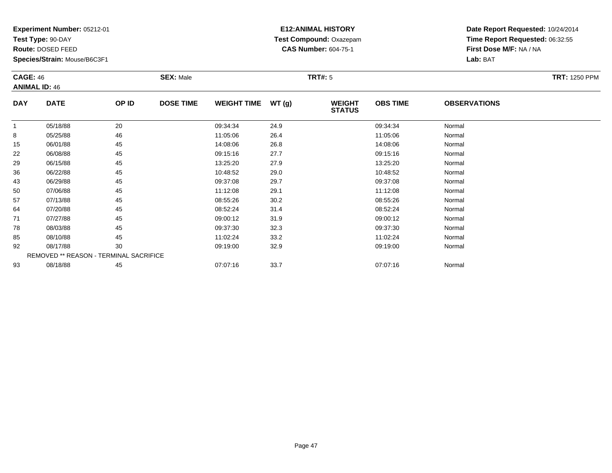**Test Type:** 90-DAY

**Route:** DOSED FEED

92

93

**Species/Strain:** Mouse/B6C3F1

REMOVED \*\* REASON - TERMINAL SACRIFICE

#### **E12:ANIMAL HISTORY Test Compound:** Oxazepam**CAS Number:** 604-75-1

**Date Report Requested:** 10/24/2014**Time Report Requested:** 06:32:55**First Dose M/F:** NA / NA**Lab:** BAT

| <b>CAGE: 46</b><br><b>ANIMAL ID: 46</b> |             | <b>SEX: Male</b> |                  |                    | <b>TRT#: 5</b> | <b>TRT: 1250 PPM</b>           |                 |                     |  |
|-----------------------------------------|-------------|------------------|------------------|--------------------|----------------|--------------------------------|-----------------|---------------------|--|
| <b>DAY</b>                              | <b>DATE</b> | OP ID            | <b>DOSE TIME</b> | <b>WEIGHT TIME</b> | WT(g)          | <b>WEIGHT</b><br><b>STATUS</b> | <b>OBS TIME</b> | <b>OBSERVATIONS</b> |  |
|                                         | 05/18/88    | 20               |                  | 09:34:34           | 24.9           |                                | 09:34:34        | Normal              |  |
| 8                                       | 05/25/88    | 46               |                  | 11:05:06           | 26.4           |                                | 11:05:06        | Normal              |  |
| 15                                      | 06/01/88    | 45               |                  | 14:08:06           | 26.8           |                                | 14:08:06        | Normal              |  |
| 22                                      | 06/08/88    | 45               |                  | 09:15:16           | 27.7           |                                | 09:15:16        | Normal              |  |
| 29                                      | 06/15/88    | 45               |                  | 13:25:20           | 27.9           |                                | 13:25:20        | Normal              |  |
| 36                                      | 06/22/88    | 45               |                  | 10:48:52           | 29.0           |                                | 10:48:52        | Normal              |  |
| 43                                      | 06/29/88    | 45               |                  | 09:37:08           | 29.7           |                                | 09:37:08        | Normal              |  |
| 50                                      | 07/06/88    | 45               |                  | 11:12:08           | 29.1           |                                | 11:12:08        | Normal              |  |
| 57                                      | 07/13/88    | 45               |                  | 08:55:26           | 30.2           |                                | 08:55:26        | Normal              |  |
| 64                                      | 07/20/88    | 45               |                  | 08:52:24           | 31.4           |                                | 08:52:24        | Normal              |  |
| 71                                      | 07/27/88    | 45               |                  | 09:00:12           | 31.9           |                                | 09:00:12        | Normal              |  |
| 78                                      | 08/03/88    | 45               |                  | 09:37:30           | 32.3           |                                | 09:37:30        | Normal              |  |
| 85                                      | 08/10/88    | 45               |                  | 11:02:24           | 33.2           |                                | 11:02:24        | Normal              |  |

2 08/17/88 30 30 09:19:00 32.9 32.9 09:19:00 32.9 08/17/88 Normal

08/18/88 <sup>45</sup> 07:07:16 33.7 07:07:16 Normal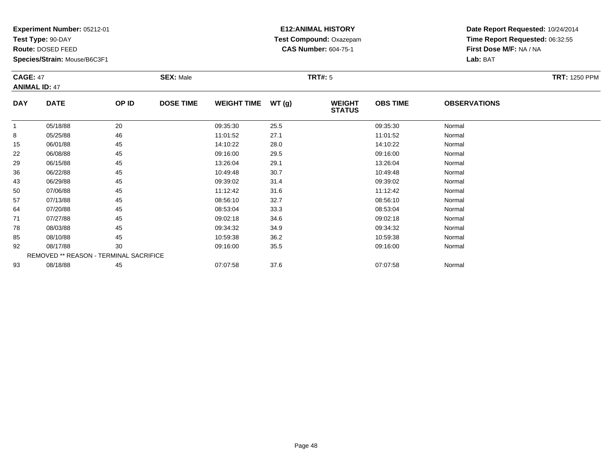**Test Type:** 90-DAY

**Route:** DOSED FEED

85

92

93

**Species/Strain:** Mouse/B6C3F1

REMOVED \*\* REASON - TERMINAL SACRIFICE

#### **E12:ANIMAL HISTORY Test Compound:** Oxazepam**CAS Number:** 604-75-1

**Date Report Requested:** 10/24/2014**Time Report Requested:** 06:32:55**First Dose M/F:** NA / NA**Lab:** BAT

| <b>CAGE: 47</b><br><b>ANIMAL ID: 47</b> |             | <b>SEX: Male</b> | <b>TRT: 1250 PPM</b> |                    |       |                                |                 |                     |  |
|-----------------------------------------|-------------|------------------|----------------------|--------------------|-------|--------------------------------|-----------------|---------------------|--|
| <b>DAY</b>                              | <b>DATE</b> | OP ID            | <b>DOSE TIME</b>     | <b>WEIGHT TIME</b> | WT(g) | <b>WEIGHT</b><br><b>STATUS</b> | <b>OBS TIME</b> | <b>OBSERVATIONS</b> |  |
| 1                                       | 05/18/88    | 20               |                      | 09:35:30           | 25.5  |                                | 09:35:30        | Normal              |  |
| 8                                       | 05/25/88    | 46               |                      | 11:01:52           | 27.1  |                                | 11:01:52        | Normal              |  |
| 15                                      | 06/01/88    | 45               |                      | 14:10:22           | 28.0  |                                | 14:10:22        | Normal              |  |
| 22                                      | 06/08/88    | 45               |                      | 09:16:00           | 29.5  |                                | 09:16:00        | Normal              |  |
| 29                                      | 06/15/88    | 45               |                      | 13:26:04           | 29.1  |                                | 13:26:04        | Normal              |  |
| 36                                      | 06/22/88    | 45               |                      | 10:49:48           | 30.7  |                                | 10:49:48        | Normal              |  |
| 43                                      | 06/29/88    | 45               |                      | 09:39:02           | 31.4  |                                | 09:39:02        | Normal              |  |
| 50                                      | 07/06/88    | 45               |                      | 11:12:42           | 31.6  |                                | 11:12:42        | Normal              |  |
| 57                                      | 07/13/88    | 45               |                      | 08:56:10           | 32.7  |                                | 08:56:10        | Normal              |  |
| 64                                      | 07/20/88    | 45               |                      | 08:53:04           | 33.3  |                                | 08:53:04        | Normal              |  |
| 71                                      | 07/27/88    | 45               |                      | 09:02:18           | 34.6  |                                | 09:02:18        | Normal              |  |
| 78                                      | 08/03/88    | 45               |                      | 09:34:32           | 34.9  |                                | 09:34:32        | Normal              |  |

8 08/03/88 45 45 09:34:32 34.9 34.9 09:34:32 08/03/88 Normal

08/10/88 <sup>45</sup> 10:59:38 36.2 10:59:38 Normal

2 08/17/88 30 30 09:16:00 35.5 09:16:00 35.5 09:16:00 09:16:00

3 08/18/88 45 45 07:07:58 37.6 37.6 07:07:58 07:07:58 Normal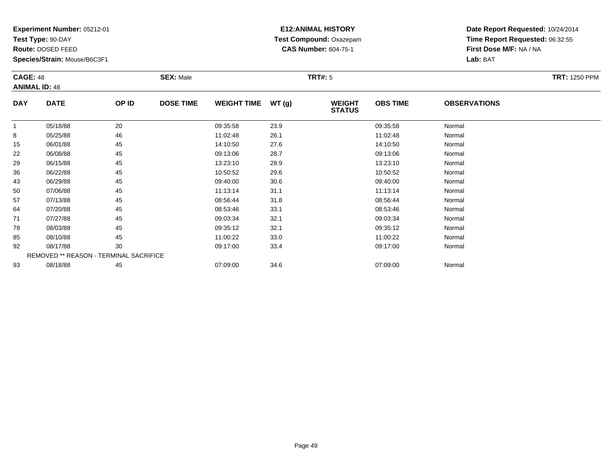**Test Type:** 90-DAY

**Route:** DOSED FEED

78

85

92

93

**Species/Strain:** Mouse/B6C3F1

REMOVED \*\* REASON - TERMINAL SACRIFICE

#### **E12:ANIMAL HISTORY Test Compound:** Oxazepam**CAS Number:** 604-75-1

**Date Report Requested:** 10/24/2014**Time Report Requested:** 06:32:55**First Dose M/F:** NA / NA**Lab:** BAT

| <b>CAGE: 48</b><br><b>ANIMAL ID: 48</b> |             | <b>SEX: Male</b> | <b>TRT: 1250 PPM</b> |                    |       |                                |                 |                     |  |
|-----------------------------------------|-------------|------------------|----------------------|--------------------|-------|--------------------------------|-----------------|---------------------|--|
| <b>DAY</b>                              | <b>DATE</b> | OP ID            | <b>DOSE TIME</b>     | <b>WEIGHT TIME</b> | WT(g) | <b>WEIGHT</b><br><b>STATUS</b> | <b>OBS TIME</b> | <b>OBSERVATIONS</b> |  |
|                                         | 05/18/88    | 20               |                      | 09:35:58           | 23.9  |                                | 09:35:58        | Normal              |  |
| 8                                       | 05/25/88    | 46               |                      | 11:02:48           | 26.1  |                                | 11:02:48        | Normal              |  |
| 15                                      | 06/01/88    | 45               |                      | 14:10:50           | 27.6  |                                | 14:10:50        | Normal              |  |
| 22                                      | 06/08/88    | 45               |                      | 09:13:06           | 28.7  |                                | 09:13:06        | Normal              |  |
| 29                                      | 06/15/88    | 45               |                      | 13:23:10           | 28.9  |                                | 13:23:10        | Normal              |  |
| 36                                      | 06/22/88    | 45               |                      | 10:50:52           | 29.6  |                                | 10:50:52        | Normal              |  |
| 43                                      | 06/29/88    | 45               |                      | 09:40:00           | 30.6  |                                | 09:40:00        | Normal              |  |
| 50                                      | 07/06/88    | 45               |                      | 11:13:14           | 31.1  |                                | 11:13:14        | Normal              |  |
| 57                                      | 07/13/88    | 45               |                      | 08:56:44           | 31.8  |                                | 08:56:44        | Normal              |  |
| 64                                      | 07/20/88    | 45               |                      | 08:53:46           | 33.1  |                                | 08:53:46        | Normal              |  |
| 71                                      | 07/27/88    | 45               |                      | 09:03:34           | 32.1  |                                | 09:03:34        | Normal              |  |

1 07/27/88 45 45 09:03:34 32.1 32.1 09:03:34 09:03:34 Normal

08/03/88 <sup>45</sup> 09:35:12 32.1 09:35:12 Normal

08/10/88 <sup>45</sup> 11:00:22 33.0 11:00:22 Normal

2 08/17/88 30 30 09:17:00 33.4 09:17:00 09:17:00 09:17:00 09:17:00 09:17:00

08/18/88 <sup>45</sup> 07:09:00 34.6 07:09:00 Normal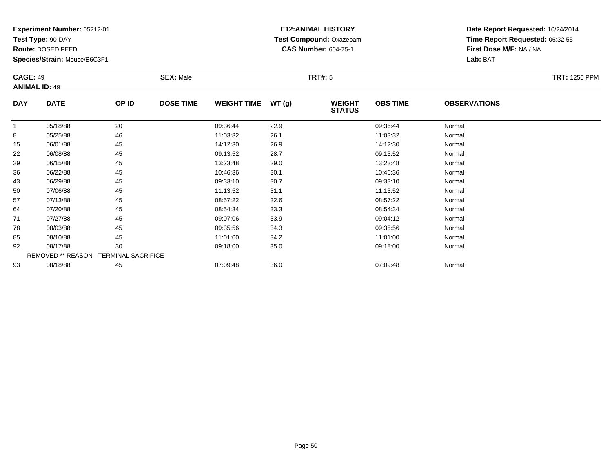**Test Type:** 90-DAY

**Route:** DOSED FEED

93

**Species/Strain:** Mouse/B6C3F1

REMOVED \*\* REASON - TERMINAL SACRIFICE

#### **E12:ANIMAL HISTORY Test Compound:** Oxazepam**CAS Number:** 604-75-1

**Date Report Requested:** 10/24/2014**Time Report Requested:** 06:32:55**First Dose M/F:** NA / NA**Lab:** BAT

| <b>CAGE: 49</b><br><b>ANIMAL ID: 49</b> |             |       | <b>SEX: Male</b> |                    |       | <b>TRT#: 5</b>                 |                 |                     | <b>TRT: 1250 PPM</b> |
|-----------------------------------------|-------------|-------|------------------|--------------------|-------|--------------------------------|-----------------|---------------------|----------------------|
| <b>DAY</b>                              | <b>DATE</b> | OP ID | <b>DOSE TIME</b> | <b>WEIGHT TIME</b> | WT(g) | <b>WEIGHT</b><br><b>STATUS</b> | <b>OBS TIME</b> | <b>OBSERVATIONS</b> |                      |
|                                         | 05/18/88    | 20    |                  | 09:36:44           | 22.9  |                                | 09:36:44        | Normal              |                      |
| 8                                       | 05/25/88    | 46    |                  | 11:03:32           | 26.1  |                                | 11:03:32        | Normal              |                      |
| 15                                      | 06/01/88    | 45    |                  | 14:12:30           | 26.9  |                                | 14:12:30        | Normal              |                      |
| 22                                      | 06/08/88    | 45    |                  | 09:13:52           | 28.7  |                                | 09:13:52        | Normal              |                      |
| 29                                      | 06/15/88    | 45    |                  | 13:23:48           | 29.0  |                                | 13:23:48        | Normal              |                      |
| 36                                      | 06/22/88    | 45    |                  | 10:46:36           | 30.1  |                                | 10:46:36        | Normal              |                      |
| 43                                      | 06/29/88    | 45    |                  | 09:33:10           | 30.7  |                                | 09:33:10        | Normal              |                      |
| 50                                      | 07/06/88    | 45    |                  | 11:13:52           | 31.1  |                                | 11:13:52        | Normal              |                      |
| 57                                      | 07/13/88    | 45    |                  | 08:57:22           | 32.6  |                                | 08:57:22        | Normal              |                      |
| 64                                      | 07/20/88    | 45    |                  | 08:54:34           | 33.3  |                                | 08:54:34        | Normal              |                      |
| 71                                      | 07/27/88    | 45    |                  | 09:07:06           | 33.9  |                                | 09:04:12        | Normal              |                      |
| 78                                      | 08/03/88    | 45    |                  | 09:35:56           | 34.3  |                                | 09:35:56        | Normal              |                      |
| 85                                      | 08/10/88    | 45    |                  | 11:01:00           | 34.2  |                                | 11:01:00        | Normal              |                      |
| 92                                      | 08/17/88    | 30    |                  | 09:18:00           | 35.0  |                                | 09:18:00        | Normal              |                      |

3 08/18/88 45 45 07:09:48 36.0 36.0 07:09:48 07:09:48 Normal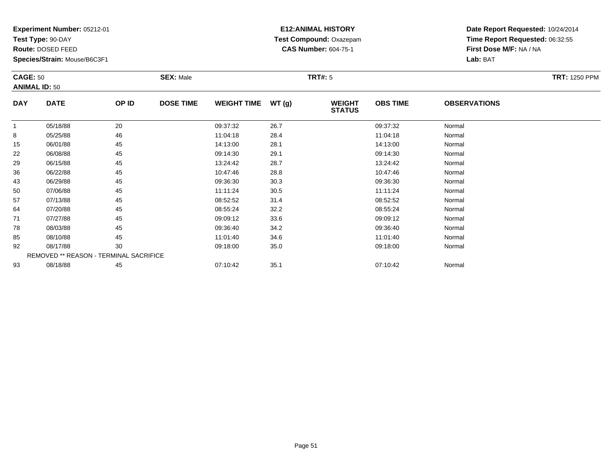**Test Type:** 90-DAY

**Route:** DOSED FEED

93

**Species/Strain:** Mouse/B6C3F1

## **E12:ANIMAL HISTORY Test Compound:** Oxazepam**CAS Number:** 604-75-1

**Date Report Requested:** 10/24/2014**Time Report Requested:** 06:32:55**First Dose M/F:** NA / NA**Lab:** BAT

| <b>CAGE: 50</b> |                                               |       | <b>SEX: Male</b> | <b>TRT#: 5</b>     |       |                                |                 |                     |  |  |  |
|-----------------|-----------------------------------------------|-------|------------------|--------------------|-------|--------------------------------|-----------------|---------------------|--|--|--|
|                 | <b>ANIMAL ID: 50</b>                          |       |                  |                    |       |                                |                 |                     |  |  |  |
| <b>DAY</b>      | <b>DATE</b>                                   | OP ID | <b>DOSE TIME</b> | <b>WEIGHT TIME</b> | WT(g) | <b>WEIGHT</b><br><b>STATUS</b> | <b>OBS TIME</b> | <b>OBSERVATIONS</b> |  |  |  |
| 1               | 05/18/88                                      | 20    |                  | 09:37:32           | 26.7  |                                | 09:37:32        | Normal              |  |  |  |
| 8               | 05/25/88                                      | 46    |                  | 11:04:18           | 28.4  |                                | 11:04:18        | Normal              |  |  |  |
| 15              | 06/01/88                                      | 45    |                  | 14:13:00           | 28.1  |                                | 14:13:00        | Normal              |  |  |  |
| 22              | 06/08/88                                      | 45    |                  | 09:14:30           | 29.1  |                                | 09:14:30        | Normal              |  |  |  |
| 29              | 06/15/88                                      | 45    |                  | 13:24:42           | 28.7  |                                | 13:24:42        | Normal              |  |  |  |
| 36              | 06/22/88                                      | 45    |                  | 10:47:46           | 28.8  |                                | 10:47:46        | Normal              |  |  |  |
| 43              | 06/29/88                                      | 45    |                  | 09:36:30           | 30.3  |                                | 09:36:30        | Normal              |  |  |  |
| 50              | 07/06/88                                      | 45    |                  | 11:11:24           | 30.5  |                                | 11:11:24        | Normal              |  |  |  |
| 57              | 07/13/88                                      | 45    |                  | 08:52:52           | 31.4  |                                | 08:52:52        | Normal              |  |  |  |
| 64              | 07/20/88                                      | 45    |                  | 08:55:24           | 32.2  |                                | 08:55:24        | Normal              |  |  |  |
| 71              | 07/27/88                                      | 45    |                  | 09:09:12           | 33.6  |                                | 09:09:12        | Normal              |  |  |  |
| 78              | 08/03/88                                      | 45    |                  | 09:36:40           | 34.2  |                                | 09:36:40        | Normal              |  |  |  |
| 85              | 08/10/88                                      | 45    |                  | 11:01:40           | 34.6  |                                | 11:01:40        | Normal              |  |  |  |
| 92              | 08/17/88                                      | 30    |                  | 09:18:00           | 35.0  |                                | 09:18:00        | Normal              |  |  |  |
|                 | <b>REMOVED ** REASON - TERMINAL SACRIFICE</b> |       |                  |                    |       |                                |                 |                     |  |  |  |

08/18/88 <sup>45</sup> 07:10:42 35.1 07:10:42 Normal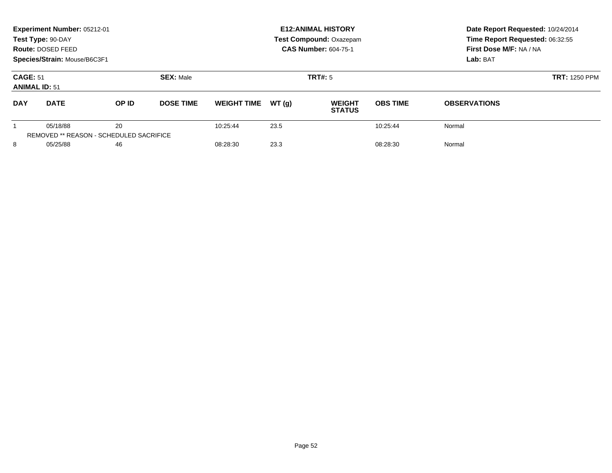| Experiment Number: 05212-01<br>Test Type: 90-DAY<br>Route: DOSED FEED<br>Species/Strain: Mouse/B6C3F1 |                |                                               |                  | <b>E12: ANIMAL HISTORY</b><br><b>Test Compound: Oxazepam</b><br><b>CAS Number: 604-75-1</b> |                |                                |                 | Date Report Requested: 10/24/2014<br>Time Report Requested: 06:32:55<br>First Dose M/F: NA / NA<br>Lab: BAT |  |
|-------------------------------------------------------------------------------------------------------|----------------|-----------------------------------------------|------------------|---------------------------------------------------------------------------------------------|----------------|--------------------------------|-----------------|-------------------------------------------------------------------------------------------------------------|--|
| <b>SEX: Male</b><br><b>CAGE: 51</b><br><b>ANIMAL ID: 51</b>                                           |                |                                               |                  |                                                                                             | <b>TRT#: 5</b> | <b>TRT: 1250 PPM</b>           |                 |                                                                                                             |  |
| <b>DAY</b>                                                                                            | <b>DATE</b>    | OP ID                                         | <b>DOSE TIME</b> | <b>WEIGHT TIME</b>                                                                          | WT(q)          | <b>WEIGHT</b><br><b>STATUS</b> | <b>OBS TIME</b> | <b>OBSERVATIONS</b>                                                                                         |  |
|                                                                                                       | 05/18/88       | 20<br>REMOVED ** REASON - SCHEDULED SACRIFICE |                  | 10:25:44                                                                                    | 23.5           |                                | 10:25:44        | Normal                                                                                                      |  |
| 8                                                                                                     | 05/25/88<br>46 |                                               |                  | 23.3<br>08:28:30<br>08:28:30                                                                |                |                                |                 | Normal                                                                                                      |  |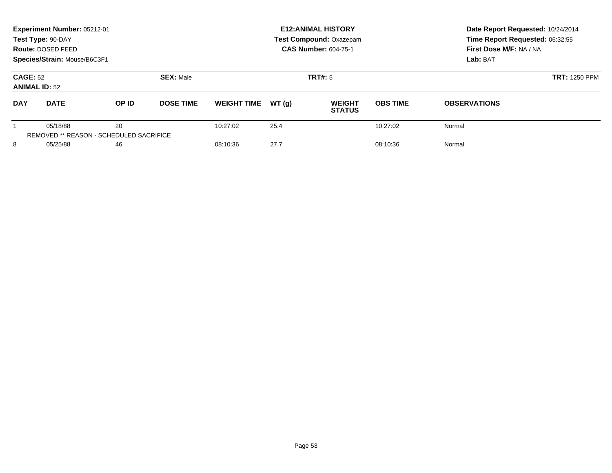| Experiment Number: 05212-01<br>Test Type: 90-DAY<br>Route: DOSED FEED<br>Species/Strain: Mouse/B6C3F1 |                                                     |       |                  | <b>E12: ANIMAL HISTORY</b><br><b>Test Compound: Oxazepam</b><br><b>CAS Number: 604-75-1</b> |                |                                |                 | Date Report Requested: 10/24/2014<br>Time Report Requested: 06:32:55<br>First Dose M/F: NA / NA<br>Lab: BAT |
|-------------------------------------------------------------------------------------------------------|-----------------------------------------------------|-------|------------------|---------------------------------------------------------------------------------------------|----------------|--------------------------------|-----------------|-------------------------------------------------------------------------------------------------------------|
| <b>SEX: Male</b><br><b>CAGE: 52</b><br><b>ANIMAL ID: 52</b>                                           |                                                     |       |                  |                                                                                             | <b>TRT#: 5</b> | <b>TRT: 1250 PPM</b>           |                 |                                                                                                             |
| <b>DAY</b>                                                                                            | <b>DATE</b>                                         | OP ID | <b>DOSE TIME</b> | <b>WEIGHT TIME</b>                                                                          | WT(q)          | <b>WEIGHT</b><br><b>STATUS</b> | <b>OBS TIME</b> | <b>OBSERVATIONS</b>                                                                                         |
|                                                                                                       | 05/18/88<br>REMOVED ** REASON - SCHEDULED SACRIFICE | 20    |                  | 10:27:02                                                                                    | 25.4           |                                | 10:27:02        | Normal                                                                                                      |
| 8                                                                                                     | 05/25/88<br>46                                      |       |                  | 27.7<br>08:10:36<br>08:10:36                                                                |                |                                | Normal          |                                                                                                             |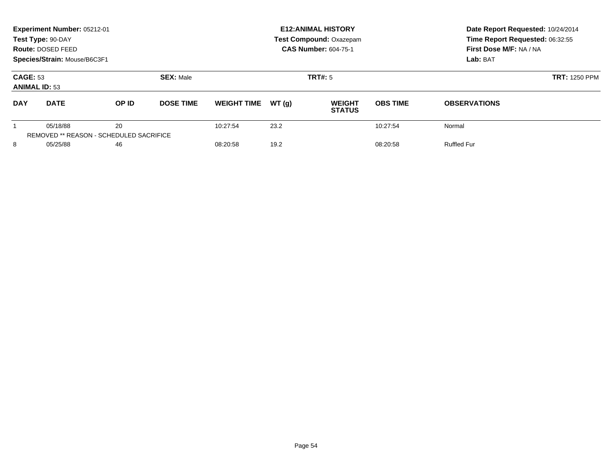|                                                             | Experiment Number: 05212-01<br>Test Type: 90-DAY<br>Route: DOSED FEED<br>Species/Strain: Mouse/B6C3F1 |       |                  | <b>E12: ANIMAL HISTORY</b><br><b>Test Compound: Oxazepam</b><br><b>CAS Number: 604-75-1</b> |                |                                |                    | Date Report Requested: 10/24/2014<br>Time Report Requested: 06:32:55<br>First Dose M/F: NA / NA<br>Lab: BAT |
|-------------------------------------------------------------|-------------------------------------------------------------------------------------------------------|-------|------------------|---------------------------------------------------------------------------------------------|----------------|--------------------------------|--------------------|-------------------------------------------------------------------------------------------------------------|
| <b>SEX: Male</b><br><b>CAGE: 53</b><br><b>ANIMAL ID: 53</b> |                                                                                                       |       |                  |                                                                                             | <b>TRT#: 5</b> | <b>TRT: 1250 PPM</b>           |                    |                                                                                                             |
| <b>DAY</b>                                                  | <b>DATE</b>                                                                                           | OP ID | <b>DOSE TIME</b> | <b>WEIGHT TIME</b>                                                                          | WT(q)          | <b>WEIGHT</b><br><b>STATUS</b> | <b>OBS TIME</b>    | <b>OBSERVATIONS</b>                                                                                         |
|                                                             | 05/18/88<br><b>REMOVED ** REASON - SCHEDULED SACRIFICE</b>                                            | 20    |                  | 10:27:54                                                                                    | 23.2           |                                | 10:27:54           | Normal                                                                                                      |
| 8                                                           | 05/25/88<br>46                                                                                        |       |                  | 19.2<br>08:20:58<br>08:20:58                                                                |                |                                | <b>Ruffled Fur</b> |                                                                                                             |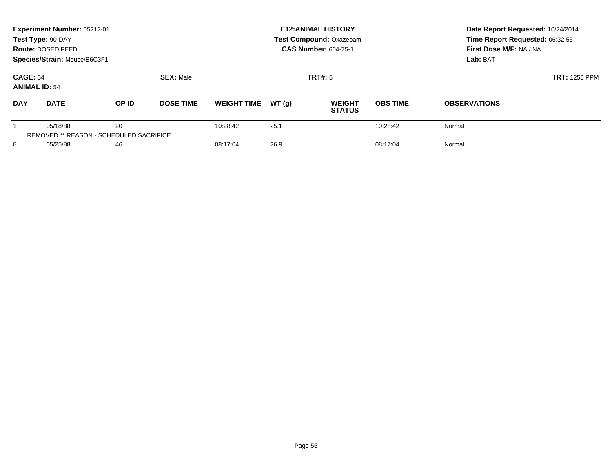| Experiment Number: 05212-01<br>Test Type: 90-DAY<br>Route: DOSED FEED<br>Species/Strain: Mouse/B6C3F1 |             |                                               |                  |                    |                | <b>E12: ANIMAL HISTORY</b><br><b>Test Compound: Oxazepam</b><br><b>CAS Number: 604-75-1</b> | Date Report Requested: 10/24/2014<br>Time Report Requested: 06:32:55<br>First Dose M/F: NA / NA<br>Lab: BAT |                     |
|-------------------------------------------------------------------------------------------------------|-------------|-----------------------------------------------|------------------|--------------------|----------------|---------------------------------------------------------------------------------------------|-------------------------------------------------------------------------------------------------------------|---------------------|
| <b>CAGE: 54</b><br><b>ANIMAL ID: 54</b>                                                               |             | <b>SEX: Male</b>                              |                  |                    | <b>TRT#: 5</b> |                                                                                             | <b>TRT: 1250 PPM</b>                                                                                        |                     |
| <b>DAY</b>                                                                                            | <b>DATE</b> | OP ID                                         | <b>DOSE TIME</b> | <b>WEIGHT TIME</b> | WT(q)          | <b>WEIGHT</b><br><b>STATUS</b>                                                              | <b>OBS TIME</b>                                                                                             | <b>OBSERVATIONS</b> |
|                                                                                                       | 05/18/88    | 20<br>REMOVED ** REASON - SCHEDULED SACRIFICE |                  | 10:28:42           | 25.1           |                                                                                             | 10:28:42                                                                                                    | Normal              |
| 8<br>05/25/88                                                                                         |             | 46                                            |                  | 08:17:04           | 26.9           |                                                                                             | 08:17:04                                                                                                    | Normal              |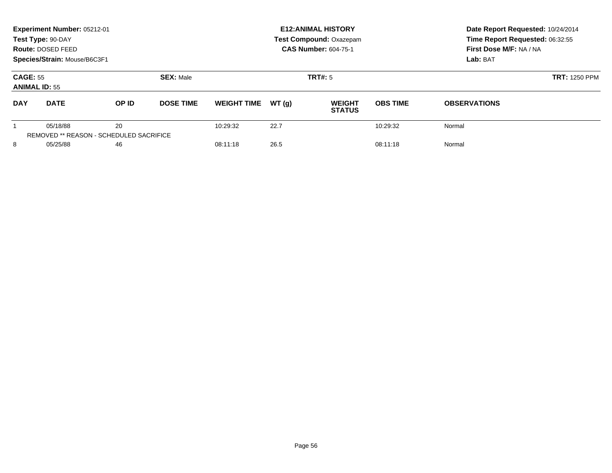| Experiment Number: 05212-01<br>Test Type: 90-DAY<br>Route: DOSED FEED<br>Species/Strain: Mouse/B6C3F1 |                                                     |                  |                  |                    |                | <b>E12: ANIMAL HISTORY</b><br><b>Test Compound: Oxazepam</b><br><b>CAS Number: 604-75-1</b> | Date Report Requested: 10/24/2014<br>Time Report Requested: 06:32:55<br>First Dose M/F: NA / NA<br>Lab: BAT |                     |
|-------------------------------------------------------------------------------------------------------|-----------------------------------------------------|------------------|------------------|--------------------|----------------|---------------------------------------------------------------------------------------------|-------------------------------------------------------------------------------------------------------------|---------------------|
| <b>CAGE: 55</b><br><b>ANIMAL ID: 55</b>                                                               |                                                     | <b>SEX: Male</b> |                  |                    | <b>TRT#: 5</b> |                                                                                             | <b>TRT: 1250 PPM</b>                                                                                        |                     |
| <b>DAY</b>                                                                                            | <b>DATE</b>                                         | OP ID            | <b>DOSE TIME</b> | <b>WEIGHT TIME</b> | WT(q)          | <b>WEIGHT</b><br><b>STATUS</b>                                                              | <b>OBS TIME</b>                                                                                             | <b>OBSERVATIONS</b> |
|                                                                                                       | 05/18/88<br>REMOVED ** REASON - SCHEDULED SACRIFICE | 20               |                  | 10:29:32           | 22.7           |                                                                                             | 10:29:32                                                                                                    | Normal              |
| 8<br>05/25/88                                                                                         |                                                     | 46               |                  | 08:11:18           | 26.5           |                                                                                             | 08:11:18                                                                                                    | Normal              |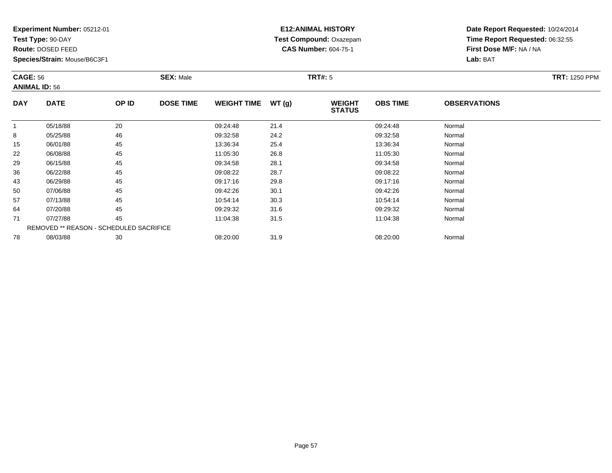**Test Type:** 90-DAY

**Route:** DOSED FEED

50

57

64

71

78

**Species/Strain:** Mouse/B6C3F1

REMOVED \*\* REASON - SCHEDULED SACRIFICE

#### **E12:ANIMAL HISTORY Test Compound:** Oxazepam**CAS Number:** 604-75-1

**Date Report Requested:** 10/24/2014**Time Report Requested:** 06:32:55**First Dose M/F:** NA / NA**Lab:** BAT

| <b>CAGE: 56</b><br><b>ANIMAL ID: 56</b> |             |       | <b>SEX: Male</b> |                    |       | TRT#: 5                        |                 |                     |  |  |  |
|-----------------------------------------|-------------|-------|------------------|--------------------|-------|--------------------------------|-----------------|---------------------|--|--|--|
| <b>DAY</b>                              | <b>DATE</b> | OP ID | <b>DOSE TIME</b> | <b>WEIGHT TIME</b> | WT(q) | <b>WEIGHT</b><br><b>STATUS</b> | <b>OBS TIME</b> | <b>OBSERVATIONS</b> |  |  |  |
|                                         | 05/18/88    | 20    |                  | 09:24:48           | 21.4  |                                | 09:24:48        | Normal              |  |  |  |
| 8                                       | 05/25/88    | 46    |                  | 09:32:58           | 24.2  |                                | 09:32:58        | Normal              |  |  |  |
| 15                                      | 06/01/88    | 45    |                  | 13:36:34           | 25.4  |                                | 13:36:34        | Normal              |  |  |  |
| 22                                      | 06/08/88    | 45    |                  | 11:05:30           | 26.8  |                                | 11:05:30        | Normal              |  |  |  |
| 29                                      | 06/15/88    | 45    |                  | 09:34:58           | 28.1  |                                | 09:34:58        | Normal              |  |  |  |
| 36                                      | 06/22/88    | 45    |                  | 09:08:22           | 28.7  |                                | 09:08:22        | Normal              |  |  |  |
| 43                                      | 06/29/88    | 45    |                  | 09:17:16           | 29.8  |                                | 09:17:16        | Normal              |  |  |  |

07/06/88 <sup>45</sup> 09:42:26 30.1 09:42:26 Normal

7 07/13/88 45 45 10:54:14 30.3 10.54:14 10:54:14 10:54:14 10:54:14

4 07/20/88 45 45 09:29:32 31.6 09:29:32 09:29:32 09:29:32 09:29:32 09:29:32

1 07/27/88 45 45 11:04:38 31.5 11:04:38 11:04 1 11:04:38 Normal

8 08/03/88 30 30 08:20:00 31.9 31.9 38:20:00 331.9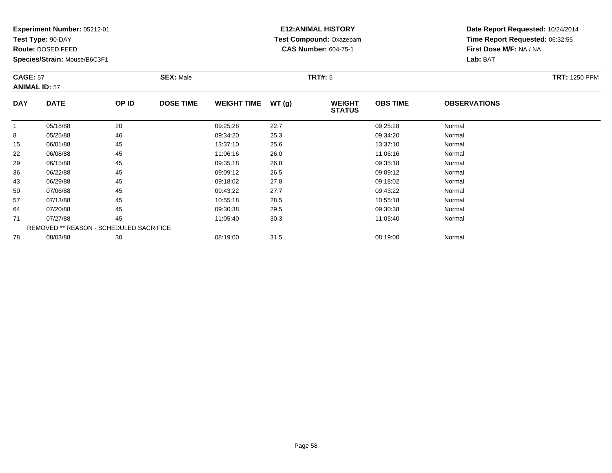**Test Type:** 90-DAY

**Route:** DOSED FEED

**Species/Strain:** Mouse/B6C3F1

#### **E12:ANIMAL HISTORY Test Compound:** Oxazepam**CAS Number:** 604-75-1

**Date Report Requested:** 10/24/2014**Time Report Requested:** 06:32:55**First Dose M/F:** NA / NA**Lab:** BAT

#### **CAGE:** 57 **SEX:** Male **TRT#:** <sup>5</sup> **TRT:** 1250 PPM**ANIMAL ID:** 57**DAY DATE OP IDDOSE TIME WEIGHT TIME WT** (g) **STATUSOBS TIME OBSERVATIONS** 11 05/18/88 20 09:25:28 22.7 09:25:28 Normal 88 05/25/88 46 09:34:20 25.3 09:34:20 Normal 155 06/01/88 45 45 13:37:10 25.6 13:07 13:37:10 13:37:10 13:37:10

| $\sim$ | 0000100  | ᠇◡                                             | .        | LV.V | .        | 110111101 |
|--------|----------|------------------------------------------------|----------|------|----------|-----------|
| 22     | 06/08/88 | 45                                             | 11:06:16 | 26.0 | 11:06:16 | Normal    |
| 29     | 06/15/88 | 45                                             | 09:35:18 | 26.8 | 09:35:18 | Normal    |
| 36     | 06/22/88 | 45                                             | 09:09:12 | 26.5 | 09:09:12 | Normal    |
| 43     | 06/29/88 | 45                                             | 09:18:02 | 27.8 | 09:18:02 | Normal    |
| 50     | 07/06/88 | 45                                             | 09:43:22 | 27.7 | 09:43:22 | Normal    |
| 57     | 07/13/88 | 45                                             | 10:55:18 | 28.5 | 10:55:18 | Normal    |
| 64     | 07/20/88 | 45                                             | 09:30:38 | 29.5 | 09:30:38 | Normal    |
| 71     | 07/27/88 | 45                                             | 11:05:40 | 30.3 | 11:05:40 | Normal    |
|        |          | <b>REMOVED ** REASON - SCHEDULED SACRIFICE</b> |          |      |          |           |
| 78     | 08/03/88 | 30                                             | 08:19:00 | 31.5 | 08:19:00 | Normal    |
|        |          |                                                |          |      |          |           |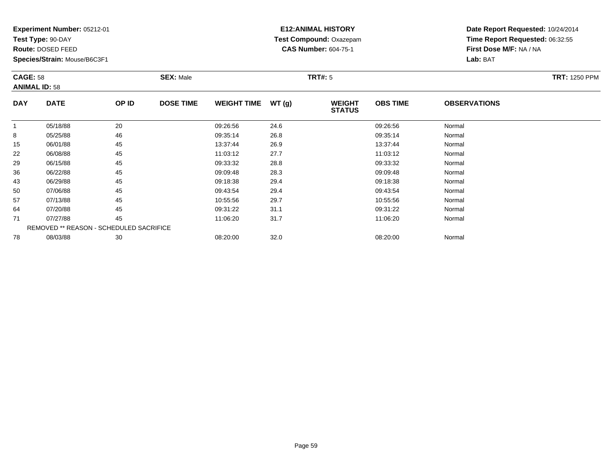**Test Type:** 90-DAY

**Route:** DOSED FEED

57

64

71

78

**Species/Strain:** Mouse/B6C3F1

REMOVED \*\* REASON - SCHEDULED SACRIFICE

#### **E12:ANIMAL HISTORY Test Compound:** Oxazepam**CAS Number:** 604-75-1

**Date Report Requested:** 10/24/2014**Time Report Requested:** 06:32:55**First Dose M/F:** NA / NA**Lab:** BAT

| <b>CAGE: 58</b><br><b>ANIMAL ID: 58</b> |             | <b>SEX: Male</b> | <b>TRT: 1250 PPM</b> |                    |       |                                |                 |                     |  |
|-----------------------------------------|-------------|------------------|----------------------|--------------------|-------|--------------------------------|-----------------|---------------------|--|
| <b>DAY</b>                              | <b>DATE</b> | OP ID            | <b>DOSE TIME</b>     | <b>WEIGHT TIME</b> | WT(g) | <b>WEIGHT</b><br><b>STATUS</b> | <b>OBS TIME</b> | <b>OBSERVATIONS</b> |  |
|                                         | 05/18/88    | 20               |                      | 09:26:56           | 24.6  |                                | 09:26:56        | Normal              |  |
| 8                                       | 05/25/88    | 46               |                      | 09:35:14           | 26.8  |                                | 09:35:14        | Normal              |  |
| 15                                      | 06/01/88    | 45               |                      | 13:37:44           | 26.9  |                                | 13:37:44        | Normal              |  |
| 22                                      | 06/08/88    | 45               |                      | 11:03:12           | 27.7  |                                | 11:03:12        | Normal              |  |
| 29                                      | 06/15/88    | 45               |                      | 09:33:32           | 28.8  |                                | 09:33:32        | Normal              |  |
| 36                                      | 06/22/88    | 45               |                      | 09:09:48           | 28.3  |                                | 09:09:48        | Normal              |  |
| 43                                      | 06/29/88    | 45               |                      | 09:18:38           | 29.4  |                                | 09:18:38        | Normal              |  |
| 50                                      | 07/06/88    | 45               |                      | 09:43:54           | 29.4  |                                | 09:43:54        | Normal              |  |

7 07/13/88 45 45 10:55:56 29.7 20.7 10:55:56 10:55:56 Normal

4 07/20/88 45 45 09:31:22 31.1 09:31:22 09:31:22 Normal

1 07/27/88 45 45 11:06:20 31.7 11:06:20 31.7 11:06:20 Normal

8 08/03/88 30 30 08:20:00 32.0 32.0 32.0 08:20:00 08:20:00 Normal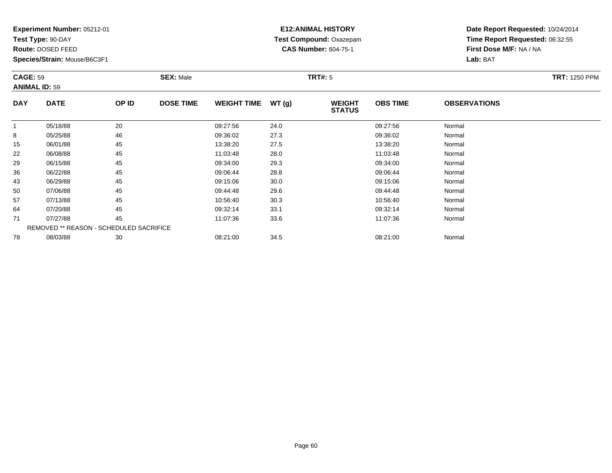**Test Type:** 90-DAY

**Route:** DOSED FEED

50

57

64

71

78

**Species/Strain:** Mouse/B6C3F1

REMOVED \*\* REASON - SCHEDULED SACRIFICE

#### **E12:ANIMAL HISTORY Test Compound:** Oxazepam**CAS Number:** 604-75-1

**Date Report Requested:** 10/24/2014**Time Report Requested:** 06:32:55**First Dose M/F:** NA / NA**Lab:** BAT

| <b>CAGE: 59</b><br><b>ANIMAL ID: 59</b> |             |       | <b>SEX: Male</b> |                    |       | <b>TRT#: 5</b>                 | <b>TRT: 1250 PPM</b> |                     |  |
|-----------------------------------------|-------------|-------|------------------|--------------------|-------|--------------------------------|----------------------|---------------------|--|
| <b>DAY</b>                              | <b>DATE</b> | OP ID | <b>DOSE TIME</b> | <b>WEIGHT TIME</b> | WT(g) | <b>WEIGHT</b><br><b>STATUS</b> | <b>OBS TIME</b>      | <b>OBSERVATIONS</b> |  |
|                                         | 05/18/88    | 20    |                  | 09:27:56           | 24.0  |                                | 09:27:56             | Normal              |  |
| 8                                       | 05/25/88    | 46    |                  | 09:36:02           | 27.3  |                                | 09:36:02             | Normal              |  |
| 15                                      | 06/01/88    | 45    |                  | 13:38:20           | 27.5  |                                | 13:38:20             | Normal              |  |
| 22                                      | 06/08/88    | 45    |                  | 11:03:48           | 28.0  |                                | 11:03:48             | Normal              |  |
| 29                                      | 06/15/88    | 45    |                  | 09:34:00           | 29.3  |                                | 09:34:00             | Normal              |  |
| 36                                      | 06/22/88    | 45    |                  | 09:06:44           | 28.8  |                                | 09:06:44             | Normal              |  |
| 43                                      | 06/29/88    | 45    |                  | 09:15:06           | 30.0  |                                | 09:15:06             | Normal              |  |

07/06/88 <sup>45</sup> 09:44:48 29.6 09:44:48 Normal

7 07/13/88 45 45 10:56:40 30.3 10:56:40 30.3 10:56:40 Normal

4 07/20/88 45 45 09:32:14 33.1 09:32 09:32 09:32 14 07/20/88

1 07/27/88 45 45 11:07:36 33.6 11:07:36 11:07:36 Normal

8 08/03/88 30 30 08:21:00 34.5 34.5 08:21:00 334.5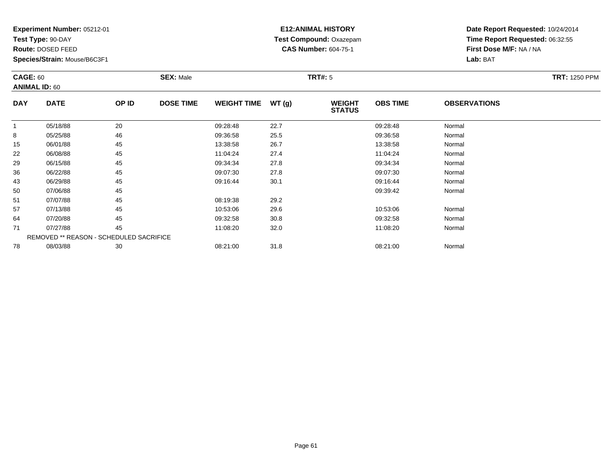**Test Type:** 90-DAY

**Route:** DOSED FEED

**Species/Strain:** Mouse/B6C3F1

## **E12:ANIMAL HISTORY Test Compound:** Oxazepam**CAS Number:** 604-75-1

**Date Report Requested:** 10/24/2014 **Time Report Requested:** 06:32:55**First Dose M/F:** NA / NA**Lab:** BAT

#### **CAGE:** 60**SEX:** Male **SEX:** Male **TRT#:** 5 **TRT#:** 5 **TRT TRT**: 1250 PPM **ANIMAL ID:** 60**DAY DATE OP IDDOSE TIME WEIGHT TIME WT** (g) **STATUSOBS TIMEOBSERVATIONS**

|    | 05/18/88 | 20                                      | 09:28:48 | 22.7 | 09:28:48 | Normal |  |
|----|----------|-----------------------------------------|----------|------|----------|--------|--|
| 8  | 05/25/88 | 46                                      | 09:36:58 | 25.5 | 09:36:58 | Normal |  |
| 15 | 06/01/88 | 45                                      | 13:38:58 | 26.7 | 13:38:58 | Normal |  |
| 22 | 06/08/88 | 45                                      | 11:04:24 | 27.4 | 11:04:24 | Normal |  |
| 29 | 06/15/88 | 45                                      | 09:34:34 | 27.8 | 09:34:34 | Normal |  |
| 36 | 06/22/88 | 45                                      | 09:07:30 | 27.8 | 09:07:30 | Normal |  |
| 43 | 06/29/88 | 45                                      | 09:16:44 | 30.1 | 09:16:44 | Normal |  |
| 50 | 07/06/88 | 45                                      |          |      | 09:39:42 | Normal |  |
| 51 | 07/07/88 | 45                                      | 08:19:38 | 29.2 |          |        |  |
| 57 | 07/13/88 | 45                                      | 10:53:06 | 29.6 | 10:53:06 | Normal |  |
| 64 | 07/20/88 | 45                                      | 09:32:58 | 30.8 | 09:32:58 | Normal |  |
| 71 | 07/27/88 | 45                                      | 11:08:20 | 32.0 | 11:08:20 | Normal |  |
|    |          | REMOVED ** REASON - SCHEDULED SACRIFICE |          |      |          |        |  |
| 78 | 08/03/88 | 30                                      | 08:21:00 | 31.8 | 08:21:00 | Normal |  |
|    |          |                                         |          |      |          |        |  |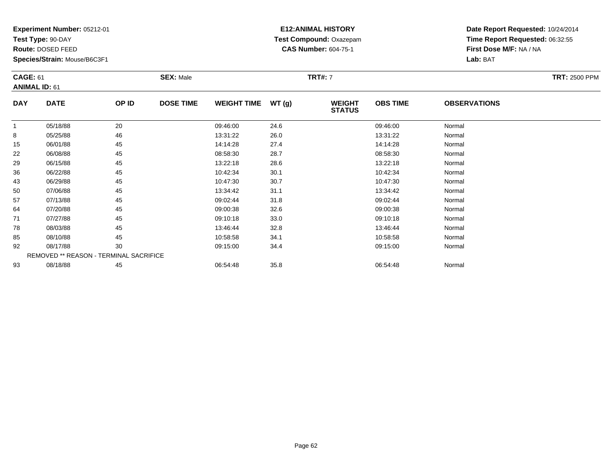**Test Type:** 90-DAY

**Route:** DOSED FEED

85

92

93

**Species/Strain:** Mouse/B6C3F1

REMOVED \*\* REASON - TERMINAL SACRIFICE

#### **E12:ANIMAL HISTORY Test Compound:** Oxazepam**CAS Number:** 604-75-1

**Date Report Requested:** 10/24/2014**Time Report Requested:** 06:32:55**First Dose M/F:** NA / NA**Lab:** BAT

|            | <b>CAGE: 61</b><br><b>ANIMAL ID: 61</b> |       | <b>SEX: Male</b> | <b>TRT: 2500 PPM</b> |       |                                |                 |                     |  |
|------------|-----------------------------------------|-------|------------------|----------------------|-------|--------------------------------|-----------------|---------------------|--|
| <b>DAY</b> | <b>DATE</b>                             | OP ID | <b>DOSE TIME</b> | <b>WEIGHT TIME</b>   | WT(g) | <b>WEIGHT</b><br><b>STATUS</b> | <b>OBS TIME</b> | <b>OBSERVATIONS</b> |  |
|            | 05/18/88                                | 20    |                  | 09:46:00             | 24.6  |                                | 09:46:00        | Normal              |  |
| 8          | 05/25/88                                | 46    |                  | 13:31:22             | 26.0  |                                | 13:31:22        | Normal              |  |
| 15         | 06/01/88                                | 45    |                  | 14:14:28             | 27.4  |                                | 14:14:28        | Normal              |  |
| 22         | 06/08/88                                | 45    |                  | 08:58:30             | 28.7  |                                | 08:58:30        | Normal              |  |
| 29         | 06/15/88                                | 45    |                  | 13:22:18             | 28.6  |                                | 13:22:18        | Normal              |  |
| 36         | 06/22/88                                | 45    |                  | 10:42:34             | 30.1  |                                | 10:42:34        | Normal              |  |
| 43         | 06/29/88                                | 45    |                  | 10:47:30             | 30.7  |                                | 10:47:30        | Normal              |  |
| 50         | 07/06/88                                | 45    |                  | 13:34:42             | 31.1  |                                | 13:34:42        | Normal              |  |
| 57         | 07/13/88                                | 45    |                  | 09:02:44             | 31.8  |                                | 09:02:44        | Normal              |  |
| 64         | 07/20/88                                | 45    |                  | 09:00:38             | 32.6  |                                | 09:00:38        | Normal              |  |
| 71         | 07/27/88                                | 45    |                  | 09:10:18             | 33.0  |                                | 09:10:18        | Normal              |  |
| 78         | 08/03/88                                | 45    |                  | 13:46:44             | 32.8  |                                | 13:46:44        | Normal              |  |

08/10/88 <sup>45</sup> 10:58:58 34.1 10:58:58 Normal

2 08/17/88 30 30 09:15:00 34.4 09:15:00 09:15:00 09:15:00 09:15:00 Normal

08/18/88 <sup>45</sup> 06:54:48 35.8 06:54:48 Normal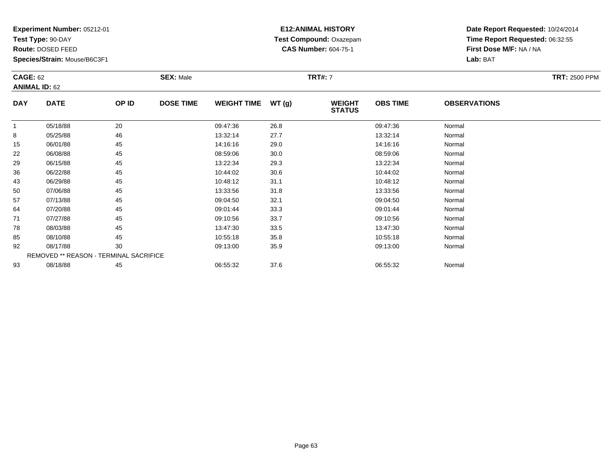**Test Type:** 90-DAY

**Route:** DOSED FEED

93

**Species/Strain:** Mouse/B6C3F1

REMOVED \*\* REASON - TERMINAL SACRIFICE

#### **E12:ANIMAL HISTORY Test Compound:** Oxazepam**CAS Number:** 604-75-1

**Date Report Requested:** 10/24/2014**Time Report Requested:** 06:32:55**First Dose M/F:** NA / NA**Lab:** BAT

|            | <b>CAGE: 62</b><br><b>ANIMAL ID: 62</b> |       | <b>SEX: Male</b> |                    |       | <b>TRT#: 7</b>                 | <b>TRT: 2500 PPM</b> |                     |  |
|------------|-----------------------------------------|-------|------------------|--------------------|-------|--------------------------------|----------------------|---------------------|--|
| <b>DAY</b> | <b>DATE</b>                             | OP ID | <b>DOSE TIME</b> | <b>WEIGHT TIME</b> | WT(g) | <b>WEIGHT</b><br><b>STATUS</b> | <b>OBS TIME</b>      | <b>OBSERVATIONS</b> |  |
|            | 05/18/88                                | 20    |                  | 09:47:36           | 26.8  |                                | 09:47:36             | Normal              |  |
| 8          | 05/25/88                                | 46    |                  | 13:32:14           | 27.7  |                                | 13:32:14             | Normal              |  |
| 15         | 06/01/88                                | 45    |                  | 14:16:16           | 29.0  |                                | 14:16:16             | Normal              |  |
| 22         | 06/08/88                                | 45    |                  | 08:59:06           | 30.0  |                                | 08:59:06             | Normal              |  |
| 29         | 06/15/88                                | 45    |                  | 13:22:34           | 29.3  |                                | 13:22:34             | Normal              |  |
| 36         | 06/22/88                                | 45    |                  | 10:44:02           | 30.6  |                                | 10:44:02             | Normal              |  |
| 43         | 06/29/88                                | 45    |                  | 10:48:12           | 31.1  |                                | 10:48:12             | Normal              |  |
| 50         | 07/06/88                                | 45    |                  | 13:33:56           | 31.8  |                                | 13:33:56             | Normal              |  |
| 57         | 07/13/88                                | 45    |                  | 09:04:50           | 32.1  |                                | 09:04:50             | Normal              |  |
| 64         | 07/20/88                                | 45    |                  | 09:01:44           | 33.3  |                                | 09:01:44             | Normal              |  |
| 71         | 07/27/88                                | 45    |                  | 09:10:56           | 33.7  |                                | 09:10:56             | Normal              |  |
| 78         | 08/03/88                                | 45    |                  | 13:47:30           | 33.5  |                                | 13:47:30             | Normal              |  |
| 85         | 08/10/88                                | 45    |                  | 10:55:18           | 35.8  |                                | 10:55:18             | Normal              |  |
| 92         | 08/17/88                                | 30    |                  | 09:13:00           | 35.9  |                                | 09:13:00             | Normal              |  |

08/18/88 <sup>45</sup> 06:55:32 37.6 06:55:32 Normal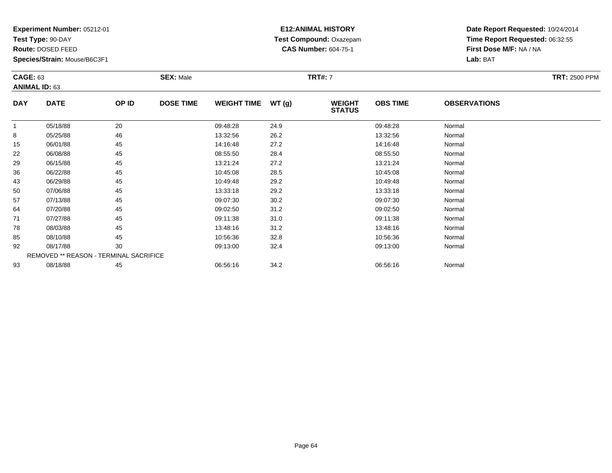**Test Type:** 90-DAY

**Route:** DOSED FEED

78

85

92

93

**Species/Strain:** Mouse/B6C3F1

REMOVED \*\* REASON - TERMINAL SACRIFICE

#### **E12:ANIMAL HISTORY Test Compound:** Oxazepam**CAS Number:** 604-75-1

**Date Report Requested:** 10/24/2014**Time Report Requested:** 06:32:55**First Dose M/F:** NA / NA**Lab:** BAT

| <b>CAGE: 63</b><br><b>ANIMAL ID: 63</b> |             | <b>SEX: Male</b><br><b>TRT#: 7</b> |                  |                    |       |                                |                 | <b>TRT: 2500 PPM</b> |  |
|-----------------------------------------|-------------|------------------------------------|------------------|--------------------|-------|--------------------------------|-----------------|----------------------|--|
| <b>DAY</b>                              | <b>DATE</b> | OP ID                              | <b>DOSE TIME</b> | <b>WEIGHT TIME</b> | WT(g) | <b>WEIGHT</b><br><b>STATUS</b> | <b>OBS TIME</b> | <b>OBSERVATIONS</b>  |  |
|                                         | 05/18/88    | 20                                 |                  | 09:48:28           | 24.9  |                                | 09:48:28        | Normal               |  |
| 8                                       | 05/25/88    | 46                                 |                  | 13:32:56           | 26.2  |                                | 13:32:56        | Normal               |  |
| 15                                      | 06/01/88    | 45                                 |                  | 14:16:48           | 27.2  |                                | 14:16:48        | Normal               |  |
| 22                                      | 06/08/88    | 45                                 |                  | 08:55:50           | 28.4  |                                | 08:55:50        | Normal               |  |
| 29                                      | 06/15/88    | 45                                 |                  | 13:21:24           | 27.2  |                                | 13:21:24        | Normal               |  |
| 36                                      | 06/22/88    | 45                                 |                  | 10:45:08           | 28.5  |                                | 10:45:08        | Normal               |  |
| 43                                      | 06/29/88    | 45                                 |                  | 10:49:48           | 29.2  |                                | 10:49:48        | Normal               |  |
| 50                                      | 07/06/88    | 45                                 |                  | 13:33:18           | 29.2  |                                | 13:33:18        | Normal               |  |
| 57                                      | 07/13/88    | 45                                 |                  | 09:07:30           | 30.2  |                                | 09:07:30        | Normal               |  |
| 64                                      | 07/20/88    | 45                                 |                  | 09:02:50           | 31.2  |                                | 09:02:50        | Normal               |  |
| 71                                      | 07/27/88    | 45                                 |                  | 09:11:38           | 31.0  |                                | 09:11:38        | Normal               |  |

8 08/03/88 45 13:48:16 31.2 13:48:16 Normal

5 08/10/88 45 45 10:56:36 32.8 32.8 10:56:36 10:56:36 Normal

2 08/17/88 30 30 09:13:00 32.4 09:13:00 09:13:00 32.4

08/18/88 <sup>45</sup> 06:56:16 34.2 06:56:16 Normal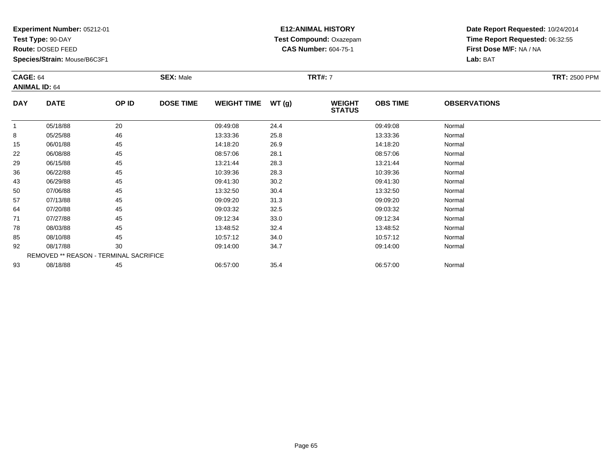**Test Type:** 90-DAY

**Route:** DOSED FEED

92

93

**Species/Strain:** Mouse/B6C3F1

REMOVED \*\* REASON - TERMINAL SACRIFICE

#### **E12:ANIMAL HISTORY Test Compound:** Oxazepam**CAS Number:** 604-75-1

**Date Report Requested:** 10/24/2014**Time Report Requested:** 06:32:55**First Dose M/F:** NA / NA**Lab:** BAT

|            | <b>CAGE: 64</b><br><b>ANIMAL ID: 64</b> |       | <b>SEX: Male</b> | <b>TRT#: 7</b>     |       |                                |                 |                     |  |  |
|------------|-----------------------------------------|-------|------------------|--------------------|-------|--------------------------------|-----------------|---------------------|--|--|
| <b>DAY</b> | <b>DATE</b>                             | OP ID | <b>DOSE TIME</b> | <b>WEIGHT TIME</b> | WT(g) | <b>WEIGHT</b><br><b>STATUS</b> | <b>OBS TIME</b> | <b>OBSERVATIONS</b> |  |  |
|            | 05/18/88                                | 20    |                  | 09:49:08           | 24.4  |                                | 09:49:08        | Normal              |  |  |
| 8          | 05/25/88                                | 46    |                  | 13:33:36           | 25.8  |                                | 13:33:36        | Normal              |  |  |
| 15         | 06/01/88                                | 45    |                  | 14:18:20           | 26.9  |                                | 14:18:20        | Normal              |  |  |
| 22         | 06/08/88                                | 45    |                  | 08:57:06           | 28.1  |                                | 08:57:06        | Normal              |  |  |
| 29         | 06/15/88                                | 45    |                  | 13:21:44           | 28.3  |                                | 13:21:44        | Normal              |  |  |
| 36         | 06/22/88                                | 45    |                  | 10:39:36           | 28.3  |                                | 10:39:36        | Normal              |  |  |
| 43         | 06/29/88                                | 45    |                  | 09:41:30           | 30.2  |                                | 09:41:30        | Normal              |  |  |
| 50         | 07/06/88                                | 45    |                  | 13:32:50           | 30.4  |                                | 13:32:50        | Normal              |  |  |
| 57         | 07/13/88                                | 45    |                  | 09:09:20           | 31.3  |                                | 09:09:20        | Normal              |  |  |
| 64         | 07/20/88                                | 45    |                  | 09:03:32           | 32.5  |                                | 09:03:32        | Normal              |  |  |
| 71         | 07/27/88                                | 45    |                  | 09:12:34           | 33.0  |                                | 09:12:34        | Normal              |  |  |
| 78         | 08/03/88                                | 45    |                  | 13:48:52           | 32.4  |                                | 13:48:52        | Normal              |  |  |
| 85         | 08/10/88                                | 45    |                  | 10:57:12           | 34.0  |                                | 10:57:12        | Normal              |  |  |

2 08/17/88 30 30 09:14:00 34.7 34.7 09:14:00 09:14:00 Normal

08/18/88 <sup>45</sup> 06:57:00 35.4 06:57:00 Normal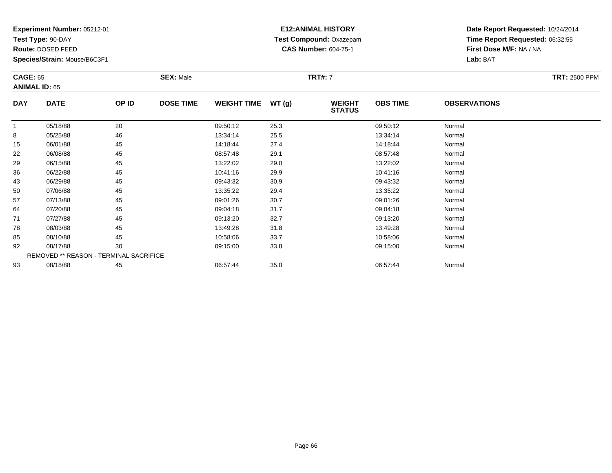**Test Type:** 90-DAY

**Route:** DOSED FEED

93

**Species/Strain:** Mouse/B6C3F1

#### **E12:ANIMAL HISTORY Test Compound:** Oxazepam**CAS Number:** 604-75-1

**Date Report Requested:** 10/24/2014**Time Report Requested:** 06:32:55**First Dose M/F:** NA / NA**Lab:** BAT

|            | <b>CAGE: 65</b><br><b>ANIMAL ID: 65</b>       |       | <b>SEX: Male</b> | <b>TRT#: 7</b>     |       |                                |                 |                     |  |  |
|------------|-----------------------------------------------|-------|------------------|--------------------|-------|--------------------------------|-----------------|---------------------|--|--|
| <b>DAY</b> | <b>DATE</b>                                   | OP ID | <b>DOSE TIME</b> | <b>WEIGHT TIME</b> | WT(g) | <b>WEIGHT</b><br><b>STATUS</b> | <b>OBS TIME</b> | <b>OBSERVATIONS</b> |  |  |
|            | 05/18/88                                      | 20    |                  | 09:50:12           | 25.3  |                                | 09:50:12        | Normal              |  |  |
| 8          | 05/25/88                                      | 46    |                  | 13:34:14           | 25.5  |                                | 13:34:14        | Normal              |  |  |
| 15         | 06/01/88                                      | 45    |                  | 14:18:44           | 27.4  |                                | 14:18:44        | Normal              |  |  |
| 22         | 06/08/88                                      | 45    |                  | 08:57:48           | 29.1  |                                | 08:57:48        | Normal              |  |  |
| 29         | 06/15/88                                      | 45    |                  | 13:22:02           | 29.0  |                                | 13:22:02        | Normal              |  |  |
| 36         | 06/22/88                                      | 45    |                  | 10:41:16           | 29.9  |                                | 10:41:16        | Normal              |  |  |
| 43         | 06/29/88                                      | 45    |                  | 09:43:32           | 30.9  |                                | 09:43:32        | Normal              |  |  |
| 50         | 07/06/88                                      | 45    |                  | 13:35:22           | 29.4  |                                | 13:35:22        | Normal              |  |  |
| 57         | 07/13/88                                      | 45    |                  | 09:01:26           | 30.7  |                                | 09:01:26        | Normal              |  |  |
| 64         | 07/20/88                                      | 45    |                  | 09:04:18           | 31.7  |                                | 09:04:18        | Normal              |  |  |
| 71         | 07/27/88                                      | 45    |                  | 09:13:20           | 32.7  |                                | 09:13:20        | Normal              |  |  |
| 78         | 08/03/88                                      | 45    |                  | 13:49:28           | 31.8  |                                | 13:49:28        | Normal              |  |  |
| 85         | 08/10/88                                      | 45    |                  | 10:58:06           | 33.7  |                                | 10:58:06        | Normal              |  |  |
| 92         | 08/17/88                                      | 30    |                  | 09:15:00           | 33.8  |                                | 09:15:00        | Normal              |  |  |
|            | <b>REMOVED ** REASON - TERMINAL SACRIFICE</b> |       |                  |                    |       |                                |                 |                     |  |  |

08/18/88 <sup>45</sup> 06:57:44 35.0 06:57:44 Normal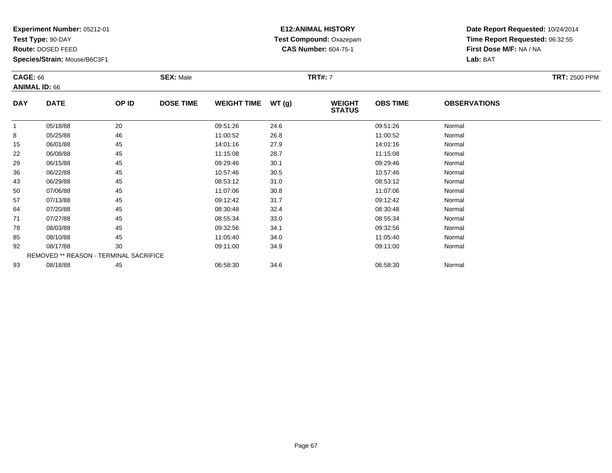**Test Type:** 90-DAY

**Route:** DOSED FEED

93

**Species/Strain:** Mouse/B6C3F1

#### **E12:ANIMAL HISTORY Test Compound:** Oxazepam**CAS Number:** 604-75-1

**Date Report Requested:** 10/24/2014**Time Report Requested:** 06:32:55**First Dose M/F:** NA / NA**Lab:** BAT

| <b>CAGE: 66</b><br><b>ANIMAL ID: 66</b> |             |                                               | <b>SEX: Male</b> |                    |       | <b>TRT#: 7</b>                 | <b>TRT: 2500 PPM</b> |                     |  |
|-----------------------------------------|-------------|-----------------------------------------------|------------------|--------------------|-------|--------------------------------|----------------------|---------------------|--|
| <b>DAY</b>                              | <b>DATE</b> | OP ID                                         | <b>DOSE TIME</b> | <b>WEIGHT TIME</b> | WT(g) | <b>WEIGHT</b><br><b>STATUS</b> | <b>OBS TIME</b>      | <b>OBSERVATIONS</b> |  |
| 1                                       | 05/18/88    | 20                                            |                  | 09:51:26           | 24.6  |                                | 09:51:26             | Normal              |  |
| 8                                       | 05/25/88    | 46                                            |                  | 11:00:52           | 26.8  |                                | 11:00:52             | Normal              |  |
| 15                                      | 06/01/88    | 45                                            |                  | 14:01:16           | 27.9  |                                | 14:01:16             | Normal              |  |
| 22                                      | 06/08/88    | 45                                            |                  | 11:15:08           | 28.7  |                                | 11:15:08             | Normal              |  |
| 29                                      | 06/15/88    | 45                                            |                  | 09:29:46           | 30.1  |                                | 09:29:46             | Normal              |  |
| 36                                      | 06/22/88    | 45                                            |                  | 10:57:46           | 30.5  |                                | 10:57:46             | Normal              |  |
| 43                                      | 06/29/88    | 45                                            |                  | 08:53:12           | 31.0  |                                | 08:53:12             | Normal              |  |
| 50                                      | 07/06/88    | 45                                            |                  | 11:07:06           | 30.8  |                                | 11:07:06             | Normal              |  |
| 57                                      | 07/13/88    | 45                                            |                  | 09:12:42           | 31.7  |                                | 09:12:42             | Normal              |  |
| 64                                      | 07/20/88    | 45                                            |                  | 08:30:48           | 32.4  |                                | 08:30:48             | Normal              |  |
| 71                                      | 07/27/88    | 45                                            |                  | 08:55:34           | 33.0  |                                | 08:55:34             | Normal              |  |
| 78                                      | 08/03/88    | 45                                            |                  | 09:32:56           | 34.1  |                                | 09:32:56             | Normal              |  |
| 85                                      | 08/10/88    | 45                                            |                  | 11:05:40           | 34.0  |                                | 11:05:40             | Normal              |  |
| 92                                      | 08/17/88    | 30                                            |                  | 09:11:00           | 34.9  |                                | 09:11:00             | Normal              |  |
|                                         |             | <b>REMOVED ** REASON - TERMINAL SACRIFICE</b> |                  |                    |       |                                |                      |                     |  |

3 08/18/88 45 45 06:58:30 34.6 34.6 06:58:30 08/18/88 Normal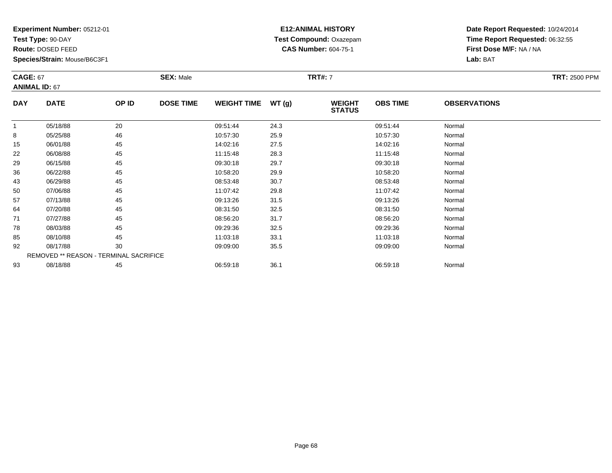**Test Type:** 90-DAY

**Route:** DOSED FEED

71

78

85

92

93

**Species/Strain:** Mouse/B6C3F1

REMOVED \*\* REASON - TERMINAL SACRIFICE

#### **E12:ANIMAL HISTORY Test Compound:** Oxazepam**CAS Number:** 604-75-1

**Date Report Requested:** 10/24/2014**Time Report Requested:** 06:32:55**First Dose M/F:** NA / NA**Lab:** BAT

| <b>CAGE: 67</b><br><b>ANIMAL ID: 67</b> |             | <b>SEX: Male</b> |                  |                    | <b>TRT#: 7</b> | <b>TRT: 2500 PPM</b>           |                 |                     |  |
|-----------------------------------------|-------------|------------------|------------------|--------------------|----------------|--------------------------------|-----------------|---------------------|--|
| <b>DAY</b>                              | <b>DATE</b> | OP ID            | <b>DOSE TIME</b> | <b>WEIGHT TIME</b> | WT(g)          | <b>WEIGHT</b><br><b>STATUS</b> | <b>OBS TIME</b> | <b>OBSERVATIONS</b> |  |
|                                         | 05/18/88    | 20               |                  | 09:51:44           | 24.3           |                                | 09:51:44        | Normal              |  |
| 8                                       | 05/25/88    | 46               |                  | 10:57:30           | 25.9           |                                | 10:57:30        | Normal              |  |
| 15                                      | 06/01/88    | 45               |                  | 14:02:16           | 27.5           |                                | 14:02:16        | Normal              |  |
| 22                                      | 06/08/88    | 45               |                  | 11:15:48           | 28.3           |                                | 11:15:48        | Normal              |  |
| 29                                      | 06/15/88    | 45               |                  | 09:30:18           | 29.7           |                                | 09:30:18        | Normal              |  |
| 36                                      | 06/22/88    | 45               |                  | 10:58:20           | 29.9           |                                | 10:58:20        | Normal              |  |
| 43                                      | 06/29/88    | 45               |                  | 08:53:48           | 30.7           |                                | 08:53:48        | Normal              |  |
| 50                                      | 07/06/88    | 45               |                  | 11:07:42           | 29.8           |                                | 11:07:42        | Normal              |  |
| 57                                      | 07/13/88    | 45               |                  | 09:13:26           | 31.5           |                                | 09:13:26        | Normal              |  |
| 64                                      | 07/20/88    | 45               |                  | 08:31:50           | 32.5           |                                | 08:31:50        | Normal              |  |

4 07/20/88 45 45 08:31:50 32.5 32.5 08:31:50 08:31:50 Normal

1 07/27/88 45 45 08:56:20 31.7 31.7 08:56:20 08:56:20 Normal

8 08/03/88 45 45 09:29:36 32.5 36 09:29:36 09:29:36 09:29:36 09:29:36 09:29:36 09:29:36

08/10/88 <sup>45</sup> 11:03:18 33.1 11:03:18 Normal

2 08/17/88 30 30 09:09:00 35.5 09:09 09:09 30 09:00 35.5

3 08/18/88 45 45 06:59:18 36.1 36.1 06:59:18 36.1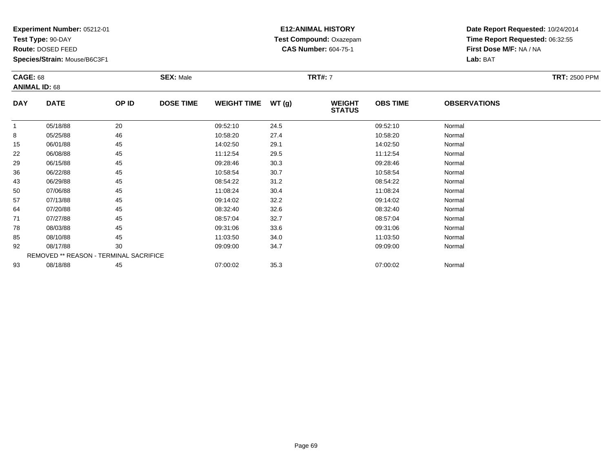**Test Type:** 90-DAY

**Route:** DOSED FEED

93

**Species/Strain:** Mouse/B6C3F1

## **E12:ANIMAL HISTORY Test Compound:** Oxazepam**CAS Number:** 604-75-1

**Date Report Requested:** 10/24/2014**Time Report Requested:** 06:32:55**First Dose M/F:** NA / NA**Lab:** BAT

| <b>CAGE: 68</b><br><b>ANIMAL ID: 68</b> |                                        | <b>SEX: Male</b> |                  | <b>TRT#: 7</b>     |       |                                |                 | <b>TRT: 2500 PPM</b> |  |
|-----------------------------------------|----------------------------------------|------------------|------------------|--------------------|-------|--------------------------------|-----------------|----------------------|--|
| <b>DAY</b>                              | <b>DATE</b>                            | OP ID            | <b>DOSE TIME</b> | <b>WEIGHT TIME</b> | WT(g) | <b>WEIGHT</b><br><b>STATUS</b> | <b>OBS TIME</b> | <b>OBSERVATIONS</b>  |  |
|                                         | 05/18/88                               | 20               |                  | 09:52:10           | 24.5  |                                | 09:52:10        | Normal               |  |
| 8                                       | 05/25/88                               | 46               |                  | 10:58:20           | 27.4  |                                | 10:58:20        | Normal               |  |
| 15                                      | 06/01/88                               | 45               |                  | 14:02:50           | 29.1  |                                | 14:02:50        | Normal               |  |
| 22                                      | 06/08/88                               | 45               |                  | 11:12:54           | 29.5  |                                | 11:12:54        | Normal               |  |
| 29                                      | 06/15/88                               | 45               |                  | 09:28:46           | 30.3  |                                | 09:28:46        | Normal               |  |
| 36                                      | 06/22/88                               | 45               |                  | 10:58:54           | 30.7  |                                | 10:58:54        | Normal               |  |
| 43                                      | 06/29/88                               | 45               |                  | 08:54:22           | 31.2  |                                | 08:54:22        | Normal               |  |
| 50                                      | 07/06/88                               | 45               |                  | 11:08:24           | 30.4  |                                | 11:08:24        | Normal               |  |
| 57                                      | 07/13/88                               | 45               |                  | 09:14:02           | 32.2  |                                | 09:14:02        | Normal               |  |
| 64                                      | 07/20/88                               | 45               |                  | 08:32:40           | 32.6  |                                | 08:32:40        | Normal               |  |
| 71                                      | 07/27/88                               | 45               |                  | 08:57:04           | 32.7  |                                | 08:57:04        | Normal               |  |
| 78                                      | 08/03/88                               | 45               |                  | 09:31:06           | 33.6  |                                | 09:31:06        | Normal               |  |
| 85                                      | 08/10/88                               | 45               |                  | 11:03:50           | 34.0  |                                | 11:03:50        | Normal               |  |
| 92                                      | 08/17/88                               | 30               |                  | 09:09:00           | 34.7  |                                | 09:09:00        | Normal               |  |
|                                         | REMOVED ** REASON - TERMINAL SACRIFICE |                  |                  |                    |       |                                |                 |                      |  |

08/18/88 <sup>45</sup> 07:00:02 35.3 07:00:02 Normal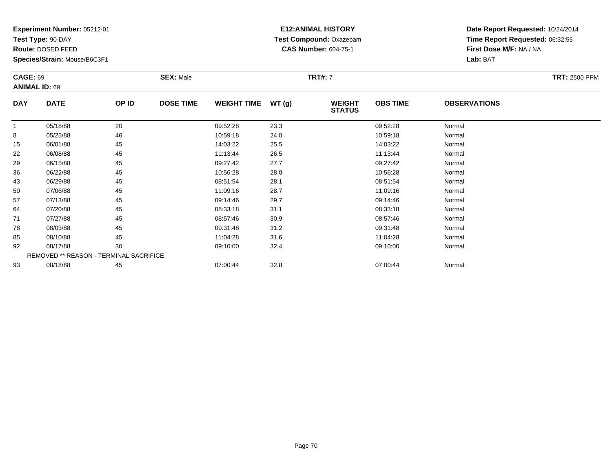**Test Type:** 90-DAY

**Route:** DOSED FEED

93

**Species/Strain:** Mouse/B6C3F1

#### **E12:ANIMAL HISTORY Test Compound:** Oxazepam**CAS Number:** 604-75-1

**Date Report Requested:** 10/24/2014**Time Report Requested:** 06:32:55**First Dose M/F:** NA / NA**Lab:** BAT

| <b>CAGE: 69</b><br><b>ANIMAL ID: 69</b> |             |                                        | <b>SEX: Male</b> |                    |       | <b>TRT#: 7</b>                 |                 |                     | <b>TRT: 2500 PPM</b> |
|-----------------------------------------|-------------|----------------------------------------|------------------|--------------------|-------|--------------------------------|-----------------|---------------------|----------------------|
| <b>DAY</b>                              | <b>DATE</b> | OP ID                                  | <b>DOSE TIME</b> | <b>WEIGHT TIME</b> | WT(g) | <b>WEIGHT</b><br><b>STATUS</b> | <b>OBS TIME</b> | <b>OBSERVATIONS</b> |                      |
| 1                                       | 05/18/88    | 20                                     |                  | 09:52:28           | 23.3  |                                | 09:52:28        | Normal              |                      |
| 8                                       | 05/25/88    | 46                                     |                  | 10:59:18           | 24.0  |                                | 10:59:18        | Normal              |                      |
| 15                                      | 06/01/88    | 45                                     |                  | 14:03:22           | 25.5  |                                | 14:03:22        | Normal              |                      |
| 22                                      | 06/08/88    | 45                                     |                  | 11:13:44           | 26.5  |                                | 11:13:44        | Normal              |                      |
| 29                                      | 06/15/88    | 45                                     |                  | 09:27:42           | 27.7  |                                | 09:27:42        | Normal              |                      |
| 36                                      | 06/22/88    | 45                                     |                  | 10:56:28           | 28.0  |                                | 10:56:28        | Normal              |                      |
| 43                                      | 06/29/88    | 45                                     |                  | 08:51:54           | 28.1  |                                | 08:51:54        | Normal              |                      |
| 50                                      | 07/06/88    | 45                                     |                  | 11:09:16           | 28.7  |                                | 11:09:16        | Normal              |                      |
| 57                                      | 07/13/88    | 45                                     |                  | 09:14:46           | 29.7  |                                | 09:14:46        | Normal              |                      |
| 64                                      | 07/20/88    | 45                                     |                  | 08:33:18           | 31.1  |                                | 08:33:18        | Normal              |                      |
| 71                                      | 07/27/88    | 45                                     |                  | 08:57:46           | 30.9  |                                | 08:57:46        | Normal              |                      |
| 78                                      | 08/03/88    | 45                                     |                  | 09:31:48           | 31.2  |                                | 09:31:48        | Normal              |                      |
| 85                                      | 08/10/88    | 45                                     |                  | 11:04:28           | 31.6  |                                | 11:04:28        | Normal              |                      |
| 92                                      | 08/17/88    | 30                                     |                  | 09:10:00           | 32.4  |                                | 09:10:00        | Normal              |                      |
|                                         |             | REMOVED ** REASON - TERMINAL SACRIFICE |                  |                    |       |                                |                 |                     |                      |

08/18/88 <sup>45</sup> 07:00:44 32.8 07:00:44 Normal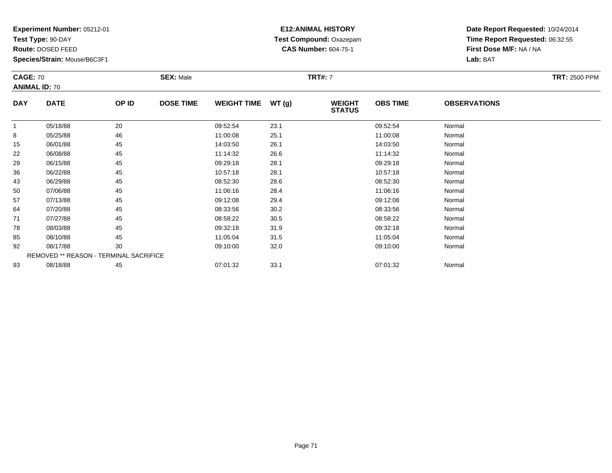**Test Type:** 90-DAY

**Route:** DOSED FEED

93

**Species/Strain:** Mouse/B6C3F1

REMOVED \*\* REASON - TERMINAL SACRIFICE

#### **E12:ANIMAL HISTORY Test Compound:** Oxazepam**CAS Number:** 604-75-1

**Date Report Requested:** 10/24/2014**Time Report Requested:** 06:32:55**First Dose M/F:** NA / NA**Lab:** BAT

| <b>CAGE: 70</b><br><b>ANIMAL ID: 70</b> |             | <b>SEX: Male</b> |                  | <b>TRT#: 7</b>     |       |                                |                 | <b>TRT: 2500 PPM</b> |  |
|-----------------------------------------|-------------|------------------|------------------|--------------------|-------|--------------------------------|-----------------|----------------------|--|
| <b>DAY</b>                              | <b>DATE</b> | OP ID            | <b>DOSE TIME</b> | <b>WEIGHT TIME</b> | WT(g) | <b>WEIGHT</b><br><b>STATUS</b> | <b>OBS TIME</b> | <b>OBSERVATIONS</b>  |  |
| 1                                       | 05/18/88    | 20               |                  | 09:52:54           | 23.1  |                                | 09:52:54        | Normal               |  |
| 8                                       | 05/25/88    | 46               |                  | 11:00:08           | 25.1  |                                | 11:00:08        | Normal               |  |
| 15                                      | 06/01/88    | 45               |                  | 14:03:50           | 26.1  |                                | 14:03:50        | Normal               |  |
| 22                                      | 06/08/88    | 45               |                  | 11:14:32           | 26.6  |                                | 11:14:32        | Normal               |  |
| 29                                      | 06/15/88    | 45               |                  | 09:29:18           | 28.1  |                                | 09:29:18        | Normal               |  |
| 36                                      | 06/22/88    | 45               |                  | 10:57:18           | 28.1  |                                | 10:57:18        | Normal               |  |
| 43                                      | 06/29/88    | 45               |                  | 08:52:30           | 28.6  |                                | 08:52:30        | Normal               |  |
| 50                                      | 07/06/88    | 45               |                  | 11:06:16           | 28.4  |                                | 11:06:16        | Normal               |  |
| 57                                      | 07/13/88    | 45               |                  | 09:12:08           | 29.4  |                                | 09:12:08        | Normal               |  |
| 64                                      | 07/20/88    | 45               |                  | 08:33:56           | 30.2  |                                | 08:33:56        | Normal               |  |
| 71                                      | 07/27/88    | 45               |                  | 08:58:22           | 30.5  |                                | 08:58:22        | Normal               |  |
| 78                                      | 08/03/88    | 45               |                  | 09:32:18           | 31.9  |                                | 09:32:18        | Normal               |  |
| 85                                      | 08/10/88    | 45               |                  | 11:05:04           | 31.5  |                                | 11:05:04        | Normal               |  |
| 92                                      | 08/17/88    | 30               |                  | 09:10:00           | 32.0  |                                | 09:10:00        | Normal               |  |

08/18/88 <sup>45</sup> 07:01:32 33.1 07:01:32 Normal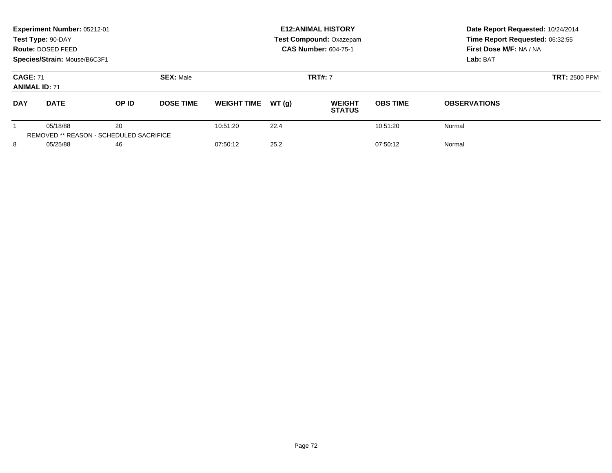| Experiment Number: 05212-01<br>Test Type: 90-DAY<br>Route: DOSED FEED<br>Species/Strain: Mouse/B6C3F1 |                                                     |       |                  |                    |       | <b>E12: ANIMAL HISTORY</b><br><b>Test Compound: Oxazepam</b><br><b>CAS Number: 604-75-1</b> | Date Report Requested: 10/24/2014<br>Time Report Requested: 06:32:55<br>First Dose M/F: NA / NA<br>Lab: BAT |                      |  |
|-------------------------------------------------------------------------------------------------------|-----------------------------------------------------|-------|------------------|--------------------|-------|---------------------------------------------------------------------------------------------|-------------------------------------------------------------------------------------------------------------|----------------------|--|
| <b>CAGE: 71</b><br><b>ANIMAL ID: 71</b>                                                               |                                                     |       | <b>SEX: Male</b> |                    |       | <b>TRT#: 7</b>                                                                              |                                                                                                             | <b>TRT: 2500 PPM</b> |  |
| <b>DAY</b>                                                                                            | <b>DATE</b>                                         | OP ID | <b>DOSE TIME</b> | <b>WEIGHT TIME</b> | WT(q) | <b>WEIGHT</b><br><b>STATUS</b>                                                              | <b>OBS TIME</b>                                                                                             | <b>OBSERVATIONS</b>  |  |
|                                                                                                       | 05/18/88<br>REMOVED ** REASON - SCHEDULED SACRIFICE | 20    |                  | 10:51:20           | 22.4  |                                                                                             | 10:51:20                                                                                                    | Normal               |  |
| 8                                                                                                     | 05/25/88                                            | 46    |                  | 07:50:12           | 25.2  |                                                                                             | 07:50:12                                                                                                    | Normal               |  |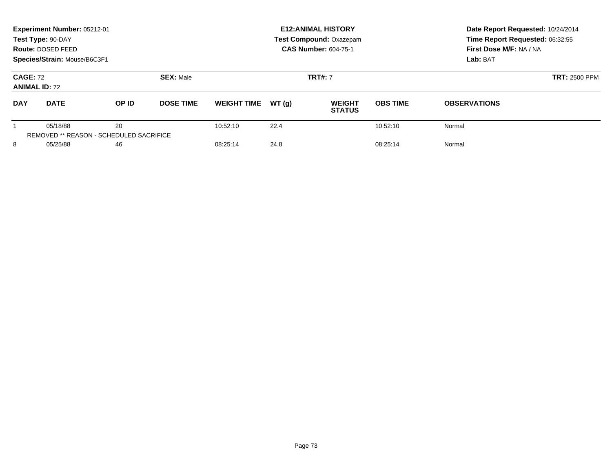| Experiment Number: 05212-01<br>Test Type: 90-DAY<br>Route: DOSED FEED<br>Species/Strain: Mouse/B6C3F1 |                                                     |       |                  | <b>E12: ANIMAL HISTORY</b><br><b>Test Compound: Oxazepam</b><br><b>CAS Number: 604-75-1</b> |       |                                |                 | Date Report Requested: 10/24/2014<br>Time Report Requested: 06:32:55<br>First Dose M/F: NA / NA<br>Lab: BAT |
|-------------------------------------------------------------------------------------------------------|-----------------------------------------------------|-------|------------------|---------------------------------------------------------------------------------------------|-------|--------------------------------|-----------------|-------------------------------------------------------------------------------------------------------------|
| <b>CAGE: 72</b><br><b>ANIMAL ID: 72</b>                                                               |                                                     |       | <b>SEX: Male</b> | <b>TRT#: 7</b>                                                                              |       |                                |                 | <b>TRT: 2500 PPM</b>                                                                                        |
| <b>DAY</b>                                                                                            | <b>DATE</b>                                         | OP ID | <b>DOSE TIME</b> | <b>WEIGHT TIME</b>                                                                          | WT(q) | <b>WEIGHT</b><br><b>STATUS</b> | <b>OBS TIME</b> | <b>OBSERVATIONS</b>                                                                                         |
|                                                                                                       | 05/18/88<br>REMOVED ** REASON - SCHEDULED SACRIFICE | 20    |                  | 10:52:10                                                                                    | 22.4  |                                | 10:52:10        | Normal                                                                                                      |
| 8                                                                                                     | 05/25/88                                            | 46    |                  | 08:25:14                                                                                    | 24.8  |                                | 08:25:14        | Normal                                                                                                      |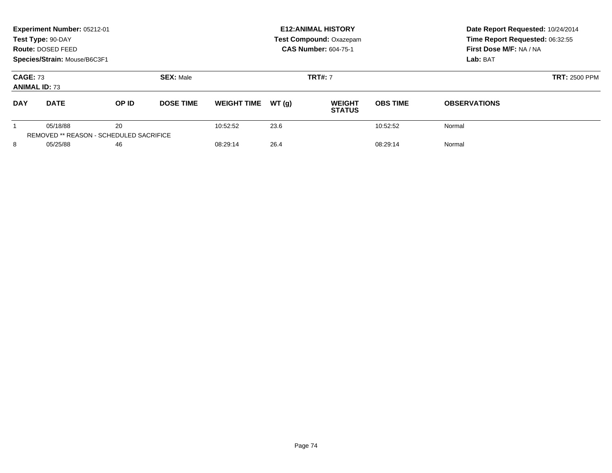| Experiment Number: 05212-01<br>Test Type: 90-DAY<br>Route: DOSED FEED<br>Species/Strain: Mouse/B6C3F1 |                                                     |       |                                    | <b>E12: ANIMAL HISTORY</b><br><b>Test Compound: Oxazepam</b><br><b>CAS Number: 604-75-1</b> |       |                                |                      | Date Report Requested: 10/24/2014<br>Time Report Requested: 06:32:55<br>First Dose M/F: NA / NA<br>Lab: BAT |
|-------------------------------------------------------------------------------------------------------|-----------------------------------------------------|-------|------------------------------------|---------------------------------------------------------------------------------------------|-------|--------------------------------|----------------------|-------------------------------------------------------------------------------------------------------------|
| <b>CAGE: 73</b><br><b>ANIMAL ID: 73</b>                                                               |                                                     |       | <b>SEX: Male</b><br><b>TRT#: 7</b> |                                                                                             |       |                                | <b>TRT: 2500 PPM</b> |                                                                                                             |
| <b>DAY</b>                                                                                            | <b>DATE</b>                                         | OP ID | <b>DOSE TIME</b>                   | <b>WEIGHT TIME</b>                                                                          | WT(q) | <b>WEIGHT</b><br><b>STATUS</b> | <b>OBS TIME</b>      | <b>OBSERVATIONS</b>                                                                                         |
|                                                                                                       | 05/18/88<br>REMOVED ** REASON - SCHEDULED SACRIFICE | 20    |                                    | 10:52:52                                                                                    | 23.6  |                                | 10:52:52             | Normal                                                                                                      |
| 8                                                                                                     | 05/25/88                                            | 46    |                                    | 08:29:14                                                                                    | 26.4  |                                | 08:29:14             | Normal                                                                                                      |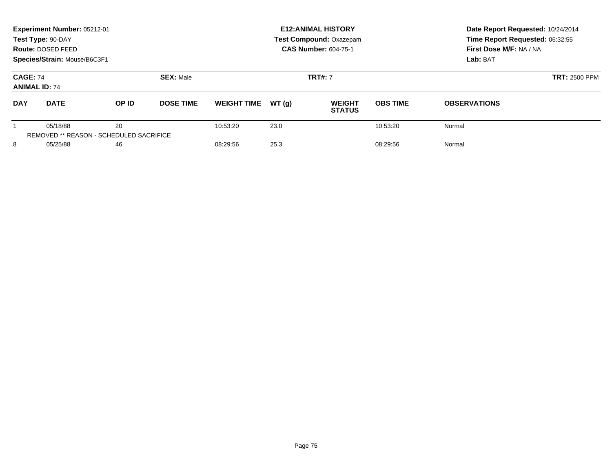| Experiment Number: 05212-01<br>Test Type: 90-DAY<br>Route: DOSED FEED<br>Species/Strain: Mouse/B6C3F1 |                                                     |       |                                    | <b>E12: ANIMAL HISTORY</b><br><b>Test Compound: Oxazepam</b><br><b>CAS Number: 604-75-1</b> |       |                                |                 | Date Report Requested: 10/24/2014<br>Time Report Requested: 06:32:55<br>First Dose M/F: NA / NA<br>Lab: BAT |  |  |
|-------------------------------------------------------------------------------------------------------|-----------------------------------------------------|-------|------------------------------------|---------------------------------------------------------------------------------------------|-------|--------------------------------|-----------------|-------------------------------------------------------------------------------------------------------------|--|--|
| <b>CAGE: 74</b><br><b>ANIMAL ID: 74</b>                                                               |                                                     |       | <b>SEX: Male</b><br><b>TRT#: 7</b> |                                                                                             |       |                                |                 | <b>TRT: 2500 PPM</b>                                                                                        |  |  |
| <b>DAY</b>                                                                                            | <b>DATE</b>                                         | OP ID | <b>DOSE TIME</b>                   | <b>WEIGHT TIME</b>                                                                          | WT(q) | <b>WEIGHT</b><br><b>STATUS</b> | <b>OBS TIME</b> | <b>OBSERVATIONS</b>                                                                                         |  |  |
|                                                                                                       | 05/18/88<br>REMOVED ** REASON - SCHEDULED SACRIFICE | 20    |                                    | 10:53:20                                                                                    | 23.0  |                                | 10:53:20        | Normal                                                                                                      |  |  |
| 8                                                                                                     | 05/25/88                                            | 46    |                                    | 08:29:56                                                                                    | 25.3  |                                | 08:29:56        | Normal                                                                                                      |  |  |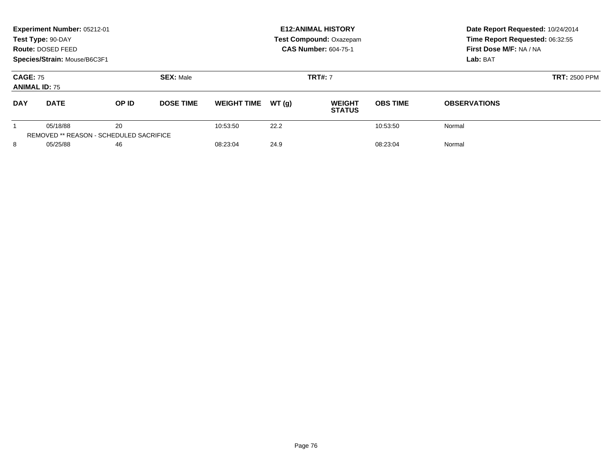| Experiment Number: 05212-01<br>Test Type: 90-DAY<br>Route: DOSED FEED<br>Species/Strain: Mouse/B6C3F1 |             |                                               |                  | <b>E12: ANIMAL HISTORY</b><br><b>Test Compound: Oxazepam</b><br><b>CAS Number: 604-75-1</b> |       |                                |                      | Date Report Requested: 10/24/2014<br>Time Report Requested: 06:32:55<br>First Dose M/F: NA / NA<br>Lab: BAT |
|-------------------------------------------------------------------------------------------------------|-------------|-----------------------------------------------|------------------|---------------------------------------------------------------------------------------------|-------|--------------------------------|----------------------|-------------------------------------------------------------------------------------------------------------|
| <b>CAGE: 75</b><br><b>ANIMAL ID: 75</b>                                                               |             | <b>SEX: Male</b>                              | <b>TRT#: 7</b>   |                                                                                             |       |                                | <b>TRT: 2500 PPM</b> |                                                                                                             |
| <b>DAY</b>                                                                                            | <b>DATE</b> | OP ID                                         | <b>DOSE TIME</b> | <b>WEIGHT TIME</b>                                                                          | WT(q) | <b>WEIGHT</b><br><b>STATUS</b> | <b>OBS TIME</b>      | <b>OBSERVATIONS</b>                                                                                         |
|                                                                                                       | 05/18/88    | 20<br>REMOVED ** REASON - SCHEDULED SACRIFICE |                  | 10:53:50                                                                                    | 22.2  |                                | 10:53:50             | Normal                                                                                                      |
| 8                                                                                                     | 05/25/88    | 46                                            |                  | 08:23:04                                                                                    | 24.9  |                                | 08:23:04             | Normal                                                                                                      |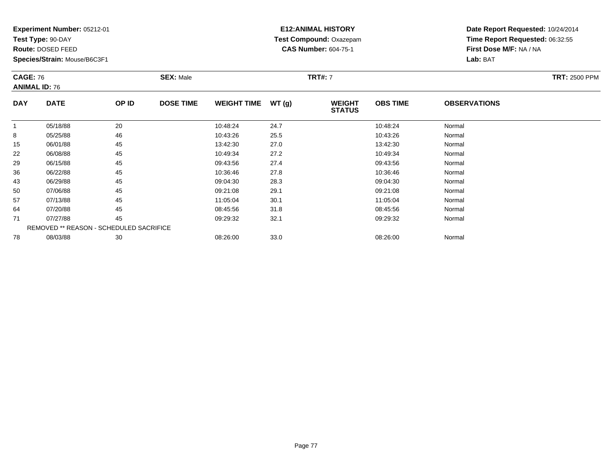**Test Type:** 90-DAY

**Route:** DOSED FEED

**Species/Strain:** Mouse/B6C3F1

# **E12:ANIMAL HISTORY Test Compound:** Oxazepam**CAS Number:** 604-75-1

**Date Report Requested:** 10/24/2014**Time Report Requested:** 06:32:55**First Dose M/F:** NA / NA**Lab:** BAT

| <b>CAGE: 76</b><br><b>ANIMAL ID: 76</b> |             | <b>SEX: Male</b> |                  |                    | <b>TRT#: 7</b> |                                |                 |                     |  |  |
|-----------------------------------------|-------------|------------------|------------------|--------------------|----------------|--------------------------------|-----------------|---------------------|--|--|
| <b>DAY</b>                              | <b>DATE</b> | OP ID            | <b>DOSE TIME</b> | <b>WEIGHT TIME</b> | WT(g)          | <b>WEIGHT</b><br><b>STATUS</b> | <b>OBS TIME</b> | <b>OBSERVATIONS</b> |  |  |
|                                         | 05/18/88    | 20               |                  | 10:48:24           | 24.7           |                                | 10:48:24        | Normal              |  |  |
| 8                                       | 05/25/88    | 46               |                  | 10:43:26           | 25.5           |                                | 10:43:26        | Normal              |  |  |
| 15                                      | 06/01/88    | 45               |                  | 13:42:30           | 27.0           |                                | 13:42:30        | Normal              |  |  |
| 22                                      | 06/08/88    | 45               |                  | 10:49:34           | 27.2           |                                | 10:49:34        | Normal              |  |  |
| 29                                      | 06/15/88    | 45               |                  | 09:43:56           | 27.4           |                                | 09:43:56        | Normal              |  |  |
| 36                                      | 06/22/88    | 45               |                  | 10:36:46           | 27.8           |                                | 10:36:46        | Normal              |  |  |
| 43                                      | 06/29/88    | 45               |                  | 09:04:30           | 28.3           |                                | 09:04:30        | Normal              |  |  |
| 50                                      | 07/06/88    | 45               |                  | 09:21:08           | 29.1           |                                | 09:21:08        | Normal              |  |  |
| 57                                      | 07/13/88    | 45               |                  | 11:05:04           | 30.1           |                                | 11:05:04        | Normal              |  |  |

8 08/03/88 30 30 08:26:00 33.0 33.0 08:26:00 33.0

644 07/20/88 45 45 08:45:56 31.8 08:45:56 08:45:56 08:45:56 08:45:56 08:45:56 08:45:56 711 07/27/88 45 45 09:29:32 32.1 09:29:32 09:29:32 09:29:32 09:29:32 09:29:32 REMOVED \*\* REASON - SCHEDULED SACRIFICE78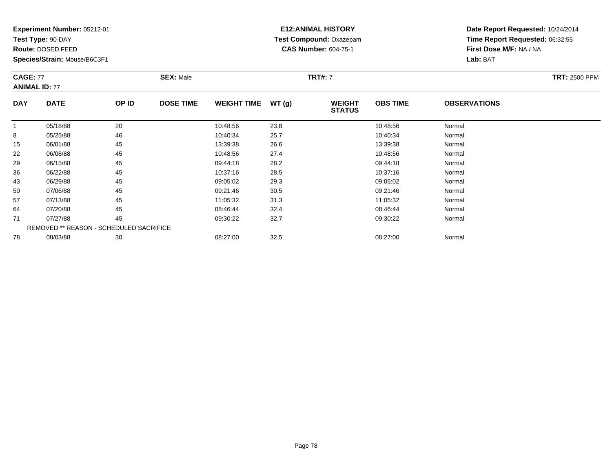**Test Type:** 90-DAY

**Route:** DOSED FEED

**Species/Strain:** Mouse/B6C3F1

# **E12:ANIMAL HISTORY Test Compound:** Oxazepam**CAS Number:** 604-75-1

**Date Report Requested:** 10/24/2014 **Time Report Requested:** 06:32:55**First Dose M/F:** NA / NA**Lab:** BAT

#### **CAGE:** 77 **SEX:** Male **TRT#:** <sup>7</sup> **TRT:** 2500 PPM**ANIMAL ID:** 77**DAY DATE OP IDDOSE TIME WEIGHT TIME WT** (g) **STATUSOBS TIME OBSERVATIONS** 11 05/18/88 20 10:48:56 23.8 10:48:56 Normal

|    | 05/18/88 | 20                                      | 10:48:56 | 23.8 | 10:48:56 | Normal |  |
|----|----------|-----------------------------------------|----------|------|----------|--------|--|
| 8  | 05/25/88 | 46                                      | 10:40:34 | 25.7 | 10:40:34 | Normal |  |
| 15 | 06/01/88 | 45                                      | 13:39:38 | 26.6 | 13:39:38 | Normal |  |
| 22 | 06/08/88 | 45                                      | 10:48:56 | 27.4 | 10:48:56 | Normal |  |
| 29 | 06/15/88 | 45                                      | 09:44:18 | 28.2 | 09:44:18 | Normal |  |
| 36 | 06/22/88 | 45                                      | 10:37:16 | 28.5 | 10:37:16 | Normal |  |
| 43 | 06/29/88 | 45                                      | 09:05:02 | 29.3 | 09:05:02 | Normal |  |
| 50 | 07/06/88 | 45                                      | 09:21:46 | 30.5 | 09:21:46 | Normal |  |
| 57 | 07/13/88 | 45                                      | 11:05:32 | 31.3 | 11:05:32 | Normal |  |
| 64 | 07/20/88 | 45                                      | 08:46:44 | 32.4 | 08:46:44 | Normal |  |
| 71 | 07/27/88 | 45                                      | 09:30:22 | 32.7 | 09:30:22 | Normal |  |
|    |          | REMOVED ** REASON - SCHEDULED SACRIFICE |          |      |          |        |  |
| 78 | 08/03/88 | 30                                      | 08:27:00 | 32.5 | 08:27:00 | Normal |  |
|    |          |                                         |          |      |          |        |  |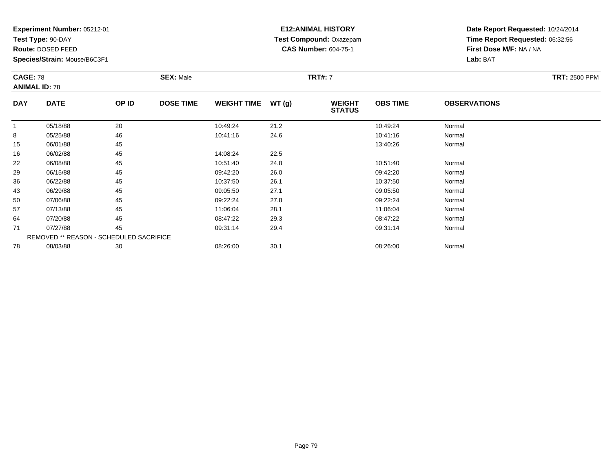**Test Type:** 90-DAY

**Route:** DOSED FEED

**Species/Strain:** Mouse/B6C3F1

# **E12:ANIMAL HISTORY Test Compound:** Oxazepam**CAS Number:** 604-75-1

**Date Report Requested:** 10/24/2014 **Time Report Requested:** 06:32:56**First Dose M/F:** NA / NA**Lab:** BAT

| <b>CAGE: 78</b><br><b>SEX: Male</b><br><b>ANIMAL ID: 78</b> |          |                           |  |          | <b>TRT#: 7</b>                                                 |  |          |                     | <b>TRT: 2500 PPM</b> |
|-------------------------------------------------------------|----------|---------------------------|--|----------|----------------------------------------------------------------|--|----------|---------------------|----------------------|
| <b>DAY</b><br><b>DATE</b>                                   |          | OP ID<br><b>DOSE TIME</b> |  |          | WT (q)<br><b>WEIGHT TIME</b><br><b>WEIGHT</b><br><b>STATUS</b> |  |          | <b>OBSERVATIONS</b> |                      |
|                                                             | 05/18/88 | 20                        |  | 10:49:24 | 21.2                                                           |  | 10:49:24 | Normal              |                      |
| R                                                           | 05/25/88 | 46.                       |  | 10.41.16 | 246                                                            |  | 10.41.16 | <b>Normal</b>       |                      |

|    | 05/18/88 | 20                                      | 10:49:24 | 21.2 | 10:49:24 | Normal |  |
|----|----------|-----------------------------------------|----------|------|----------|--------|--|
| 8  | 05/25/88 | 46                                      | 10:41:16 | 24.6 | 10:41:16 | Normal |  |
| 15 | 06/01/88 | 45                                      |          |      | 13:40:26 | Normal |  |
| 16 | 06/02/88 | 45                                      | 14:08:24 | 22.5 |          |        |  |
| 22 | 06/08/88 | 45                                      | 10:51:40 | 24.8 | 10:51:40 | Normal |  |
| 29 | 06/15/88 | 45                                      | 09:42:20 | 26.0 | 09:42:20 | Normal |  |
| 36 | 06/22/88 | 45                                      | 10:37:50 | 26.1 | 10:37:50 | Normal |  |
| 43 | 06/29/88 | 45                                      | 09:05:50 | 27.1 | 09:05:50 | Normal |  |
| 50 | 07/06/88 | 45                                      | 09:22:24 | 27.8 | 09:22:24 | Normal |  |
| 57 | 07/13/88 | 45                                      | 11:06:04 | 28.1 | 11:06:04 | Normal |  |
| 64 | 07/20/88 | 45                                      | 08:47:22 | 29.3 | 08:47:22 | Normal |  |
| 71 | 07/27/88 | 45                                      | 09:31:14 | 29.4 | 09:31:14 | Normal |  |
|    |          | REMOVED ** REASON - SCHEDULED SACRIFICE |          |      |          |        |  |
| 78 | 08/03/88 | 30                                      | 08:26:00 | 30.1 | 08:26:00 | Normal |  |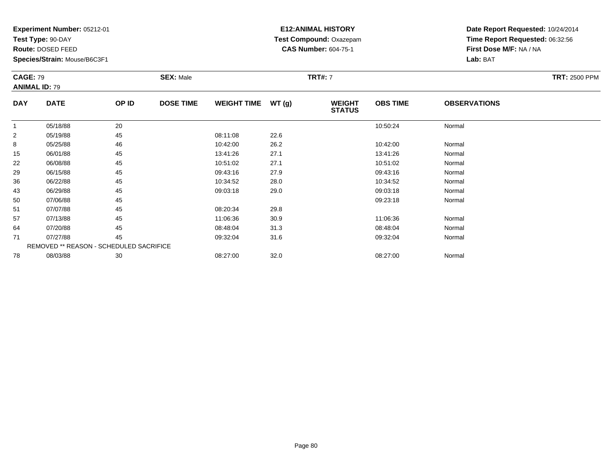**Test Type:** 90-DAY

**Route:** DOSED FEED

**Species/Strain:** Mouse/B6C3F1

# **E12:ANIMAL HISTORY Test Compound:** Oxazepam**CAS Number:** 604-75-1

**Date Report Requested:** 10/24/2014 **Time Report Requested:** 06:32:56**First Dose M/F:** NA / NA**Lab:** BAT

| <b>CAGE: 79</b><br><b>SEX: Male</b><br><b>ANIMAL ID: 79</b> |             |       |                  |                    | <b>TRT#: 7</b> |                                |                 | <b>TRT: 2500 PPM</b> |  |
|-------------------------------------------------------------|-------------|-------|------------------|--------------------|----------------|--------------------------------|-----------------|----------------------|--|
| <b>DAY</b>                                                  | <b>DATE</b> | OP ID | <b>DOSE TIME</b> | <b>WEIGHT TIME</b> | WT(q)          | <b>WEIGHT</b><br><b>STATUS</b> | <b>OBS TIME</b> | <b>OBSERVATIONS</b>  |  |
|                                                             | 05/18/88    | 20    |                  |                    |                |                                | 10:50:24        | Normal               |  |
| 2                                                           | 05/19/88    | 45    |                  | 08:11:08           | 22.6           |                                |                 |                      |  |

|                | 05/18/88 | 20                                      |          |      | 10:50:24 | Normal |  |
|----------------|----------|-----------------------------------------|----------|------|----------|--------|--|
| $\overline{2}$ | 05/19/88 | 45                                      | 08:11:08 | 22.6 |          |        |  |
| 8              | 05/25/88 | 46                                      | 10:42:00 | 26.2 | 10:42:00 | Normal |  |
| 15             | 06/01/88 | 45                                      | 13:41:26 | 27.1 | 13:41:26 | Normal |  |
| 22             | 06/08/88 | 45                                      | 10:51:02 | 27.1 | 10:51:02 | Normal |  |
| 29             | 06/15/88 | 45                                      | 09:43:16 | 27.9 | 09:43:16 | Normal |  |
| 36             | 06/22/88 | 45                                      | 10:34:52 | 28.0 | 10:34:52 | Normal |  |
| 43             | 06/29/88 | 45                                      | 09:03:18 | 29.0 | 09:03:18 | Normal |  |
| 50             | 07/06/88 | 45                                      |          |      | 09:23:18 | Normal |  |
| 51             | 07/07/88 | 45                                      | 08:20:34 | 29.8 |          |        |  |
| 57             | 07/13/88 | 45                                      | 11:06:36 | 30.9 | 11:06:36 | Normal |  |
| 64             | 07/20/88 | 45                                      | 08:48:04 | 31.3 | 08:48:04 | Normal |  |
| 71             | 07/27/88 | 45                                      | 09:32:04 | 31.6 | 09:32:04 | Normal |  |
|                |          | REMOVED ** REASON - SCHEDULED SACRIFICE |          |      |          |        |  |
| 78             | 08/03/88 | 30                                      | 08:27:00 | 32.0 | 08:27:00 | Normal |  |
|                |          |                                         |          |      |          |        |  |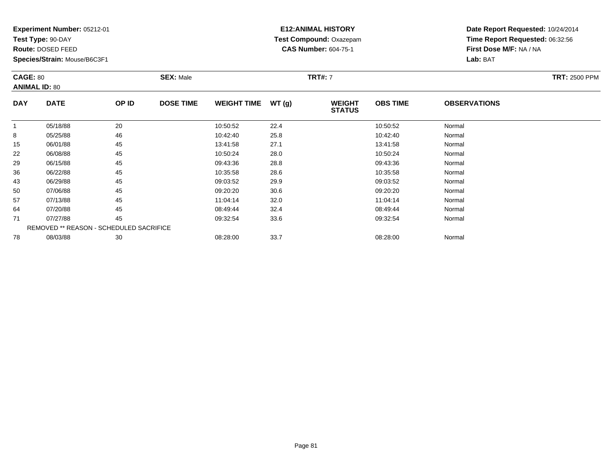**Test Type:** 90-DAY

**Route:** DOSED FEED

57

64

71

78

**Species/Strain:** Mouse/B6C3F1

REMOVED \*\* REASON - SCHEDULED SACRIFICE

# **E12:ANIMAL HISTORY Test Compound:** Oxazepam**CAS Number:** 604-75-1

**Date Report Requested:** 10/24/2014**Time Report Requested:** 06:32:56**First Dose M/F:** NA / NA**Lab:** BAT

| <b>CAGE: 80</b><br><b>ANIMAL ID: 80</b> |             |       | <b>SEX: Male</b> | <b>TRT: 2500 PPM</b> |       |                                |                 |                     |  |
|-----------------------------------------|-------------|-------|------------------|----------------------|-------|--------------------------------|-----------------|---------------------|--|
| <b>DAY</b>                              | <b>DATE</b> | OP ID | <b>DOSE TIME</b> | <b>WEIGHT TIME</b>   | WT(g) | <b>WEIGHT</b><br><b>STATUS</b> | <b>OBS TIME</b> | <b>OBSERVATIONS</b> |  |
|                                         | 05/18/88    | 20    |                  | 10:50:52             | 22.4  |                                | 10:50:52        | Normal              |  |
| 8                                       | 05/25/88    | 46    |                  | 10:42:40             | 25.8  |                                | 10:42:40        | Normal              |  |
| 15                                      | 06/01/88    | 45    |                  | 13:41:58             | 27.1  |                                | 13:41:58        | Normal              |  |
| 22                                      | 06/08/88    | 45    |                  | 10:50:24             | 28.0  |                                | 10:50:24        | Normal              |  |
| 29                                      | 06/15/88    | 45    |                  | 09:43:36             | 28.8  |                                | 09:43:36        | Normal              |  |
| 36                                      | 06/22/88    | 45    |                  | 10:35:58             | 28.6  |                                | 10:35:58        | Normal              |  |
| 43                                      | 06/29/88    | 45    |                  | 09:03:52             | 29.9  |                                | 09:03:52        | Normal              |  |
| 50                                      | 07/06/88    | 45    |                  | 09:20:20             | 30.6  |                                | 09:20:20        | Normal              |  |

7 07/13/88 45 45 11:04:14 32.0 11:04:14 11:04:14 11:04:14 11:04:14 11:04:14

4 07/20/88 45 45 08:49:44 32.4 32.4 08:49:44 07/20/88 Normal

1 07/27/88 45 45 09:32:54 33.6 09:32:54 09:32:54 Normal

8 08/03/88 30 30 08:28:00 33.7 33.7 08:28:00 33.7 08:28:00 33.7 3 08:28:00 33.7 3 08:28:00 38:28:00 38:28:00 0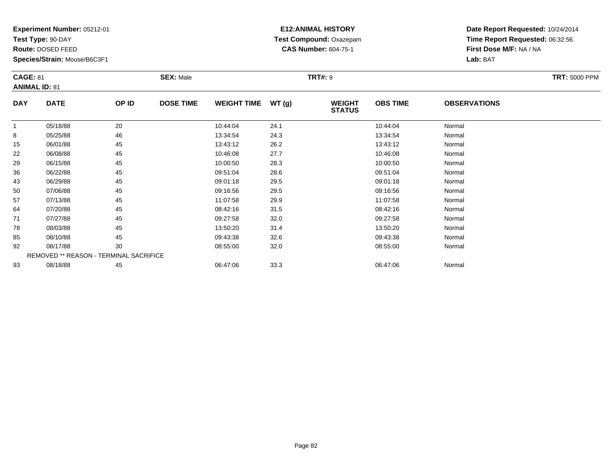**Test Type:** 90-DAY

**Route:** DOSED FEED

93

**Species/Strain:** Mouse/B6C3F1

REMOVED \*\* REASON - TERMINAL SACRIFICE

# **E12:ANIMAL HISTORY Test Compound:** Oxazepam**CAS Number:** 604-75-1

**Date Report Requested:** 10/24/2014**Time Report Requested:** 06:32:56**First Dose M/F:** NA / NA**Lab:** BAT

| <b>CAGE: 81</b><br><b>ANIMAL ID: 81</b> |             | <b>SEX: Male</b> |                  |                    | <b>TRT#: 9</b> |                                |                 | <b>TRT: 5000 PPM</b> |  |
|-----------------------------------------|-------------|------------------|------------------|--------------------|----------------|--------------------------------|-----------------|----------------------|--|
| <b>DAY</b>                              | <b>DATE</b> | OP ID            | <b>DOSE TIME</b> | <b>WEIGHT TIME</b> | WT (g)         | <b>WEIGHT</b><br><b>STATUS</b> | <b>OBS TIME</b> | <b>OBSERVATIONS</b>  |  |
| 1                                       | 05/18/88    | 20               |                  | 10:44:04           | 24.1           |                                | 10:44:04        | Normal               |  |
| 8                                       | 05/25/88    | 46               |                  | 13:34:54           | 24.3           |                                | 13:34:54        | Normal               |  |
| 15                                      | 06/01/88    | 45               |                  | 13:43:12           | 26.2           |                                | 13:43:12        | Normal               |  |
| 22                                      | 06/08/88    | 45               |                  | 10:46:08           | 27.7           |                                | 10:46:08        | Normal               |  |
| 29                                      | 06/15/88    | 45               |                  | 10:00:50           | 28.3           |                                | 10:00:50        | Normal               |  |
| 36                                      | 06/22/88    | 45               |                  | 09:51:04           | 28.6           |                                | 09:51:04        | Normal               |  |
| 43                                      | 06/29/88    | 45               |                  | 09:01:18           | 29.5           |                                | 09:01:18        | Normal               |  |
| 50                                      | 07/06/88    | 45               |                  | 09:16:56           | 29.5           |                                | 09:16:56        | Normal               |  |
| 57                                      | 07/13/88    | 45               |                  | 11:07:58           | 29.9           |                                | 11:07:58        | Normal               |  |
| 64                                      | 07/20/88    | 45               |                  | 08:42:16           | 31.5           |                                | 08:42:16        | Normal               |  |
| 71                                      | 07/27/88    | 45               |                  | 09:27:58           | 32.0           |                                | 09:27:58        | Normal               |  |
| 78                                      | 08/03/88    | 45               |                  | 13:50:20           | 31.4           |                                | 13:50:20        | Normal               |  |
| 85                                      | 08/10/88    | 45               |                  | 09:43:38           | 32.6           |                                | 09:43:38        | Normal               |  |
| 92                                      | 08/17/88    | 30               |                  | 08:55:00           | 32.0           |                                | 08:55:00        | Normal               |  |

2 08/17/88 30 30 08:55:00 32.0 32.0 08:55:00 08:55:00 Normal

08/18/88 <sup>45</sup> 06:47:06 33.3 06:47:06 Normal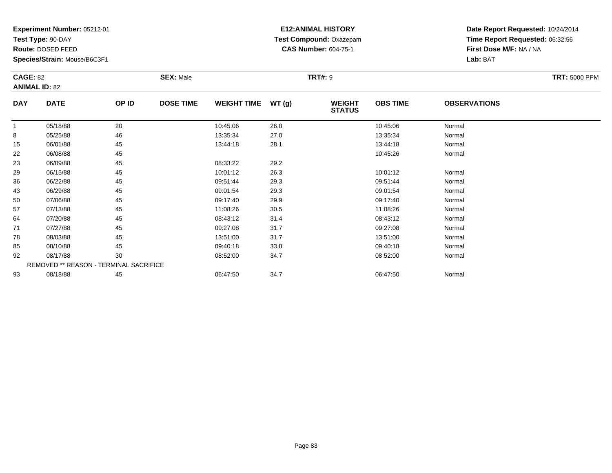**Test Type:** 90-DAY

**Route:** DOSED FEED

78

85

92

93

**Species/Strain:** Mouse/B6C3F1

REMOVED \*\* REASON - TERMINAL SACRIFICE

# **E12:ANIMAL HISTORY Test Compound:** Oxazepam**CAS Number:** 604-75-1

**Date Report Requested:** 10/24/2014**Time Report Requested:** 06:32:56**First Dose M/F:** NA / NA**Lab:** BAT

| <b>CAGE: 82</b><br><b>ANIMAL ID: 82</b> |             | <b>SEX: Male</b> |                  |                    | <b>TRT#: 9</b> | <b>TRT: 5000 PPM</b>           |                 |                     |  |
|-----------------------------------------|-------------|------------------|------------------|--------------------|----------------|--------------------------------|-----------------|---------------------|--|
| <b>DAY</b>                              | <b>DATE</b> | OP ID            | <b>DOSE TIME</b> | <b>WEIGHT TIME</b> | WT(g)          | <b>WEIGHT</b><br><b>STATUS</b> | <b>OBS TIME</b> | <b>OBSERVATIONS</b> |  |
|                                         | 05/18/88    | 20               |                  | 10:45:06           | 26.0           |                                | 10:45:06        | Normal              |  |
| 8                                       | 05/25/88    | 46               |                  | 13:35:34           | 27.0           |                                | 13:35:34        | Normal              |  |
| 15                                      | 06/01/88    | 45               |                  | 13:44:18           | 28.1           |                                | 13:44:18        | Normal              |  |
| 22                                      | 06/08/88    | 45               |                  |                    |                |                                | 10:45:26        | Normal              |  |
| 23                                      | 06/09/88    | 45               |                  | 08:33:22           | 29.2           |                                |                 |                     |  |
| 29                                      | 06/15/88    | 45               |                  | 10:01:12           | 26.3           |                                | 10:01:12        | Normal              |  |
| 36                                      | 06/22/88    | 45               |                  | 09:51:44           | 29.3           |                                | 09:51:44        | Normal              |  |
| 43                                      | 06/29/88    | 45               |                  | 09:01:54           | 29.3           |                                | 09:01:54        | Normal              |  |
| 50                                      | 07/06/88    | 45               |                  | 09:17:40           | 29.9           |                                | 09:17:40        | Normal              |  |
| 57                                      | 07/13/88    | 45               |                  | 11:08:26           | 30.5           |                                | 11:08:26        | Normal              |  |
| 64                                      | 07/20/88    | 45               |                  | 08:43:12           | 31.4           |                                | 08:43:12        | Normal              |  |
| 71                                      | 07/27/88    | 45               |                  | 09:27:08           | 31.7           |                                | 09:27:08        | Normal              |  |

8 08/03/88 45 45 13:51:00 31.7 3.1.7 13:51:00 3 31.7 3.51:00 Normal

08/10/88 <sup>45</sup> 09:40:18 33.8 09:40:18 Normal

2 08/17/88 30 30 08:52:00 34.7 34.7 08:52:00 08:52:00 Normal

3 08/18/88 45 45 06:47:50 34.7 34.7 06:47:50 06:47:50 Normal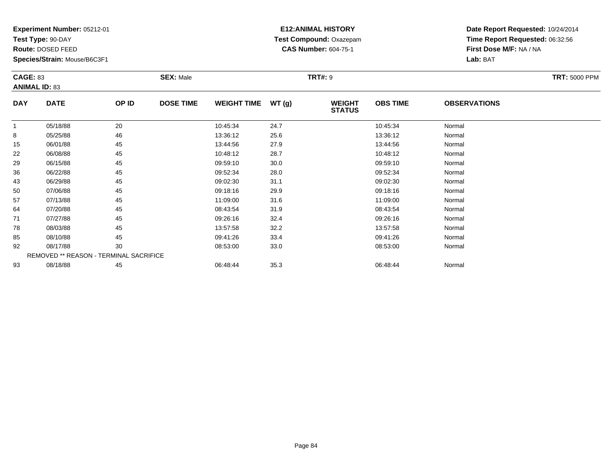**Test Type:** 90-DAY

**Route:** DOSED FEED

93

**Species/Strain:** Mouse/B6C3F1

# **E12:ANIMAL HISTORY Test Compound:** Oxazepam**CAS Number:** 604-75-1

**Date Report Requested:** 10/24/2014**Time Report Requested:** 06:32:56**First Dose M/F:** NA / NA**Lab:** BAT

| <b>CAGE: 83</b><br><b>ANIMAL ID: 83</b> |                                               | <b>SEX: Male</b>          | <b>TRT: 5000 PPM</b> |                    |       |                                |                 |                     |  |
|-----------------------------------------|-----------------------------------------------|---------------------------|----------------------|--------------------|-------|--------------------------------|-----------------|---------------------|--|
| <b>DAY</b>                              | <b>DATE</b>                                   | OP ID<br><b>DOSE TIME</b> |                      | <b>WEIGHT TIME</b> | WT(g) | <b>WEIGHT</b><br><b>STATUS</b> | <b>OBS TIME</b> | <b>OBSERVATIONS</b> |  |
| 1                                       | 05/18/88                                      | 20                        |                      | 10:45:34           | 24.7  |                                | 10:45:34        | Normal              |  |
| 8                                       | 05/25/88                                      | 46                        |                      | 13:36:12           | 25.6  |                                | 13:36:12        | Normal              |  |
| 15                                      | 06/01/88                                      | 45                        |                      | 13:44:56           | 27.9  |                                | 13:44:56        | Normal              |  |
| 22                                      | 06/08/88                                      | 45                        |                      | 10:48:12           | 28.7  |                                | 10:48:12        | Normal              |  |
| 29                                      | 06/15/88                                      | 45                        |                      | 09:59:10           | 30.0  |                                | 09:59:10        | Normal              |  |
| 36                                      | 06/22/88                                      | 45                        |                      | 09:52:34           | 28.0  |                                | 09:52:34        | Normal              |  |
| 43                                      | 06/29/88                                      | 45                        |                      | 09:02:30           | 31.1  |                                | 09:02:30        | Normal              |  |
| 50                                      | 07/06/88                                      | 45                        |                      | 09:18:16           | 29.9  |                                | 09:18:16        | Normal              |  |
| 57                                      | 07/13/88                                      | 45                        |                      | 11:09:00           | 31.6  |                                | 11:09:00        | Normal              |  |
| 64                                      | 07/20/88                                      | 45                        |                      | 08:43:54           | 31.9  |                                | 08:43:54        | Normal              |  |
| 71                                      | 07/27/88                                      | 45                        |                      | 09:26:16           | 32.4  |                                | 09:26:16        | Normal              |  |
| 78                                      | 08/03/88                                      | 45                        |                      | 13:57:58           | 32.2  |                                | 13:57:58        | Normal              |  |
| 85                                      | 08/10/88                                      | 45                        |                      | 09:41:26           | 33.4  |                                | 09:41:26        | Normal              |  |
| 92                                      | 08/17/88                                      | 30                        |                      | 08:53:00           | 33.0  |                                | 08:53:00        | Normal              |  |
|                                         | <b>REMOVED ** REASON - TERMINAL SACRIFICE</b> |                           |                      |                    |       |                                |                 |                     |  |

08/18/88 <sup>45</sup> 06:48:44 35.3 06:48:44 Normal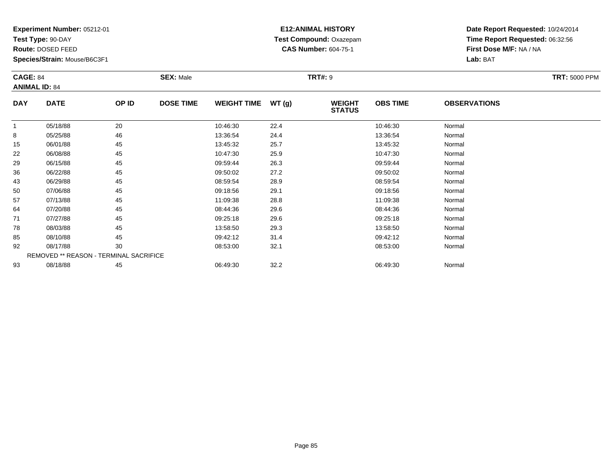**Test Type:** 90-DAY

**Route:** DOSED FEED

85

92

93

**Species/Strain:** Mouse/B6C3F1

REMOVED \*\* REASON - TERMINAL SACRIFICE

# **E12:ANIMAL HISTORY Test Compound:** Oxazepam**CAS Number:** 604-75-1

**Date Report Requested:** 10/24/2014**Time Report Requested:** 06:32:56**First Dose M/F:** NA / NA**Lab:** BAT

| <b>CAGE: 84</b><br><b>ANIMAL ID: 84</b> |             | <b>SEX: Male</b> | <b>TRT: 5000 PPM</b> |                    |       |                                |                 |                     |  |
|-----------------------------------------|-------------|------------------|----------------------|--------------------|-------|--------------------------------|-----------------|---------------------|--|
| <b>DAY</b>                              | <b>DATE</b> | OP ID            | <b>DOSE TIME</b>     | <b>WEIGHT TIME</b> | WT(g) | <b>WEIGHT</b><br><b>STATUS</b> | <b>OBS TIME</b> | <b>OBSERVATIONS</b> |  |
|                                         | 05/18/88    | 20               |                      | 10:46:30           | 22.4  |                                | 10:46:30        | Normal              |  |
| 8                                       | 05/25/88    | 46               |                      | 13:36:54           | 24.4  |                                | 13:36:54        | Normal              |  |
| 15                                      | 06/01/88    | 45               |                      | 13:45:32           | 25.7  |                                | 13:45:32        | Normal              |  |
| 22                                      | 06/08/88    | 45               |                      | 10:47:30           | 25.9  |                                | 10:47:30        | Normal              |  |
| 29                                      | 06/15/88    | 45               |                      | 09:59:44           | 26.3  |                                | 09:59:44        | Normal              |  |
| 36                                      | 06/22/88    | 45               |                      | 09:50:02           | 27.2  |                                | 09:50:02        | Normal              |  |
| 43                                      | 06/29/88    | 45               |                      | 08:59:54           | 28.9  |                                | 08:59:54        | Normal              |  |
| 50                                      | 07/06/88    | 45               |                      | 09:18:56           | 29.1  |                                | 09:18:56        | Normal              |  |
| 57                                      | 07/13/88    | 45               |                      | 11:09:38           | 28.8  |                                | 11:09:38        | Normal              |  |
| 64                                      | 07/20/88    | 45               |                      | 08:44:36           | 29.6  |                                | 08:44:36        | Normal              |  |
| 71                                      | 07/27/88    | 45               |                      | 09:25:18           | 29.6  |                                | 09:25:18        | Normal              |  |
| 78                                      | 08/03/88    | 45               |                      | 13:58:50           | 29.3  |                                | 13:58:50        | Normal              |  |

08/10/88 <sup>45</sup> 09:42:12 31.4 09:42:12 Normal

2 08/17/88 30 30 08:53:00 32.1 30 08:53:00 332.1 08:53:00 08:53:00 Normal

3 08/18/88 45 45 06:49:30 32.2 68/18/89 06:49:30 300 300 06:49:30 06:49:30 06:49:30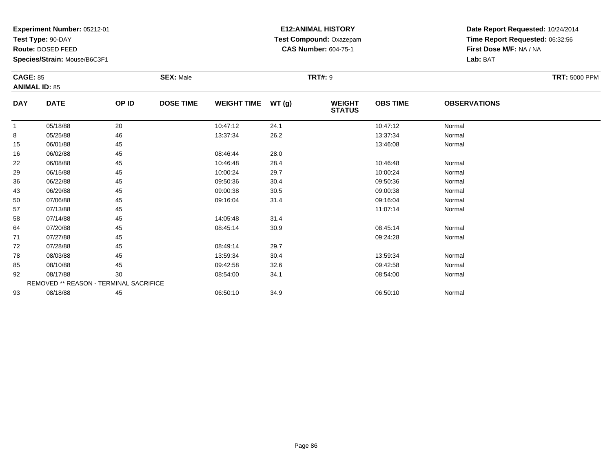**Test Type:** 90-DAY

**Route:** DOSED FEED

78

85

92

93

**Species/Strain:** Mouse/B6C3F1

REMOVED \*\* REASON - TERMINAL SACRIFICE

# **E12:ANIMAL HISTORY Test Compound:** Oxazepam**CAS Number:** 604-75-1

**Date Report Requested:** 10/24/2014**Time Report Requested:** 06:32:56**First Dose M/F:** NA / NA**Lab:** BAT

| <b>CAGE: 85</b><br><b>ANIMAL ID: 85</b> |             |       | <b>SEX: Male</b> |                    |       | <b>TRT#: 9</b>                 |                 | <b>TRT: 5000 PPM</b> |  |
|-----------------------------------------|-------------|-------|------------------|--------------------|-------|--------------------------------|-----------------|----------------------|--|
| <b>DAY</b>                              | <b>DATE</b> | OP ID | <b>DOSE TIME</b> | <b>WEIGHT TIME</b> | WT(g) | <b>WEIGHT</b><br><b>STATUS</b> | <b>OBS TIME</b> | <b>OBSERVATIONS</b>  |  |
|                                         | 05/18/88    | 20    |                  | 10:47:12           | 24.1  |                                | 10:47:12        | Normal               |  |
| 8                                       | 05/25/88    | 46    |                  | 13:37:34           | 26.2  |                                | 13:37:34        | Normal               |  |
| 15                                      | 06/01/88    | 45    |                  |                    |       |                                | 13:46:08        | Normal               |  |
| 16                                      | 06/02/88    | 45    |                  | 08:46:44           | 28.0  |                                |                 |                      |  |
| 22                                      | 06/08/88    | 45    |                  | 10:46:48           | 28.4  |                                | 10:46:48        | Normal               |  |
| 29                                      | 06/15/88    | 45    |                  | 10:00:24           | 29.7  |                                | 10:00:24        | Normal               |  |
| 36                                      | 06/22/88    | 45    |                  | 09:50:36           | 30.4  |                                | 09:50:36        | Normal               |  |
| 43                                      | 06/29/88    | 45    |                  | 09:00:38           | 30.5  |                                | 09:00:38        | Normal               |  |
| 50                                      | 07/06/88    | 45    |                  | 09:16:04           | 31.4  |                                | 09:16:04        | Normal               |  |
| 57                                      | 07/13/88    | 45    |                  |                    |       |                                | 11:07:14        | Normal               |  |
| 58                                      | 07/14/88    | 45    |                  | 14:05:48           | 31.4  |                                |                 |                      |  |
| 64                                      | 07/20/88    | 45    |                  | 08:45:14           | 30.9  |                                | 08:45:14        | Normal               |  |
| 71                                      | 07/27/88    | 45    |                  |                    |       |                                | 09:24:28        | Normal               |  |
| 72                                      | 07/28/88    | 45    |                  | 08:49:14           | 29.7  |                                |                 |                      |  |

8 08/03/88 45 45 13:59:34 30.4 2014 13:59 13:59:34 Normal

08/10/88 <sup>45</sup> 09:42:58 32.6 09:42:58 Normal

2 08/17/88 30 30 08:54:00 34.1 34.1 08:54:00 354:00 08:54:00 08:54:00 08:54:00

08/18/88 <sup>45</sup> 06:50:10 34.9 06:50:10 Normal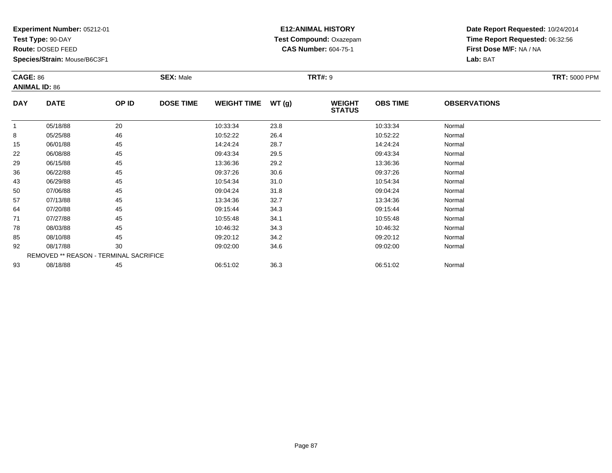**Test Type:** 90-DAY

**Route:** DOSED FEED

93

**Species/Strain:** Mouse/B6C3F1

# **E12:ANIMAL HISTORY Test Compound:** Oxazepam**CAS Number:** 604-75-1

**Date Report Requested:** 10/24/2014**Time Report Requested:** 06:32:56**First Dose M/F:** NA / NA**Lab:** BAT

| <b>CAGE: 86</b><br><b>ANIMAL ID: 86</b> |                                        | <b>SEX: Male</b> | <b>TRT#: 9</b>   |                    |       |                                |                 |                     |  |
|-----------------------------------------|----------------------------------------|------------------|------------------|--------------------|-------|--------------------------------|-----------------|---------------------|--|
| <b>DAY</b>                              | <b>DATE</b>                            | OP ID            | <b>DOSE TIME</b> | <b>WEIGHT TIME</b> | WT(g) | <b>WEIGHT</b><br><b>STATUS</b> | <b>OBS TIME</b> | <b>OBSERVATIONS</b> |  |
| 1                                       | 05/18/88                               | 20               |                  | 10:33:34           | 23.8  |                                | 10:33:34        | Normal              |  |
| 8                                       | 05/25/88                               | 46               |                  | 10:52:22           | 26.4  |                                | 10:52:22        | Normal              |  |
| 15                                      | 06/01/88                               | 45               |                  | 14:24:24           | 28.7  |                                | 14:24:24        | Normal              |  |
| 22                                      | 06/08/88                               | 45               |                  | 09:43:34           | 29.5  |                                | 09:43:34        | Normal              |  |
| 29                                      | 06/15/88                               | 45               |                  | 13:36:36           | 29.2  |                                | 13:36:36        | Normal              |  |
| 36                                      | 06/22/88                               | 45               |                  | 09:37:26           | 30.6  |                                | 09:37:26        | Normal              |  |
| 43                                      | 06/29/88                               | 45               |                  | 10:54:34           | 31.0  |                                | 10:54:34        | Normal              |  |
| 50                                      | 07/06/88                               | 45               |                  | 09:04:24           | 31.8  |                                | 09:04:24        | Normal              |  |
| 57                                      | 07/13/88                               | 45               |                  | 13:34:36           | 32.7  |                                | 13:34:36        | Normal              |  |
| 64                                      | 07/20/88                               | 45               |                  | 09:15:44           | 34.3  |                                | 09:15:44        | Normal              |  |
| 71                                      | 07/27/88                               | 45               |                  | 10:55:48           | 34.1  |                                | 10:55:48        | Normal              |  |
| 78                                      | 08/03/88                               | 45               |                  | 10:46:32           | 34.3  |                                | 10:46:32        | Normal              |  |
| 85                                      | 08/10/88                               | 45               |                  | 09:20:12           | 34.2  |                                | 09:20:12        | Normal              |  |
| 92                                      | 08/17/88                               | 30               |                  | 09:02:00           | 34.6  |                                | 09:02:00        | Normal              |  |
|                                         | REMOVED ** REASON - TERMINAL SACRIFICE |                  |                  |                    |       |                                |                 |                     |  |

08/18/88 <sup>45</sup> 06:51:02 36.3 06:51:02 Normal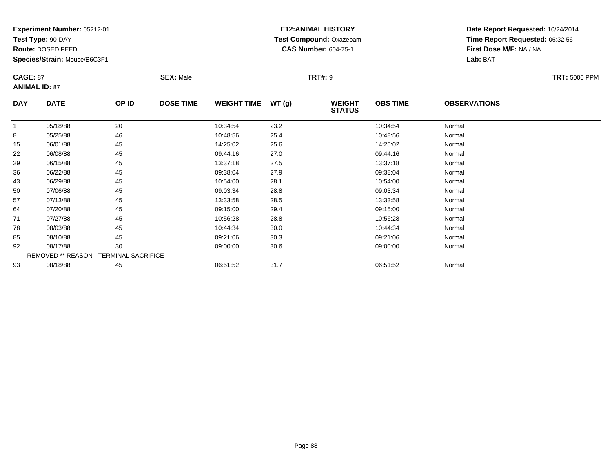**Test Type:** 90-DAY

**Route:** DOSED FEED

93

**Species/Strain:** Mouse/B6C3F1

# **E12:ANIMAL HISTORY Test Compound:** Oxazepam**CAS Number:** 604-75-1

**Date Report Requested:** 10/24/2014**Time Report Requested:** 06:32:56**First Dose M/F:** NA / NA**Lab:** BAT

| <b>CAGE: 87</b><br><b>ANIMAL ID: 87</b> |                                               | <b>SEX: Male</b>          | <b>TRT: 5000 PPM</b> |                    |                                         |  |                 |                     |  |
|-----------------------------------------|-----------------------------------------------|---------------------------|----------------------|--------------------|-----------------------------------------|--|-----------------|---------------------|--|
| <b>DAY</b>                              | <b>DATE</b>                                   | OP ID<br><b>DOSE TIME</b> |                      | <b>WEIGHT TIME</b> | WT(g)<br><b>WEIGHT</b><br><b>STATUS</b> |  | <b>OBS TIME</b> | <b>OBSERVATIONS</b> |  |
| 1                                       | 05/18/88                                      | 20                        |                      | 10:34:54           | 23.2                                    |  | 10:34:54        | Normal              |  |
| 8                                       | 05/25/88                                      | 46                        |                      | 10:48:56           | 25.4                                    |  | 10:48:56        | Normal              |  |
| 15                                      | 06/01/88                                      | 45                        |                      | 14:25:02           | 25.6                                    |  | 14:25:02        | Normal              |  |
| 22                                      | 06/08/88                                      | 45                        |                      | 09:44:16           | 27.0                                    |  | 09:44:16        | Normal              |  |
| 29                                      | 06/15/88                                      | 45                        |                      | 13:37:18           | 27.5                                    |  | 13:37:18        | Normal              |  |
| 36                                      | 06/22/88                                      | 45                        |                      | 09:38:04           | 27.9                                    |  | 09:38:04        | Normal              |  |
| 43                                      | 06/29/88                                      | 45                        |                      | 10:54:00           | 28.1                                    |  | 10:54:00        | Normal              |  |
| 50                                      | 07/06/88                                      | 45                        |                      | 09:03:34           | 28.8                                    |  | 09:03:34        | Normal              |  |
| 57                                      | 07/13/88                                      | 45                        |                      | 13:33:58           | 28.5                                    |  | 13:33:58        | Normal              |  |
| 64                                      | 07/20/88                                      | 45                        |                      | 09:15:00           | 29.4                                    |  | 09:15:00        | Normal              |  |
| 71                                      | 07/27/88                                      | 45                        |                      | 10:56:28           | 28.8                                    |  | 10:56:28        | Normal              |  |
| 78                                      | 08/03/88                                      | 45                        |                      | 10:44:34           | 30.0                                    |  | 10:44:34        | Normal              |  |
| 85                                      | 08/10/88                                      | 45                        |                      | 09:21:06           | 30.3                                    |  | 09:21:06        | Normal              |  |
| 92                                      | 08/17/88                                      | 30                        |                      | 09:00:00           | 30.6                                    |  | 09:00:00        | Normal              |  |
|                                         | <b>REMOVED ** REASON - TERMINAL SACRIFICE</b> |                           |                      |                    |                                         |  |                 |                     |  |

08/18/88 <sup>45</sup> 06:51:52 31.7 06:51:52 Normal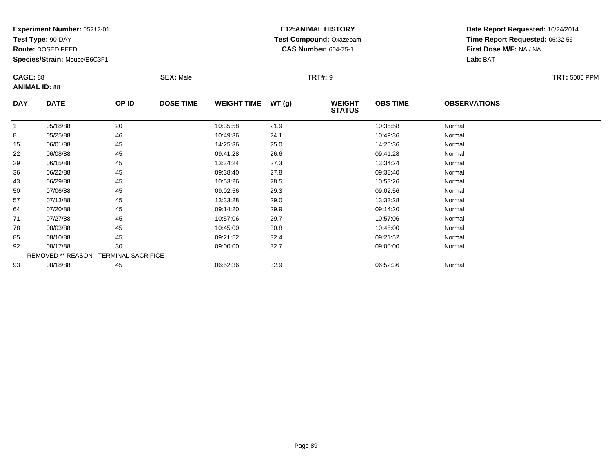**Test Type:** 90-DAY

**Route:** DOSED FEED

**Species/Strain:** Mouse/B6C3F1

# **E12:ANIMAL HISTORY Test Compound:** Oxazepam**CAS Number:** 604-75-1

**Date Report Requested:** 10/24/2014**Time Report Requested:** 06:32:56**First Dose M/F:** NA / NA**Lab:** BAT

| <b>CAGE: 88</b><br><b>ANIMAL ID: 88</b> |                                               |       | <b>SEX: Male</b><br><b>TRT#: 9</b> |                    |       |                                |                 |                     | <b>TRT: 5000 PPM</b> |
|-----------------------------------------|-----------------------------------------------|-------|------------------------------------|--------------------|-------|--------------------------------|-----------------|---------------------|----------------------|
| <b>DAY</b>                              | <b>DATE</b>                                   | OP ID | <b>DOSE TIME</b>                   | <b>WEIGHT TIME</b> | WT(g) | <b>WEIGHT</b><br><b>STATUS</b> | <b>OBS TIME</b> | <b>OBSERVATIONS</b> |                      |
|                                         | 05/18/88                                      | 20    |                                    | 10:35:58           | 21.9  |                                | 10:35:58        | Normal              |                      |
| 8                                       | 05/25/88                                      | 46    |                                    | 10:49:36           | 24.1  |                                | 10:49:36        | Normal              |                      |
| 15                                      | 06/01/88                                      | 45    |                                    | 14:25:36           | 25.0  |                                | 14:25:36        | Normal              |                      |
| 22                                      | 06/08/88                                      | 45    |                                    | 09:41:28           | 26.6  |                                | 09:41:28        | Normal              |                      |
| 29                                      | 06/15/88                                      | 45    |                                    | 13:34:24           | 27.3  |                                | 13:34:24        | Normal              |                      |
| 36                                      | 06/22/88                                      | 45    |                                    | 09:38:40           | 27.8  |                                | 09:38:40        | Normal              |                      |
| 43                                      | 06/29/88                                      | 45    |                                    | 10:53:26           | 28.5  |                                | 10:53:26        | Normal              |                      |
| 50                                      | 07/06/88                                      | 45    |                                    | 09:02:56           | 29.3  |                                | 09:02:56        | Normal              |                      |
| 57                                      | 07/13/88                                      | 45    |                                    | 13:33:28           | 29.0  |                                | 13:33:28        | Normal              |                      |
| 64                                      | 07/20/88                                      | 45    |                                    | 09:14:20           | 29.9  |                                | 09:14:20        | Normal              |                      |
| 71                                      | 07/27/88                                      | 45    |                                    | 10:57:06           | 29.7  |                                | 10:57:06        | Normal              |                      |
| 78                                      | 08/03/88                                      | 45    |                                    | 10:45:00           | 30.8  |                                | 10:45:00        | Normal              |                      |
| 85                                      | 08/10/88                                      | 45    |                                    | 09:21:52           | 32.4  |                                | 09:21:52        | Normal              |                      |
| 92                                      | 08/17/88                                      | 30    |                                    | 09:00:00           | 32.7  |                                | 09:00:00        | Normal              |                      |
|                                         | <b>REMOVED ** REASON - TERMINAL SACRIFICE</b> |       |                                    |                    |       |                                |                 |                     |                      |
| 93                                      | 08/18/88                                      | 45    |                                    | 06:52:36           | 32.9  |                                | 06:52:36        | Normal              |                      |

3 08/18/88 45 45 06:52:36 32.9 32.9 06:52:36 08/52:36 Normal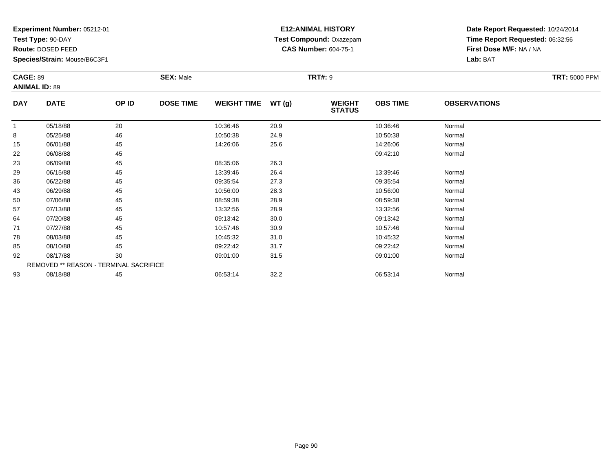**Test Type:** 90-DAY

**Route:** DOSED FEED

92

93

**Species/Strain:** Mouse/B6C3F1

# **E12:ANIMAL HISTORY Test Compound:** Oxazepam**CAS Number:** 604-75-1

**Date Report Requested:** 10/24/2014**Time Report Requested:** 06:32:56**First Dose M/F:** NA / NA**Lab:** BAT

| <b>CAGE: 89</b><br><b>ANIMAL ID: 89</b> |             |       | <b>SEX: Male</b> |                    |       | <b>TRT#: 9</b>                 | <b>TRT: 5000 PPM</b> |                     |  |
|-----------------------------------------|-------------|-------|------------------|--------------------|-------|--------------------------------|----------------------|---------------------|--|
| <b>DAY</b>                              | <b>DATE</b> | OP ID | <b>DOSE TIME</b> | <b>WEIGHT TIME</b> | WT(g) | <b>WEIGHT</b><br><b>STATUS</b> | <b>OBS TIME</b>      | <b>OBSERVATIONS</b> |  |
|                                         | 05/18/88    | 20    |                  | 10:36:46           | 20.9  |                                | 10:36:46             | Normal              |  |
| 8                                       | 05/25/88    | 46    |                  | 10:50:38           | 24.9  |                                | 10:50:38             | Normal              |  |
| 15                                      | 06/01/88    | 45    |                  | 14:26:06           | 25.6  |                                | 14:26:06             | Normal              |  |
| 22                                      | 06/08/88    | 45    |                  |                    |       |                                | 09:42:10             | Normal              |  |
| 23                                      | 06/09/88    | 45    |                  | 08:35:06           | 26.3  |                                |                      |                     |  |
| 29                                      | 06/15/88    | 45    |                  | 13:39:46           | 26.4  |                                | 13:39:46             | Normal              |  |
| 36                                      | 06/22/88    | 45    |                  | 09:35:54           | 27.3  |                                | 09:35:54             | Normal              |  |
| 43                                      | 06/29/88    | 45    |                  | 10:56:00           | 28.3  |                                | 10:56:00             | Normal              |  |
| 50                                      | 07/06/88    | 45    |                  | 08:59:38           | 28.9  |                                | 08:59:38             | Normal              |  |
| 57                                      | 07/13/88    | 45    |                  | 13:32:56           | 28.9  |                                | 13:32:56             | Normal              |  |
| 64                                      | 07/20/88    | 45    |                  | 09:13:42           | 30.0  |                                | 09:13:42             | Normal              |  |
| 71                                      | 07/27/88    | 45    |                  | 10:57:46           | 30.9  |                                | 10:57:46             | Normal              |  |
| 78                                      | 08/03/88    | 45    |                  | 10:45:32           | 31.0  |                                | 10:45:32             | Normal              |  |
| 85                                      | 08/10/88    | 45    |                  | 09:22:42           | 31.7  |                                | 09:22:42             | Normal              |  |

| 08/17/88 | 30                                     | 09:01:00 | 24<br>ບ ⊢.ບ | 09:01:00 | Normal |
|----------|----------------------------------------|----------|-------------|----------|--------|
|          | REMOVED ** REASON - TERMINAL SACRIFICE |          |             |          |        |
| 08/18/88 | 45                                     | 06:53:14 | 32.2        | 06.53.14 | Normal |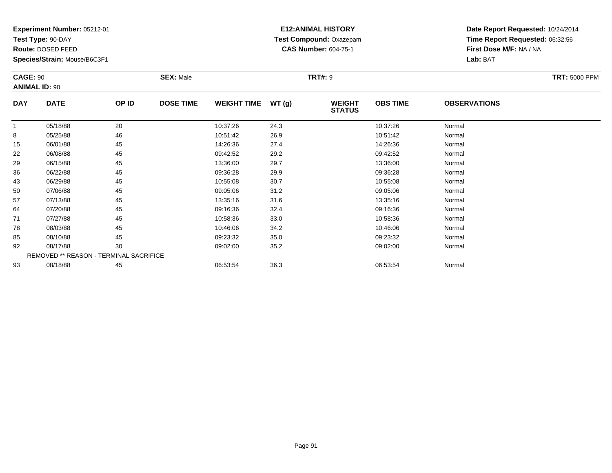**Test Type:** 90-DAY

**Route:** DOSED FEED

93

**Species/Strain:** Mouse/B6C3F1

# **E12:ANIMAL HISTORY Test Compound:** Oxazepam**CAS Number:** 604-75-1

**Date Report Requested:** 10/24/2014**Time Report Requested:** 06:32:56**First Dose M/F:** NA / NA**Lab:** BAT

| <b>CAGE: 90</b><br><b>ANIMAL ID: 90</b> |                                               | <b>SEX: Male</b>          | <b>TRT: 5000 PPM</b> |                    |       |                                |                 |                     |  |
|-----------------------------------------|-----------------------------------------------|---------------------------|----------------------|--------------------|-------|--------------------------------|-----------------|---------------------|--|
| <b>DAY</b>                              | <b>DATE</b>                                   | OP ID<br><b>DOSE TIME</b> |                      | <b>WEIGHT TIME</b> | WT(g) | <b>WEIGHT</b><br><b>STATUS</b> | <b>OBS TIME</b> | <b>OBSERVATIONS</b> |  |
| 1                                       | 05/18/88                                      | 20                        |                      | 10:37:26           | 24.3  |                                | 10:37:26        | Normal              |  |
| 8                                       | 05/25/88                                      | 46                        |                      | 10:51:42           | 26.9  |                                | 10:51:42        | Normal              |  |
| 15                                      | 06/01/88                                      | 45                        |                      | 14:26:36           | 27.4  |                                | 14:26:36        | Normal              |  |
| 22                                      | 06/08/88                                      | 45                        |                      | 09:42:52           | 29.2  |                                | 09:42:52        | Normal              |  |
| 29                                      | 06/15/88                                      | 45                        |                      | 13:36:00           | 29.7  |                                | 13:36:00        | Normal              |  |
| 36                                      | 06/22/88                                      | 45                        |                      | 09:36:28           | 29.9  |                                | 09:36:28        | Normal              |  |
| 43                                      | 06/29/88                                      | 45                        |                      | 10:55:08           | 30.7  |                                | 10:55:08        | Normal              |  |
| 50                                      | 07/06/88                                      | 45                        |                      | 09:05:06           | 31.2  |                                | 09:05:06        | Normal              |  |
| 57                                      | 07/13/88                                      | 45                        |                      | 13:35:16           | 31.6  |                                | 13:35:16        | Normal              |  |
| 64                                      | 07/20/88                                      | 45                        |                      | 09:16:36           | 32.4  |                                | 09:16:36        | Normal              |  |
| 71                                      | 07/27/88                                      | 45                        |                      | 10:58:36           | 33.0  |                                | 10:58:36        | Normal              |  |
| 78                                      | 08/03/88                                      | 45                        |                      | 10:46:06           | 34.2  |                                | 10:46:06        | Normal              |  |
| 85                                      | 08/10/88                                      | 45                        |                      | 09:23:32           | 35.0  |                                | 09:23:32        | Normal              |  |
| 92                                      | 08/17/88                                      | 30                        |                      | 09:02:00           | 35.2  |                                | 09:02:00        | Normal              |  |
|                                         | <b>REMOVED ** REASON - TERMINAL SACRIFICE</b> |                           |                      |                    |       |                                |                 |                     |  |

08/18/88 <sup>45</sup> 06:53:54 36.3 06:53:54 Normal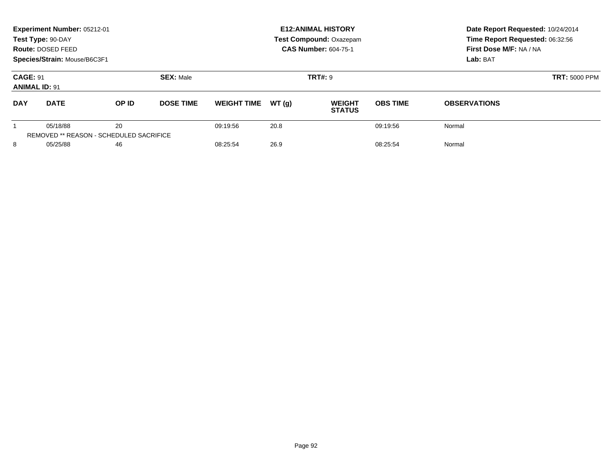| Experiment Number: 05212-01<br>Test Type: 90-DAY<br>Route: DOSED FEED<br>Species/Strain: Mouse/B6C3F1 |                                                     |       |                  | <b>E12: ANIMAL HISTORY</b><br><b>Test Compound: Oxazepam</b><br><b>CAS Number: 604-75-1</b> |       |                                |                      | Date Report Requested: 10/24/2014<br>Time Report Requested: 06:32:56<br>First Dose M/F: NA / NA<br>Lab: BAT |
|-------------------------------------------------------------------------------------------------------|-----------------------------------------------------|-------|------------------|---------------------------------------------------------------------------------------------|-------|--------------------------------|----------------------|-------------------------------------------------------------------------------------------------------------|
| <b>CAGE: 91</b><br><b>ANIMAL ID: 91</b>                                                               |                                                     |       | <b>SEX: Male</b> |                                                                                             |       | <b>TRT#: 9</b>                 | <b>TRT: 5000 PPM</b> |                                                                                                             |
| <b>DAY</b>                                                                                            | <b>DATE</b>                                         | OP ID | <b>DOSE TIME</b> | <b>WEIGHT TIME</b>                                                                          | WT(q) | <b>WEIGHT</b><br><b>STATUS</b> | <b>OBS TIME</b>      | <b>OBSERVATIONS</b>                                                                                         |
|                                                                                                       | 05/18/88<br>REMOVED ** REASON - SCHEDULED SACRIFICE | 20    |                  | 09:19:56                                                                                    | 20.8  |                                | 09:19:56             | Normal                                                                                                      |
| 8<br>05/25/88                                                                                         |                                                     | 46    |                  | 08:25:54                                                                                    | 26.9  |                                | 08:25:54             | Normal                                                                                                      |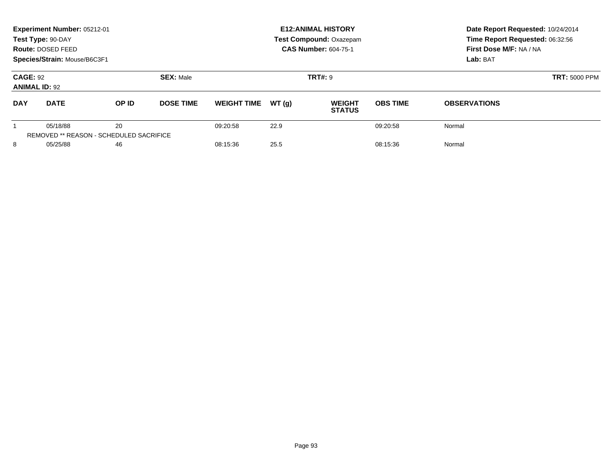| Experiment Number: 05212-01<br>Test Type: 90-DAY<br><b>Route: DOSED FEED</b><br>Species/Strain: Mouse/B6C3F1 |             |                                               |                  | <b>E12: ANIMAL HISTORY</b><br><b>Test Compound: Oxazepam</b><br><b>CAS Number: 604-75-1</b> |                |                                |                 | Date Report Requested: 10/24/2014<br>Time Report Requested: 06:32:56<br>First Dose M/F: NA / NA<br>Lab: BAT |
|--------------------------------------------------------------------------------------------------------------|-------------|-----------------------------------------------|------------------|---------------------------------------------------------------------------------------------|----------------|--------------------------------|-----------------|-------------------------------------------------------------------------------------------------------------|
| <b>SEX: Male</b><br><b>CAGE: 92</b><br><b>ANIMAL ID: 92</b>                                                  |             |                                               |                  |                                                                                             | <b>TRT#: 9</b> | <b>TRT: 5000 PPM</b>           |                 |                                                                                                             |
| <b>DAY</b>                                                                                                   | <b>DATE</b> | OP ID                                         | <b>DOSE TIME</b> | <b>WEIGHT TIME</b>                                                                          | WT(q)          | <b>WEIGHT</b><br><b>STATUS</b> | <b>OBS TIME</b> | <b>OBSERVATIONS</b>                                                                                         |
|                                                                                                              | 05/18/88    | 20<br>REMOVED ** REASON - SCHEDULED SACRIFICE |                  | 09:20:58                                                                                    | 22.9           |                                | 09:20:58        | Normal                                                                                                      |
| 8<br>05/25/88<br>46                                                                                          |             | 08:15:36                                      | 25.5             |                                                                                             | 08:15:36       | Normal                         |                 |                                                                                                             |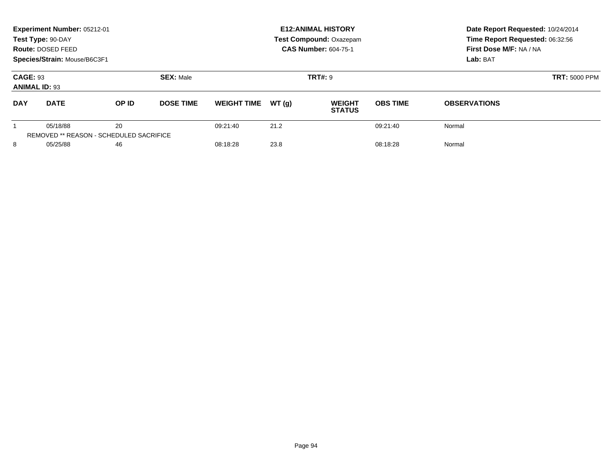|                                         | Experiment Number: 05212-01<br>Test Type: 90-DAY<br><b>Route: DOSED FEED</b><br>Species/Strain: Mouse/B6C3F1 |       |                  |                    |       | <b>E12: ANIMAL HISTORY</b><br><b>Test Compound: Oxazepam</b><br><b>CAS Number: 604-75-1</b> | Date Report Requested: 10/24/2014<br>Time Report Requested: 06:32:56<br>First Dose M/F: NA / NA<br>Lab: BAT |                      |
|-----------------------------------------|--------------------------------------------------------------------------------------------------------------|-------|------------------|--------------------|-------|---------------------------------------------------------------------------------------------|-------------------------------------------------------------------------------------------------------------|----------------------|
| <b>CAGE: 93</b><br><b>ANIMAL ID: 93</b> |                                                                                                              |       | <b>SEX: Male</b> |                    |       | <b>TRT#: 9</b>                                                                              |                                                                                                             | <b>TRT: 5000 PPM</b> |
| <b>DAY</b>                              | <b>DATE</b>                                                                                                  | OP ID | <b>DOSE TIME</b> | <b>WEIGHT TIME</b> | WT(q) | <b>WEIGHT</b><br><b>STATUS</b>                                                              | <b>OBS TIME</b>                                                                                             | <b>OBSERVATIONS</b>  |
|                                         | 05/18/88<br>REMOVED ** REASON - SCHEDULED SACRIFICE                                                          | 20    |                  | 09:21:40           | 21.2  |                                                                                             | 09:21:40                                                                                                    | Normal               |
| 8                                       | 05/25/88                                                                                                     | 46    |                  | 08:18:28           | 23.8  |                                                                                             | 08:18:28                                                                                                    | Normal               |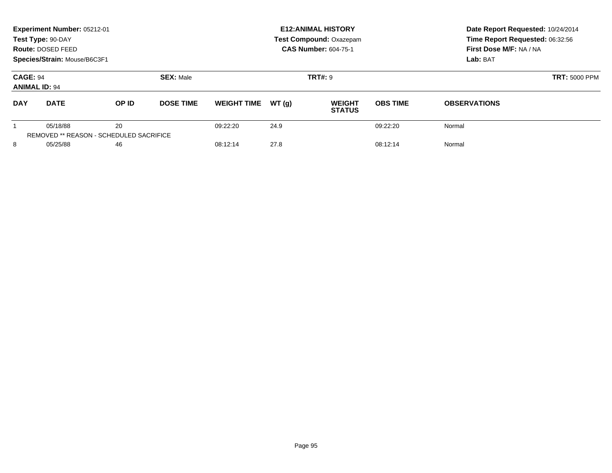|                                         | Experiment Number: 05212-01<br>Test Type: 90-DAY<br>Route: DOSED FEED<br>Species/Strain: Mouse/B6C3F1 |       |                  |                    |       | <b>E12: ANIMAL HISTORY</b><br><b>Test Compound: Oxazepam</b><br><b>CAS Number: 604-75-1</b> | Date Report Requested: 10/24/2014<br>Time Report Requested: 06:32:56<br>First Dose M/F: NA / NA<br>Lab: BAT |                     |
|-----------------------------------------|-------------------------------------------------------------------------------------------------------|-------|------------------|--------------------|-------|---------------------------------------------------------------------------------------------|-------------------------------------------------------------------------------------------------------------|---------------------|
| <b>CAGE: 94</b><br><b>ANIMAL ID: 94</b> |                                                                                                       |       | <b>SEX: Male</b> |                    |       | <b>TRT#: 9</b>                                                                              | <b>TRT: 5000 PPM</b>                                                                                        |                     |
| <b>DAY</b>                              | <b>DATE</b>                                                                                           | OP ID | <b>DOSE TIME</b> | <b>WEIGHT TIME</b> | WT(q) | <b>WEIGHT</b><br><b>STATUS</b>                                                              | <b>OBS TIME</b>                                                                                             | <b>OBSERVATIONS</b> |
|                                         | 05/18/88<br><b>REMOVED ** REASON - SCHEDULED SACRIFICE</b>                                            | 20    |                  | 09:22:20           | 24.9  |                                                                                             | 09:22:20                                                                                                    | Normal              |
| 8                                       | 05/25/88                                                                                              | 46    |                  | 08:12:14           | 27.8  |                                                                                             | 08:12:14                                                                                                    | Normal              |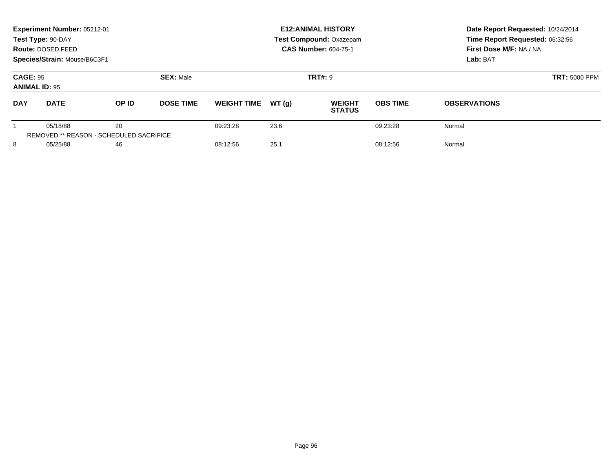|                                         | Experiment Number: 05212-01<br>Test Type: 90-DAY<br>Route: DOSED FEED<br>Species/Strain: Mouse/B6C3F1 |                                               |                  |                    |       | <b>E12: ANIMAL HISTORY</b><br><b>Test Compound: Oxazepam</b><br><b>CAS Number: 604-75-1</b> | Date Report Requested: 10/24/2014<br>Time Report Requested: 06:32:56<br>First Dose M/F: NA / NA<br>Lab: BAT |                      |
|-----------------------------------------|-------------------------------------------------------------------------------------------------------|-----------------------------------------------|------------------|--------------------|-------|---------------------------------------------------------------------------------------------|-------------------------------------------------------------------------------------------------------------|----------------------|
| <b>CAGE: 95</b><br><b>ANIMAL ID: 95</b> |                                                                                                       |                                               | <b>SEX: Male</b> |                    |       | <b>TRT#: 9</b>                                                                              |                                                                                                             | <b>TRT: 5000 PPM</b> |
| <b>DAY</b>                              | <b>DATE</b>                                                                                           | OP ID                                         | <b>DOSE TIME</b> | <b>WEIGHT TIME</b> | WT(q) | <b>WEIGHT</b><br><b>STATUS</b>                                                              | <b>OBS TIME</b>                                                                                             | <b>OBSERVATIONS</b>  |
|                                         | 05/18/88                                                                                              | 20<br>REMOVED ** REASON - SCHEDULED SACRIFICE |                  | 09:23:28           | 23.6  |                                                                                             | 09:23:28                                                                                                    | Normal               |
| 8                                       | 05/25/88                                                                                              | 46                                            |                  | 08:12:56           | 25.1  |                                                                                             | 08:12:56                                                                                                    | Normal               |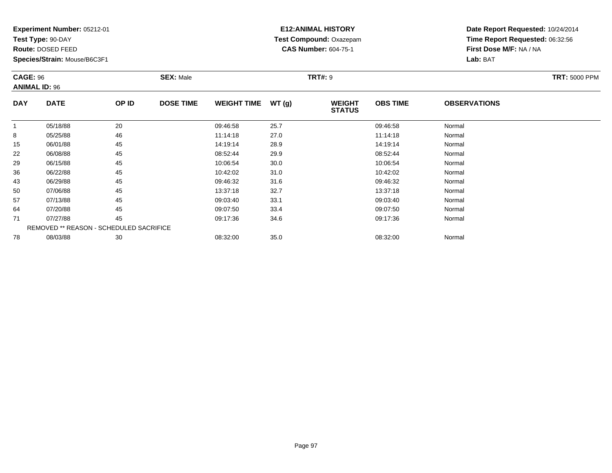**Test Type:** 90-DAY

**Route:** DOSED FEED

78

**Species/Strain:** Mouse/B6C3F1

# **E12:ANIMAL HISTORY Test Compound:** Oxazepam**CAS Number:** 604-75-1

**Date Report Requested:** 10/24/2014**Time Report Requested:** 06:32:56**First Dose M/F:** NA / NA**Lab:** BAT

| <b>CAGE: 96</b><br><b>ANIMAL ID: 96</b> |                                                | <b>SEX: Male</b> | <b>TRT: 5000 PPM</b> |                    |       |                                |                 |                     |  |
|-----------------------------------------|------------------------------------------------|------------------|----------------------|--------------------|-------|--------------------------------|-----------------|---------------------|--|
| <b>DAY</b>                              | <b>DATE</b>                                    | OP ID            | <b>DOSE TIME</b>     | <b>WEIGHT TIME</b> | WT(g) | <b>WEIGHT</b><br><b>STATUS</b> | <b>OBS TIME</b> | <b>OBSERVATIONS</b> |  |
|                                         | 05/18/88                                       | 20               |                      | 09:46:58           | 25.7  |                                | 09:46:58        | Normal              |  |
| 8                                       | 05/25/88                                       | 46               |                      | 11:14:18           | 27.0  |                                | 11:14:18        | Normal              |  |
| 15                                      | 06/01/88                                       | 45               |                      | 14:19:14           | 28.9  |                                | 14:19:14        | Normal              |  |
| 22                                      | 06/08/88                                       | 45               |                      | 08:52:44           | 29.9  |                                | 08:52:44        | Normal              |  |
| 29                                      | 06/15/88                                       | 45               |                      | 10:06:54           | 30.0  |                                | 10:06:54        | Normal              |  |
| 36                                      | 06/22/88                                       | 45               |                      | 10:42:02           | 31.0  |                                | 10:42:02        | Normal              |  |
| 43                                      | 06/29/88                                       | 45               |                      | 09:46:32           | 31.6  |                                | 09:46:32        | Normal              |  |
| 50                                      | 07/06/88                                       | 45               |                      | 13:37:18           | 32.7  |                                | 13:37:18        | Normal              |  |
| 57                                      | 07/13/88                                       | 45               |                      | 09:03:40           | 33.1  |                                | 09:03:40        | Normal              |  |
| 64                                      | 07/20/88                                       | 45               |                      | 09:07:50           | 33.4  |                                | 09:07:50        | Normal              |  |
| 71                                      | 07/27/88                                       | 45               |                      | 09:17:36           | 34.6  |                                | 09:17:36        | Normal              |  |
|                                         | <b>REMOVED ** REASON - SCHEDULED SACRIFICE</b> |                  |                      |                    |       |                                |                 |                     |  |

8 08/03/88 30 30 08:32:00 35.0 35.0 08:32:00 08:32:00 08:32:00 08:32:00 08:32:00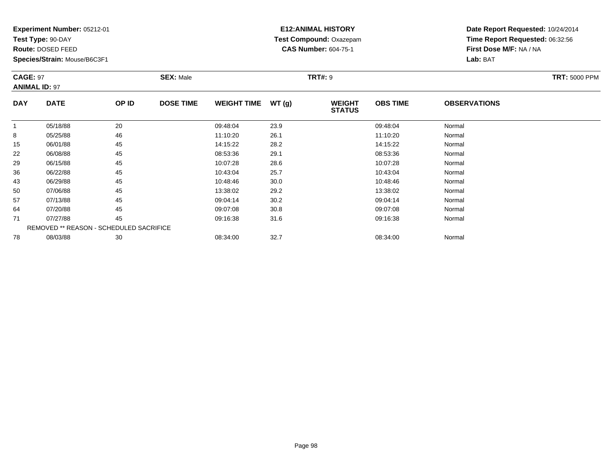**Test Type:** 90-DAY

**Route:** DOSED FEED

57

64

71

78

**Species/Strain:** Mouse/B6C3F1

REMOVED \*\* REASON - SCHEDULED SACRIFICE

# **E12:ANIMAL HISTORY Test Compound:** Oxazepam**CAS Number:** 604-75-1

**Date Report Requested:** 10/24/2014**Time Report Requested:** 06:32:56**First Dose M/F:** NA / NA**Lab:** BAT

| <b>CAGE: 97</b><br><b>ANIMAL ID: 97</b> |             |       | <b>SEX: Male</b> |                    |       | <b>TRT#: 9</b>                 |                 | <b>TRT: 5000 PPM</b> |  |
|-----------------------------------------|-------------|-------|------------------|--------------------|-------|--------------------------------|-----------------|----------------------|--|
| <b>DAY</b>                              | <b>DATE</b> | OP ID | <b>DOSE TIME</b> | <b>WEIGHT TIME</b> | WT(g) | <b>WEIGHT</b><br><b>STATUS</b> | <b>OBS TIME</b> | <b>OBSERVATIONS</b>  |  |
|                                         | 05/18/88    | 20    |                  | 09:48:04           | 23.9  |                                | 09:48:04        | Normal               |  |
| 8                                       | 05/25/88    | 46    |                  | 11:10:20           | 26.1  |                                | 11:10:20        | Normal               |  |
| 15                                      | 06/01/88    | 45    |                  | 14:15:22           | 28.2  |                                | 14:15:22        | Normal               |  |
| 22                                      | 06/08/88    | 45    |                  | 08:53:36           | 29.1  |                                | 08:53:36        | Normal               |  |
| 29                                      | 06/15/88    | 45    |                  | 10:07:28           | 28.6  |                                | 10:07:28        | Normal               |  |
| 36                                      | 06/22/88    | 45    |                  | 10:43:04           | 25.7  |                                | 10:43:04        | Normal               |  |
| 43                                      | 06/29/88    | 45    |                  | 10:48:46           | 30.0  |                                | 10:48:46        | Normal               |  |
| 50                                      | 07/06/88    | 45    |                  | 13:38:02           | 29.2  |                                | 13:38:02        | Normal               |  |

0 07/06/88 45 13:38:02 29.2 13:38:02 Normal

07/13/88 <sup>45</sup> 09:04:14 30.2 09:04:14 Normal

4 07/20/88 45 45 09:07:08 30.8 09:07:08 09:07:08 Normal

1 07/27/88 45 45 09:16:38 31.6 09:16:38 09:16:38 09:16:38 Normal

8 08/03/88 30 30 08:34:00 32.7 32.7 08:34:00 33.34:00 08:34:00 33.7 38.34:00 33.7 38.34:00 38:34:00 38:34:00 0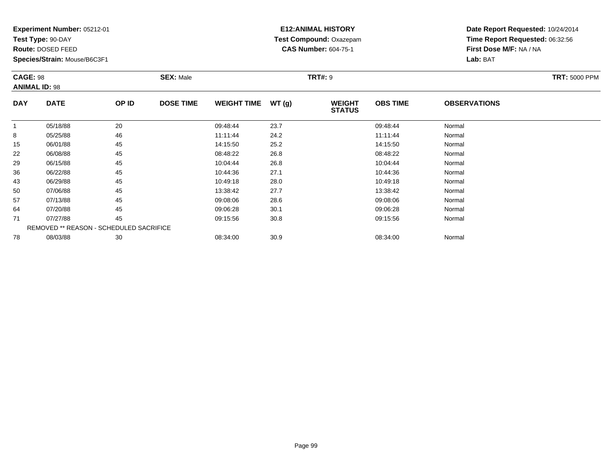**Test Type:** 90-DAY

**Route:** DOSED FEED

78

**Species/Strain:** Mouse/B6C3F1

# **E12:ANIMAL HISTORY Test Compound:** Oxazepam**CAS Number:** 604-75-1

**Date Report Requested:** 10/24/2014**Time Report Requested:** 06:32:56**First Dose M/F:** NA / NA**Lab:** BAT

| <b>CAGE: 98</b><br><b>ANIMAL ID: 98</b> |                                         | <b>SEX: Male</b> |                  |                    | <b>TRT#: 9</b> | <b>TRT: 5000 PPM</b>           |                 |                     |  |
|-----------------------------------------|-----------------------------------------|------------------|------------------|--------------------|----------------|--------------------------------|-----------------|---------------------|--|
| <b>DAY</b>                              | <b>DATE</b>                             | OP ID            | <b>DOSE TIME</b> | <b>WEIGHT TIME</b> | WT(g)          | <b>WEIGHT</b><br><b>STATUS</b> | <b>OBS TIME</b> | <b>OBSERVATIONS</b> |  |
| $\mathbf{1}$                            | 05/18/88                                | 20               |                  | 09:48:44           | 23.7           |                                | 09:48:44        | Normal              |  |
| 8                                       | 05/25/88                                | 46               |                  | 11:11:44           | 24.2           |                                | 11:11:44        | Normal              |  |
| 15                                      | 06/01/88                                | 45               |                  | 14:15:50           | 25.2           |                                | 14:15:50        | Normal              |  |
| 22                                      | 06/08/88                                | 45               |                  | 08:48:22           | 26.8           |                                | 08:48:22        | Normal              |  |
| 29                                      | 06/15/88                                | 45               |                  | 10:04:44           | 26.8           |                                | 10:04:44        | Normal              |  |
| 36                                      | 06/22/88                                | 45               |                  | 10:44:36           | 27.1           |                                | 10:44:36        | Normal              |  |
| 43                                      | 06/29/88                                | 45               |                  | 10:49:18           | 28.0           |                                | 10:49:18        | Normal              |  |
| 50                                      | 07/06/88                                | 45               |                  | 13:38:42           | 27.7           |                                | 13:38:42        | Normal              |  |
| 57                                      | 07/13/88                                | 45               |                  | 09:08:06           | 28.6           |                                | 09:08:06        | Normal              |  |
| 64                                      | 07/20/88                                | 45               |                  | 09:06:28           | 30.1           |                                | 09:06:28        | Normal              |  |
| 71                                      | 07/27/88                                | 45               |                  | 09:15:56           | 30.8           |                                | 09:15:56        | Normal              |  |
|                                         | REMOVED ** REASON - SCHEDULED SACRIFICE |                  |                  |                    |                |                                |                 |                     |  |

8 08/03/88 30 30 08:34:00 30.9 30.9 08:34:00 30.9 30.9 08:34:00 30.9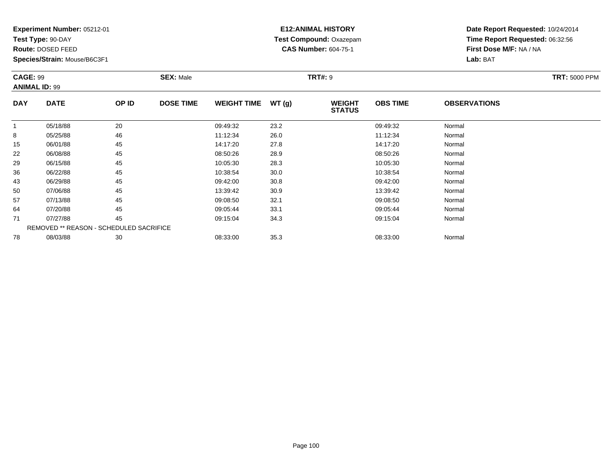**Test Type:** 90-DAY

**Route:** DOSED FEED

64

71

78

**Species/Strain:** Mouse/B6C3F1

REMOVED \*\* REASON - SCHEDULED SACRIFICE

# **E12:ANIMAL HISTORY Test Compound:** Oxazepam**CAS Number:** 604-75-1

**Date Report Requested:** 10/24/2014**Time Report Requested:** 06:32:56**First Dose M/F:** NA / NA**Lab:** BAT

| <b>CAGE: 99</b><br><b>ANIMAL ID: 99</b> |             | <b>SEX: Male</b> | <b>TRT: 5000 PPM</b> |                    |       |                                |                 |                     |  |
|-----------------------------------------|-------------|------------------|----------------------|--------------------|-------|--------------------------------|-----------------|---------------------|--|
| <b>DAY</b>                              | <b>DATE</b> | OP ID            | <b>DOSE TIME</b>     | <b>WEIGHT TIME</b> | WT(g) | <b>WEIGHT</b><br><b>STATUS</b> | <b>OBS TIME</b> | <b>OBSERVATIONS</b> |  |
|                                         | 05/18/88    | 20               |                      | 09:49:32           | 23.2  |                                | 09:49:32        | Normal              |  |
| 8                                       | 05/25/88    | 46               |                      | 11:12:34           | 26.0  |                                | 11:12:34        | Normal              |  |
| 15                                      | 06/01/88    | 45               |                      | 14:17:20           | 27.8  |                                | 14:17:20        | Normal              |  |
| 22                                      | 06/08/88    | 45               |                      | 08:50:26           | 28.9  |                                | 08:50:26        | Normal              |  |
| 29                                      | 06/15/88    | 45               |                      | 10:05:30           | 28.3  |                                | 10:05:30        | Normal              |  |
| 36                                      | 06/22/88    | 45               |                      | 10:38:54           | 30.0  |                                | 10:38:54        | Normal              |  |
| 43                                      | 06/29/88    | 45               |                      | 09:42:00           | 30.8  |                                | 09:42:00        | Normal              |  |
| 50                                      | 07/06/88    | 45               |                      | 13:39:42           | 30.9  |                                | 13:39:42        | Normal              |  |
| 57                                      | 07/13/88    | 45               |                      | 09:08:50           | 32.1  |                                | 09:08:50        | Normal              |  |

7 07/13/88 45 45 09:08:50 32.1 09:08:50 09:08:50 09:08:50 07/13/88 Normal

4 07/20/88 45 45 09:05:44 33.1 09:05:44 07/20/88 Normal

1 07/27/88 45 45 09:15:04 34.3 05 09:15:04 09:15:04 Normal

8 08/03/88 30 30 08:33:00 35.3 36.3 08:33:00 35.3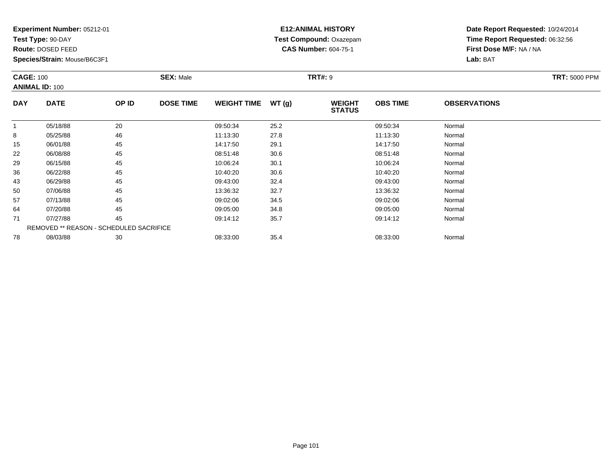**Test Type:** 90-DAY

**Route:** DOSED FEED

78

**Species/Strain:** Mouse/B6C3F1

# **E12:ANIMAL HISTORY Test Compound:** Oxazepam**CAS Number:** 604-75-1

**Date Report Requested:** 10/24/2014**Time Report Requested:** 06:32:56**First Dose M/F:** NA / NA**Lab:** BAT

| <b>CAGE: 100</b><br><b>ANIMAL ID: 100</b> |             | <b>SEX: Male</b> |                  |                    | <b>TRT#: 9</b> | <b>TRT: 5000 PPM</b>           |                 |                     |  |
|-------------------------------------------|-------------|------------------|------------------|--------------------|----------------|--------------------------------|-----------------|---------------------|--|
| <b>DAY</b>                                | <b>DATE</b> | OP ID            | <b>DOSE TIME</b> | <b>WEIGHT TIME</b> | WT(g)          | <b>WEIGHT</b><br><b>STATUS</b> | <b>OBS TIME</b> | <b>OBSERVATIONS</b> |  |
| 1                                         | 05/18/88    | 20               |                  | 09:50:34           | 25.2           |                                | 09:50:34        | Normal              |  |
| 8                                         | 05/25/88    | 46               |                  | 11:13:30           | 27.8           |                                | 11:13:30        | Normal              |  |
| 15                                        | 06/01/88    | 45               |                  | 14:17:50           | 29.1           |                                | 14:17:50        | Normal              |  |
| 22                                        | 06/08/88    | 45               |                  | 08:51:48           | 30.6           |                                | 08:51:48        | Normal              |  |
| 29                                        | 06/15/88    | 45               |                  | 10:06:24           | 30.1           |                                | 10:06:24        | Normal              |  |
| 36                                        | 06/22/88    | 45               |                  | 10:40:20           | 30.6           |                                | 10:40:20        | Normal              |  |
| 43                                        | 06/29/88    | 45               |                  | 09:43:00           | 32.4           |                                | 09:43:00        | Normal              |  |
| 50                                        | 07/06/88    | 45               |                  | 13:36:32           | 32.7           |                                | 13:36:32        | Normal              |  |
| 57                                        | 07/13/88    | 45               |                  | 09:02:06           | 34.5           |                                | 09:02:06        | Normal              |  |
| 64                                        | 07/20/88    | 45               |                  | 09:05:00           | 34.8           |                                | 09:05:00        | Normal              |  |
| 71                                        | 07/27/88    | 45               |                  | 09:14:12           | 35.7           |                                | 09:14:12        | Normal              |  |

REMOVED \*\* REASON - SCHEDULED SACRIFICE8 08/03/88 30 30 08:33:00 35.4 35.4 08:33:00 08:33:00 35.4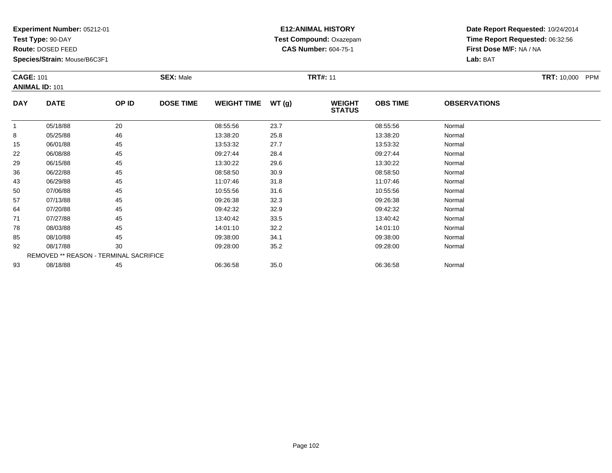**Test Type:** 90-DAY

**Route:** DOSED FEED

64

71

78

85

92

93

**Species/Strain:** Mouse/B6C3F1

REMOVED \*\* REASON - TERMINAL SACRIFICE

# **E12:ANIMAL HISTORY Test Compound:** Oxazepam**CAS Number:** 604-75-1

**Date Report Requested:** 10/24/2014**Time Report Requested:** 06:32:56**First Dose M/F:** NA / NA**Lab:** BAT

|            | <b>CAGE: 101</b><br><b>ANIMAL ID: 101</b> |       | <b>SEX: Male</b> |                    |       | <b>TRT#: 11</b>                |                 | <b>TRT: 10,000</b><br><b>PPM</b> |  |
|------------|-------------------------------------------|-------|------------------|--------------------|-------|--------------------------------|-----------------|----------------------------------|--|
| <b>DAY</b> | <b>DATE</b>                               | OP ID | <b>DOSE TIME</b> | <b>WEIGHT TIME</b> | WT(g) | <b>WEIGHT</b><br><b>STATUS</b> | <b>OBS TIME</b> | <b>OBSERVATIONS</b>              |  |
|            | 05/18/88                                  | 20    |                  | 08:55:56           | 23.7  |                                | 08:55:56        | Normal                           |  |
| 8          | 05/25/88                                  | 46    |                  | 13:38:20           | 25.8  |                                | 13:38:20        | Normal                           |  |
| 15         | 06/01/88                                  | 45    |                  | 13:53:32           | 27.7  |                                | 13:53:32        | Normal                           |  |
| 22         | 06/08/88                                  | 45    |                  | 09:27:44           | 28.4  |                                | 09:27:44        | Normal                           |  |
| 29         | 06/15/88                                  | 45    |                  | 13:30:22           | 29.6  |                                | 13:30:22        | Normal                           |  |
| 36         | 06/22/88                                  | 45    |                  | 08:58:50           | 30.9  |                                | 08:58:50        | Normal                           |  |
| 43         | 06/29/88                                  | 45    |                  | 11:07:46           | 31.8  |                                | 11:07:46        | Normal                           |  |
| 50         | 07/06/88                                  | 45    |                  | 10:55:56           | 31.6  |                                | 10:55:56        | Normal                           |  |
| 57         | 07/13/88                                  | 45    |                  | 09:26:38           | 32.3  |                                | 09:26:38        | Normal                           |  |

4 07/20/88 45 45 09:42:32 32.9 32.9 09:42:32 09:42:32 Normal

1 07/27/88 45 45 13:40:42 33.5 13:40:42 13:40:42 Normal

8 08/03/88 45 14:01:10 32.2 14:01:10 14:01:10 32.2

08/10/88 <sup>45</sup> 09:38:00 34.1 09:38:00 Normal

2 08/17/88 30 30 09:28:00 35.2 35.2 09:28:00 35.2

3 08/18/88 45 45 06:36:58 35.0 35.0 06:36:58 06:36:58 Normal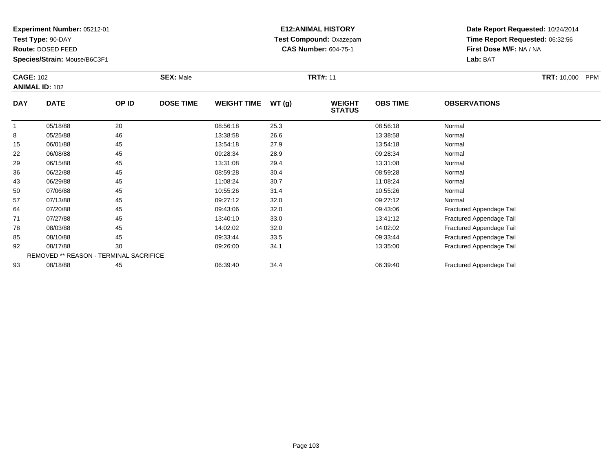**Test Type:** 90-DAY

**Route:** DOSED FEED

**Species/Strain:** Mouse/B6C3F1

# **E12:ANIMAL HISTORY Test Compound:** Oxazepam**CAS Number:** 604-75-1

**Date Report Requested:** 10/24/2014 **Time Report Requested:** 06:32:56**First Dose M/F:** NA / NA**Lab:** BAT

| <b>CAGE: 102</b><br><b>ANIMAL ID: 102</b> |             |       | <b>SEX: Male</b> |                    |       | <b>TRT#: 11</b>                | <b>TRT: 10,000</b><br><b>PPM</b> |                     |  |
|-------------------------------------------|-------------|-------|------------------|--------------------|-------|--------------------------------|----------------------------------|---------------------|--|
| <b>DAY</b>                                | <b>DATE</b> | OP ID | <b>DOSE TIME</b> | <b>WEIGHT TIME</b> | WT(g) | <b>WEIGHT</b><br><b>STATUS</b> | <b>OBS TIME</b>                  | <b>OBSERVATIONS</b> |  |
|                                           | 05/18/88    | 20    |                  | 08:56:18           | 25.3  |                                | 08:56:18                         | Normal              |  |
| $\Omega$                                  | DE/DE/0.0   | AC    |                  | 10.00.50           | no o  |                                | 10.00.50                         | Normal              |  |

|    | 05/18/88 | 20                                            | 08:56:18 | 25.3 | 08:56:18 | Normal                          |  |
|----|----------|-----------------------------------------------|----------|------|----------|---------------------------------|--|
| 8  | 05/25/88 | 46                                            | 13:38:58 | 26.6 | 13:38:58 | Normal                          |  |
| 15 | 06/01/88 | 45                                            | 13:54:18 | 27.9 | 13:54:18 | Normal                          |  |
| 22 | 06/08/88 | 45                                            | 09:28:34 | 28.9 | 09:28:34 | Normal                          |  |
| 29 | 06/15/88 | 45                                            | 13:31:08 | 29.4 | 13:31:08 | Normal                          |  |
| 36 | 06/22/88 | 45                                            | 08:59:28 | 30.4 | 08:59:28 | Normal                          |  |
| 43 | 06/29/88 | 45                                            | 11:08:24 | 30.7 | 11:08:24 | Normal                          |  |
| 50 | 07/06/88 | 45                                            | 10:55:26 | 31.4 | 10:55:26 | Normal                          |  |
| 57 | 07/13/88 | 45                                            | 09:27:12 | 32.0 | 09:27:12 | Normal                          |  |
| 64 | 07/20/88 | 45                                            | 09:43:06 | 32.0 | 09:43:06 | Fractured Appendage Tail        |  |
| 71 | 07/27/88 | 45                                            | 13:40:10 | 33.0 | 13:41:12 | Fractured Appendage Tail        |  |
| 78 | 08/03/88 | 45                                            | 14:02:02 | 32.0 | 14:02:02 | <b>Fractured Appendage Tail</b> |  |
| 85 | 08/10/88 | 45                                            | 09:33:44 | 33.5 | 09:33:44 | <b>Fractured Appendage Tail</b> |  |
| 92 | 08/17/88 | 30                                            | 09:26:00 | 34.1 | 13:35:00 | Fractured Appendage Tail        |  |
|    |          | <b>REMOVED ** REASON - TERMINAL SACRIFICE</b> |          |      |          |                                 |  |
| 93 | 08/18/88 | 45                                            | 06:39:40 | 34.4 | 06:39:40 | <b>Fractured Appendage Tail</b> |  |
|    |          |                                               |          |      |          |                                 |  |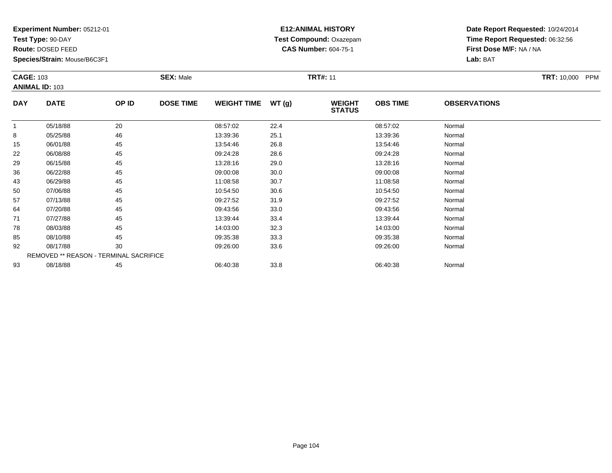**Test Type:** 90-DAY

**Route:** DOSED FEED

85

92

93

**Species/Strain:** Mouse/B6C3F1

REMOVED \*\* REASON - TERMINAL SACRIFICE

# **E12:ANIMAL HISTORY Test Compound:** Oxazepam**CAS Number:** 604-75-1

**Date Report Requested:** 10/24/2014**Time Report Requested:** 06:32:56**First Dose M/F:** NA / NA**Lab:** BAT

|            | <b>CAGE: 103</b><br><b>ANIMAL ID: 103</b> |       | <b>SEX: Male</b> |                    |       | <b>TRT#: 11</b>                |                 | TRT: 10,000 PPM     |  |
|------------|-------------------------------------------|-------|------------------|--------------------|-------|--------------------------------|-----------------|---------------------|--|
| <b>DAY</b> | <b>DATE</b>                               | OP ID | <b>DOSE TIME</b> | <b>WEIGHT TIME</b> | WT(g) | <b>WEIGHT</b><br><b>STATUS</b> | <b>OBS TIME</b> | <b>OBSERVATIONS</b> |  |
|            | 05/18/88                                  | 20    |                  | 08:57:02           | 22.4  |                                | 08:57:02        | Normal              |  |
| 8          | 05/25/88                                  | 46    |                  | 13:39:36           | 25.1  |                                | 13:39:36        | Normal              |  |
| 15         | 06/01/88                                  | 45    |                  | 13:54:46           | 26.8  |                                | 13:54:46        | Normal              |  |
| 22         | 06/08/88                                  | 45    |                  | 09:24:28           | 28.6  |                                | 09:24:28        | Normal              |  |
| 29         | 06/15/88                                  | 45    |                  | 13:28:16           | 29.0  |                                | 13:28:16        | Normal              |  |
| 36         | 06/22/88                                  | 45    |                  | 09:00:08           | 30.0  |                                | 09:00:08        | Normal              |  |
| 43         | 06/29/88                                  | 45    |                  | 11:08:58           | 30.7  |                                | 11:08:58        | Normal              |  |
| 50         | 07/06/88                                  | 45    |                  | 10:54:50           | 30.6  |                                | 10:54:50        | Normal              |  |
| 57         | 07/13/88                                  | 45    |                  | 09:27:52           | 31.9  |                                | 09:27:52        | Normal              |  |
| 64         | 07/20/88                                  | 45    |                  | 09:43:56           | 33.0  |                                | 09:43:56        | Normal              |  |
| 71         | 07/27/88                                  | 45    |                  | 13:39:44           | 33.4  |                                | 13:39:44        | Normal              |  |
| 78         | 08/03/88                                  | 45    |                  | 14:03:00           | 32.3  |                                | 14:03:00        | Normal              |  |

08/10/88 <sup>45</sup> 09:35:38 33.3 09:35:38 Normal

2 08/17/88 30 30 09:26:00 33.6 09:26:00 09:26:00 33.6

08/18/88 <sup>45</sup> 06:40:38 33.8 06:40:38 Normal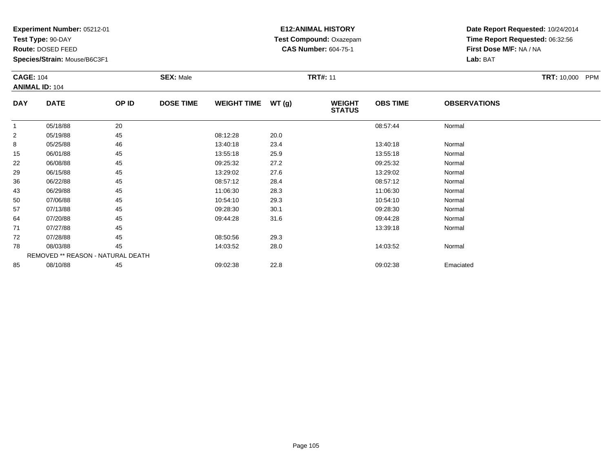**Test Type:** 90-DAY

**Route:** DOSED FEED

50

57

64

71

72

78

85

**Species/Strain:** Mouse/B6C3F1

# **E12:ANIMAL HISTORY Test Compound:** Oxazepam**CAS Number:** 604-75-1

**Date Report Requested:** 10/24/2014**Time Report Requested:** 06:32:56**First Dose M/F:** NA / NA**Lab:** BAT

| <b>CAGE: 104</b><br><b>ANIMAL ID: 104</b> |             |       | <b>SEX: Male</b> |                    |       | <b>TRT#: 11</b>                | <b>TRT: 10,000 PPM</b> |                     |  |
|-------------------------------------------|-------------|-------|------------------|--------------------|-------|--------------------------------|------------------------|---------------------|--|
| <b>DAY</b>                                | <b>DATE</b> | OP ID | <b>DOSE TIME</b> | <b>WEIGHT TIME</b> | WT(g) | <b>WEIGHT</b><br><b>STATUS</b> | <b>OBS TIME</b>        | <b>OBSERVATIONS</b> |  |
|                                           | 05/18/88    | 20    |                  |                    |       |                                | 08:57:44               | Normal              |  |
| 2                                         | 05/19/88    | 45    |                  | 08:12:28           | 20.0  |                                |                        |                     |  |
| 8                                         | 05/25/88    | 46    |                  | 13:40:18           | 23.4  |                                | 13:40:18               | Normal              |  |
| 15                                        | 06/01/88    | 45    |                  | 13:55:18           | 25.9  |                                | 13:55:18               | Normal              |  |
| 22                                        | 06/08/88    | 45    |                  | 09:25:32           | 27.2  |                                | 09:25:32               | Normal              |  |
| 29                                        | 06/15/88    | 45    |                  | 13:29:02           | 27.6  |                                | 13:29:02               | Normal              |  |
| 36                                        | 06/22/88    | 45    |                  | 08:57:12           | 28.4  |                                | 08:57:12               | Normal              |  |
| 43                                        | 06/29/88    | 45    |                  | 11:06:30           | 28.3  |                                | 11:06:30               | Normal              |  |

0 07/06/88 45 10:54:10 29.3 10:54:10 Normal

7 07/13/88 45 45 09:28:30 30.1 09:28:30 09:28:30 09:28:30 09:28:30 09:28:30

4 07/20/88 45 45 09:44:28 31.6 09:44:28 09:44:28 Normal

1 07/27/88 45 13:39:18 13:39:18 Normal

8 08/03/88 45 45 14:03:52 28.0 14:03 14:03 14:03 14:03 14:03 14:03 14:03:52 Normal

08/10/88 <sup>45</sup> 09:02:38 22.8 09:02:38 Emaciated

07/28/88 <sup>45</sup> 08:50:56 29.3

REMOVED \*\* REASON - NATURAL DEATH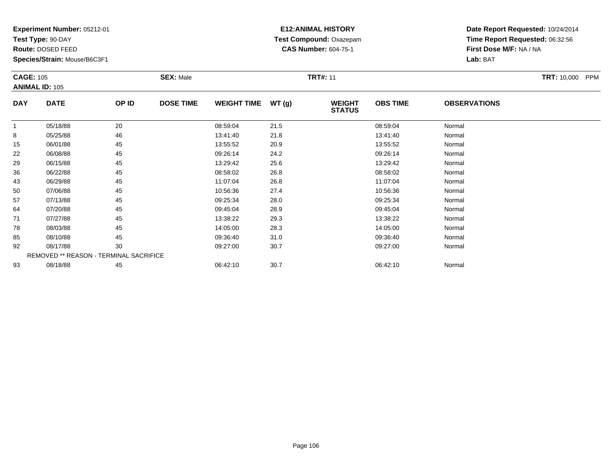**Test Type:** 90-DAY

**Route:** DOSED FEED

**Species/Strain:** Mouse/B6C3F1

# **E12:ANIMAL HISTORY Test Compound:** Oxazepam**CAS Number:** 604-75-1

**Date Report Requested:** 10/24/2014 **Time Report Requested:** 06:32:56**First Dose M/F:** NA / NA**Lab:** BAT

| <b>CAGE: 105</b><br><b>ANIMAL ID: 105</b> |             |       | <b>SEX: Male</b> |                    |       | <b>TRT#: 11</b>                | <b>TRT: 10,000</b><br><b>PPM</b> |                     |  |
|-------------------------------------------|-------------|-------|------------------|--------------------|-------|--------------------------------|----------------------------------|---------------------|--|
| <b>DAY</b>                                | <b>DATE</b> | OP ID | <b>DOSE TIME</b> | <b>WEIGHT TIME</b> | WT(g) | <b>WEIGHT</b><br><b>STATUS</b> | <b>OBS TIME</b>                  | <b>OBSERVATIONS</b> |  |
|                                           | 05/18/88    | 20    |                  | 08:59:04           | 21.5  |                                | 08:59:04                         | Normal              |  |
| 8                                         | 05/25/88    | 46    |                  | 13:41:40           | 21.8  |                                | 13:41:40                         | Normal              |  |
| 15                                        | 06/01/88    | 45    |                  | 13:55:52           | 20.9  |                                | 13:55:52                         | Normal              |  |
| 22                                        | 06/08/88    | 45    |                  | 09:26:14           | 24.2  |                                | 09:26:14                         | Normal              |  |

| 15 | 06/01/88 | 45                                            | 13:55:52 | 20.9 | 13:55:52 | Normal |  |
|----|----------|-----------------------------------------------|----------|------|----------|--------|--|
| 22 | 06/08/88 | 45                                            | 09:26:14 | 24.2 | 09:26:14 | Normal |  |
| 29 | 06/15/88 | 45                                            | 13:29:42 | 25.6 | 13:29:42 | Normal |  |
| 36 | 06/22/88 | 45                                            | 08:58:02 | 26.8 | 08:58:02 | Normal |  |
| 43 | 06/29/88 | 45                                            | 11:07:04 | 26.8 | 11:07:04 | Normal |  |
| 50 | 07/06/88 | 45                                            | 10:56:36 | 27.4 | 10:56:36 | Normal |  |
| 57 | 07/13/88 | 45                                            | 09:25:34 | 28.0 | 09:25:34 | Normal |  |
| 64 | 07/20/88 | 45                                            | 09:45:04 | 28.9 | 09:45:04 | Normal |  |
| 71 | 07/27/88 | 45                                            | 13:38:22 | 29.3 | 13:38:22 | Normal |  |
| 78 | 08/03/88 | 45                                            | 14:05:00 | 28.3 | 14:05:00 | Normal |  |
| 85 | 08/10/88 | 45                                            | 09:36:40 | 31.0 | 09:36:40 | Normal |  |
| 92 | 08/17/88 | 30                                            | 09:27:00 | 30.7 | 09:27:00 | Normal |  |
|    |          | <b>REMOVED ** REASON - TERMINAL SACRIFICE</b> |          |      |          |        |  |
| 93 | 08/18/88 | 45                                            | 06:42:10 | 30.7 | 06:42:10 | Normal |  |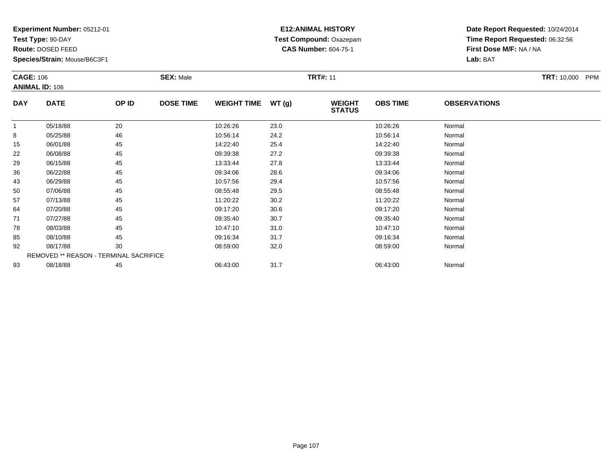**Test Type:** 90-DAY

**Route:** DOSED FEED

93

**Species/Strain:** Mouse/B6C3F1

REMOVED \*\* REASON - TERMINAL SACRIFICE

# **E12:ANIMAL HISTORY Test Compound:** Oxazepam**CAS Number:** 604-75-1

**Date Report Requested:** 10/24/2014**Time Report Requested:** 06:32:56**First Dose M/F:** NA / NA**Lab:** BAT

| <b>CAGE: 106</b><br><b>ANIMAL ID: 106</b> |             |       | <b>SEX: Male</b> |                    |       | TRT: 10,000 PPM                |                 |                     |  |
|-------------------------------------------|-------------|-------|------------------|--------------------|-------|--------------------------------|-----------------|---------------------|--|
| <b>DAY</b>                                | <b>DATE</b> | OP ID | <b>DOSE TIME</b> | <b>WEIGHT TIME</b> | WT(g) | <b>WEIGHT</b><br><b>STATUS</b> | <b>OBS TIME</b> | <b>OBSERVATIONS</b> |  |
|                                           | 05/18/88    | 20    |                  | 10:26:26           | 23.0  |                                | 10:26:26        | Normal              |  |
| 8                                         | 05/25/88    | 46    |                  | 10:56:14           | 24.2  |                                | 10:56:14        | Normal              |  |
| 15                                        | 06/01/88    | 45    |                  | 14:22:40           | 25.4  |                                | 14:22:40        | Normal              |  |
| 22                                        | 06/08/88    | 45    |                  | 09:39:38           | 27.2  |                                | 09:39:38        | Normal              |  |
| 29                                        | 06/15/88    | 45    |                  | 13:33:44           | 27.8  |                                | 13:33:44        | Normal              |  |
| 36                                        | 06/22/88    | 45    |                  | 09:34:06           | 28.6  |                                | 09:34:06        | Normal              |  |
| 43                                        | 06/29/88    | 45    |                  | 10:57:56           | 29.4  |                                | 10:57:56        | Normal              |  |
| 50                                        | 07/06/88    | 45    |                  | 08:55:48           | 29.5  |                                | 08:55:48        | Normal              |  |
| 57                                        | 07/13/88    | 45    |                  | 11:20:22           | 30.2  |                                | 11:20:22        | Normal              |  |
| 64                                        | 07/20/88    | 45    |                  | 09:17:20           | 30.6  |                                | 09:17:20        | Normal              |  |
| 71                                        | 07/27/88    | 45    |                  | 09:35:40           | 30.7  |                                | 09:35:40        | Normal              |  |
| 78                                        | 08/03/88    | 45    |                  | 10:47:10           | 31.0  |                                | 10:47:10        | Normal              |  |
| 85                                        | 08/10/88    | 45    |                  | 09:16:34           | 31.7  |                                | 09:16:34        | Normal              |  |
| 92                                        | 08/17/88    | 30    |                  | 08:59:00           | 32.0  |                                | 08:59:00        | Normal              |  |

2 08/17/88 30 30 08:59:00 32.0 32.0 08:59:00 08:59:00 08:59:00

3 08/18/88 45 45 06:43:00 31.7 3 06:43:00 308:43:00 06:43:00 3 06:43:00 31.7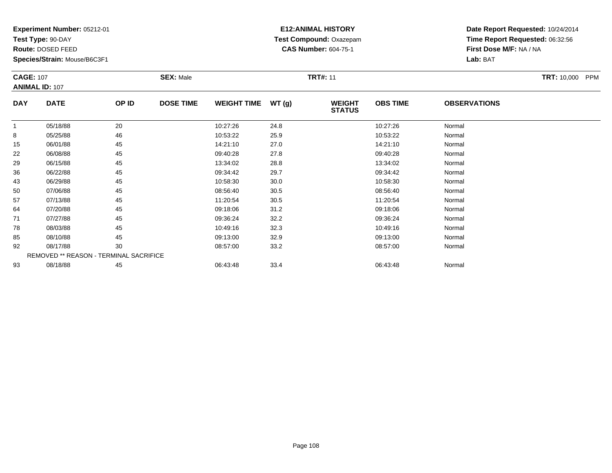**Test Type:** 90-DAY

**Route:** DOSED FEED

57

64

71

78

85

92

93

**Species/Strain:** Mouse/B6C3F1

REMOVED \*\* REASON - TERMINAL SACRIFICE

# **E12:ANIMAL HISTORY Test Compound:** Oxazepam**CAS Number:** 604-75-1

**Date Report Requested:** 10/24/2014**Time Report Requested:** 06:32:56**First Dose M/F:** NA / NA**Lab:** BAT

| <b>CAGE: 107</b><br><b>ANIMAL ID: 107</b> |             |       | <b>SEX: Male</b> |                    |       | <b>TRT#: 11</b>                | <b>TRT: 10,000</b><br><b>PPM</b> |                     |  |
|-------------------------------------------|-------------|-------|------------------|--------------------|-------|--------------------------------|----------------------------------|---------------------|--|
| <b>DAY</b>                                | <b>DATE</b> | OP ID | <b>DOSE TIME</b> | <b>WEIGHT TIME</b> | WT(g) | <b>WEIGHT</b><br><b>STATUS</b> | <b>OBS TIME</b>                  | <b>OBSERVATIONS</b> |  |
|                                           | 05/18/88    | 20    |                  | 10:27:26           | 24.8  |                                | 10:27:26                         | Normal              |  |
| 8                                         | 05/25/88    | 46    |                  | 10:53:22           | 25.9  |                                | 10:53:22                         | Normal              |  |
| 15                                        | 06/01/88    | 45    |                  | 14:21:10           | 27.0  |                                | 14:21:10                         | Normal              |  |
| 22                                        | 06/08/88    | 45    |                  | 09:40:28           | 27.8  |                                | 09:40:28                         | Normal              |  |
| 29                                        | 06/15/88    | 45    |                  | 13:34:02           | 28.8  |                                | 13:34:02                         | Normal              |  |
| 36                                        | 06/22/88    | 45    |                  | 09:34:42           | 29.7  |                                | 09:34:42                         | Normal              |  |
| 43                                        | 06/29/88    | 45    |                  | 10:58:30           | 30.0  |                                | 10:58:30                         | Normal              |  |
| 50                                        | 07/06/88    | 45    |                  | 08:56:40           | 30.5  |                                | 08:56:40                         | Normal              |  |

7 07/13/88 45 45 11:20:54 30.5 11:20:54 11:20 11:30 11:30:54 Normal

4 07/20/88 45 45 09:18:06 31.2 31.2 09:18:06 09:18:06 Normal

07/27/88 <sup>45</sup> 09:36:24 32.2 09:36:24 Normal

8 08/03/88 45 10:49:16 32.3 10:49 10:49 10:49 10:49 10:49 10:49 10:49 10:49 10:49 10:49 10:49 10:49 10:49 10:49

08/10/88 <sup>45</sup> 09:13:00 32.9 09:13:00 Normal

2 08/17/88 30 30 08:57:00 33.2 08:57:00 08:57:00 08:57:00 Normal

08/18/88 <sup>45</sup> 06:43:48 33.4 06:43:48 Normal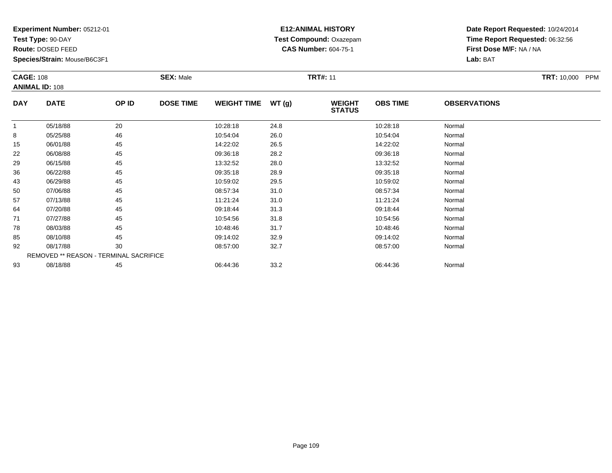**Test Type:** 90-DAY

**Route:** DOSED FEED

93

**Species/Strain:** Mouse/B6C3F1

REMOVED \*\* REASON - TERMINAL SACRIFICE

#### **E12:ANIMAL HISTORY Test Compound:** Oxazepam**CAS Number:** 604-75-1

**Date Report Requested:** 10/24/2014**Time Report Requested:** 06:32:56**First Dose M/F:** NA / NA**Lab:** BAT

|            | <b>CAGE: 108</b><br><b>ANIMAL ID: 108</b> |       | <b>SEX: Male</b> |                    |       | <b>TRT#: 11</b>                |                 | <b>TRT:</b> 10,000<br>PPM |  |
|------------|-------------------------------------------|-------|------------------|--------------------|-------|--------------------------------|-----------------|---------------------------|--|
| <b>DAY</b> | <b>DATE</b>                               | OP ID | <b>DOSE TIME</b> | <b>WEIGHT TIME</b> | WT(g) | <b>WEIGHT</b><br><b>STATUS</b> | <b>OBS TIME</b> | <b>OBSERVATIONS</b>       |  |
|            | 05/18/88                                  | 20    |                  | 10:28:18           | 24.8  |                                | 10:28:18        | Normal                    |  |
| 8          | 05/25/88                                  | 46    |                  | 10:54:04           | 26.0  |                                | 10:54:04        | Normal                    |  |
| 15         | 06/01/88                                  | 45    |                  | 14:22:02           | 26.5  |                                | 14:22:02        | Normal                    |  |
| 22         | 06/08/88                                  | 45    |                  | 09:36:18           | 28.2  |                                | 09:36:18        | Normal                    |  |
| 29         | 06/15/88                                  | 45    |                  | 13:32:52           | 28.0  |                                | 13:32:52        | Normal                    |  |
| 36         | 06/22/88                                  | 45    |                  | 09:35:18           | 28.9  |                                | 09:35:18        | Normal                    |  |
| 43         | 06/29/88                                  | 45    |                  | 10:59:02           | 29.5  |                                | 10:59:02        | Normal                    |  |
| 50         | 07/06/88                                  | 45    |                  | 08:57:34           | 31.0  |                                | 08:57:34        | Normal                    |  |
| 57         | 07/13/88                                  | 45    |                  | 11:21:24           | 31.0  |                                | 11:21:24        | Normal                    |  |
| 64         | 07/20/88                                  | 45    |                  | 09:18:44           | 31.3  |                                | 09:18:44        | Normal                    |  |
| 71         | 07/27/88                                  | 45    |                  | 10:54:56           | 31.8  |                                | 10:54:56        | Normal                    |  |
| 78         | 08/03/88                                  | 45    |                  | 10:48:46           | 31.7  |                                | 10:48:46        | Normal                    |  |
| 85         | 08/10/88                                  | 45    |                  | 09:14:02           | 32.9  |                                | 09:14:02        | Normal                    |  |
| 92         | 08/17/88                                  | 30    |                  | 08:57:00           | 32.7  |                                | 08:57:00        | Normal                    |  |

3 08/18/88 45 45 06:44:36 33.2 68/18/88 Normal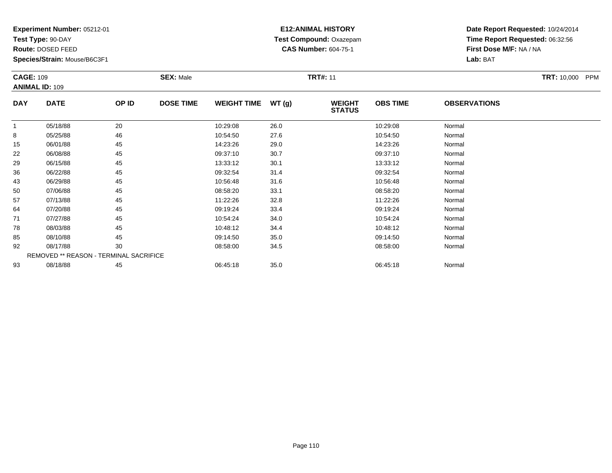**Test Type:** 90-DAY

**Route:** DOSED FEED

92

93

**Species/Strain:** Mouse/B6C3F1

REMOVED \*\* REASON - TERMINAL SACRIFICE

#### **E12:ANIMAL HISTORY Test Compound:** Oxazepam**CAS Number:** 604-75-1

**Date Report Requested:** 10/24/2014**Time Report Requested:** 06:32:56**First Dose M/F:** NA / NA**Lab:** BAT

|            | <b>CAGE: 109</b><br><b>ANIMAL ID: 109</b> |       | <b>SEX: Male</b> |                    |       | <b>TRT#: 11</b>                |                 | <b>TRT: 10,000</b><br><b>PPM</b> |  |
|------------|-------------------------------------------|-------|------------------|--------------------|-------|--------------------------------|-----------------|----------------------------------|--|
| <b>DAY</b> | <b>DATE</b>                               | OP ID | <b>DOSE TIME</b> | <b>WEIGHT TIME</b> | WT(g) | <b>WEIGHT</b><br><b>STATUS</b> | <b>OBS TIME</b> | <b>OBSERVATIONS</b>              |  |
|            | 05/18/88                                  | 20    |                  | 10:29:08           | 26.0  |                                | 10:29:08        | Normal                           |  |
| 8          | 05/25/88                                  | 46    |                  | 10:54:50           | 27.6  |                                | 10:54:50        | Normal                           |  |
| 15         | 06/01/88                                  | 45    |                  | 14:23:26           | 29.0  |                                | 14:23:26        | Normal                           |  |
| 22         | 06/08/88                                  | 45    |                  | 09:37:10           | 30.7  |                                | 09:37:10        | Normal                           |  |
| 29         | 06/15/88                                  | 45    |                  | 13:33:12           | 30.1  |                                | 13:33:12        | Normal                           |  |
| 36         | 06/22/88                                  | 45    |                  | 09:32:54           | 31.4  |                                | 09:32:54        | Normal                           |  |
| 43         | 06/29/88                                  | 45    |                  | 10:56:48           | 31.6  |                                | 10:56:48        | Normal                           |  |
| 50         | 07/06/88                                  | 45    |                  | 08:58:20           | 33.1  |                                | 08:58:20        | Normal                           |  |
| 57         | 07/13/88                                  | 45    |                  | 11:22:26           | 32.8  |                                | 11:22:26        | Normal                           |  |
| 64         | 07/20/88                                  | 45    |                  | 09:19:24           | 33.4  |                                | 09:19:24        | Normal                           |  |
| 71         | 07/27/88                                  | 45    |                  | 10:54:24           | 34.0  |                                | 10:54:24        | Normal                           |  |
| 78         | 08/03/88                                  | 45    |                  | 10:48:12           | 34.4  |                                | 10:48:12        | Normal                           |  |
| 85         | 08/10/88                                  | 45    |                  | 09:14:50           | 35.0  |                                | 09:14:50        | Normal                           |  |

2 08/17/88 30 30 08:58:00 34.5 34.5 08:58:00 34.5

3 08/18/88 45 45 06:45:18 35.0 35.0 06:45:18 06:45:18 06:45:18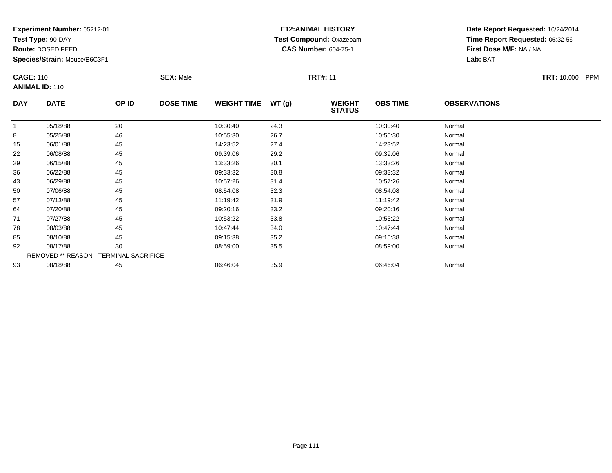**Test Type:** 90-DAY

**Route:** DOSED FEED

50

57

64

71

78

85

92

93

**Species/Strain:** Mouse/B6C3F1

REMOVED \*\* REASON - TERMINAL SACRIFICE

#### **E12:ANIMAL HISTORY Test Compound:** Oxazepam**CAS Number:** 604-75-1

**Date Report Requested:** 10/24/2014**Time Report Requested:** 06:32:56**First Dose M/F:** NA / NA**Lab:** BAT

| <b>CAGE: 110</b> | <b>ANIMAL ID: 110</b> |       | <b>SEX: Male</b> |                    |        | <b>TRT#: 11</b>                |                 |                     | <b>TRT: 10,000</b><br>PPM |
|------------------|-----------------------|-------|------------------|--------------------|--------|--------------------------------|-----------------|---------------------|---------------------------|
| <b>DAY</b>       | <b>DATE</b>           | OP ID | <b>DOSE TIME</b> | <b>WEIGHT TIME</b> | WT (g) | <b>WEIGHT</b><br><b>STATUS</b> | <b>OBS TIME</b> | <b>OBSERVATIONS</b> |                           |
|                  | 05/18/88              | 20    |                  | 10:30:40           | 24.3   |                                | 10:30:40        | Normal              |                           |
| 8                | 05/25/88              | 46    |                  | 10:55:30           | 26.7   |                                | 10:55:30        | Normal              |                           |
| 15               | 06/01/88              | 45    |                  | 14:23:52           | 27.4   |                                | 14:23:52        | Normal              |                           |
| 22               | 06/08/88              | 45    |                  | 09:39:06           | 29.2   |                                | 09:39:06        | Normal              |                           |
| 29               | 06/15/88              | 45    |                  | 13:33:26           | 30.1   |                                | 13:33:26        | Normal              |                           |
| 36               | 06/22/88              | 45    |                  | 09:33:32           | 30.8   |                                | 09:33:32        | Normal              |                           |
| 43               | 06/29/88              | 45    |                  | 10:57:26           | 31.4   |                                | 10:57:26        | Normal              |                           |

07/06/88 <sup>45</sup> 08:54:08 32.3 08:54:08 Normal

07/13/88 <sup>45</sup> 11:19:42 31.9 11:19:42 Normal

4 07/20/88 45 45 09:20:16 33.2 09:20:16 09:20:16 09:20:16 09:20:16 09:20:16

1 07/27/88 45 45 10:53:22 33.8 10:53:22 10:53:22 Normal

8 08/03/88 45 45 10:47:44 34.0 10:47:44 10:47:44 10:47:44 10:47:44

08/10/88 <sup>45</sup> 09:15:38 35.2 09:15:38 Normal

2 08/17/88 30 30 08:59:00 35.5 08:59:00 35.5 08:59:00 08:59:00

08/18/88 <sup>45</sup> 06:46:04 35.9 06:46:04 Normal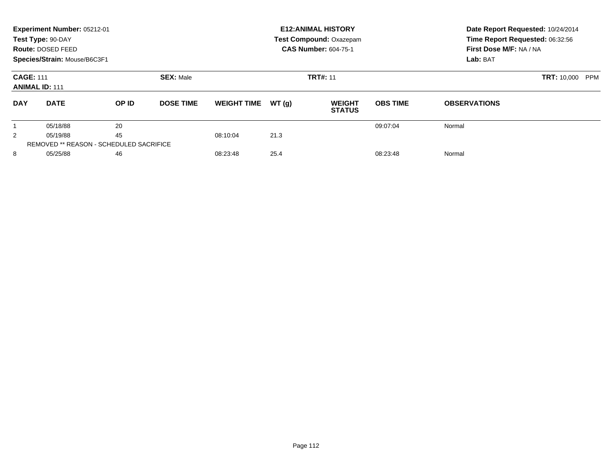| Experiment Number: 05212-01<br>Test Type: 90-DAY<br>Route: DOSED FEED<br>Species/Strain: Mouse/B6C3F1 |             |                                                |                  | <b>E12: ANIMAL HISTORY</b><br><b>Test Compound: Oxazepam</b><br><b>CAS Number: 604-75-1</b> |       |                                |                                  | Date Report Requested: 10/24/2014<br>Time Report Requested: 06:32:56<br>First Dose M/F: NA / NA<br>Lab: BAT |  |
|-------------------------------------------------------------------------------------------------------|-------------|------------------------------------------------|------------------|---------------------------------------------------------------------------------------------|-------|--------------------------------|----------------------------------|-------------------------------------------------------------------------------------------------------------|--|
| <b>CAGE: 111</b><br><b>ANIMAL ID: 111</b>                                                             |             |                                                | <b>SEX: Male</b> |                                                                                             |       | <b>TRT#: 11</b>                | <b>TRT: 10,000</b><br><b>PPM</b> |                                                                                                             |  |
| <b>DAY</b>                                                                                            | <b>DATE</b> | OP ID                                          | <b>DOSE TIME</b> | <b>WEIGHT TIME</b>                                                                          | WT(q) | <b>WEIGHT</b><br><b>STATUS</b> | <b>OBS TIME</b>                  | <b>OBSERVATIONS</b>                                                                                         |  |
|                                                                                                       | 05/18/88    | 20                                             |                  |                                                                                             |       |                                | 09:07:04                         | Normal                                                                                                      |  |
| 2                                                                                                     | 05/19/88    | 45                                             |                  | 08:10:04                                                                                    | 21.3  |                                |                                  |                                                                                                             |  |
|                                                                                                       |             | <b>REMOVED ** REASON - SCHEDULED SACRIFICE</b> |                  |                                                                                             |       |                                |                                  |                                                                                                             |  |
| 8                                                                                                     | 05/25/88    | 46                                             |                  | 08:23:48                                                                                    | 25.4  |                                | 08:23:48                         | Normal                                                                                                      |  |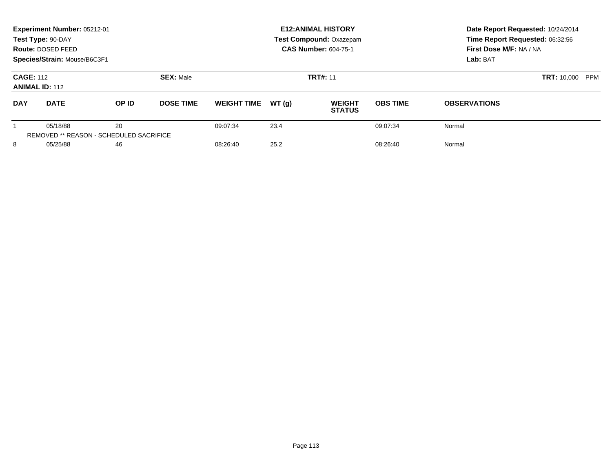|                                           | Experiment Number: 05212-01<br>Test Type: 90-DAY<br>Route: DOSED FEED<br>Species/Strain: Mouse/B6C3F1 |       |                  |                    |       | <b>E12: ANIMAL HISTORY</b><br><b>Test Compound: Oxazepam</b><br><b>CAS Number: 604-75-1</b> | Date Report Requested: 10/24/2014<br>Time Report Requested: 06:32:56<br>First Dose M/F: NA / NA<br>Lab: BAT |                     |  |
|-------------------------------------------|-------------------------------------------------------------------------------------------------------|-------|------------------|--------------------|-------|---------------------------------------------------------------------------------------------|-------------------------------------------------------------------------------------------------------------|---------------------|--|
| <b>CAGE: 112</b><br><b>ANIMAL ID: 112</b> |                                                                                                       |       | <b>SEX: Male</b> |                    |       | <b>TRT#: 11</b>                                                                             | <b>TRT: 10,000</b><br><b>PPM</b>                                                                            |                     |  |
| <b>DAY</b>                                | <b>DATE</b>                                                                                           | OP ID | <b>DOSE TIME</b> | <b>WEIGHT TIME</b> | WT(q) | <b>WEIGHT</b><br><b>STATUS</b>                                                              | <b>OBS TIME</b>                                                                                             | <b>OBSERVATIONS</b> |  |
|                                           | 05/18/88<br>REMOVED ** REASON - SCHEDULED SACRIFICE                                                   | 20    |                  | 09:07:34           | 23.4  |                                                                                             | 09:07:34                                                                                                    | Normal              |  |
| 8                                         | 05/25/88                                                                                              | 46    |                  | 08:26:40           | 25.2  |                                                                                             | 08:26:40                                                                                                    | Normal              |  |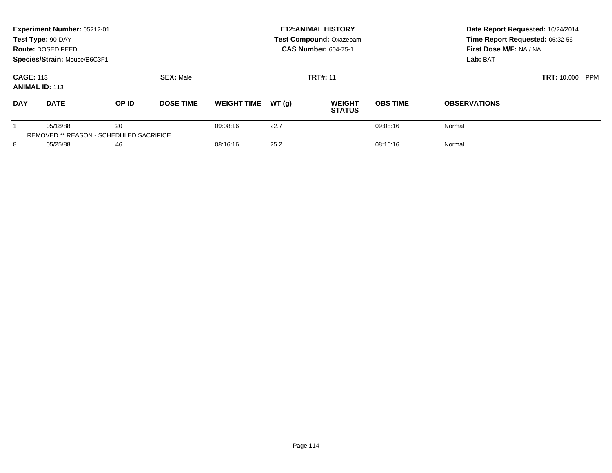| Experiment Number: 05212-01<br>Test Type: 90-DAY<br>Route: DOSED FEED<br>Species/Strain: Mouse/B6C3F1 |             |                                               |                  | <b>E12: ANIMAL HISTORY</b><br><b>Test Compound: Oxazepam</b><br><b>CAS Number: 604-75-1</b> |       |                                |                    | Date Report Requested: 10/24/2014<br>Time Report Requested: 06:32:56<br>First Dose M/F: NA / NA<br>Lab: BAT |  |
|-------------------------------------------------------------------------------------------------------|-------------|-----------------------------------------------|------------------|---------------------------------------------------------------------------------------------|-------|--------------------------------|--------------------|-------------------------------------------------------------------------------------------------------------|--|
| <b>CAGE: 113</b><br><b>ANIMAL ID: 113</b>                                                             |             |                                               | <b>SEX: Male</b> |                                                                                             |       | <b>TRT#: 11</b>                | <b>TRT: 10,000</b> | <b>PPM</b>                                                                                                  |  |
| <b>DAY</b>                                                                                            | <b>DATE</b> | OP ID                                         | <b>DOSE TIME</b> | <b>WEIGHT TIME</b>                                                                          | WT(q) | <b>WEIGHT</b><br><b>STATUS</b> | <b>OBS TIME</b>    | <b>OBSERVATIONS</b>                                                                                         |  |
|                                                                                                       | 05/18/88    | 20<br>REMOVED ** REASON - SCHEDULED SACRIFICE |                  | 09:08:16                                                                                    | 22.7  |                                | 09:08:16           | Normal                                                                                                      |  |
| 8                                                                                                     | 05/25/88    | 46                                            |                  | 08:16:16                                                                                    | 25.2  |                                | 08:16:16           | Normal                                                                                                      |  |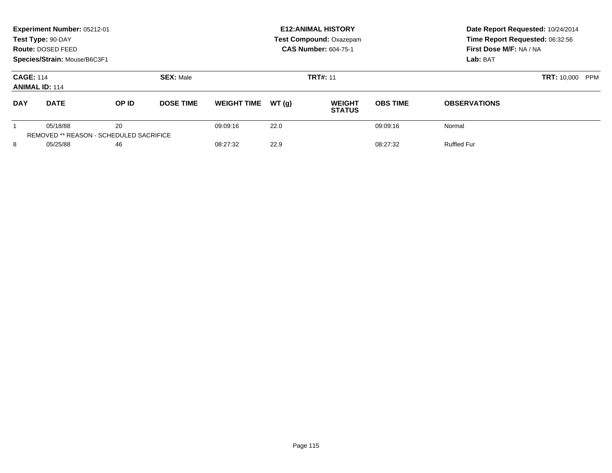|                                           | Experiment Number: 05212-01<br>Test Type: 90-DAY<br>Route: DOSED FEED<br>Species/Strain: Mouse/B6C3F1 |                                               |                  |                    |       | <b>E12: ANIMAL HISTORY</b><br>Test Compound: Oxazepam<br><b>CAS Number: 604-75-1</b> | Date Report Requested: 10/24/2014<br>Time Report Requested: 06:32:56<br>First Dose M/F: NA / NA<br>Lab: BAT |                     |
|-------------------------------------------|-------------------------------------------------------------------------------------------------------|-----------------------------------------------|------------------|--------------------|-------|--------------------------------------------------------------------------------------|-------------------------------------------------------------------------------------------------------------|---------------------|
| <b>CAGE: 114</b><br><b>ANIMAL ID: 114</b> |                                                                                                       |                                               | <b>SEX: Male</b> |                    |       | <b>TRT#: 11</b>                                                                      | <b>TRT: 10,000</b><br><b>PPM</b>                                                                            |                     |
| <b>DAY</b>                                | <b>DATE</b>                                                                                           | OP ID                                         | <b>DOSE TIME</b> | <b>WEIGHT TIME</b> | WT(q) | <b>WEIGHT</b><br><b>STATUS</b>                                                       | <b>OBS TIME</b>                                                                                             | <b>OBSERVATIONS</b> |
|                                           | 05/18/88                                                                                              | 20<br>REMOVED ** REASON - SCHEDULED SACRIFICE |                  | 09:09:16           | 22.0  |                                                                                      | 09:09:16                                                                                                    | Normal              |
| 8                                         | 05/25/88                                                                                              | 46                                            |                  | 08:27:32           | 22.9  |                                                                                      | 08:27:32                                                                                                    | <b>Ruffled Fur</b>  |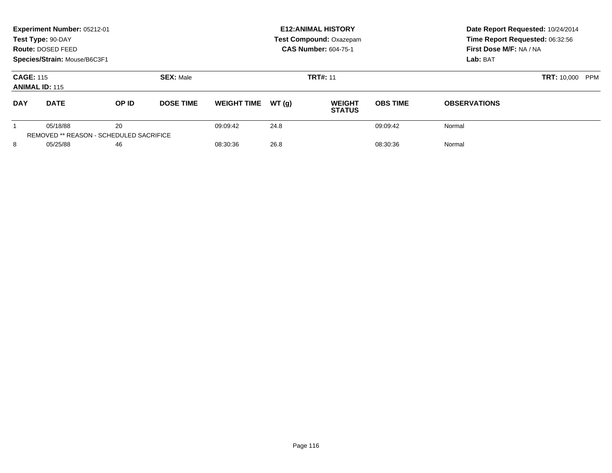|                                           | Experiment Number: 05212-01<br>Test Type: 90-DAY<br>Route: DOSED FEED<br>Species/Strain: Mouse/B6C3F1 |                                               |                  |                    |       | <b>E12: ANIMAL HISTORY</b><br>Test Compound: Oxazepam<br><b>CAS Number: 604-75-1</b> | Date Report Requested: 10/24/2014<br>Time Report Requested: 06:32:56<br>First Dose M/F: NA / NA<br>Lab: BAT |                     |
|-------------------------------------------|-------------------------------------------------------------------------------------------------------|-----------------------------------------------|------------------|--------------------|-------|--------------------------------------------------------------------------------------|-------------------------------------------------------------------------------------------------------------|---------------------|
| <b>CAGE: 115</b><br><b>ANIMAL ID: 115</b> |                                                                                                       |                                               | <b>SEX: Male</b> |                    |       | <b>TRT#: 11</b>                                                                      | <b>TRT: 10,000</b><br><b>PPM</b>                                                                            |                     |
| <b>DAY</b>                                | <b>DATE</b>                                                                                           | OP ID                                         | <b>DOSE TIME</b> | <b>WEIGHT TIME</b> | WT(q) | <b>WEIGHT</b><br><b>STATUS</b>                                                       | <b>OBS TIME</b>                                                                                             | <b>OBSERVATIONS</b> |
|                                           | 05/18/88                                                                                              | 20<br>REMOVED ** REASON - SCHEDULED SACRIFICE |                  | 09:09:42           | 24.8  |                                                                                      | 09:09:42                                                                                                    | Normal              |
| 8                                         | 05/25/88                                                                                              | 46                                            |                  | 08:30:36           | 26.8  |                                                                                      | 08:30:36                                                                                                    | Normal              |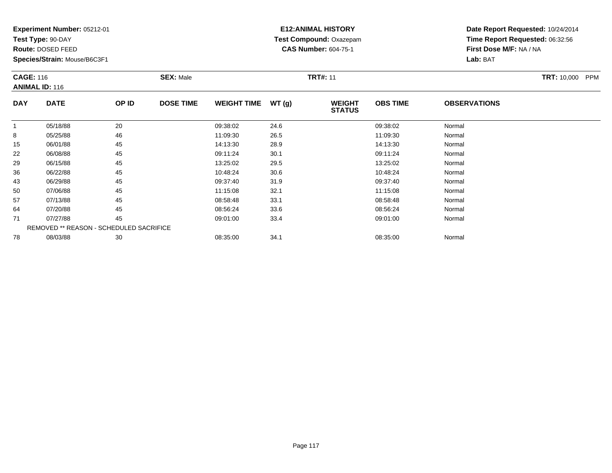**Test Type:** 90-DAY

**Route:** DOSED FEED

**Species/Strain:** Mouse/B6C3F1

## **E12:ANIMAL HISTORY Test Compound:** Oxazepam**CAS Number:** 604-75-1

**Date Report Requested:** 10/24/2014 **Time Report Requested:** 06:32:56**First Dose M/F:** NA / NA**Lab:** BAT

#### **CAGE:** 116 **SEX:** Male **TRT#:** <sup>11</sup> **TRT:** 10,000 PPM**ANIMAL ID:** 116**DAY DATE OP IDDOSE TIME WEIGHT TIME WT** (g) **STATUSOBS TIME OBSERVATIONS** 11 05/18/88 20 20 09:38:02 24.6 20 09:38:02 24.6 8

|    | 05/18/88 | 20                                      | 09:38:02 | 24.6 | 09:38:02 | Normal |  |
|----|----------|-----------------------------------------|----------|------|----------|--------|--|
| 8  | 05/25/88 | 46                                      | 11:09:30 | 26.5 | 11:09:30 | Normal |  |
| 15 | 06/01/88 | 45                                      | 14:13:30 | 28.9 | 14:13:30 | Normal |  |
| 22 | 06/08/88 | 45                                      | 09:11:24 | 30.1 | 09:11:24 | Normal |  |
| 29 | 06/15/88 | 45                                      | 13:25:02 | 29.5 | 13:25:02 | Normal |  |
| 36 | 06/22/88 | 45                                      | 10:48:24 | 30.6 | 10:48:24 | Normal |  |
| 43 | 06/29/88 | 45                                      | 09:37:40 | 31.9 | 09:37:40 | Normal |  |
| 50 | 07/06/88 | 45                                      | 11:15:08 | 32.1 | 11:15:08 | Normal |  |
| 57 | 07/13/88 | 45                                      | 08:58:48 | 33.1 | 08:58:48 | Normal |  |
| 64 | 07/20/88 | 45                                      | 08:56:24 | 33.6 | 08:56:24 | Normal |  |
| 71 | 07/27/88 | 45                                      | 09:01:00 | 33.4 | 09:01:00 | Normal |  |
|    |          | REMOVED ** REASON - SCHEDULED SACRIFICE |          |      |          |        |  |
| 78 | 08/03/88 | 30                                      | 08:35:00 | 34.1 | 08:35:00 | Normal |  |
|    |          |                                         |          |      |          |        |  |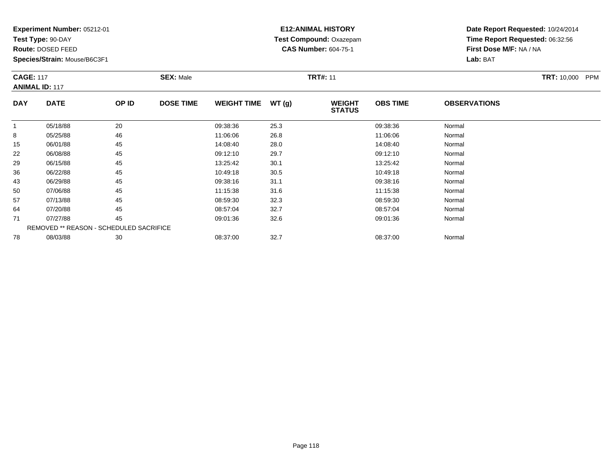**Test Type:** 90-DAY

**Route:** DOSED FEED

**Species/Strain:** Mouse/B6C3F1

## **E12:ANIMAL HISTORY Test Compound:** Oxazepam**CAS Number:** 604-75-1

**Date Report Requested:** 10/24/2014 **Time Report Requested:** 06:32:56**First Dose M/F:** NA / NA**Lab:** BAT

#### **CAGE:** 117 **SEX:** Male **TRT#:** <sup>11</sup> **TRT:** 10,000 PPM**ANIMAL ID:** 117**DAY DATE OP IDDOSE TIME WEIGHT TIME WT** (g) **STATUSOBS TIMEOBSERVATIONS**

|    | 05/18/88 | 20                                      | 09:38:36 | 25.3 | 09:38:36 | Normal |  |
|----|----------|-----------------------------------------|----------|------|----------|--------|--|
| 8  | 05/25/88 | 46                                      | 11:06:06 | 26.8 | 11:06:06 | Normal |  |
| 15 | 06/01/88 | 45                                      | 14:08:40 | 28.0 | 14:08:40 | Normal |  |
| 22 | 06/08/88 | 45                                      | 09:12:10 | 29.7 | 09:12:10 | Normal |  |
| 29 | 06/15/88 | 45                                      | 13:25:42 | 30.1 | 13:25:42 | Normal |  |
| 36 | 06/22/88 | 45                                      | 10:49:18 | 30.5 | 10:49:18 | Normal |  |
| 43 | 06/29/88 | 45                                      | 09:38:16 | 31.1 | 09:38:16 | Normal |  |
| 50 | 07/06/88 | 45                                      | 11:15:38 | 31.6 | 11:15:38 | Normal |  |
| 57 | 07/13/88 | 45                                      | 08:59:30 | 32.3 | 08:59:30 | Normal |  |
| 64 | 07/20/88 | 45                                      | 08:57:04 | 32.7 | 08:57:04 | Normal |  |
| 71 | 07/27/88 | 45                                      | 09:01:36 | 32.6 | 09:01:36 | Normal |  |
|    |          | REMOVED ** REASON - SCHEDULED SACRIFICE |          |      |          |        |  |
| 78 | 08/03/88 | 30                                      | 08:37:00 | 32.7 | 08:37:00 | Normal |  |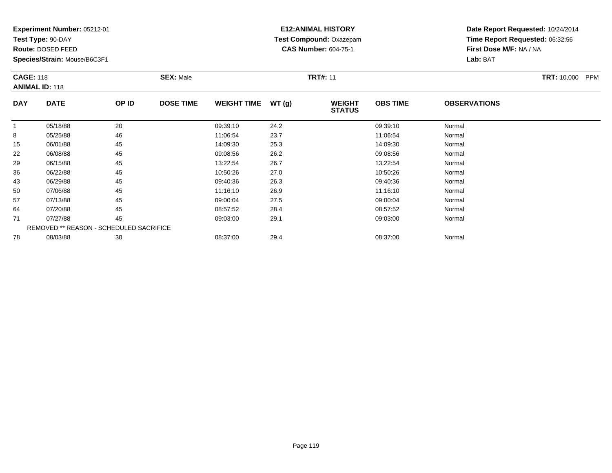**Test Type:** 90-DAY

**Route:** DOSED FEED

50

57

64

71

78

**Species/Strain:** Mouse/B6C3F1

REMOVED \*\* REASON - SCHEDULED SACRIFICE

#### **E12:ANIMAL HISTORY Test Compound:** Oxazepam**CAS Number:** 604-75-1

**Date Report Requested:** 10/24/2014**Time Report Requested:** 06:32:56**First Dose M/F:** NA / NA**Lab:** BAT

| <b>CAGE: 118</b> | <b>ANIMAL ID: 118</b> |       | <b>SEX: Male</b> |                    |       | <b>TRT#: 11</b>                |                 |                     | <b>TRT: 10,000</b><br><b>PPM</b> |
|------------------|-----------------------|-------|------------------|--------------------|-------|--------------------------------|-----------------|---------------------|----------------------------------|
| <b>DAY</b>       | <b>DATE</b>           | OP ID | <b>DOSE TIME</b> | <b>WEIGHT TIME</b> | WT(q) | <b>WEIGHT</b><br><b>STATUS</b> | <b>OBS TIME</b> | <b>OBSERVATIONS</b> |                                  |
|                  | 05/18/88              | 20    |                  | 09:39:10           | 24.2  |                                | 09:39:10        | Normal              |                                  |
| 8                | 05/25/88              | 46    |                  | 11:06:54           | 23.7  |                                | 11:06:54        | Normal              |                                  |
| 15               | 06/01/88              | 45    |                  | 14:09:30           | 25.3  |                                | 14:09:30        | Normal              |                                  |
| 22               | 06/08/88              | 45    |                  | 09:08:56           | 26.2  |                                | 09:08:56        | Normal              |                                  |
| 29               | 06/15/88              | 45    |                  | 13:22:54           | 26.7  |                                | 13:22:54        | Normal              |                                  |
| 36               | 06/22/88              | 45    |                  | 10:50:26           | 27.0  |                                | 10:50:26        | Normal              |                                  |
| 43               | 06/29/88              | 45    |                  | 09:40:36           | 26.3  |                                | 09:40:36        | Normal              |                                  |

3 06/29/88 45 45 09:40:36 26.3 26.3 09:40:36 09:40:36 108:40:36 108:40:36 09:40:36

0 07/06/88 45 11:16:10 26.9 11:16:10 Normal

07/13/88 <sup>45</sup> 09:00:04 27.5 09:00:04 Normal

4 07/20/88 45 45 08:57:52 28.4 28.4 08:57:52 08:57:52 Normal

1 07/27/88 45 45 09:03:00 29.1 09:03:00 09:03:00 09:03:00 09:03:00 09:03:00

8 08/03/88 30 30 08:37:00 29.4 39.4 08:37:00 08:37:00 08:37:00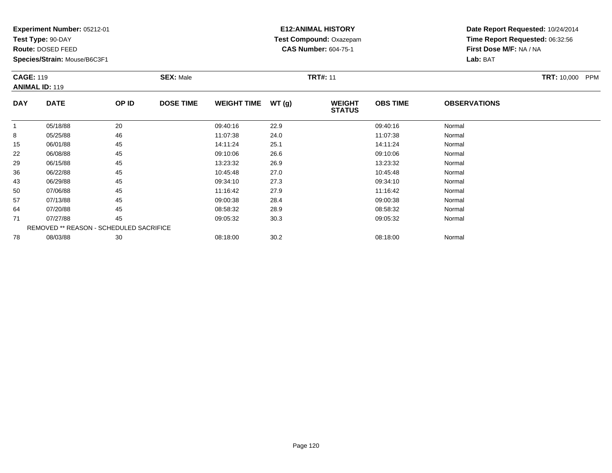**Test Type:** 90-DAY

**Route:** DOSED FEED

**Species/Strain:** Mouse/B6C3F1

#### **E12:ANIMAL HISTORY Test Compound:** Oxazepam**CAS Number:** 604-75-1

| <b>CAGE: 119</b><br><b>ANIMAL ID: 119</b> |             |       | <b>SEX: Male</b> |                    |       | <b>TRT#: 11</b>                |                 |                     | <b>TRT: 10,000</b><br><b>PPM</b> |
|-------------------------------------------|-------------|-------|------------------|--------------------|-------|--------------------------------|-----------------|---------------------|----------------------------------|
| <b>DAY</b>                                | <b>DATE</b> | OP ID | <b>DOSE TIME</b> | <b>WEIGHT TIME</b> | WT(g) | <b>WEIGHT</b><br><b>STATUS</b> | <b>OBS TIME</b> | <b>OBSERVATIONS</b> |                                  |
|                                           | 05/18/88    | 20    |                  | 09:40:16           | 22.9  |                                | 09:40:16        | Normal              |                                  |
| 8                                         | 05/25/88    | 46    |                  | 11:07:38           | 24.0  |                                | 11:07:38        | Normal              |                                  |
| 15                                        | 06/01/88    | 45    |                  | 14:11:24           | 25.1  |                                | 14:11:24        | Normal              |                                  |

| ັ  | <b>UUILUIUU</b> | ᠇୰                                      | .        | 27.V | .        | 1901111 <b>01</b> |  |
|----|-----------------|-----------------------------------------|----------|------|----------|-------------------|--|
| 15 | 06/01/88        | 45                                      | 14:11:24 | 25.1 | 14:11:24 | Normal            |  |
| 22 | 06/08/88        | 45                                      | 09:10:06 | 26.6 | 09:10:06 | Normal            |  |
| 29 | 06/15/88        | 45                                      | 13:23:32 | 26.9 | 13:23:32 | Normal            |  |
| 36 | 06/22/88        | 45                                      | 10:45:48 | 27.0 | 10:45:48 | Normal            |  |
| 43 | 06/29/88        | 45                                      | 09:34:10 | 27.3 | 09:34:10 | Normal            |  |
| 50 | 07/06/88        | 45                                      | 11:16:42 | 27.9 | 11:16:42 | Normal            |  |
| 57 | 07/13/88        | 45                                      | 09:00:38 | 28.4 | 09:00:38 | Normal            |  |
| 64 | 07/20/88        | 45                                      | 08:58:32 | 28.9 | 08:58:32 | Normal            |  |
| 71 | 07/27/88        | 45                                      | 09:05:32 | 30.3 | 09:05:32 | Normal            |  |
|    |                 | REMOVED ** REASON - SCHEDULED SACRIFICE |          |      |          |                   |  |
| 78 | 08/03/88        | 30                                      | 08:18:00 | 30.2 | 08:18:00 | Normal            |  |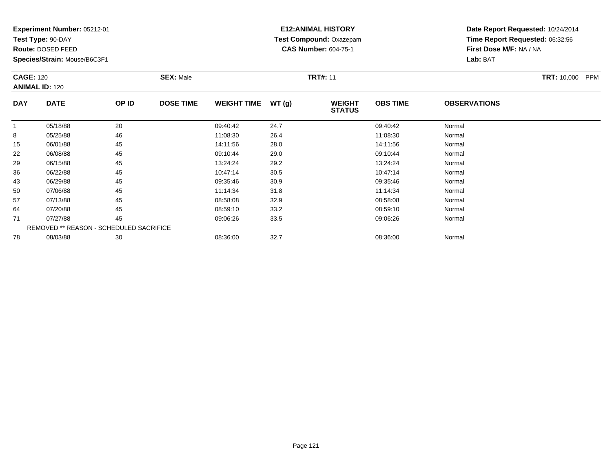**Test Type:** 90-DAY

**Route:** DOSED FEED

**Species/Strain:** Mouse/B6C3F1

#### **E12:ANIMAL HISTORY Test Compound:** Oxazepam**CAS Number:** 604-75-1

**Date Report Requested:** 10/24/2014**Time Report Requested:** 06:32:56**First Dose M/F:** NA / NA**Lab:** BAT

#### **CAGE:** 120 **SEX:** Male **TRT#:** <sup>11</sup> **TRT:** 10,000 PPM**ANIMAL ID:** 120**DAY DATE OP IDDOSE TIME WEIGHT TIME WT** (g) **STATUSOBS TIME OBSERVATIONS** 11 05/18/88 20 20 09:40:42 24.7 24.7 09:40:42 Normal 88 05/25/88 46 11:08:30 26.4 11:08:30 Normal 15 06/01/88 <sup>45</sup> 14:11:56 28.0 14:11:56 Normal 222 06/08/88 45 45 09:10:44 29.0 09:10:44 09:10:44 05 09:10:44 0 299 06/15/88 45 45 13:24:24 29.2 13:24:24 13:24:24 Normal 36

| ∣◡ | <b>UU/U I/UU</b> | −∼                                             | 14. I I.JU | ZU.V | 14. I I.JU | $1$ 1901 $111$ al |  |
|----|------------------|------------------------------------------------|------------|------|------------|-------------------|--|
| 22 | 06/08/88         | 45                                             | 09:10:44   | 29.0 | 09:10:44   | Normal            |  |
| 29 | 06/15/88         | 45                                             | 13:24:24   | 29.2 | 13:24:24   | Normal            |  |
| 36 | 06/22/88         | 45                                             | 10:47:14   | 30.5 | 10:47:14   | Normal            |  |
| 43 | 06/29/88         | 45                                             | 09:35:46   | 30.9 | 09:35:46   | Normal            |  |
| 50 | 07/06/88         | 45                                             | 11:14:34   | 31.8 | 11:14:34   | Normal            |  |
| 57 | 07/13/88         | 45                                             | 08:58:08   | 32.9 | 08:58:08   | Normal            |  |
| 64 | 07/20/88         | 45                                             | 08:59:10   | 33.2 | 08:59:10   | Normal            |  |
| 71 | 07/27/88         | 45                                             | 09:06:26   | 33.5 | 09:06:26   | Normal            |  |
|    |                  | <b>REMOVED ** REASON - SCHEDULED SACRIFICE</b> |            |      |            |                   |  |
| 78 | 08/03/88         | 30                                             | 08:36:00   | 32.7 | 08:36:00   | Normal            |  |
|    |                  |                                                |            |      |            |                   |  |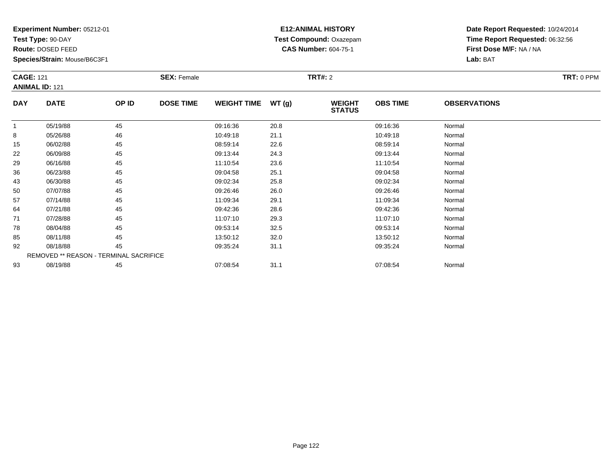**Test Type:** 90-DAY

**Route:** DOSED FEED

**Species/Strain:** Mouse/B6C3F1

## **E12:ANIMAL HISTORY Test Compound:** Oxazepam**CAS Number:** 604-75-1

|            | <b>CAGE: 121</b><br><b>ANIMAL ID: 121</b> |                                        | <b>SEX: Female</b> |                    |               | <b>TRT#:</b> 2                 |                 | TRT: 0 PPM          |  |
|------------|-------------------------------------------|----------------------------------------|--------------------|--------------------|---------------|--------------------------------|-----------------|---------------------|--|
| <b>DAY</b> | <b>DATE</b>                               | OP ID                                  | <b>DOSE TIME</b>   | <b>WEIGHT TIME</b> | <b>WT (g)</b> | <b>WEIGHT</b><br><b>STATUS</b> | <b>OBS TIME</b> | <b>OBSERVATIONS</b> |  |
|            | 05/19/88                                  | 45                                     |                    | 09:16:36           | 20.8          |                                | 09:16:36        | Normal              |  |
| 8          | 05/26/88                                  | 46                                     |                    | 10:49:18           | 21.1          |                                | 10:49:18        | Normal              |  |
| 15         | 06/02/88                                  | 45                                     |                    | 08:59:14           | 22.6          |                                | 08:59:14        | Normal              |  |
| 22         | 06/09/88                                  | 45                                     |                    | 09:13:44           | 24.3          |                                | 09:13:44        | Normal              |  |
| 29         | 06/16/88                                  | 45                                     |                    | 11:10:54           | 23.6          |                                | 11:10:54        | Normal              |  |
| 36         | 06/23/88                                  | 45                                     |                    | 09:04:58           | 25.1          |                                | 09:04:58        | Normal              |  |
| 43         | 06/30/88                                  | 45                                     |                    | 09:02:34           | 25.8          |                                | 09:02:34        | Normal              |  |
| 50         | 07/07/88                                  | 45                                     |                    | 09:26:46           | 26.0          |                                | 09:26:46        | Normal              |  |
| 57         | 07/14/88                                  | 45                                     |                    | 11:09:34           | 29.1          |                                | 11:09:34        | Normal              |  |
| 64         | 07/21/88                                  | 45                                     |                    | 09:42:36           | 28.6          |                                | 09:42:36        | Normal              |  |
| 71         | 07/28/88                                  | 45                                     |                    | 11:07:10           | 29.3          |                                | 11:07:10        | Normal              |  |
| 78         | 08/04/88                                  | 45                                     |                    | 09:53:14           | 32.5          |                                | 09:53:14        | Normal              |  |
| 85         | 08/11/88                                  | 45                                     |                    | 13:50:12           | 32.0          |                                | 13:50:12        | Normal              |  |
| 92         | 08/18/88                                  | 45                                     |                    | 09:35:24           | 31.1          |                                | 09:35:24        | Normal              |  |
|            |                                           | REMOVED ** REASON - TERMINAL SACRIFICE |                    |                    |               |                                |                 |                     |  |
| 93         | 08/19/88                                  | 45                                     |                    | 07:08:54           | 31.1          |                                | 07:08:54        | Normal              |  |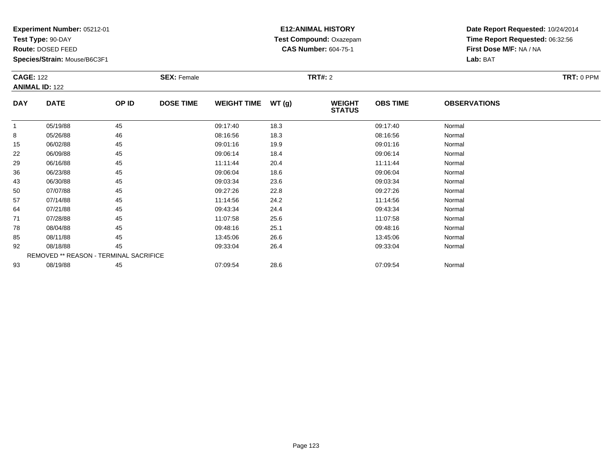**Test Type:** 90-DAY

**Route:** DOSED FEED

**Species/Strain:** Mouse/B6C3F1

## **E12:ANIMAL HISTORY Test Compound:** Oxazepam**CAS Number:** 604-75-1

| <b>CAGE: 122</b> | <b>ANIMAL ID: 122</b> |                                        | <b>SEX: Female</b> |                    |               | <b>TRT#: 2</b>                 |                 |                     | TRT: 0 PPM |
|------------------|-----------------------|----------------------------------------|--------------------|--------------------|---------------|--------------------------------|-----------------|---------------------|------------|
| <b>DAY</b>       | <b>DATE</b>           | OP ID                                  | <b>DOSE TIME</b>   | <b>WEIGHT TIME</b> | <b>WT (g)</b> | <b>WEIGHT</b><br><b>STATUS</b> | <b>OBS TIME</b> | <b>OBSERVATIONS</b> |            |
| $\mathbf{1}$     | 05/19/88              | 45                                     |                    | 09:17:40           | 18.3          |                                | 09:17:40        | Normal              |            |
| 8                | 05/26/88              | 46                                     |                    | 08:16:56           | 18.3          |                                | 08:16:56        | Normal              |            |
| 15               | 06/02/88              | 45                                     |                    | 09:01:16           | 19.9          |                                | 09:01:16        | Normal              |            |
| 22               | 06/09/88              | 45                                     |                    | 09:06:14           | 18.4          |                                | 09:06:14        | Normal              |            |
| 29               | 06/16/88              | 45                                     |                    | 11:11:44           | 20.4          |                                | 11:11:44        | Normal              |            |
| 36               | 06/23/88              | 45                                     |                    | 09:06:04           | 18.6          |                                | 09:06:04        | Normal              |            |
| 43               | 06/30/88              | 45                                     |                    | 09:03:34           | 23.6          |                                | 09:03:34        | Normal              |            |
| 50               | 07/07/88              | 45                                     |                    | 09:27:26           | 22.8          |                                | 09:27:26        | Normal              |            |
| 57               | 07/14/88              | 45                                     |                    | 11:14:56           | 24.2          |                                | 11:14:56        | Normal              |            |
| 64               | 07/21/88              | 45                                     |                    | 09:43:34           | 24.4          |                                | 09:43:34        | Normal              |            |
| 71               | 07/28/88              | 45                                     |                    | 11:07:58           | 25.6          |                                | 11:07:58        | Normal              |            |
| 78               | 08/04/88              | 45                                     |                    | 09:48:16           | 25.1          |                                | 09:48:16        | Normal              |            |
| 85               | 08/11/88              | 45                                     |                    | 13:45:06           | 26.6          |                                | 13:45:06        | Normal              |            |
| 92               | 08/18/88              | 45                                     |                    | 09:33:04           | 26.4          |                                | 09:33:04        | Normal              |            |
|                  |                       | REMOVED ** REASON - TERMINAL SACRIFICE |                    |                    |               |                                |                 |                     |            |
| 93               | 08/19/88              | 45                                     |                    | 07:09:54           | 28.6          |                                | 07:09:54        | Normal              |            |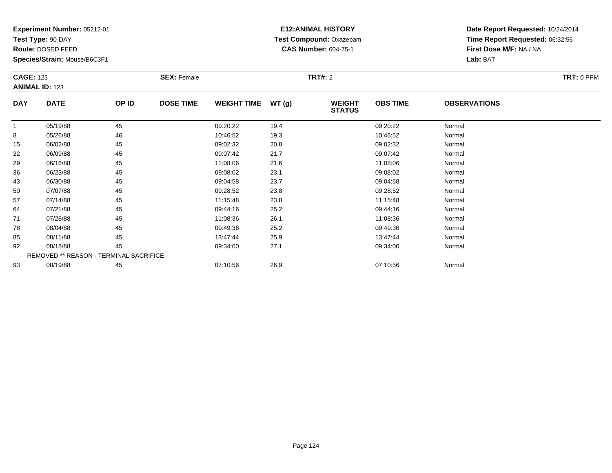**Test Type:** 90-DAY

**Route:** DOSED FEED

**Species/Strain:** Mouse/B6C3F1

## **E12:ANIMAL HISTORY Test Compound:** Oxazepam**CAS Number:** 604-75-1

|              | <b>CAGE: 123</b><br><b>ANIMAL ID: 123</b> |       | <b>SEX: Female</b> |                    |       | <b>TRT#: 2</b>                 |                 | TRT: 0 PPM          |  |
|--------------|-------------------------------------------|-------|--------------------|--------------------|-------|--------------------------------|-----------------|---------------------|--|
| <b>DAY</b>   | <b>DATE</b>                               | OP ID | <b>DOSE TIME</b>   | <b>WEIGHT TIME</b> | WT(g) | <b>WEIGHT</b><br><b>STATUS</b> | <b>OBS TIME</b> | <b>OBSERVATIONS</b> |  |
| $\mathbf{1}$ | 05/19/88                                  | 45    |                    | 09:20:22           | 19.4  |                                | 09:20:22        | Normal              |  |
| 8            | 05/26/88                                  | 46    |                    | 10:46:52           | 19.3  |                                | 10:46:52        | Normal              |  |
| 15           | 06/02/88                                  | 45    |                    | 09:02:32           | 20.8  |                                | 09:02:32        | Normal              |  |
| 22           | 06/09/88                                  | 45    |                    | 09:07:42           | 21.7  |                                | 09:07:42        | Normal              |  |
| 29           | 06/16/88                                  | 45    |                    | 11:08:06           | 21.6  |                                | 11:08:06        | Normal              |  |
| 36           | 06/23/88                                  | 45    |                    | 09:08:02           | 23.1  |                                | 09:08:02        | Normal              |  |
| 43           | 06/30/88                                  | 45    |                    | 09:04:58           | 23.7  |                                | 09:04:58        | Normal              |  |
| 50           | 07/07/88                                  | 45    |                    | 09:28:52           | 23.8  |                                | 09:28:52        | Normal              |  |
| 57           | 07/14/88                                  | 45    |                    | 11:15:48           | 23.8  |                                | 11:15:48        | Normal              |  |
| 64           | 07/21/88                                  | 45    |                    | 09:44:16           | 25.2  |                                | 09:44:16        | Normal              |  |
| 71           | 07/28/88                                  | 45    |                    | 11:08:36           | 26.1  |                                | 11:08:36        | Normal              |  |
| 78           | 08/04/88                                  | 45    |                    | 09:49:36           | 25.2  |                                | 09:49:36        | Normal              |  |
| 85           | 08/11/88                                  | 45    |                    | 13:47:44           | 25.9  |                                | 13:47:44        | Normal              |  |
| 92           | 08/18/88                                  | 45    |                    | 09:34:00           | 27.1  |                                | 09:34:00        | Normal              |  |
|              | REMOVED ** REASON - TERMINAL SACRIFICE    |       |                    |                    |       |                                |                 |                     |  |
| 93           | 08/19/88                                  | 45    |                    | 07:10:56           | 26.9  |                                | 07:10:56        | Normal              |  |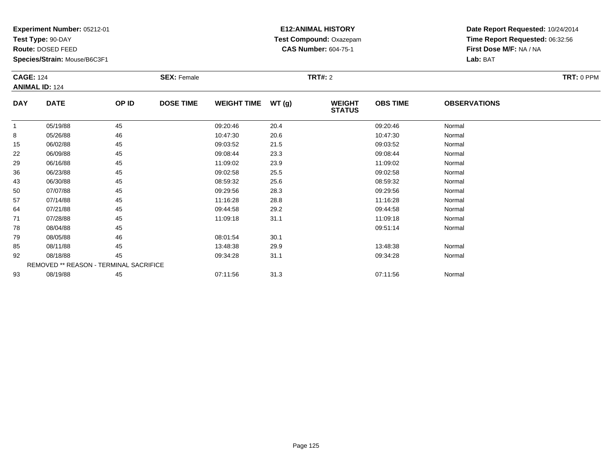**Test Type:** 90-DAY

**Route:** DOSED FEED

**Species/Strain:** Mouse/B6C3F1

## **E12:ANIMAL HISTORY Test Compound:** Oxazepam**CAS Number:** 604-75-1

|            | <b>CAGE: 124</b>                       |       | <b>SEX: Female</b> | <b>TRT#:</b> 2     |       |                                |                 |                     |  |
|------------|----------------------------------------|-------|--------------------|--------------------|-------|--------------------------------|-----------------|---------------------|--|
|            | <b>ANIMAL ID: 124</b>                  |       |                    |                    |       |                                |                 |                     |  |
| <b>DAY</b> | <b>DATE</b>                            | OP ID | <b>DOSE TIME</b>   | <b>WEIGHT TIME</b> | WT(g) | <b>WEIGHT</b><br><b>STATUS</b> | <b>OBS TIME</b> | <b>OBSERVATIONS</b> |  |
|            | 05/19/88                               | 45    |                    | 09:20:46           | 20.4  |                                | 09:20:46        | Normal              |  |
| 8          | 05/26/88                               | 46    |                    | 10:47:30           | 20.6  |                                | 10:47:30        | Normal              |  |
| 15         | 06/02/88                               | 45    |                    | 09:03:52           | 21.5  |                                | 09:03:52        | Normal              |  |
| 22         | 06/09/88                               | 45    |                    | 09:08:44           | 23.3  |                                | 09:08:44        | Normal              |  |
| 29         | 06/16/88                               | 45    |                    | 11:09:02           | 23.9  |                                | 11:09:02        | Normal              |  |
| 36         | 06/23/88                               | 45    |                    | 09:02:58           | 25.5  |                                | 09:02:58        | Normal              |  |
| 43         | 06/30/88                               | 45    |                    | 08:59:32           | 25.6  |                                | 08:59:32        | Normal              |  |
| 50         | 07/07/88                               | 45    |                    | 09:29:56           | 28.3  |                                | 09:29:56        | Normal              |  |
| 57         | 07/14/88                               | 45    |                    | 11:16:28           | 28.8  |                                | 11:16:28        | Normal              |  |
| 64         | 07/21/88                               | 45    |                    | 09:44:58           | 29.2  |                                | 09:44:58        | Normal              |  |
| 71         | 07/28/88                               | 45    |                    | 11:09:18           | 31.1  |                                | 11:09:18        | Normal              |  |
| 78         | 08/04/88                               | 45    |                    |                    |       |                                | 09:51:14        | Normal              |  |
| 79         | 08/05/88                               | 46    |                    | 08:01:54           | 30.1  |                                |                 |                     |  |
| 85         | 08/11/88                               | 45    |                    | 13:48:38           | 29.9  |                                | 13:48:38        | Normal              |  |
| 92         | 08/18/88                               | 45    |                    | 09:34:28           | 31.1  |                                | 09:34:28        | Normal              |  |
|            | REMOVED ** REASON - TERMINAL SACRIFICE |       |                    |                    |       |                                |                 |                     |  |
| 93         | 08/19/88                               | 45    |                    | 07:11:56           | 31.3  |                                | 07:11:56        | Normal              |  |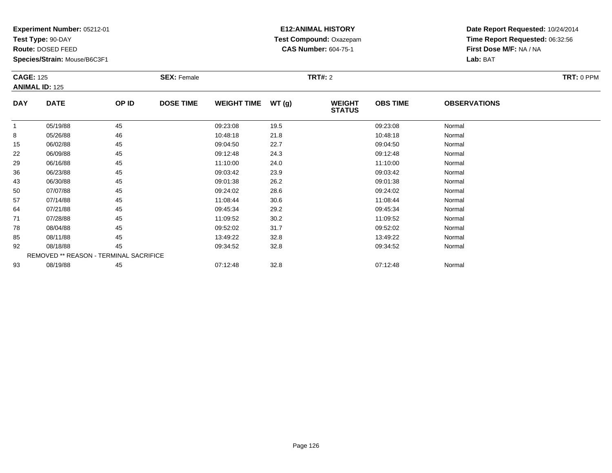**Test Type:** 90-DAY

**Route:** DOSED FEED

**Species/Strain:** Mouse/B6C3F1

## **E12:ANIMAL HISTORY Test Compound:** Oxazepam**CAS Number:** 604-75-1

|            | <b>CAGE: 125</b>      |                                        | <b>SEX: Female</b> |                    |       |                                | <b>TRT#: 2</b>  |                     |  |  |
|------------|-----------------------|----------------------------------------|--------------------|--------------------|-------|--------------------------------|-----------------|---------------------|--|--|
|            | <b>ANIMAL ID: 125</b> |                                        |                    |                    |       |                                |                 |                     |  |  |
| <b>DAY</b> | <b>DATE</b>           | OP ID                                  | <b>DOSE TIME</b>   | <b>WEIGHT TIME</b> | WT(g) | <b>WEIGHT</b><br><b>STATUS</b> | <b>OBS TIME</b> | <b>OBSERVATIONS</b> |  |  |
|            | 05/19/88              | 45                                     |                    | 09:23:08           | 19.5  |                                | 09:23:08        | Normal              |  |  |
| 8          | 05/26/88              | 46                                     |                    | 10:48:18           | 21.8  |                                | 10:48:18        | Normal              |  |  |
| 15         | 06/02/88              | 45                                     |                    | 09:04:50           | 22.7  |                                | 09:04:50        | Normal              |  |  |
| 22         | 06/09/88              | 45                                     |                    | 09:12:48           | 24.3  |                                | 09:12:48        | Normal              |  |  |
| 29         | 06/16/88              | 45                                     |                    | 11:10:00           | 24.0  |                                | 11:10:00        | Normal              |  |  |
| 36         | 06/23/88              | 45                                     |                    | 09:03:42           | 23.9  |                                | 09:03:42        | Normal              |  |  |
| 43         | 06/30/88              | 45                                     |                    | 09:01:38           | 26.2  |                                | 09:01:38        | Normal              |  |  |
| 50         | 07/07/88              | 45                                     |                    | 09:24:02           | 28.6  |                                | 09:24:02        | Normal              |  |  |
| 57         | 07/14/88              | 45                                     |                    | 11:08:44           | 30.6  |                                | 11:08:44        | Normal              |  |  |
| 64         | 07/21/88              | 45                                     |                    | 09:45:34           | 29.2  |                                | 09:45:34        | Normal              |  |  |
| 71         | 07/28/88              | 45                                     |                    | 11:09:52           | 30.2  |                                | 11:09:52        | Normal              |  |  |
| 78         | 08/04/88              | 45                                     |                    | 09:52:02           | 31.7  |                                | 09:52:02        | Normal              |  |  |
| 85         | 08/11/88              | 45                                     |                    | 13:49:22           | 32.8  |                                | 13:49:22        | Normal              |  |  |
| 92         | 08/18/88              | 45                                     |                    | 09:34:52           | 32.8  |                                | 09:34:52        | Normal              |  |  |
|            |                       | REMOVED ** REASON - TERMINAL SACRIFICE |                    |                    |       |                                |                 |                     |  |  |
| 93         | 08/19/88              | 45                                     |                    | 07:12:48           | 32.8  |                                | 07:12:48        | Normal              |  |  |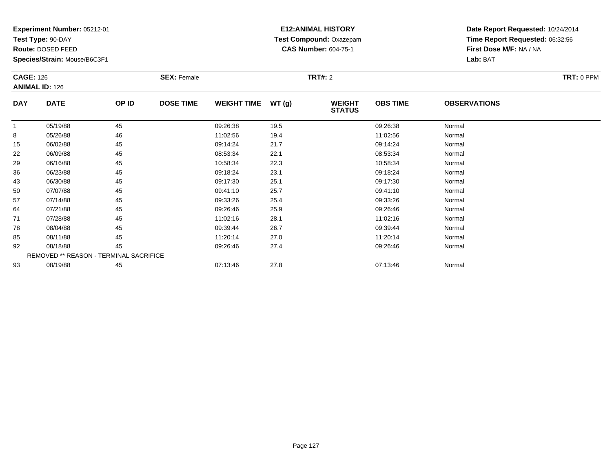**Test Type:** 90-DAY

**Route:** DOSED FEED

**Species/Strain:** Mouse/B6C3F1

## **E12:ANIMAL HISTORY Test Compound:** Oxazepam**CAS Number:** 604-75-1

|            | <b>CAGE: 126</b>      |                                        | <b>SEX: Female</b> |                    |       |                                | <b>TRT#: 2</b>  |                     |  |  |
|------------|-----------------------|----------------------------------------|--------------------|--------------------|-------|--------------------------------|-----------------|---------------------|--|--|
|            | <b>ANIMAL ID: 126</b> |                                        |                    |                    |       |                                |                 |                     |  |  |
| <b>DAY</b> | <b>DATE</b>           | OP ID                                  | <b>DOSE TIME</b>   | <b>WEIGHT TIME</b> | WT(g) | <b>WEIGHT</b><br><b>STATUS</b> | <b>OBS TIME</b> | <b>OBSERVATIONS</b> |  |  |
|            | 05/19/88              | 45                                     |                    | 09:26:38           | 19.5  |                                | 09:26:38        | Normal              |  |  |
| 8          | 05/26/88              | 46                                     |                    | 11:02:56           | 19.4  |                                | 11:02:56        | Normal              |  |  |
| 15         | 06/02/88              | 45                                     |                    | 09:14:24           | 21.7  |                                | 09:14:24        | Normal              |  |  |
| 22         | 06/09/88              | 45                                     |                    | 08:53:34           | 22.1  |                                | 08:53:34        | Normal              |  |  |
| 29         | 06/16/88              | 45                                     |                    | 10:58:34           | 22.3  |                                | 10:58:34        | Normal              |  |  |
| 36         | 06/23/88              | 45                                     |                    | 09:18:24           | 23.1  |                                | 09:18:24        | Normal              |  |  |
| 43         | 06/30/88              | 45                                     |                    | 09:17:30           | 25.1  |                                | 09:17:30        | Normal              |  |  |
| 50         | 07/07/88              | 45                                     |                    | 09:41:10           | 25.7  |                                | 09:41:10        | Normal              |  |  |
| 57         | 07/14/88              | 45                                     |                    | 09:33:26           | 25.4  |                                | 09:33:26        | Normal              |  |  |
| 64         | 07/21/88              | 45                                     |                    | 09:26:46           | 25.9  |                                | 09:26:46        | Normal              |  |  |
| 71         | 07/28/88              | 45                                     |                    | 11:02:16           | 28.1  |                                | 11:02:16        | Normal              |  |  |
| 78         | 08/04/88              | 45                                     |                    | 09:39:44           | 26.7  |                                | 09:39:44        | Normal              |  |  |
| 85         | 08/11/88              | 45                                     |                    | 11:20:14           | 27.0  |                                | 11:20:14        | Normal              |  |  |
| 92         | 08/18/88              | 45                                     |                    | 09:26:46           | 27.4  |                                | 09:26:46        | Normal              |  |  |
|            |                       | REMOVED ** REASON - TERMINAL SACRIFICE |                    |                    |       |                                |                 |                     |  |  |
| 93         | 08/19/88              | 45                                     |                    | 07:13:46           | 27.8  |                                | 07:13:46        | Normal              |  |  |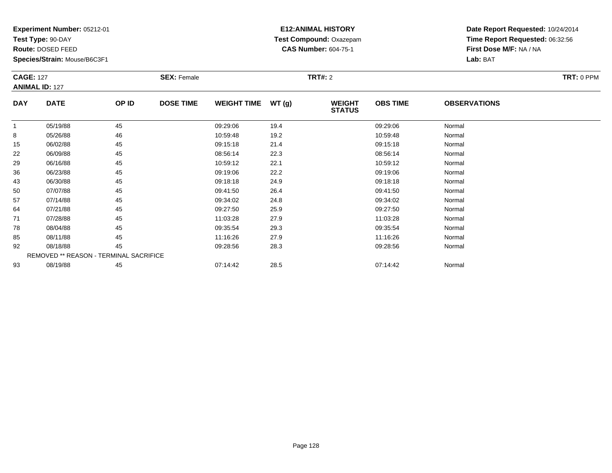**Test Type:** 90-DAY

**Route:** DOSED FEED

**Species/Strain:** Mouse/B6C3F1

## **E12:ANIMAL HISTORY Test Compound:** Oxazepam**CAS Number:** 604-75-1

|              | <b>CAGE: 127</b><br><b>ANIMAL ID: 127</b> |                                        | <b>SEX: Female</b> |                    |      | <b>TRT#: 2</b>                 |                 | TRT: 0 PPM          |  |
|--------------|-------------------------------------------|----------------------------------------|--------------------|--------------------|------|--------------------------------|-----------------|---------------------|--|
| <b>DAY</b>   | <b>DATE</b>                               | OP ID                                  | <b>DOSE TIME</b>   | WEIGHT TIME WT (g) |      | <b>WEIGHT</b><br><b>STATUS</b> | <b>OBS TIME</b> | <b>OBSERVATIONS</b> |  |
| $\mathbf{1}$ | 05/19/88                                  | 45                                     |                    | 09:29:06           | 19.4 |                                | 09:29:06        | Normal              |  |
| 8            | 05/26/88                                  | 46                                     |                    | 10:59:48           | 19.2 |                                | 10:59:48        | Normal              |  |
| 15           | 06/02/88                                  | 45                                     |                    | 09:15:18           | 21.4 |                                | 09:15:18        | Normal              |  |
| 22           | 06/09/88                                  | 45                                     |                    | 08:56:14           | 22.3 |                                | 08:56:14        | Normal              |  |
| 29           | 06/16/88                                  | 45                                     |                    | 10:59:12           | 22.1 |                                | 10:59:12        | Normal              |  |
| 36           | 06/23/88                                  | 45                                     |                    | 09:19:06           | 22.2 |                                | 09:19:06        | Normal              |  |
| 43           | 06/30/88                                  | 45                                     |                    | 09:18:18           | 24.9 |                                | 09:18:18        | Normal              |  |
| 50           | 07/07/88                                  | 45                                     |                    | 09:41:50           | 26.4 |                                | 09:41:50        | Normal              |  |
| 57           | 07/14/88                                  | 45                                     |                    | 09:34:02           | 24.8 |                                | 09:34:02        | Normal              |  |
| 64           | 07/21/88                                  | 45                                     |                    | 09:27:50           | 25.9 |                                | 09:27:50        | Normal              |  |
| 71           | 07/28/88                                  | 45                                     |                    | 11:03:28           | 27.9 |                                | 11:03:28        | Normal              |  |
| 78           | 08/04/88                                  | 45                                     |                    | 09:35:54           | 29.3 |                                | 09:35:54        | Normal              |  |
| 85           | 08/11/88                                  | 45                                     |                    | 11:16:26           | 27.9 |                                | 11:16:26        | Normal              |  |
| 92           | 08/18/88                                  | 45                                     |                    | 09:28:56           | 28.3 |                                | 09:28:56        | Normal              |  |
|              |                                           | REMOVED ** REASON - TERMINAL SACRIFICE |                    |                    |      |                                |                 |                     |  |
| 93           | 08/19/88                                  | 45                                     |                    | 07:14:42           | 28.5 |                                | 07:14:42        | Normal              |  |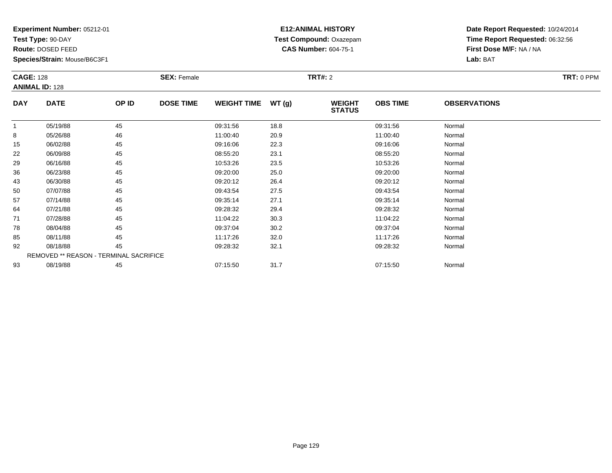**Test Type:** 90-DAY

**Route:** DOSED FEED

**Species/Strain:** Mouse/B6C3F1

## **E12:ANIMAL HISTORY Test Compound:** Oxazepam**CAS Number:** 604-75-1

|            | <b>CAGE: 128</b>      |                                        | <b>SEX: Female</b> |                    |       |                                | <b>TRT#:</b> 2  |                     |  |  |
|------------|-----------------------|----------------------------------------|--------------------|--------------------|-------|--------------------------------|-----------------|---------------------|--|--|
|            | <b>ANIMAL ID: 128</b> |                                        |                    |                    |       |                                |                 |                     |  |  |
| <b>DAY</b> | <b>DATE</b>           | OP ID                                  | <b>DOSE TIME</b>   | <b>WEIGHT TIME</b> | WT(g) | <b>WEIGHT</b><br><b>STATUS</b> | <b>OBS TIME</b> | <b>OBSERVATIONS</b> |  |  |
|            | 05/19/88              | 45                                     |                    | 09:31:56           | 18.8  |                                | 09:31:56        | Normal              |  |  |
| 8          | 05/26/88              | 46                                     |                    | 11:00:40           | 20.9  |                                | 11:00:40        | Normal              |  |  |
| 15         | 06/02/88              | 45                                     |                    | 09:16:06           | 22.3  |                                | 09:16:06        | Normal              |  |  |
| 22         | 06/09/88              | 45                                     |                    | 08:55:20           | 23.1  |                                | 08:55:20        | Normal              |  |  |
| 29         | 06/16/88              | 45                                     |                    | 10:53:26           | 23.5  |                                | 10:53:26        | Normal              |  |  |
| 36         | 06/23/88              | 45                                     |                    | 09:20:00           | 25.0  |                                | 09:20:00        | Normal              |  |  |
| 43         | 06/30/88              | 45                                     |                    | 09:20:12           | 26.4  |                                | 09:20:12        | Normal              |  |  |
| 50         | 07/07/88              | 45                                     |                    | 09:43:54           | 27.5  |                                | 09:43:54        | Normal              |  |  |
| 57         | 07/14/88              | 45                                     |                    | 09:35:14           | 27.1  |                                | 09:35:14        | Normal              |  |  |
| 64         | 07/21/88              | 45                                     |                    | 09:28:32           | 29.4  |                                | 09:28:32        | Normal              |  |  |
| 71         | 07/28/88              | 45                                     |                    | 11:04:22           | 30.3  |                                | 11:04:22        | Normal              |  |  |
| 78         | 08/04/88              | 45                                     |                    | 09:37:04           | 30.2  |                                | 09:37:04        | Normal              |  |  |
| 85         | 08/11/88              | 45                                     |                    | 11:17:26           | 32.0  |                                | 11:17:26        | Normal              |  |  |
| 92         | 08/18/88              | 45                                     |                    | 09:28:32           | 32.1  |                                | 09:28:32        | Normal              |  |  |
|            |                       | REMOVED ** REASON - TERMINAL SACRIFICE |                    |                    |       |                                |                 |                     |  |  |
| 93         | 08/19/88              | 45                                     |                    | 07:15:50           | 31.7  |                                | 07:15:50        | Normal              |  |  |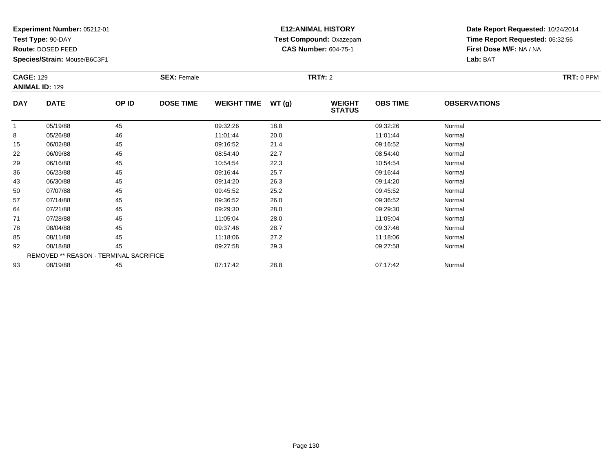**Test Type:** 90-DAY

**Route:** DOSED FEED

**Species/Strain:** Mouse/B6C3F1

## **E12:ANIMAL HISTORY Test Compound:** Oxazepam**CAS Number:** 604-75-1

|            | <b>CAGE: 129</b><br><b>ANIMAL ID: 129</b> |                                        | <b>SEX: Female</b> |                    | <b>TRT#: 2</b> |                                |                 |                     | TRT: 0 PPM |
|------------|-------------------------------------------|----------------------------------------|--------------------|--------------------|----------------|--------------------------------|-----------------|---------------------|------------|
| <b>DAY</b> | <b>DATE</b>                               | OP ID                                  | <b>DOSE TIME</b>   | <b>WEIGHT TIME</b> | WT(g)          | <b>WEIGHT</b><br><b>STATUS</b> | <b>OBS TIME</b> | <b>OBSERVATIONS</b> |            |
|            | 05/19/88                                  | 45                                     |                    | 09:32:26           | 18.8           |                                | 09:32:26        | Normal              |            |
| 8          | 05/26/88                                  | 46                                     |                    | 11:01:44           | 20.0           |                                | 11:01:44        | Normal              |            |
| 15         | 06/02/88                                  | 45                                     |                    | 09:16:52           | 21.4           |                                | 09:16:52        | Normal              |            |
| 22         | 06/09/88                                  | 45                                     |                    | 08:54:40           | 22.7           |                                | 08:54:40        | Normal              |            |
| 29         | 06/16/88                                  | 45                                     |                    | 10:54:54           | 22.3           |                                | 10:54:54        | Normal              |            |
| 36         | 06/23/88                                  | 45                                     |                    | 09:16:44           | 25.7           |                                | 09:16:44        | Normal              |            |
| 43         | 06/30/88                                  | 45                                     |                    | 09:14:20           | 26.3           |                                | 09:14:20        | Normal              |            |
| 50         | 07/07/88                                  | 45                                     |                    | 09:45:52           | 25.2           |                                | 09:45:52        | Normal              |            |
| 57         | 07/14/88                                  | 45                                     |                    | 09:36:52           | 26.0           |                                | 09:36:52        | Normal              |            |
| 64         | 07/21/88                                  | 45                                     |                    | 09:29:30           | 28.0           |                                | 09:29:30        | Normal              |            |
| 71         | 07/28/88                                  | 45                                     |                    | 11:05:04           | 28.0           |                                | 11:05:04        | Normal              |            |
| 78         | 08/04/88                                  | 45                                     |                    | 09:37:46           | 28.7           |                                | 09:37:46        | Normal              |            |
| 85         | 08/11/88                                  | 45                                     |                    | 11:18:06           | 27.2           |                                | 11:18:06        | Normal              |            |
| 92         | 08/18/88                                  | 45                                     |                    | 09:27:58           | 29.3           |                                | 09:27:58        | Normal              |            |
|            |                                           | REMOVED ** REASON - TERMINAL SACRIFICE |                    |                    |                |                                |                 |                     |            |
| 93         | 08/19/88                                  | 45                                     |                    | 07:17:42           | 28.8           |                                | 07:17:42        | Normal              |            |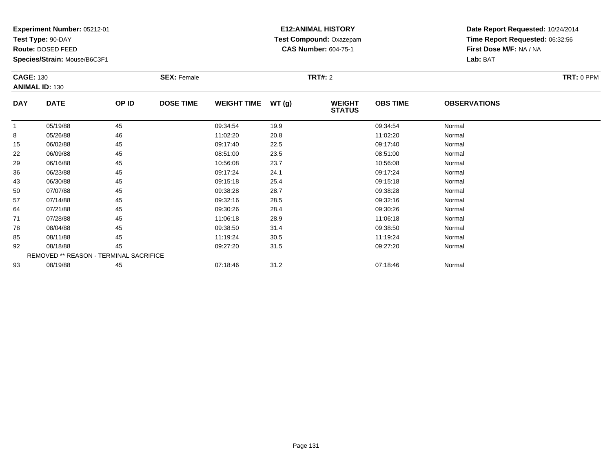**Test Type:** 90-DAY

**Route:** DOSED FEED

**Species/Strain:** Mouse/B6C3F1

## **E12:ANIMAL HISTORY Test Compound:** Oxazepam**CAS Number:** 604-75-1

|              | <b>CAGE: 130</b><br><b>ANIMAL ID: 130</b> |       | <b>SEX: Female</b> |                    |       | <b>TRT#: 2</b>                 |                 | TRT: 0 PPM          |  |
|--------------|-------------------------------------------|-------|--------------------|--------------------|-------|--------------------------------|-----------------|---------------------|--|
| <b>DAY</b>   | <b>DATE</b>                               | OP ID | <b>DOSE TIME</b>   | <b>WEIGHT TIME</b> | WT(g) | <b>WEIGHT</b><br><b>STATUS</b> | <b>OBS TIME</b> | <b>OBSERVATIONS</b> |  |
| $\mathbf{1}$ | 05/19/88                                  | 45    |                    | 09:34:54           | 19.9  |                                | 09:34:54        | Normal              |  |
| 8            | 05/26/88                                  | 46    |                    | 11:02:20           | 20.8  |                                | 11:02:20        | Normal              |  |
| 15           | 06/02/88                                  | 45    |                    | 09:17:40           | 22.5  |                                | 09:17:40        | Normal              |  |
| 22           | 06/09/88                                  | 45    |                    | 08:51:00           | 23.5  |                                | 08:51:00        | Normal              |  |
| 29           | 06/16/88                                  | 45    |                    | 10:56:08           | 23.7  |                                | 10:56:08        | Normal              |  |
| 36           | 06/23/88                                  | 45    |                    | 09:17:24           | 24.1  |                                | 09:17:24        | Normal              |  |
| 43           | 06/30/88                                  | 45    |                    | 09:15:18           | 25.4  |                                | 09:15:18        | Normal              |  |
| 50           | 07/07/88                                  | 45    |                    | 09:38:28           | 28.7  |                                | 09:38:28        | Normal              |  |
| 57           | 07/14/88                                  | 45    |                    | 09:32:16           | 28.5  |                                | 09:32:16        | Normal              |  |
| 64           | 07/21/88                                  | 45    |                    | 09:30:26           | 28.4  |                                | 09:30:26        | Normal              |  |
| 71           | 07/28/88                                  | 45    |                    | 11:06:18           | 28.9  |                                | 11:06:18        | Normal              |  |
| 78           | 08/04/88                                  | 45    |                    | 09:38:50           | 31.4  |                                | 09:38:50        | Normal              |  |
| 85           | 08/11/88                                  | 45    |                    | 11:19:24           | 30.5  |                                | 11:19:24        | Normal              |  |
| 92           | 08/18/88                                  | 45    |                    | 09:27:20           | 31.5  |                                | 09:27:20        | Normal              |  |
|              | REMOVED ** REASON - TERMINAL SACRIFICE    |       |                    |                    |       |                                |                 |                     |  |
| 93           | 08/19/88                                  | 45    |                    | 07:18:46           | 31.2  |                                | 07:18:46        | Normal              |  |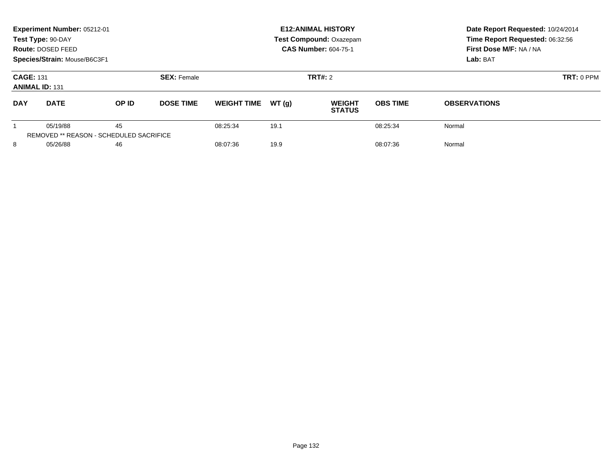|                                           | Experiment Number: 05212-01<br>Test Type: 90-DAY<br><b>Route: DOSED FEED</b><br>Species/Strain: Mouse/B6C3F1 |                                               |                    |                    |       | <b>E12: ANIMAL HISTORY</b><br><b>Test Compound: Oxazepam</b><br><b>CAS Number: 604-75-1</b> | Date Report Requested: 10/24/2014<br>Time Report Requested: 06:32:56<br>First Dose M/F: NA / NA<br>Lab: BAT |                     |  |
|-------------------------------------------|--------------------------------------------------------------------------------------------------------------|-----------------------------------------------|--------------------|--------------------|-------|---------------------------------------------------------------------------------------------|-------------------------------------------------------------------------------------------------------------|---------------------|--|
| <b>CAGE: 131</b><br><b>ANIMAL ID: 131</b> |                                                                                                              |                                               | <b>SEX: Female</b> |                    |       | TRT#: 2                                                                                     |                                                                                                             | $TRT: 0$ PPM        |  |
| <b>DAY</b>                                | <b>DATE</b>                                                                                                  | OP ID                                         | <b>DOSE TIME</b>   | <b>WEIGHT TIME</b> | WT(q) | <b>WEIGHT</b><br><b>STATUS</b>                                                              | <b>OBS TIME</b>                                                                                             | <b>OBSERVATIONS</b> |  |
|                                           | 05/19/88                                                                                                     | 45<br>REMOVED ** REASON - SCHEDULED SACRIFICE |                    | 08:25:34           | 19.1  |                                                                                             | 08:25:34                                                                                                    | Normal              |  |
| 8<br>05/26/88                             |                                                                                                              | 46                                            |                    | 08:07:36           | 19.9  |                                                                                             | 08:07:36                                                                                                    | Normal              |  |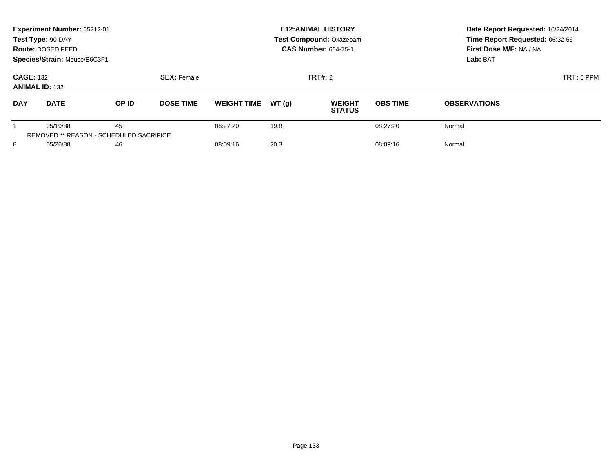|                                           | Experiment Number: 05212-01<br>Test Type: 90-DAY<br><b>Route: DOSED FEED</b><br>Species/Strain: Mouse/B6C3F1 |                                               |                    |                    |       | <b>E12: ANIMAL HISTORY</b><br><b>Test Compound: Oxazepam</b><br><b>CAS Number: 604-75-1</b> | Date Report Requested: 10/24/2014<br>Time Report Requested: 06:32:56<br>First Dose M/F: NA / NA<br>Lab: BAT |                     |  |
|-------------------------------------------|--------------------------------------------------------------------------------------------------------------|-----------------------------------------------|--------------------|--------------------|-------|---------------------------------------------------------------------------------------------|-------------------------------------------------------------------------------------------------------------|---------------------|--|
| <b>CAGE: 132</b><br><b>ANIMAL ID: 132</b> |                                                                                                              |                                               | <b>SEX: Female</b> |                    |       | TRT#: 2                                                                                     |                                                                                                             | $TRT: 0$ PPM        |  |
| <b>DAY</b>                                | <b>DATE</b>                                                                                                  | OP ID                                         | <b>DOSE TIME</b>   | <b>WEIGHT TIME</b> | WT(q) | <b>WEIGHT</b><br><b>STATUS</b>                                                              | <b>OBS TIME</b>                                                                                             | <b>OBSERVATIONS</b> |  |
|                                           | 05/19/88                                                                                                     | 45<br>REMOVED ** REASON - SCHEDULED SACRIFICE |                    | 08:27:20           | 19.8  |                                                                                             | 08:27:20                                                                                                    | Normal              |  |
| 8<br>05/26/88                             |                                                                                                              | 46                                            |                    | 08:09:16           | 20.3  |                                                                                             | 08:09:16                                                                                                    | Normal              |  |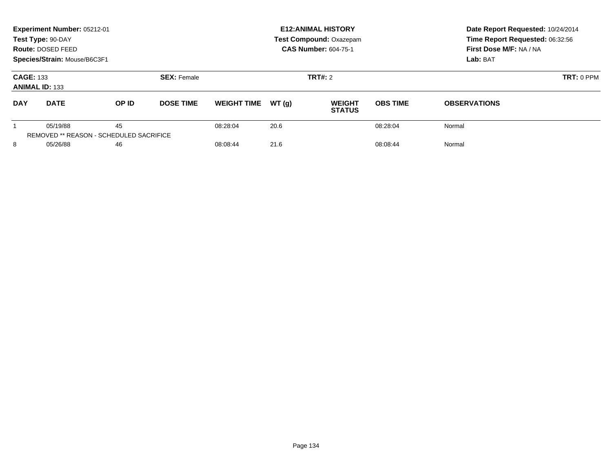| Experiment Number: 05212-01<br>Test Type: 90-DAY<br><b>Route: DOSED FEED</b><br>Species/Strain: Mouse/B6C3F1 |             |                                               |                    |                    |       | <b>E12: ANIMAL HISTORY</b><br><b>Test Compound: Oxazepam</b><br><b>CAS Number: 604-75-1</b> | Date Report Requested: 10/24/2014<br>Time Report Requested: 06:32:56<br>First Dose M/F: NA / NA<br>Lab: BAT |                     |  |
|--------------------------------------------------------------------------------------------------------------|-------------|-----------------------------------------------|--------------------|--------------------|-------|---------------------------------------------------------------------------------------------|-------------------------------------------------------------------------------------------------------------|---------------------|--|
| <b>CAGE: 133</b><br><b>ANIMAL ID: 133</b>                                                                    |             |                                               | <b>SEX: Female</b> |                    |       | TRT#: 2                                                                                     |                                                                                                             | $TRT: 0$ PPM        |  |
| <b>DAY</b>                                                                                                   | <b>DATE</b> | OP ID                                         | <b>DOSE TIME</b>   | <b>WEIGHT TIME</b> | WT(q) | <b>WEIGHT</b><br><b>STATUS</b>                                                              | <b>OBS TIME</b>                                                                                             | <b>OBSERVATIONS</b> |  |
|                                                                                                              | 05/19/88    | 45<br>REMOVED ** REASON - SCHEDULED SACRIFICE |                    | 08:28:04           | 20.6  |                                                                                             | 08:28:04                                                                                                    | Normal              |  |
| 8<br>05/26/88                                                                                                |             | 46                                            |                    | 08:08:44           | 21.6  |                                                                                             | 08:08:44                                                                                                    | Normal              |  |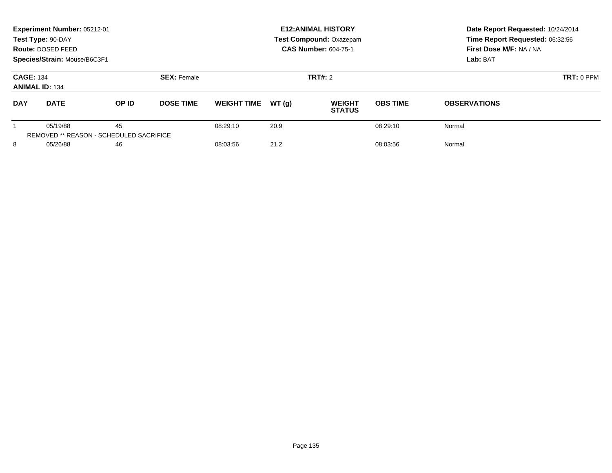|                                           | Experiment Number: 05212-01<br>Test Type: 90-DAY<br><b>Route: DOSED FEED</b><br>Species/Strain: Mouse/B6C3F1 |                                               |                    |                    |       | <b>E12: ANIMAL HISTORY</b><br><b>Test Compound: Oxazepam</b><br><b>CAS Number: 604-75-1</b> | Date Report Requested: 10/24/2014<br>Time Report Requested: 06:32:56<br>First Dose M/F: NA / NA<br>Lab: BAT |                     |  |
|-------------------------------------------|--------------------------------------------------------------------------------------------------------------|-----------------------------------------------|--------------------|--------------------|-------|---------------------------------------------------------------------------------------------|-------------------------------------------------------------------------------------------------------------|---------------------|--|
| <b>CAGE: 134</b><br><b>ANIMAL ID: 134</b> |                                                                                                              |                                               | <b>SEX: Female</b> |                    |       | TRT#: 2                                                                                     |                                                                                                             | $TRT: 0$ PPM        |  |
| <b>DAY</b>                                | <b>DATE</b>                                                                                                  | OP ID                                         | <b>DOSE TIME</b>   | <b>WEIGHT TIME</b> | WT(q) | <b>WEIGHT</b><br><b>STATUS</b>                                                              | <b>OBS TIME</b>                                                                                             | <b>OBSERVATIONS</b> |  |
|                                           | 05/19/88                                                                                                     | 45<br>REMOVED ** REASON - SCHEDULED SACRIFICE |                    | 08:29:10           | 20.9  |                                                                                             | 08:29:10                                                                                                    | Normal              |  |
| 8<br>05/26/88                             |                                                                                                              | 46                                            |                    | 08:03:56           | 21.2  |                                                                                             | 08:03:56                                                                                                    | Normal              |  |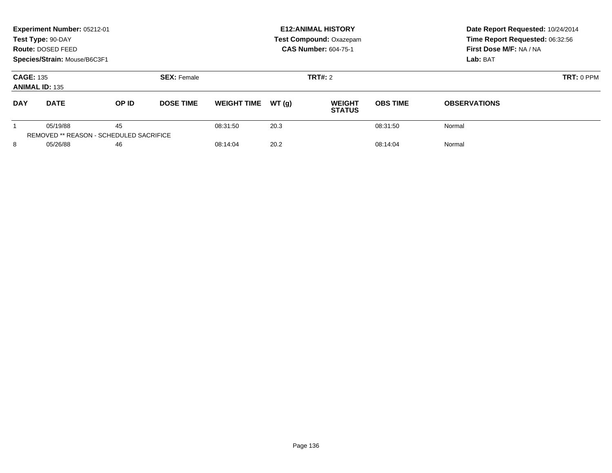|                                           | Experiment Number: 05212-01<br>Test Type: 90-DAY<br><b>Route: DOSED FEED</b><br>Species/Strain: Mouse/B6C3F1 |                                               |                    |                    |       | <b>E12: ANIMAL HISTORY</b><br><b>Test Compound: Oxazepam</b><br><b>CAS Number: 604-75-1</b> | Date Report Requested: 10/24/2014<br>Time Report Requested: 06:32:56<br>First Dose M/F: NA / NA<br>Lab: BAT |                     |  |
|-------------------------------------------|--------------------------------------------------------------------------------------------------------------|-----------------------------------------------|--------------------|--------------------|-------|---------------------------------------------------------------------------------------------|-------------------------------------------------------------------------------------------------------------|---------------------|--|
| <b>CAGE: 135</b><br><b>ANIMAL ID: 135</b> |                                                                                                              |                                               | <b>SEX: Female</b> |                    |       | TRT#: 2                                                                                     |                                                                                                             | $TRT: 0$ PPM        |  |
| <b>DAY</b>                                | <b>DATE</b>                                                                                                  | OP ID                                         | <b>DOSE TIME</b>   | <b>WEIGHT TIME</b> | WT(q) | <b>WEIGHT</b><br><b>STATUS</b>                                                              | <b>OBS TIME</b>                                                                                             | <b>OBSERVATIONS</b> |  |
|                                           | 05/19/88                                                                                                     | 45<br>REMOVED ** REASON - SCHEDULED SACRIFICE |                    | 08:31:50           | 20.3  |                                                                                             | 08:31:50                                                                                                    | Normal              |  |
| 8<br>05/26/88                             |                                                                                                              | 46                                            |                    | 08:14:04           | 20.2  |                                                                                             | 08:14:04                                                                                                    | Normal              |  |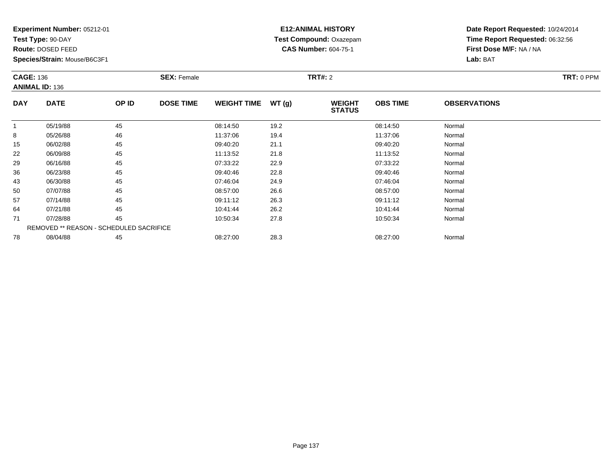**Test Type:** 90-DAY

**Route:** DOSED FEED

**Species/Strain:** Mouse/B6C3F1

## **E12:ANIMAL HISTORY Test Compound:** Oxazepam**CAS Number:** 604-75-1

|            | <b>CAGE: 136</b><br><b>ANIMAL ID: 136</b> |       | <b>SEX: Female</b> |                    |       |                                | <b>TRT#: 2</b>  |                     |  |  |
|------------|-------------------------------------------|-------|--------------------|--------------------|-------|--------------------------------|-----------------|---------------------|--|--|
| <b>DAY</b> | <b>DATE</b>                               | OP ID | <b>DOSE TIME</b>   | <b>WEIGHT TIME</b> | WT(g) | <b>WEIGHT</b><br><b>STATUS</b> | <b>OBS TIME</b> | <b>OBSERVATIONS</b> |  |  |
| -1         | 05/19/88                                  | 45    |                    | 08:14:50           | 19.2  |                                | 08:14:50        | Normal              |  |  |
| 8          | 05/26/88                                  | 46    |                    | 11:37:06           | 19.4  |                                | 11:37:06        | Normal              |  |  |
| 15         | 06/02/88                                  | 45    |                    | 09:40:20           | 21.1  |                                | 09:40:20        | Normal              |  |  |
| 22         | 06/09/88                                  | 45    |                    | 11:13:52           | 21.8  |                                | 11:13:52        | Normal              |  |  |
| 29         | 06/16/88                                  | 45    |                    | 07:33:22           | 22.9  |                                | 07:33:22        | Normal              |  |  |
| 36         | 06/23/88                                  | 45    |                    | 09:40:46           | 22.8  |                                | 09:40:46        | Normal              |  |  |
| 43         | 06/30/88                                  | 45    |                    | 07:46:04           | 24.9  |                                | 07:46:04        | Normal              |  |  |
| 50         | 07/07/88                                  | 45    |                    | 08:57:00           | 26.6  |                                | 08:57:00        | Normal              |  |  |
| 57         | 07/14/88                                  | 45    |                    | 09:11:12           | 26.3  |                                | 09:11:12        | Normal              |  |  |
| 64         | 07/21/88                                  | 45    |                    | 10:41:44           | 26.2  |                                | 10:41:44        | Normal              |  |  |
| 71         | 07/28/88                                  | 45    |                    | 10:50:34           | 27.8  |                                | 10:50:34        | Normal              |  |  |
|            | REMOVED ** REASON - SCHEDULED SACRIFICE   |       |                    |                    |       |                                |                 |                     |  |  |
| 78         | 08/04/88                                  | 45    |                    | 08:27:00           | 28.3  |                                | 08:27:00        | Normal              |  |  |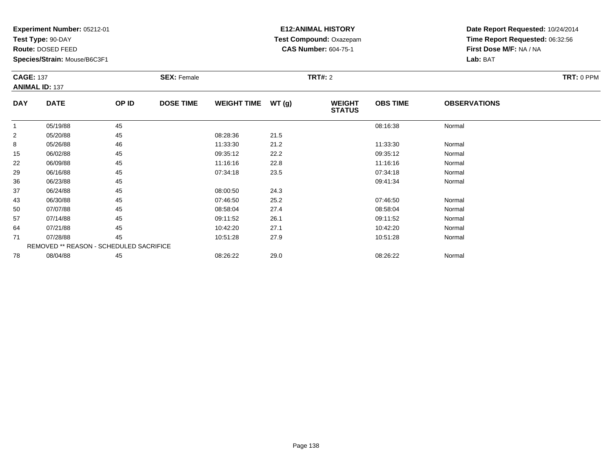**Test Type:** 90-DAY

**Route:** DOSED FEED

**Species/Strain:** Mouse/B6C3F1

## **E12:ANIMAL HISTORY Test Compound:** Oxazepam**CAS Number:** 604-75-1

| <b>CAGE: 137</b><br><b>ANIMAL ID: 137</b> |             |       | <b>SEX: Female</b> |                    |       | <b>TRT#: 2</b>                 |                 |                     |  |
|-------------------------------------------|-------------|-------|--------------------|--------------------|-------|--------------------------------|-----------------|---------------------|--|
| <b>DAY</b>                                | <b>DATE</b> | OP ID | <b>DOSE TIME</b>   | <b>WEIGHT TIME</b> | WT(g) | <b>WEIGHT</b><br><b>STATUS</b> | <b>OBS TIME</b> | <b>OBSERVATIONS</b> |  |
|                                           | 05/19/88    | 45    |                    |                    |       |                                | 08:16:38        | Normal              |  |

|                | 05/19/88 | 45                                             |          |      | 08:16:38 | Normal |  |
|----------------|----------|------------------------------------------------|----------|------|----------|--------|--|
| $\overline{2}$ | 05/20/88 | 45                                             | 08:28:36 | 21.5 |          |        |  |
| 8              | 05/26/88 | 46                                             | 11:33:30 | 21.2 | 11:33:30 | Normal |  |
| 15             | 06/02/88 | 45                                             | 09:35:12 | 22.2 | 09:35:12 | Normal |  |
| 22             | 06/09/88 | 45                                             | 11:16:16 | 22.8 | 11:16:16 | Normal |  |
| 29             | 06/16/88 | 45                                             | 07:34:18 | 23.5 | 07:34:18 | Normal |  |
| 36             | 06/23/88 | 45                                             |          |      | 09:41:34 | Normal |  |
| 37             | 06/24/88 | 45                                             | 08:00:50 | 24.3 |          |        |  |
| 43             | 06/30/88 | 45                                             | 07:46:50 | 25.2 | 07:46:50 | Normal |  |
| 50             | 07/07/88 | 45                                             | 08:58:04 | 27.4 | 08:58:04 | Normal |  |
| 57             | 07/14/88 | 45                                             | 09:11:52 | 26.1 | 09:11:52 | Normal |  |
| 64             | 07/21/88 | 45                                             | 10:42:20 | 27.1 | 10:42:20 | Normal |  |
| 71             | 07/28/88 | 45                                             | 10:51:28 | 27.9 | 10:51:28 | Normal |  |
|                |          | <b>REMOVED ** REASON - SCHEDULED SACRIFICE</b> |          |      |          |        |  |
| 78             | 08/04/88 | 45                                             | 08:26:22 | 29.0 | 08:26:22 | Normal |  |
|                |          |                                                |          |      |          |        |  |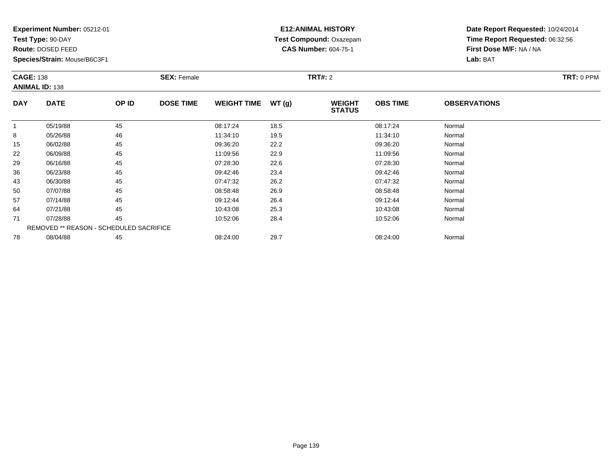**Test Type:** 90-DAY

**Route:** DOSED FEED

**Species/Strain:** Mouse/B6C3F1

## **E12:ANIMAL HISTORY Test Compound:** Oxazepam**CAS Number:** 604-75-1

|            | <b>CAGE: 138</b><br><b>ANIMAL ID: 138</b> |       | <b>SEX: Female</b> |                    |       |                                | <b>TRT#: 2</b>  |                     |  |  |
|------------|-------------------------------------------|-------|--------------------|--------------------|-------|--------------------------------|-----------------|---------------------|--|--|
| <b>DAY</b> | <b>DATE</b>                               | OP ID | <b>DOSE TIME</b>   | <b>WEIGHT TIME</b> | WT(g) | <b>WEIGHT</b><br><b>STATUS</b> | <b>OBS TIME</b> | <b>OBSERVATIONS</b> |  |  |
| -1         | 05/19/88                                  | 45    |                    | 08:17:24           | 18.5  |                                | 08:17:24        | Normal              |  |  |
| 8          | 05/26/88                                  | 46    |                    | 11:34:10           | 19.5  |                                | 11:34:10        | Normal              |  |  |
| 15         | 06/02/88                                  | 45    |                    | 09:36:20           | 22.2  |                                | 09:36:20        | Normal              |  |  |
| 22         | 06/09/88                                  | 45    |                    | 11:09:56           | 22.9  |                                | 11:09:56        | Normal              |  |  |
| 29         | 06/16/88                                  | 45    |                    | 07:28:30           | 22.6  |                                | 07:28:30        | Normal              |  |  |
| 36         | 06/23/88                                  | 45    |                    | 09:42:46           | 23.4  |                                | 09:42:46        | Normal              |  |  |
| 43         | 06/30/88                                  | 45    |                    | 07:47:32           | 26.2  |                                | 07:47:32        | Normal              |  |  |
| 50         | 07/07/88                                  | 45    |                    | 08:58:48           | 26.9  |                                | 08:58:48        | Normal              |  |  |
| 57         | 07/14/88                                  | 45    |                    | 09:12:44           | 26.4  |                                | 09:12:44        | Normal              |  |  |
| 64         | 07/21/88                                  | 45    |                    | 10:43:08           | 25.3  |                                | 10:43:08        | Normal              |  |  |
| 71         | 07/28/88                                  | 45    |                    | 10:52:06           | 28.4  |                                | 10:52:06        | Normal              |  |  |
|            | REMOVED ** REASON - SCHEDULED SACRIFICE   |       |                    |                    |       |                                |                 |                     |  |  |
| 78         | 08/04/88                                  | 45    |                    | 08:24:00           | 29.7  |                                | 08:24:00        | Normal              |  |  |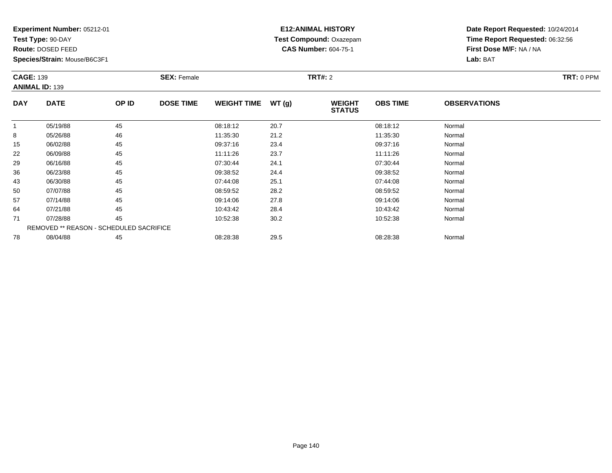**Test Type:** 90-DAY

**Route:** DOSED FEED

**Species/Strain:** Mouse/B6C3F1

## **E12:ANIMAL HISTORY Test Compound:** Oxazepam**CAS Number:** 604-75-1

|            | <b>CAGE: 139</b><br><b>ANIMAL ID: 139</b> |       | <b>SEX: Female</b> |                    |       | <b>TRT#: 2</b>                 | TRT: 0 PPM      |                     |  |
|------------|-------------------------------------------|-------|--------------------|--------------------|-------|--------------------------------|-----------------|---------------------|--|
| <b>DAY</b> | <b>DATE</b>                               | OP ID | <b>DOSE TIME</b>   | <b>WEIGHT TIME</b> | WT(g) | <b>WEIGHT</b><br><b>STATUS</b> | <b>OBS TIME</b> | <b>OBSERVATIONS</b> |  |
| 1          | 05/19/88                                  | 45    |                    | 08:18:12           | 20.7  |                                | 08:18:12        | Normal              |  |
| 8          | 05/26/88                                  | 46    |                    | 11:35:30           | 21.2  |                                | 11:35:30        | Normal              |  |
| 15         | 06/02/88                                  | 45    |                    | 09:37:16           | 23.4  |                                | 09:37:16        | Normal              |  |
| 22         | 06/09/88                                  | 45    |                    | 11:11:26           | 23.7  |                                | 11:11:26        | Normal              |  |
| 29         | 06/16/88                                  | 45    |                    | 07:30:44           | 24.1  |                                | 07:30:44        | Normal              |  |
| 36         | 06/23/88                                  | 45    |                    | 09:38:52           | 24.4  |                                | 09:38:52        | Normal              |  |
| 43         | 06/30/88                                  | 45    |                    | 07:44:08           | 25.1  |                                | 07:44:08        | Normal              |  |
| 50         | 07/07/88                                  | 45    |                    | 08:59:52           | 28.2  |                                | 08:59:52        | Normal              |  |
| 57         | 07/14/88                                  | 45    |                    | 09:14:06           | 27.8  |                                | 09:14:06        | Normal              |  |
| 64         | 07/21/88                                  | 45    |                    | 10:43:42           | 28.4  |                                | 10:43:42        | Normal              |  |
| 71         | 07/28/88                                  | 45    |                    | 10:52:38           | 30.2  |                                | 10:52:38        | Normal              |  |
|            | REMOVED ** REASON - SCHEDULED SACRIFICE   |       |                    |                    |       |                                |                 |                     |  |
| 78         | 08/04/88                                  | 45    |                    | 08:28:38           | 29.5  |                                | 08:28:38        | Normal              |  |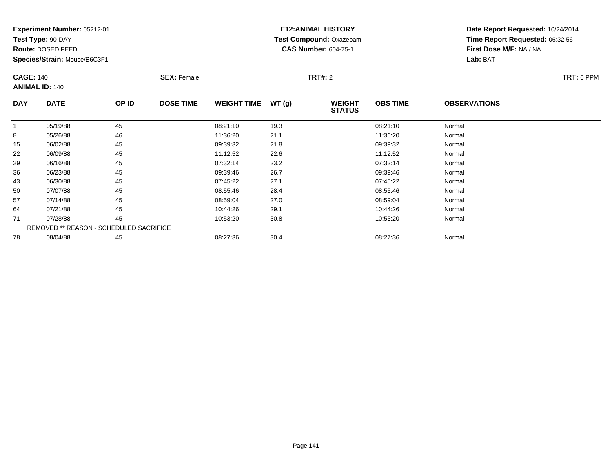**Test Type:** 90-DAY

**Route:** DOSED FEED

**Species/Strain:** Mouse/B6C3F1

## **E12:ANIMAL HISTORY Test Compound:** Oxazepam**CAS Number:** 604-75-1

|            | <b>CAGE: 140</b><br><b>ANIMAL ID: 140</b> |       | <b>SEX: Female</b> |                    |       |                                | <b>TRT#: 2</b>  |                     |  |  |
|------------|-------------------------------------------|-------|--------------------|--------------------|-------|--------------------------------|-----------------|---------------------|--|--|
| <b>DAY</b> | <b>DATE</b>                               | OP ID | <b>DOSE TIME</b>   | <b>WEIGHT TIME</b> | WT(g) | <b>WEIGHT</b><br><b>STATUS</b> | <b>OBS TIME</b> | <b>OBSERVATIONS</b> |  |  |
| 1          | 05/19/88                                  | 45    |                    | 08:21:10           | 19.3  |                                | 08:21:10        | Normal              |  |  |
| 8          | 05/26/88                                  | 46    |                    | 11:36:20           | 21.1  |                                | 11:36:20        | Normal              |  |  |
| 15         | 06/02/88                                  | 45    |                    | 09:39:32           | 21.8  |                                | 09:39:32        | Normal              |  |  |
| 22         | 06/09/88                                  | 45    |                    | 11:12:52           | 22.6  |                                | 11:12:52        | Normal              |  |  |
| 29         | 06/16/88                                  | 45    |                    | 07:32:14           | 23.2  |                                | 07:32:14        | Normal              |  |  |
| 36         | 06/23/88                                  | 45    |                    | 09:39:46           | 26.7  |                                | 09:39:46        | Normal              |  |  |
| 43         | 06/30/88                                  | 45    |                    | 07:45:22           | 27.1  |                                | 07:45:22        | Normal              |  |  |
| 50         | 07/07/88                                  | 45    |                    | 08:55:46           | 28.4  |                                | 08:55:46        | Normal              |  |  |
| 57         | 07/14/88                                  | 45    |                    | 08:59:04           | 27.0  |                                | 08:59:04        | Normal              |  |  |
| 64         | 07/21/88                                  | 45    |                    | 10:44:26           | 29.1  |                                | 10:44:26        | Normal              |  |  |
| 71         | 07/28/88                                  | 45    |                    | 10:53:20           | 30.8  |                                | 10:53:20        | Normal              |  |  |
|            | REMOVED ** REASON - SCHEDULED SACRIFICE   |       |                    |                    |       |                                |                 |                     |  |  |
| 78         | 08/04/88                                  | 45    |                    | 08:27:36           | 30.4  |                                | 08:27:36        | Normal              |  |  |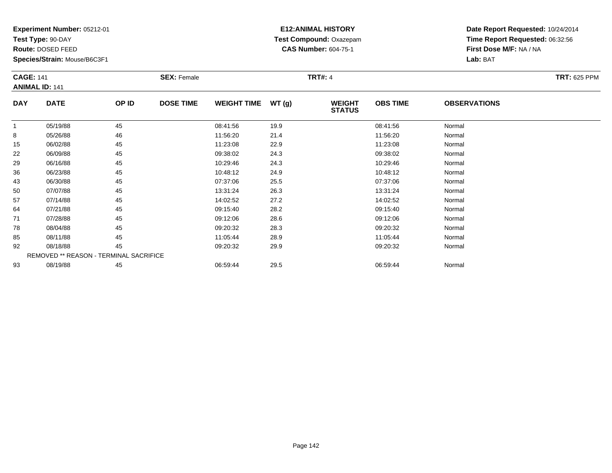**Test Type:** 90-DAY

**Route:** DOSED FEED

**Species/Strain:** Mouse/B6C3F1

## **E12:ANIMAL HISTORY Test Compound:** Oxazepam**CAS Number:** 604-75-1

|            | <b>CAGE: 141</b><br><b>ANIMAL ID: 141</b> |       | <b>SEX: Female</b> |                    |       | <b>TRT#: 4</b>                 | <b>TRT: 625 PPM</b> |                     |  |
|------------|-------------------------------------------|-------|--------------------|--------------------|-------|--------------------------------|---------------------|---------------------|--|
| <b>DAY</b> | <b>DATE</b>                               | OP ID | <b>DOSE TIME</b>   | <b>WEIGHT TIME</b> | WT(g) | <b>WEIGHT</b><br><b>STATUS</b> | <b>OBS TIME</b>     | <b>OBSERVATIONS</b> |  |
|            | 05/19/88                                  | 45    |                    | 08:41:56           | 19.9  |                                | 08:41:56            | Normal              |  |
| 8          | 05/26/88                                  | 46    |                    | 11:56:20           | 21.4  |                                | 11:56:20            | Normal              |  |
| 15         | 06/02/88                                  | 45    |                    | 11:23:08           | 22.9  |                                | 11:23:08            | Normal              |  |
| 22         | 06/09/88                                  | 45    |                    | 09:38:02           | 24.3  |                                | 09:38:02            | Normal              |  |
| 29         | 06/16/88                                  | 45    |                    | 10:29:46           | 24.3  |                                | 10:29:46            | Normal              |  |
| 36         | 06/23/88                                  | 45    |                    | 10:48:12           | 24.9  |                                | 10:48:12            | Normal              |  |
| 43         | 06/30/88                                  | 45    |                    | 07:37:06           | 25.5  |                                | 07:37:06            | Normal              |  |
| 50         | 07/07/88                                  | 45    |                    | 13:31:24           | 26.3  |                                | 13:31:24            | Normal              |  |
| 57         | 07/14/88                                  | 45    |                    | 14:02:52           | 27.2  |                                | 14:02:52            | Normal              |  |
| 64         | 07/21/88                                  | 45    |                    | 09:15:40           | 28.2  |                                | 09:15:40            | Normal              |  |
| 71         | 07/28/88                                  | 45    |                    | 09:12:06           | 28.6  |                                | 09:12:06            | Normal              |  |
| 78         | 08/04/88                                  | 45    |                    | 09:20:32           | 28.3  |                                | 09:20:32            | Normal              |  |
| 85         | 08/11/88                                  | 45    |                    | 11:05:44           | 28.9  |                                | 11:05:44            | Normal              |  |
| 92         | 08/18/88                                  | 45    |                    | 09:20:32           | 29.9  |                                | 09:20:32            | Normal              |  |
|            | REMOVED ** REASON - TERMINAL SACRIFICE    |       |                    |                    |       |                                |                     |                     |  |
| 93         | 08/19/88                                  | 45    |                    | 06:59:44           | 29.5  |                                | 06:59:44            | Normal              |  |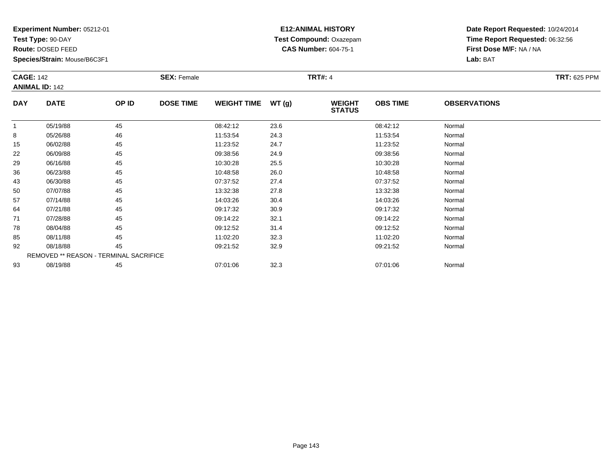**Test Type:** 90-DAY

**Route:** DOSED FEED

**Species/Strain:** Mouse/B6C3F1

## **E12:ANIMAL HISTORY Test Compound:** Oxazepam**CAS Number:** 604-75-1

**Date Report Requested:** 10/24/2014**Time Report Requested:** 06:32:56**First Dose M/F:** NA / NA**Lab:** BAT

| <b>CAGE: 142</b>      |                                               | <b>SEX: Female</b> |                  | <b>TRT#: 4</b>     |       |                                |                 |                     |  |
|-----------------------|-----------------------------------------------|--------------------|------------------|--------------------|-------|--------------------------------|-----------------|---------------------|--|
| <b>ANIMAL ID: 142</b> |                                               |                    |                  |                    |       |                                |                 |                     |  |
| <b>DAY</b>            | <b>DATE</b>                                   | OP ID              | <b>DOSE TIME</b> | <b>WEIGHT TIME</b> | WT(g) | <b>WEIGHT</b><br><b>STATUS</b> | <b>OBS TIME</b> | <b>OBSERVATIONS</b> |  |
| $\mathbf{1}$          | 05/19/88                                      | 45                 |                  | 08:42:12           | 23.6  |                                | 08:42:12        | Normal              |  |
| 8                     | 05/26/88                                      | 46                 |                  | 11:53:54           | 24.3  |                                | 11:53:54        | Normal              |  |
| 15                    | 06/02/88                                      | 45                 |                  | 11:23:52           | 24.7  |                                | 11:23:52        | Normal              |  |
| 22                    | 06/09/88                                      | 45                 |                  | 09:38:56           | 24.9  |                                | 09:38:56        | Normal              |  |
| 29                    | 06/16/88                                      | 45                 |                  | 10:30:28           | 25.5  |                                | 10:30:28        | Normal              |  |
| 36                    | 06/23/88                                      | 45                 |                  | 10:48:58           | 26.0  |                                | 10:48:58        | Normal              |  |
| 43                    | 06/30/88                                      | 45                 |                  | 07:37:52           | 27.4  |                                | 07:37:52        | Normal              |  |
| 50                    | 07/07/88                                      | 45                 |                  | 13:32:38           | 27.8  |                                | 13:32:38        | Normal              |  |
| 57                    | 07/14/88                                      | 45                 |                  | 14:03:26           | 30.4  |                                | 14:03:26        | Normal              |  |
| 64                    | 07/21/88                                      | 45                 |                  | 09:17:32           | 30.9  |                                | 09:17:32        | Normal              |  |
| 71                    | 07/28/88                                      | 45                 |                  | 09:14:22           | 32.1  |                                | 09:14:22        | Normal              |  |
| 78                    | 08/04/88                                      | 45                 |                  | 09:12:52           | 31.4  |                                | 09:12:52        | Normal              |  |
| 85                    | 08/11/88                                      | 45                 |                  | 11:02:20           | 32.3  |                                | 11:02:20        | Normal              |  |
| 92                    | 08/18/88                                      | 45                 |                  | 09:21:52           | 32.9  |                                | 09:21:52        | Normal              |  |
|                       | <b>REMOVED ** REASON - TERMINAL SACRIFICE</b> |                    |                  |                    |       |                                |                 |                     |  |
| 93                    | 08/19/88                                      | 45                 |                  | 07:01:06           | 32.3  |                                | 07:01:06        | Normal              |  |

08/19/88 <sup>45</sup> 07:01:06 32.3 07:01:06 Normal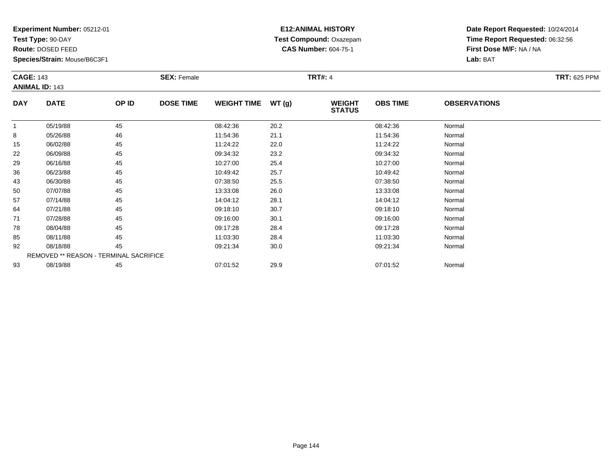**Test Type:** 90-DAY

**Route:** DOSED FEED

**Species/Strain:** Mouse/B6C3F1

## **E12:ANIMAL HISTORY Test Compound:** Oxazepam**CAS Number:** 604-75-1

| <b>CAGE: 143</b><br><b>ANIMAL ID: 143</b> |                                        | <b>SEX: Female</b> |                  |                    | <b>TRT#: 4</b> | <b>TRT: 625 PPM</b>            |                 |                     |  |
|-------------------------------------------|----------------------------------------|--------------------|------------------|--------------------|----------------|--------------------------------|-----------------|---------------------|--|
| <b>DAY</b>                                | <b>DATE</b>                            | OP ID              | <b>DOSE TIME</b> | <b>WEIGHT TIME</b> | WT(g)          | <b>WEIGHT</b><br><b>STATUS</b> | <b>OBS TIME</b> | <b>OBSERVATIONS</b> |  |
|                                           | 05/19/88                               | 45                 |                  | 08:42:36           | 20.2           |                                | 08:42:36        | Normal              |  |
| 8                                         | 05/26/88                               | 46                 |                  | 11:54:36           | 21.1           |                                | 11:54:36        | Normal              |  |
| 15                                        | 06/02/88                               | 45                 |                  | 11:24:22           | 22.0           |                                | 11:24:22        | Normal              |  |
| 22                                        | 06/09/88                               | 45                 |                  | 09:34:32           | 23.2           |                                | 09:34:32        | Normal              |  |
| 29                                        | 06/16/88                               | 45                 |                  | 10:27:00           | 25.4           |                                | 10:27:00        | Normal              |  |
| 36                                        | 06/23/88                               | 45                 |                  | 10:49:42           | 25.7           |                                | 10:49:42        | Normal              |  |
| 43                                        | 06/30/88                               | 45                 |                  | 07:38:50           | 25.5           |                                | 07:38:50        | Normal              |  |
| 50                                        | 07/07/88                               | 45                 |                  | 13:33:08           | 26.0           |                                | 13:33:08        | Normal              |  |
| 57                                        | 07/14/88                               | 45                 |                  | 14:04:12           | 28.1           |                                | 14:04:12        | Normal              |  |
| 64                                        | 07/21/88                               | 45                 |                  | 09:18:10           | 30.7           |                                | 09:18:10        | Normal              |  |
| 71                                        | 07/28/88                               | 45                 |                  | 09:16:00           | 30.1           |                                | 09:16:00        | Normal              |  |
| 78                                        | 08/04/88                               | 45                 |                  | 09:17:28           | 28.4           |                                | 09:17:28        | Normal              |  |
| 85                                        | 08/11/88                               | 45                 |                  | 11:03:30           | 28.4           |                                | 11:03:30        | Normal              |  |
| 92                                        | 08/18/88                               | 45                 |                  | 09:21:34           | 30.0           |                                | 09:21:34        | Normal              |  |
|                                           | REMOVED ** REASON - TERMINAL SACRIFICE |                    |                  |                    |                |                                |                 |                     |  |
| 93                                        | 08/19/88                               | 45                 |                  | 07:01:52           | 29.9           |                                | 07:01:52        | Normal              |  |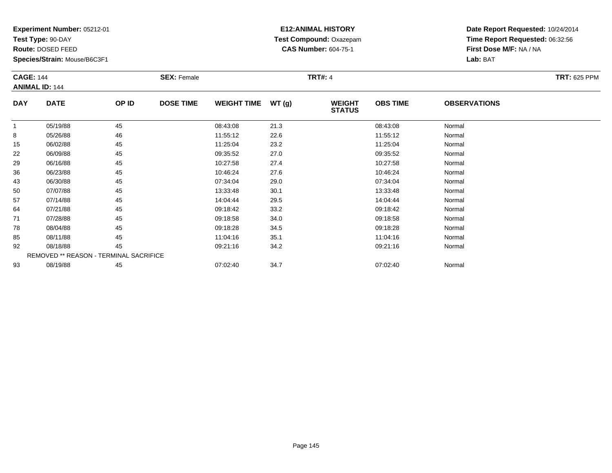**Test Type:** 90-DAY

**Route:** DOSED FEED

**Species/Strain:** Mouse/B6C3F1

## **E12:ANIMAL HISTORY Test Compound:** Oxazepam**CAS Number:** 604-75-1

| <b>CAGE: 144</b><br><b>ANIMAL ID: 144</b> |             | <b>SEX: Female</b>                     |                  |                    | <b>TRT#: 4</b> | <b>TRT: 625 PPM</b>            |                 |                     |  |
|-------------------------------------------|-------------|----------------------------------------|------------------|--------------------|----------------|--------------------------------|-----------------|---------------------|--|
| <b>DAY</b>                                | <b>DATE</b> | OP ID                                  | <b>DOSE TIME</b> | <b>WEIGHT TIME</b> | <b>WT (g)</b>  | <b>WEIGHT</b><br><b>STATUS</b> | <b>OBS TIME</b> | <b>OBSERVATIONS</b> |  |
|                                           | 05/19/88    | 45                                     |                  | 08:43:08           | 21.3           |                                | 08:43:08        | Normal              |  |
| 8                                         | 05/26/88    | 46                                     |                  | 11:55:12           | 22.6           |                                | 11:55:12        | Normal              |  |
| 15                                        | 06/02/88    | 45                                     |                  | 11:25:04           | 23.2           |                                | 11:25:04        | Normal              |  |
| 22                                        | 06/09/88    | 45                                     |                  | 09:35:52           | 27.0           |                                | 09:35:52        | Normal              |  |
| 29                                        | 06/16/88    | 45                                     |                  | 10:27:58           | 27.4           |                                | 10:27:58        | Normal              |  |
| 36                                        | 06/23/88    | 45                                     |                  | 10:46:24           | 27.6           |                                | 10:46:24        | Normal              |  |
| 43                                        | 06/30/88    | 45                                     |                  | 07:34:04           | 29.0           |                                | 07:34:04        | Normal              |  |
| 50                                        | 07/07/88    | 45                                     |                  | 13:33:48           | 30.1           |                                | 13:33:48        | Normal              |  |
| 57                                        | 07/14/88    | 45                                     |                  | 14:04:44           | 29.5           |                                | 14:04:44        | Normal              |  |
| 64                                        | 07/21/88    | 45                                     |                  | 09:18:42           | 33.2           |                                | 09:18:42        | Normal              |  |
| 71                                        | 07/28/88    | 45                                     |                  | 09:18:58           | 34.0           |                                | 09:18:58        | Normal              |  |
| 78                                        | 08/04/88    | 45                                     |                  | 09:18:28           | 34.5           |                                | 09:18:28        | Normal              |  |
| 85                                        | 08/11/88    | 45                                     |                  | 11:04:16           | 35.1           |                                | 11:04:16        | Normal              |  |
| 92                                        | 08/18/88    | 45                                     |                  | 09:21:16           | 34.2           |                                | 09:21:16        | Normal              |  |
|                                           |             | REMOVED ** REASON - TERMINAL SACRIFICE |                  |                    |                |                                |                 |                     |  |
| 93                                        | 08/19/88    | 45                                     |                  | 07:02:40           | 34.7           |                                | 07:02:40        | Normal              |  |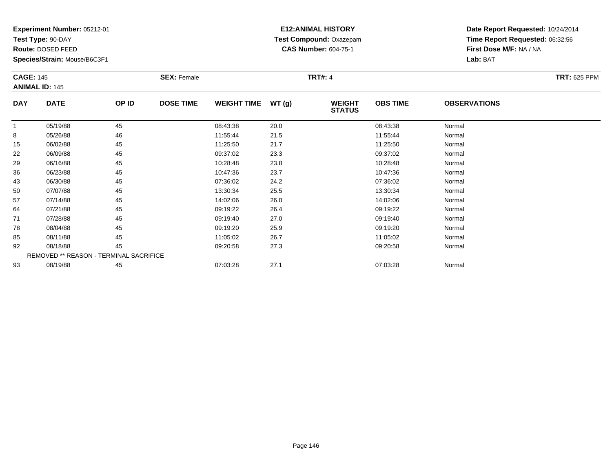**Test Type:** 90-DAY

**Route:** DOSED FEED

**Species/Strain:** Mouse/B6C3F1

## **E12:ANIMAL HISTORY Test Compound:** Oxazepam**CAS Number:** 604-75-1

| <b>CAGE: 145</b><br><b>ANIMAL ID: 145</b> |             | <b>SEX: Female</b>                     |                  |                    | <b>TRT#: 4</b> |                                |                 | <b>TRT: 625 PPM</b> |  |
|-------------------------------------------|-------------|----------------------------------------|------------------|--------------------|----------------|--------------------------------|-----------------|---------------------|--|
| <b>DAY</b>                                | <b>DATE</b> | OP ID                                  | <b>DOSE TIME</b> | <b>WEIGHT TIME</b> | <b>WT (g)</b>  | <b>WEIGHT</b><br><b>STATUS</b> | <b>OBS TIME</b> | <b>OBSERVATIONS</b> |  |
|                                           | 05/19/88    | 45                                     |                  | 08:43:38           | 20.0           |                                | 08:43:38        | Normal              |  |
| 8                                         | 05/26/88    | 46                                     |                  | 11:55:44           | 21.5           |                                | 11:55:44        | Normal              |  |
| 15                                        | 06/02/88    | 45                                     |                  | 11:25:50           | 21.7           |                                | 11:25:50        | Normal              |  |
| 22                                        | 06/09/88    | 45                                     |                  | 09:37:02           | 23.3           |                                | 09:37:02        | Normal              |  |
| 29                                        | 06/16/88    | 45                                     |                  | 10:28:48           | 23.8           |                                | 10:28:48        | Normal              |  |
| 36                                        | 06/23/88    | 45                                     |                  | 10:47:36           | 23.7           |                                | 10:47:36        | Normal              |  |
| 43                                        | 06/30/88    | 45                                     |                  | 07:36:02           | 24.2           |                                | 07:36:02        | Normal              |  |
| 50                                        | 07/07/88    | 45                                     |                  | 13:30:34           | 25.5           |                                | 13:30:34        | Normal              |  |
| 57                                        | 07/14/88    | 45                                     |                  | 14:02:06           | 26.0           |                                | 14:02:06        | Normal              |  |
| 64                                        | 07/21/88    | 45                                     |                  | 09:19:22           | 26.4           |                                | 09:19:22        | Normal              |  |
| 71                                        | 07/28/88    | 45                                     |                  | 09:19:40           | 27.0           |                                | 09:19:40        | Normal              |  |
| 78                                        | 08/04/88    | 45                                     |                  | 09:19:20           | 25.9           |                                | 09:19:20        | Normal              |  |
| 85                                        | 08/11/88    | 45                                     |                  | 11:05:02           | 26.7           |                                | 11:05:02        | Normal              |  |
| 92                                        | 08/18/88    | 45                                     |                  | 09:20:58           | 27.3           |                                | 09:20:58        | Normal              |  |
|                                           |             | REMOVED ** REASON - TERMINAL SACRIFICE |                  |                    |                |                                |                 |                     |  |
| 93                                        | 08/19/88    | 45                                     |                  | 07:03:28           | 27.1           |                                | 07:03:28        | Normal              |  |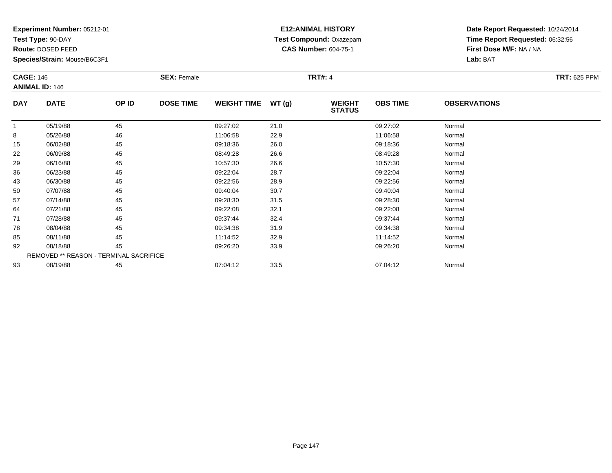**Test Type:** 90-DAY

**Route:** DOSED FEED

**Species/Strain:** Mouse/B6C3F1

## **E12:ANIMAL HISTORY Test Compound:** Oxazepam**CAS Number:** 604-75-1

| <b>CAGE: 146</b><br><b>ANIMAL ID: 146</b> |             | <b>SEX: Female</b>                     |                  |                    | <b>TRT#: 4</b> | <b>TRT: 625 PPM</b>            |                 |                     |  |
|-------------------------------------------|-------------|----------------------------------------|------------------|--------------------|----------------|--------------------------------|-----------------|---------------------|--|
| <b>DAY</b>                                | <b>DATE</b> | OP ID                                  | <b>DOSE TIME</b> | <b>WEIGHT TIME</b> | WT(g)          | <b>WEIGHT</b><br><b>STATUS</b> | <b>OBS TIME</b> | <b>OBSERVATIONS</b> |  |
|                                           | 05/19/88    | 45                                     |                  | 09:27:02           | 21.0           |                                | 09:27:02        | Normal              |  |
| 8                                         | 05/26/88    | 46                                     |                  | 11:06:58           | 22.9           |                                | 11:06:58        | Normal              |  |
| 15                                        | 06/02/88    | 45                                     |                  | 09:18:36           | 26.0           |                                | 09:18:36        | Normal              |  |
| 22                                        | 06/09/88    | 45                                     |                  | 08:49:28           | 26.6           |                                | 08:49:28        | Normal              |  |
| 29                                        | 06/16/88    | 45                                     |                  | 10:57:30           | 26.6           |                                | 10:57:30        | Normal              |  |
| 36                                        | 06/23/88    | 45                                     |                  | 09:22:04           | 28.7           |                                | 09:22:04        | Normal              |  |
| 43                                        | 06/30/88    | 45                                     |                  | 09:22:56           | 28.9           |                                | 09:22:56        | Normal              |  |
| 50                                        | 07/07/88    | 45                                     |                  | 09:40:04           | 30.7           |                                | 09:40:04        | Normal              |  |
| 57                                        | 07/14/88    | 45                                     |                  | 09:28:30           | 31.5           |                                | 09:28:30        | Normal              |  |
| 64                                        | 07/21/88    | 45                                     |                  | 09:22:08           | 32.1           |                                | 09:22:08        | Normal              |  |
| 71                                        | 07/28/88    | 45                                     |                  | 09:37:44           | 32.4           |                                | 09:37:44        | Normal              |  |
| 78                                        | 08/04/88    | 45                                     |                  | 09:34:38           | 31.9           |                                | 09:34:38        | Normal              |  |
| 85                                        | 08/11/88    | 45                                     |                  | 11:14:52           | 32.9           |                                | 11:14:52        | Normal              |  |
| 92                                        | 08/18/88    | 45                                     |                  | 09:26:20           | 33.9           |                                | 09:26:20        | Normal              |  |
|                                           |             | REMOVED ** REASON - TERMINAL SACRIFICE |                  |                    |                |                                |                 |                     |  |
| 93                                        | 08/19/88    | 45                                     |                  | 07:04:12           | 33.5           |                                | 07:04:12        | Normal              |  |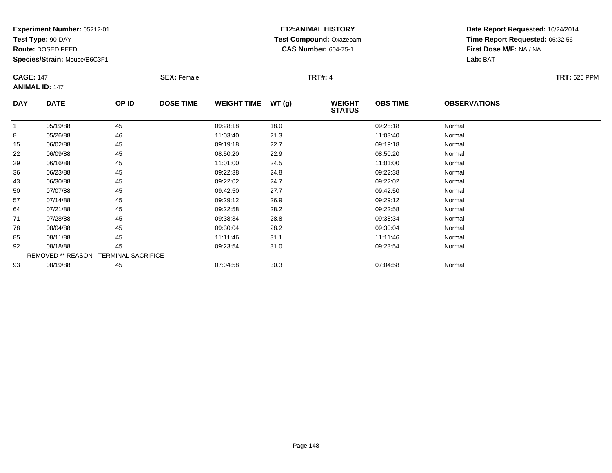**Test Type:** 90-DAY

**Route:** DOSED FEED

**Species/Strain:** Mouse/B6C3F1

## **E12:ANIMAL HISTORY Test Compound:** Oxazepam**CAS Number:** 604-75-1

| <b>CAGE: 147</b><br><b>ANIMAL ID: 147</b> |                                        |       | <b>SEX: Female</b> |                    |       | <b>TRT#: 4</b>                 |                 | <b>TRT: 625 PPM</b> |  |
|-------------------------------------------|----------------------------------------|-------|--------------------|--------------------|-------|--------------------------------|-----------------|---------------------|--|
| <b>DAY</b>                                | <b>DATE</b>                            | OP ID | <b>DOSE TIME</b>   | <b>WEIGHT TIME</b> | WT(g) | <b>WEIGHT</b><br><b>STATUS</b> | <b>OBS TIME</b> | <b>OBSERVATIONS</b> |  |
| $\mathbf{1}$                              | 05/19/88                               | 45    |                    | 09:28:18           | 18.0  |                                | 09:28:18        | Normal              |  |
| 8                                         | 05/26/88                               | 46    |                    | 11:03:40           | 21.3  |                                | 11:03:40        | Normal              |  |
| 15                                        | 06/02/88                               | 45    |                    | 09:19:18           | 22.7  |                                | 09:19:18        | Normal              |  |
| 22                                        | 06/09/88                               | 45    |                    | 08:50:20           | 22.9  |                                | 08:50:20        | Normal              |  |
| 29                                        | 06/16/88                               | 45    |                    | 11:01:00           | 24.5  |                                | 11:01:00        | Normal              |  |
| 36                                        | 06/23/88                               | 45    |                    | 09:22:38           | 24.8  |                                | 09:22:38        | Normal              |  |
| 43                                        | 06/30/88                               | 45    |                    | 09:22:02           | 24.7  |                                | 09:22:02        | Normal              |  |
| 50                                        | 07/07/88                               | 45    |                    | 09:42:50           | 27.7  |                                | 09:42:50        | Normal              |  |
| 57                                        | 07/14/88                               | 45    |                    | 09:29:12           | 26.9  |                                | 09:29:12        | Normal              |  |
| 64                                        | 07/21/88                               | 45    |                    | 09:22:58           | 28.2  |                                | 09:22:58        | Normal              |  |
| 71                                        | 07/28/88                               | 45    |                    | 09:38:34           | 28.8  |                                | 09:38:34        | Normal              |  |
| 78                                        | 08/04/88                               | 45    |                    | 09:30:04           | 28.2  |                                | 09:30:04        | Normal              |  |
| 85                                        | 08/11/88                               | 45    |                    | 11:11:46           | 31.1  |                                | 11:11:46        | Normal              |  |
| 92                                        | 08/18/88                               | 45    |                    | 09:23:54           | 31.0  |                                | 09:23:54        | Normal              |  |
|                                           | REMOVED ** REASON - TERMINAL SACRIFICE |       |                    |                    |       |                                |                 |                     |  |
| 93                                        | 08/19/88                               | 45    |                    | 07:04:58           | 30.3  |                                | 07:04:58        | Normal              |  |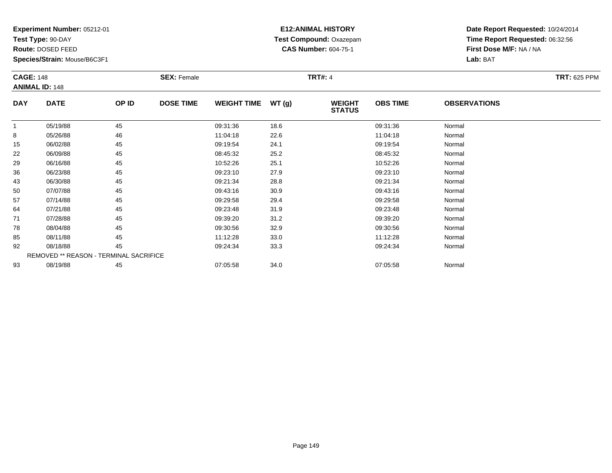**Test Type:** 90-DAY

**Route:** DOSED FEED

**Species/Strain:** Mouse/B6C3F1

## **E12:ANIMAL HISTORY Test Compound:** Oxazepam**CAS Number:** 604-75-1

| <b>CAGE: 148</b> |                                        | <b>SEX: Female</b> |                  |                    | <b>TRT#: 4</b> | <b>TRT: 625 PPM</b>            |                 |                     |  |
|------------------|----------------------------------------|--------------------|------------------|--------------------|----------------|--------------------------------|-----------------|---------------------|--|
|                  | <b>ANIMAL ID: 148</b>                  |                    |                  |                    |                |                                |                 |                     |  |
| <b>DAY</b>       | <b>DATE</b>                            | OP ID              | <b>DOSE TIME</b> | <b>WEIGHT TIME</b> | WT(g)          | <b>WEIGHT</b><br><b>STATUS</b> | <b>OBS TIME</b> | <b>OBSERVATIONS</b> |  |
| -1               | 05/19/88                               | 45                 |                  | 09:31:36           | 18.6           |                                | 09:31:36        | Normal              |  |
| 8                | 05/26/88                               | 46                 |                  | 11:04:18           | 22.6           |                                | 11:04:18        | Normal              |  |
| 15               | 06/02/88                               | 45                 |                  | 09:19:54           | 24.1           |                                | 09:19:54        | Normal              |  |
| 22               | 06/09/88                               | 45                 |                  | 08:45:32           | 25.2           |                                | 08:45:32        | Normal              |  |
| 29               | 06/16/88                               | 45                 |                  | 10:52:26           | 25.1           |                                | 10:52:26        | Normal              |  |
| 36               | 06/23/88                               | 45                 |                  | 09:23:10           | 27.9           |                                | 09:23:10        | Normal              |  |
| 43               | 06/30/88                               | 45                 |                  | 09:21:34           | 28.8           |                                | 09:21:34        | Normal              |  |
| 50               | 07/07/88                               | 45                 |                  | 09:43:16           | 30.9           |                                | 09:43:16        | Normal              |  |
| 57               | 07/14/88                               | 45                 |                  | 09:29:58           | 29.4           |                                | 09:29:58        | Normal              |  |
| 64               | 07/21/88                               | 45                 |                  | 09:23:48           | 31.9           |                                | 09:23:48        | Normal              |  |
| 71               | 07/28/88                               | 45                 |                  | 09:39:20           | 31.2           |                                | 09:39:20        | Normal              |  |
| 78               | 08/04/88                               | 45                 |                  | 09:30:56           | 32.9           |                                | 09:30:56        | Normal              |  |
| 85               | 08/11/88                               | 45                 |                  | 11:12:28           | 33.0           |                                | 11:12:28        | Normal              |  |
| 92               | 08/18/88                               | 45                 |                  | 09:24:34           | 33.3           |                                | 09:24:34        | Normal              |  |
|                  | REMOVED ** REASON - TERMINAL SACRIFICE |                    |                  |                    |                |                                |                 |                     |  |
| 93               | 08/19/88                               | 45                 |                  | 07:05:58           | 34.0           |                                | 07:05:58        | Normal              |  |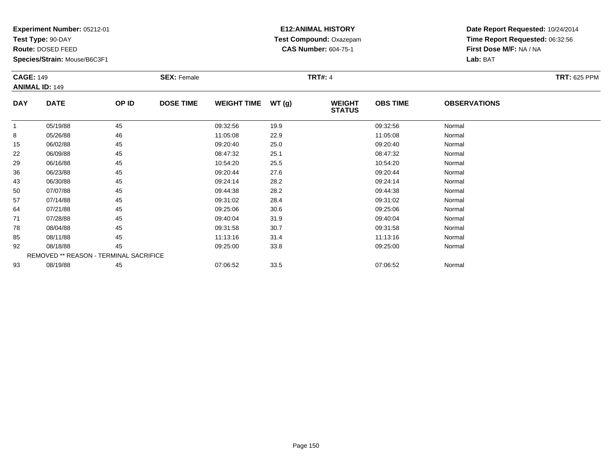**Test Type:** 90-DAY

**Route:** DOSED FEED

**Species/Strain:** Mouse/B6C3F1

## **E12:ANIMAL HISTORY Test Compound:** Oxazepam**CAS Number:** 604-75-1

| <b>CAGE: 149</b>      |             | <b>SEX: Female</b>                     |                  |                    | <b>TRT#: 4</b> | <b>TRT: 625 PPM</b>            |                 |                     |  |
|-----------------------|-------------|----------------------------------------|------------------|--------------------|----------------|--------------------------------|-----------------|---------------------|--|
| <b>ANIMAL ID: 149</b> |             |                                        |                  |                    |                |                                |                 |                     |  |
| <b>DAY</b>            | <b>DATE</b> | OP ID                                  | <b>DOSE TIME</b> | <b>WEIGHT TIME</b> | WT (g)         | <b>WEIGHT</b><br><b>STATUS</b> | <b>OBS TIME</b> | <b>OBSERVATIONS</b> |  |
|                       | 05/19/88    | 45                                     |                  | 09:32:56           | 19.9           |                                | 09:32:56        | Normal              |  |
| 8                     | 05/26/88    | 46                                     |                  | 11:05:08           | 22.9           |                                | 11:05:08        | Normal              |  |
| 15                    | 06/02/88    | 45                                     |                  | 09:20:40           | 25.0           |                                | 09:20:40        | Normal              |  |
| 22                    | 06/09/88    | 45                                     |                  | 08:47:32           | 25.1           |                                | 08:47:32        | Normal              |  |
| 29                    | 06/16/88    | 45                                     |                  | 10:54:20           | 25.5           |                                | 10:54:20        | Normal              |  |
| 36                    | 06/23/88    | 45                                     |                  | 09:20:44           | 27.6           |                                | 09:20:44        | Normal              |  |
| 43                    | 06/30/88    | 45                                     |                  | 09:24:14           | 28.2           |                                | 09:24:14        | Normal              |  |
| 50                    | 07/07/88    | 45                                     |                  | 09:44:38           | 28.2           |                                | 09:44:38        | Normal              |  |
| 57                    | 07/14/88    | 45                                     |                  | 09:31:02           | 28.4           |                                | 09:31:02        | Normal              |  |
| 64                    | 07/21/88    | 45                                     |                  | 09:25:06           | 30.6           |                                | 09:25:06        | Normal              |  |
| 71                    | 07/28/88    | 45                                     |                  | 09:40:04           | 31.9           |                                | 09:40:04        | Normal              |  |
| 78                    | 08/04/88    | 45                                     |                  | 09:31:58           | 30.7           |                                | 09:31:58        | Normal              |  |
| 85                    | 08/11/88    | 45                                     |                  | 11:13:16           | 31.4           |                                | 11:13:16        | Normal              |  |
| 92                    | 08/18/88    | 45                                     |                  | 09:25:00           | 33.8           |                                | 09:25:00        | Normal              |  |
|                       |             | REMOVED ** REASON - TERMINAL SACRIFICE |                  |                    |                |                                |                 |                     |  |
| 93                    | 08/19/88    | 45                                     |                  | 07:06:52           | 33.5           |                                | 07:06:52        | Normal              |  |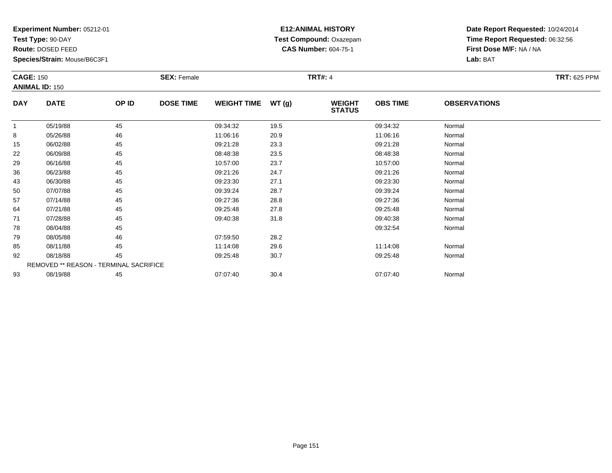**Test Type:** 90-DAY

**Route:** DOSED FEED

**Species/Strain:** Mouse/B6C3F1

## **E12:ANIMAL HISTORY Test Compound:** Oxazepam**CAS Number:** 604-75-1

| <b>CAGE: 150</b><br><b>ANIMAL ID: 150</b> |                                        |       | <b>SEX: Female</b> |                    |       | <b>TRT#: 4</b>                 | <b>TRT: 625 PPM</b> |                     |  |
|-------------------------------------------|----------------------------------------|-------|--------------------|--------------------|-------|--------------------------------|---------------------|---------------------|--|
| <b>DAY</b>                                | <b>DATE</b>                            | OP ID | <b>DOSE TIME</b>   | <b>WEIGHT TIME</b> | WT(g) | <b>WEIGHT</b><br><b>STATUS</b> | <b>OBS TIME</b>     | <b>OBSERVATIONS</b> |  |
| -1                                        | 05/19/88                               | 45    |                    | 09:34:32           | 19.5  |                                | 09:34:32            | Normal              |  |
| 8                                         | 05/26/88                               | 46    |                    | 11:06:16           | 20.9  |                                | 11:06:16            | Normal              |  |
| 15                                        | 06/02/88                               | 45    |                    | 09:21:28           | 23.3  |                                | 09:21:28            | Normal              |  |
| 22                                        | 06/09/88                               | 45    |                    | 08:48:38           | 23.5  |                                | 08:48:38            | Normal              |  |
| 29                                        | 06/16/88                               | 45    |                    | 10:57:00           | 23.7  |                                | 10:57:00            | Normal              |  |
| 36                                        | 06/23/88                               | 45    |                    | 09:21:26           | 24.7  |                                | 09:21:26            | Normal              |  |
| 43                                        | 06/30/88                               | 45    |                    | 09:23:30           | 27.1  |                                | 09:23:30            | Normal              |  |
| 50                                        | 07/07/88                               | 45    |                    | 09:39:24           | 28.7  |                                | 09:39:24            | Normal              |  |
| 57                                        | 07/14/88                               | 45    |                    | 09:27:36           | 28.8  |                                | 09:27:36            | Normal              |  |
| 64                                        | 07/21/88                               | 45    |                    | 09:25:48           | 27.8  |                                | 09:25:48            | Normal              |  |
| 71                                        | 07/28/88                               | 45    |                    | 09:40:38           | 31.8  |                                | 09:40:38            | Normal              |  |
| 78                                        | 08/04/88                               | 45    |                    |                    |       |                                | 09:32:54            | Normal              |  |
| 79                                        | 08/05/88                               | 46    |                    | 07:59:50           | 28.2  |                                |                     |                     |  |
| 85                                        | 08/11/88                               | 45    |                    | 11:14:08           | 29.6  |                                | 11:14:08            | Normal              |  |
| 92                                        | 08/18/88                               | 45    |                    | 09:25:48           | 30.7  |                                | 09:25:48            | Normal              |  |
|                                           | REMOVED ** REASON - TERMINAL SACRIFICE |       |                    |                    |       |                                |                     |                     |  |
| 93                                        | 08/19/88                               | 45    |                    | 07:07:40           | 30.4  |                                | 07:07:40            | Normal              |  |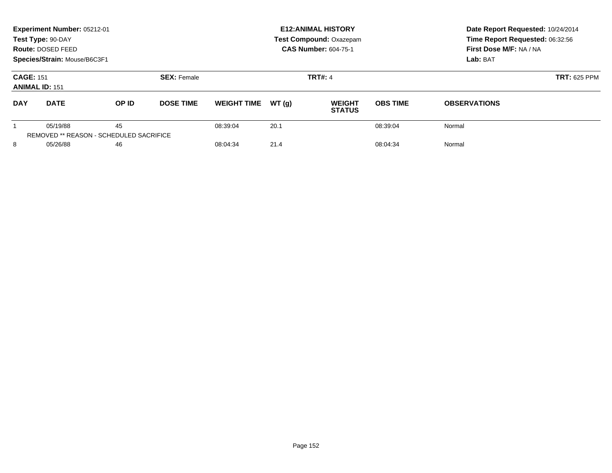|                                                                 | Experiment Number: 05212-01<br>Test Type: 90-DAY<br>Route: DOSED FEED<br>Species/Strain: Mouse/B6C3F1 |                                               |                  |                    |       | <b>E12: ANIMAL HISTORY</b><br>Test Compound: Oxazepam<br><b>CAS Number: 604-75-1</b> | Date Report Requested: 10/24/2014<br>Time Report Requested: 06:32:56<br>First Dose M/F: NA / NA<br>Lab: BAT |                     |
|-----------------------------------------------------------------|-------------------------------------------------------------------------------------------------------|-----------------------------------------------|------------------|--------------------|-------|--------------------------------------------------------------------------------------|-------------------------------------------------------------------------------------------------------------|---------------------|
| <b>CAGE: 151</b><br><b>SEX: Female</b><br><b>ANIMAL ID: 151</b> |                                                                                                       |                                               |                  |                    |       | <b>TRT#: 4</b>                                                                       | <b>TRT: 625 PPM</b>                                                                                         |                     |
| <b>DAY</b>                                                      | <b>DATE</b>                                                                                           | OP ID                                         | <b>DOSE TIME</b> | <b>WEIGHT TIME</b> | WT(q) | <b>WEIGHT</b><br><b>STATUS</b>                                                       | <b>OBS TIME</b>                                                                                             | <b>OBSERVATIONS</b> |
|                                                                 | 05/19/88                                                                                              | 45<br>REMOVED ** REASON - SCHEDULED SACRIFICE |                  | 08:39:04           | 20.1  |                                                                                      | 08:39:04                                                                                                    | Normal              |
| 8<br>05/26/88<br>46                                             |                                                                                                       |                                               | 08:04:34         | 21.4               |       | 08:04:34                                                                             | Normal                                                                                                      |                     |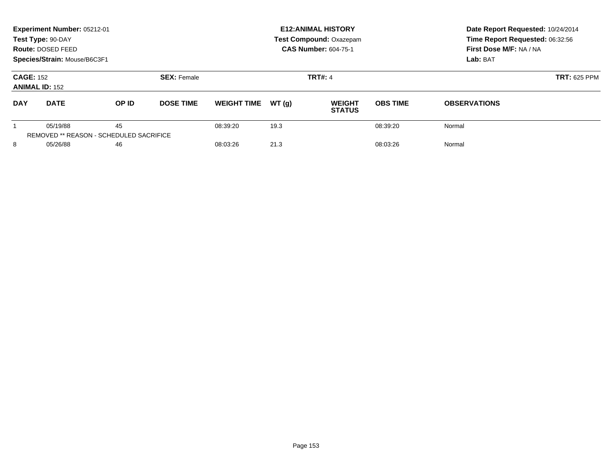|                                                                 | Experiment Number: 05212-01<br>Test Type: 90-DAY<br>Route: DOSED FEED<br>Species/Strain: Mouse/B6C3F1 |                                               |                  |                    |       | <b>E12: ANIMAL HISTORY</b><br>Test Compound: Oxazepam<br><b>CAS Number: 604-75-1</b> | Date Report Requested: 10/24/2014<br>Time Report Requested: 06:32:56<br>First Dose M/F: NA / NA<br>Lab: BAT |                     |
|-----------------------------------------------------------------|-------------------------------------------------------------------------------------------------------|-----------------------------------------------|------------------|--------------------|-------|--------------------------------------------------------------------------------------|-------------------------------------------------------------------------------------------------------------|---------------------|
| <b>CAGE: 152</b><br><b>SEX: Female</b><br><b>ANIMAL ID: 152</b> |                                                                                                       |                                               |                  |                    |       | <b>TRT#: 4</b>                                                                       | <b>TRT: 625 PPM</b>                                                                                         |                     |
| <b>DAY</b>                                                      | <b>DATE</b>                                                                                           | OP ID                                         | <b>DOSE TIME</b> | <b>WEIGHT TIME</b> | WT(q) | <b>WEIGHT</b><br><b>STATUS</b>                                                       | <b>OBS TIME</b>                                                                                             | <b>OBSERVATIONS</b> |
|                                                                 | 05/19/88                                                                                              | 45<br>REMOVED ** REASON - SCHEDULED SACRIFICE |                  | 08:39:20           | 19.3  |                                                                                      | 08:39:20                                                                                                    | Normal              |
| 8<br>05/26/88<br>46                                             |                                                                                                       |                                               | 08:03:26         | 21.3               |       | 08:03:26                                                                             | Normal                                                                                                      |                     |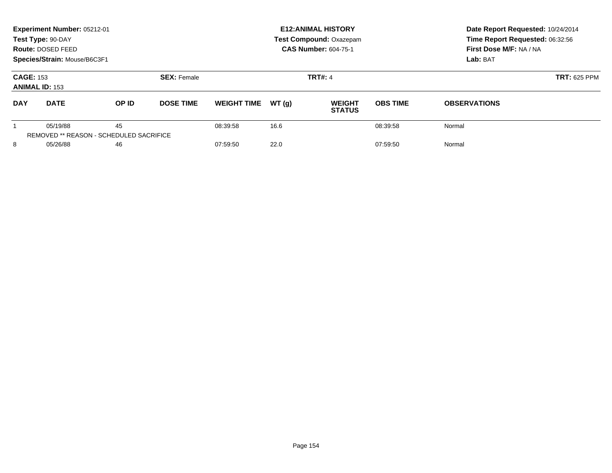|                                                                 | Experiment Number: 05212-01<br>Test Type: 90-DAY<br>Route: DOSED FEED<br>Species/Strain: Mouse/B6C3F1 |                                               |                  |                    |       | <b>E12: ANIMAL HISTORY</b><br>Test Compound: Oxazepam<br><b>CAS Number: 604-75-1</b> | Date Report Requested: 10/24/2014<br>Time Report Requested: 06:32:56<br>First Dose M/F: NA / NA<br>Lab: BAT |                     |
|-----------------------------------------------------------------|-------------------------------------------------------------------------------------------------------|-----------------------------------------------|------------------|--------------------|-------|--------------------------------------------------------------------------------------|-------------------------------------------------------------------------------------------------------------|---------------------|
| <b>CAGE: 153</b><br><b>SEX: Female</b><br><b>ANIMAL ID: 153</b> |                                                                                                       |                                               |                  |                    |       | <b>TRT#: 4</b>                                                                       | <b>TRT: 625 PPM</b>                                                                                         |                     |
| <b>DAY</b>                                                      | <b>DATE</b>                                                                                           | OP ID                                         | <b>DOSE TIME</b> | <b>WEIGHT TIME</b> | WT(q) | <b>WEIGHT</b><br><b>STATUS</b>                                                       | <b>OBS TIME</b>                                                                                             | <b>OBSERVATIONS</b> |
|                                                                 | 05/19/88                                                                                              | 45<br>REMOVED ** REASON - SCHEDULED SACRIFICE |                  | 08:39:58           | 16.6  |                                                                                      | 08:39:58                                                                                                    | Normal              |
| 8<br>05/26/88<br>46                                             |                                                                                                       |                                               | 07:59:50         | 22.0               |       | 07:59:50                                                                             | Normal                                                                                                      |                     |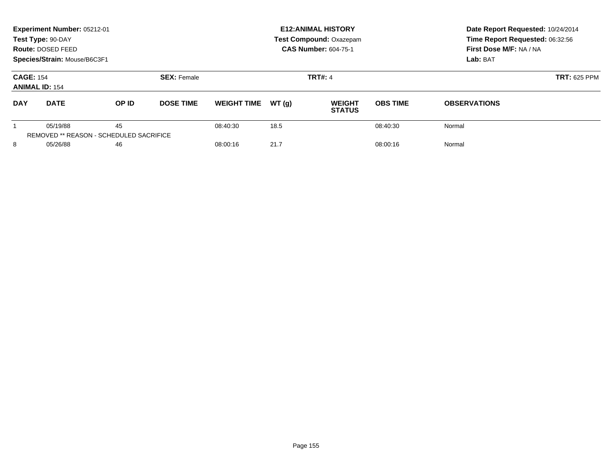|                                                                 | Experiment Number: 05212-01<br>Test Type: 90-DAY<br>Route: DOSED FEED<br>Species/Strain: Mouse/B6C3F1 |       |                  |                    |       | <b>E12: ANIMAL HISTORY</b><br>Test Compound: Oxazepam<br><b>CAS Number: 604-75-1</b> | Date Report Requested: 10/24/2014<br>Time Report Requested: 06:32:56<br>First Dose M/F: NA / NA<br>Lab: BAT |                     |
|-----------------------------------------------------------------|-------------------------------------------------------------------------------------------------------|-------|------------------|--------------------|-------|--------------------------------------------------------------------------------------|-------------------------------------------------------------------------------------------------------------|---------------------|
| <b>CAGE: 154</b><br><b>SEX: Female</b><br><b>ANIMAL ID: 154</b> |                                                                                                       |       |                  |                    |       | <b>TRT#: 4</b>                                                                       | <b>TRT: 625 PPM</b>                                                                                         |                     |
| <b>DAY</b>                                                      | <b>DATE</b>                                                                                           | OP ID | <b>DOSE TIME</b> | <b>WEIGHT TIME</b> | WT(q) | <b>WEIGHT</b><br><b>STATUS</b>                                                       | <b>OBS TIME</b>                                                                                             | <b>OBSERVATIONS</b> |
|                                                                 | 05/19/88<br>REMOVED ** REASON - SCHEDULED SACRIFICE                                                   | 45    |                  | 08:40:30           | 18.5  |                                                                                      | 08:40:30                                                                                                    | Normal              |
| 8<br>05/26/88<br>46                                             |                                                                                                       |       | 08:00:16         | 21.7               |       | 08:00:16                                                                             | Normal                                                                                                      |                     |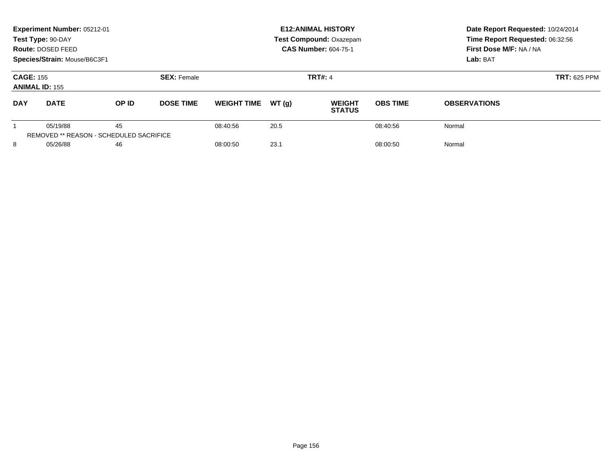|                                                                 | Experiment Number: 05212-01<br>Test Type: 90-DAY<br>Route: DOSED FEED<br>Species/Strain: Mouse/B6C3F1 |                                               |                  |                    |       | <b>E12: ANIMAL HISTORY</b><br>Test Compound: Oxazepam<br><b>CAS Number: 604-75-1</b> | Date Report Requested: 10/24/2014<br>Time Report Requested: 06:32:56<br>First Dose M/F: NA / NA<br>Lab: BAT |                     |
|-----------------------------------------------------------------|-------------------------------------------------------------------------------------------------------|-----------------------------------------------|------------------|--------------------|-------|--------------------------------------------------------------------------------------|-------------------------------------------------------------------------------------------------------------|---------------------|
| <b>CAGE: 155</b><br><b>SEX: Female</b><br><b>ANIMAL ID: 155</b> |                                                                                                       |                                               |                  |                    |       | <b>TRT#: 4</b>                                                                       | <b>TRT: 625 PPM</b>                                                                                         |                     |
| <b>DAY</b>                                                      | <b>DATE</b>                                                                                           | OP ID                                         | <b>DOSE TIME</b> | <b>WEIGHT TIME</b> | WT(q) | <b>WEIGHT</b><br><b>STATUS</b>                                                       | <b>OBS TIME</b>                                                                                             | <b>OBSERVATIONS</b> |
|                                                                 | 05/19/88                                                                                              | 45<br>REMOVED ** REASON - SCHEDULED SACRIFICE |                  | 08:40:56           | 20.5  |                                                                                      | 08:40:56                                                                                                    | Normal              |
| 8<br>05/26/88<br>46                                             |                                                                                                       |                                               | 08:00:50         | 23.1               |       | 08:00:50                                                                             | Normal                                                                                                      |                     |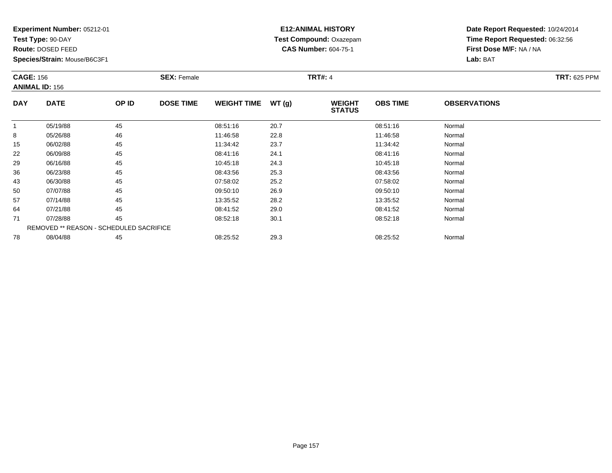**Test Type:** 90-DAY

**Route:** DOSED FEED

**Species/Strain:** Mouse/B6C3F1

## **E12:ANIMAL HISTORY Test Compound:** Oxazepam**CAS Number:** 604-75-1

|            | <b>CAGE: 156</b><br><b>ANIMAL ID: 156</b> |       | <b>SEX: Female</b> |                    |       | <b>TRT#: 4</b>                 | <b>TRT: 625 PPM</b> |                     |  |
|------------|-------------------------------------------|-------|--------------------|--------------------|-------|--------------------------------|---------------------|---------------------|--|
| <b>DAY</b> | <b>DATE</b>                               | OP ID | <b>DOSE TIME</b>   | <b>WEIGHT TIME</b> | WT(g) | <b>WEIGHT</b><br><b>STATUS</b> | <b>OBS TIME</b>     | <b>OBSERVATIONS</b> |  |
| 1          | 05/19/88                                  | 45    |                    | 08:51:16           | 20.7  |                                | 08:51:16            | Normal              |  |
| 8          | 05/26/88                                  | 46    |                    | 11:46:58           | 22.8  |                                | 11:46:58            | Normal              |  |
| 15         | 06/02/88                                  | 45    |                    | 11:34:42           | 23.7  |                                | 11:34:42            | Normal              |  |
| 22         | 06/09/88                                  | 45    |                    | 08:41:16           | 24.1  |                                | 08:41:16            | Normal              |  |
| 29         | 06/16/88                                  | 45    |                    | 10:45:18           | 24.3  |                                | 10:45:18            | Normal              |  |
| 36         | 06/23/88                                  | 45    |                    | 08:43:56           | 25.3  |                                | 08:43:56            | Normal              |  |
| 43         | 06/30/88                                  | 45    |                    | 07:58:02           | 25.2  |                                | 07:58:02            | Normal              |  |
| 50         | 07/07/88                                  | 45    |                    | 09:50:10           | 26.9  |                                | 09:50:10            | Normal              |  |
| 57         | 07/14/88                                  | 45    |                    | 13:35:52           | 28.2  |                                | 13:35:52            | Normal              |  |
| 64         | 07/21/88                                  | 45    |                    | 08:41:52           | 29.0  |                                | 08:41:52            | Normal              |  |
| 71         | 07/28/88                                  | 45    |                    | 08:52:18           | 30.1  |                                | 08:52:18            | Normal              |  |
|            | REMOVED ** REASON - SCHEDULED SACRIFICE   |       |                    |                    |       |                                |                     |                     |  |
| 78         | 08/04/88                                  | 45    |                    | 08:25:52           | 29.3  |                                | 08:25:52            | Normal              |  |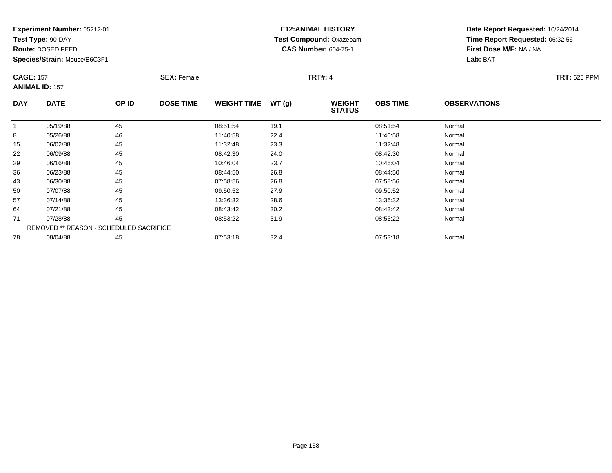**Test Type:** 90-DAY

**Route:** DOSED FEED

**Species/Strain:** Mouse/B6C3F1

## **E12:ANIMAL HISTORY Test Compound:** Oxazepam**CAS Number:** 604-75-1

| <b>CAGE: 157</b> | <b>ANIMAL ID: 157</b>                   |       | <b>SEX: Female</b> |                    |       | <b>TRT#: 4</b>                 |                 |                     | <b>TRT: 625 PPM</b> |
|------------------|-----------------------------------------|-------|--------------------|--------------------|-------|--------------------------------|-----------------|---------------------|---------------------|
| <b>DAY</b>       | <b>DATE</b>                             | OP ID | <b>DOSE TIME</b>   | <b>WEIGHT TIME</b> | WT(g) | <b>WEIGHT</b><br><b>STATUS</b> | <b>OBS TIME</b> | <b>OBSERVATIONS</b> |                     |
| $\mathbf{1}$     | 05/19/88                                | 45    |                    | 08:51:54           | 19.1  |                                | 08:51:54        | Normal              |                     |
| 8                | 05/26/88                                | 46    |                    | 11:40:58           | 22.4  |                                | 11:40:58        | Normal              |                     |
| 15               | 06/02/88                                | 45    |                    | 11:32:48           | 23.3  |                                | 11:32:48        | Normal              |                     |
| 22               | 06/09/88                                | 45    |                    | 08:42:30           | 24.0  |                                | 08:42:30        | Normal              |                     |
| 29               | 06/16/88                                | 45    |                    | 10:46:04           | 23.7  |                                | 10:46:04        | Normal              |                     |
| 36               | 06/23/88                                | 45    |                    | 08:44:50           | 26.8  |                                | 08:44:50        | Normal              |                     |
| 43               | 06/30/88                                | 45    |                    | 07:58:56           | 26.8  |                                | 07:58:56        | Normal              |                     |
| 50               | 07/07/88                                | 45    |                    | 09:50:52           | 27.9  |                                | 09:50:52        | Normal              |                     |
| 57               | 07/14/88                                | 45    |                    | 13:36:32           | 28.6  |                                | 13:36:32        | Normal              |                     |
| 64               | 07/21/88                                | 45    |                    | 08:43:42           | 30.2  |                                | 08:43:42        | Normal              |                     |
| 71               | 07/28/88                                | 45    |                    | 08:53:22           | 31.9  |                                | 08:53:22        | Normal              |                     |
|                  | REMOVED ** REASON - SCHEDULED SACRIFICE |       |                    |                    |       |                                |                 |                     |                     |
| 78               | 08/04/88                                | 45    |                    | 07:53:18           | 32.4  |                                | 07:53:18        | Normal              |                     |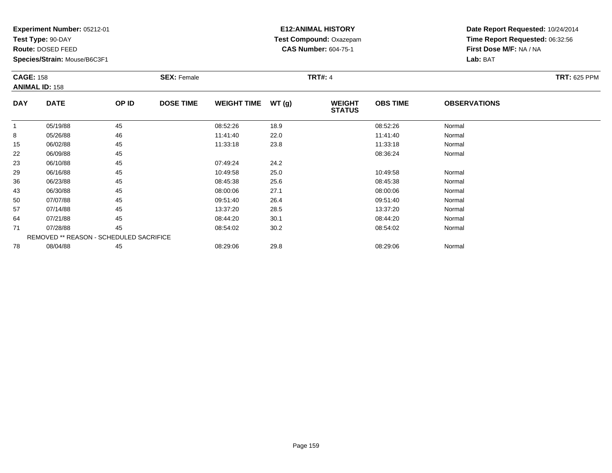**Test Type:** 90-DAY

**Route:** DOSED FEED

78

**Species/Strain:** Mouse/B6C3F1

## **E12:ANIMAL HISTORY Test Compound:** Oxazepam**CAS Number:** 604-75-1

**Date Report Requested:** 10/24/2014**Time Report Requested:** 06:32:56**First Dose M/F:** NA / NA**Lab:** BAT

| <b>CAGE: 158</b> | <b>ANIMAL ID: 158</b>                   |       | <b>SEX: Female</b> |                    |       | <b>TRT#: 4</b>                 |                 |                     | <b>TRT: 625 PPM</b> |
|------------------|-----------------------------------------|-------|--------------------|--------------------|-------|--------------------------------|-----------------|---------------------|---------------------|
| <b>DAY</b>       | <b>DATE</b>                             | OP ID | <b>DOSE TIME</b>   | <b>WEIGHT TIME</b> | WT(g) | <b>WEIGHT</b><br><b>STATUS</b> | <b>OBS TIME</b> | <b>OBSERVATIONS</b> |                     |
|                  | 05/19/88                                | 45    |                    | 08:52:26           | 18.9  |                                | 08:52:26        | Normal              |                     |
| 8                | 05/26/88                                | 46    |                    | 11:41:40           | 22.0  |                                | 11:41:40        | Normal              |                     |
| 15               | 06/02/88                                | 45    |                    | 11:33:18           | 23.8  |                                | 11:33:18        | Normal              |                     |
| 22               | 06/09/88                                | 45    |                    |                    |       |                                | 08:36:24        | Normal              |                     |
| 23               | 06/10/88                                | 45    |                    | 07:49:24           | 24.2  |                                |                 |                     |                     |
| 29               | 06/16/88                                | 45    |                    | 10:49:58           | 25.0  |                                | 10:49:58        | Normal              |                     |
| 36               | 06/23/88                                | 45    |                    | 08:45:38           | 25.6  |                                | 08:45:38        | Normal              |                     |
| 43               | 06/30/88                                | 45    |                    | 08:00:06           | 27.1  |                                | 08:00:06        | Normal              |                     |
| 50               | 07/07/88                                | 45    |                    | 09:51:40           | 26.4  |                                | 09:51:40        | Normal              |                     |
| 57               | 07/14/88                                | 45    |                    | 13:37:20           | 28.5  |                                | 13:37:20        | Normal              |                     |
| 64               | 07/21/88                                | 45    |                    | 08:44:20           | 30.1  |                                | 08:44:20        | Normal              |                     |
| 71               | 07/28/88                                | 45    |                    | 08:54:02           | 30.2  |                                | 08:54:02        | Normal              |                     |
|                  | REMOVED ** REASON - SCHEDULED SACRIFICE |       |                    |                    |       |                                |                 |                     |                     |

8 08/04/88 45 45 08:29:06 29.8 08:29:06 08:29:06 08:29:06 08:29:06 08:29:06 08:29:06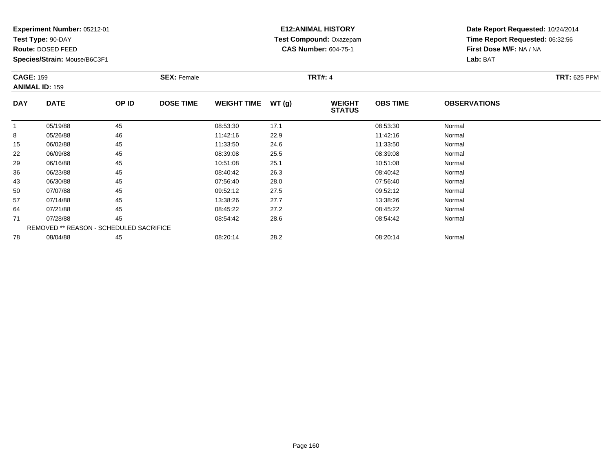**Test Type:** 90-DAY

**Route:** DOSED FEED

**Species/Strain:** Mouse/B6C3F1

## **E12:ANIMAL HISTORY Test Compound:** Oxazepam**CAS Number:** 604-75-1

| <b>CAGE: 159</b> | <b>ANIMAL ID: 159</b>                   |       | <b>SEX: Female</b> |                    |       | <b>TRT#: 4</b>                 |                 |                     | <b>TRT: 625 PPM</b> |
|------------------|-----------------------------------------|-------|--------------------|--------------------|-------|--------------------------------|-----------------|---------------------|---------------------|
| <b>DAY</b>       | <b>DATE</b>                             | OP ID | <b>DOSE TIME</b>   | <b>WEIGHT TIME</b> | WT(g) | <b>WEIGHT</b><br><b>STATUS</b> | <b>OBS TIME</b> | <b>OBSERVATIONS</b> |                     |
| $\mathbf{1}$     | 05/19/88                                | 45    |                    | 08:53:30           | 17.1  |                                | 08:53:30        | Normal              |                     |
| 8                | 05/26/88                                | 46    |                    | 11:42:16           | 22.9  |                                | 11:42:16        | Normal              |                     |
| 15               | 06/02/88                                | 45    |                    | 11:33:50           | 24.6  |                                | 11:33:50        | Normal              |                     |
| 22               | 06/09/88                                | 45    |                    | 08:39:08           | 25.5  |                                | 08:39:08        | Normal              |                     |
| 29               | 06/16/88                                | 45    |                    | 10:51:08           | 25.1  |                                | 10:51:08        | Normal              |                     |
| 36               | 06/23/88                                | 45    |                    | 08:40:42           | 26.3  |                                | 08:40:42        | Normal              |                     |
| 43               | 06/30/88                                | 45    |                    | 07:56:40           | 28.0  |                                | 07:56:40        | Normal              |                     |
| 50               | 07/07/88                                | 45    |                    | 09:52:12           | 27.5  |                                | 09:52:12        | Normal              |                     |
| 57               | 07/14/88                                | 45    |                    | 13:38:26           | 27.7  |                                | 13:38:26        | Normal              |                     |
| 64               | 07/21/88                                | 45    |                    | 08:45:22           | 27.2  |                                | 08:45:22        | Normal              |                     |
| 71               | 07/28/88                                | 45    |                    | 08:54:42           | 28.6  |                                | 08:54:42        | Normal              |                     |
|                  | REMOVED ** REASON - SCHEDULED SACRIFICE |       |                    |                    |       |                                |                 |                     |                     |
| 78               | 08/04/88                                | 45    |                    | 08:20:14           | 28.2  |                                | 08:20:14        | Normal              |                     |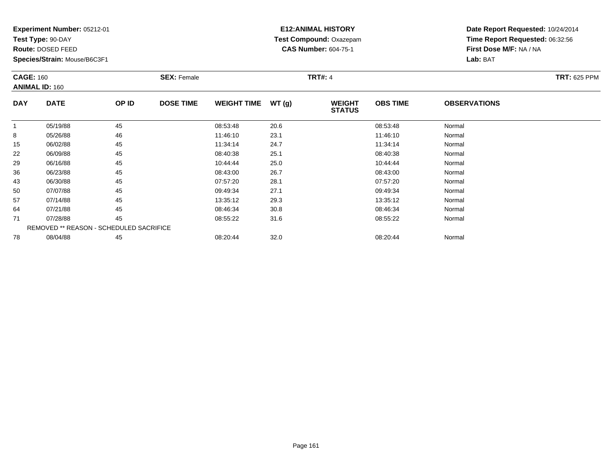**Test Type:** 90-DAY

**Route:** DOSED FEED

**Species/Strain:** Mouse/B6C3F1

## **E12:ANIMAL HISTORY Test Compound:** Oxazepam**CAS Number:** 604-75-1

| <b>CAGE: 160</b> | <b>ANIMAL ID: 160</b>                   |       | <b>SEX: Female</b> |                    |       | <b>TRT#: 4</b>                 |                 |                     | <b>TRT: 625 PPM</b> |
|------------------|-----------------------------------------|-------|--------------------|--------------------|-------|--------------------------------|-----------------|---------------------|---------------------|
| <b>DAY</b>       | <b>DATE</b>                             | OP ID | <b>DOSE TIME</b>   | <b>WEIGHT TIME</b> | WT(g) | <b>WEIGHT</b><br><b>STATUS</b> | <b>OBS TIME</b> | <b>OBSERVATIONS</b> |                     |
|                  | 05/19/88                                | 45    |                    | 08:53:48           | 20.6  |                                | 08:53:48        | Normal              |                     |
| 8                | 05/26/88                                | 46    |                    | 11:46:10           | 23.1  |                                | 11:46:10        | Normal              |                     |
| 15               | 06/02/88                                | 45    |                    | 11:34:14           | 24.7  |                                | 11:34:14        | Normal              |                     |
| 22               | 06/09/88                                | 45    |                    | 08:40:38           | 25.1  |                                | 08:40:38        | Normal              |                     |
| 29               | 06/16/88                                | 45    |                    | 10:44:44           | 25.0  |                                | 10:44:44        | Normal              |                     |
| 36               | 06/23/88                                | 45    |                    | 08:43:00           | 26.7  |                                | 08:43:00        | Normal              |                     |
| 43               | 06/30/88                                | 45    |                    | 07:57:20           | 28.1  |                                | 07:57:20        | Normal              |                     |
| 50               | 07/07/88                                | 45    |                    | 09:49:34           | 27.1  |                                | 09:49:34        | Normal              |                     |
| 57               | 07/14/88                                | 45    |                    | 13:35:12           | 29.3  |                                | 13:35:12        | Normal              |                     |
| 64               | 07/21/88                                | 45    |                    | 08:46:34           | 30.8  |                                | 08:46:34        | Normal              |                     |
| 71               | 07/28/88                                | 45    |                    | 08:55:22           | 31.6  |                                | 08:55:22        | Normal              |                     |
|                  | REMOVED ** REASON - SCHEDULED SACRIFICE |       |                    |                    |       |                                |                 |                     |                     |
| 78               | 08/04/88                                | 45    |                    | 08:20:44           | 32.0  |                                | 08:20:44        | Normal              |                     |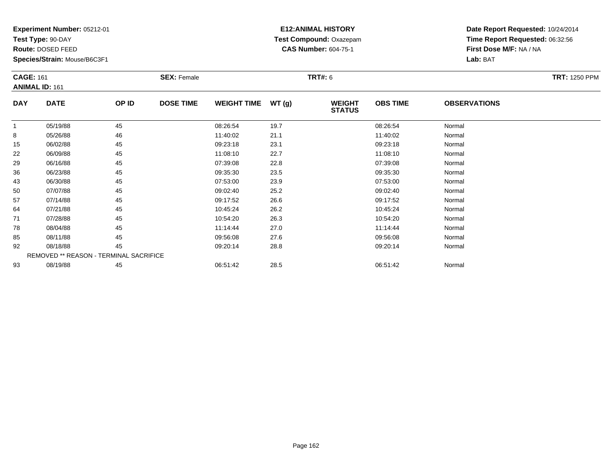**Test Type:** 90-DAY

**Route:** DOSED FEED

**Species/Strain:** Mouse/B6C3F1

## **E12:ANIMAL HISTORY Test Compound:** Oxazepam**CAS Number:** 604-75-1

| <b>CAGE: 161</b> | <b>ANIMAL ID: 161</b> |                                        | <b>SEX: Female</b> |                    |       | <b>TRT#:</b> 6                 |                 |                     | <b>TRT: 1250 PPM</b> |
|------------------|-----------------------|----------------------------------------|--------------------|--------------------|-------|--------------------------------|-----------------|---------------------|----------------------|
| <b>DAY</b>       | <b>DATE</b>           | OP ID                                  | <b>DOSE TIME</b>   | <b>WEIGHT TIME</b> | WT(g) | <b>WEIGHT</b><br><b>STATUS</b> | <b>OBS TIME</b> | <b>OBSERVATIONS</b> |                      |
|                  | 05/19/88              | 45                                     |                    | 08:26:54           | 19.7  |                                | 08:26:54        | Normal              |                      |
| 8                | 05/26/88              | 46                                     |                    | 11:40:02           | 21.1  |                                | 11:40:02        | Normal              |                      |
| 15               | 06/02/88              | 45                                     |                    | 09:23:18           | 23.1  |                                | 09:23:18        | Normal              |                      |
| 22               | 06/09/88              | 45                                     |                    | 11:08:10           | 22.7  |                                | 11:08:10        | Normal              |                      |
| 29               | 06/16/88              | 45                                     |                    | 07:39:08           | 22.8  |                                | 07:39:08        | Normal              |                      |
| 36               | 06/23/88              | 45                                     |                    | 09:35:30           | 23.5  |                                | 09:35:30        | Normal              |                      |
| 43               | 06/30/88              | 45                                     |                    | 07:53:00           | 23.9  |                                | 07:53:00        | Normal              |                      |
| 50               | 07/07/88              | 45                                     |                    | 09:02:40           | 25.2  |                                | 09:02:40        | Normal              |                      |
| 57               | 07/14/88              | 45                                     |                    | 09:17:52           | 26.6  |                                | 09:17:52        | Normal              |                      |
| 64               | 07/21/88              | 45                                     |                    | 10:45:24           | 26.2  |                                | 10:45:24        | Normal              |                      |
| 71               | 07/28/88              | 45                                     |                    | 10:54:20           | 26.3  |                                | 10:54:20        | Normal              |                      |
| 78               | 08/04/88              | 45                                     |                    | 11:14:44           | 27.0  |                                | 11:14:44        | Normal              |                      |
| 85               | 08/11/88              | 45                                     |                    | 09:56:08           | 27.6  |                                | 09:56:08        | Normal              |                      |
| 92               | 08/18/88              | 45                                     |                    | 09:20:14           | 28.8  |                                | 09:20:14        | Normal              |                      |
|                  |                       | REMOVED ** REASON - TERMINAL SACRIFICE |                    |                    |       |                                |                 |                     |                      |
| 93               | 08/19/88              | 45                                     |                    | 06:51:42           | 28.5  |                                | 06:51:42        | Normal              |                      |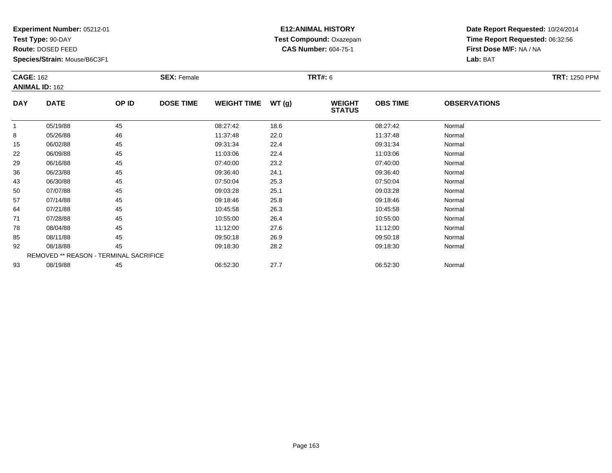**Test Type:** 90-DAY

**Route:** DOSED FEED

**Species/Strain:** Mouse/B6C3F1

## **E12:ANIMAL HISTORY Test Compound:** Oxazepam**CAS Number:** 604-75-1

| <b>CAGE: 162</b> |                       |                                        | <b>SEX: Female</b> |                    |       | <b>TRT#: 6</b>                 |                 |                     | <b>TRT: 1250 PPM</b> |
|------------------|-----------------------|----------------------------------------|--------------------|--------------------|-------|--------------------------------|-----------------|---------------------|----------------------|
|                  | <b>ANIMAL ID: 162</b> |                                        |                    |                    |       |                                |                 |                     |                      |
| <b>DAY</b>       | <b>DATE</b>           | OP ID                                  | <b>DOSE TIME</b>   | <b>WEIGHT TIME</b> | WT(g) | <b>WEIGHT</b><br><b>STATUS</b> | <b>OBS TIME</b> | <b>OBSERVATIONS</b> |                      |
|                  | 05/19/88              | 45                                     |                    | 08:27:42           | 18.6  |                                | 08:27:42        | Normal              |                      |
| 8                | 05/26/88              | 46                                     |                    | 11:37:48           | 22.0  |                                | 11:37:48        | Normal              |                      |
| 15               | 06/02/88              | 45                                     |                    | 09:31:34           | 22.4  |                                | 09:31:34        | Normal              |                      |
| 22               | 06/09/88              | 45                                     |                    | 11:03:06           | 22.4  |                                | 11:03:06        | Normal              |                      |
| 29               | 06/16/88              | 45                                     |                    | 07:40:00           | 23.2  |                                | 07:40:00        | Normal              |                      |
| 36               | 06/23/88              | 45                                     |                    | 09:36:40           | 24.1  |                                | 09:36:40        | Normal              |                      |
| 43               | 06/30/88              | 45                                     |                    | 07:50:04           | 25.3  |                                | 07:50:04        | Normal              |                      |
| 50               | 07/07/88              | 45                                     |                    | 09:03:28           | 25.1  |                                | 09:03:28        | Normal              |                      |
| 57               | 07/14/88              | 45                                     |                    | 09:18:46           | 25.8  |                                | 09:18:46        | Normal              |                      |
| 64               | 07/21/88              | 45                                     |                    | 10:45:58           | 26.3  |                                | 10:45:58        | Normal              |                      |
| 71               | 07/28/88              | 45                                     |                    | 10:55:00           | 26.4  |                                | 10:55:00        | Normal              |                      |
| 78               | 08/04/88              | 45                                     |                    | 11:12:00           | 27.6  |                                | 11:12:00        | Normal              |                      |
| 85               | 08/11/88              | 45                                     |                    | 09:50:18           | 26.9  |                                | 09:50:18        | Normal              |                      |
| 92               | 08/18/88              | 45                                     |                    | 09:18:30           | 28.2  |                                | 09:18:30        | Normal              |                      |
|                  |                       | REMOVED ** REASON - TERMINAL SACRIFICE |                    |                    |       |                                |                 |                     |                      |
| 93               | 08/19/88              | 45                                     |                    | 06:52:30           | 27.7  |                                | 06:52:30        | Normal              |                      |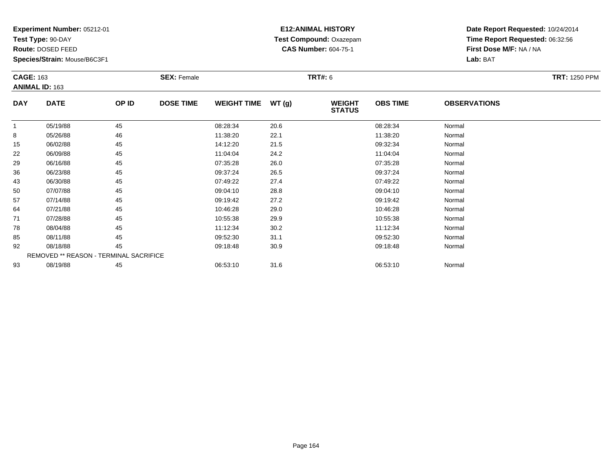**Test Type:** 90-DAY

**Route:** DOSED FEED

**Species/Strain:** Mouse/B6C3F1

## **E12:ANIMAL HISTORY Test Compound:** Oxazepam**CAS Number:** 604-75-1

| <b>CAGE: 163</b> |                       |                                        | <b>SEX: Female</b> |                    |       | <b>TRT#: 6</b>                 |                 |                     | <b>TRT: 1250 PPM</b> |
|------------------|-----------------------|----------------------------------------|--------------------|--------------------|-------|--------------------------------|-----------------|---------------------|----------------------|
|                  | <b>ANIMAL ID: 163</b> |                                        |                    |                    |       |                                |                 |                     |                      |
| <b>DAY</b>       | <b>DATE</b>           | OP ID                                  | <b>DOSE TIME</b>   | <b>WEIGHT TIME</b> | WT(g) | <b>WEIGHT</b><br><b>STATUS</b> | <b>OBS TIME</b> | <b>OBSERVATIONS</b> |                      |
|                  | 05/19/88              | 45                                     |                    | 08:28:34           | 20.6  |                                | 08:28:34        | Normal              |                      |
| 8                | 05/26/88              | 46                                     |                    | 11:38:20           | 22.1  |                                | 11:38:20        | Normal              |                      |
| 15               | 06/02/88              | 45                                     |                    | 14:12:20           | 21.5  |                                | 09:32:34        | Normal              |                      |
| 22               | 06/09/88              | 45                                     |                    | 11:04:04           | 24.2  |                                | 11:04:04        | Normal              |                      |
| 29               | 06/16/88              | 45                                     |                    | 07:35:28           | 26.0  |                                | 07:35:28        | Normal              |                      |
| 36               | 06/23/88              | 45                                     |                    | 09:37:24           | 26.5  |                                | 09:37:24        | Normal              |                      |
| 43               | 06/30/88              | 45                                     |                    | 07:49:22           | 27.4  |                                | 07:49:22        | Normal              |                      |
| 50               | 07/07/88              | 45                                     |                    | 09:04:10           | 28.8  |                                | 09:04:10        | Normal              |                      |
| 57               | 07/14/88              | 45                                     |                    | 09:19:42           | 27.2  |                                | 09:19:42        | Normal              |                      |
| 64               | 07/21/88              | 45                                     |                    | 10:46:28           | 29.0  |                                | 10:46:28        | Normal              |                      |
| 71               | 07/28/88              | 45                                     |                    | 10:55:38           | 29.9  |                                | 10:55:38        | Normal              |                      |
| 78               | 08/04/88              | 45                                     |                    | 11:12:34           | 30.2  |                                | 11:12:34        | Normal              |                      |
| 85               | 08/11/88              | 45                                     |                    | 09:52:30           | 31.1  |                                | 09:52:30        | Normal              |                      |
| 92               | 08/18/88              | 45                                     |                    | 09:18:48           | 30.9  |                                | 09:18:48        | Normal              |                      |
|                  |                       | REMOVED ** REASON - TERMINAL SACRIFICE |                    |                    |       |                                |                 |                     |                      |
| 93               | 08/19/88              | 45                                     |                    | 06:53:10           | 31.6  |                                | 06:53:10        | Normal              |                      |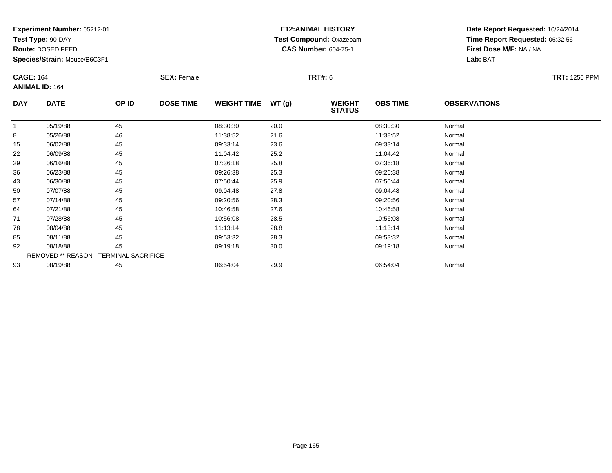**Test Type:** 90-DAY

**Route:** DOSED FEED

**Species/Strain:** Mouse/B6C3F1

## **E12:ANIMAL HISTORY Test Compound:** Oxazepam**CAS Number:** 604-75-1

| <b>CAGE: 164</b><br><b>ANIMAL ID: 164</b> |                                        |       | <b>SEX: Female</b> |                    |       | <b>TRT#:</b> 6                 |                 |                     | <b>TRT: 1250 PPM</b> |
|-------------------------------------------|----------------------------------------|-------|--------------------|--------------------|-------|--------------------------------|-----------------|---------------------|----------------------|
| <b>DAY</b>                                | <b>DATE</b>                            | OP ID | <b>DOSE TIME</b>   | <b>WEIGHT TIME</b> | WT(g) | <b>WEIGHT</b><br><b>STATUS</b> | <b>OBS TIME</b> | <b>OBSERVATIONS</b> |                      |
|                                           | 05/19/88                               | 45    |                    | 08:30:30           | 20.0  |                                | 08:30:30        | Normal              |                      |
| 8                                         | 05/26/88                               | 46    |                    | 11:38:52           | 21.6  |                                | 11:38:52        | Normal              |                      |
| 15                                        | 06/02/88                               | 45    |                    | 09:33:14           | 23.6  |                                | 09:33:14        | Normal              |                      |
| 22                                        | 06/09/88                               | 45    |                    | 11:04:42           | 25.2  |                                | 11:04:42        | Normal              |                      |
| 29                                        | 06/16/88                               | 45    |                    | 07:36:18           | 25.8  |                                | 07:36:18        | Normal              |                      |
| 36                                        | 06/23/88                               | 45    |                    | 09:26:38           | 25.3  |                                | 09:26:38        | Normal              |                      |
| 43                                        | 06/30/88                               | 45    |                    | 07:50:44           | 25.9  |                                | 07:50:44        | Normal              |                      |
| 50                                        | 07/07/88                               | 45    |                    | 09:04:48           | 27.8  |                                | 09:04:48        | Normal              |                      |
| 57                                        | 07/14/88                               | 45    |                    | 09:20:56           | 28.3  |                                | 09:20:56        | Normal              |                      |
| 64                                        | 07/21/88                               | 45    |                    | 10:46:58           | 27.6  |                                | 10:46:58        | Normal              |                      |
| 71                                        | 07/28/88                               | 45    |                    | 10:56:08           | 28.5  |                                | 10:56:08        | Normal              |                      |
| 78                                        | 08/04/88                               | 45    |                    | 11:13:14           | 28.8  |                                | 11:13:14        | Normal              |                      |
| 85                                        | 08/11/88                               | 45    |                    | 09:53:32           | 28.3  |                                | 09:53:32        | Normal              |                      |
| 92                                        | 08/18/88                               | 45    |                    | 09:19:18           | 30.0  |                                | 09:19:18        | Normal              |                      |
|                                           | REMOVED ** REASON - TERMINAL SACRIFICE |       |                    |                    |       |                                |                 |                     |                      |
| 93                                        | 08/19/88                               | 45    |                    | 06:54:04           | 29.9  |                                | 06:54:04        | Normal              |                      |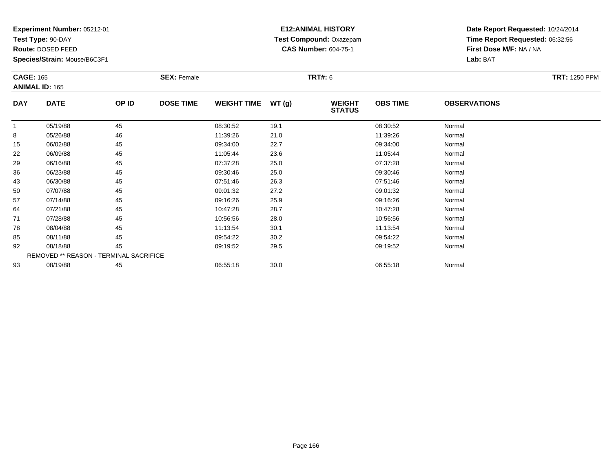**Test Type:** 90-DAY

**Route:** DOSED FEED

**Species/Strain:** Mouse/B6C3F1

## **E12:ANIMAL HISTORY Test Compound:** Oxazepam**CAS Number:** 604-75-1

| <b>CAGE: 165</b> | <b>ANIMAL ID: 165</b>                  |       | <b>SEX: Female</b> |                    |       | <b>TRT#: 6</b>                 |                 |                     | <b>TRT: 1250 PPM</b> |
|------------------|----------------------------------------|-------|--------------------|--------------------|-------|--------------------------------|-----------------|---------------------|----------------------|
| <b>DAY</b>       | <b>DATE</b>                            | OP ID | <b>DOSE TIME</b>   | <b>WEIGHT TIME</b> | WT(g) | <b>WEIGHT</b><br><b>STATUS</b> | <b>OBS TIME</b> | <b>OBSERVATIONS</b> |                      |
| $\mathbf{1}$     | 05/19/88                               | 45    |                    | 08:30:52           | 19.1  |                                | 08:30:52        | Normal              |                      |
| 8                | 05/26/88                               | 46    |                    | 11:39:26           | 21.0  |                                | 11:39:26        | Normal              |                      |
| 15               | 06/02/88                               | 45    |                    | 09:34:00           | 22.7  |                                | 09:34:00        | Normal              |                      |
| 22               | 06/09/88                               | 45    |                    | 11:05:44           | 23.6  |                                | 11:05:44        | Normal              |                      |
| 29               | 06/16/88                               | 45    |                    | 07:37:28           | 25.0  |                                | 07:37:28        | Normal              |                      |
| 36               | 06/23/88                               | 45    |                    | 09:30:46           | 25.0  |                                | 09:30:46        | Normal              |                      |
| 43               | 06/30/88                               | 45    |                    | 07:51:46           | 26.3  |                                | 07:51:46        | Normal              |                      |
| 50               | 07/07/88                               | 45    |                    | 09:01:32           | 27.2  |                                | 09:01:32        | Normal              |                      |
| 57               | 07/14/88                               | 45    |                    | 09:16:26           | 25.9  |                                | 09:16:26        | Normal              |                      |
| 64               | 07/21/88                               | 45    |                    | 10:47:28           | 28.7  |                                | 10:47:28        | Normal              |                      |
| 71               | 07/28/88                               | 45    |                    | 10:56:56           | 28.0  |                                | 10:56:56        | Normal              |                      |
| 78               | 08/04/88                               | 45    |                    | 11:13:54           | 30.1  |                                | 11:13:54        | Normal              |                      |
| 85               | 08/11/88                               | 45    |                    | 09:54:22           | 30.2  |                                | 09:54:22        | Normal              |                      |
| 92               | 08/18/88                               | 45    |                    | 09:19:52           | 29.5  |                                | 09:19:52        | Normal              |                      |
|                  | REMOVED ** REASON - TERMINAL SACRIFICE |       |                    |                    |       |                                |                 |                     |                      |
| 93               | 08/19/88                               | 45    |                    | 06:55:18           | 30.0  |                                | 06:55:18        | Normal              |                      |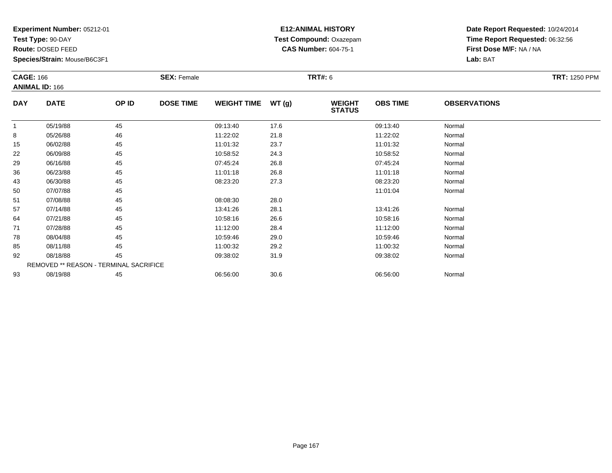**Test Type:** 90-DAY

**Route:** DOSED FEED

**Species/Strain:** Mouse/B6C3F1

## **E12:ANIMAL HISTORY Test Compound:** Oxazepam**CAS Number:** 604-75-1

| <b>CAGE: 166</b> |                                        |       | <b>SEX: Female</b> |                    |       | <b>TRT#: 6</b>                 |                 |                     | <b>TRT: 1250 PPM</b> |
|------------------|----------------------------------------|-------|--------------------|--------------------|-------|--------------------------------|-----------------|---------------------|----------------------|
|                  | <b>ANIMAL ID: 166</b>                  |       |                    |                    |       |                                |                 |                     |                      |
| <b>DAY</b>       | <b>DATE</b>                            | OP ID | <b>DOSE TIME</b>   | <b>WEIGHT TIME</b> | WT(g) | <b>WEIGHT</b><br><b>STATUS</b> | <b>OBS TIME</b> | <b>OBSERVATIONS</b> |                      |
|                  | 05/19/88                               | 45    |                    | 09:13:40           | 17.6  |                                | 09:13:40        | Normal              |                      |
| 8                | 05/26/88                               | 46    |                    | 11:22:02           | 21.8  |                                | 11:22:02        | Normal              |                      |
| 15               | 06/02/88                               | 45    |                    | 11:01:32           | 23.7  |                                | 11:01:32        | Normal              |                      |
| 22               | 06/09/88                               | 45    |                    | 10:58:52           | 24.3  |                                | 10:58:52        | Normal              |                      |
| 29               | 06/16/88                               | 45    |                    | 07:45:24           | 26.8  |                                | 07:45:24        | Normal              |                      |
| 36               | 06/23/88                               | 45    |                    | 11:01:18           | 26.8  |                                | 11:01:18        | Normal              |                      |
| 43               | 06/30/88                               | 45    |                    | 08:23:20           | 27.3  |                                | 08:23:20        | Normal              |                      |
| 50               | 07/07/88                               | 45    |                    |                    |       |                                | 11:01:04        | Normal              |                      |
| 51               | 07/08/88                               | 45    |                    | 08:08:30           | 28.0  |                                |                 |                     |                      |
| 57               | 07/14/88                               | 45    |                    | 13:41:26           | 28.1  |                                | 13:41:26        | Normal              |                      |
| 64               | 07/21/88                               | 45    |                    | 10:58:16           | 26.6  |                                | 10:58:16        | Normal              |                      |
| 71               | 07/28/88                               | 45    |                    | 11:12:00           | 28.4  |                                | 11:12:00        | Normal              |                      |
| 78               | 08/04/88                               | 45    |                    | 10:59:46           | 29.0  |                                | 10:59:46        | Normal              |                      |
| 85               | 08/11/88                               | 45    |                    | 11:00:32           | 29.2  |                                | 11:00:32        | Normal              |                      |
| 92               | 08/18/88                               | 45    |                    | 09:38:02           | 31.9  |                                | 09:38:02        | Normal              |                      |
|                  | REMOVED ** REASON - TERMINAL SACRIFICE |       |                    |                    |       |                                |                 |                     |                      |
| 93               | 08/19/88                               | 45    |                    | 06:56:00           | 30.6  |                                | 06:56:00        | Normal              |                      |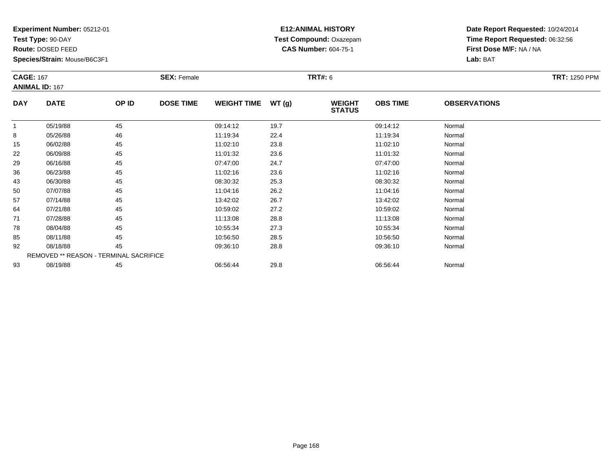**Test Type:** 90-DAY

**Route:** DOSED FEED

**Species/Strain:** Mouse/B6C3F1

## **E12:ANIMAL HISTORY Test Compound:** Oxazepam**CAS Number:** 604-75-1

| <b>CAGE: 167</b> | <b>ANIMAL ID: 167</b>                  |       | <b>SEX: Female</b> |                    |       | <b>TRT#: 6</b>                 |                 |                     | <b>TRT: 1250 PPM</b> |
|------------------|----------------------------------------|-------|--------------------|--------------------|-------|--------------------------------|-----------------|---------------------|----------------------|
| <b>DAY</b>       | <b>DATE</b>                            | OP ID | <b>DOSE TIME</b>   | <b>WEIGHT TIME</b> | WT(g) | <b>WEIGHT</b><br><b>STATUS</b> | <b>OBS TIME</b> | <b>OBSERVATIONS</b> |                      |
| 1                | 05/19/88                               | 45    |                    | 09:14:12           | 19.7  |                                | 09:14:12        | Normal              |                      |
| 8                | 05/26/88                               | 46    |                    | 11:19:34           | 22.4  |                                | 11:19:34        | Normal              |                      |
| 15               | 06/02/88                               | 45    |                    | 11:02:10           | 23.8  |                                | 11:02:10        | Normal              |                      |
| 22               | 06/09/88                               | 45    |                    | 11:01:32           | 23.6  |                                | 11:01:32        | Normal              |                      |
| 29               | 06/16/88                               | 45    |                    | 07:47:00           | 24.7  |                                | 07:47:00        | Normal              |                      |
| 36               | 06/23/88                               | 45    |                    | 11:02:16           | 23.6  |                                | 11:02:16        | Normal              |                      |
| 43               | 06/30/88                               | 45    |                    | 08:30:32           | 25.3  |                                | 08:30:32        | Normal              |                      |
| 50               | 07/07/88                               | 45    |                    | 11:04:16           | 26.2  |                                | 11:04:16        | Normal              |                      |
| 57               | 07/14/88                               | 45    |                    | 13:42:02           | 26.7  |                                | 13:42:02        | Normal              |                      |
| 64               | 07/21/88                               | 45    |                    | 10:59:02           | 27.2  |                                | 10:59:02        | Normal              |                      |
| 71               | 07/28/88                               | 45    |                    | 11:13:08           | 28.8  |                                | 11:13:08        | Normal              |                      |
| 78               | 08/04/88                               | 45    |                    | 10:55:34           | 27.3  |                                | 10:55:34        | Normal              |                      |
| 85               | 08/11/88                               | 45    |                    | 10:56:50           | 28.5  |                                | 10:56:50        | Normal              |                      |
| 92               | 08/18/88                               | 45    |                    | 09:36:10           | 28.8  |                                | 09:36:10        | Normal              |                      |
|                  | REMOVED ** REASON - TERMINAL SACRIFICE |       |                    |                    |       |                                |                 |                     |                      |
| 93               | 08/19/88                               | 45    |                    | 06:56:44           | 29.8  |                                | 06:56:44        | Normal              |                      |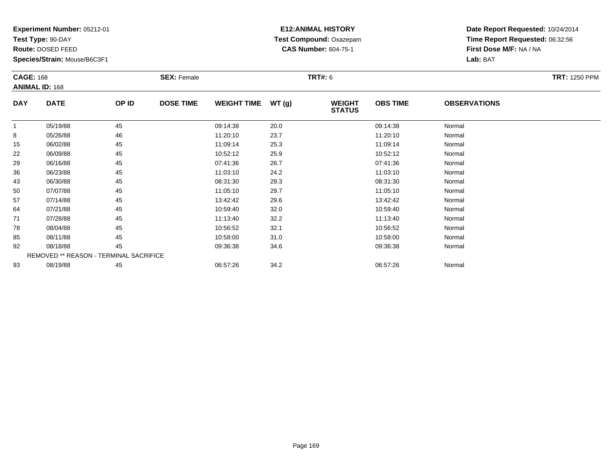**Test Type:** 90-DAY

**Route:** DOSED FEED

**Species/Strain:** Mouse/B6C3F1

## **E12:ANIMAL HISTORY Test Compound:** Oxazepam**CAS Number:** 604-75-1

| <b>CAGE: 168</b><br><b>ANIMAL ID: 168</b> |                                        |       | <b>SEX:</b> Female |                    |       | <b>TRT#:</b> 6                 |                 | <b>TRT: 1250 PPM</b> |  |
|-------------------------------------------|----------------------------------------|-------|--------------------|--------------------|-------|--------------------------------|-----------------|----------------------|--|
| <b>DAY</b>                                | <b>DATE</b>                            | OP ID | <b>DOSE TIME</b>   | <b>WEIGHT TIME</b> | WT(g) | <b>WEIGHT</b><br><b>STATUS</b> | <b>OBS TIME</b> | <b>OBSERVATIONS</b>  |  |
|                                           | 05/19/88                               | 45    |                    | 09:14:38           | 20.0  |                                | 09:14:38        | Normal               |  |
| 8                                         | 05/26/88                               | 46    |                    | 11:20:10           | 23.7  |                                | 11:20:10        | Normal               |  |
| 15                                        | 06/02/88                               | 45    |                    | 11:09:14           | 25.3  |                                | 11:09:14        | Normal               |  |
| 22                                        | 06/09/88                               | 45    |                    | 10:52:12           | 25.9  |                                | 10:52:12        | Normal               |  |
| 29                                        | 06/16/88                               | 45    |                    | 07:41:36           | 26.7  |                                | 07:41:36        | Normal               |  |
| 36                                        | 06/23/88                               | 45    |                    | 11:03:10           | 24.2  |                                | 11:03:10        | Normal               |  |
| 43                                        | 06/30/88                               | 45    |                    | 08:31:30           | 29.3  |                                | 08:31:30        | Normal               |  |
| 50                                        | 07/07/88                               | 45    |                    | 11:05:10           | 29.7  |                                | 11:05:10        | Normal               |  |
| 57                                        | 07/14/88                               | 45    |                    | 13:42:42           | 29.6  |                                | 13:42:42        | Normal               |  |
| 64                                        | 07/21/88                               | 45    |                    | 10:59:40           | 32.0  |                                | 10:59:40        | Normal               |  |
| 71                                        | 07/28/88                               | 45    |                    | 11:13:40           | 32.2  |                                | 11:13:40        | Normal               |  |
| 78                                        | 08/04/88                               | 45    |                    | 10:56:52           | 32.1  |                                | 10:56:52        | Normal               |  |
| 85                                        | 08/11/88                               | 45    |                    | 10:58:00           | 31.0  |                                | 10:58:00        | Normal               |  |
| 92                                        | 08/18/88                               | 45    |                    | 09:36:38           | 34.6  |                                | 09:36:38        | Normal               |  |
|                                           | REMOVED ** REASON - TERMINAL SACRIFICE |       |                    |                    |       |                                |                 |                      |  |
| 93                                        | 08/19/88                               | 45    |                    | 06:57:26           | 34.2  |                                | 06:57:26        | Normal               |  |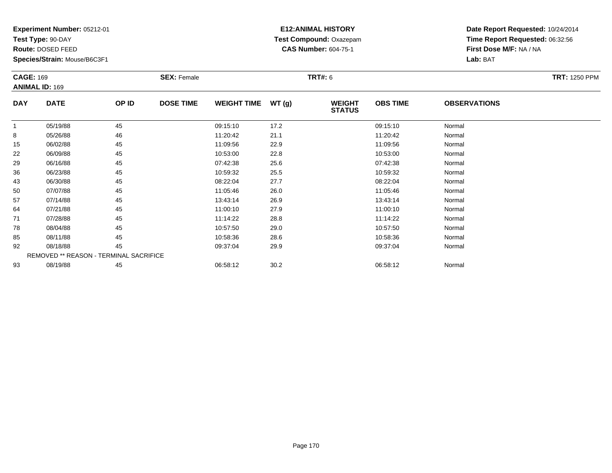**Test Type:** 90-DAY

**Route:** DOSED FEED

**Species/Strain:** Mouse/B6C3F1

## **E12:ANIMAL HISTORY Test Compound:** Oxazepam**CAS Number:** 604-75-1

| <b>CAGE: 169</b> |                                        | <b>SEX:</b> Female |                  |                    | <b>TRT#:</b> 6 |                                | <b>TRT: 1250 PPM</b> |                     |  |
|------------------|----------------------------------------|--------------------|------------------|--------------------|----------------|--------------------------------|----------------------|---------------------|--|
|                  | <b>ANIMAL ID: 169</b>                  |                    |                  |                    |                |                                |                      |                     |  |
| <b>DAY</b>       | <b>DATE</b>                            | OP ID              | <b>DOSE TIME</b> | <b>WEIGHT TIME</b> | WT(g)          | <b>WEIGHT</b><br><b>STATUS</b> | <b>OBS TIME</b>      | <b>OBSERVATIONS</b> |  |
|                  | 05/19/88                               | 45                 |                  | 09:15:10           | 17.2           |                                | 09:15:10             | Normal              |  |
| 8                | 05/26/88                               | 46                 |                  | 11:20:42           | 21.1           |                                | 11:20:42             | Normal              |  |
| 15               | 06/02/88                               | 45                 |                  | 11:09:56           | 22.9           |                                | 11:09:56             | Normal              |  |
| 22               | 06/09/88                               | 45                 |                  | 10:53:00           | 22.8           |                                | 10:53:00             | Normal              |  |
| 29               | 06/16/88                               | 45                 |                  | 07:42:38           | 25.6           |                                | 07:42:38             | Normal              |  |
| 36               | 06/23/88                               | 45                 |                  | 10:59:32           | 25.5           |                                | 10:59:32             | Normal              |  |
| 43               | 06/30/88                               | 45                 |                  | 08:22:04           | 27.7           |                                | 08:22:04             | Normal              |  |
| 50               | 07/07/88                               | 45                 |                  | 11:05:46           | 26.0           |                                | 11:05:46             | Normal              |  |
| 57               | 07/14/88                               | 45                 |                  | 13:43:14           | 26.9           |                                | 13:43:14             | Normal              |  |
| 64               | 07/21/88                               | 45                 |                  | 11:00:10           | 27.9           |                                | 11:00:10             | Normal              |  |
| 71               | 07/28/88                               | 45                 |                  | 11:14:22           | 28.8           |                                | 11:14:22             | Normal              |  |
| 78               | 08/04/88                               | 45                 |                  | 10:57:50           | 29.0           |                                | 10:57:50             | Normal              |  |
| 85               | 08/11/88                               | 45                 |                  | 10:58:36           | 28.6           |                                | 10:58:36             | Normal              |  |
| 92               | 08/18/88                               | 45                 |                  | 09:37:04           | 29.9           |                                | 09:37:04             | Normal              |  |
|                  | REMOVED ** REASON - TERMINAL SACRIFICE |                    |                  |                    |                |                                |                      |                     |  |
| 93               | 08/19/88                               | 45                 |                  | 06:58:12           | 30.2           |                                | 06:58:12             | Normal              |  |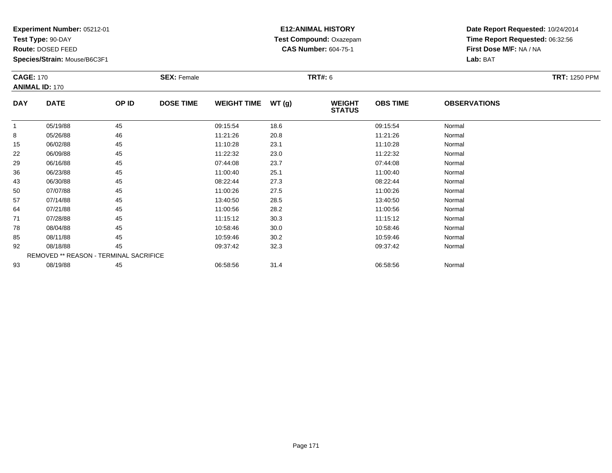**Test Type:** 90-DAY

**Route:** DOSED FEED

**Species/Strain:** Mouse/B6C3F1

## **E12:ANIMAL HISTORY Test Compound:** Oxazepam**CAS Number:** 604-75-1

| <b>CAGE: 170</b><br><b>ANIMAL ID: 170</b> |                                        | <b>SEX: Female</b> |                  |                    | <b>TRT#: 6</b> | <b>TRT: 1250 PPM</b>           |                 |                     |  |
|-------------------------------------------|----------------------------------------|--------------------|------------------|--------------------|----------------|--------------------------------|-----------------|---------------------|--|
| <b>DAY</b>                                | <b>DATE</b>                            | OP ID              | <b>DOSE TIME</b> | <b>WEIGHT TIME</b> | WT(g)          | <b>WEIGHT</b><br><b>STATUS</b> | <b>OBS TIME</b> | <b>OBSERVATIONS</b> |  |
|                                           | 05/19/88                               | 45                 |                  | 09:15:54           | 18.6           |                                | 09:15:54        | Normal              |  |
| 8                                         | 05/26/88                               | 46                 |                  | 11:21:26           | 20.8           |                                | 11:21:26        | Normal              |  |
| 15                                        | 06/02/88                               | 45                 |                  | 11:10:28           | 23.1           |                                | 11:10:28        | Normal              |  |
| 22                                        | 06/09/88                               | 45                 |                  | 11:22:32           | 23.0           |                                | 11:22:32        | Normal              |  |
| 29                                        | 06/16/88                               | 45                 |                  | 07:44:08           | 23.7           |                                | 07:44:08        | Normal              |  |
| 36                                        | 06/23/88                               | 45                 |                  | 11:00:40           | 25.1           |                                | 11:00:40        | Normal              |  |
| 43                                        | 06/30/88                               | 45                 |                  | 08:22:44           | 27.3           |                                | 08:22:44        | Normal              |  |
| 50                                        | 07/07/88                               | 45                 |                  | 11:00:26           | 27.5           |                                | 11:00:26        | Normal              |  |
| 57                                        | 07/14/88                               | 45                 |                  | 13:40:50           | 28.5           |                                | 13:40:50        | Normal              |  |
| 64                                        | 07/21/88                               | 45                 |                  | 11:00:56           | 28.2           |                                | 11:00:56        | Normal              |  |
| 71                                        | 07/28/88                               | 45                 |                  | 11:15:12           | 30.3           |                                | 11:15:12        | Normal              |  |
| 78                                        | 08/04/88                               | 45                 |                  | 10:58:46           | 30.0           |                                | 10:58:46        | Normal              |  |
| 85                                        | 08/11/88                               | 45                 |                  | 10:59:46           | 30.2           |                                | 10:59:46        | Normal              |  |
| 92                                        | 08/18/88                               | 45                 |                  | 09:37:42           | 32.3           |                                | 09:37:42        | Normal              |  |
|                                           | REMOVED ** REASON - TERMINAL SACRIFICE |                    |                  |                    |                |                                |                 |                     |  |
| 93                                        | 08/19/88                               | 45                 |                  | 06:58:56           | 31.4           |                                | 06:58:56        | Normal              |  |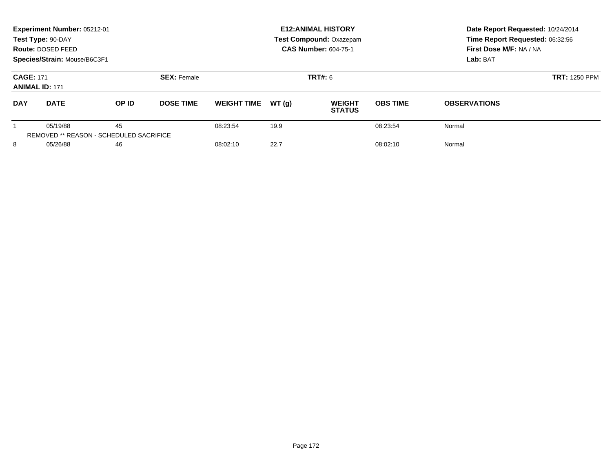|                                           | Experiment Number: 05212-01<br>Test Type: 90-DAY<br>Route: DOSED FEED<br>Species/Strain: Mouse/B6C3F1 |                                                      |                                      |                    |       | <b>E12: ANIMAL HISTORY</b><br>Test Compound: Oxazepam<br><b>CAS Number: 604-75-1</b> | Date Report Requested: 10/24/2014<br>Time Report Requested: 06:32:56<br>First Dose M/F: NA / NA<br>Lab: BAT |                      |
|-------------------------------------------|-------------------------------------------------------------------------------------------------------|------------------------------------------------------|--------------------------------------|--------------------|-------|--------------------------------------------------------------------------------------|-------------------------------------------------------------------------------------------------------------|----------------------|
| <b>CAGE: 171</b><br><b>ANIMAL ID: 171</b> |                                                                                                       |                                                      | <b>SEX: Female</b><br><b>TRT#: 6</b> |                    |       |                                                                                      |                                                                                                             | <b>TRT: 1250 PPM</b> |
| <b>DAY</b>                                | <b>DATE</b>                                                                                           | OP ID                                                | <b>DOSE TIME</b>                     | <b>WEIGHT TIME</b> | WT(q) | <b>WEIGHT</b><br><b>STATUS</b>                                                       | <b>OBS TIME</b>                                                                                             | <b>OBSERVATIONS</b>  |
|                                           | 05/19/88                                                                                              | 45<br><b>REMOVED ** REASON - SCHEDULED SACRIFICE</b> |                                      | 08:23:54           | 19.9  |                                                                                      | 08:23:54                                                                                                    | Normal               |
| 8<br>05/26/88                             |                                                                                                       | 46                                                   |                                      | 08:02:10           | 22.7  |                                                                                      | 08:02:10                                                                                                    | Normal               |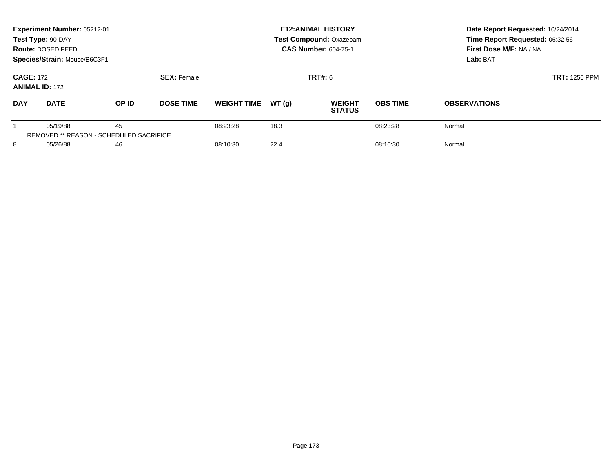|                                           | Experiment Number: 05212-01<br>Test Type: 90-DAY<br>Route: DOSED FEED<br>Species/Strain: Mouse/B6C3F1 |                                               |                    |                    |       | <b>E12: ANIMAL HISTORY</b><br>Test Compound: Oxazepam<br><b>CAS Number: 604-75-1</b> | Date Report Requested: 10/24/2014<br>Time Report Requested: 06:32:56<br>First Dose M/F: NA / NA<br>Lab: BAT |                     |
|-------------------------------------------|-------------------------------------------------------------------------------------------------------|-----------------------------------------------|--------------------|--------------------|-------|--------------------------------------------------------------------------------------|-------------------------------------------------------------------------------------------------------------|---------------------|
| <b>CAGE: 172</b><br><b>ANIMAL ID: 172</b> |                                                                                                       |                                               | <b>SEX: Female</b> |                    |       | <b>TRT#: 6</b>                                                                       | <b>TRT: 1250 PPM</b>                                                                                        |                     |
| <b>DAY</b>                                | <b>DATE</b>                                                                                           | OP ID                                         | <b>DOSE TIME</b>   | <b>WEIGHT TIME</b> | WT(q) | <b>WEIGHT</b><br><b>STATUS</b>                                                       | <b>OBS TIME</b>                                                                                             | <b>OBSERVATIONS</b> |
|                                           | 05/19/88                                                                                              | 45<br>REMOVED ** REASON - SCHEDULED SACRIFICE |                    | 08:23:28           | 18.3  |                                                                                      | 08:23:28                                                                                                    | Normal              |
| 8<br>05/26/88                             |                                                                                                       | 46                                            |                    | 08:10:30           | 22.4  |                                                                                      | 08:10:30                                                                                                    | Normal              |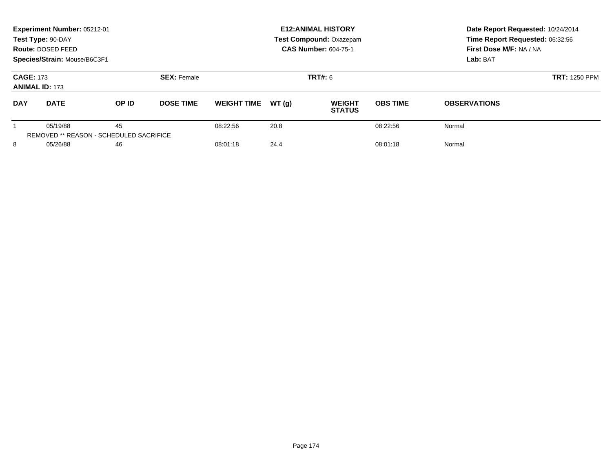|                                           | Experiment Number: 05212-01<br>Test Type: 90-DAY<br>Route: DOSED FEED<br>Species/Strain: Mouse/B6C3F1 |                                                      |                                      |                    |       | <b>E12: ANIMAL HISTORY</b><br>Test Compound: Oxazepam<br><b>CAS Number: 604-75-1</b> | Date Report Requested: 10/24/2014<br>Time Report Requested: 06:32:56<br>First Dose M/F: NA / NA<br>Lab: BAT |                      |
|-------------------------------------------|-------------------------------------------------------------------------------------------------------|------------------------------------------------------|--------------------------------------|--------------------|-------|--------------------------------------------------------------------------------------|-------------------------------------------------------------------------------------------------------------|----------------------|
| <b>CAGE: 173</b><br><b>ANIMAL ID: 173</b> |                                                                                                       |                                                      | <b>SEX: Female</b><br><b>TRT#: 6</b> |                    |       |                                                                                      |                                                                                                             | <b>TRT: 1250 PPM</b> |
| <b>DAY</b>                                | <b>DATE</b>                                                                                           | OP ID                                                | <b>DOSE TIME</b>                     | <b>WEIGHT TIME</b> | WT(q) | <b>WEIGHT</b><br><b>STATUS</b>                                                       | <b>OBS TIME</b>                                                                                             | <b>OBSERVATIONS</b>  |
|                                           | 05/19/88                                                                                              | 45<br><b>REMOVED ** REASON - SCHEDULED SACRIFICE</b> |                                      | 08:22:56           | 20.8  |                                                                                      | 08:22:56                                                                                                    | Normal               |
| 8<br>05/26/88                             |                                                                                                       | 46                                                   |                                      | 08:01:18           | 24.4  |                                                                                      | 08:01:18                                                                                                    | Normal               |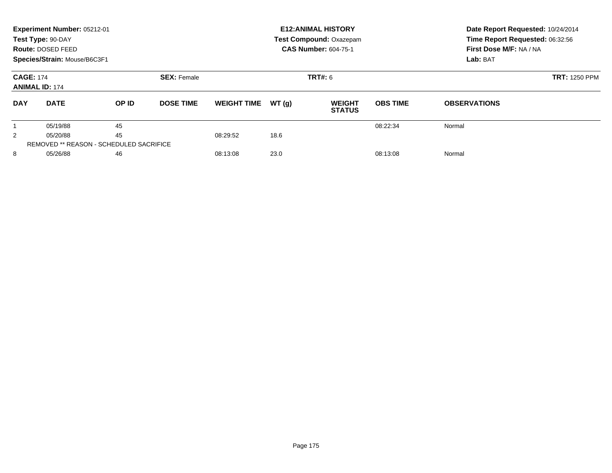|                                                | Experiment Number: 05212-01<br>Test Type: 90-DAY<br>Route: DOSED FEED<br>Species/Strain: Mouse/B6C3F1 |       |                    |                    |       | <b>E12: ANIMAL HISTORY</b><br>Test Compound: Oxazepam<br><b>CAS Number: 604-75-1</b> | Date Report Requested: 10/24/2014<br>Time Report Requested: 06:32:56<br>First Dose M/F: NA / NA<br>Lab: BAT |                     |
|------------------------------------------------|-------------------------------------------------------------------------------------------------------|-------|--------------------|--------------------|-------|--------------------------------------------------------------------------------------|-------------------------------------------------------------------------------------------------------------|---------------------|
| <b>CAGE: 174</b><br><b>ANIMAL ID: 174</b>      |                                                                                                       |       | <b>SEX: Female</b> |                    |       | <b>TRT#: 6</b>                                                                       | <b>TRT: 1250 PPM</b>                                                                                        |                     |
| <b>DAY</b>                                     | <b>DATE</b>                                                                                           | OP ID | <b>DOSE TIME</b>   | <b>WEIGHT TIME</b> | WT(g) | <b>WEIGHT</b><br><b>STATUS</b>                                                       | <b>OBS TIME</b>                                                                                             | <b>OBSERVATIONS</b> |
|                                                | 05/19/88                                                                                              | 45    |                    |                    |       |                                                                                      | 08:22:34                                                                                                    | Normal              |
| 2                                              | 05/20/88                                                                                              | 45    |                    | 08:29:52           | 18.6  |                                                                                      |                                                                                                             |                     |
| <b>REMOVED ** REASON - SCHEDULED SACRIFICE</b> |                                                                                                       |       |                    |                    |       |                                                                                      |                                                                                                             |                     |
| 8                                              | 05/26/88                                                                                              | 46    |                    | 08:13:08           | 23.0  |                                                                                      | 08:13:08                                                                                                    | Normal              |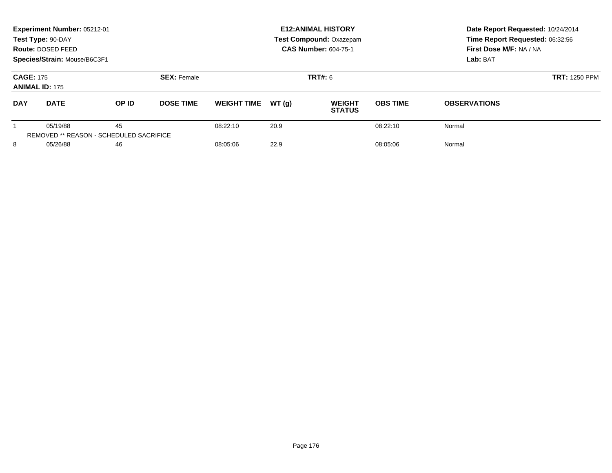|                                           | Experiment Number: 05212-01<br>Test Type: 90-DAY<br>Route: DOSED FEED<br>Species/Strain: Mouse/B6C3F1 |                                                      |                    |                    |                | <b>E12: ANIMAL HISTORY</b><br><b>Test Compound: Oxazepam</b><br><b>CAS Number: 604-75-1</b> | Date Report Requested: 10/24/2014<br>Time Report Requested: 06:32:56<br>First Dose M/F: NA / NA<br>Lab: BAT |                     |
|-------------------------------------------|-------------------------------------------------------------------------------------------------------|------------------------------------------------------|--------------------|--------------------|----------------|---------------------------------------------------------------------------------------------|-------------------------------------------------------------------------------------------------------------|---------------------|
| <b>CAGE: 175</b><br><b>ANIMAL ID: 175</b> |                                                                                                       |                                                      | <b>SEX: Female</b> |                    | <b>TRT#: 6</b> | <b>TRT: 1250 PPM</b>                                                                        |                                                                                                             |                     |
| <b>DAY</b>                                | <b>DATE</b>                                                                                           | OP ID                                                | <b>DOSE TIME</b>   | <b>WEIGHT TIME</b> | WT(q)          | <b>WEIGHT</b><br><b>STATUS</b>                                                              | <b>OBS TIME</b>                                                                                             | <b>OBSERVATIONS</b> |
|                                           | 05/19/88                                                                                              | 45<br><b>REMOVED ** REASON - SCHEDULED SACRIFICE</b> |                    | 08:22:10           | 20.9           |                                                                                             | 08:22:10                                                                                                    | Normal              |
| 8<br>05/26/88                             |                                                                                                       | 46                                                   |                    | 08:05:06           | 22.9           |                                                                                             | 08:05:06                                                                                                    | Normal              |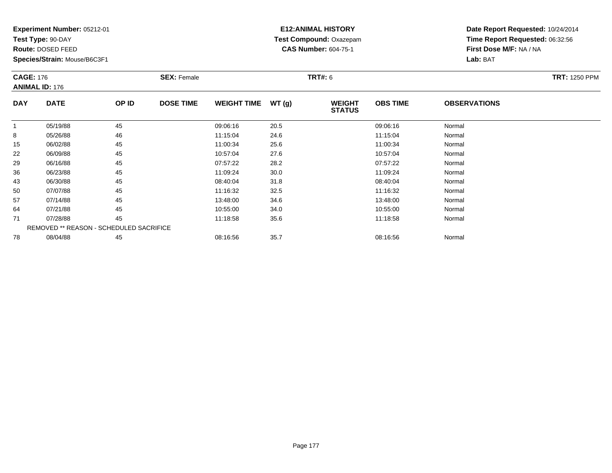**Test Type:** 90-DAY

**Route:** DOSED FEED

**Species/Strain:** Mouse/B6C3F1

## **E12:ANIMAL HISTORY Test Compound:** Oxazepam**CAS Number:** 604-75-1

**Date Report Requested:** 10/24/2014**Time Report Requested:** 06:32:56**First Dose M/F:** NA / NA**Lab:** BAT

| <b>CAGE: 176</b><br><b>ANIMAL ID: 176</b> |                                         | <b>SEX: Female</b> |                  |                    | <b>TRT#: 6</b> | <b>TRT: 1250 PPM</b>           |                 |                     |  |
|-------------------------------------------|-----------------------------------------|--------------------|------------------|--------------------|----------------|--------------------------------|-----------------|---------------------|--|
| <b>DAY</b>                                | <b>DATE</b>                             | OP ID              | <b>DOSE TIME</b> | <b>WEIGHT TIME</b> | WT(g)          | <b>WEIGHT</b><br><b>STATUS</b> | <b>OBS TIME</b> | <b>OBSERVATIONS</b> |  |
| 1                                         | 05/19/88                                | 45                 |                  | 09:06:16           | 20.5           |                                | 09:06:16        | Normal              |  |
| 8                                         | 05/26/88                                | 46                 |                  | 11:15:04           | 24.6           |                                | 11:15:04        | Normal              |  |
| 15                                        | 06/02/88                                | 45                 |                  | 11:00:34           | 25.6           |                                | 11:00:34        | Normal              |  |
| 22                                        | 06/09/88                                | 45                 |                  | 10:57:04           | 27.6           |                                | 10:57:04        | Normal              |  |
| 29                                        | 06/16/88                                | 45                 |                  | 07:57:22           | 28.2           |                                | 07:57:22        | Normal              |  |
| 36                                        | 06/23/88                                | 45                 |                  | 11:09:24           | 30.0           |                                | 11:09:24        | Normal              |  |
| 43                                        | 06/30/88                                | 45                 |                  | 08:40:04           | 31.8           |                                | 08:40:04        | Normal              |  |
| 50                                        | 07/07/88                                | 45                 |                  | 11:16:32           | 32.5           |                                | 11:16:32        | Normal              |  |
| 57                                        | 07/14/88                                | 45                 |                  | 13:48:00           | 34.6           |                                | 13:48:00        | Normal              |  |
| 64                                        | 07/21/88                                | 45                 |                  | 10:55:00           | 34.0           |                                | 10:55:00        | Normal              |  |
| 71                                        | 07/28/88                                | 45                 |                  | 11:18:58           | 35.6           |                                | 11:18:58        | Normal              |  |
|                                           | REMOVED ** REASON - SCHEDULED SACRIFICE |                    |                  |                    |                |                                |                 |                     |  |
| 78                                        | 08/04/88                                | 45                 |                  | 08:16:56           | 35.7           |                                | 08:16:56        | Normal              |  |

8 08/04/88 45 08:16:56 35.7 08:16:56 Normal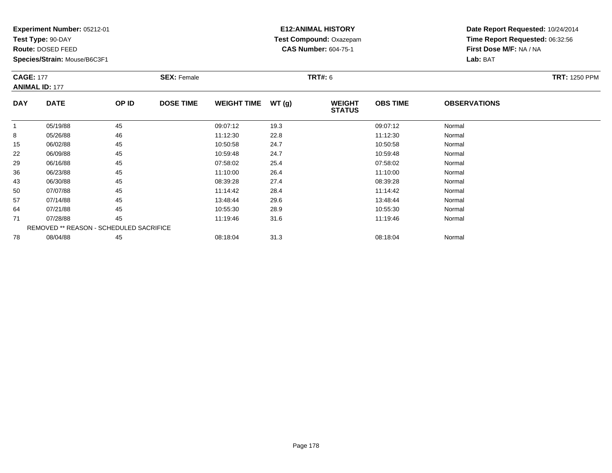**Test Type:** 90-DAY

**Route:** DOSED FEED

78

**Species/Strain:** Mouse/B6C3F1

## **E12:ANIMAL HISTORY Test Compound:** Oxazepam**CAS Number:** 604-75-1

**Date Report Requested:** 10/24/2014**Time Report Requested:** 06:32:56**First Dose M/F:** NA / NA**Lab:** BAT

| <b>CAGE: 177</b><br><b>ANIMAL ID: 177</b> |                                         | <b>SEX: Female</b> |                  |                    | <b>TRT#: 6</b> | <b>TRT: 1250 PPM</b>           |                 |                     |  |
|-------------------------------------------|-----------------------------------------|--------------------|------------------|--------------------|----------------|--------------------------------|-----------------|---------------------|--|
| <b>DAY</b>                                | <b>DATE</b>                             | OP ID              | <b>DOSE TIME</b> | <b>WEIGHT TIME</b> | WT(g)          | <b>WEIGHT</b><br><b>STATUS</b> | <b>OBS TIME</b> | <b>OBSERVATIONS</b> |  |
| 1                                         | 05/19/88                                | 45                 |                  | 09:07:12           | 19.3           |                                | 09:07:12        | Normal              |  |
| 8                                         | 05/26/88                                | 46                 |                  | 11:12:30           | 22.8           |                                | 11:12:30        | Normal              |  |
| 15                                        | 06/02/88                                | 45                 |                  | 10:50:58           | 24.7           |                                | 10:50:58        | Normal              |  |
| 22                                        | 06/09/88                                | 45                 |                  | 10:59:48           | 24.7           |                                | 10:59:48        | Normal              |  |
| 29                                        | 06/16/88                                | 45                 |                  | 07:58:02           | 25.4           |                                | 07:58:02        | Normal              |  |
| 36                                        | 06/23/88                                | 45                 |                  | 11:10:00           | 26.4           |                                | 11:10:00        | Normal              |  |
| 43                                        | 06/30/88                                | 45                 |                  | 08:39:28           | 27.4           |                                | 08:39:28        | Normal              |  |
| 50                                        | 07/07/88                                | 45                 |                  | 11:14:42           | 28.4           |                                | 11:14:42        | Normal              |  |
| 57                                        | 07/14/88                                | 45                 |                  | 13:48:44           | 29.6           |                                | 13:48:44        | Normal              |  |
| 64                                        | 07/21/88                                | 45                 |                  | 10:55:30           | 28.9           |                                | 10:55:30        | Normal              |  |
| 71                                        | 07/28/88                                | 45                 |                  | 11:19:46           | 31.6           |                                | 11:19:46        | Normal              |  |
|                                           | REMOVED ** REASON - SCHEDULED SACRIFICE |                    |                  |                    |                |                                |                 |                     |  |

08/04/88 <sup>45</sup> 08:18:04 31.3 08:18:04 Normal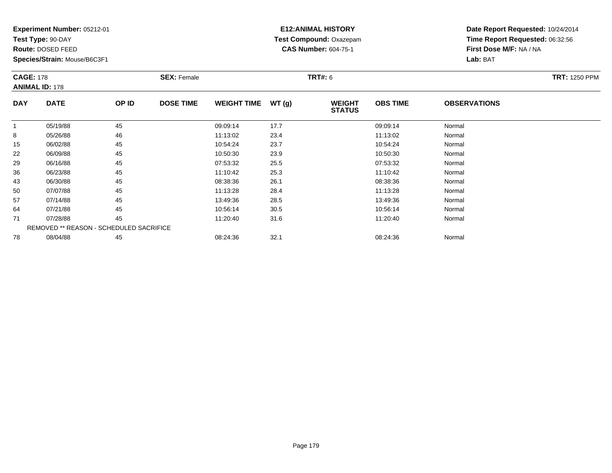**Test Type:** 90-DAY

**Route:** DOSED FEED

**Species/Strain:** Mouse/B6C3F1

## **E12:ANIMAL HISTORY Test Compound:** Oxazepam**CAS Number:** 604-75-1

**Date Report Requested:** 10/24/2014**Time Report Requested:** 06:32:56**First Dose M/F:** NA / NA**Lab:** BAT

| <b>CAGE: 178</b><br><b>ANIMAL ID: 178</b> |                                         | <b>SEX: Female</b> |                  |                    | <b>TRT#: 6</b> | <b>TRT: 1250 PPM</b>           |                 |                     |  |
|-------------------------------------------|-----------------------------------------|--------------------|------------------|--------------------|----------------|--------------------------------|-----------------|---------------------|--|
| <b>DAY</b>                                | <b>DATE</b>                             | OP ID              | <b>DOSE TIME</b> | <b>WEIGHT TIME</b> | WT(g)          | <b>WEIGHT</b><br><b>STATUS</b> | <b>OBS TIME</b> | <b>OBSERVATIONS</b> |  |
|                                           | 05/19/88                                | 45                 |                  | 09:09:14           | 17.7           |                                | 09:09:14        | Normal              |  |
| 8                                         | 05/26/88                                | 46                 |                  | 11:13:02           | 23.4           |                                | 11:13:02        | Normal              |  |
| 15                                        | 06/02/88                                | 45                 |                  | 10:54:24           | 23.7           |                                | 10:54:24        | Normal              |  |
| 22                                        | 06/09/88                                | 45                 |                  | 10:50:30           | 23.9           |                                | 10:50:30        | Normal              |  |
| 29                                        | 06/16/88                                | 45                 |                  | 07:53:32           | 25.5           |                                | 07:53:32        | Normal              |  |
| 36                                        | 06/23/88                                | 45                 |                  | 11:10:42           | 25.3           |                                | 11:10:42        | Normal              |  |
| 43                                        | 06/30/88                                | 45                 |                  | 08:38:36           | 26.1           |                                | 08:38:36        | Normal              |  |
| 50                                        | 07/07/88                                | 45                 |                  | 11:13:28           | 28.4           |                                | 11:13:28        | Normal              |  |
| 57                                        | 07/14/88                                | 45                 |                  | 13:49:36           | 28.5           |                                | 13:49:36        | Normal              |  |
| 64                                        | 07/21/88                                | 45                 |                  | 10:56:14           | 30.5           |                                | 10:56:14        | Normal              |  |
| 71                                        | 07/28/88                                | 45                 |                  | 11:20:40           | 31.6           |                                | 11:20:40        | Normal              |  |
|                                           | REMOVED ** REASON - SCHEDULED SACRIFICE |                    |                  |                    |                |                                |                 |                     |  |
| 78                                        | 08/04/88                                | 45                 |                  | 08:24:36           | 32.1           |                                | 08:24:36        | Normal              |  |

8 08/04/88 45 45 08:24:36 32.1 36 08:24:36 08:24:36 Normal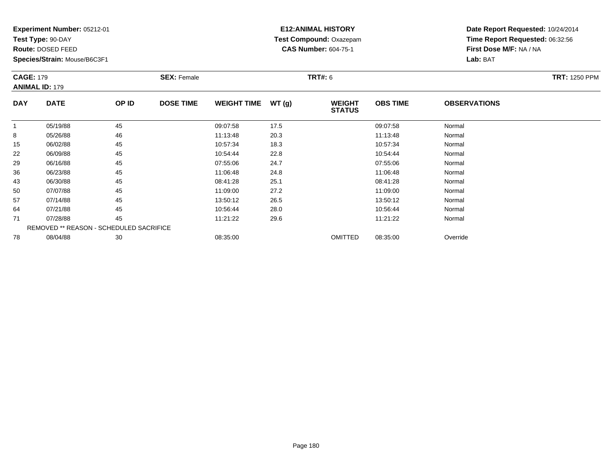**Test Type:** 90-DAY

**Route:** DOSED FEED

**Species/Strain:** Mouse/B6C3F1

#### **E12:ANIMAL HISTORY Test Compound:** Oxazepam**CAS Number:** 604-75-1

| <b>CAGE: 179</b><br><b>ANIMAL ID: 179</b> |                                         |       | <b>SEX: Female</b> |                    |       | <b>TRT#: 6</b>                 | <b>TRT: 1250 PPM</b> |                     |  |
|-------------------------------------------|-----------------------------------------|-------|--------------------|--------------------|-------|--------------------------------|----------------------|---------------------|--|
| <b>DAY</b>                                | <b>DATE</b>                             | OP ID | <b>DOSE TIME</b>   | <b>WEIGHT TIME</b> | WT(g) | <b>WEIGHT</b><br><b>STATUS</b> | <b>OBS TIME</b>      | <b>OBSERVATIONS</b> |  |
| $\mathbf{1}$                              | 05/19/88                                | 45    |                    | 09:07:58           | 17.5  |                                | 09:07:58             | Normal              |  |
| 8                                         | 05/26/88                                | 46    |                    | 11:13:48           | 20.3  |                                | 11:13:48             | Normal              |  |
| 15                                        | 06/02/88                                | 45    |                    | 10:57:34           | 18.3  |                                | 10:57:34             | Normal              |  |
| 22                                        | 06/09/88                                | 45    |                    | 10:54:44           | 22.8  |                                | 10:54:44             | Normal              |  |
| 29                                        | 06/16/88                                | 45    |                    | 07:55:06           | 24.7  |                                | 07:55:06             | Normal              |  |
| 36                                        | 06/23/88                                | 45    |                    | 11:06:48           | 24.8  |                                | 11:06:48             | Normal              |  |
| 43                                        | 06/30/88                                | 45    |                    | 08:41:28           | 25.1  |                                | 08:41:28             | Normal              |  |
| 50                                        | 07/07/88                                | 45    |                    | 11:09:00           | 27.2  |                                | 11:09:00             | Normal              |  |
| 57                                        | 07/14/88                                | 45    |                    | 13:50:12           | 26.5  |                                | 13:50:12             | Normal              |  |
| 64                                        | 07/21/88                                | 45    |                    | 10:56:44           | 28.0  |                                | 10:56:44             | Normal              |  |
| 71                                        | 07/28/88                                | 45    |                    | 11:21:22           | 29.6  |                                | 11:21:22             | Normal              |  |
|                                           | REMOVED ** REASON - SCHEDULED SACRIFICE |       |                    |                    |       |                                |                      |                     |  |
| 78                                        | 08/04/88                                | 30    |                    | 08:35:00           |       | <b>OMITTED</b>                 | 08:35:00             | Override            |  |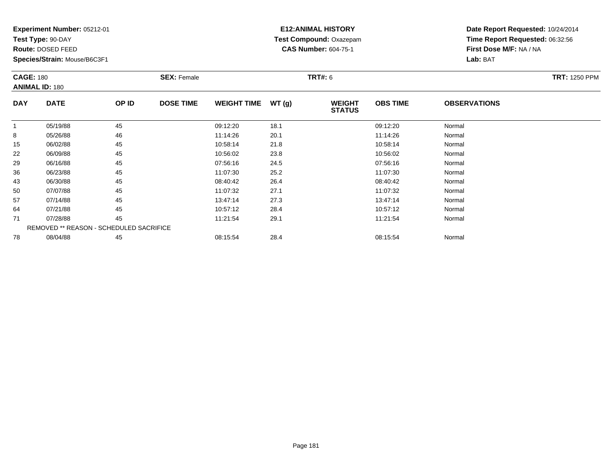**Test Type:** 90-DAY

**Route:** DOSED FEED

**Species/Strain:** Mouse/B6C3F1

# **E12:ANIMAL HISTORY Test Compound:** Oxazepam**CAS Number:** 604-75-1

| <b>CAGE: 180</b> | <b>ANIMAL ID: 180</b>                   |       | <b>SEX: Female</b> |                    |       | <b>TRT#: 6</b>                 |                 |                     | <b>TRT: 1250 PPM</b> |
|------------------|-----------------------------------------|-------|--------------------|--------------------|-------|--------------------------------|-----------------|---------------------|----------------------|
| <b>DAY</b>       | <b>DATE</b>                             | OP ID | <b>DOSE TIME</b>   | <b>WEIGHT TIME</b> | WT(g) | <b>WEIGHT</b><br><b>STATUS</b> | <b>OBS TIME</b> | <b>OBSERVATIONS</b> |                      |
| $\overline{1}$   | 05/19/88                                | 45    |                    | 09:12:20           | 18.1  |                                | 09:12:20        | Normal              |                      |
| 8                | 05/26/88                                | 46    |                    | 11:14:26           | 20.1  |                                | 11:14:26        | Normal              |                      |
| 15               | 06/02/88                                | 45    |                    | 10:58:14           | 21.8  |                                | 10:58:14        | Normal              |                      |
| 22               | 06/09/88                                | 45    |                    | 10:56:02           | 23.8  |                                | 10:56:02        | Normal              |                      |
| 29               | 06/16/88                                | 45    |                    | 07:56:16           | 24.5  |                                | 07:56:16        | Normal              |                      |
| 36               | 06/23/88                                | 45    |                    | 11:07:30           | 25.2  |                                | 11:07:30        | Normal              |                      |
| 43               | 06/30/88                                | 45    |                    | 08:40:42           | 26.4  |                                | 08:40:42        | Normal              |                      |
| 50               | 07/07/88                                | 45    |                    | 11:07:32           | 27.1  |                                | 11:07:32        | Normal              |                      |
| 57               | 07/14/88                                | 45    |                    | 13:47:14           | 27.3  |                                | 13:47:14        | Normal              |                      |
| 64               | 07/21/88                                | 45    |                    | 10:57:12           | 28.4  |                                | 10:57:12        | Normal              |                      |
| 71               | 07/28/88                                | 45    |                    | 11:21:54           | 29.1  |                                | 11:21:54        | Normal              |                      |
|                  | REMOVED ** REASON - SCHEDULED SACRIFICE |       |                    |                    |       |                                |                 |                     |                      |
| 78               | 08/04/88                                | 45    |                    | 08:15:54           | 28.4  |                                | 08:15:54        | Normal              |                      |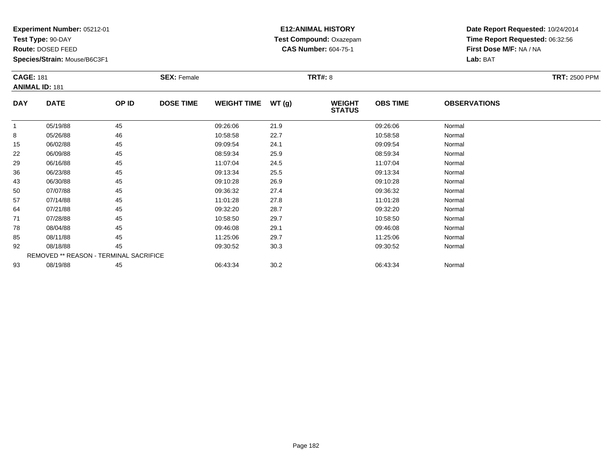**Test Type:** 90-DAY

**Route:** DOSED FEED

**Species/Strain:** Mouse/B6C3F1

# **E12:ANIMAL HISTORY Test Compound:** Oxazepam**CAS Number:** 604-75-1

| <b>CAGE: 181</b> | <b>ANIMAL ID: 181</b> |                                        | <b>SEX: Female</b> |                    |       | <b>TRT#: 8</b>                 |                 |                     | <b>TRT: 2500 PPM</b> |
|------------------|-----------------------|----------------------------------------|--------------------|--------------------|-------|--------------------------------|-----------------|---------------------|----------------------|
| <b>DAY</b>       | <b>DATE</b>           | OP ID                                  | <b>DOSE TIME</b>   | <b>WEIGHT TIME</b> | WT(g) | <b>WEIGHT</b><br><b>STATUS</b> | <b>OBS TIME</b> | <b>OBSERVATIONS</b> |                      |
|                  | 05/19/88              | 45                                     |                    | 09:26:06           | 21.9  |                                | 09:26:06        | Normal              |                      |
| 8                | 05/26/88              | 46                                     |                    | 10:58:58           | 22.7  |                                | 10:58:58        | Normal              |                      |
| 15               | 06/02/88              | 45                                     |                    | 09:09:54           | 24.1  |                                | 09:09:54        | Normal              |                      |
| 22               | 06/09/88              | 45                                     |                    | 08:59:34           | 25.9  |                                | 08:59:34        | Normal              |                      |
| 29               | 06/16/88              | 45                                     |                    | 11:07:04           | 24.5  |                                | 11:07:04        | Normal              |                      |
| 36               | 06/23/88              | 45                                     |                    | 09:13:34           | 25.5  |                                | 09:13:34        | Normal              |                      |
| 43               | 06/30/88              | 45                                     |                    | 09:10:28           | 26.9  |                                | 09:10:28        | Normal              |                      |
| 50               | 07/07/88              | 45                                     |                    | 09:36:32           | 27.4  |                                | 09:36:32        | Normal              |                      |
| 57               | 07/14/88              | 45                                     |                    | 11:01:28           | 27.8  |                                | 11:01:28        | Normal              |                      |
| 64               | 07/21/88              | 45                                     |                    | 09:32:20           | 28.7  |                                | 09:32:20        | Normal              |                      |
| 71               | 07/28/88              | 45                                     |                    | 10:58:50           | 29.7  |                                | 10:58:50        | Normal              |                      |
| 78               | 08/04/88              | 45                                     |                    | 09:46:08           | 29.1  |                                | 09:46:08        | Normal              |                      |
| 85               | 08/11/88              | 45                                     |                    | 11:25:06           | 29.7  |                                | 11:25:06        | Normal              |                      |
| 92               | 08/18/88              | 45                                     |                    | 09:30:52           | 30.3  |                                | 09:30:52        | Normal              |                      |
|                  |                       | REMOVED ** REASON - TERMINAL SACRIFICE |                    |                    |       |                                |                 |                     |                      |
| 93               | 08/19/88              | 45                                     |                    | 06:43:34           | 30.2  |                                | 06:43:34        | Normal              |                      |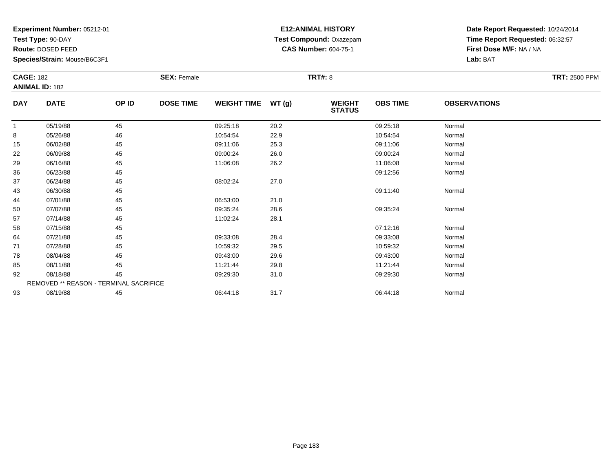**Test Type:** 90-DAY

**Route:** DOSED FEED

92

93

**Species/Strain:** Mouse/B6C3F1

REMOVED \*\* REASON - TERMINAL SACRIFICE

## **E12:ANIMAL HISTORY Test Compound:** Oxazepam**CAS Number:** 604-75-1

**Date Report Requested:** 10/24/2014**Time Report Requested:** 06:32:57**First Dose M/F:** NA / NA**Lab:** BAT

| <b>CAGE: 182</b><br><b>ANIMAL ID: 182</b> |             |       | <b>SEX: Female</b> |                    |       | <b>TRT#: 8</b>                 |                 |                     | <b>TRT: 2500 PPM</b> |
|-------------------------------------------|-------------|-------|--------------------|--------------------|-------|--------------------------------|-----------------|---------------------|----------------------|
| <b>DAY</b>                                | <b>DATE</b> | OP ID | <b>DOSE TIME</b>   | <b>WEIGHT TIME</b> | WT(g) | <b>WEIGHT</b><br><b>STATUS</b> | <b>OBS TIME</b> | <b>OBSERVATIONS</b> |                      |
| $\mathbf{1}$                              | 05/19/88    | 45    |                    | 09:25:18           | 20.2  |                                | 09:25:18        | Normal              |                      |
| 8                                         | 05/26/88    | 46    |                    | 10:54:54           | 22.9  |                                | 10:54:54        | Normal              |                      |
| 15                                        | 06/02/88    | 45    |                    | 09:11:06           | 25.3  |                                | 09:11:06        | Normal              |                      |
| 22                                        | 06/09/88    | 45    |                    | 09:00:24           | 26.0  |                                | 09:00:24        | Normal              |                      |
| 29                                        | 06/16/88    | 45    |                    | 11:06:08           | 26.2  |                                | 11:06:08        | Normal              |                      |
| 36                                        | 06/23/88    | 45    |                    |                    |       |                                | 09:12:56        | Normal              |                      |
| 37                                        | 06/24/88    | 45    |                    | 08:02:24           | 27.0  |                                |                 |                     |                      |
| 43                                        | 06/30/88    | 45    |                    |                    |       |                                | 09:11:40        | Normal              |                      |
| 44                                        | 07/01/88    | 45    |                    | 06:53:00           | 21.0  |                                |                 |                     |                      |
| 50                                        | 07/07/88    | 45    |                    | 09:35:24           | 28.6  |                                | 09:35:24        | Normal              |                      |
| 57                                        | 07/14/88    | 45    |                    | 11:02:24           | 28.1  |                                |                 |                     |                      |
| 58                                        | 07/15/88    | 45    |                    |                    |       |                                | 07:12:16        | Normal              |                      |
| 64                                        | 07/21/88    | 45    |                    | 09:33:08           | 28.4  |                                | 09:33:08        | Normal              |                      |
| 71                                        | 07/28/88    | 45    |                    | 10:59:32           | 29.5  |                                | 10:59:32        | Normal              |                      |
| 78                                        | 08/04/88    | 45    |                    | 09:43:00           | 29.6  |                                | 09:43:00        | Normal              |                      |
| 85                                        | 08/11/88    | 45    |                    | 11:21:44           | 29.8  |                                | 11:21:44        | Normal              |                      |

2 08/18/88 45 45 09:29:30 31.0 31.0 09:29:30 09:29:30 08/18/88 Normal

3 08/19/88 45 45 06:44:18 31.7 31.7 06:44:18 06:44:18 Normal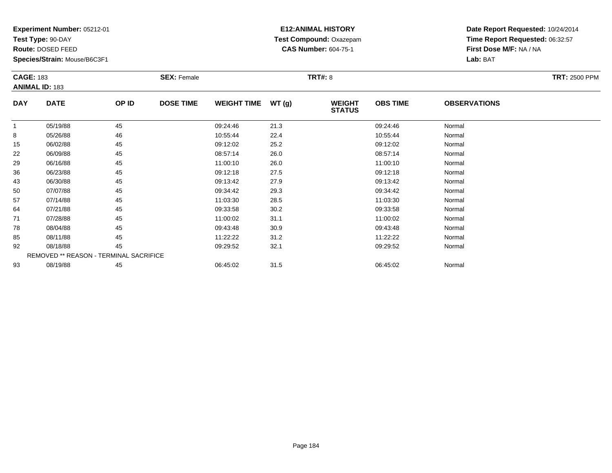**Test Type:** 90-DAY

**Route:** DOSED FEED

**Species/Strain:** Mouse/B6C3F1

# **E12:ANIMAL HISTORY Test Compound:** Oxazepam**CAS Number:** 604-75-1

|            | <b>CAGE: 183</b><br><b>ANIMAL ID: 183</b> |                                        | <b>SEX: Female</b> |                    |               | <b>TRT#: 8</b>                 |                 | <b>TRT: 2500 PPM</b> |  |
|------------|-------------------------------------------|----------------------------------------|--------------------|--------------------|---------------|--------------------------------|-----------------|----------------------|--|
| <b>DAY</b> | <b>DATE</b>                               | OP ID                                  | <b>DOSE TIME</b>   | <b>WEIGHT TIME</b> | <b>WT (g)</b> | <b>WEIGHT</b><br><b>STATUS</b> | <b>OBS TIME</b> | <b>OBSERVATIONS</b>  |  |
|            | 05/19/88                                  | 45                                     |                    | 09:24:46           | 21.3          |                                | 09:24:46        | Normal               |  |
| 8          | 05/26/88                                  | 46                                     |                    | 10:55:44           | 22.4          |                                | 10:55:44        | Normal               |  |
| 15         | 06/02/88                                  | 45                                     |                    | 09:12:02           | 25.2          |                                | 09:12:02        | Normal               |  |
| 22         | 06/09/88                                  | 45                                     |                    | 08:57:14           | 26.0          |                                | 08:57:14        | Normal               |  |
| 29         | 06/16/88                                  | 45                                     |                    | 11:00:10           | 26.0          |                                | 11:00:10        | Normal               |  |
| 36         | 06/23/88                                  | 45                                     |                    | 09:12:18           | 27.5          |                                | 09:12:18        | Normal               |  |
| 43         | 06/30/88                                  | 45                                     |                    | 09:13:42           | 27.9          |                                | 09:13:42        | Normal               |  |
| 50         | 07/07/88                                  | 45                                     |                    | 09:34:42           | 29.3          |                                | 09:34:42        | Normal               |  |
| 57         | 07/14/88                                  | 45                                     |                    | 11:03:30           | 28.5          |                                | 11:03:30        | Normal               |  |
| 64         | 07/21/88                                  | 45                                     |                    | 09:33:58           | 30.2          |                                | 09:33:58        | Normal               |  |
| 71         | 07/28/88                                  | 45                                     |                    | 11:00:02           | 31.1          |                                | 11:00:02        | Normal               |  |
| 78         | 08/04/88                                  | 45                                     |                    | 09:43:48           | 30.9          |                                | 09:43:48        | Normal               |  |
| 85         | 08/11/88                                  | 45                                     |                    | 11:22:22           | 31.2          |                                | 11:22:22        | Normal               |  |
| 92         | 08/18/88                                  | 45                                     |                    | 09:29:52           | 32.1          |                                | 09:29:52        | Normal               |  |
|            |                                           | REMOVED ** REASON - TERMINAL SACRIFICE |                    |                    |               |                                |                 |                      |  |
| 93         | 08/19/88                                  | 45                                     |                    | 06:45:02           | 31.5          |                                | 06:45:02        | Normal               |  |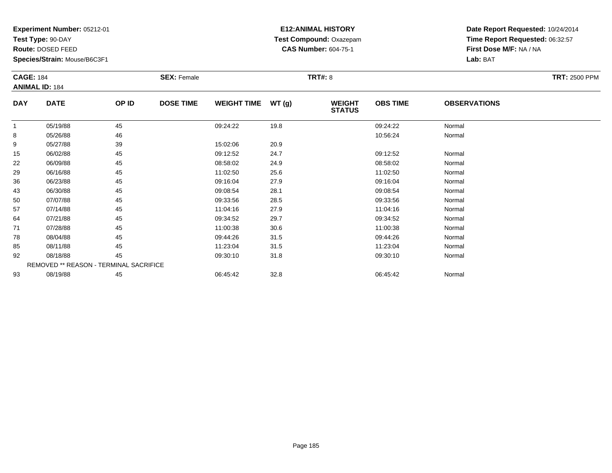**Test Type:** 90-DAY

**Route:** DOSED FEED

**Species/Strain:** Mouse/B6C3F1

## **E12:ANIMAL HISTORY Test Compound:** Oxazepam**CAS Number:** 604-75-1

| <b>CAGE: 184</b> | <b>ANIMAL ID: 184</b>                  |       | <b>SEX: Female</b> |                    |       | <b>TRT#: 8</b>                 |                 |                     | <b>TRT: 2500 PPM</b> |
|------------------|----------------------------------------|-------|--------------------|--------------------|-------|--------------------------------|-----------------|---------------------|----------------------|
| <b>DAY</b>       | <b>DATE</b>                            | OP ID | <b>DOSE TIME</b>   | <b>WEIGHT TIME</b> | WT(g) | <b>WEIGHT</b><br><b>STATUS</b> | <b>OBS TIME</b> | <b>OBSERVATIONS</b> |                      |
| 1                | 05/19/88                               | 45    |                    | 09:24:22           | 19.8  |                                | 09:24:22        | Normal              |                      |
| 8                | 05/26/88                               | 46    |                    |                    |       |                                | 10:56:24        | Normal              |                      |
| 9                | 05/27/88                               | 39    |                    | 15:02:06           | 20.9  |                                |                 |                     |                      |
| 15               | 06/02/88                               | 45    |                    | 09:12:52           | 24.7  |                                | 09:12:52        | Normal              |                      |
| 22               | 06/09/88                               | 45    |                    | 08:58:02           | 24.9  |                                | 08:58:02        | Normal              |                      |
| 29               | 06/16/88                               | 45    |                    | 11:02:50           | 25.6  |                                | 11:02:50        | Normal              |                      |
| 36               | 06/23/88                               | 45    |                    | 09:16:04           | 27.9  |                                | 09:16:04        | Normal              |                      |
| 43               | 06/30/88                               | 45    |                    | 09:08:54           | 28.1  |                                | 09:08:54        | Normal              |                      |
| 50               | 07/07/88                               | 45    |                    | 09:33:56           | 28.5  |                                | 09:33:56        | Normal              |                      |
| 57               | 07/14/88                               | 45    |                    | 11:04:16           | 27.9  |                                | 11:04:16        | Normal              |                      |
| 64               | 07/21/88                               | 45    |                    | 09:34:52           | 29.7  |                                | 09:34:52        | Normal              |                      |
| 71               | 07/28/88                               | 45    |                    | 11:00:38           | 30.6  |                                | 11:00:38        | Normal              |                      |
| 78               | 08/04/88                               | 45    |                    | 09:44:26           | 31.5  |                                | 09:44:26        | Normal              |                      |
| 85               | 08/11/88                               | 45    |                    | 11:23:04           | 31.5  |                                | 11:23:04        | Normal              |                      |
| 92               | 08/18/88                               | 45    |                    | 09:30:10           | 31.8  |                                | 09:30:10        | Normal              |                      |
|                  | REMOVED ** REASON - TERMINAL SACRIFICE |       |                    |                    |       |                                |                 |                     |                      |
| 93               | 08/19/88                               | 45    |                    | 06:45:42           | 32.8  |                                | 06:45:42        | Normal              |                      |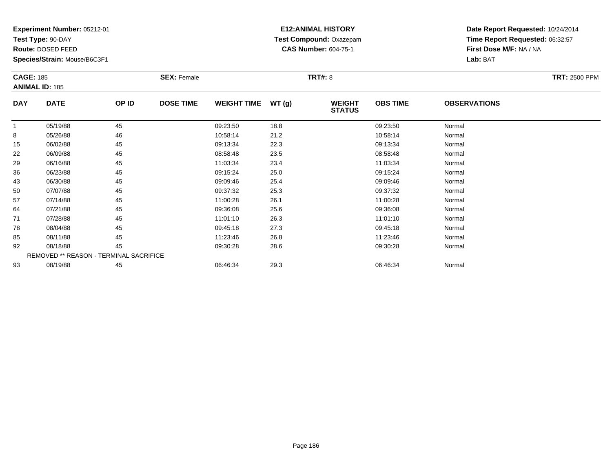**Test Type:** 90-DAY

**Route:** DOSED FEED

**Species/Strain:** Mouse/B6C3F1

# **E12:ANIMAL HISTORY Test Compound:** Oxazepam**CAS Number:** 604-75-1

| <b>CAGE: 185</b> |                                        |       | <b>SEX: Female</b> |                    |       | <b>TRT#: 8</b>                 |                 |                     | <b>TRT: 2500 PPM</b> |
|------------------|----------------------------------------|-------|--------------------|--------------------|-------|--------------------------------|-----------------|---------------------|----------------------|
|                  | <b>ANIMAL ID: 185</b>                  |       |                    |                    |       |                                |                 |                     |                      |
| <b>DAY</b>       | <b>DATE</b>                            | OP ID | <b>DOSE TIME</b>   | <b>WEIGHT TIME</b> | WT(g) | <b>WEIGHT</b><br><b>STATUS</b> | <b>OBS TIME</b> | <b>OBSERVATIONS</b> |                      |
| -1               | 05/19/88                               | 45    |                    | 09:23:50           | 18.8  |                                | 09:23:50        | Normal              |                      |
| 8                | 05/26/88                               | 46    |                    | 10:58:14           | 21.2  |                                | 10:58:14        | Normal              |                      |
| 15               | 06/02/88                               | 45    |                    | 09:13:34           | 22.3  |                                | 09:13:34        | Normal              |                      |
| 22               | 06/09/88                               | 45    |                    | 08:58:48           | 23.5  |                                | 08:58:48        | Normal              |                      |
| 29               | 06/16/88                               | 45    |                    | 11:03:34           | 23.4  |                                | 11:03:34        | Normal              |                      |
| 36               | 06/23/88                               | 45    |                    | 09:15:24           | 25.0  |                                | 09:15:24        | Normal              |                      |
| 43               | 06/30/88                               | 45    |                    | 09:09:46           | 25.4  |                                | 09:09:46        | Normal              |                      |
| 50               | 07/07/88                               | 45    |                    | 09:37:32           | 25.3  |                                | 09:37:32        | Normal              |                      |
| 57               | 07/14/88                               | 45    |                    | 11:00:28           | 26.1  |                                | 11:00:28        | Normal              |                      |
| 64               | 07/21/88                               | 45    |                    | 09:36:08           | 25.6  |                                | 09:36:08        | Normal              |                      |
| 71               | 07/28/88                               | 45    |                    | 11:01:10           | 26.3  |                                | 11:01:10        | Normal              |                      |
| 78               | 08/04/88                               | 45    |                    | 09:45:18           | 27.3  |                                | 09:45:18        | Normal              |                      |
| 85               | 08/11/88                               | 45    |                    | 11:23:46           | 26.8  |                                | 11:23:46        | Normal              |                      |
| 92               | 08/18/88                               | 45    |                    | 09:30:28           | 28.6  |                                | 09:30:28        | Normal              |                      |
|                  | REMOVED ** REASON - TERMINAL SACRIFICE |       |                    |                    |       |                                |                 |                     |                      |
| 93               | 08/19/88                               | 45    |                    | 06:46:34           | 29.3  |                                | 06:46:34        | Normal              |                      |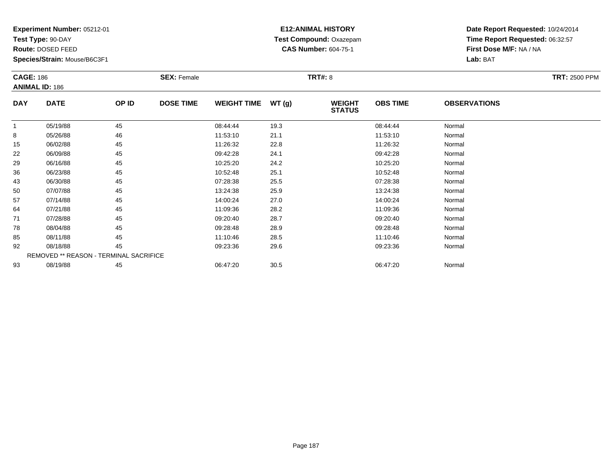**Test Type:** 90-DAY

**Route:** DOSED FEED

**Species/Strain:** Mouse/B6C3F1

# **E12:ANIMAL HISTORY Test Compound:** Oxazepam**CAS Number:** 604-75-1

|                | <b>CAGE: 186</b><br><b>ANIMAL ID: 186</b> |       | <b>SEX: Female</b> |                    |       | <b>TRT#: 8</b>                 | <b>TRT: 2500 PPM</b> |                     |  |
|----------------|-------------------------------------------|-------|--------------------|--------------------|-------|--------------------------------|----------------------|---------------------|--|
| <b>DAY</b>     | <b>DATE</b>                               | OP ID | <b>DOSE TIME</b>   | <b>WEIGHT TIME</b> | WT(g) | <b>WEIGHT</b><br><b>STATUS</b> | <b>OBS TIME</b>      | <b>OBSERVATIONS</b> |  |
| $\overline{1}$ | 05/19/88                                  | 45    |                    | 08:44:44           | 19.3  |                                | 08:44:44             | Normal              |  |
| 8              | 05/26/88                                  | 46    |                    | 11:53:10           | 21.1  |                                | 11:53:10             | Normal              |  |
| 15             | 06/02/88                                  | 45    |                    | 11:26:32           | 22.8  |                                | 11:26:32             | Normal              |  |
| 22             | 06/09/88                                  | 45    |                    | 09:42:28           | 24.1  |                                | 09:42:28             | Normal              |  |
| 29             | 06/16/88                                  | 45    |                    | 10:25:20           | 24.2  |                                | 10:25:20             | Normal              |  |
| 36             | 06/23/88                                  | 45    |                    | 10:52:48           | 25.1  |                                | 10:52:48             | Normal              |  |
| 43             | 06/30/88                                  | 45    |                    | 07:28:38           | 25.5  |                                | 07:28:38             | Normal              |  |
| 50             | 07/07/88                                  | 45    |                    | 13:24:38           | 25.9  |                                | 13:24:38             | Normal              |  |
| 57             | 07/14/88                                  | 45    |                    | 14:00:24           | 27.0  |                                | 14:00:24             | Normal              |  |
| 64             | 07/21/88                                  | 45    |                    | 11:09:36           | 28.2  |                                | 11:09:36             | Normal              |  |
| 71             | 07/28/88                                  | 45    |                    | 09:20:40           | 28.7  |                                | 09:20:40             | Normal              |  |
| 78             | 08/04/88                                  | 45    |                    | 09:28:48           | 28.9  |                                | 09:28:48             | Normal              |  |
| 85             | 08/11/88                                  | 45    |                    | 11:10:46           | 28.5  |                                | 11:10:46             | Normal              |  |
| 92             | 08/18/88                                  | 45    |                    | 09:23:36           | 29.6  |                                | 09:23:36             | Normal              |  |
|                | REMOVED ** REASON - TERMINAL SACRIFICE    |       |                    |                    |       |                                |                      |                     |  |
| 93             | 08/19/88                                  | 45    |                    | 06:47:20           | 30.5  |                                | 06:47:20             | Normal              |  |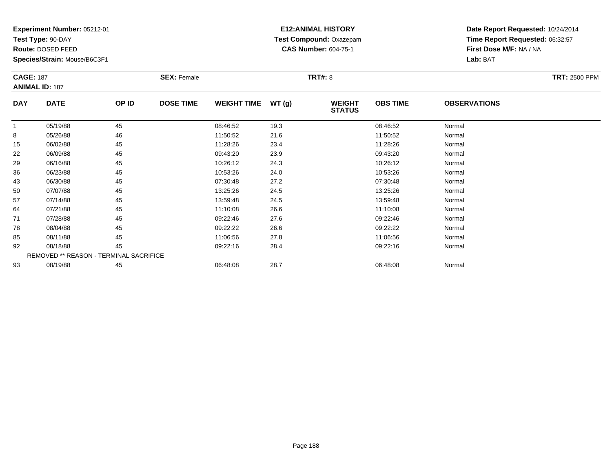**Test Type:** 90-DAY

**Route:** DOSED FEED

**Species/Strain:** Mouse/B6C3F1

# **E12:ANIMAL HISTORY Test Compound:** Oxazepam**CAS Number:** 604-75-1

| <b>CAGE: 187</b> |                                        |       | <b>SEX: Female</b> |                    |       | <b>TRT#: 8</b>                 |                 |                     | <b>TRT: 2500 PPM</b> |
|------------------|----------------------------------------|-------|--------------------|--------------------|-------|--------------------------------|-----------------|---------------------|----------------------|
|                  | <b>ANIMAL ID: 187</b>                  |       |                    |                    |       |                                |                 |                     |                      |
| <b>DAY</b>       | <b>DATE</b>                            | OP ID | <b>DOSE TIME</b>   | <b>WEIGHT TIME</b> | WT(g) | <b>WEIGHT</b><br><b>STATUS</b> | <b>OBS TIME</b> | <b>OBSERVATIONS</b> |                      |
|                  | 05/19/88                               | 45    |                    | 08:46:52           | 19.3  |                                | 08:46:52        | Normal              |                      |
| 8                | 05/26/88                               | 46    |                    | 11:50:52           | 21.6  |                                | 11:50:52        | Normal              |                      |
| 15               | 06/02/88                               | 45    |                    | 11:28:26           | 23.4  |                                | 11:28:26        | Normal              |                      |
| 22               | 06/09/88                               | 45    |                    | 09:43:20           | 23.9  |                                | 09:43:20        | Normal              |                      |
| 29               | 06/16/88                               | 45    |                    | 10:26:12           | 24.3  |                                | 10:26:12        | Normal              |                      |
| 36               | 06/23/88                               | 45    |                    | 10:53:26           | 24.0  |                                | 10:53:26        | Normal              |                      |
| 43               | 06/30/88                               | 45    |                    | 07:30:48           | 27.2  |                                | 07:30:48        | Normal              |                      |
| 50               | 07/07/88                               | 45    |                    | 13:25:26           | 24.5  |                                | 13:25:26        | Normal              |                      |
| 57               | 07/14/88                               | 45    |                    | 13:59:48           | 24.5  |                                | 13:59:48        | Normal              |                      |
| 64               | 07/21/88                               | 45    |                    | 11:10:08           | 26.6  |                                | 11:10:08        | Normal              |                      |
| 71               | 07/28/88                               | 45    |                    | 09:22:46           | 27.6  |                                | 09:22:46        | Normal              |                      |
| 78               | 08/04/88                               | 45    |                    | 09:22:22           | 26.6  |                                | 09:22:22        | Normal              |                      |
| 85               | 08/11/88                               | 45    |                    | 11:06:56           | 27.8  |                                | 11:06:56        | Normal              |                      |
| 92               | 08/18/88                               | 45    |                    | 09:22:16           | 28.4  |                                | 09:22:16        | Normal              |                      |
|                  | REMOVED ** REASON - TERMINAL SACRIFICE |       |                    |                    |       |                                |                 |                     |                      |
| 93               | 08/19/88                               | 45    |                    | 06:48:08           | 28.7  |                                | 06:48:08        | Normal              |                      |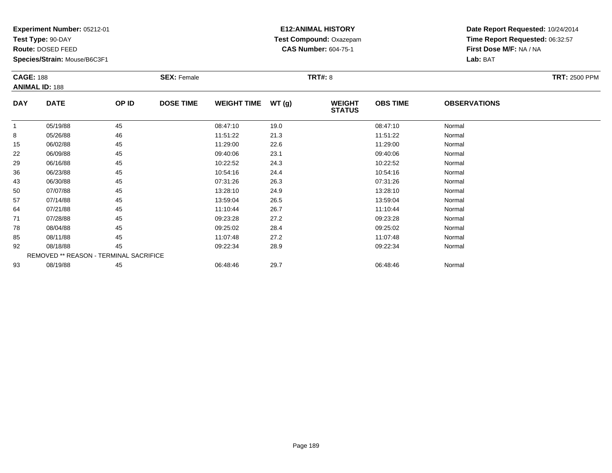**Test Type:** 90-DAY

**Route:** DOSED FEED

**Species/Strain:** Mouse/B6C3F1

# **E12:ANIMAL HISTORY Test Compound:** Oxazepam**CAS Number:** 604-75-1

| <b>CAGE: 188</b> | <b>ANIMAL ID: 188</b>                  |       | <b>SEX: Female</b> |                    |       | <b>TRT#:</b> 8                 |                 |                     | <b>TRT: 2500 PPM</b> |
|------------------|----------------------------------------|-------|--------------------|--------------------|-------|--------------------------------|-----------------|---------------------|----------------------|
| <b>DAY</b>       | <b>DATE</b>                            | OP ID | <b>DOSE TIME</b>   | <b>WEIGHT TIME</b> | WT(g) | <b>WEIGHT</b><br><b>STATUS</b> | <b>OBS TIME</b> | <b>OBSERVATIONS</b> |                      |
|                  | 05/19/88                               | 45    |                    | 08:47:10           | 19.0  |                                | 08:47:10        | Normal              |                      |
| 8                | 05/26/88                               | 46    |                    | 11:51:22           | 21.3  |                                | 11:51:22        | Normal              |                      |
| 15               | 06/02/88                               | 45    |                    | 11:29:00           | 22.6  |                                | 11:29:00        | Normal              |                      |
| 22               | 06/09/88                               | 45    |                    | 09:40:06           | 23.1  |                                | 09:40:06        | Normal              |                      |
| 29               | 06/16/88                               | 45    |                    | 10:22:52           | 24.3  |                                | 10:22:52        | Normal              |                      |
| 36               | 06/23/88                               | 45    |                    | 10:54:16           | 24.4  |                                | 10:54:16        | Normal              |                      |
| 43               | 06/30/88                               | 45    |                    | 07:31:26           | 26.3  |                                | 07:31:26        | Normal              |                      |
| 50               | 07/07/88                               | 45    |                    | 13:28:10           | 24.9  |                                | 13:28:10        | Normal              |                      |
| 57               | 07/14/88                               | 45    |                    | 13:59:04           | 26.5  |                                | 13:59:04        | Normal              |                      |
| 64               | 07/21/88                               | 45    |                    | 11:10:44           | 26.7  |                                | 11:10:44        | Normal              |                      |
| 71               | 07/28/88                               | 45    |                    | 09:23:28           | 27.2  |                                | 09:23:28        | Normal              |                      |
| 78               | 08/04/88                               | 45    |                    | 09:25:02           | 28.4  |                                | 09:25:02        | Normal              |                      |
| 85               | 08/11/88                               | 45    |                    | 11:07:48           | 27.2  |                                | 11:07:48        | Normal              |                      |
| 92               | 08/18/88                               | 45    |                    | 09:22:34           | 28.9  |                                | 09:22:34        | Normal              |                      |
|                  | REMOVED ** REASON - TERMINAL SACRIFICE |       |                    |                    |       |                                |                 |                     |                      |
| 93               | 08/19/88                               | 45    |                    | 06:48:46           | 29.7  |                                | 06:48:46        | Normal              |                      |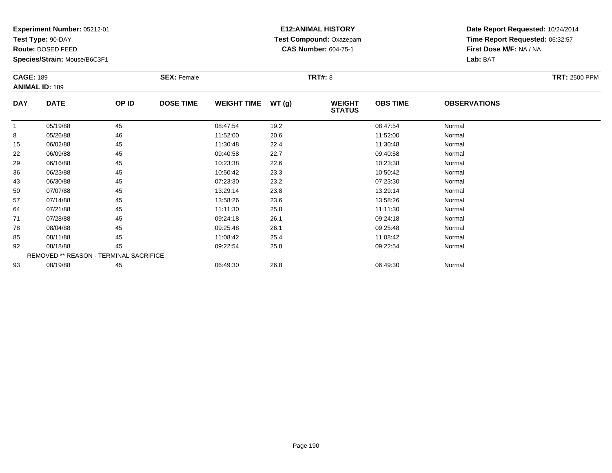**Test Type:** 90-DAY

**Route:** DOSED FEED

**Species/Strain:** Mouse/B6C3F1

# **E12:ANIMAL HISTORY Test Compound:** Oxazepam**CAS Number:** 604-75-1

| <b>CAGE: 189</b> |                       |                                        | <b>SEX: Female</b> |                    |       | <b>TRT#: 8</b>                 |                 |                     | <b>TRT: 2500 PPM</b> |
|------------------|-----------------------|----------------------------------------|--------------------|--------------------|-------|--------------------------------|-----------------|---------------------|----------------------|
|                  | <b>ANIMAL ID: 189</b> |                                        |                    |                    |       |                                |                 |                     |                      |
| <b>DAY</b>       | <b>DATE</b>           | OP ID                                  | <b>DOSE TIME</b>   | <b>WEIGHT TIME</b> | WT(g) | <b>WEIGHT</b><br><b>STATUS</b> | <b>OBS TIME</b> | <b>OBSERVATIONS</b> |                      |
|                  | 05/19/88              | 45                                     |                    | 08:47:54           | 19.2  |                                | 08:47:54        | Normal              |                      |
| 8                | 05/26/88              | 46                                     |                    | 11:52:00           | 20.6  |                                | 11:52:00        | Normal              |                      |
| 15               | 06/02/88              | 45                                     |                    | 11:30:48           | 22.4  |                                | 11:30:48        | Normal              |                      |
| 22               | 06/09/88              | 45                                     |                    | 09:40:58           | 22.7  |                                | 09:40:58        | Normal              |                      |
| 29               | 06/16/88              | 45                                     |                    | 10:23:38           | 22.6  |                                | 10:23:38        | Normal              |                      |
| 36               | 06/23/88              | 45                                     |                    | 10:50:42           | 23.3  |                                | 10:50:42        | Normal              |                      |
| 43               | 06/30/88              | 45                                     |                    | 07:23:30           | 23.2  |                                | 07:23:30        | Normal              |                      |
| 50               | 07/07/88              | 45                                     |                    | 13:29:14           | 23.8  |                                | 13:29:14        | Normal              |                      |
| 57               | 07/14/88              | 45                                     |                    | 13:58:26           | 23.6  |                                | 13:58:26        | Normal              |                      |
| 64               | 07/21/88              | 45                                     |                    | 11:11:30           | 25.8  |                                | 11:11:30        | Normal              |                      |
| 71               | 07/28/88              | 45                                     |                    | 09:24:18           | 26.1  |                                | 09:24:18        | Normal              |                      |
| 78               | 08/04/88              | 45                                     |                    | 09:25:48           | 26.1  |                                | 09:25:48        | Normal              |                      |
| 85               | 08/11/88              | 45                                     |                    | 11:08:42           | 25.4  |                                | 11:08:42        | Normal              |                      |
| 92               | 08/18/88              | 45                                     |                    | 09:22:54           | 25.8  |                                | 09:22:54        | Normal              |                      |
|                  |                       | REMOVED ** REASON - TERMINAL SACRIFICE |                    |                    |       |                                |                 |                     |                      |
| 93               | 08/19/88              | 45                                     |                    | 06:49:30           | 26.8  |                                | 06:49:30        | Normal              |                      |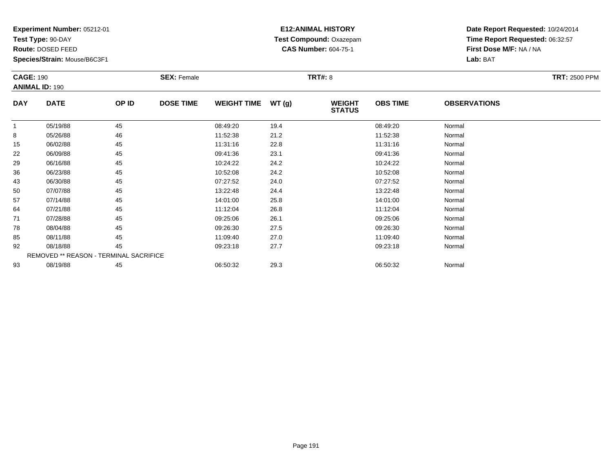**Test Type:** 90-DAY

**Route:** DOSED FEED

**Species/Strain:** Mouse/B6C3F1

# **E12:ANIMAL HISTORY Test Compound:** Oxazepam**CAS Number:** 604-75-1

| <b>CAGE: 190</b> |                       |                                        | <b>SEX: Female</b> |                    |       | <b>TRT#: 8</b>                 |                 |                     | <b>TRT: 2500 PPM</b> |
|------------------|-----------------------|----------------------------------------|--------------------|--------------------|-------|--------------------------------|-----------------|---------------------|----------------------|
|                  | <b>ANIMAL ID: 190</b> |                                        |                    |                    |       |                                |                 |                     |                      |
| <b>DAY</b>       | <b>DATE</b>           | OP ID                                  | <b>DOSE TIME</b>   | <b>WEIGHT TIME</b> | WT(g) | <b>WEIGHT</b><br><b>STATUS</b> | <b>OBS TIME</b> | <b>OBSERVATIONS</b> |                      |
| -1               | 05/19/88              | 45                                     |                    | 08:49:20           | 19.4  |                                | 08:49:20        | Normal              |                      |
| 8                | 05/26/88              | 46                                     |                    | 11:52:38           | 21.2  |                                | 11:52:38        | Normal              |                      |
| 15               | 06/02/88              | 45                                     |                    | 11:31:16           | 22.8  |                                | 11:31:16        | Normal              |                      |
| 22               | 06/09/88              | 45                                     |                    | 09:41:36           | 23.1  |                                | 09:41:36        | Normal              |                      |
| 29               | 06/16/88              | 45                                     |                    | 10:24:22           | 24.2  |                                | 10:24:22        | Normal              |                      |
| 36               | 06/23/88              | 45                                     |                    | 10:52:08           | 24.2  |                                | 10:52:08        | Normal              |                      |
| 43               | 06/30/88              | 45                                     |                    | 07:27:52           | 24.0  |                                | 07:27:52        | Normal              |                      |
| 50               | 07/07/88              | 45                                     |                    | 13:22:48           | 24.4  |                                | 13:22:48        | Normal              |                      |
| 57               | 07/14/88              | 45                                     |                    | 14:01:00           | 25.8  |                                | 14:01:00        | Normal              |                      |
| 64               | 07/21/88              | 45                                     |                    | 11:12:04           | 26.8  |                                | 11:12:04        | Normal              |                      |
| 71               | 07/28/88              | 45                                     |                    | 09:25:06           | 26.1  |                                | 09:25:06        | Normal              |                      |
| 78               | 08/04/88              | 45                                     |                    | 09:26:30           | 27.5  |                                | 09:26:30        | Normal              |                      |
| 85               | 08/11/88              | 45                                     |                    | 11:09:40           | 27.0  |                                | 11:09:40        | Normal              |                      |
| 92               | 08/18/88              | 45                                     |                    | 09:23:18           | 27.7  |                                | 09:23:18        | Normal              |                      |
|                  |                       | REMOVED ** REASON - TERMINAL SACRIFICE |                    |                    |       |                                |                 |                     |                      |
| 93               | 08/19/88              | 45                                     |                    | 06:50:32           | 29.3  |                                | 06:50:32        | Normal              |                      |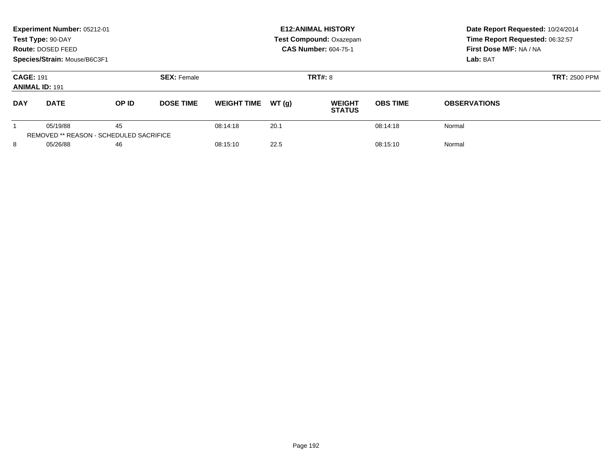|                                                                  | Experiment Number: 05212-01<br>Test Type: 90-DAY<br>Route: DOSED FEED<br>Species/Strain: Mouse/B6C3F1 |       |                  |                    |       | <b>E12: ANIMAL HISTORY</b><br><b>Test Compound: Oxazepam</b><br><b>CAS Number: 604-75-1</b> | Date Report Requested: 10/24/2014<br>Time Report Requested: 06:32:57<br>First Dose M/F: NA / NA<br>Lab: BAT |                     |
|------------------------------------------------------------------|-------------------------------------------------------------------------------------------------------|-------|------------------|--------------------|-------|---------------------------------------------------------------------------------------------|-------------------------------------------------------------------------------------------------------------|---------------------|
| <b>CAGE: 191</b><br><b>SEX: Female</b><br><b>ANIMAL ID: 191</b>  |                                                                                                       |       |                  |                    |       | TRT#: 8                                                                                     | <b>TRT: 2500 PPM</b>                                                                                        |                     |
| <b>DAY</b>                                                       | <b>DATE</b>                                                                                           | OP ID | <b>DOSE TIME</b> | <b>WEIGHT TIME</b> | WT(q) | <b>WEIGHT</b><br><b>STATUS</b>                                                              | <b>OBS TIME</b>                                                                                             | <b>OBSERVATIONS</b> |
| 45<br>05/19/88<br><b>REMOVED ** REASON - SCHEDULED SACRIFICE</b> |                                                                                                       |       | 08:14:18         | 20.1               |       | 08:14:18                                                                                    | Normal                                                                                                      |                     |
| 8                                                                | 05/26/88<br>46                                                                                        |       | 08:15:10         | 22.5               |       | 08:15:10                                                                                    | Normal                                                                                                      |                     |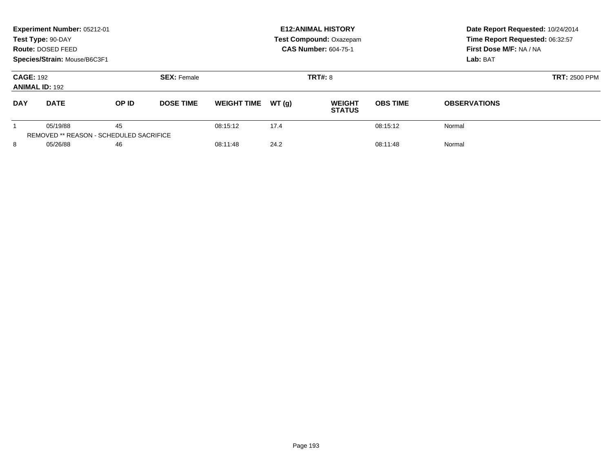|                                           | Experiment Number: 05212-01<br>Test Type: 90-DAY<br>Route: DOSED FEED<br>Species/Strain: Mouse/B6C3F1 |                                                      |                    |                    |       | <b>E12: ANIMAL HISTORY</b><br><b>Test Compound: Oxazepam</b><br><b>CAS Number: 604-75-1</b> | Date Report Requested: 10/24/2014<br>Time Report Requested: 06:32:57<br>First Dose M/F: NA / NA<br>Lab: BAT |                      |  |
|-------------------------------------------|-------------------------------------------------------------------------------------------------------|------------------------------------------------------|--------------------|--------------------|-------|---------------------------------------------------------------------------------------------|-------------------------------------------------------------------------------------------------------------|----------------------|--|
| <b>CAGE: 192</b><br><b>ANIMAL ID: 192</b> |                                                                                                       |                                                      | <b>SEX: Female</b> |                    |       | <b>TRT#: 8</b>                                                                              |                                                                                                             | <b>TRT: 2500 PPM</b> |  |
| <b>DAY</b>                                | <b>DATE</b>                                                                                           | OP ID                                                | <b>DOSE TIME</b>   | <b>WEIGHT TIME</b> | WT(q) | <b>WEIGHT</b><br><b>STATUS</b>                                                              | <b>OBS TIME</b>                                                                                             | <b>OBSERVATIONS</b>  |  |
|                                           | 05/19/88                                                                                              | 45<br><b>REMOVED ** REASON - SCHEDULED SACRIFICE</b> |                    | 08:15:12           | 17.4  |                                                                                             | 08:15:12                                                                                                    | Normal               |  |
| 8<br>05/26/88                             |                                                                                                       | 46                                                   |                    | 08:11:48           | 24.2  |                                                                                             | 08:11:48                                                                                                    | Normal               |  |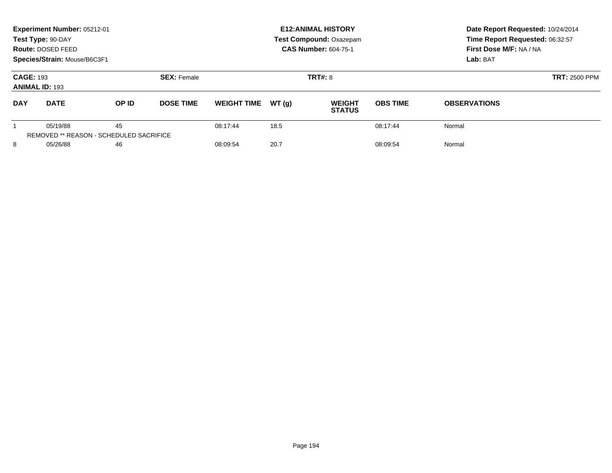|                                           | Experiment Number: 05212-01<br>Test Type: 90-DAY<br>Route: DOSED FEED<br>Species/Strain: Mouse/B6C3F1 |                                                      |                    |                    |       | <b>E12: ANIMAL HISTORY</b><br><b>Test Compound: Oxazepam</b><br><b>CAS Number: 604-75-1</b> | Date Report Requested: 10/24/2014<br>Time Report Requested: 06:32:57<br>First Dose M/F: NA / NA<br>Lab: BAT |                      |  |
|-------------------------------------------|-------------------------------------------------------------------------------------------------------|------------------------------------------------------|--------------------|--------------------|-------|---------------------------------------------------------------------------------------------|-------------------------------------------------------------------------------------------------------------|----------------------|--|
| <b>CAGE: 193</b><br><b>ANIMAL ID: 193</b> |                                                                                                       |                                                      | <b>SEX: Female</b> |                    |       | <b>TRT#: 8</b>                                                                              |                                                                                                             | <b>TRT: 2500 PPM</b> |  |
| <b>DAY</b>                                | <b>DATE</b>                                                                                           | OP ID                                                | <b>DOSE TIME</b>   | <b>WEIGHT TIME</b> | WT(q) | <b>WEIGHT</b><br><b>STATUS</b>                                                              | <b>OBS TIME</b>                                                                                             | <b>OBSERVATIONS</b>  |  |
|                                           | 05/19/88                                                                                              | 45<br><b>REMOVED ** REASON - SCHEDULED SACRIFICE</b> |                    | 08:17:44           | 18.5  |                                                                                             | 08:17:44                                                                                                    | Normal               |  |
| 8<br>05/26/88                             |                                                                                                       | 46                                                   |                    | 08:09:54           | 20.7  |                                                                                             | 08:09:54                                                                                                    | Normal               |  |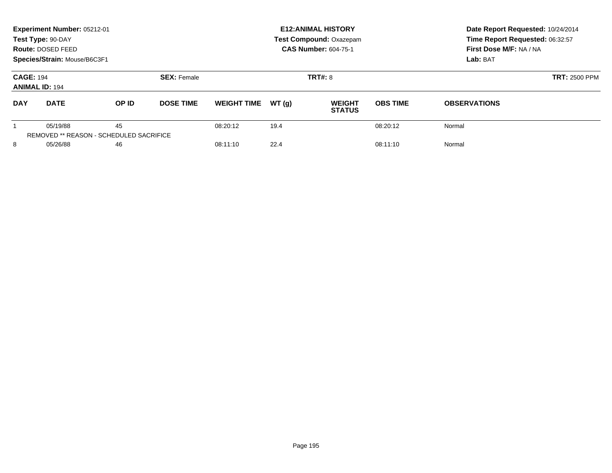|                                           | Experiment Number: 05212-01<br>Test Type: 90-DAY<br>Route: DOSED FEED<br>Species/Strain: Mouse/B6C3F1 |                                                      |                  |                    |                | <b>E12: ANIMAL HISTORY</b><br><b>Test Compound: Oxazepam</b><br><b>CAS Number: 604-75-1</b> | Date Report Requested: 10/24/2014<br>Time Report Requested: 06:32:57<br>First Dose M/F: NA / NA<br>Lab: BAT |                     |
|-------------------------------------------|-------------------------------------------------------------------------------------------------------|------------------------------------------------------|------------------|--------------------|----------------|---------------------------------------------------------------------------------------------|-------------------------------------------------------------------------------------------------------------|---------------------|
| <b>CAGE: 194</b><br><b>ANIMAL ID: 194</b> |                                                                                                       | <b>SEX: Female</b>                                   |                  |                    | <b>TRT#: 8</b> | <b>TRT: 2500 PPM</b>                                                                        |                                                                                                             |                     |
| <b>DAY</b>                                | <b>DATE</b>                                                                                           | OP ID                                                | <b>DOSE TIME</b> | <b>WEIGHT TIME</b> | WT(q)          | <b>WEIGHT</b><br><b>STATUS</b>                                                              | <b>OBS TIME</b>                                                                                             | <b>OBSERVATIONS</b> |
|                                           | 05/19/88                                                                                              | 45<br><b>REMOVED ** REASON - SCHEDULED SACRIFICE</b> |                  | 08:20:12           | 19.4           |                                                                                             | 08:20:12                                                                                                    | Normal              |
| 8<br>05/26/88                             |                                                                                                       | 46                                                   |                  | 08:11:10           | 22.4           |                                                                                             | 08:11:10                                                                                                    | Normal              |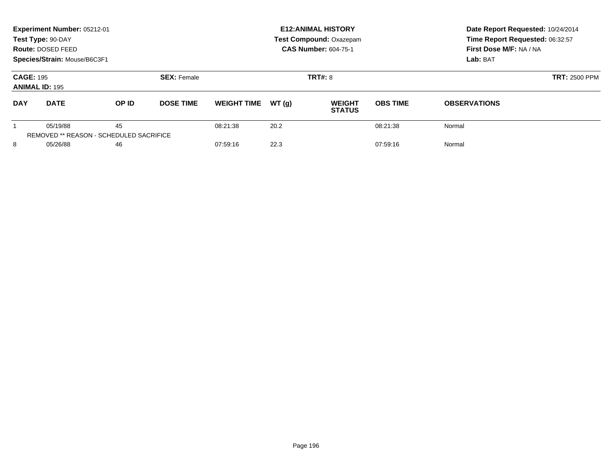|                                           | Experiment Number: 05212-01<br>Test Type: 90-DAY<br>Route: DOSED FEED<br>Species/Strain: Mouse/B6C3F1 |                                                      |                    |                    |       | <b>E12: ANIMAL HISTORY</b><br><b>Test Compound: Oxazepam</b><br><b>CAS Number: 604-75-1</b> | Date Report Requested: 10/24/2014<br>Time Report Requested: 06:32:57<br>First Dose M/F: NA / NA<br>Lab: BAT |                     |
|-------------------------------------------|-------------------------------------------------------------------------------------------------------|------------------------------------------------------|--------------------|--------------------|-------|---------------------------------------------------------------------------------------------|-------------------------------------------------------------------------------------------------------------|---------------------|
| <b>CAGE: 195</b><br><b>ANIMAL ID: 195</b> |                                                                                                       |                                                      | <b>SEX: Female</b> |                    |       | <b>TRT#: 8</b>                                                                              | <b>TRT: 2500 PPM</b>                                                                                        |                     |
| <b>DAY</b>                                | <b>DATE</b>                                                                                           | OP ID                                                | <b>DOSE TIME</b>   | <b>WEIGHT TIME</b> | WT(q) | <b>WEIGHT</b><br><b>STATUS</b>                                                              | <b>OBS TIME</b>                                                                                             | <b>OBSERVATIONS</b> |
|                                           | 05/19/88                                                                                              | 45<br><b>REMOVED ** REASON - SCHEDULED SACRIFICE</b> |                    | 08:21:38           | 20.2  |                                                                                             | 08:21:38                                                                                                    | Normal              |
| 8<br>05/26/88                             |                                                                                                       | 46                                                   |                    | 07:59:16           | 22.3  |                                                                                             | 07:59:16                                                                                                    | Normal              |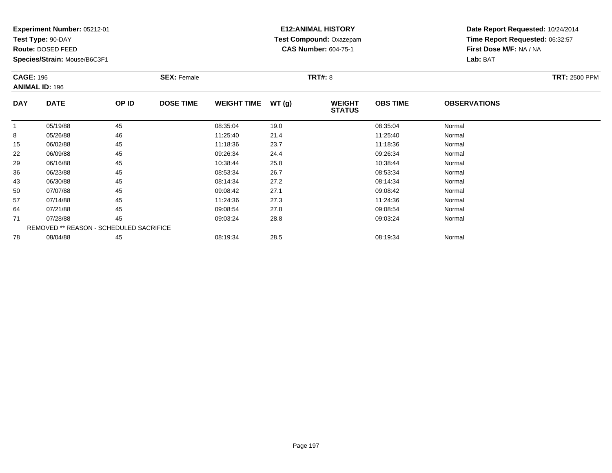**Test Type:** 90-DAY

**Route:** DOSED FEED

**Species/Strain:** Mouse/B6C3F1

# **E12:ANIMAL HISTORY Test Compound:** Oxazepam**CAS Number:** 604-75-1

|            | <b>CAGE: 196</b><br><b>ANIMAL ID: 196</b> |       | <b>TRT#: 8</b><br><b>SEX: Female</b> |                    |       |                                |                 |                     | <b>TRT: 2500 PPM</b> |
|------------|-------------------------------------------|-------|--------------------------------------|--------------------|-------|--------------------------------|-----------------|---------------------|----------------------|
| <b>DAY</b> | <b>DATE</b>                               | OP ID | <b>DOSE TIME</b>                     | <b>WEIGHT TIME</b> | WT(g) | <b>WEIGHT</b><br><b>STATUS</b> | <b>OBS TIME</b> | <b>OBSERVATIONS</b> |                      |
| 1          | 05/19/88                                  | 45    |                                      | 08:35:04           | 19.0  |                                | 08:35:04        | Normal              |                      |
| 8          | 05/26/88                                  | 46    |                                      | 11:25:40           | 21.4  |                                | 11:25:40        | Normal              |                      |
| 15         | 06/02/88                                  | 45    |                                      | 11:18:36           | 23.7  |                                | 11:18:36        | Normal              |                      |
| 22         | 06/09/88                                  | 45    |                                      | 09:26:34           | 24.4  |                                | 09:26:34        | Normal              |                      |
| 29         | 06/16/88                                  | 45    |                                      | 10:38:44           | 25.8  |                                | 10:38:44        | Normal              |                      |
| 36         | 06/23/88                                  | 45    |                                      | 08:53:34           | 26.7  |                                | 08:53:34        | Normal              |                      |
| 43         | 06/30/88                                  | 45    |                                      | 08:14:34           | 27.2  |                                | 08:14:34        | Normal              |                      |
| 50         | 07/07/88                                  | 45    |                                      | 09:08:42           | 27.1  |                                | 09:08:42        | Normal              |                      |
| 57         | 07/14/88                                  | 45    |                                      | 11:24:36           | 27.3  |                                | 11:24:36        | Normal              |                      |
| 64         | 07/21/88                                  | 45    |                                      | 09:08:54           | 27.8  |                                | 09:08:54        | Normal              |                      |
| 71         | 07/28/88                                  | 45    |                                      | 09:03:24           | 28.8  |                                | 09:03:24        | Normal              |                      |
|            | REMOVED ** REASON - SCHEDULED SACRIFICE   |       |                                      |                    |       |                                |                 |                     |                      |
| 78         | 08/04/88                                  | 45    |                                      | 08:19:34           | 28.5  |                                | 08:19:34        | Normal              |                      |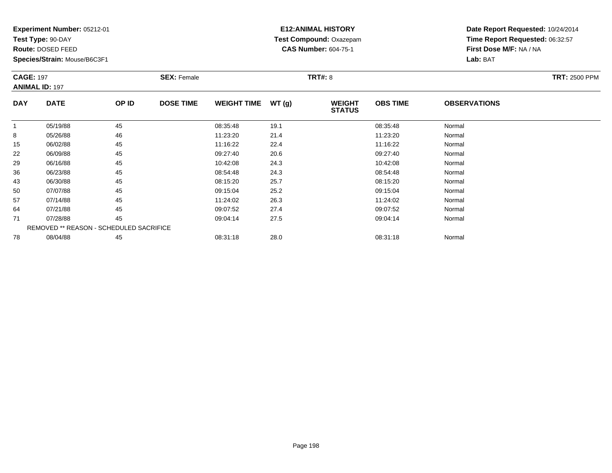**Test Type:** 90-DAY

**Route:** DOSED FEED

**Species/Strain:** Mouse/B6C3F1

# **E12:ANIMAL HISTORY Test Compound:** Oxazepam**CAS Number:** 604-75-1

| <b>CAGE: 197</b><br><b>ANIMAL ID: 197</b> |                                                | <b>SEX: Female</b> |                  |                    | <b>TRT#: 8</b> | <b>TRT: 2500 PPM</b>           |                 |                     |  |
|-------------------------------------------|------------------------------------------------|--------------------|------------------|--------------------|----------------|--------------------------------|-----------------|---------------------|--|
| <b>DAY</b>                                | <b>DATE</b>                                    | OP ID              | <b>DOSE TIME</b> | <b>WEIGHT TIME</b> | WT(g)          | <b>WEIGHT</b><br><b>STATUS</b> | <b>OBS TIME</b> | <b>OBSERVATIONS</b> |  |
| $\mathbf{1}$                              | 05/19/88                                       | 45                 |                  | 08:35:48           | 19.1           |                                | 08:35:48        | Normal              |  |
| 8                                         | 05/26/88                                       | 46                 |                  | 11:23:20           | 21.4           |                                | 11:23:20        | Normal              |  |
| 15                                        | 06/02/88                                       | 45                 |                  | 11:16:22           | 22.4           |                                | 11:16:22        | Normal              |  |
| 22                                        | 06/09/88                                       | 45                 |                  | 09:27:40           | 20.6           |                                | 09:27:40        | Normal              |  |
| 29                                        | 06/16/88                                       | 45                 |                  | 10:42:08           | 24.3           |                                | 10:42:08        | Normal              |  |
| 36                                        | 06/23/88                                       | 45                 |                  | 08:54:48           | 24.3           |                                | 08:54:48        | Normal              |  |
| 43                                        | 06/30/88                                       | 45                 |                  | 08:15:20           | 25.7           |                                | 08:15:20        | Normal              |  |
| 50                                        | 07/07/88                                       | 45                 |                  | 09:15:04           | 25.2           |                                | 09:15:04        | Normal              |  |
| 57                                        | 07/14/88                                       | 45                 |                  | 11:24:02           | 26.3           |                                | 11:24:02        | Normal              |  |
| 64                                        | 07/21/88                                       | 45                 |                  | 09:07:52           | 27.4           |                                | 09:07:52        | Normal              |  |
| 71                                        | 07/28/88                                       | 45                 |                  | 09:04:14           | 27.5           |                                | 09:04:14        | Normal              |  |
|                                           | <b>REMOVED ** REASON - SCHEDULED SACRIFICE</b> |                    |                  |                    |                |                                |                 |                     |  |
| 78                                        | 08/04/88                                       | 45                 |                  | 08:31:18           | 28.0           |                                | 08:31:18        | Normal              |  |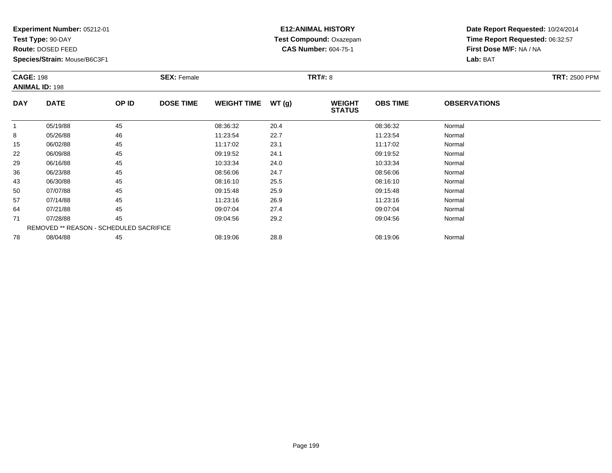**Test Type:** 90-DAY

**Route:** DOSED FEED

**Species/Strain:** Mouse/B6C3F1

# **E12:ANIMAL HISTORY Test Compound:** Oxazepam**CAS Number:** 604-75-1

| <b>CAGE: 198</b><br><b>ANIMAL ID: 198</b> |                                                | <b>SEX: Female</b> |                  |                    | <b>TRT#: 8</b> |                                | <b>TRT: 2500 PPM</b> |                     |  |
|-------------------------------------------|------------------------------------------------|--------------------|------------------|--------------------|----------------|--------------------------------|----------------------|---------------------|--|
| <b>DAY</b>                                | <b>DATE</b>                                    | OP ID              | <b>DOSE TIME</b> | <b>WEIGHT TIME</b> | WT(g)          | <b>WEIGHT</b><br><b>STATUS</b> | <b>OBS TIME</b>      | <b>OBSERVATIONS</b> |  |
|                                           | 05/19/88                                       | 45                 |                  | 08:36:32           | 20.4           |                                | 08:36:32             | Normal              |  |
| 8                                         | 05/26/88                                       | 46                 |                  | 11:23:54           | 22.7           |                                | 11:23:54             | Normal              |  |
| 15                                        | 06/02/88                                       | 45                 |                  | 11:17:02           | 23.1           |                                | 11:17:02             | Normal              |  |
| 22                                        | 06/09/88                                       | 45                 |                  | 09:19:52           | 24.1           |                                | 09:19:52             | Normal              |  |
| 29                                        | 06/16/88                                       | 45                 |                  | 10:33:34           | 24.0           |                                | 10:33:34             | Normal              |  |
| 36                                        | 06/23/88                                       | 45                 |                  | 08:56:06           | 24.7           |                                | 08:56:06             | Normal              |  |
| 43                                        | 06/30/88                                       | 45                 |                  | 08:16:10           | 25.5           |                                | 08:16:10             | Normal              |  |
| 50                                        | 07/07/88                                       | 45                 |                  | 09:15:48           | 25.9           |                                | 09:15:48             | Normal              |  |
| 57                                        | 07/14/88                                       | 45                 |                  | 11:23:16           | 26.9           |                                | 11:23:16             | Normal              |  |
| 64                                        | 07/21/88                                       | 45                 |                  | 09:07:04           | 27.4           |                                | 09:07:04             | Normal              |  |
| 71                                        | 07/28/88                                       | 45                 |                  | 09:04:56           | 29.2           |                                | 09:04:56             | Normal              |  |
|                                           | <b>REMOVED ** REASON - SCHEDULED SACRIFICE</b> |                    |                  |                    |                |                                |                      |                     |  |
| 78                                        | 08/04/88                                       | 45                 |                  | 08:19:06           | 28.8           |                                | 08:19:06             | Normal              |  |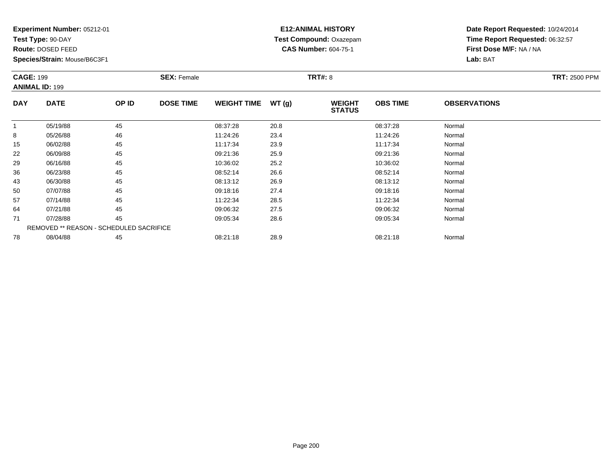**Test Type:** 90-DAY

**Route:** DOSED FEED

**Species/Strain:** Mouse/B6C3F1

# **E12:ANIMAL HISTORY Test Compound:** Oxazepam**CAS Number:** 604-75-1

|            | <b>CAGE: 199</b><br><b>ANIMAL ID: 199</b> |       | <b>SEX: Female</b> |                    |       | <b>TRT#: 8</b>                 |                 | <b>TRT: 2500 PPM</b> |  |
|------------|-------------------------------------------|-------|--------------------|--------------------|-------|--------------------------------|-----------------|----------------------|--|
| <b>DAY</b> | <b>DATE</b>                               | OP ID | <b>DOSE TIME</b>   | <b>WEIGHT TIME</b> | WT(g) | <b>WEIGHT</b><br><b>STATUS</b> | <b>OBS TIME</b> | <b>OBSERVATIONS</b>  |  |
|            | 05/19/88                                  | 45    |                    | 08:37:28           | 20.8  |                                | 08:37:28        | Normal               |  |
| 8          | 05/26/88                                  | 46    |                    | 11:24:26           | 23.4  |                                | 11:24:26        | Normal               |  |
| 15         | 06/02/88                                  | 45    |                    | 11:17:34           | 23.9  |                                | 11:17:34        | Normal               |  |
| 22         | 06/09/88                                  | 45    |                    | 09:21:36           | 25.9  |                                | 09:21:36        | Normal               |  |
| 29         | 06/16/88                                  | 45    |                    | 10:36:02           | 25.2  |                                | 10:36:02        | Normal               |  |
| 36         | 06/23/88                                  | 45    |                    | 08:52:14           | 26.6  |                                | 08:52:14        | Normal               |  |
| 43         | 06/30/88                                  | 45    |                    | 08:13:12           | 26.9  |                                | 08:13:12        | Normal               |  |
| 50         | 07/07/88                                  | 45    |                    | 09:18:16           | 27.4  |                                | 09:18:16        | Normal               |  |
| 57         | 07/14/88                                  | 45    |                    | 11:22:34           | 28.5  |                                | 11:22:34        | Normal               |  |
| 64         | 07/21/88                                  | 45    |                    | 09:06:32           | 27.5  |                                | 09:06:32        | Normal               |  |
| 71         | 07/28/88                                  | 45    |                    | 09:05:34           | 28.6  |                                | 09:05:34        | Normal               |  |
|            | REMOVED ** REASON - SCHEDULED SACRIFICE   |       |                    |                    |       |                                |                 |                      |  |
| 78         | 08/04/88                                  | 45    |                    | 08:21:18           | 28.9  |                                | 08:21:18        | Normal               |  |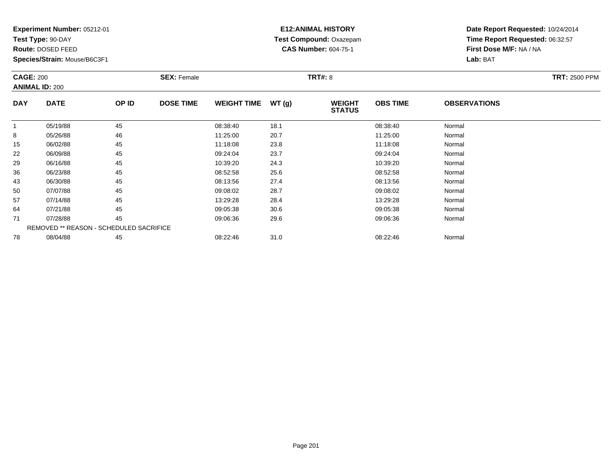**Test Type:** 90-DAY

**Route:** DOSED FEED

**Species/Strain:** Mouse/B6C3F1

# **E12:ANIMAL HISTORY Test Compound:** Oxazepam**CAS Number:** 604-75-1

|            | <b>CAGE: 200</b><br><b>ANIMAL ID: 200</b> |       | <b>SEX: Female</b> |                    |       | <b>TRT#: 8</b>                 |                 | <b>TRT: 2500 PPM</b> |  |
|------------|-------------------------------------------|-------|--------------------|--------------------|-------|--------------------------------|-----------------|----------------------|--|
| <b>DAY</b> | <b>DATE</b>                               | OP ID | <b>DOSE TIME</b>   | <b>WEIGHT TIME</b> | WT(g) | <b>WEIGHT</b><br><b>STATUS</b> | <b>OBS TIME</b> | <b>OBSERVATIONS</b>  |  |
| 1          | 05/19/88                                  | 45    |                    | 08:38:40           | 18.1  |                                | 08:38:40        | Normal               |  |
| 8          | 05/26/88                                  | 46    |                    | 11:25:00           | 20.7  |                                | 11:25:00        | Normal               |  |
| 15         | 06/02/88                                  | 45    |                    | 11:18:08           | 23.8  |                                | 11:18:08        | Normal               |  |
| 22         | 06/09/88                                  | 45    |                    | 09:24:04           | 23.7  |                                | 09:24:04        | Normal               |  |
| 29         | 06/16/88                                  | 45    |                    | 10:39:20           | 24.3  |                                | 10:39:20        | Normal               |  |
| 36         | 06/23/88                                  | 45    |                    | 08:52:58           | 25.6  |                                | 08:52:58        | Normal               |  |
| 43         | 06/30/88                                  | 45    |                    | 08:13:56           | 27.4  |                                | 08:13:56        | Normal               |  |
| 50         | 07/07/88                                  | 45    |                    | 09:08:02           | 28.7  |                                | 09:08:02        | Normal               |  |
| 57         | 07/14/88                                  | 45    |                    | 13:29:28           | 28.4  |                                | 13:29:28        | Normal               |  |
| 64         | 07/21/88                                  | 45    |                    | 09:05:38           | 30.6  |                                | 09:05:38        | Normal               |  |
| 71         | 07/28/88                                  | 45    |                    | 09:06:36           | 29.6  |                                | 09:06:36        | Normal               |  |
|            | REMOVED ** REASON - SCHEDULED SACRIFICE   |       |                    |                    |       |                                |                 |                      |  |
| 78         | 08/04/88                                  | 45    |                    | 08:22:46           | 31.0  |                                | 08:22:46        | Normal               |  |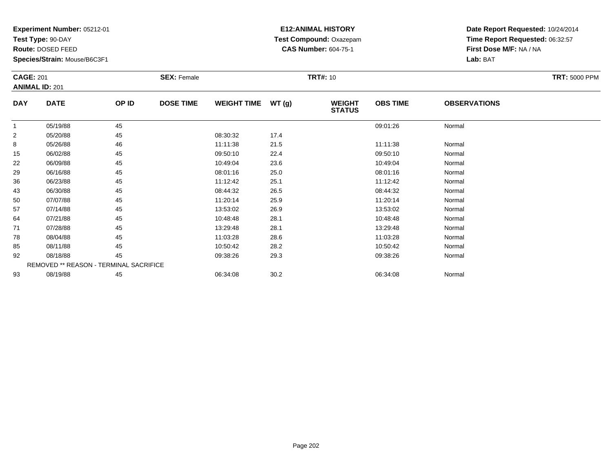**Test Type:** 90-DAY

**Route:** DOSED FEED

93

**Species/Strain:** Mouse/B6C3F1

## **E12:ANIMAL HISTORY Test Compound:** Oxazepam**CAS Number:** 604-75-1

**Date Report Requested:** 10/24/2014**Time Report Requested:** 06:32:57**First Dose M/F:** NA / NA**Lab:** BAT

| <b>CAGE: 201</b><br><b>ANIMAL ID: 201</b> |                                               | <b>SEX: Female</b> |                  |                    | <b>TRT#: 10</b> | <b>TRT: 5000 PPM</b>           |                 |                     |  |
|-------------------------------------------|-----------------------------------------------|--------------------|------------------|--------------------|-----------------|--------------------------------|-----------------|---------------------|--|
| <b>DAY</b>                                | <b>DATE</b>                                   | OP ID              | <b>DOSE TIME</b> | <b>WEIGHT TIME</b> | WT(g)           | <b>WEIGHT</b><br><b>STATUS</b> | <b>OBS TIME</b> | <b>OBSERVATIONS</b> |  |
|                                           | 05/19/88                                      | 45                 |                  |                    |                 |                                | 09:01:26        | Normal              |  |
| $\overline{2}$                            | 05/20/88                                      | 45                 |                  | 08:30:32           | 17.4            |                                |                 |                     |  |
| 8                                         | 05/26/88                                      | 46                 |                  | 11:11:38           | 21.5            |                                | 11:11:38        | Normal              |  |
| 15                                        | 06/02/88                                      | 45                 |                  | 09:50:10           | 22.4            |                                | 09:50:10        | Normal              |  |
| 22                                        | 06/09/88                                      | 45                 |                  | 10:49:04           | 23.6            |                                | 10:49:04        | Normal              |  |
| 29                                        | 06/16/88                                      | 45                 |                  | 08:01:16           | 25.0            |                                | 08:01:16        | Normal              |  |
| 36                                        | 06/23/88                                      | 45                 |                  | 11:12:42           | 25.1            |                                | 11:12:42        | Normal              |  |
| 43                                        | 06/30/88                                      | 45                 |                  | 08:44:32           | 26.5            |                                | 08:44:32        | Normal              |  |
| 50                                        | 07/07/88                                      | 45                 |                  | 11:20:14           | 25.9            |                                | 11:20:14        | Normal              |  |
| 57                                        | 07/14/88                                      | 45                 |                  | 13:53:02           | 26.9            |                                | 13:53:02        | Normal              |  |
| 64                                        | 07/21/88                                      | 45                 |                  | 10:48:48           | 28.1            |                                | 10:48:48        | Normal              |  |
| 71                                        | 07/28/88                                      | 45                 |                  | 13:29:48           | 28.1            |                                | 13:29:48        | Normal              |  |
| 78                                        | 08/04/88                                      | 45                 |                  | 11:03:28           | 28.6            |                                | 11:03:28        | Normal              |  |
| 85                                        | 08/11/88                                      | 45                 |                  | 10:50:42           | 28.2            |                                | 10:50:42        | Normal              |  |
| 92                                        | 08/18/88                                      | 45                 |                  | 09:38:26           | 29.3            |                                | 09:38:26        | Normal              |  |
|                                           | <b>REMOVED ** REASON - TERMINAL SACRIFICE</b> |                    |                  |                    |                 |                                |                 |                     |  |

3 08/19/88 45 45 06:34:08 30.2 30.2 66:34:08 06:34:08 06:34:08 30.2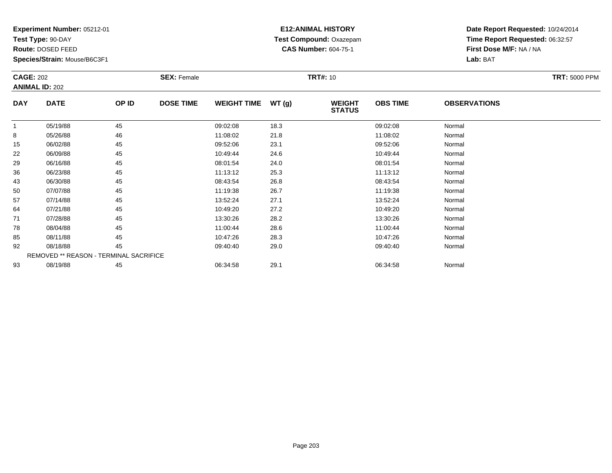**Test Type:** 90-DAY

**Route:** DOSED FEED

**Species/Strain:** Mouse/B6C3F1

# **E12:ANIMAL HISTORY Test Compound:** Oxazepam**CAS Number:** 604-75-1

| <b>CAGE: 202</b><br><b>ANIMAL ID: 202</b> |             | <b>SEX: Female</b>                     |                  |                    | <b>TRT#: 10</b> |                                | <b>TRT: 5000 PPM</b> |                     |  |
|-------------------------------------------|-------------|----------------------------------------|------------------|--------------------|-----------------|--------------------------------|----------------------|---------------------|--|
| <b>DAY</b>                                | <b>DATE</b> | OP ID                                  | <b>DOSE TIME</b> | <b>WEIGHT TIME</b> | WT(g)           | <b>WEIGHT</b><br><b>STATUS</b> | <b>OBS TIME</b>      | <b>OBSERVATIONS</b> |  |
| $\mathbf{1}$                              | 05/19/88    | 45                                     |                  | 09:02:08           | 18.3            |                                | 09:02:08             | Normal              |  |
| 8                                         | 05/26/88    | 46                                     |                  | 11:08:02           | 21.8            |                                | 11:08:02             | Normal              |  |
| 15                                        | 06/02/88    | 45                                     |                  | 09:52:06           | 23.1            |                                | 09:52:06             | Normal              |  |
| 22                                        | 06/09/88    | 45                                     |                  | 10:49:44           | 24.6            |                                | 10:49:44             | Normal              |  |
| 29                                        | 06/16/88    | 45                                     |                  | 08:01:54           | 24.0            |                                | 08:01:54             | Normal              |  |
| 36                                        | 06/23/88    | 45                                     |                  | 11:13:12           | 25.3            |                                | 11:13:12             | Normal              |  |
| 43                                        | 06/30/88    | 45                                     |                  | 08:43:54           | 26.8            |                                | 08:43:54             | Normal              |  |
| 50                                        | 07/07/88    | 45                                     |                  | 11:19:38           | 26.7            |                                | 11:19:38             | Normal              |  |
| 57                                        | 07/14/88    | 45                                     |                  | 13:52:24           | 27.1            |                                | 13:52:24             | Normal              |  |
| 64                                        | 07/21/88    | 45                                     |                  | 10:49:20           | 27.2            |                                | 10:49:20             | Normal              |  |
| 71                                        | 07/28/88    | 45                                     |                  | 13:30:26           | 28.2            |                                | 13:30:26             | Normal              |  |
| 78                                        | 08/04/88    | 45                                     |                  | 11:00:44           | 28.6            |                                | 11:00:44             | Normal              |  |
| 85                                        | 08/11/88    | 45                                     |                  | 10:47:26           | 28.3            |                                | 10:47:26             | Normal              |  |
| 92                                        | 08/18/88    | 45                                     |                  | 09:40:40           | 29.0            |                                | 09:40:40             | Normal              |  |
|                                           |             | REMOVED ** REASON - TERMINAL SACRIFICE |                  |                    |                 |                                |                      |                     |  |
| 93                                        | 08/19/88    | 45                                     |                  | 06:34:58           | 29.1            |                                | 06:34:58             | Normal              |  |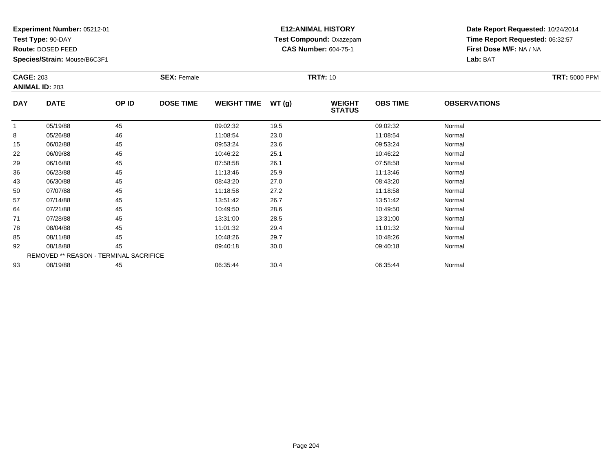**Test Type:** 90-DAY

**Route:** DOSED FEED

**Species/Strain:** Mouse/B6C3F1

# **E12:ANIMAL HISTORY Test Compound:** Oxazepam**CAS Number:** 604-75-1

| <b>CAGE: 203</b><br><b>ANIMAL ID: 203</b> |                                        | <b>SEX: Female</b> |                  |                    | <b>TRT#: 10</b> |                                | <b>TRT: 5000 PPM</b> |                     |  |
|-------------------------------------------|----------------------------------------|--------------------|------------------|--------------------|-----------------|--------------------------------|----------------------|---------------------|--|
| <b>DAY</b>                                | <b>DATE</b>                            | OP ID              | <b>DOSE TIME</b> | <b>WEIGHT TIME</b> | <b>WT (g)</b>   | <b>WEIGHT</b><br><b>STATUS</b> | <b>OBS TIME</b>      | <b>OBSERVATIONS</b> |  |
|                                           | 05/19/88                               | 45                 |                  | 09:02:32           | 19.5            |                                | 09:02:32             | Normal              |  |
| 8                                         | 05/26/88                               | 46                 |                  | 11:08:54           | 23.0            |                                | 11:08:54             | Normal              |  |
| 15                                        | 06/02/88                               | 45                 |                  | 09:53:24           | 23.6            |                                | 09:53:24             | Normal              |  |
| 22                                        | 06/09/88                               | 45                 |                  | 10:46:22           | 25.1            |                                | 10:46:22             | Normal              |  |
| 29                                        | 06/16/88                               | 45                 |                  | 07:58:58           | 26.1            |                                | 07:58:58             | Normal              |  |
| 36                                        | 06/23/88                               | 45                 |                  | 11:13:46           | 25.9            |                                | 11:13:46             | Normal              |  |
| 43                                        | 06/30/88                               | 45                 |                  | 08:43:20           | 27.0            |                                | 08:43:20             | Normal              |  |
| 50                                        | 07/07/88                               | 45                 |                  | 11:18:58           | 27.2            |                                | 11:18:58             | Normal              |  |
| 57                                        | 07/14/88                               | 45                 |                  | 13:51:42           | 26.7            |                                | 13:51:42             | Normal              |  |
| 64                                        | 07/21/88                               | 45                 |                  | 10:49:50           | 28.6            |                                | 10:49:50             | Normal              |  |
| 71                                        | 07/28/88                               | 45                 |                  | 13:31:00           | 28.5            |                                | 13:31:00             | Normal              |  |
| 78                                        | 08/04/88                               | 45                 |                  | 11:01:32           | 29.4            |                                | 11:01:32             | Normal              |  |
| 85                                        | 08/11/88                               | 45                 |                  | 10:48:26           | 29.7            |                                | 10:48:26             | Normal              |  |
| 92                                        | 08/18/88                               | 45                 |                  | 09:40:18           | 30.0            |                                | 09:40:18             | Normal              |  |
|                                           | REMOVED ** REASON - TERMINAL SACRIFICE |                    |                  |                    |                 |                                |                      |                     |  |
| 93                                        | 08/19/88                               | 45                 |                  | 06:35:44           | 30.4            |                                | 06:35:44             | Normal              |  |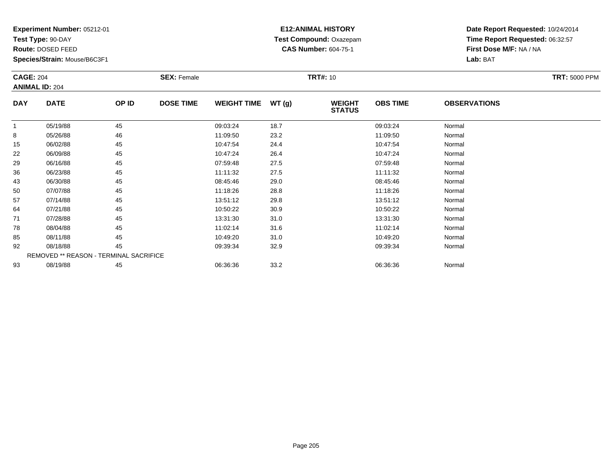**Test Type:** 90-DAY

**Route:** DOSED FEED

**Species/Strain:** Mouse/B6C3F1

# **E12:ANIMAL HISTORY Test Compound:** Oxazepam**CAS Number:** 604-75-1

| <b>CAGE: 204</b><br><b>ANIMAL ID: 204</b> |             | <b>SEX: Female</b>                     |                  | <b>TRT#: 10</b>    | <b>TRT: 5000 PPM</b> |                                |                 |                     |  |
|-------------------------------------------|-------------|----------------------------------------|------------------|--------------------|----------------------|--------------------------------|-----------------|---------------------|--|
| <b>DAY</b>                                | <b>DATE</b> | OP ID                                  | <b>DOSE TIME</b> | <b>WEIGHT TIME</b> | WT(g)                | <b>WEIGHT</b><br><b>STATUS</b> | <b>OBS TIME</b> | <b>OBSERVATIONS</b> |  |
| $\mathbf{1}$                              | 05/19/88    | 45                                     |                  | 09:03:24           | 18.7                 |                                | 09:03:24        | Normal              |  |
| 8                                         | 05/26/88    | 46                                     |                  | 11:09:50           | 23.2                 |                                | 11:09:50        | Normal              |  |
| 15                                        | 06/02/88    | 45                                     |                  | 10:47:54           | 24.4                 |                                | 10:47:54        | Normal              |  |
| 22                                        | 06/09/88    | 45                                     |                  | 10:47:24           | 26.4                 |                                | 10:47:24        | Normal              |  |
| 29                                        | 06/16/88    | 45                                     |                  | 07:59:48           | 27.5                 |                                | 07:59:48        | Normal              |  |
| 36                                        | 06/23/88    | 45                                     |                  | 11:11:32           | 27.5                 |                                | 11:11:32        | Normal              |  |
| 43                                        | 06/30/88    | 45                                     |                  | 08:45:46           | 29.0                 |                                | 08:45:46        | Normal              |  |
| 50                                        | 07/07/88    | 45                                     |                  | 11:18:26           | 28.8                 |                                | 11:18:26        | Normal              |  |
| 57                                        | 07/14/88    | 45                                     |                  | 13:51:12           | 29.8                 |                                | 13:51:12        | Normal              |  |
| 64                                        | 07/21/88    | 45                                     |                  | 10:50:22           | 30.9                 |                                | 10:50:22        | Normal              |  |
| 71                                        | 07/28/88    | 45                                     |                  | 13:31:30           | 31.0                 |                                | 13:31:30        | Normal              |  |
| 78                                        | 08/04/88    | 45                                     |                  | 11:02:14           | 31.6                 |                                | 11:02:14        | Normal              |  |
| 85                                        | 08/11/88    | 45                                     |                  | 10:49:20           | 31.0                 |                                | 10:49:20        | Normal              |  |
| 92                                        | 08/18/88    | 45                                     |                  | 09:39:34           | 32.9                 |                                | 09:39:34        | Normal              |  |
|                                           |             | REMOVED ** REASON - TERMINAL SACRIFICE |                  |                    |                      |                                |                 |                     |  |
| 93                                        | 08/19/88    | 45                                     |                  | 06:36:36           | 33.2                 |                                | 06:36:36        | Normal              |  |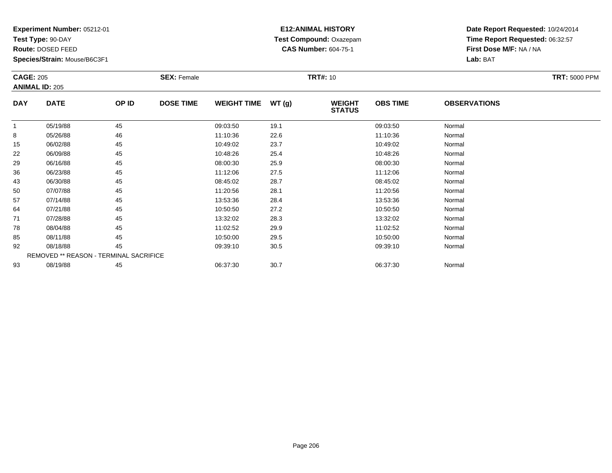**Test Type:** 90-DAY

**Route:** DOSED FEED

**Species/Strain:** Mouse/B6C3F1

# **E12:ANIMAL HISTORY Test Compound:** Oxazepam**CAS Number:** 604-75-1

| <b>CAGE: 205</b><br><b>ANIMAL ID: 205</b> |             | <b>SEX: Female</b>                     |                  |                    | <b>TRT#: 10</b> |                                | <b>TRT: 5000 PPM</b> |                     |  |
|-------------------------------------------|-------------|----------------------------------------|------------------|--------------------|-----------------|--------------------------------|----------------------|---------------------|--|
| <b>DAY</b>                                | <b>DATE</b> | OP ID                                  | <b>DOSE TIME</b> | <b>WEIGHT TIME</b> | WT(g)           | <b>WEIGHT</b><br><b>STATUS</b> | <b>OBS TIME</b>      | <b>OBSERVATIONS</b> |  |
| 1                                         | 05/19/88    | 45                                     |                  | 09:03:50           | 19.1            |                                | 09:03:50             | Normal              |  |
| 8                                         | 05/26/88    | 46                                     |                  | 11:10:36           | 22.6            |                                | 11:10:36             | Normal              |  |
| 15                                        | 06/02/88    | 45                                     |                  | 10:49:02           | 23.7            |                                | 10:49:02             | Normal              |  |
| 22                                        | 06/09/88    | 45                                     |                  | 10:48:26           | 25.4            |                                | 10:48:26             | Normal              |  |
| 29                                        | 06/16/88    | 45                                     |                  | 08:00:30           | 25.9            |                                | 08:00:30             | Normal              |  |
| 36                                        | 06/23/88    | 45                                     |                  | 11:12:06           | 27.5            |                                | 11:12:06             | Normal              |  |
| 43                                        | 06/30/88    | 45                                     |                  | 08:45:02           | 28.7            |                                | 08:45:02             | Normal              |  |
| 50                                        | 07/07/88    | 45                                     |                  | 11:20:56           | 28.1            |                                | 11:20:56             | Normal              |  |
| 57                                        | 07/14/88    | 45                                     |                  | 13:53:36           | 28.4            |                                | 13:53:36             | Normal              |  |
| 64                                        | 07/21/88    | 45                                     |                  | 10:50:50           | 27.2            |                                | 10:50:50             | Normal              |  |
| 71                                        | 07/28/88    | 45                                     |                  | 13:32:02           | 28.3            |                                | 13:32:02             | Normal              |  |
| 78                                        | 08/04/88    | 45                                     |                  | 11:02:52           | 29.9            |                                | 11:02:52             | Normal              |  |
| 85                                        | 08/11/88    | 45                                     |                  | 10:50:00           | 29.5            |                                | 10:50:00             | Normal              |  |
| 92                                        | 08/18/88    | 45                                     |                  | 09:39:10           | 30.5            |                                | 09:39:10             | Normal              |  |
|                                           |             | REMOVED ** REASON - TERMINAL SACRIFICE |                  |                    |                 |                                |                      |                     |  |
| 93                                        | 08/19/88    | 45                                     |                  | 06:37:30           | 30.7            |                                | 06:37:30             | Normal              |  |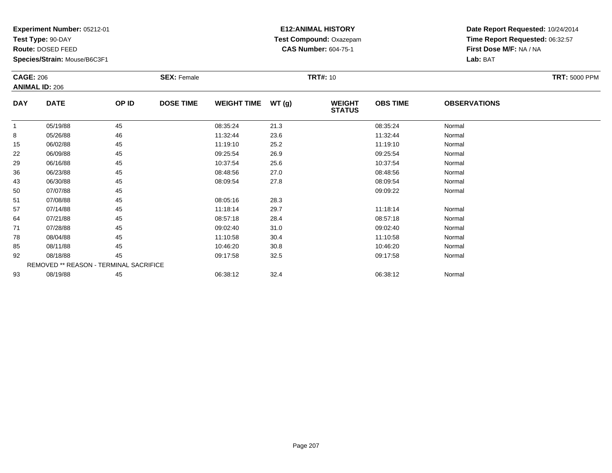**Test Type:** 90-DAY

**Route:** DOSED FEED

**Species/Strain:** Mouse/B6C3F1

# **E12:ANIMAL HISTORY Test Compound:** Oxazepam**CAS Number:** 604-75-1

**Date Report Requested:** 10/24/2014**Time Report Requested:** 06:32:57**First Dose M/F:** NA / NA**Lab:** BAT

| <b>CAGE: 206</b><br><b>ANIMAL ID: 206</b> |                                               |                  | <b>SEX: Female</b> |          | <b>TRT: 5000 PPM</b>           |                 |                     |        |  |
|-------------------------------------------|-----------------------------------------------|------------------|--------------------|----------|--------------------------------|-----------------|---------------------|--------|--|
| <b>DAY</b>                                | OP ID<br><b>DATE</b>                          | <b>DOSE TIME</b> | <b>WEIGHT TIME</b> | WT(g)    | <b>WEIGHT</b><br><b>STATUS</b> | <b>OBS TIME</b> | <b>OBSERVATIONS</b> |        |  |
|                                           | 05/19/88                                      | 45               |                    | 08:35:24 | 21.3                           |                 | 08:35:24            | Normal |  |
| 8                                         | 05/26/88                                      | 46               |                    | 11:32:44 | 23.6                           |                 | 11:32:44            | Normal |  |
| 15                                        | 06/02/88                                      | 45               |                    | 11:19:10 | 25.2                           |                 | 11:19:10            | Normal |  |
| 22                                        | 06/09/88                                      | 45               |                    | 09:25:54 | 26.9                           |                 | 09:25:54            | Normal |  |
| 29                                        | 06/16/88                                      | 45               |                    | 10:37:54 | 25.6                           |                 | 10:37:54            | Normal |  |
| 36                                        | 06/23/88                                      | 45               |                    | 08:48:56 | 27.0                           |                 | 08:48:56            | Normal |  |
| 43                                        | 06/30/88                                      | 45               |                    | 08:09:54 | 27.8                           |                 | 08:09:54            | Normal |  |
| 50                                        | 07/07/88                                      | 45               |                    |          |                                |                 | 09:09:22            | Normal |  |
| 51                                        | 07/08/88                                      | 45               |                    | 08:05:16 | 28.3                           |                 |                     |        |  |
| 57                                        | 07/14/88                                      | 45               |                    | 11:18:14 | 29.7                           |                 | 11:18:14            | Normal |  |
| 64                                        | 07/21/88                                      | 45               |                    | 08:57:18 | 28.4                           |                 | 08:57:18            | Normal |  |
| 71                                        | 07/28/88                                      | 45               |                    | 09:02:40 | 31.0                           |                 | 09:02:40            | Normal |  |
| 78                                        | 08/04/88                                      | 45               |                    | 11:10:58 | 30.4                           |                 | 11:10:58            | Normal |  |
| 85                                        | 08/11/88                                      | 45               |                    | 10:46:20 | 30.8                           |                 | 10:46:20            | Normal |  |
| 92                                        | 08/18/88                                      | 45               |                    | 09:17:58 | 32.5                           |                 | 09:17:58            | Normal |  |
|                                           | <b>REMOVED ** REASON - TERMINAL SACRIFICE</b> |                  |                    |          |                                |                 |                     |        |  |
| 93                                        | 08/19/88                                      | 45               |                    | 06:38:12 | 32.4                           |                 | 06:38:12            | Normal |  |

08/19/88 <sup>45</sup> 06:38:12 32.4 06:38:12 Normal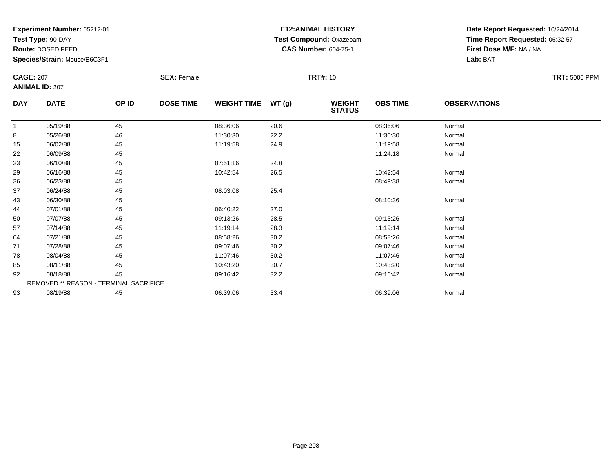**Test Type:** 90-DAY

**Route:** DOSED FEED

85

92

93

**Species/Strain:** Mouse/B6C3F1

REMOVED \*\* REASON - TERMINAL SACRIFICE

## **E12:ANIMAL HISTORY Test Compound:** Oxazepam**CAS Number:** 604-75-1

**Date Report Requested:** 10/24/2014**Time Report Requested:** 06:32:57**First Dose M/F:** NA / NA**Lab:** BAT

| <b>CAGE: 207</b><br><b>ANIMAL ID: 207</b> |             | <b>SEX: Female</b> |                  |                    | <b>TRT#: 10</b> |                                | <b>TRT: 5000 PPM</b> |                     |  |
|-------------------------------------------|-------------|--------------------|------------------|--------------------|-----------------|--------------------------------|----------------------|---------------------|--|
| <b>DAY</b>                                | <b>DATE</b> | OP ID              | <b>DOSE TIME</b> | <b>WEIGHT TIME</b> | WT(g)           | <b>WEIGHT</b><br><b>STATUS</b> | <b>OBS TIME</b>      | <b>OBSERVATIONS</b> |  |
|                                           | 05/19/88    | 45                 |                  | 08:36:06           | 20.6            |                                | 08:36:06             | Normal              |  |
| 8                                         | 05/26/88    | 46                 |                  | 11:30:30           | 22.2            |                                | 11:30:30             | Normal              |  |
| 15                                        | 06/02/88    | 45                 |                  | 11:19:58           | 24.9            |                                | 11:19:58             | Normal              |  |
| 22                                        | 06/09/88    | 45                 |                  |                    |                 |                                | 11:24:18             | Normal              |  |
| 23                                        | 06/10/88    | 45                 |                  | 07:51:16           | 24.8            |                                |                      |                     |  |
| 29                                        | 06/16/88    | 45                 |                  | 10:42:54           | 26.5            |                                | 10:42:54             | Normal              |  |
| 36                                        | 06/23/88    | 45                 |                  |                    |                 |                                | 08:49:38             | Normal              |  |
| 37                                        | 06/24/88    | 45                 |                  | 08:03:08           | 25.4            |                                |                      |                     |  |
| 43                                        | 06/30/88    | 45                 |                  |                    |                 |                                | 08:10:36             | Normal              |  |
| 44                                        | 07/01/88    | 45                 |                  | 06:40:22           | 27.0            |                                |                      |                     |  |
| 50                                        | 07/07/88    | 45                 |                  | 09:13:26           | 28.5            |                                | 09:13:26             | Normal              |  |
| 57                                        | 07/14/88    | 45                 |                  | 11:19:14           | 28.3            |                                | 11:19:14             | Normal              |  |
| 64                                        | 07/21/88    | 45                 |                  | 08:58:26           | 30.2            |                                | 08:58:26             | Normal              |  |
| 71                                        | 07/28/88    | 45                 |                  | 09:07:46           | 30.2            |                                | 09:07:46             | Normal              |  |
| 78                                        | 08/04/88    | 45                 |                  | 11:07:46           | 30.2            |                                | 11:07:46             | Normal              |  |

5 08/11/88 45 45 10:43:20 30.7 10:43:20 10:43:20 10:43:20 Normal

08/18/88 <sup>45</sup> 09:16:42 32.2 09:16:42 Normal

3 08/19/88 45 45 06:39:06 33.4 66:39:06 33.4 06:39:06 1981 07:08:09 06:39:06 06:39:06 06:39:06 06:39:06 06:39:06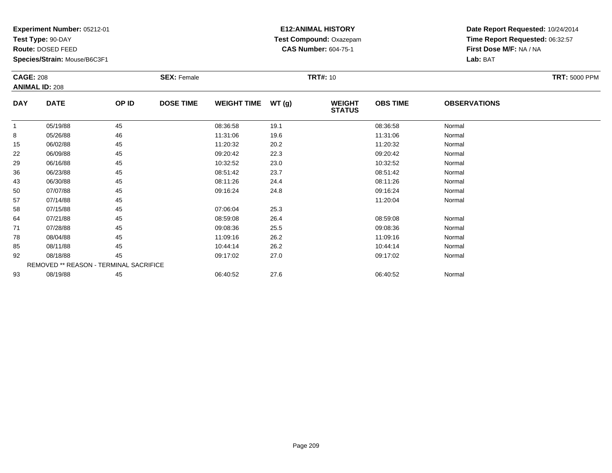**Test Type:** 90-DAY

**Route:** DOSED FEED

**Species/Strain:** Mouse/B6C3F1

# **E12:ANIMAL HISTORY Test Compound:** Oxazepam**CAS Number:** 604-75-1

| <b>CAGE: 208</b><br><b>ANIMAL ID: 208</b> |             | <b>SEX: Female</b>                     |                  |                    | <b>TRT#: 10</b> |                                | <b>TRT: 5000 PPM</b> |                     |  |
|-------------------------------------------|-------------|----------------------------------------|------------------|--------------------|-----------------|--------------------------------|----------------------|---------------------|--|
| <b>DAY</b>                                | <b>DATE</b> | OP ID                                  | <b>DOSE TIME</b> | <b>WEIGHT TIME</b> | WT(g)           | <b>WEIGHT</b><br><b>STATUS</b> | <b>OBS TIME</b>      | <b>OBSERVATIONS</b> |  |
| $\overline{1}$                            | 05/19/88    | 45                                     |                  | 08:36:58           | 19.1            |                                | 08:36:58             | Normal              |  |
| 8                                         | 05/26/88    | 46                                     |                  | 11:31:06           | 19.6            |                                | 11:31:06             | Normal              |  |
| 15                                        | 06/02/88    | 45                                     |                  | 11:20:32           | 20.2            |                                | 11:20:32             | Normal              |  |
| 22                                        | 06/09/88    | 45                                     |                  | 09:20:42           | 22.3            |                                | 09:20:42             | Normal              |  |
| 29                                        | 06/16/88    | 45                                     |                  | 10:32:52           | 23.0            |                                | 10:32:52             | Normal              |  |
| 36                                        | 06/23/88    | 45                                     |                  | 08:51:42           | 23.7            |                                | 08:51:42             | Normal              |  |
| 43                                        | 06/30/88    | 45                                     |                  | 08:11:26           | 24.4            |                                | 08:11:26             | Normal              |  |
| 50                                        | 07/07/88    | 45                                     |                  | 09:16:24           | 24.8            |                                | 09:16:24             | Normal              |  |
| 57                                        | 07/14/88    | 45                                     |                  |                    |                 |                                | 11:20:04             | Normal              |  |
| 58                                        | 07/15/88    | 45                                     |                  | 07:06:04           | 25.3            |                                |                      |                     |  |
| 64                                        | 07/21/88    | 45                                     |                  | 08:59:08           | 26.4            |                                | 08:59:08             | Normal              |  |
| 71                                        | 07/28/88    | 45                                     |                  | 09:08:36           | 25.5            |                                | 09:08:36             | Normal              |  |
| 78                                        | 08/04/88    | 45                                     |                  | 11:09:16           | 26.2            |                                | 11:09:16             | Normal              |  |
| 85                                        | 08/11/88    | 45                                     |                  | 10:44:14           | 26.2            |                                | 10:44:14             | Normal              |  |
| 92                                        | 08/18/88    | 45                                     |                  | 09:17:02           | 27.0            |                                | 09:17:02             | Normal              |  |
|                                           |             | REMOVED ** REASON - TERMINAL SACRIFICE |                  |                    |                 |                                |                      |                     |  |
| 93                                        | 08/19/88    | 45                                     |                  | 06:40:52           | 27.6            |                                | 06:40:52             | Normal              |  |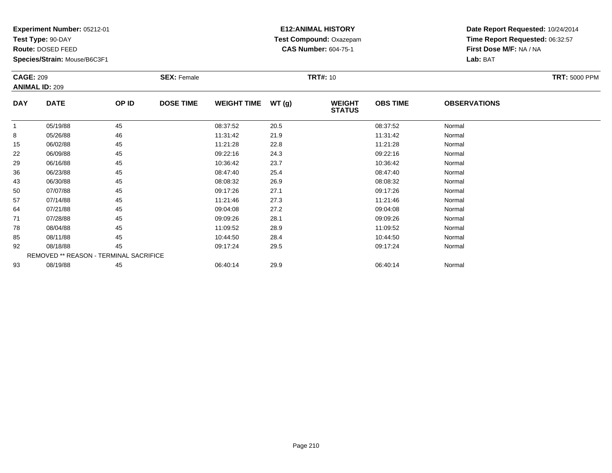**Test Type:** 90-DAY

**Route:** DOSED FEED

**Species/Strain:** Mouse/B6C3F1

# **E12:ANIMAL HISTORY Test Compound:** Oxazepam**CAS Number:** 604-75-1

| <b>CAGE: 209</b><br><b>ANIMAL ID: 209</b> |             | <b>SEX: Female</b>                     |                  | <b>TRT#: 10</b>    |       | <b>TRT: 5000 PPM</b>           |                 |                     |  |
|-------------------------------------------|-------------|----------------------------------------|------------------|--------------------|-------|--------------------------------|-----------------|---------------------|--|
| <b>DAY</b>                                | <b>DATE</b> | OP ID                                  | <b>DOSE TIME</b> | <b>WEIGHT TIME</b> | WT(g) | <b>WEIGHT</b><br><b>STATUS</b> | <b>OBS TIME</b> | <b>OBSERVATIONS</b> |  |
|                                           | 05/19/88    | 45                                     |                  | 08:37:52           | 20.5  |                                | 08:37:52        | Normal              |  |
| 8                                         | 05/26/88    | 46                                     |                  | 11:31:42           | 21.9  |                                | 11:31:42        | Normal              |  |
| 15                                        | 06/02/88    | 45                                     |                  | 11:21:28           | 22.8  |                                | 11:21:28        | Normal              |  |
| 22                                        | 06/09/88    | 45                                     |                  | 09:22:16           | 24.3  |                                | 09:22:16        | Normal              |  |
| 29                                        | 06/16/88    | 45                                     |                  | 10:36:42           | 23.7  |                                | 10:36:42        | Normal              |  |
| 36                                        | 06/23/88    | 45                                     |                  | 08:47:40           | 25.4  |                                | 08:47:40        | Normal              |  |
| 43                                        | 06/30/88    | 45                                     |                  | 08:08:32           | 26.9  |                                | 08:08:32        | Normal              |  |
| 50                                        | 07/07/88    | 45                                     |                  | 09:17:26           | 27.1  |                                | 09:17:26        | Normal              |  |
| 57                                        | 07/14/88    | 45                                     |                  | 11:21:46           | 27.3  |                                | 11:21:46        | Normal              |  |
| 64                                        | 07/21/88    | 45                                     |                  | 09:04:08           | 27.2  |                                | 09:04:08        | Normal              |  |
| 71                                        | 07/28/88    | 45                                     |                  | 09:09:26           | 28.1  |                                | 09:09:26        | Normal              |  |
| 78                                        | 08/04/88    | 45                                     |                  | 11:09:52           | 28.9  |                                | 11:09:52        | Normal              |  |
| 85                                        | 08/11/88    | 45                                     |                  | 10:44:50           | 28.4  |                                | 10:44:50        | Normal              |  |
| 92                                        | 08/18/88    | 45                                     |                  | 09:17:24           | 29.5  |                                | 09:17:24        | Normal              |  |
|                                           |             | REMOVED ** REASON - TERMINAL SACRIFICE |                  |                    |       |                                |                 |                     |  |
| 93                                        | 08/19/88    | 45                                     |                  | 06:40:14           | 29.9  |                                | 06:40:14        | Normal              |  |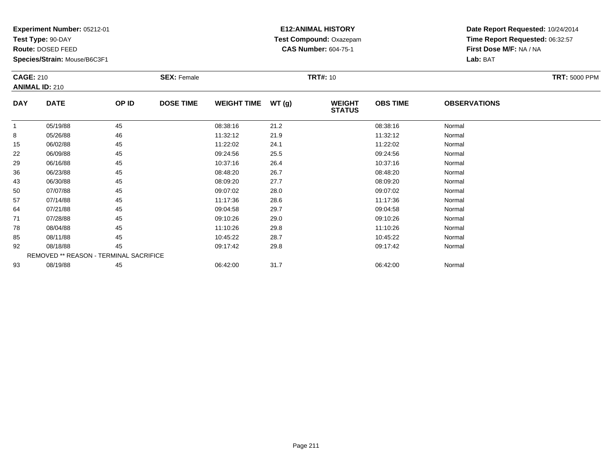**Test Type:** 90-DAY

**Route:** DOSED FEED

**Species/Strain:** Mouse/B6C3F1

# **E12:ANIMAL HISTORY Test Compound:** Oxazepam**CAS Number:** 604-75-1

| <b>CAGE: 210</b><br><b>ANIMAL ID: 210</b> |                                        | <b>SEX: Female</b> |                  | <b>TRT#: 10</b>    |       | <b>TRT: 5000 PPM</b>           |                 |                     |  |
|-------------------------------------------|----------------------------------------|--------------------|------------------|--------------------|-------|--------------------------------|-----------------|---------------------|--|
| <b>DAY</b>                                | <b>DATE</b>                            | OP ID              | <b>DOSE TIME</b> | <b>WEIGHT TIME</b> | WT(g) | <b>WEIGHT</b><br><b>STATUS</b> | <b>OBS TIME</b> | <b>OBSERVATIONS</b> |  |
|                                           | 05/19/88                               | 45                 |                  | 08:38:16           | 21.2  |                                | 08:38:16        | Normal              |  |
| 8                                         | 05/26/88                               | 46                 |                  | 11:32:12           | 21.9  |                                | 11:32:12        | Normal              |  |
| 15                                        | 06/02/88                               | 45                 |                  | 11:22:02           | 24.1  |                                | 11:22:02        | Normal              |  |
| 22                                        | 06/09/88                               | 45                 |                  | 09:24:56           | 25.5  |                                | 09:24:56        | Normal              |  |
| 29                                        | 06/16/88                               | 45                 |                  | 10:37:16           | 26.4  |                                | 10:37:16        | Normal              |  |
| 36                                        | 06/23/88                               | 45                 |                  | 08:48:20           | 26.7  |                                | 08:48:20        | Normal              |  |
| 43                                        | 06/30/88                               | 45                 |                  | 08:09:20           | 27.7  |                                | 08:09:20        | Normal              |  |
| 50                                        | 07/07/88                               | 45                 |                  | 09:07:02           | 28.0  |                                | 09:07:02        | Normal              |  |
| 57                                        | 07/14/88                               | 45                 |                  | 11:17:36           | 28.6  |                                | 11:17:36        | Normal              |  |
| 64                                        | 07/21/88                               | 45                 |                  | 09:04:58           | 29.7  |                                | 09:04:58        | Normal              |  |
| 71                                        | 07/28/88                               | 45                 |                  | 09:10:26           | 29.0  |                                | 09:10:26        | Normal              |  |
| 78                                        | 08/04/88                               | 45                 |                  | 11:10:26           | 29.8  |                                | 11:10:26        | Normal              |  |
| 85                                        | 08/11/88                               | 45                 |                  | 10:45:22           | 28.7  |                                | 10:45:22        | Normal              |  |
| 92                                        | 08/18/88                               | 45                 |                  | 09:17:42           | 29.8  |                                | 09:17:42        | Normal              |  |
|                                           | REMOVED ** REASON - TERMINAL SACRIFICE |                    |                  |                    |       |                                |                 |                     |  |
| 93                                        | 08/19/88                               | 45                 |                  | 06:42:00           | 31.7  |                                | 06:42:00        | Normal              |  |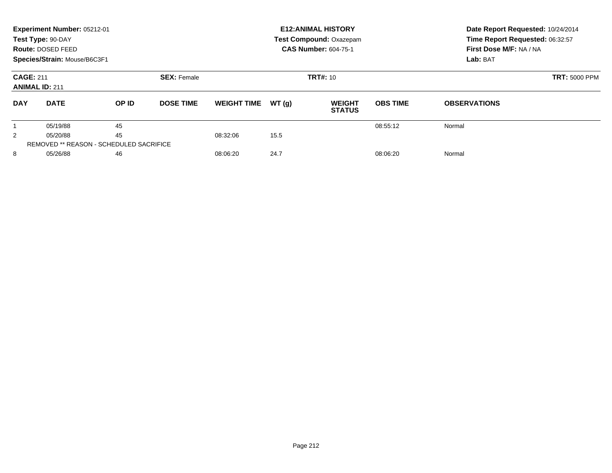|                                                                 | Experiment Number: 05212-01<br>Test Type: 90-DAY<br>Route: DOSED FEED<br>Species/Strain: Mouse/B6C3F1 |                                                |                  |                    |                 | <b>E12: ANIMAL HISTORY</b><br>Test Compound: Oxazepam<br><b>CAS Number: 604-75-1</b> | Date Report Requested: 10/24/2014<br>Time Report Requested: 06:32:57<br>First Dose M/F: NA / NA<br>Lab: BAT |                     |  |
|-----------------------------------------------------------------|-------------------------------------------------------------------------------------------------------|------------------------------------------------|------------------|--------------------|-----------------|--------------------------------------------------------------------------------------|-------------------------------------------------------------------------------------------------------------|---------------------|--|
| <b>SEX: Female</b><br><b>CAGE: 211</b><br><b>ANIMAL ID: 211</b> |                                                                                                       |                                                |                  |                    | <b>TRT#: 10</b> | <b>TRT: 5000 PPM</b>                                                                 |                                                                                                             |                     |  |
| <b>DAY</b>                                                      | <b>DATE</b>                                                                                           | OP ID                                          | <b>DOSE TIME</b> | <b>WEIGHT TIME</b> | WT(q)           | <b>WEIGHT</b><br><b>STATUS</b>                                                       | <b>OBS TIME</b>                                                                                             | <b>OBSERVATIONS</b> |  |
|                                                                 | 05/19/88                                                                                              | 45                                             |                  |                    |                 |                                                                                      | 08:55:12                                                                                                    | Normal              |  |
| 2                                                               | 05/20/88                                                                                              | 45                                             |                  | 08:32:06           | 15.5            |                                                                                      |                                                                                                             |                     |  |
|                                                                 |                                                                                                       | <b>REMOVED ** REASON - SCHEDULED SACRIFICE</b> |                  |                    |                 |                                                                                      |                                                                                                             |                     |  |
| 8                                                               | 05/26/88                                                                                              | 46                                             |                  | 08:06:20           | 24.7            |                                                                                      | 08:06:20                                                                                                    | Normal              |  |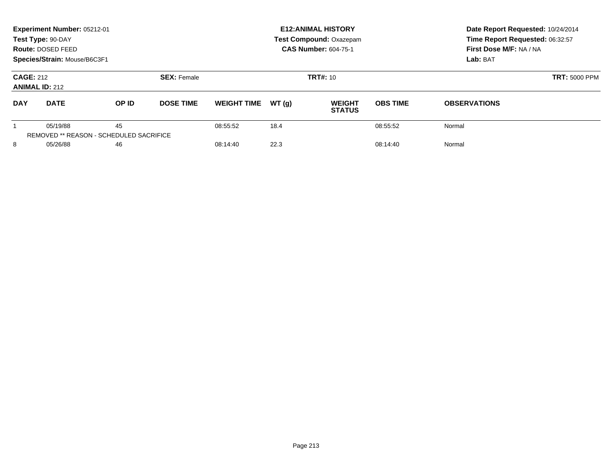|                                                                 | Experiment Number: 05212-01<br>Test Type: 90-DAY<br>Route: DOSED FEED<br>Species/Strain: Mouse/B6C3F1 |          |                  |                    |                   | <b>E12: ANIMAL HISTORY</b><br><b>Test Compound: Oxazepam</b><br><b>CAS Number: 604-75-1</b> | Date Report Requested: 10/24/2014<br>Time Report Requested: 06:32:57<br>First Dose M/F: NA / NA<br>Lab: BAT |                     |
|-----------------------------------------------------------------|-------------------------------------------------------------------------------------------------------|----------|------------------|--------------------|-------------------|---------------------------------------------------------------------------------------------|-------------------------------------------------------------------------------------------------------------|---------------------|
| <b>CAGE: 212</b><br><b>SEX: Female</b><br><b>ANIMAL ID: 212</b> |                                                                                                       |          |                  |                    | <b>TRT#:</b> $10$ | <b>TRT: 5000 PPM</b>                                                                        |                                                                                                             |                     |
| <b>DAY</b>                                                      | <b>DATE</b>                                                                                           | OP ID    | <b>DOSE TIME</b> | <b>WEIGHT TIME</b> | WT(q)             | <b>WEIGHT</b><br><b>STATUS</b>                                                              | <b>OBS TIME</b>                                                                                             | <b>OBSERVATIONS</b> |
|                                                                 | 05/19/88<br><b>REMOVED ** REASON - SCHEDULED SACRIFICE</b>                                            | 45       |                  | 08:55:52           | 18.4              |                                                                                             | 08:55:52                                                                                                    | Normal              |
| 8<br>05/26/88<br>46                                             |                                                                                                       | 08:14:40 | 22.3             |                    | 08:14:40          | Normal                                                                                      |                                                                                                             |                     |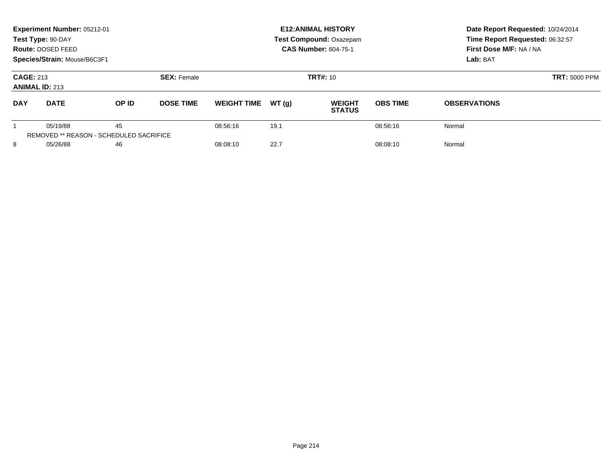| Experiment Number: 05212-01<br>Test Type: 90-DAY<br>Route: DOSED FEED<br>Species/Strain: Mouse/B6C3F1 |             |          |                  | <b>E12: ANIMAL HISTORY</b><br><b>Test Compound: Oxazepam</b><br><b>CAS Number: 604-75-1</b> |          |                                |                 | Date Report Requested: 10/24/2014<br>Time Report Requested: 06:32:57<br>First Dose M/F: NA / NA<br>Lab: BAT |
|-------------------------------------------------------------------------------------------------------|-------------|----------|------------------|---------------------------------------------------------------------------------------------|----------|--------------------------------|-----------------|-------------------------------------------------------------------------------------------------------------|
| <b>CAGE: 213</b><br><b>SEX: Female</b><br><b>ANIMAL ID: 213</b>                                       |             |          |                  |                                                                                             | TRT#: 10 | <b>TRT: 5000 PPM</b>           |                 |                                                                                                             |
| <b>DAY</b>                                                                                            | <b>DATE</b> | OP ID    | <b>DOSE TIME</b> | <b>WEIGHT TIME</b>                                                                          | WT(q)    | <b>WEIGHT</b><br><b>STATUS</b> | <b>OBS TIME</b> | <b>OBSERVATIONS</b>                                                                                         |
| 45<br>05/19/88<br><b>REMOVED ** REASON - SCHEDULED SACRIFICE</b>                                      |             |          | 08:56:16         | 19.1                                                                                        |          | 08:56:16                       | Normal          |                                                                                                             |
| 8<br>05/26/88<br>46                                                                                   |             | 08:08:10 | 22.7             |                                                                                             | 08:08:10 | Normal                         |                 |                                                                                                             |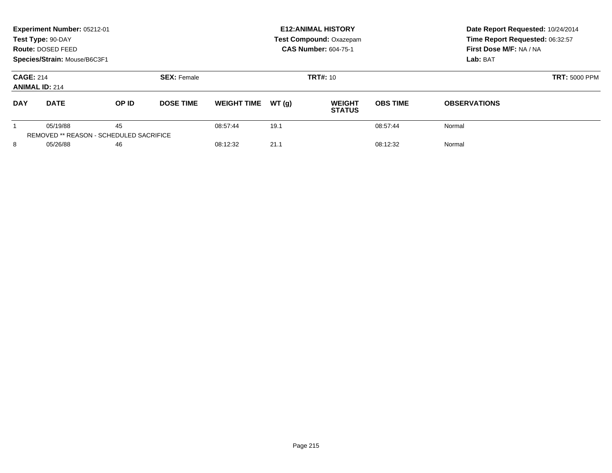|                                                                 | Experiment Number: 05212-01<br>Test Type: 90-DAY<br>Route: DOSED FEED<br>Species/Strain: Mouse/B6C3F1 |                                               |                  |                    |                 | <b>E12:ANIMAL HISTORY</b><br><b>Test Compound: Oxazepam</b><br><b>CAS Number: 604-75-1</b> | Date Report Requested: 10/24/2014<br>Time Report Requested: 06:32:57<br>First Dose M/F: NA / NA<br>Lab: BAT |                     |
|-----------------------------------------------------------------|-------------------------------------------------------------------------------------------------------|-----------------------------------------------|------------------|--------------------|-----------------|--------------------------------------------------------------------------------------------|-------------------------------------------------------------------------------------------------------------|---------------------|
| <b>CAGE: 214</b><br><b>SEX: Female</b><br><b>ANIMAL ID: 214</b> |                                                                                                       |                                               |                  |                    | <b>TRT#: 10</b> | <b>TRT: 5000 PPM</b>                                                                       |                                                                                                             |                     |
| <b>DAY</b>                                                      | <b>DATE</b>                                                                                           | OP ID                                         | <b>DOSE TIME</b> | <b>WEIGHT TIME</b> | WT(q)           | <b>WEIGHT</b><br><b>STATUS</b>                                                             | <b>OBS TIME</b>                                                                                             | <b>OBSERVATIONS</b> |
|                                                                 | 05/19/88                                                                                              | 45<br>REMOVED ** REASON - SCHEDULED SACRIFICE |                  | 08:57:44           | 19.1            |                                                                                            | 08:57:44                                                                                                    | Normal              |
| 8<br>05/26/88<br>46                                             |                                                                                                       | 08:12:32                                      | 21.1             |                    | 08:12:32        | Normal                                                                                     |                                                                                                             |                     |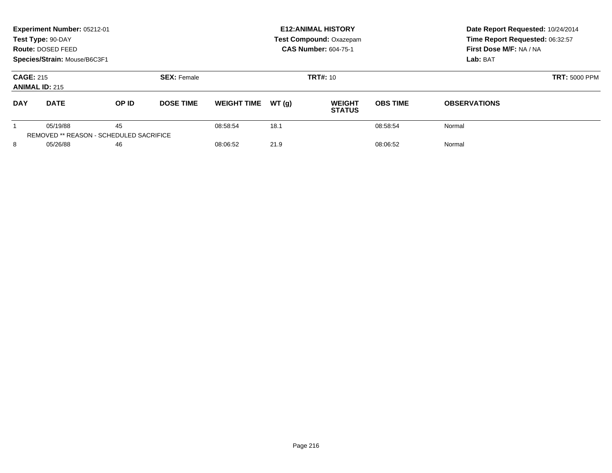| Experiment Number: 05212-01<br>Test Type: 90-DAY<br>Route: DOSED FEED<br>Species/Strain: Mouse/B6C3F1 |             |                                                      |                  | <b>E12: ANIMAL HISTORY</b><br><b>Test Compound: Oxazepam</b><br><b>CAS Number: 604-75-1</b> |                   |                                |                 | Date Report Requested: 10/24/2014<br>Time Report Requested: 06:32:57<br>First Dose M/F: NA / NA<br>Lab: BAT |
|-------------------------------------------------------------------------------------------------------|-------------|------------------------------------------------------|------------------|---------------------------------------------------------------------------------------------|-------------------|--------------------------------|-----------------|-------------------------------------------------------------------------------------------------------------|
| <b>CAGE: 215</b><br><b>SEX: Female</b><br><b>ANIMAL ID: 215</b>                                       |             |                                                      |                  |                                                                                             | <b>TRT#:</b> $10$ | <b>TRT: 5000 PPM</b>           |                 |                                                                                                             |
| <b>DAY</b>                                                                                            | <b>DATE</b> | OP ID                                                | <b>DOSE TIME</b> | <b>WEIGHT TIME</b>                                                                          | WT(q)             | <b>WEIGHT</b><br><b>STATUS</b> | <b>OBS TIME</b> | <b>OBSERVATIONS</b>                                                                                         |
|                                                                                                       | 05/19/88    | 45<br><b>REMOVED ** REASON - SCHEDULED SACRIFICE</b> |                  | 08:58:54                                                                                    | 18.1              |                                | 08:58:54        | Normal                                                                                                      |
| 8<br>05/26/88<br>46                                                                                   |             | 08:06:52                                             | 21.9             |                                                                                             | 08:06:52          | Normal                         |                 |                                                                                                             |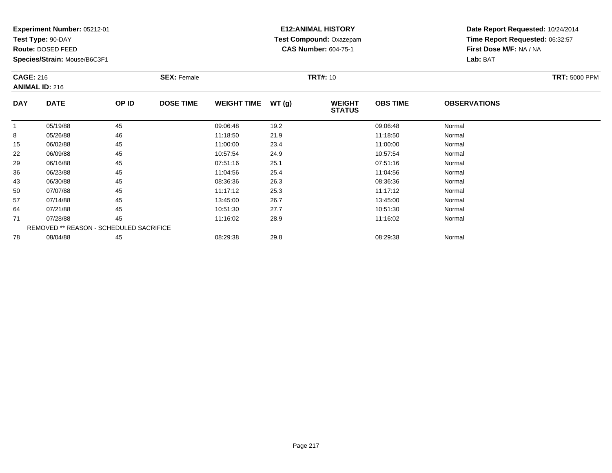**Test Type:** 90-DAY

**Route:** DOSED FEED

**Species/Strain:** Mouse/B6C3F1

### **E12:ANIMAL HISTORY Test Compound:** Oxazepam**CAS Number:** 604-75-1

| <b>CAGE: 216</b> | <b>ANIMAL ID: 216</b>                   |       | <b>SEX: Female</b> |                    |       | <b>TRT#: 10</b>                |                 |                     | <b>TRT: 5000 PPM</b> |
|------------------|-----------------------------------------|-------|--------------------|--------------------|-------|--------------------------------|-----------------|---------------------|----------------------|
| <b>DAY</b>       | <b>DATE</b>                             | OP ID | <b>DOSE TIME</b>   | <b>WEIGHT TIME</b> | WT(g) | <b>WEIGHT</b><br><b>STATUS</b> | <b>OBS TIME</b> | <b>OBSERVATIONS</b> |                      |
|                  | 05/19/88                                | 45    |                    | 09:06:48           | 19.2  |                                | 09:06:48        | Normal              |                      |
| 8                | 05/26/88                                | 46    |                    | 11:18:50           | 21.9  |                                | 11:18:50        | Normal              |                      |
| 15               | 06/02/88                                | 45    |                    | 11:00:00           | 23.4  |                                | 11:00:00        | Normal              |                      |
| 22               | 06/09/88                                | 45    |                    | 10:57:54           | 24.9  |                                | 10:57:54        | Normal              |                      |
| 29               | 06/16/88                                | 45    |                    | 07:51:16           | 25.1  |                                | 07:51:16        | Normal              |                      |
| 36               | 06/23/88                                | 45    |                    | 11:04:56           | 25.4  |                                | 11:04:56        | Normal              |                      |
| 43               | 06/30/88                                | 45    |                    | 08:36:36           | 26.3  |                                | 08:36:36        | Normal              |                      |
| 50               | 07/07/88                                | 45    |                    | 11:17:12           | 25.3  |                                | 11:17:12        | Normal              |                      |
| 57               | 07/14/88                                | 45    |                    | 13:45:00           | 26.7  |                                | 13:45:00        | Normal              |                      |
| 64               | 07/21/88                                | 45    |                    | 10:51:30           | 27.7  |                                | 10:51:30        | Normal              |                      |
| 71               | 07/28/88                                | 45    |                    | 11:16:02           | 28.9  |                                | 11:16:02        | Normal              |                      |
|                  | REMOVED ** REASON - SCHEDULED SACRIFICE |       |                    |                    |       |                                |                 |                     |                      |
| 78               | 08/04/88                                | 45    |                    | 08:29:38           | 29.8  |                                | 08:29:38        | Normal              |                      |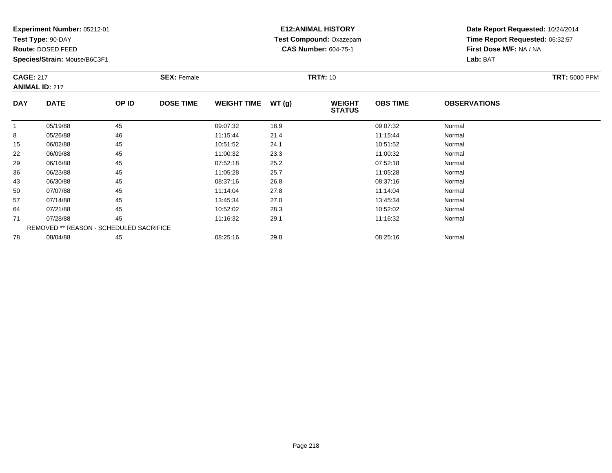**Test Type:** 90-DAY

**Route:** DOSED FEED

78

**Species/Strain:** Mouse/B6C3F1

#### **E12:ANIMAL HISTORY Test Compound:** Oxazepam**CAS Number:** 604-75-1

**Date Report Requested:** 10/24/2014**Time Report Requested:** 06:32:57**First Dose M/F:** NA / NA**Lab:** BAT

| <b>CAGE: 217</b> | <b>ANIMAL ID: 217</b> |       | <b>SEX: Female</b> |                    |       | <b>TRT#: 10</b>                |                 |                     | <b>TRT: 5000 PPM</b> |
|------------------|-----------------------|-------|--------------------|--------------------|-------|--------------------------------|-----------------|---------------------|----------------------|
| <b>DAY</b>       | <b>DATE</b>           | OP ID | <b>DOSE TIME</b>   | <b>WEIGHT TIME</b> | WT(g) | <b>WEIGHT</b><br><b>STATUS</b> | <b>OBS TIME</b> | <b>OBSERVATIONS</b> |                      |
|                  | 05/19/88              | 45    |                    | 09:07:32           | 18.9  |                                | 09:07:32        | Normal              |                      |
| 8                | 05/26/88              | 46    |                    | 11:15:44           | 21.4  |                                | 11:15:44        | Normal              |                      |
| 15               | 06/02/88              | 45    |                    | 10:51:52           | 24.1  |                                | 10:51:52        | Normal              |                      |
| 22               | 06/09/88              | 45    |                    | 11:00:32           | 23.3  |                                | 11:00:32        | Normal              |                      |
| 29               | 06/16/88              | 45    |                    | 07:52:18           | 25.2  |                                | 07:52:18        | Normal              |                      |
| 36               | 06/23/88              | 45    |                    | 11:05:28           | 25.7  |                                | 11:05:28        | Normal              |                      |
| 43               | 06/30/88              | 45    |                    | 08:37:16           | 26.8  |                                | 08:37:16        | Normal              |                      |
| 50               | 07/07/88              | 45    |                    | 11:14:04           | 27.8  |                                | 11:14:04        | Normal              |                      |
| 57               | 07/14/88              | 45    |                    | 13:45:34           | 27.0  |                                | 13:45:34        | Normal              |                      |
| 64               | 07/21/88              | 45    |                    | 10:52:02           | 28.3  |                                | 10:52:02        | Normal              |                      |
| 71               | 07/28/88              | 45    |                    | 11:16:32           | 29.1  |                                | 11:16:32        | Normal              |                      |

8 08/04/88 45 45 08:25:16 29.8 3 08:25:16 29.8 08:25:16 08:25:16 Normal

REMOVED \*\* REASON - SCHEDULED SACRIFICE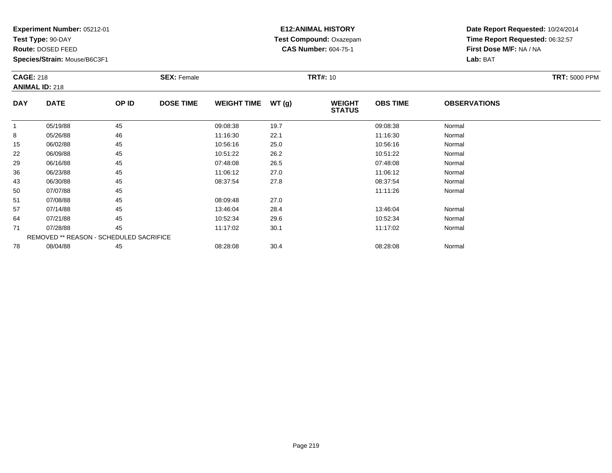**Test Type:** 90-DAY

**Route:** DOSED FEED

78

**Species/Strain:** Mouse/B6C3F1

#### **E12:ANIMAL HISTORY Test Compound:** Oxazepam**CAS Number:** 604-75-1

**Date Report Requested:** 10/24/2014**Time Report Requested:** 06:32:57**First Dose M/F:** NA / NA**Lab:** BAT

| <b>CAGE: 218</b> | <b>ANIMAL ID: 218</b>                          |       | <b>SEX: Female</b> |                    |       | <b>TRT#: 10</b>                |                 |                     | <b>TRT: 5000 PPM</b> |
|------------------|------------------------------------------------|-------|--------------------|--------------------|-------|--------------------------------|-----------------|---------------------|----------------------|
| <b>DAY</b>       | <b>DATE</b>                                    | OP ID | <b>DOSE TIME</b>   | <b>WEIGHT TIME</b> | WT(g) | <b>WEIGHT</b><br><b>STATUS</b> | <b>OBS TIME</b> | <b>OBSERVATIONS</b> |                      |
| 1                | 05/19/88                                       | 45    |                    | 09:08:38           | 19.7  |                                | 09:08:38        | Normal              |                      |
| 8                | 05/26/88                                       | 46    |                    | 11:16:30           | 22.1  |                                | 11:16:30        | Normal              |                      |
| 15               | 06/02/88                                       | 45    |                    | 10:56:16           | 25.0  |                                | 10:56:16        | Normal              |                      |
| 22               | 06/09/88                                       | 45    |                    | 10:51:22           | 26.2  |                                | 10:51:22        | Normal              |                      |
| 29               | 06/16/88                                       | 45    |                    | 07:48:08           | 26.5  |                                | 07:48:08        | Normal              |                      |
| 36               | 06/23/88                                       | 45    |                    | 11:06:12           | 27.0  |                                | 11:06:12        | Normal              |                      |
| 43               | 06/30/88                                       | 45    |                    | 08:37:54           | 27.8  |                                | 08:37:54        | Normal              |                      |
| 50               | 07/07/88                                       | 45    |                    |                    |       |                                | 11:11:26        | Normal              |                      |
| 51               | 07/08/88                                       | 45    |                    | 08:09:48           | 27.0  |                                |                 |                     |                      |
| 57               | 07/14/88                                       | 45    |                    | 13:46:04           | 28.4  |                                | 13:46:04        | Normal              |                      |
| 64               | 07/21/88                                       | 45    |                    | 10:52:34           | 29.6  |                                | 10:52:34        | Normal              |                      |
| 71               | 07/28/88                                       | 45    |                    | 11:17:02           | 30.1  |                                | 11:17:02        | Normal              |                      |
|                  | <b>REMOVED ** REASON - SCHEDULED SACRIFICE</b> |       |                    |                    |       |                                |                 |                     |                      |

8 08/04/88 45 45 08:28:08 30.4 30.4 08:28:08 08:28:08 Normal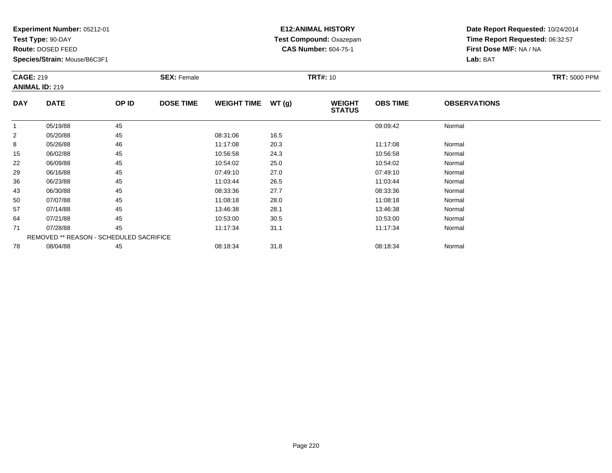**Test Type:** 90-DAY

**Route:** DOSED FEED

57

64

71

78

**Species/Strain:** Mouse/B6C3F1

REMOVED \*\* REASON - SCHEDULED SACRIFICE

#### **E12:ANIMAL HISTORY Test Compound:** Oxazepam**CAS Number:** 604-75-1

**Date Report Requested:** 10/24/2014**Time Report Requested:** 06:32:57**First Dose M/F:** NA / NA**Lab:** BAT

|            | <b>CAGE: 219</b><br><b>ANIMAL ID: 219</b> |       | <b>SEX: Female</b> |                    |       | <b>TRT#: 10</b>                | <b>TRT: 5000 PPM</b> |                     |  |
|------------|-------------------------------------------|-------|--------------------|--------------------|-------|--------------------------------|----------------------|---------------------|--|
| <b>DAY</b> | <b>DATE</b>                               | OP ID | <b>DOSE TIME</b>   | <b>WEIGHT TIME</b> | WT(q) | <b>WEIGHT</b><br><b>STATUS</b> | <b>OBS TIME</b>      | <b>OBSERVATIONS</b> |  |
|            | 05/19/88                                  | 45    |                    |                    |       |                                | 09:09:42             | Normal              |  |
| 2          | 05/20/88                                  | 45    |                    | 08:31:06           | 16.5  |                                |                      |                     |  |
| 8          | 05/26/88                                  | 46    |                    | 11:17:08           | 20.3  |                                | 11:17:08             | Normal              |  |
| 15         | 06/02/88                                  | 45    |                    | 10:56:58           | 24.3  |                                | 10:56:58             | Normal              |  |
| 22         | 06/09/88                                  | 45    |                    | 10:54:02           | 25.0  |                                | 10:54:02             | Normal              |  |
| 29         | 06/16/88                                  | 45    |                    | 07:49:10           | 27.0  |                                | 07:49:10             | Normal              |  |
| 36         | 06/23/88                                  | 45    |                    | 11:03:44           | 26.5  |                                | 11:03:44             | Normal              |  |
| 43         | 06/30/88                                  | 45    |                    | 08:33:36           | 27.7  |                                | 08:33:36             | Normal              |  |
| 50         | 07/07/88                                  | 45    |                    | 11:08:18           | 28.0  |                                | 11:08:18             | Normal              |  |

0 07/07/88 45 45 11:08:18 28.0 11:08 10 11:08 18 11:08:18 11:08:18

7 07/14/88 45 45 13:46:38 28.1 13:46:38 28.1 13:46:38 Normal

4 07/21/88 45 45 10:53:00 30.5 10.53 10:53:00 10:53:00 10:53:00

1 07/28/88 45 45 11:17:34 31.1 11:17:34 11:17:34 Normal

8 08/04/88 45 45 08:18:34 31.8 31.8 08:18:34 08:18:34 Normal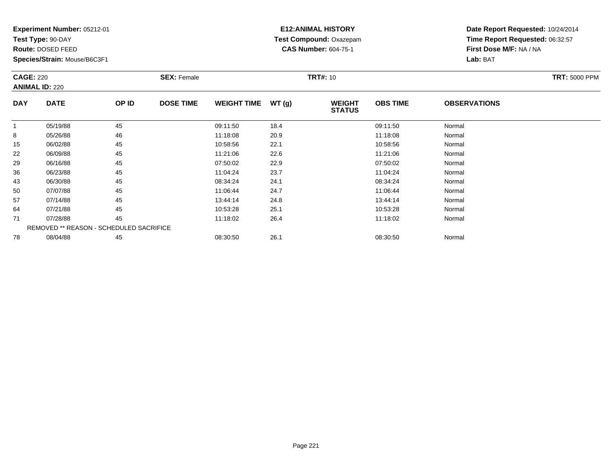**Test Type:** 90-DAY

**Route:** DOSED FEED

**Species/Strain:** Mouse/B6C3F1

### **E12:ANIMAL HISTORY Test Compound:** Oxazepam**CAS Number:** 604-75-1

| <b>CAGE: 220</b> | <b>ANIMAL ID: 220</b>                   |       | <b>SEX: Female</b> |                    |       | <b>TRT#: 10</b>                |                 |                     | <b>TRT: 5000 PPM</b> |
|------------------|-----------------------------------------|-------|--------------------|--------------------|-------|--------------------------------|-----------------|---------------------|----------------------|
| <b>DAY</b>       | <b>DATE</b>                             | OP ID | <b>DOSE TIME</b>   | <b>WEIGHT TIME</b> | WT(g) | <b>WEIGHT</b><br><b>STATUS</b> | <b>OBS TIME</b> | <b>OBSERVATIONS</b> |                      |
|                  | 05/19/88                                | 45    |                    | 09:11:50           | 18.4  |                                | 09:11:50        | Normal              |                      |
| 8                | 05/26/88                                | 46    |                    | 11:18:08           | 20.9  |                                | 11:18:08        | Normal              |                      |
| 15               | 06/02/88                                | 45    |                    | 10:58:56           | 22.1  |                                | 10:58:56        | Normal              |                      |
| 22               | 06/09/88                                | 45    |                    | 11:21:06           | 22.6  |                                | 11:21:06        | Normal              |                      |
| 29               | 06/16/88                                | 45    |                    | 07:50:02           | 22.9  |                                | 07:50:02        | Normal              |                      |
| 36               | 06/23/88                                | 45    |                    | 11:04:24           | 23.7  |                                | 11:04:24        | Normal              |                      |
| 43               | 06/30/88                                | 45    |                    | 08:34:24           | 24.1  |                                | 08:34:24        | Normal              |                      |
| 50               | 07/07/88                                | 45    |                    | 11:06:44           | 24.7  |                                | 11:06:44        | Normal              |                      |
| 57               | 07/14/88                                | 45    |                    | 13:44:14           | 24.8  |                                | 13:44:14        | Normal              |                      |
| 64               | 07/21/88                                | 45    |                    | 10:53:28           | 25.1  |                                | 10:53:28        | Normal              |                      |
| 71               | 07/28/88                                | 45    |                    | 11:18:02           | 26.4  |                                | 11:18:02        | Normal              |                      |
|                  | REMOVED ** REASON - SCHEDULED SACRIFICE |       |                    |                    |       |                                |                 |                     |                      |
| 78               | 08/04/88                                | 45    |                    | 08:30:50           | 26.1  |                                | 08:30:50        | Normal              |                      |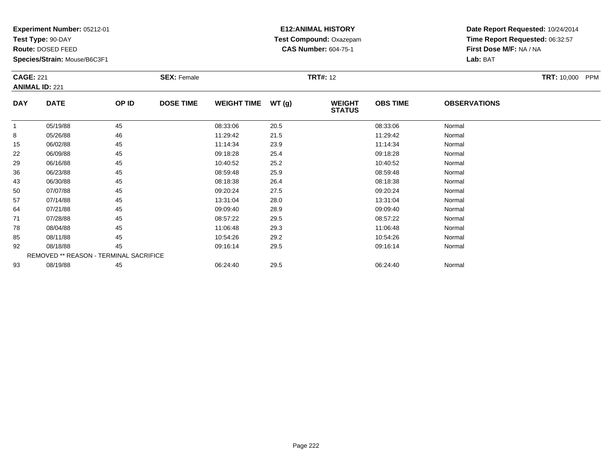**Test Type:** 90-DAY

**Route:** DOSED FEED

93

**Species/Strain:** Mouse/B6C3F1

### **E12:ANIMAL HISTORY Test Compound:** Oxazepam**CAS Number:** 604-75-1

**Date Report Requested:** 10/24/2014**Time Report Requested:** 06:32:57**First Dose M/F:** NA / NA**Lab:** BAT

| <b>CAGE: 221</b> | <b>ANIMAL ID: 221</b>                  |       | <b>SEX: Female</b> |                    |       | <b>TRT#: 12</b>                |                 |                     | <b>TRT: 10,000</b><br>PPM |
|------------------|----------------------------------------|-------|--------------------|--------------------|-------|--------------------------------|-----------------|---------------------|---------------------------|
| <b>DAY</b>       | <b>DATE</b>                            | OP ID | <b>DOSE TIME</b>   | <b>WEIGHT TIME</b> | WT(g) | <b>WEIGHT</b><br><b>STATUS</b> | <b>OBS TIME</b> | <b>OBSERVATIONS</b> |                           |
| 1                | 05/19/88                               | 45    |                    | 08:33:06           | 20.5  |                                | 08:33:06        | Normal              |                           |
| 8                | 05/26/88                               | 46    |                    | 11:29:42           | 21.5  |                                | 11:29:42        | Normal              |                           |
| 15               | 06/02/88                               | 45    |                    | 11:14:34           | 23.9  |                                | 11:14:34        | Normal              |                           |
| 22               | 06/09/88                               | 45    |                    | 09:18:28           | 25.4  |                                | 09:18:28        | Normal              |                           |
| 29               | 06/16/88                               | 45    |                    | 10:40:52           | 25.2  |                                | 10:40:52        | Normal              |                           |
| 36               | 06/23/88                               | 45    |                    | 08:59:48           | 25.9  |                                | 08:59:48        | Normal              |                           |
| 43               | 06/30/88                               | 45    |                    | 08:18:38           | 26.4  |                                | 08:18:38        | Normal              |                           |
| 50               | 07/07/88                               | 45    |                    | 09:20:24           | 27.5  |                                | 09:20:24        | Normal              |                           |
| 57               | 07/14/88                               | 45    |                    | 13:31:04           | 28.0  |                                | 13:31:04        | Normal              |                           |
| 64               | 07/21/88                               | 45    |                    | 09:09:40           | 28.9  |                                | 09:09:40        | Normal              |                           |
| 71               | 07/28/88                               | 45    |                    | 08:57:22           | 29.5  |                                | 08:57:22        | Normal              |                           |
| 78               | 08/04/88                               | 45    |                    | 11:06:48           | 29.3  |                                | 11:06:48        | Normal              |                           |
| 85               | 08/11/88                               | 45    |                    | 10:54:26           | 29.2  |                                | 10:54:26        | Normal              |                           |
| 92               | 08/18/88                               | 45    |                    | 09:16:14           | 29.5  |                                | 09:16:14        | Normal              |                           |
|                  | REMOVED ** REASON - TERMINAL SACRIFICE |       |                    |                    |       |                                |                 |                     |                           |

08/19/88 <sup>45</sup> 06:24:40 29.5 06:24:40 Normal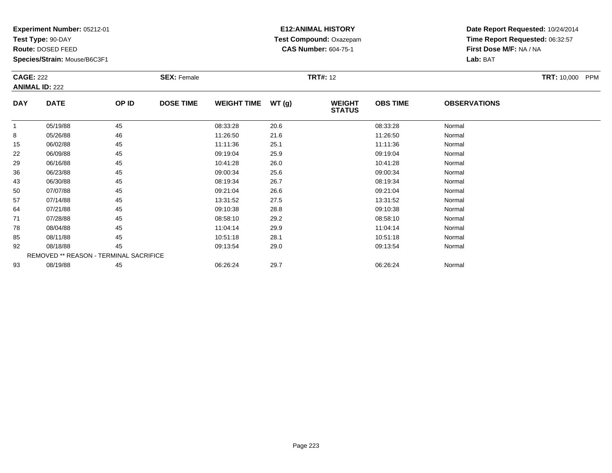**Test Type:** 90-DAY

**Route:** DOSED FEED

93

**Species/Strain:** Mouse/B6C3F1

### **E12:ANIMAL HISTORY Test Compound:** Oxazepam**CAS Number:** 604-75-1

**Date Report Requested:** 10/24/2014**Time Report Requested:** 06:32:57**First Dose M/F:** NA / NA**Lab:** BAT

| <b>CAGE: 222</b> | <b>ANIMAL ID: 222</b>                         |       | <b>SEX: Female</b> |                    |       | <b>TRT#: 12</b>                |                 |                     | <b>TRT: 10,000</b><br><b>PPM</b> |
|------------------|-----------------------------------------------|-------|--------------------|--------------------|-------|--------------------------------|-----------------|---------------------|----------------------------------|
| <b>DAY</b>       | <b>DATE</b>                                   | OP ID | <b>DOSE TIME</b>   | <b>WEIGHT TIME</b> | WT(g) | <b>WEIGHT</b><br><b>STATUS</b> | <b>OBS TIME</b> | <b>OBSERVATIONS</b> |                                  |
| 1                | 05/19/88                                      | 45    |                    | 08:33:28           | 20.6  |                                | 08:33:28        | Normal              |                                  |
| 8                | 05/26/88                                      | 46    |                    | 11:26:50           | 21.6  |                                | 11:26:50        | Normal              |                                  |
| 15               | 06/02/88                                      | 45    |                    | 11:11:36           | 25.1  |                                | 11:11:36        | Normal              |                                  |
| 22               | 06/09/88                                      | 45    |                    | 09:19:04           | 25.9  |                                | 09:19:04        | Normal              |                                  |
| 29               | 06/16/88                                      | 45    |                    | 10:41:28           | 26.0  |                                | 10:41:28        | Normal              |                                  |
| 36               | 06/23/88                                      | 45    |                    | 09:00:34           | 25.6  |                                | 09:00:34        | Normal              |                                  |
| 43               | 06/30/88                                      | 45    |                    | 08:19:34           | 26.7  |                                | 08:19:34        | Normal              |                                  |
| 50               | 07/07/88                                      | 45    |                    | 09:21:04           | 26.6  |                                | 09:21:04        | Normal              |                                  |
| 57               | 07/14/88                                      | 45    |                    | 13:31:52           | 27.5  |                                | 13:31:52        | Normal              |                                  |
| 64               | 07/21/88                                      | 45    |                    | 09:10:38           | 28.8  |                                | 09:10:38        | Normal              |                                  |
| 71               | 07/28/88                                      | 45    |                    | 08:58:10           | 29.2  |                                | 08:58:10        | Normal              |                                  |
| 78               | 08/04/88                                      | 45    |                    | 11:04:14           | 29.9  |                                | 11:04:14        | Normal              |                                  |
| 85               | 08/11/88                                      | 45    |                    | 10:51:18           | 28.1  |                                | 10:51:18        | Normal              |                                  |
| 92               | 08/18/88                                      | 45    |                    | 09:13:54           | 29.0  |                                | 09:13:54        | Normal              |                                  |
|                  | <b>REMOVED ** REASON - TERMINAL SACRIFICE</b> |       |                    |                    |       |                                |                 |                     |                                  |

08/19/88 <sup>45</sup> 06:26:24 29.7 06:26:24 Normal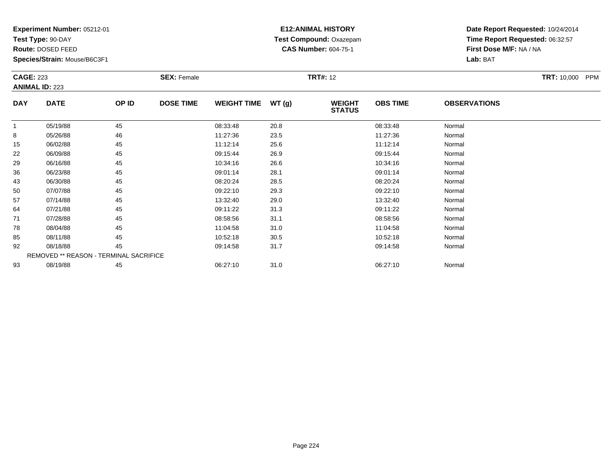**Test Type:** 90-DAY

**Route:** DOSED FEED

93

**Species/Strain:** Mouse/B6C3F1

### **E12:ANIMAL HISTORY Test Compound:** Oxazepam**CAS Number:** 604-75-1

**Date Report Requested:** 10/24/2014**Time Report Requested:** 06:32:57**First Dose M/F:** NA / NA**Lab:** BAT

| <b>CAGE: 223</b> | <b>ANIMAL ID: 223</b>                  |       | <b>SEX: Female</b> |                    |       | <b>TRT#: 12</b>                |                 |                     | <b>TRT: 10,000</b><br><b>PPM</b> |
|------------------|----------------------------------------|-------|--------------------|--------------------|-------|--------------------------------|-----------------|---------------------|----------------------------------|
| <b>DAY</b>       | <b>DATE</b>                            | OP ID | <b>DOSE TIME</b>   | <b>WEIGHT TIME</b> | WT(g) | <b>WEIGHT</b><br><b>STATUS</b> | <b>OBS TIME</b> | <b>OBSERVATIONS</b> |                                  |
|                  | 05/19/88                               | 45    |                    | 08:33:48           | 20.8  |                                | 08:33:48        | Normal              |                                  |
| 8                | 05/26/88                               | 46    |                    | 11:27:36           | 23.5  |                                | 11:27:36        | Normal              |                                  |
| 15               | 06/02/88                               | 45    |                    | 11:12:14           | 25.6  |                                | 11:12:14        | Normal              |                                  |
| 22               | 06/09/88                               | 45    |                    | 09:15:44           | 26.9  |                                | 09:15:44        | Normal              |                                  |
| 29               | 06/16/88                               | 45    |                    | 10:34:16           | 26.6  |                                | 10:34:16        | Normal              |                                  |
| 36               | 06/23/88                               | 45    |                    | 09:01:14           | 28.1  |                                | 09:01:14        | Normal              |                                  |
| 43               | 06/30/88                               | 45    |                    | 08:20:24           | 28.5  |                                | 08:20:24        | Normal              |                                  |
| 50               | 07/07/88                               | 45    |                    | 09:22:10           | 29.3  |                                | 09:22:10        | Normal              |                                  |
| 57               | 07/14/88                               | 45    |                    | 13:32:40           | 29.0  |                                | 13:32:40        | Normal              |                                  |
| 64               | 07/21/88                               | 45    |                    | 09:11:22           | 31.3  |                                | 09:11:22        | Normal              |                                  |
| 71               | 07/28/88                               | 45    |                    | 08:58:56           | 31.1  |                                | 08:58:56        | Normal              |                                  |
| 78               | 08/04/88                               | 45    |                    | 11:04:58           | 31.0  |                                | 11:04:58        | Normal              |                                  |
| 85               | 08/11/88                               | 45    |                    | 10:52:18           | 30.5  |                                | 10:52:18        | Normal              |                                  |
| 92               | 08/18/88                               | 45    |                    | 09:14:58           | 31.7  |                                | 09:14:58        | Normal              |                                  |
|                  | REMOVED ** REASON - TERMINAL SACRIFICE |       |                    |                    |       |                                |                 |                     |                                  |

08/19/88 <sup>45</sup> 06:27:10 31.0 06:27:10 Normal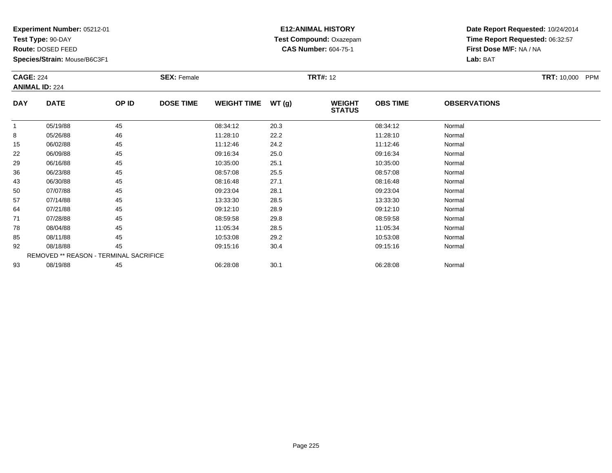**Test Type:** 90-DAY

**Route:** DOSED FEED

**Species/Strain:** Mouse/B6C3F1

### **E12:ANIMAL HISTORY Test Compound:** Oxazepam**CAS Number:** 604-75-1

| <b>CAGE: 224</b> | <b>ANIMAL ID: 224</b>                  |       | <b>SEX: Female</b> |                    |       | <b>TRT#: 12</b>                |                 |                     | <b>TRT: 10,000</b><br>PPM |
|------------------|----------------------------------------|-------|--------------------|--------------------|-------|--------------------------------|-----------------|---------------------|---------------------------|
| <b>DAY</b>       | <b>DATE</b>                            | OP ID | <b>DOSE TIME</b>   | <b>WEIGHT TIME</b> | WT(g) | <b>WEIGHT</b><br><b>STATUS</b> | <b>OBS TIME</b> | <b>OBSERVATIONS</b> |                           |
| 1                | 05/19/88                               | 45    |                    | 08:34:12           | 20.3  |                                | 08:34:12        | Normal              |                           |
| 8                | 05/26/88                               | 46    |                    | 11:28:10           | 22.2  |                                | 11:28:10        | Normal              |                           |
| 15               | 06/02/88                               | 45    |                    | 11:12:46           | 24.2  |                                | 11:12:46        | Normal              |                           |
| 22               | 06/09/88                               | 45    |                    | 09:16:34           | 25.0  |                                | 09:16:34        | Normal              |                           |
| 29               | 06/16/88                               | 45    |                    | 10:35:00           | 25.1  |                                | 10:35:00        | Normal              |                           |
| 36               | 06/23/88                               | 45    |                    | 08:57:08           | 25.5  |                                | 08:57:08        | Normal              |                           |
| 43               | 06/30/88                               | 45    |                    | 08:16:48           | 27.1  |                                | 08:16:48        | Normal              |                           |
| 50               | 07/07/88                               | 45    |                    | 09:23:04           | 28.1  |                                | 09:23:04        | Normal              |                           |
| 57               | 07/14/88                               | 45    |                    | 13:33:30           | 28.5  |                                | 13:33:30        | Normal              |                           |
| 64               | 07/21/88                               | 45    |                    | 09:12:10           | 28.9  |                                | 09:12:10        | Normal              |                           |
| 71               | 07/28/88                               | 45    |                    | 08:59:58           | 29.8  |                                | 08:59:58        | Normal              |                           |
| 78               | 08/04/88                               | 45    |                    | 11:05:34           | 28.5  |                                | 11:05:34        | Normal              |                           |
| 85               | 08/11/88                               | 45    |                    | 10:53:08           | 29.2  |                                | 10:53:08        | Normal              |                           |
| 92               | 08/18/88                               | 45    |                    | 09:15:16           | 30.4  |                                | 09:15:16        | Normal              |                           |
|                  | REMOVED ** REASON - TERMINAL SACRIFICE |       |                    |                    |       |                                |                 |                     |                           |
| 93               | 08/19/88                               | 45    |                    | 06:28:08           | 30.1  |                                | 06:28:08        | Normal              |                           |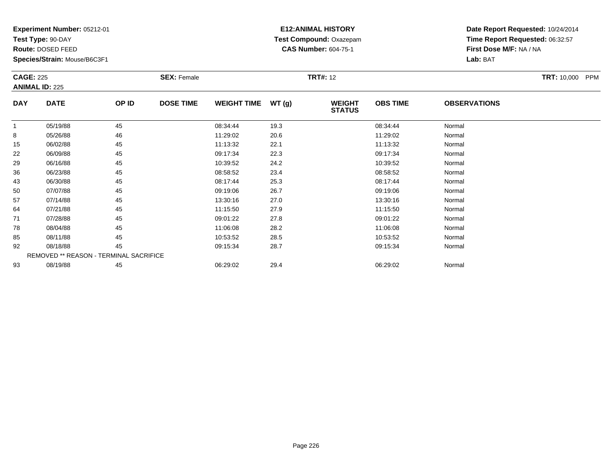**Test Type:** 90-DAY

**Route:** DOSED FEED

**Species/Strain:** Mouse/B6C3F1

### **E12:ANIMAL HISTORY Test Compound:** Oxazepam**CAS Number:** 604-75-1

| <b>CAGE: 225</b> | <b>ANIMAL ID: 225</b>                  |       | <b>SEX: Female</b> |                    |       | <b>TRT#: 12</b>                |                 |                     | <b>TRT:</b> 10,000 PPM |
|------------------|----------------------------------------|-------|--------------------|--------------------|-------|--------------------------------|-----------------|---------------------|------------------------|
| <b>DAY</b>       | <b>DATE</b>                            | OP ID | <b>DOSE TIME</b>   | <b>WEIGHT TIME</b> | WT(g) | <b>WEIGHT</b><br><b>STATUS</b> | <b>OBS TIME</b> | <b>OBSERVATIONS</b> |                        |
| 1                | 05/19/88                               | 45    |                    | 08:34:44           | 19.3  |                                | 08:34:44        | Normal              |                        |
| 8                | 05/26/88                               | 46    |                    | 11:29:02           | 20.6  |                                | 11:29:02        | Normal              |                        |
| 15               | 06/02/88                               | 45    |                    | 11:13:32           | 22.1  |                                | 11:13:32        | Normal              |                        |
| 22               | 06/09/88                               | 45    |                    | 09:17:34           | 22.3  |                                | 09:17:34        | Normal              |                        |
| 29               | 06/16/88                               | 45    |                    | 10:39:52           | 24.2  |                                | 10:39:52        | Normal              |                        |
| 36               | 06/23/88                               | 45    |                    | 08:58:52           | 23.4  |                                | 08:58:52        | Normal              |                        |
| 43               | 06/30/88                               | 45    |                    | 08:17:44           | 25.3  |                                | 08:17:44        | Normal              |                        |
| 50               | 07/07/88                               | 45    |                    | 09:19:06           | 26.7  |                                | 09:19:06        | Normal              |                        |
| 57               | 07/14/88                               | 45    |                    | 13:30:16           | 27.0  |                                | 13:30:16        | Normal              |                        |
| 64               | 07/21/88                               | 45    |                    | 11:15:50           | 27.9  |                                | 11:15:50        | Normal              |                        |
| 71               | 07/28/88                               | 45    |                    | 09:01:22           | 27.8  |                                | 09:01:22        | Normal              |                        |
| 78               | 08/04/88                               | 45    |                    | 11:06:08           | 28.2  |                                | 11:06:08        | Normal              |                        |
| 85               | 08/11/88                               | 45    |                    | 10:53:52           | 28.5  |                                | 10:53:52        | Normal              |                        |
| 92               | 08/18/88                               | 45    |                    | 09:15:34           | 28.7  |                                | 09:15:34        | Normal              |                        |
|                  | REMOVED ** REASON - TERMINAL SACRIFICE |       |                    |                    |       |                                |                 |                     |                        |
| 93               | 08/19/88                               | 45    |                    | 06:29:02           | 29.4  |                                | 06:29:02        | Normal              |                        |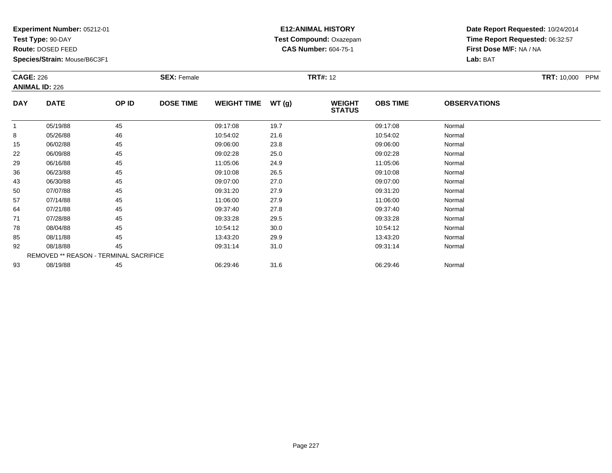**Test Type:** 90-DAY

**Route:** DOSED FEED

**Species/Strain:** Mouse/B6C3F1

### **E12:ANIMAL HISTORY Test Compound:** Oxazepam**CAS Number:** 604-75-1

| <b>CAGE: 226</b> | <b>ANIMAL ID: 226</b>                  |       | <b>SEX: Female</b> |                    |       | <b>TRT#: 12</b>                |                 |                     | TRT: 10,000 PPM |
|------------------|----------------------------------------|-------|--------------------|--------------------|-------|--------------------------------|-----------------|---------------------|-----------------|
| <b>DAY</b>       | <b>DATE</b>                            | OP ID | <b>DOSE TIME</b>   | <b>WEIGHT TIME</b> | WT(g) | <b>WEIGHT</b><br><b>STATUS</b> | <b>OBS TIME</b> | <b>OBSERVATIONS</b> |                 |
| 1                | 05/19/88                               | 45    |                    | 09:17:08           | 19.7  |                                | 09:17:08        | Normal              |                 |
| 8                | 05/26/88                               | 46    |                    | 10:54:02           | 21.6  |                                | 10:54:02        | Normal              |                 |
| 15               | 06/02/88                               | 45    |                    | 09:06:00           | 23.8  |                                | 09:06:00        | Normal              |                 |
| 22               | 06/09/88                               | 45    |                    | 09:02:28           | 25.0  |                                | 09:02:28        | Normal              |                 |
| 29               | 06/16/88                               | 45    |                    | 11:05:06           | 24.9  |                                | 11:05:06        | Normal              |                 |
| 36               | 06/23/88                               | 45    |                    | 09:10:08           | 26.5  |                                | 09:10:08        | Normal              |                 |
| 43               | 06/30/88                               | 45    |                    | 09:07:00           | 27.0  |                                | 09:07:00        | Normal              |                 |
| 50               | 07/07/88                               | 45    |                    | 09:31:20           | 27.9  |                                | 09:31:20        | Normal              |                 |
| 57               | 07/14/88                               | 45    |                    | 11:06:00           | 27.9  |                                | 11:06:00        | Normal              |                 |
| 64               | 07/21/88                               | 45    |                    | 09:37:40           | 27.8  |                                | 09:37:40        | Normal              |                 |
| 71               | 07/28/88                               | 45    |                    | 09:33:28           | 29.5  |                                | 09:33:28        | Normal              |                 |
| 78               | 08/04/88                               | 45    |                    | 10:54:12           | 30.0  |                                | 10:54:12        | Normal              |                 |
| 85               | 08/11/88                               | 45    |                    | 13:43:20           | 29.9  |                                | 13:43:20        | Normal              |                 |
| 92               | 08/18/88                               | 45    |                    | 09:31:14           | 31.0  |                                | 09:31:14        | Normal              |                 |
|                  | REMOVED ** REASON - TERMINAL SACRIFICE |       |                    |                    |       |                                |                 |                     |                 |
| 93               | 08/19/88                               | 45    |                    | 06:29:46           | 31.6  |                                | 06:29:46        | Normal              |                 |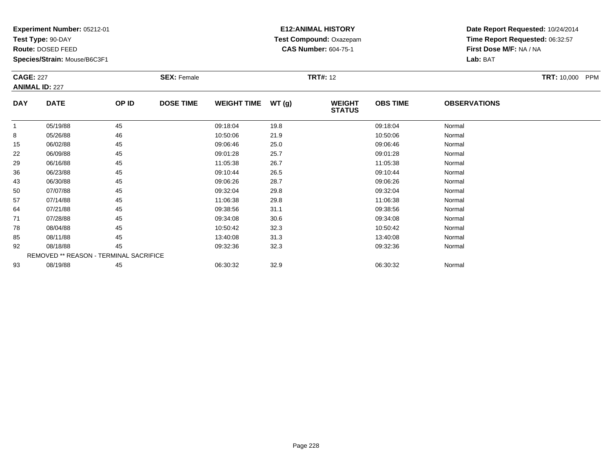**Test Type:** 90-DAY

**Route:** DOSED FEED

**Species/Strain:** Mouse/B6C3F1

### **E12:ANIMAL HISTORY Test Compound:** Oxazepam**CAS Number:** 604-75-1

| <b>CAGE: 227</b> | <b>ANIMAL ID: 227</b>                         |       | <b>SEX: Female</b> |                    |       | <b>TRT#: 12</b>                |                 |                     | <b>TRT: 10,000</b><br><b>PPM</b> |
|------------------|-----------------------------------------------|-------|--------------------|--------------------|-------|--------------------------------|-----------------|---------------------|----------------------------------|
| <b>DAY</b>       | <b>DATE</b>                                   | OP ID | <b>DOSE TIME</b>   | <b>WEIGHT TIME</b> | WT(g) | <b>WEIGHT</b><br><b>STATUS</b> | <b>OBS TIME</b> | <b>OBSERVATIONS</b> |                                  |
|                  | 05/19/88                                      | 45    |                    | 09:18:04           | 19.8  |                                | 09:18:04        | Normal              |                                  |
| 8                | 05/26/88                                      | 46    |                    | 10:50:06           | 21.9  |                                | 10:50:06        | Normal              |                                  |
| 15               | 06/02/88                                      | 45    |                    | 09:06:46           | 25.0  |                                | 09:06:46        | Normal              |                                  |
| 22               | 06/09/88                                      | 45    |                    | 09:01:28           | 25.7  |                                | 09:01:28        | Normal              |                                  |
| 29               | 06/16/88                                      | 45    |                    | 11:05:38           | 26.7  |                                | 11:05:38        | Normal              |                                  |
| 36               | 06/23/88                                      | 45    |                    | 09:10:44           | 26.5  |                                | 09:10:44        | Normal              |                                  |
| 43               | 06/30/88                                      | 45    |                    | 09:06:26           | 28.7  |                                | 09:06:26        | Normal              |                                  |
| 50               | 07/07/88                                      | 45    |                    | 09:32:04           | 29.8  |                                | 09:32:04        | Normal              |                                  |
| 57               | 07/14/88                                      | 45    |                    | 11:06:38           | 29.8  |                                | 11:06:38        | Normal              |                                  |
| 64               | 07/21/88                                      | 45    |                    | 09:38:56           | 31.1  |                                | 09:38:56        | Normal              |                                  |
| 71               | 07/28/88                                      | 45    |                    | 09:34:08           | 30.6  |                                | 09:34:08        | Normal              |                                  |
| 78               | 08/04/88                                      | 45    |                    | 10:50:42           | 32.3  |                                | 10:50:42        | Normal              |                                  |
| 85               | 08/11/88                                      | 45    |                    | 13:40:08           | 31.3  |                                | 13:40:08        | Normal              |                                  |
| 92               | 08/18/88                                      | 45    |                    | 09:32:36           | 32.3  |                                | 09:32:36        | Normal              |                                  |
|                  | <b>REMOVED ** REASON - TERMINAL SACRIFICE</b> |       |                    |                    |       |                                |                 |                     |                                  |
| 93               | 08/19/88                                      | 45    |                    | 06:30:32           | 32.9  |                                | 06:30:32        | Normal              |                                  |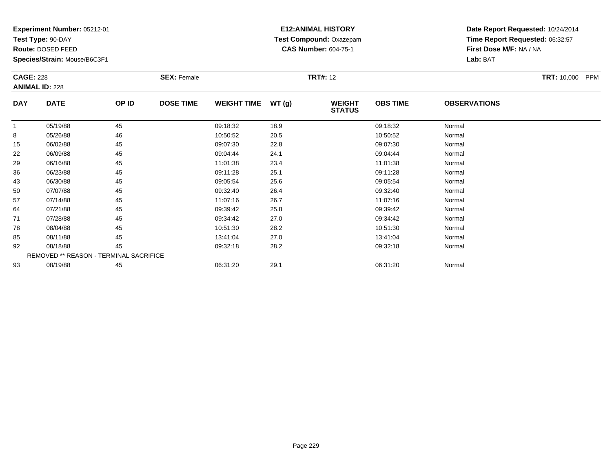**Test Type:** 90-DAY

**Route:** DOSED FEED

**Species/Strain:** Mouse/B6C3F1

### **E12:ANIMAL HISTORY Test Compound:** Oxazepam**CAS Number:** 604-75-1

| <b>CAGE: 228</b> | <b>ANIMAL ID: 228</b>                  |       | <b>SEX: Female</b> |                    |       | <b>TRT#: 12</b>                |                 |                     | <b>TRT:</b> 10,000 PPM |
|------------------|----------------------------------------|-------|--------------------|--------------------|-------|--------------------------------|-----------------|---------------------|------------------------|
| <b>DAY</b>       | <b>DATE</b>                            | OP ID | <b>DOSE TIME</b>   | <b>WEIGHT TIME</b> | WT(g) | <b>WEIGHT</b><br><b>STATUS</b> | <b>OBS TIME</b> | <b>OBSERVATIONS</b> |                        |
| -1               | 05/19/88                               | 45    |                    | 09:18:32           | 18.9  |                                | 09:18:32        | Normal              |                        |
| 8                | 05/26/88                               | 46    |                    | 10:50:52           | 20.5  |                                | 10:50:52        | Normal              |                        |
| 15               | 06/02/88                               | 45    |                    | 09:07:30           | 22.8  |                                | 09:07:30        | Normal              |                        |
| 22               | 06/09/88                               | 45    |                    | 09:04:44           | 24.1  |                                | 09:04:44        | Normal              |                        |
| 29               | 06/16/88                               | 45    |                    | 11:01:38           | 23.4  |                                | 11:01:38        | Normal              |                        |
| 36               | 06/23/88                               | 45    |                    | 09:11:28           | 25.1  |                                | 09:11:28        | Normal              |                        |
| 43               | 06/30/88                               | 45    |                    | 09:05:54           | 25.6  |                                | 09:05:54        | Normal              |                        |
| 50               | 07/07/88                               | 45    |                    | 09:32:40           | 26.4  |                                | 09:32:40        | Normal              |                        |
| 57               | 07/14/88                               | 45    |                    | 11:07:16           | 26.7  |                                | 11:07:16        | Normal              |                        |
| 64               | 07/21/88                               | 45    |                    | 09:39:42           | 25.8  |                                | 09:39:42        | Normal              |                        |
| 71               | 07/28/88                               | 45    |                    | 09:34:42           | 27.0  |                                | 09:34:42        | Normal              |                        |
| 78               | 08/04/88                               | 45    |                    | 10:51:30           | 28.2  |                                | 10:51:30        | Normal              |                        |
| 85               | 08/11/88                               | 45    |                    | 13:41:04           | 27.0  |                                | 13:41:04        | Normal              |                        |
| 92               | 08/18/88                               | 45    |                    | 09:32:18           | 28.2  |                                | 09:32:18        | Normal              |                        |
|                  | REMOVED ** REASON - TERMINAL SACRIFICE |       |                    |                    |       |                                |                 |                     |                        |
| 93               | 08/19/88                               | 45    |                    | 06:31:20           | 29.1  |                                | 06:31:20        | Normal              |                        |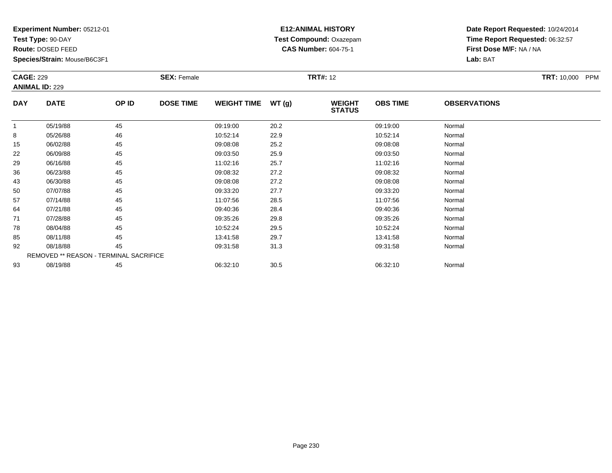**Test Type:** 90-DAY

**Route:** DOSED FEED

93

**Species/Strain:** Mouse/B6C3F1

#### **E12:ANIMAL HISTORY Test Compound:** Oxazepam**CAS Number:** 604-75-1

**Date Report Requested:** 10/24/2014**Time Report Requested:** 06:32:57**First Dose M/F:** NA / NA**Lab:** BAT

| <b>CAGE: 229</b> | <b>ANIMAL ID: 229</b> |                                        | <b>SEX: Female</b> |                    |       | <b>TRT#: 12</b>                |                 |                     | TRT: 10,000 PPM |
|------------------|-----------------------|----------------------------------------|--------------------|--------------------|-------|--------------------------------|-----------------|---------------------|-----------------|
| <b>DAY</b>       | <b>DATE</b>           | OP ID                                  | <b>DOSE TIME</b>   | <b>WEIGHT TIME</b> | WT(g) | <b>WEIGHT</b><br><b>STATUS</b> | <b>OBS TIME</b> | <b>OBSERVATIONS</b> |                 |
|                  | 05/19/88              | 45                                     |                    | 09:19:00           | 20.2  |                                | 09:19:00        | Normal              |                 |
| 8                | 05/26/88              | 46                                     |                    | 10:52:14           | 22.9  |                                | 10:52:14        | Normal              |                 |
| 15               | 06/02/88              | 45                                     |                    | 09:08:08           | 25.2  |                                | 09:08:08        | Normal              |                 |
| 22               | 06/09/88              | 45                                     |                    | 09:03:50           | 25.9  |                                | 09:03:50        | Normal              |                 |
| 29               | 06/16/88              | 45                                     |                    | 11:02:16           | 25.7  |                                | 11:02:16        | Normal              |                 |
| 36               | 06/23/88              | 45                                     |                    | 09:08:32           | 27.2  |                                | 09:08:32        | Normal              |                 |
| 43               | 06/30/88              | 45                                     |                    | 09:08:08           | 27.2  |                                | 09:08:08        | Normal              |                 |
| 50               | 07/07/88              | 45                                     |                    | 09:33:20           | 27.7  |                                | 09:33:20        | Normal              |                 |
| 57               | 07/14/88              | 45                                     |                    | 11:07:56           | 28.5  |                                | 11:07:56        | Normal              |                 |
| 64               | 07/21/88              | 45                                     |                    | 09:40:36           | 28.4  |                                | 09:40:36        | Normal              |                 |
| 71               | 07/28/88              | 45                                     |                    | 09:35:26           | 29.8  |                                | 09:35:26        | Normal              |                 |
| 78               | 08/04/88              | 45                                     |                    | 10:52:24           | 29.5  |                                | 10:52:24        | Normal              |                 |
| 85               | 08/11/88              | 45                                     |                    | 13:41:58           | 29.7  |                                | 13:41:58        | Normal              |                 |
| 92               | 08/18/88              | 45                                     |                    | 09:31:58           | 31.3  |                                | 09:31:58        | Normal              |                 |
|                  |                       | REMOVED ** REASON - TERMINAL SACRIFICE |                    |                    |       |                                |                 |                     |                 |

08/19/88 <sup>45</sup> 06:32:10 30.5 06:32:10 Normal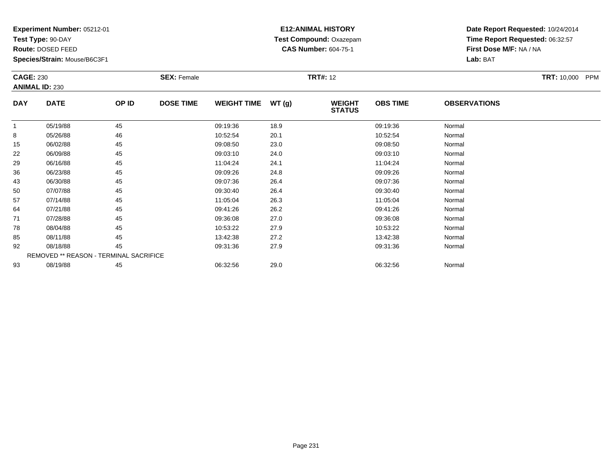**Test Type:** 90-DAY

**Route:** DOSED FEED

**Species/Strain:** Mouse/B6C3F1

### **E12:ANIMAL HISTORY Test Compound:** Oxazepam**CAS Number:** 604-75-1

| <b>CAGE: 230</b> |                       |                                        | <b>SEX: Female</b> |                    |      | <b>TRT#: 12</b>                |                 |                     | <b>TRT:</b> 10,000 PPM |
|------------------|-----------------------|----------------------------------------|--------------------|--------------------|------|--------------------------------|-----------------|---------------------|------------------------|
|                  | <b>ANIMAL ID: 230</b> |                                        |                    |                    |      |                                |                 |                     |                        |
| <b>DAY</b>       | <b>DATE</b>           | OP ID                                  | <b>DOSE TIME</b>   | WEIGHT TIME WT (g) |      | <b>WEIGHT</b><br><b>STATUS</b> | <b>OBS TIME</b> | <b>OBSERVATIONS</b> |                        |
| $\overline{1}$   | 05/19/88              | 45                                     |                    | 09:19:36           | 18.9 |                                | 09:19:36        | Normal              |                        |
| 8                | 05/26/88              | 46                                     |                    | 10:52:54           | 20.1 |                                | 10:52:54        | Normal              |                        |
| 15               | 06/02/88              | 45                                     |                    | 09:08:50           | 23.0 |                                | 09:08:50        | Normal              |                        |
| 22               | 06/09/88              | 45                                     |                    | 09:03:10           | 24.0 |                                | 09:03:10        | Normal              |                        |
| 29               | 06/16/88              | 45                                     |                    | 11:04:24           | 24.1 |                                | 11:04:24        | Normal              |                        |
| 36               | 06/23/88              | 45                                     |                    | 09:09:26           | 24.8 |                                | 09:09:26        | Normal              |                        |
| 43               | 06/30/88              | 45                                     |                    | 09:07:36           | 26.4 |                                | 09:07:36        | Normal              |                        |
| 50               | 07/07/88              | 45                                     |                    | 09:30:40           | 26.4 |                                | 09:30:40        | Normal              |                        |
| 57               | 07/14/88              | 45                                     |                    | 11:05:04           | 26.3 |                                | 11:05:04        | Normal              |                        |
| 64               | 07/21/88              | 45                                     |                    | 09:41:26           | 26.2 |                                | 09:41:26        | Normal              |                        |
| 71               | 07/28/88              | 45                                     |                    | 09:36:08           | 27.0 |                                | 09:36:08        | Normal              |                        |
| 78               | 08/04/88              | 45                                     |                    | 10:53:22           | 27.9 |                                | 10:53:22        | Normal              |                        |
| 85               | 08/11/88              | 45                                     |                    | 13:42:38           | 27.2 |                                | 13:42:38        | Normal              |                        |
| 92               | 08/18/88              | 45                                     |                    | 09:31:36           | 27.9 |                                | 09:31:36        | Normal              |                        |
|                  |                       | REMOVED ** REASON - TERMINAL SACRIFICE |                    |                    |      |                                |                 |                     |                        |
| 93               | 08/19/88              | 45                                     |                    | 06:32:56           | 29.0 |                                | 06:32:56        | Normal              |                        |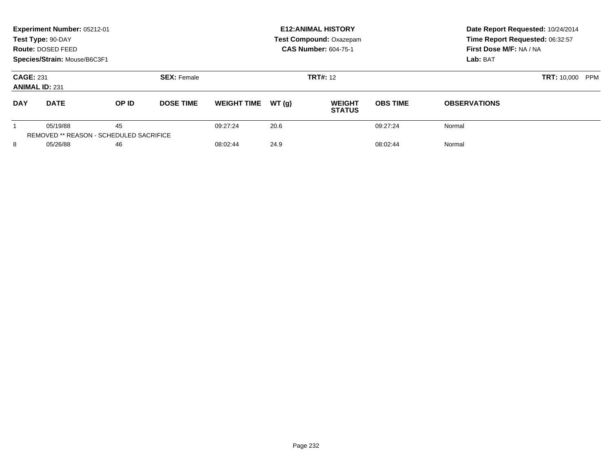|                                           | Experiment Number: 05212-01<br>Test Type: 90-DAY<br>Route: DOSED FEED<br>Species/Strain: Mouse/B6C3F1 |                                               |                    |                    |       | <b>E12: ANIMAL HISTORY</b><br><b>Test Compound: Oxazepam</b><br><b>CAS Number: 604-75-1</b> | Date Report Requested: 10/24/2014<br>Time Report Requested: 06:32:57<br>First Dose M/F: NA / NA<br>Lab: BAT |                     |  |
|-------------------------------------------|-------------------------------------------------------------------------------------------------------|-----------------------------------------------|--------------------|--------------------|-------|---------------------------------------------------------------------------------------------|-------------------------------------------------------------------------------------------------------------|---------------------|--|
| <b>CAGE: 231</b><br><b>ANIMAL ID: 231</b> |                                                                                                       |                                               | <b>SEX: Female</b> |                    |       | <b>TRT#: 12</b>                                                                             | <b>TRT: 10,000</b><br><b>PPM</b>                                                                            |                     |  |
| <b>DAY</b>                                | <b>DATE</b>                                                                                           | OP ID                                         | <b>DOSE TIME</b>   | <b>WEIGHT TIME</b> | WT(q) | <b>WEIGHT</b><br><b>STATUS</b>                                                              | <b>OBS TIME</b>                                                                                             | <b>OBSERVATIONS</b> |  |
|                                           | 05/19/88                                                                                              | 45<br>REMOVED ** REASON - SCHEDULED SACRIFICE |                    | 09:27:24           | 20.6  |                                                                                             | 09:27:24                                                                                                    | Normal              |  |
| 8                                         | 05/26/88                                                                                              | 46                                            |                    | 08:02:44           | 24.9  |                                                                                             | 08:02:44                                                                                                    | Normal              |  |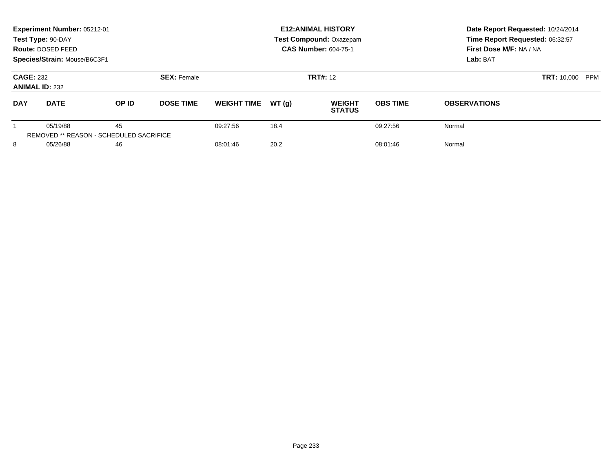|            | Experiment Number: 05212-01<br>Test Type: 90-DAY<br>Route: DOSED FEED<br>Species/Strain: Mouse/B6C3F1 |       |                  |                    |       | <b>E12: ANIMAL HISTORY</b><br><b>Test Compound: Oxazepam</b><br><b>CAS Number: 604-75-1</b> | Date Report Requested: 10/24/2014<br>Time Report Requested: 06:32:57<br>First Dose M/F: NA / NA<br>Lab: BAT |                     |  |
|------------|-------------------------------------------------------------------------------------------------------|-------|------------------|--------------------|-------|---------------------------------------------------------------------------------------------|-------------------------------------------------------------------------------------------------------------|---------------------|--|
|            | <b>CAGE: 232</b><br><b>SEX: Female</b><br><b>ANIMAL ID: 232</b>                                       |       |                  |                    |       | <b>TRT#: 12</b>                                                                             | <b>TRT: 10,000</b><br><b>PPM</b>                                                                            |                     |  |
| <b>DAY</b> | <b>DATE</b>                                                                                           | OP ID | <b>DOSE TIME</b> | <b>WEIGHT TIME</b> | WT(q) | <b>WEIGHT</b><br><b>STATUS</b>                                                              | <b>OBS TIME</b>                                                                                             | <b>OBSERVATIONS</b> |  |
|            | 05/19/88<br>REMOVED ** REASON - SCHEDULED SACRIFICE                                                   | 45    |                  | 09:27:56           | 18.4  |                                                                                             | 09:27:56                                                                                                    | Normal              |  |
| 8          | 05/26/88                                                                                              | 46    |                  | 08:01:46           | 20.2  |                                                                                             | 08:01:46                                                                                                    | Normal              |  |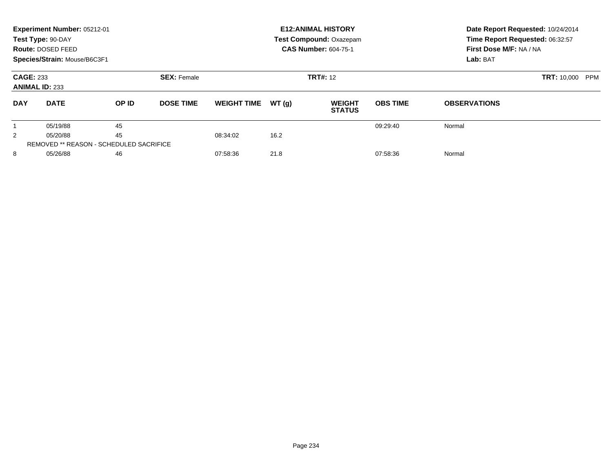|                                           | Experiment Number: 05212-01<br>Test Type: 90-DAY<br>Route: DOSED FEED<br>Species/Strain: Mouse/B6C3F1 |                                                |                    |                    |       | <b>E12: ANIMAL HISTORY</b><br><b>Test Compound: Oxazepam</b><br><b>CAS Number: 604-75-1</b> | Date Report Requested: 10/24/2014<br>Time Report Requested: 06:32:57<br>First Dose M/F: NA / NA<br>Lab: BAT |                     |
|-------------------------------------------|-------------------------------------------------------------------------------------------------------|------------------------------------------------|--------------------|--------------------|-------|---------------------------------------------------------------------------------------------|-------------------------------------------------------------------------------------------------------------|---------------------|
| <b>CAGE: 233</b><br><b>ANIMAL ID: 233</b> |                                                                                                       |                                                | <b>SEX: Female</b> |                    |       | <b>TRT#: 12</b>                                                                             | <b>TRT: 10,000</b><br>PPM                                                                                   |                     |
| <b>DAY</b>                                | <b>DATE</b>                                                                                           | OP ID                                          | <b>DOSE TIME</b>   | <b>WEIGHT TIME</b> | WT(q) | <b>WEIGHT</b><br><b>STATUS</b>                                                              | <b>OBS TIME</b>                                                                                             | <b>OBSERVATIONS</b> |
|                                           | 05/19/88                                                                                              | 45                                             |                    |                    |       |                                                                                             | 09:29:40                                                                                                    | Normal              |
| 2                                         | 05/20/88                                                                                              | 45                                             |                    | 08:34:02           | 16.2  |                                                                                             |                                                                                                             |                     |
|                                           |                                                                                                       | <b>REMOVED ** REASON - SCHEDULED SACRIFICE</b> |                    |                    |       |                                                                                             |                                                                                                             |                     |
| 8                                         | 05/26/88                                                                                              | 46                                             |                    | 07:58:36           | 21.8  |                                                                                             | 07:58:36                                                                                                    | Normal              |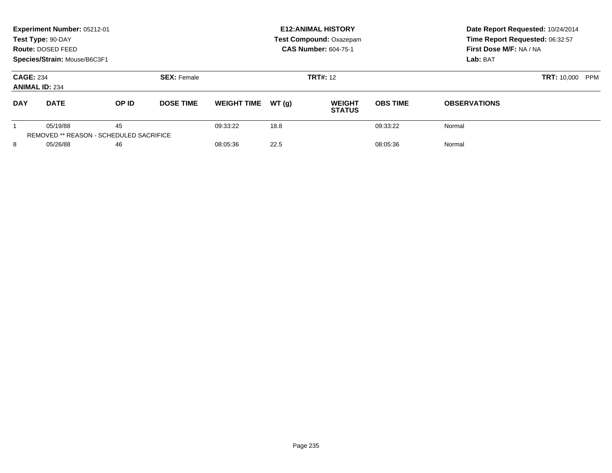|                                           | Experiment Number: 05212-01<br>Test Type: 90-DAY<br>Route: DOSED FEED<br>Species/Strain: Mouse/B6C3F1 |                                               |                    |                    |       | <b>E12: ANIMAL HISTORY</b><br><b>Test Compound: Oxazepam</b><br><b>CAS Number: 604-75-1</b> | Date Report Requested: 10/24/2014<br>Time Report Requested: 06:32:57<br>First Dose M/F: NA / NA<br>Lab: BAT |                     |  |
|-------------------------------------------|-------------------------------------------------------------------------------------------------------|-----------------------------------------------|--------------------|--------------------|-------|---------------------------------------------------------------------------------------------|-------------------------------------------------------------------------------------------------------------|---------------------|--|
| <b>CAGE: 234</b><br><b>ANIMAL ID: 234</b> |                                                                                                       |                                               | <b>SEX: Female</b> |                    |       | <b>TRT#: 12</b>                                                                             | <b>TRT:</b> 10,000<br><b>PPM</b>                                                                            |                     |  |
| <b>DAY</b>                                | <b>DATE</b>                                                                                           | OP ID                                         | <b>DOSE TIME</b>   | <b>WEIGHT TIME</b> | WT(q) | <b>WEIGHT</b><br><b>STATUS</b>                                                              | <b>OBS TIME</b>                                                                                             | <b>OBSERVATIONS</b> |  |
|                                           | 05/19/88                                                                                              | 45<br>REMOVED ** REASON - SCHEDULED SACRIFICE |                    | 09:33:22           | 18.8  |                                                                                             | 09:33:22                                                                                                    | Normal              |  |
| 8                                         | 05/26/88                                                                                              | 46                                            |                    | 08:05:36           | 22.5  |                                                                                             | 08:05:36                                                                                                    | Normal              |  |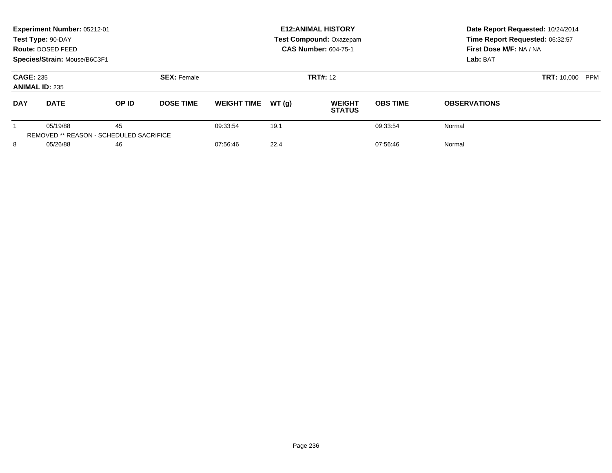|            | Experiment Number: 05212-01<br>Test Type: 90-DAY<br>Route: DOSED FEED<br>Species/Strain: Mouse/B6C3F1 |                                               |                  |                    |       | <b>E12: ANIMAL HISTORY</b><br>Test Compound: Oxazepam<br><b>CAS Number: 604-75-1</b> | Date Report Requested: 10/24/2014<br>Time Report Requested: 06:32:57<br>First Dose M/F: NA / NA<br>Lab: BAT |                     |  |
|------------|-------------------------------------------------------------------------------------------------------|-----------------------------------------------|------------------|--------------------|-------|--------------------------------------------------------------------------------------|-------------------------------------------------------------------------------------------------------------|---------------------|--|
|            | <b>CAGE: 235</b><br><b>SEX: Female</b><br><b>ANIMAL ID: 235</b>                                       |                                               |                  |                    |       | <b>TRT#:</b> 12                                                                      | <b>TRT: 10,000</b><br><b>PPM</b>                                                                            |                     |  |
| <b>DAY</b> | <b>DATE</b>                                                                                           | OP ID                                         | <b>DOSE TIME</b> | <b>WEIGHT TIME</b> | WT(q) | <b>WEIGHT</b><br><b>STATUS</b>                                                       | <b>OBS TIME</b>                                                                                             | <b>OBSERVATIONS</b> |  |
|            | 05/19/88                                                                                              | 45<br>REMOVED ** REASON - SCHEDULED SACRIFICE |                  | 09:33:54           | 19.1  |                                                                                      | 09:33:54                                                                                                    | Normal              |  |
| 8          | 05/26/88                                                                                              | 46                                            |                  | 07:56:46           | 22.4  |                                                                                      | 07:56:46                                                                                                    | Normal              |  |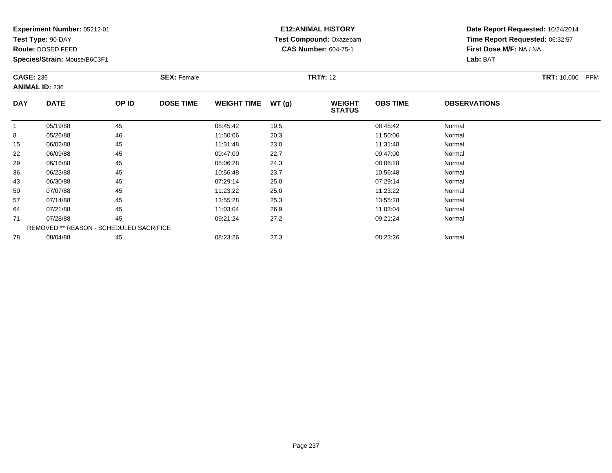**Test Type:** 90-DAY

**Route:** DOSED FEED

**Species/Strain:** Mouse/B6C3F1

### **E12:ANIMAL HISTORY Test Compound:** Oxazepam**CAS Number:** 604-75-1

| <b>CAGE: 236</b> | <b>ANIMAL ID: 236</b>                   |       | <b>SEX: Female</b> |                    |       | <b>TRT#: 12</b>                |                 |                     | <b>TRT: 10,000</b><br><b>PPM</b> |
|------------------|-----------------------------------------|-------|--------------------|--------------------|-------|--------------------------------|-----------------|---------------------|----------------------------------|
| <b>DAY</b>       | <b>DATE</b>                             | OP ID | <b>DOSE TIME</b>   | <b>WEIGHT TIME</b> | WT(g) | <b>WEIGHT</b><br><b>STATUS</b> | <b>OBS TIME</b> | <b>OBSERVATIONS</b> |                                  |
|                  | 05/19/88                                | 45    |                    | 08:45:42           | 19.5  |                                | 08:45:42        | Normal              |                                  |
| 8                | 05/26/88                                | 46    |                    | 11:50:06           | 20.3  |                                | 11:50:06        | Normal              |                                  |
| 15               | 06/02/88                                | 45    |                    | 11:31:48           | 23.0  |                                | 11:31:48        | Normal              |                                  |
| 22               | 06/09/88                                | 45    |                    | 09:47:00           | 22.7  |                                | 09:47:00        | Normal              |                                  |
| 29               | 06/16/88                                | 45    |                    | 08:06:28           | 24.3  |                                | 08:06:28        | Normal              |                                  |
| 36               | 06/23/88                                | 45    |                    | 10:56:48           | 23.7  |                                | 10:56:48        | Normal              |                                  |
| 43               | 06/30/88                                | 45    |                    | 07:29:14           | 25.0  |                                | 07:29:14        | Normal              |                                  |
| 50               | 07/07/88                                | 45    |                    | 11:23:22           | 25.0  |                                | 11:23:22        | Normal              |                                  |
| 57               | 07/14/88                                | 45    |                    | 13:55:28           | 25.3  |                                | 13:55:28        | Normal              |                                  |
| 64               | 07/21/88                                | 45    |                    | 11:03:04           | 26.9  |                                | 11:03:04        | Normal              |                                  |
| 71               | 07/28/88                                | 45    |                    | 09:21:24           | 27.2  |                                | 09:21:24        | Normal              |                                  |
|                  | REMOVED ** REASON - SCHEDULED SACRIFICE |       |                    |                    |       |                                |                 |                     |                                  |
| 78               | 08/04/88                                | 45    |                    | 08:23:26           | 27.3  |                                | 08:23:26        | Normal              |                                  |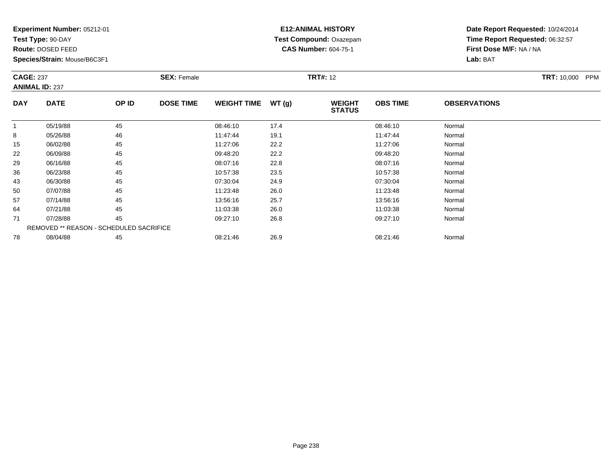**Test Type:** 90-DAY

**Route:** DOSED FEED

**Species/Strain:** Mouse/B6C3F1

### **E12:ANIMAL HISTORY Test Compound:** Oxazepam**CAS Number:** 604-75-1

**Date Report Requested:** 10/24/2014**Time Report Requested:** 06:32:57**First Dose M/F:** NA / NA**Lab:** BAT

| <b>CAGE: 237</b> | <b>ANIMAL ID: 237</b>                   |       | <b>SEX: Female</b> |                    |       | <b>TRT#: 12</b>                |                 |                     | <b>TRT: 10,000</b><br><b>PPM</b> |
|------------------|-----------------------------------------|-------|--------------------|--------------------|-------|--------------------------------|-----------------|---------------------|----------------------------------|
| <b>DAY</b>       | <b>DATE</b>                             | OP ID | <b>DOSE TIME</b>   | <b>WEIGHT TIME</b> | WT(g) | <b>WEIGHT</b><br><b>STATUS</b> | <b>OBS TIME</b> | <b>OBSERVATIONS</b> |                                  |
|                  | 05/19/88                                | 45    |                    | 08:46:10           | 17.4  |                                | 08:46:10        | Normal              |                                  |
| 8                | 05/26/88                                | 46    |                    | 11:47:44           | 19.1  |                                | 11:47:44        | Normal              |                                  |
| 15               | 06/02/88                                | 45    |                    | 11:27:06           | 22.2  |                                | 11:27:06        | Normal              |                                  |
| 22               | 06/09/88                                | 45    |                    | 09:48:20           | 22.2  |                                | 09:48:20        | Normal              |                                  |
| 29               | 06/16/88                                | 45    |                    | 08:07:16           | 22.8  |                                | 08:07:16        | Normal              |                                  |
| 36               | 06/23/88                                | 45    |                    | 10:57:38           | 23.5  |                                | 10:57:38        | Normal              |                                  |
| 43               | 06/30/88                                | 45    |                    | 07:30:04           | 24.9  |                                | 07:30:04        | Normal              |                                  |
| 50               | 07/07/88                                | 45    |                    | 11:23:48           | 26.0  |                                | 11:23:48        | Normal              |                                  |
| 57               | 07/14/88                                | 45    |                    | 13:56:16           | 25.7  |                                | 13:56:16        | Normal              |                                  |
| 64               | 07/21/88                                | 45    |                    | 11:03:38           | 26.0  |                                | 11:03:38        | Normal              |                                  |
| 71               | 07/28/88                                | 45    |                    | 09:27:10           | 26.8  |                                | 09:27:10        | Normal              |                                  |
|                  | REMOVED ** REASON - SCHEDULED SACRIFICE |       |                    |                    |       |                                |                 |                     |                                  |
| 78               | 08/04/88                                | 45    |                    | 08:21:46           | 26.9  |                                | 08:21:46        | Normal              |                                  |

8 08/04/88 45 45 08:21:46 26.9 26.9 08:21:46 08:21:46 08:21:46 08:21:46 08:21:46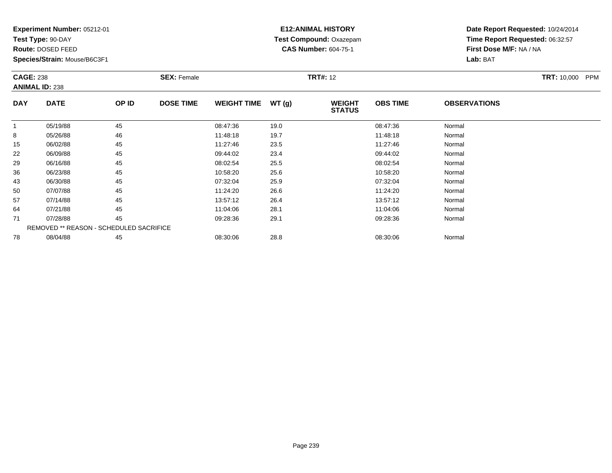**Test Type:** 90-DAY

**Route:** DOSED FEED

**Species/Strain:** Mouse/B6C3F1

### **E12:ANIMAL HISTORY Test Compound:** Oxazepam**CAS Number:** 604-75-1

|            | <b>CAGE: 238</b><br><b>ANIMAL ID: 238</b> |       | <b>SEX: Female</b> |                    |       | <b>TRT#: 12</b>                |                 | <b>TRT: 10,000 PPM</b> |  |
|------------|-------------------------------------------|-------|--------------------|--------------------|-------|--------------------------------|-----------------|------------------------|--|
| <b>DAY</b> | <b>DATE</b>                               | OP ID | <b>DOSE TIME</b>   | <b>WEIGHT TIME</b> | WT(g) | <b>WEIGHT</b><br><b>STATUS</b> | <b>OBS TIME</b> | <b>OBSERVATIONS</b>    |  |
| 1          | 05/19/88                                  | 45    |                    | 08:47:36           | 19.0  |                                | 08:47:36        | Normal                 |  |
| 8          | 05/26/88                                  | 46    |                    | 11:48:18           | 19.7  |                                | 11:48:18        | Normal                 |  |
| 15         | 06/02/88                                  | 45    |                    | 11:27:46           | 23.5  |                                | 11:27:46        | Normal                 |  |
| 22         | 06/09/88                                  | 45    |                    | 09:44:02           | 23.4  |                                | 09:44:02        | Normal                 |  |
| 29         | 06/16/88                                  | 45    |                    | 08:02:54           | 25.5  |                                | 08:02:54        | Normal                 |  |
| 36         | 06/23/88                                  | 45    |                    | 10:58:20           | 25.6  |                                | 10:58:20        | Normal                 |  |
| 43         | 06/30/88                                  | 45    |                    | 07:32:04           | 25.9  |                                | 07:32:04        | Normal                 |  |
| 50         | 07/07/88                                  | 45    |                    | 11:24:20           | 26.6  |                                | 11:24:20        | Normal                 |  |
| 57         | 07/14/88                                  | 45    |                    | 13:57:12           | 26.4  |                                | 13:57:12        | Normal                 |  |
| 64         | 07/21/88                                  | 45    |                    | 11:04:06           | 28.1  |                                | 11:04:06        | Normal                 |  |
| 71         | 07/28/88                                  | 45    |                    | 09:28:36           | 29.1  |                                | 09:28:36        | Normal                 |  |
|            | REMOVED ** REASON - SCHEDULED SACRIFICE   |       |                    |                    |       |                                |                 |                        |  |
| 78         | 08/04/88                                  | 45    |                    | 08:30:06           | 28.8  |                                | 08:30:06        | Normal                 |  |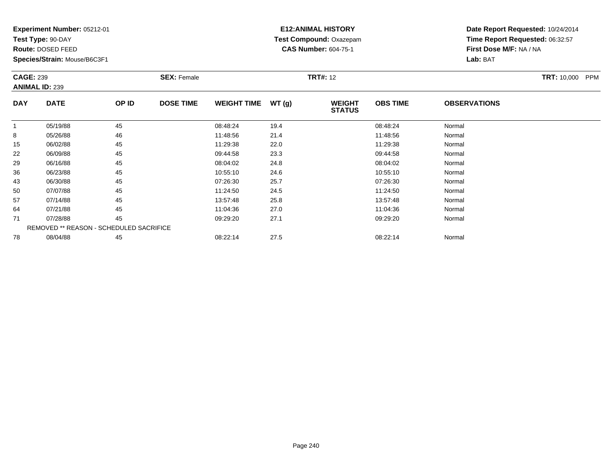**Test Type:** 90-DAY

**Route:** DOSED FEED

**Species/Strain:** Mouse/B6C3F1

### **E12:ANIMAL HISTORY Test Compound:** Oxazepam**CAS Number:** 604-75-1

| <b>CAGE: 239</b> | <b>ANIMAL ID: 239</b>                          |       | <b>SEX: Female</b> |                    |       | <b>TRT#: 12</b>                |                 |                     | <b>TRT: 10,000</b><br><b>PPM</b> |
|------------------|------------------------------------------------|-------|--------------------|--------------------|-------|--------------------------------|-----------------|---------------------|----------------------------------|
| <b>DAY</b>       | <b>DATE</b>                                    | OP ID | <b>DOSE TIME</b>   | <b>WEIGHT TIME</b> | WT(g) | <b>WEIGHT</b><br><b>STATUS</b> | <b>OBS TIME</b> | <b>OBSERVATIONS</b> |                                  |
|                  | 05/19/88                                       | 45    |                    | 08:48:24           | 19.4  |                                | 08:48:24        | Normal              |                                  |
| 8                | 05/26/88                                       | 46    |                    | 11:48:56           | 21.4  |                                | 11:48:56        | Normal              |                                  |
| 15               | 06/02/88                                       | 45    |                    | 11:29:38           | 22.0  |                                | 11:29:38        | Normal              |                                  |
| 22               | 06/09/88                                       | 45    |                    | 09:44:58           | 23.3  |                                | 09:44:58        | Normal              |                                  |
| 29               | 06/16/88                                       | 45    |                    | 08:04:02           | 24.8  |                                | 08:04:02        | Normal              |                                  |
| 36               | 06/23/88                                       | 45    |                    | 10:55:10           | 24.6  |                                | 10:55:10        | Normal              |                                  |
| 43               | 06/30/88                                       | 45    |                    | 07:26:30           | 25.7  |                                | 07:26:30        | Normal              |                                  |
| 50               | 07/07/88                                       | 45    |                    | 11:24:50           | 24.5  |                                | 11:24:50        | Normal              |                                  |
| 57               | 07/14/88                                       | 45    |                    | 13:57:48           | 25.8  |                                | 13:57:48        | Normal              |                                  |
| 64               | 07/21/88                                       | 45    |                    | 11:04:36           | 27.0  |                                | 11:04:36        | Normal              |                                  |
| 71               | 07/28/88                                       | 45    |                    | 09:29:20           | 27.1  |                                | 09:29:20        | Normal              |                                  |
|                  | <b>REMOVED ** REASON - SCHEDULED SACRIFICE</b> |       |                    |                    |       |                                |                 |                     |                                  |
| 78               | 08/04/88                                       | 45    |                    | 08:22:14           | 27.5  |                                | 08:22:14        | Normal              |                                  |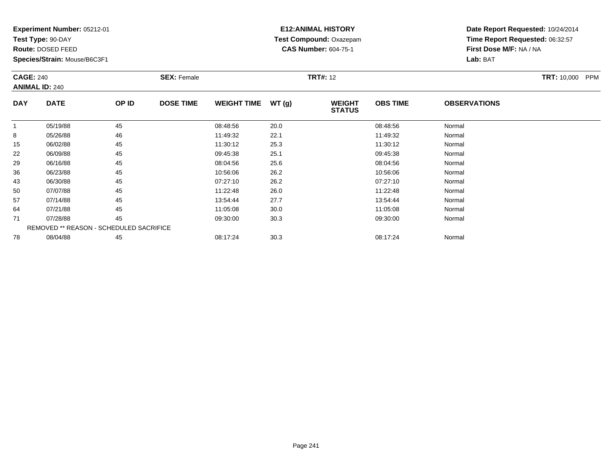**Test Type:** 90-DAY

**Route:** DOSED FEED

**Species/Strain:** Mouse/B6C3F1

### **E12:ANIMAL HISTORY Test Compound:** Oxazepam**CAS Number:** 604-75-1

| <b>CAGE: 240</b><br><b>ANIMAL ID: 240</b> |                                                |       | <b>SEX: Female</b> | <b>TRT#: 12</b>    |       |                                |                 |                     | <b>TRT: 10,000</b><br><b>PPM</b> |
|-------------------------------------------|------------------------------------------------|-------|--------------------|--------------------|-------|--------------------------------|-----------------|---------------------|----------------------------------|
| <b>DAY</b>                                | <b>DATE</b>                                    | OP ID | <b>DOSE TIME</b>   | <b>WEIGHT TIME</b> | WT(g) | <b>WEIGHT</b><br><b>STATUS</b> | <b>OBS TIME</b> | <b>OBSERVATIONS</b> |                                  |
|                                           | 05/19/88                                       | 45    |                    | 08:48:56           | 20.0  |                                | 08:48:56        | Normal              |                                  |
| 8                                         | 05/26/88                                       | 46    |                    | 11:49:32           | 22.1  |                                | 11:49:32        | Normal              |                                  |
| 15                                        | 06/02/88                                       | 45    |                    | 11:30:12           | 25.3  |                                | 11:30:12        | Normal              |                                  |
| 22                                        | 06/09/88                                       | 45    |                    | 09:45:38           | 25.1  |                                | 09:45:38        | Normal              |                                  |
| 29                                        | 06/16/88                                       | 45    |                    | 08:04:56           | 25.6  |                                | 08:04:56        | Normal              |                                  |
| 36                                        | 06/23/88                                       | 45    |                    | 10:56:06           | 26.2  |                                | 10:56:06        | Normal              |                                  |
| 43                                        | 06/30/88                                       | 45    |                    | 07:27:10           | 26.2  |                                | 07:27:10        | Normal              |                                  |
| 50                                        | 07/07/88                                       | 45    |                    | 11:22:48           | 26.0  |                                | 11:22:48        | Normal              |                                  |
| 57                                        | 07/14/88                                       | 45    |                    | 13:54:44           | 27.7  |                                | 13:54:44        | Normal              |                                  |
| 64                                        | 07/21/88                                       | 45    |                    | 11:05:08           | 30.0  |                                | 11:05:08        | Normal              |                                  |
| 71                                        | 07/28/88                                       | 45    |                    | 09:30:00           | 30.3  |                                | 09:30:00        | Normal              |                                  |
|                                           | <b>REMOVED ** REASON - SCHEDULED SACRIFICE</b> |       |                    |                    |       |                                |                 |                     |                                  |
| 78                                        | 08/04/88                                       | 45    |                    | 08:17:24           | 30.3  |                                | 08:17:24        | Normal              |                                  |